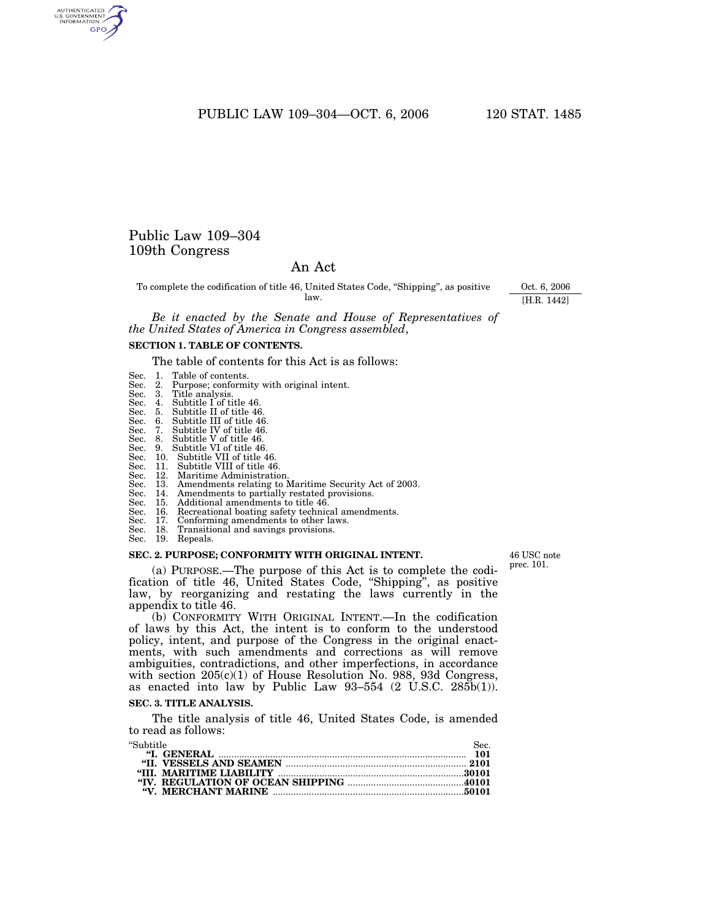PUBLIC LAW 109-304-OCT. 6, 2006 120 STAT. 1485

# Public Law 109–304 109th Congress

AUTHENTICATED<br>U.S. GOVERNMENT<br>INFORMATION GPO

# An Act

To complete the codification of title 46, United States Code, ''Shipping'', as positive law.

Oct. 6, 2006 [H.R. 1442]

*Be it enacted by the Senate and House of Representatives of the United States of America in Congress assembled*,

# **SECTION 1. TABLE OF CONTENTS.**

The table of contents for this Act is as follows:

- Sec. 1. Table of contents.<br>Sec. 2. Purpose; conformi
- Sec. 2. Purpose; conformity with original intent.<br>Sec. 3. Title analysis.
- Sec. 3. Title analysis.<br>Sec. 4. Subtitle I of ti
- Sec. 4. Subtitle I of title 46.<br>Sec. 5. Subtitle II of title 46
- Sec. 5. Subtitle II of title 46. Sec. 6. Subtitle III of title 46.
- 
- Sec. 7. Subtitle IV of title 46. Sec. 8. Subtitle V of title 46.
- 
- Sec. 9. Subtitle VI of title 46. Sec. 10. Subtitle VII of title 46.
- Sec. 11. Subtitle VIII of title 46.<br>Sec. 12. Maritime Administratio
- Sec. 12. Maritime Administration.<br>Sec. 13. Amendments relating to 1
- Sec. 13. Amendments relating to Maritime Security Act of 2003. Sec. 14. Amendments to partially restated provisions. Sec. 15. Additional amendments to title 46.
- 
- 
- Sec. 16. Recreational boating safety technical amendments.<br>Sec. 17. Conforming amendments to other laws.
- Sec. 17. Conforming amendments to other laws.<br>Sec. 18. Transitional and savings provisions.
- Sec. 18. Transitional and savings provisions.<br>Sec. 19. Repeals.
- 19. Repeals.

## **SEC. 2. PURPOSE; CONFORMITY WITH ORIGINAL INTENT.**

(a) PURPOSE.—The purpose of this Act is to complete the codification of title 46, United States Code, ''Shipping'', as positive law, by reorganizing and restating the laws currently in the appendix to title 46.

(b) CONFORMITY WITH ORIGINAL INTENT.—In the codification of laws by this Act, the intent is to conform to the understood policy, intent, and purpose of the Congress in the original enactments, with such amendments and corrections as will remove ambiguities, contradictions, and other imperfections, in accordance with section 205(c)(1) of House Resolution No. 988, 93d Congress, as enacted into law by Public Law  $93-554$  (2 U.S.C. 285b(1)).

#### **SEC. 3. TITLE ANALYSIS.**

The title analysis of title 46, United States Code, is amended to read as follows:

| "Subtitle: | $S_{\mathsf{P}^c}$ |
|------------|--------------------|
|            |                    |
|            |                    |
|            |                    |
|            |                    |
|            |                    |

46 USC note prec. 101.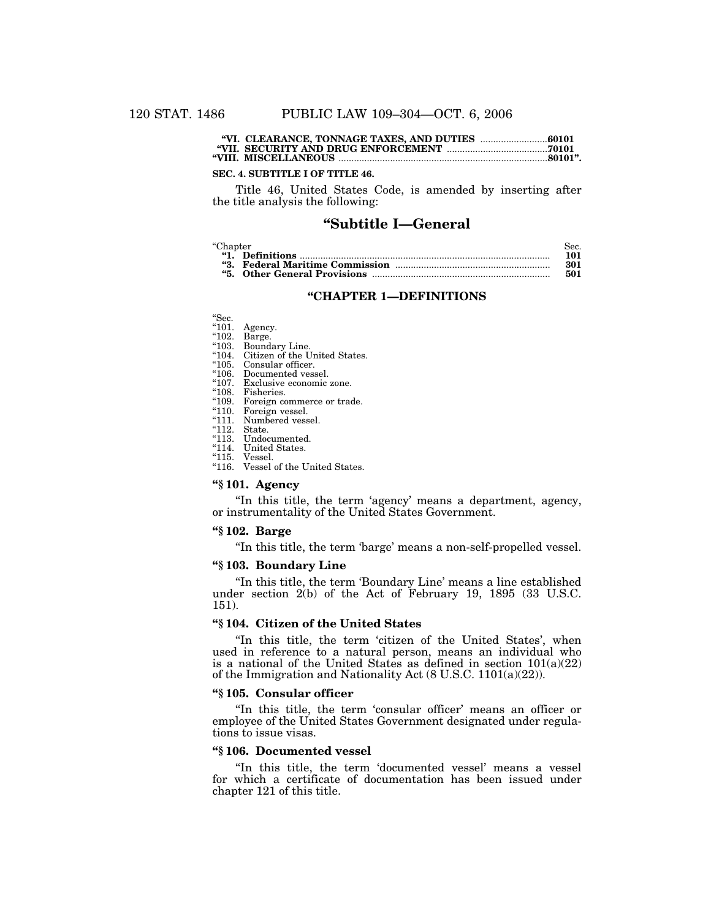#### **SEC. 4. SUBTITLE I OF TITLE 46.**

Title 46, United States Code, is amended by inserting after the title analysis the following:

# **''Subtitle I—General**

| "Chapter | Sec. |
|----------|------|
|          | 101  |
|          | 301  |
|          | 501  |

# **''CHAPTER 1—DEFINITIONS**

- ''Sec.
- "101. Agency.
- "102. Barge.

"103. Boundary Line.

"104. Citizen of the United States.

"105. Consular officer.

"106. Documented vessel.

''107. Exclusive economic zone.

"108. Fisheries.

- "109. Foreign commerce or trade.
- "110. Foreign vessel.
- "111. Numbered vessel.
- "112. State.
- "113. Undocumented.
- ''114. United States.
- "115. Vessel. "115. Vessel.<br>"116. Vessel of the United States.
- 

# **''§ 101. Agency**

''In this title, the term 'agency' means a department, agency, or instrumentality of the United States Government.

#### **''§ 102. Barge**

''In this title, the term 'barge' means a non-self-propelled vessel.

## **''§ 103. Boundary Line**

''In this title, the term 'Boundary Line' means a line established under section 2(b) of the Act of February 19, 1895 (33 U.S.C. 151).

# **''§ 104. Citizen of the United States**

''In this title, the term 'citizen of the United States', when used in reference to a natural person, means an individual who is a national of the United States as defined in section  $101(a)(22)$ of the Immigration and Nationality Act (8 U.S.C. 1101(a)(22)).

#### **''§ 105. Consular officer**

''In this title, the term 'consular officer' means an officer or employee of the United States Government designated under regulations to issue visas.

#### **''§ 106. Documented vessel**

''In this title, the term 'documented vessel' means a vessel for which a certificate of documentation has been issued under chapter 121 of this title.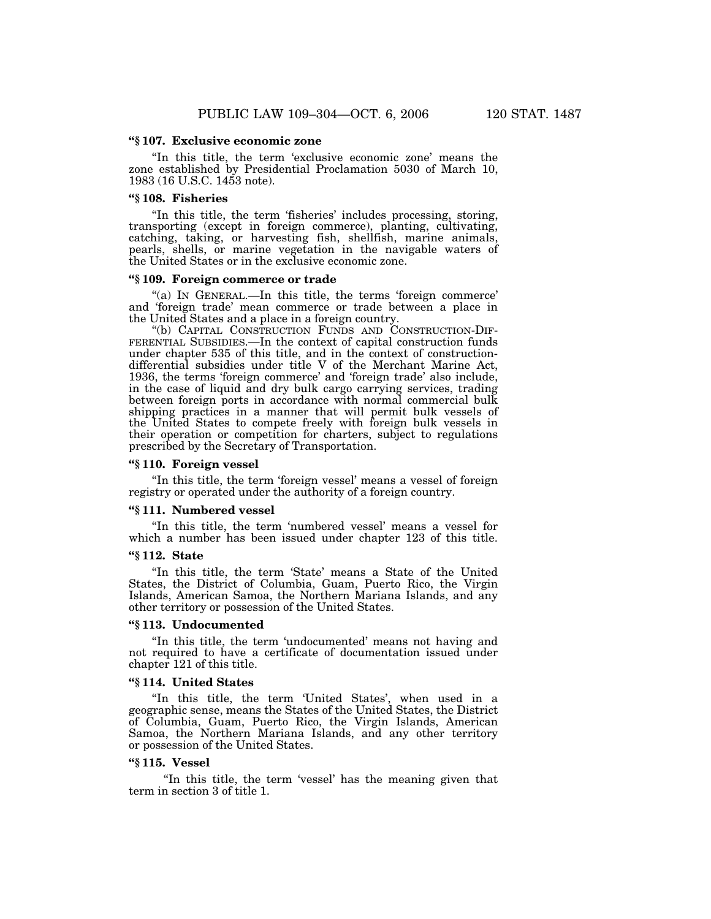# **''§ 107. Exclusive economic zone**

''In this title, the term 'exclusive economic zone' means the zone established by Presidential Proclamation 5030 of March 10, 1983 (16 U.S.C. 1453 note).

## **''§ 108. Fisheries**

''In this title, the term 'fisheries' includes processing, storing, transporting (except in foreign commerce), planting, cultivating, catching, taking, or harvesting fish, shellfish, marine animals, pearls, shells, or marine vegetation in the navigable waters of the United States or in the exclusive economic zone.

#### **''§ 109. Foreign commerce or trade**

"(a) IN GENERAL.—In this title, the terms 'foreign commerce' and 'foreign trade' mean commerce or trade between a place in the United States and a place in a foreign country.

''(b) CAPITAL CONSTRUCTION FUNDS AND CONSTRUCTION-DIF-FERENTIAL SUBSIDIES.—In the context of capital construction funds under chapter 535 of this title, and in the context of constructiondifferential subsidies under title V of the Merchant Marine Act, 1936, the terms 'foreign commerce' and 'foreign trade' also include, in the case of liquid and dry bulk cargo carrying services, trading between foreign ports in accordance with normal commercial bulk shipping practices in a manner that will permit bulk vessels of the United States to compete freely with foreign bulk vessels in their operation or competition for charters, subject to regulations prescribed by the Secretary of Transportation.

# **''§ 110. Foreign vessel**

''In this title, the term 'foreign vessel' means a vessel of foreign registry or operated under the authority of a foreign country.

# **''§ 111. Numbered vessel**

"In this title, the term 'numbered vessel' means a vessel for which a number has been issued under chapter 123 of this title.

# **''§ 112. State**

''In this title, the term 'State' means a State of the United States, the District of Columbia, Guam, Puerto Rico, the Virgin Islands, American Samoa, the Northern Mariana Islands, and any other territory or possession of the United States.

### **''§ 113. Undocumented**

''In this title, the term 'undocumented' means not having and not required to have a certificate of documentation issued under chapter 121 of this title.

### **''§ 114. United States**

''In this title, the term 'United States', when used in a geographic sense, means the States of the United States, the District of Columbia, Guam, Puerto Rico, the Virgin Islands, American Samoa, the Northern Mariana Islands, and any other territory or possession of the United States.

#### **''§ 115. Vessel**

"In this title, the term 'vessel' has the meaning given that term in section 3 of title 1.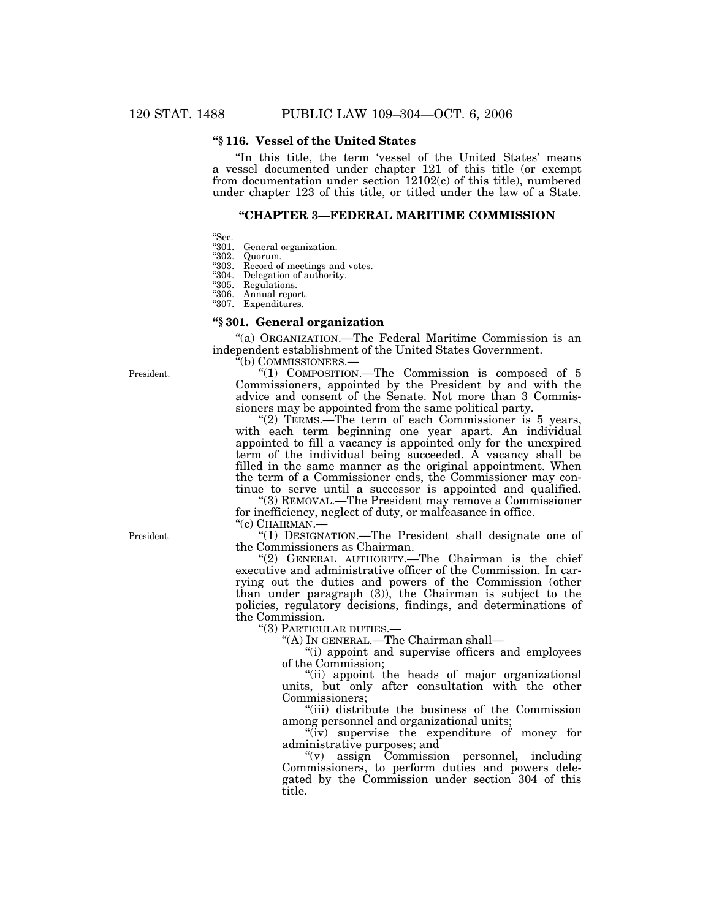# **''§ 116. Vessel of the United States**

''In this title, the term 'vessel of the United States' means a vessel documented under chapter 121 of this title (or exempt from documentation under section 12102(c) of this title), numbered under chapter 123 of this title, or titled under the law of a State.

## **''CHAPTER 3—FEDERAL MARITIME COMMISSION**

''Sec.

''301. General organization.

''302. Quorum.

"302. Quorum.<br>"303. Record of meetings and votes.<br>"304. Delegation of authority.

Delegation of authority.

"305. Regulations.<br>"306. Annual report.

''306. Annual report.

''307. Expenditures.

# **''§ 301. General organization**

''(a) ORGANIZATION.—The Federal Maritime Commission is an independent establishment of the United States Government.

''(b) COMMISSIONERS.—

''(1) COMPOSITION.—The Commission is composed of 5 Commissioners, appointed by the President by and with the advice and consent of the Senate. Not more than 3 Commissioners may be appointed from the same political party.

"(2) TERMS.—The term of each Commissioner is 5 years, with each term beginning one year apart. An individual appointed to fill a vacancy is appointed only for the unexpired term of the individual being succeeded. A vacancy shall be filled in the same manner as the original appointment. When the term of a Commissioner ends, the Commissioner may continue to serve until a successor is appointed and qualified.

''(3) REMOVAL.—The President may remove a Commissioner for inefficiency, neglect of duty, or malfeasance in office.

''(c) CHAIRMAN.—

''(1) DESIGNATION.—The President shall designate one of the Commissioners as Chairman.

"(2) GENERAL AUTHORITY.—The Chairman is the chief executive and administrative officer of the Commission. In carrying out the duties and powers of the Commission (other than under paragraph (3)), the Chairman is subject to the policies, regulatory decisions, findings, and determinations of the Commission.

''(3) PARTICULAR DUTIES.—

''(A) IN GENERAL.—The Chairman shall—

''(i) appoint and supervise officers and employees of the Commission;

"(ii) appoint the heads of major organizational units, but only after consultation with the other Commissioners;

''(iii) distribute the business of the Commission among personnel and organizational units;

"(iv) supervise the expenditure of money for administrative purposes; and

''(v) assign Commission personnel, including Commissioners, to perform duties and powers delegated by the Commission under section 304 of this title.

President.

President.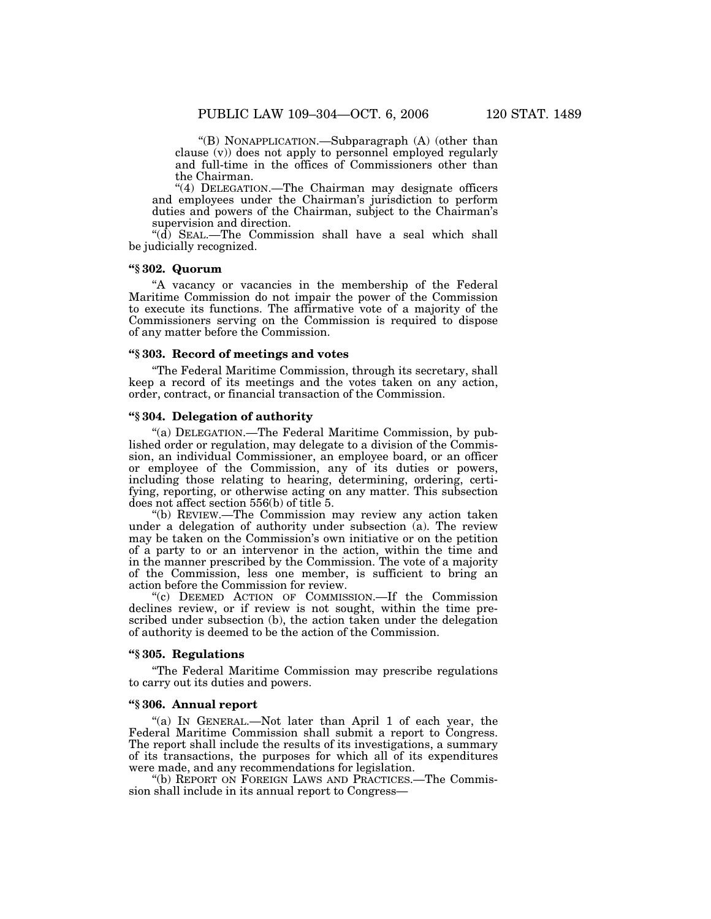''(B) NONAPPLICATION.—Subparagraph (A) (other than clause (v)) does not apply to personnel employed regularly and full-time in the offices of Commissioners other than the Chairman.

"(4) DELEGATION.—The Chairman may designate officers and employees under the Chairman's jurisdiction to perform duties and powers of the Chairman, subject to the Chairman's supervision and direction.

''(d) SEAL.—The Commission shall have a seal which shall be judicially recognized.

# **''§ 302. Quorum**

''A vacancy or vacancies in the membership of the Federal Maritime Commission do not impair the power of the Commission to execute its functions. The affirmative vote of a majority of the Commissioners serving on the Commission is required to dispose of any matter before the Commission.

## **''§ 303. Record of meetings and votes**

''The Federal Maritime Commission, through its secretary, shall keep a record of its meetings and the votes taken on any action, order, contract, or financial transaction of the Commission.

## **''§ 304. Delegation of authority**

''(a) DELEGATION.—The Federal Maritime Commission, by published order or regulation, may delegate to a division of the Commission, an individual Commissioner, an employee board, or an officer or employee of the Commission, any of its duties or powers, including those relating to hearing, determining, ordering, certifying, reporting, or otherwise acting on any matter. This subsection does not affect section 556(b) of title 5.

''(b) REVIEW.—The Commission may review any action taken under a delegation of authority under subsection (a). The review may be taken on the Commission's own initiative or on the petition of a party to or an intervenor in the action, within the time and in the manner prescribed by the Commission. The vote of a majority of the Commission, less one member, is sufficient to bring an action before the Commission for review.

''(c) DEEMED ACTION OF COMMISSION.—If the Commission declines review, or if review is not sought, within the time prescribed under subsection (b), the action taken under the delegation of authority is deemed to be the action of the Commission.

# **''§ 305. Regulations**

''The Federal Maritime Commission may prescribe regulations to carry out its duties and powers.

#### **''§ 306. Annual report**

"(a) IN GENERAL.—Not later than April 1 of each year, the Federal Maritime Commission shall submit a report to Congress. The report shall include the results of its investigations, a summary of its transactions, the purposes for which all of its expenditures were made, and any recommendations for legislation.

''(b) REPORT ON FOREIGN LAWS AND PRACTICES.—The Commission shall include in its annual report to Congress—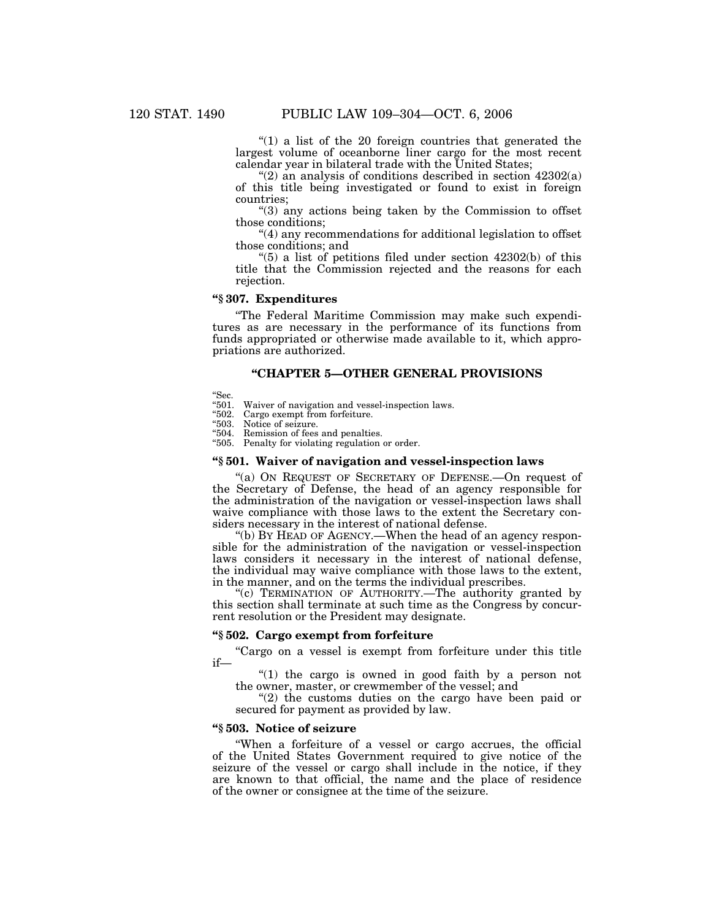" $(1)$  a list of the 20 foreign countries that generated the largest volume of oceanborne liner cargo for the most recent calendar year in bilateral trade with the United States;

 $(2)$  an analysis of conditions described in section  $42302(a)$ of this title being investigated or found to exist in foreign countries;

''(3) any actions being taken by the Commission to offset those conditions;

''(4) any recommendations for additional legislation to offset those conditions; and

"(5) a list of petitions filed under section  $42302(b)$  of this title that the Commission rejected and the reasons for each rejection.

# **''§ 307. Expenditures**

''The Federal Maritime Commission may make such expenditures as are necessary in the performance of its functions from funds appropriated or otherwise made available to it, which appropriations are authorized.

# **''CHAPTER 5—OTHER GENERAL PROVISIONS**

"Sec.<br>"501.<br>"502. Waiver of navigation and vessel-inspection laws.

Cargo exempt from forfeiture.

"503. Notice of seizure.<br>"504. Remission of fees

Remission of fees and penalties.

"505. Penalty for violating regulation or order.

# **''§ 501. Waiver of navigation and vessel-inspection laws**

''(a) ON REQUEST OF SECRETARY OF DEFENSE.—On request of the Secretary of Defense, the head of an agency responsible for the administration of the navigation or vessel-inspection laws shall waive compliance with those laws to the extent the Secretary considers necessary in the interest of national defense.

''(b) BY HEAD OF AGENCY.—When the head of an agency responsible for the administration of the navigation or vessel-inspection laws considers it necessary in the interest of national defense, the individual may waive compliance with those laws to the extent, in the manner, and on the terms the individual prescribes.

''(c) TERMINATION OF AUTHORITY.—The authority granted by this section shall terminate at such time as the Congress by concurrent resolution or the President may designate.

# **''§ 502. Cargo exempt from forfeiture**

"Cargo on a vessel is exempt from forfeiture under this title if—

" $(1)$  the cargo is owned in good faith by a person not the owner, master, or crewmember of the vessel; and

" $(2)$  the customs duties on the cargo have been paid or secured for payment as provided by law.

# **''§ 503. Notice of seizure**

''When a forfeiture of a vessel or cargo accrues, the official of the United States Government required to give notice of the seizure of the vessel or cargo shall include in the notice, if they are known to that official, the name and the place of residence of the owner or consignee at the time of the seizure.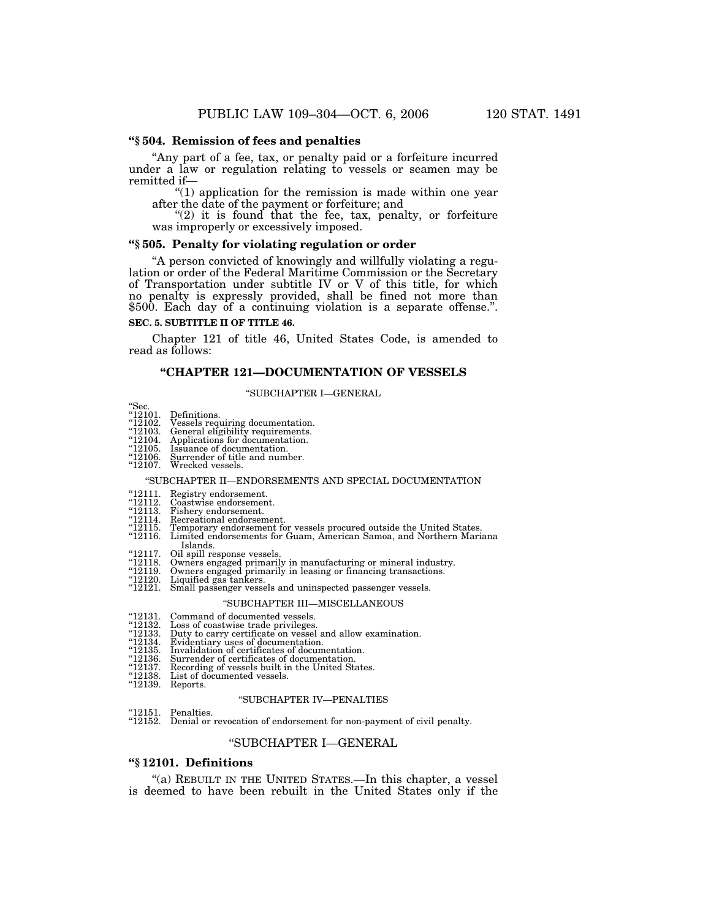# **''§ 504. Remission of fees and penalties**

''Any part of a fee, tax, or penalty paid or a forfeiture incurred under a law or regulation relating to vessels or seamen may be remitted if—

 $(1)$  application for the remission is made within one year after the date of the payment or forfeiture; and

" $(2)$  it is found that the fee, tax, penalty, or forfeiture was improperly or excessively imposed.

#### **''§ 505. Penalty for violating regulation or order**

''A person convicted of knowingly and willfully violating a regulation or order of the Federal Maritime Commission or the Secretary of Transportation under subtitle IV or V of this title, for which no penalty is expressly provided, shall be fined not more than \$500. Each day of a continuing violation is a separate offense.".

# **SEC. 5. SUBTITLE II OF TITLE 46.**

Chapter 121 of title 46, United States Code, is amended to read as follows:

# **''CHAPTER 121—DOCUMENTATION OF VESSELS**

#### ''SUBCHAPTER I—GENERAL

- ''Sec. ''12101. Definitions.
- 
- ''12102. Vessels requiring documentation. ''12103. General eligibility requirements. ''12104. Applications for documentation. ''12105. Issuance of documentation.
- 
- 
- ''12106. Surrender of title and number. ''12107. Wrecked vessels.
- 

#### ''SUBCHAPTER II—ENDORSEMENTS AND SPECIAL DOCUMENTATION

- 
- "12111. Registry endorsement.<br>"12112. Coastwise endorsemen
- "12112. Coastwise endorsement.<br>"12113. Fishery endorsement. Fishery endorsement.
- 
- 
- "12114. Recreational endorsement.<br>"12115. Temporary endorsement for vessels procured outside the United States.<br>"12116. Limited endorsements for Guam, American Samoa, and Northern Mariana Islands.<br>
"12117. Oil spill response vessels.
- 
- 12118. Owners engaged primarily in manufacturing or mineral industry.<br>"12118. Owners engaged primarily in leasing or financing transactions.
- 
- 
- ''12119. Owners engaged primarily in leasing or financing transactions. ''12120. Liquified gas tankers. ''12121. Small passenger vessels and uninspected passenger vessels.

#### ''SUBCHAPTER III—MISCELLANEOUS

- 
- "12131. Command of documented vessels.<br>"12132. Loss of coastwise trade privileges
- ''12132. Loss of coastwise trade privileges. ''12133. Duty to carry certificate on vessel and allow examination.
- "12133. Duty to carry certificate on vessel a<br>"12134. Evidentiary uses of documentation.<br>"12135. Invalidation of certificates of docum
- ''12135. Invalidation of certificates of documentation. Surrender of certificates of documentation.
- Recording of vessels built in the United States.
- 
- "12138. List of documented vessels.<br>"12139. Reports.
- 

#### ''SUBCHAPTER IV—PENALTIES

- 
- ''12151. Penalties. ''12152. Denial or revocation of endorsement for non-payment of civil penalty.

## ''SUBCHAPTER I—GENERAL

# **''§ 12101. Definitions**

"(a) REBUILT IN THE UNITED STATES.—In this chapter, a vessel is deemed to have been rebuilt in the United States only if the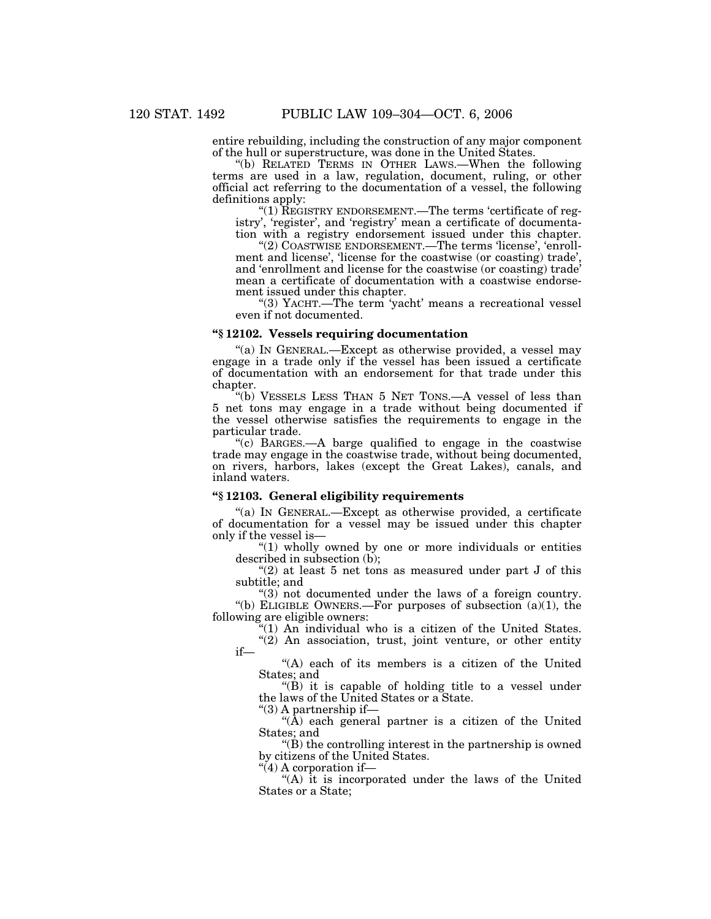entire rebuilding, including the construction of any major component of the hull or superstructure, was done in the United States.

''(b) RELATED TERMS IN OTHER LAWS.—When the following terms are used in a law, regulation, document, ruling, or other official act referring to the documentation of a vessel, the following definitions apply:

" $(1)$  REGISTRY ENDORSEMENT.—The terms 'certificate of registry', 'register', and 'registry' mean a certificate of documentation with a registry endorsement issued under this chapter.

''(2) COASTWISE ENDORSEMENT.—The terms 'license', 'enrollment and license', 'license for the coastwise (or coasting) trade', and 'enrollment and license for the coastwise (or coasting) trade' mean a certificate of documentation with a coastwise endorsement issued under this chapter.

''(3) YACHT.—The term 'yacht' means a recreational vessel even if not documented.

#### **''§ 12102. Vessels requiring documentation**

"(a) IN GENERAL.—Except as otherwise provided, a vessel may engage in a trade only if the vessel has been issued a certificate of documentation with an endorsement for that trade under this chapter.

''(b) VESSELS LESS THAN 5 NET TONS.—A vessel of less than 5 net tons may engage in a trade without being documented if the vessel otherwise satisfies the requirements to engage in the particular trade.

 $C$ <sup>''(c)</sup> BARGES.—A barge qualified to engage in the coastwise trade may engage in the coastwise trade, without being documented, on rivers, harbors, lakes (except the Great Lakes), canals, and inland waters.

## **''§ 12103. General eligibility requirements**

''(a) IN GENERAL.—Except as otherwise provided, a certificate of documentation for a vessel may be issued under this chapter only if the vessel is—

''(1) wholly owned by one or more individuals or entities described in subsection (b);

" $(2)$  at least 5 net tons as measured under part J of this subtitle; and

"(3) not documented under the laws of a foreign country. "(b) ELIGIBLE OWNERS.—For purposes of subsection  $(a)(1)$ , the following are eligible owners:

''(1) An individual who is a citizen of the United States.

"(2) An association, trust, joint venture, or other entity if—

''(A) each of its members is a citizen of the United States; and

 $'(B)$  it is capable of holding title to a vessel under the laws of the United States or a State.

''(3) A partnership if—

" $(\hat{A})$  each general partner is a citizen of the United States; and

''(B) the controlling interest in the partnership is owned by citizens of the United States.

''(4) A corporation if—

''(A) it is incorporated under the laws of the United States or a State;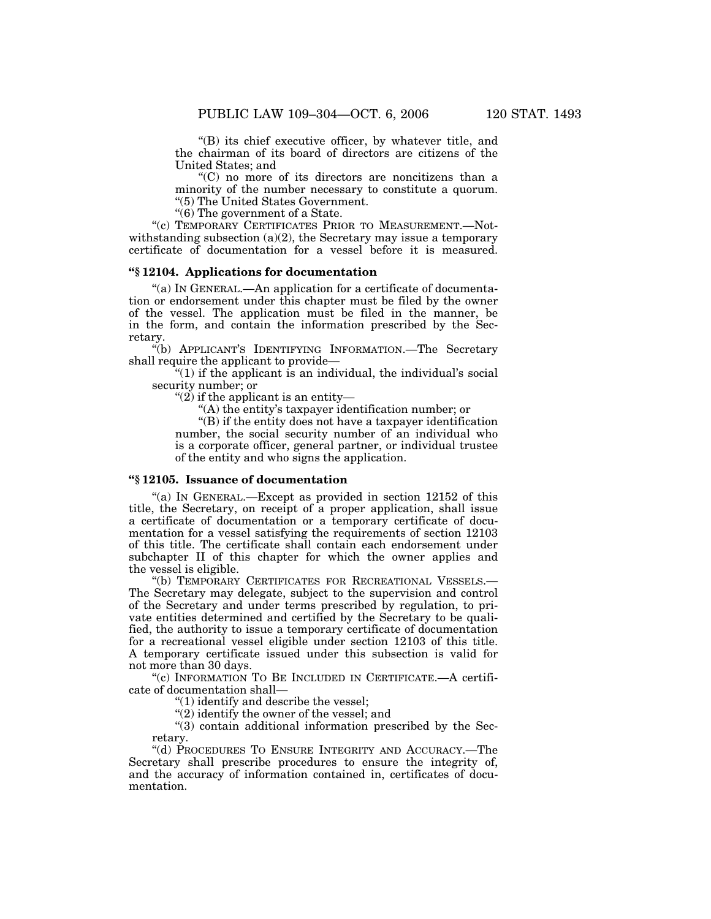''(B) its chief executive officer, by whatever title, and the chairman of its board of directors are citizens of the United States; and

''(C) no more of its directors are noncitizens than a minority of the number necessary to constitute a quorum. ''(5) The United States Government.

''(6) The government of a State.

"(c) TEMPORARY CERTIFICATES PRIOR TO MEASUREMENT.-- Notwithstanding subsection  $(a)(2)$ , the Secretary may issue a temporary certificate of documentation for a vessel before it is measured.

#### **''§ 12104. Applications for documentation**

''(a) IN GENERAL.—An application for a certificate of documentation or endorsement under this chapter must be filed by the owner of the vessel. The application must be filed in the manner, be in the form, and contain the information prescribed by the Secretary.

''(b) APPLICANT'S IDENTIFYING INFORMATION.—The Secretary shall require the applicant to provide—

 $'(1)$  if the applicant is an individual, the individual's social security number; or

"(2) if the applicant is an entity-

''(A) the entity's taxpayer identification number; or

''(B) if the entity does not have a taxpayer identification number, the social security number of an individual who is a corporate officer, general partner, or individual trustee of the entity and who signs the application.

# **''§ 12105. Issuance of documentation**

"(a) IN GENERAL.—Except as provided in section 12152 of this title, the Secretary, on receipt of a proper application, shall issue a certificate of documentation or a temporary certificate of documentation for a vessel satisfying the requirements of section 12103 of this title. The certificate shall contain each endorsement under subchapter II of this chapter for which the owner applies and the vessel is eligible.

''(b) TEMPORARY CERTIFICATES FOR RECREATIONAL VESSELS.— The Secretary may delegate, subject to the supervision and control of the Secretary and under terms prescribed by regulation, to private entities determined and certified by the Secretary to be qualified, the authority to issue a temporary certificate of documentation for a recreational vessel eligible under section 12103 of this title. A temporary certificate issued under this subsection is valid for not more than 30 days.

''(c) INFORMATION TO BE INCLUDED IN CERTIFICATE.—A certificate of documentation shall—

''(1) identify and describe the vessel;

"(2) identify the owner of the vessel; and

''(3) contain additional information prescribed by the Secretary.

''(d) PROCEDURES TO ENSURE INTEGRITY AND ACCURACY.—The Secretary shall prescribe procedures to ensure the integrity of, and the accuracy of information contained in, certificates of documentation.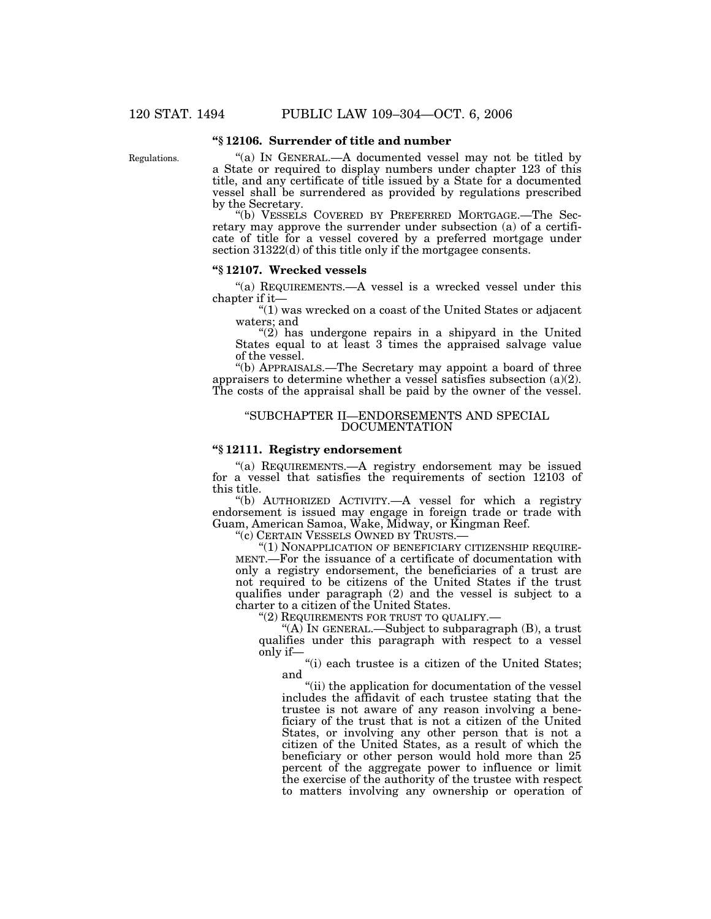# **''§ 12106. Surrender of title and number**

Regulations.

"(a) IN GENERAL.—A documented vessel may not be titled by a State or required to display numbers under chapter 123 of this title, and any certificate of title issued by a State for a documented vessel shall be surrendered as provided by regulations prescribed by the Secretary.

''(b) VESSELS COVERED BY PREFERRED MORTGAGE.—The Secretary may approve the surrender under subsection (a) of a certificate of title for a vessel covered by a preferred mortgage under section 31322(d) of this title only if the mortgagee consents.

#### **''§ 12107. Wrecked vessels**

"(a) REQUIREMENTS.—A vessel is a wrecked vessel under this chapter if it—

''(1) was wrecked on a coast of the United States or adjacent waters; and

 $(2)$  has undergone repairs in a shipyard in the United States equal to at least 3 times the appraised salvage value of the vessel.

''(b) APPRAISALS.—The Secretary may appoint a board of three appraisers to determine whether a vessel satisfies subsection (a)(2). The costs of the appraisal shall be paid by the owner of the vessel.

# ''SUBCHAPTER II—ENDORSEMENTS AND SPECIAL DOCUMENTATION

# **''§ 12111. Registry endorsement**

''(a) REQUIREMENTS.—A registry endorsement may be issued for a vessel that satisfies the requirements of section 12103 of this title.

''(b) AUTHORIZED ACTIVITY.—A vessel for which a registry endorsement is issued may engage in foreign trade or trade with Guam, American Samoa, Wake, Midway, or Kingman Reef.

"(1) NONAPPLICATION OF BENEFICIARY CITIZENSHIP REQUIRE-MENT.—For the issuance of a certificate of documentation with only a registry endorsement, the beneficiaries of a trust are not required to be citizens of the United States if the trust qualifies under paragraph (2) and the vessel is subject to a charter to a citizen of the United States.

"(2) REQUIREMENTS FOR TRUST TO QUALIFY.-

"(A) IN GENERAL.—Subject to subparagraph (B), a trust qualifies under this paragraph with respect to a vessel only if—

''(i) each trustee is a citizen of the United States; and

"(ii) the application for documentation of the vessel includes the affidavit of each trustee stating that the trustee is not aware of any reason involving a beneficiary of the trust that is not a citizen of the United States, or involving any other person that is not a citizen of the United States, as a result of which the beneficiary or other person would hold more than 25 percent of the aggregate power to influence or limit the exercise of the authority of the trustee with respect to matters involving any ownership or operation of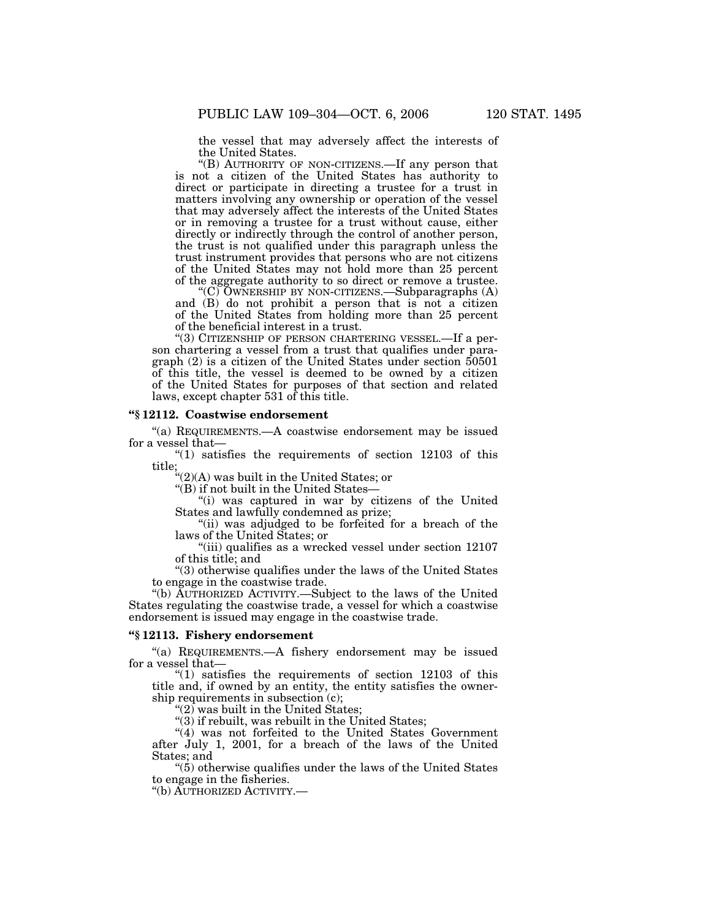the vessel that may adversely affect the interests of the United States.

"(B) AUTHORITY OF NON-CITIZENS.—If any person that is not a citizen of the United States has authority to direct or participate in directing a trustee for a trust in matters involving any ownership or operation of the vessel that may adversely affect the interests of the United States or in removing a trustee for a trust without cause, either directly or indirectly through the control of another person, the trust is not qualified under this paragraph unless the trust instrument provides that persons who are not citizens of the United States may not hold more than 25 percent of the aggregate authority to so direct or remove a trustee.

"(C) OWNERSHIP BY NON-CITIZENS.—Subparagraphs (A) and (B) do not prohibit a person that is not a citizen of the United States from holding more than 25 percent of the beneficial interest in a trust.

''(3) CITIZENSHIP OF PERSON CHARTERING VESSEL.—If a person chartering a vessel from a trust that qualifies under paragraph  $(2)$  is a citizen of the United States under section  $\overline{50501}$ of this title, the vessel is deemed to be owned by a citizen of the United States for purposes of that section and related laws, except chapter 531 of this title.

# **''§ 12112. Coastwise endorsement**

''(a) REQUIREMENTS.—A coastwise endorsement may be issued for a vessel that—

" $(1)$  satisfies the requirements of section 12103 of this title;

''(2)(A) was built in the United States; or

''(B) if not built in the United States—

''(i) was captured in war by citizens of the United States and lawfully condemned as prize;

"(ii) was adjudged to be forfeited for a breach of the laws of the United States; or

"(iii) qualifies as a wrecked vessel under section 12107 of this title; and

''(3) otherwise qualifies under the laws of the United States to engage in the coastwise trade.

''(b) AUTHORIZED ACTIVITY.—Subject to the laws of the United States regulating the coastwise trade, a vessel for which a coastwise endorsement is issued may engage in the coastwise trade.

# **''§ 12113. Fishery endorsement**

"(a) REQUIREMENTS.—A fishery endorsement may be issued for a vessel that—

" $(1)$  satisfies the requirements of section 12103 of this title and, if owned by an entity, the entity satisfies the ownership requirements in subsection (c);

 $(2)$  was built in the United States;

"(3) if rebuilt, was rebuilt in the United States;

"(4) was not forfeited to the United States Government after July 1, 2001, for a breach of the laws of the United States; and

''(5) otherwise qualifies under the laws of the United States to engage in the fisheries.

''(b) AUTHORIZED ACTIVITY.—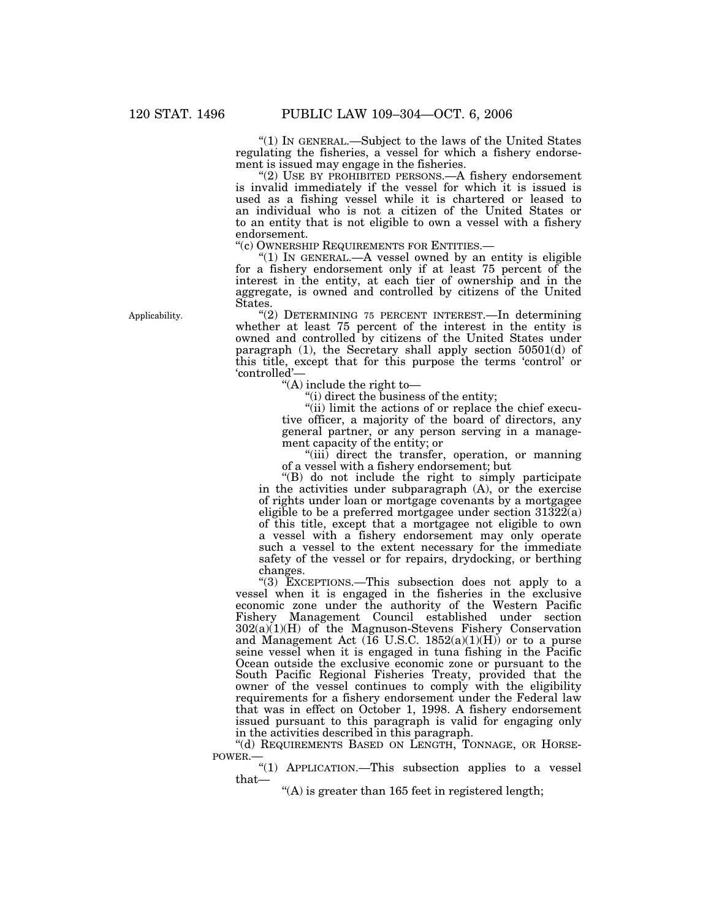''(1) IN GENERAL.—Subject to the laws of the United States regulating the fisheries, a vessel for which a fishery endorsement is issued may engage in the fisheries.

"(2) USE BY PROHIBITED PERSONS.—A fishery endorsement is invalid immediately if the vessel for which it is issued is used as a fishing vessel while it is chartered or leased to an individual who is not a citizen of the United States or to an entity that is not eligible to own a vessel with a fishery endorsement.<br>"(c) OWNERSHIP REQUIREMENTS FOR ENTITIES.—

"(1) IN GENERAL.—A vessel owned by an entity is eligible for a fishery endorsement only if at least 75 percent of the interest in the entity, at each tier of ownership and in the aggregate, is owned and controlled by citizens of the United States.

''(2) DETERMINING 75 PERCENT INTEREST.—In determining whether at least 75 percent of the interest in the entity is owned and controlled by citizens of the United States under paragraph (1), the Secretary shall apply section 50501(d) of this title, except that for this purpose the terms 'control' or 'controlled'—

''(A) include the right to—

"(i) direct the business of the entity;

"(ii) limit the actions of or replace the chief executive officer, a majority of the board of directors, any general partner, or any person serving in a management capacity of the entity; or

"(iii) direct the transfer, operation, or manning of a vessel with a fishery endorsement; but

''(B) do not include the right to simply participate in the activities under subparagraph (A), or the exercise of rights under loan or mortgage covenants by a mortgagee eligible to be a preferred mortgagee under section  $31322(a)$ of this title, except that a mortgagee not eligible to own a vessel with a fishery endorsement may only operate such a vessel to the extent necessary for the immediate safety of the vessel or for repairs, drydocking, or berthing changes.

''(3) EXCEPTIONS.—This subsection does not apply to a vessel when it is engaged in the fisheries in the exclusive economic zone under the authority of the Western Pacific Fishery Management Council established under section  $302(a)(1)(H)$  of the Magnuson-Stevens Fishery Conservation and Management Act ( $16$  U.S.C. 1852(a)(1)(H)) or to a purse seine vessel when it is engaged in tuna fishing in the Pacific Ocean outside the exclusive economic zone or pursuant to the South Pacific Regional Fisheries Treaty, provided that the owner of the vessel continues to comply with the eligibility requirements for a fishery endorsement under the Federal law that was in effect on October 1, 1998. A fishery endorsement issued pursuant to this paragraph is valid for engaging only in the activities described in this paragraph.

"(d) REQUIREMENTS BASED ON LENGTH, TONNAGE, OR HORSE-POWER.—

"(1) APPLICATION.—This subsection applies to a vessel that—

 $!(A)$  is greater than 165 feet in registered length;

Applicability.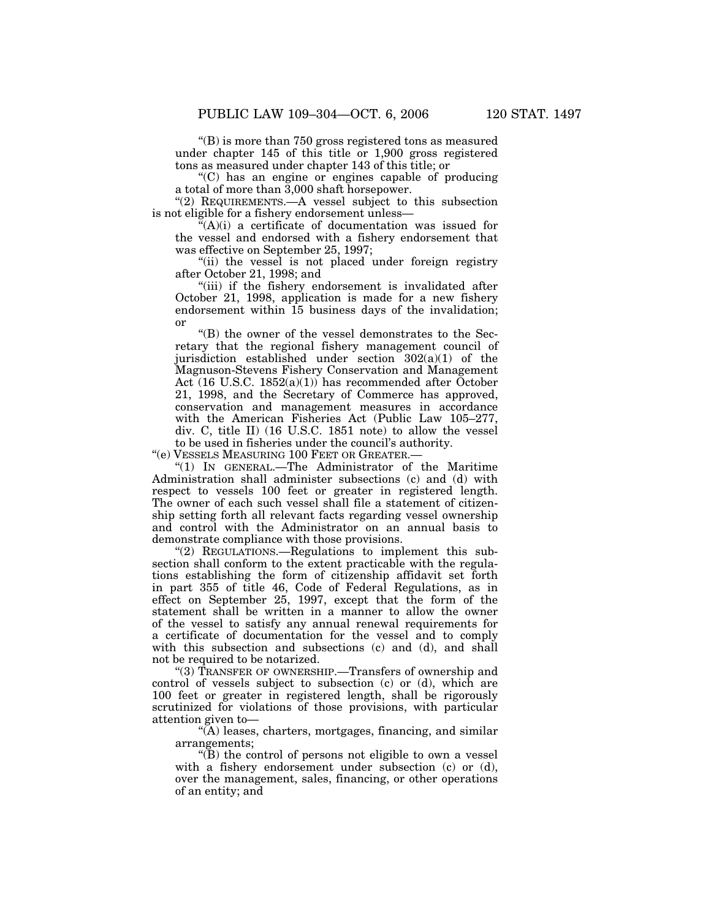''(B) is more than 750 gross registered tons as measured under chapter 145 of this title or 1,900 gross registered tons as measured under chapter 143 of this title; or

 $(C)$  has an engine or engines capable of producing a total of more than 3,000 shaft horsepower.

''(2) REQUIREMENTS.—A vessel subject to this subsection is not eligible for a fishery endorsement unless—

''(A)(i) a certificate of documentation was issued for the vessel and endorsed with a fishery endorsement that was effective on September 25, 1997;

"(ii) the vessel is not placed under foreign registry after October 21, 1998; and

"(iii) if the fishery endorsement is invalidated after October 21, 1998, application is made for a new fishery endorsement within 15 business days of the invalidation; or

''(B) the owner of the vessel demonstrates to the Secretary that the regional fishery management council of jurisdiction established under section  $302(a)(1)$  of the Magnuson-Stevens Fishery Conservation and Management Act (16 U.S.C. 1852(a)(1)) has recommended after October 21, 1998, and the Secretary of Commerce has approved, conservation and management measures in accordance with the American Fisheries Act (Public Law 105–277, div. C, title II) (16 U.S.C. 1851 note) to allow the vessel to be used in fisheries under the council's authority.

''(e) VESSELS MEASURING 100 FEET OR GREATER.—

''(1) IN GENERAL.—The Administrator of the Maritime Administration shall administer subsections (c) and (d) with respect to vessels 100 feet or greater in registered length. The owner of each such vessel shall file a statement of citizenship setting forth all relevant facts regarding vessel ownership and control with the Administrator on an annual basis to demonstrate compliance with those provisions.

"(2) REGULATIONS.—Regulations to implement this subsection shall conform to the extent practicable with the regulations establishing the form of citizenship affidavit set forth in part 355 of title 46, Code of Federal Regulations, as in effect on September 25, 1997, except that the form of the statement shall be written in a manner to allow the owner of the vessel to satisfy any annual renewal requirements for a certificate of documentation for the vessel and to comply with this subsection and subsections (c) and (d), and shall not be required to be notarized.

''(3) TRANSFER OF OWNERSHIP.—Transfers of ownership and control of vessels subject to subsection (c) or (d), which are 100 feet or greater in registered length, shall be rigorously scrutinized for violations of those provisions, with particular attention given to—

''(A) leases, charters, mortgages, financing, and similar arrangements;

''(B) the control of persons not eligible to own a vessel with a fishery endorsement under subsection (c) or (d), over the management, sales, financing, or other operations of an entity; and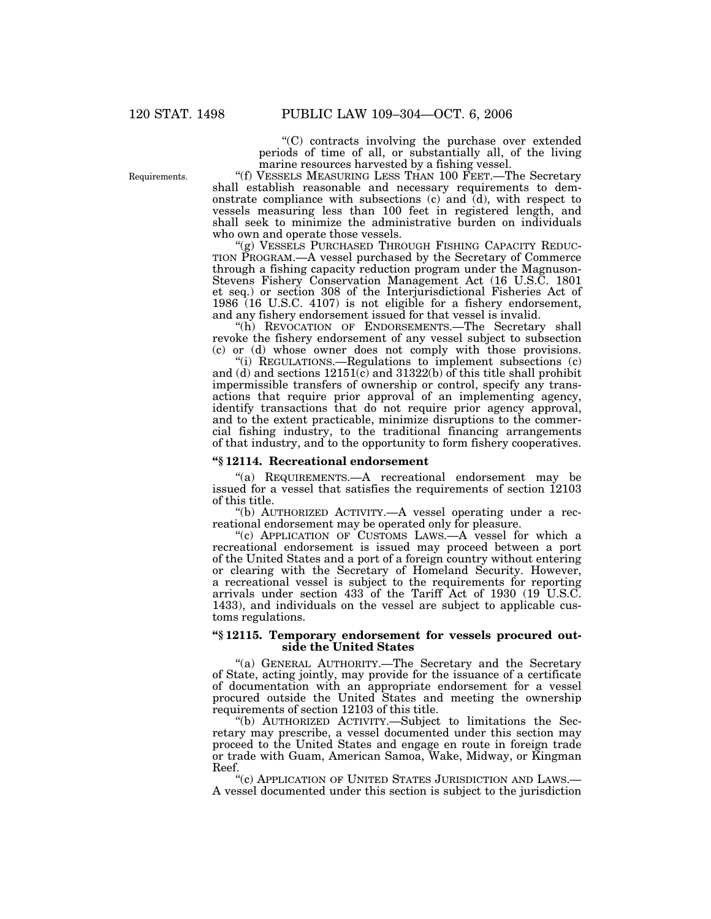Requirements.

''(C) contracts involving the purchase over extended periods of time of all, or substantially all, of the living marine resources harvested by a fishing vessel.

''(f) VESSELS MEASURING LESS THAN 100 FEET.—The Secretary shall establish reasonable and necessary requirements to demonstrate compliance with subsections  $(c)$  and  $(d)$ , with respect to vessels measuring less than 100 feet in registered length, and shall seek to minimize the administrative burden on individuals who own and operate those vessels.

''(g) VESSELS PURCHASED THROUGH FISHING CAPACITY REDUC- TION PROGRAM.—A vessel purchased by the Secretary of Commerce through a fishing capacity reduction program under the Magnuson-Stevens Fishery Conservation Management Act (16 U.S.C. 1801 et seq.) or section 308 of the Interjurisdictional Fisheries Act of 1986 (16 U.S.C. 4107) is not eligible for a fishery endorsement, and any fishery endorsement issued for that vessel is invalid.

''(h) REVOCATION OF ENDORSEMENTS.—The Secretary shall revoke the fishery endorsement of any vessel subject to subsection (c) or (d) whose owner does not comply with those provisions.

''(i) REGULATIONS.—Regulations to implement subsections (c) and (d) and sections 12151(c) and 31322(b) of this title shall prohibit impermissible transfers of ownership or control, specify any transactions that require prior approval of an implementing agency, identify transactions that do not require prior agency approval, and to the extent practicable, minimize disruptions to the commercial fishing industry, to the traditional financing arrangements of that industry, and to the opportunity to form fishery cooperatives.

# **''§ 12114. Recreational endorsement**

''(a) REQUIREMENTS.—A recreational endorsement may be issued for a vessel that satisfies the requirements of section 12103 of this title.

''(b) AUTHORIZED ACTIVITY.—A vessel operating under a recreational endorsement may be operated only for pleasure.

''(c) APPLICATION OF CUSTOMS LAWS.—A vessel for which a recreational endorsement is issued may proceed between a port of the United States and a port of a foreign country without entering or clearing with the Secretary of Homeland Security. However, a recreational vessel is subject to the requirements for reporting arrivals under section 433 of the Tariff Act of 1930 (19 U.S.C. 1433), and individuals on the vessel are subject to applicable customs regulations.

#### **''§ 12115. Temporary endorsement for vessels procured outside the United States**

''(a) GENERAL AUTHORITY.—The Secretary and the Secretary of State, acting jointly, may provide for the issuance of a certificate of documentation with an appropriate endorsement for a vessel procured outside the United States and meeting the ownership requirements of section 12103 of this title.

''(b) AUTHORIZED ACTIVITY.—Subject to limitations the Secretary may prescribe, a vessel documented under this section may proceed to the United States and engage en route in foreign trade or trade with Guam, American Samoa, Wake, Midway, or Kingman

Reef.<br>"(c) APPLICATION OF UNITED STATES JURISDICTION AND LAWS.— A vessel documented under this section is subject to the jurisdiction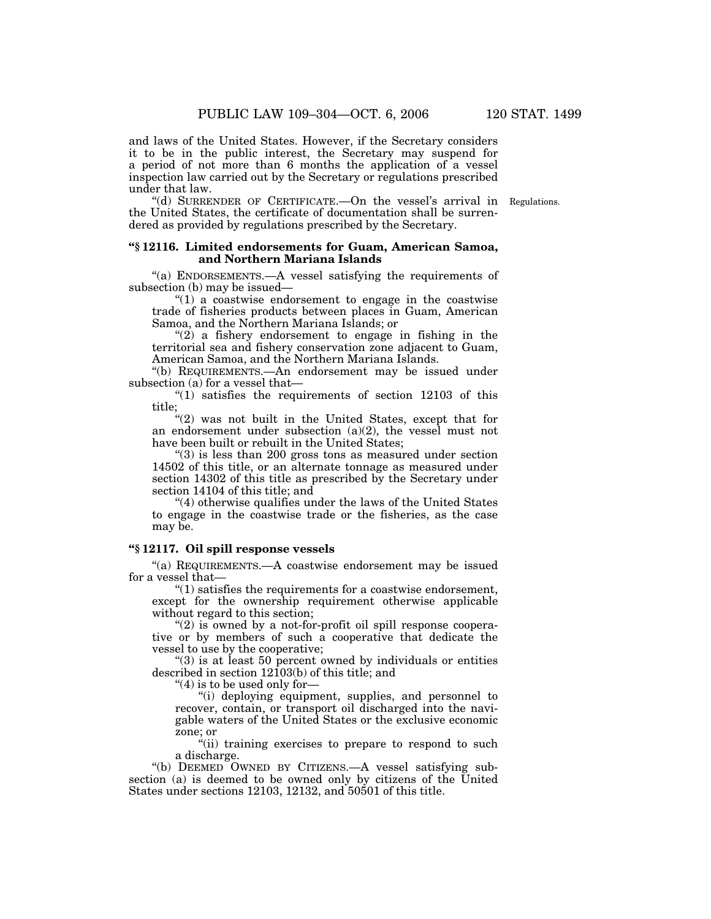and laws of the United States. However, if the Secretary considers it to be in the public interest, the Secretary may suspend for a period of not more than 6 months the application of a vessel inspection law carried out by the Secretary or regulations prescribed under that law.

''(d) SURRENDER OF CERTIFICATE.—On the vessel's arrival in Regulations. the United States, the certificate of documentation shall be surrendered as provided by regulations prescribed by the Secretary.

# **''§ 12116. Limited endorsements for Guam, American Samoa, and Northern Mariana Islands**

''(a) ENDORSEMENTS.—A vessel satisfying the requirements of subsection (b) may be issued—

" $(1)$  a coastwise endorsement to engage in the coastwise trade of fisheries products between places in Guam, American Samoa, and the Northern Mariana Islands; or

" $(2)$  a fishery endorsement to engage in fishing in the territorial sea and fishery conservation zone adjacent to Guam, American Samoa, and the Northern Mariana Islands.

''(b) REQUIREMENTS.—An endorsement may be issued under subsection (a) for a vessel that—

" $(1)$  satisfies the requirements of section 12103 of this title;

''(2) was not built in the United States, except that for an endorsement under subsection (a)(2), the vessel must not have been built or rebuilt in the United States;

" $(3)$  is less than 200 gross tons as measured under section 14502 of this title, or an alternate tonnage as measured under section 14302 of this title as prescribed by the Secretary under section 14104 of this title; and

''(4) otherwise qualifies under the laws of the United States to engage in the coastwise trade or the fisheries, as the case may be.

# **''§ 12117. Oil spill response vessels**

''(a) REQUIREMENTS.—A coastwise endorsement may be issued for a vessel that—

 $\degree$ (1) satisfies the requirements for a coastwise endorsement, except for the ownership requirement otherwise applicable without regard to this section;

 $''(2)$  is owned by a not-for-profit oil spill response cooperative or by members of such a cooperative that dedicate the vessel to use by the cooperative;

" $(3)$  is at least 50 percent owned by individuals or entities described in section 12103(b) of this title; and

" $(4)$  is to be used only for-

''(i) deploying equipment, supplies, and personnel to recover, contain, or transport oil discharged into the navigable waters of the United States or the exclusive economic zone; or

"(ii) training exercises to prepare to respond to such a discharge.

''(b) DEEMED OWNED BY CITIZENS.—A vessel satisfying subsection (a) is deemed to be owned only by citizens of the United States under sections 12103, 12132, and 50501 of this title.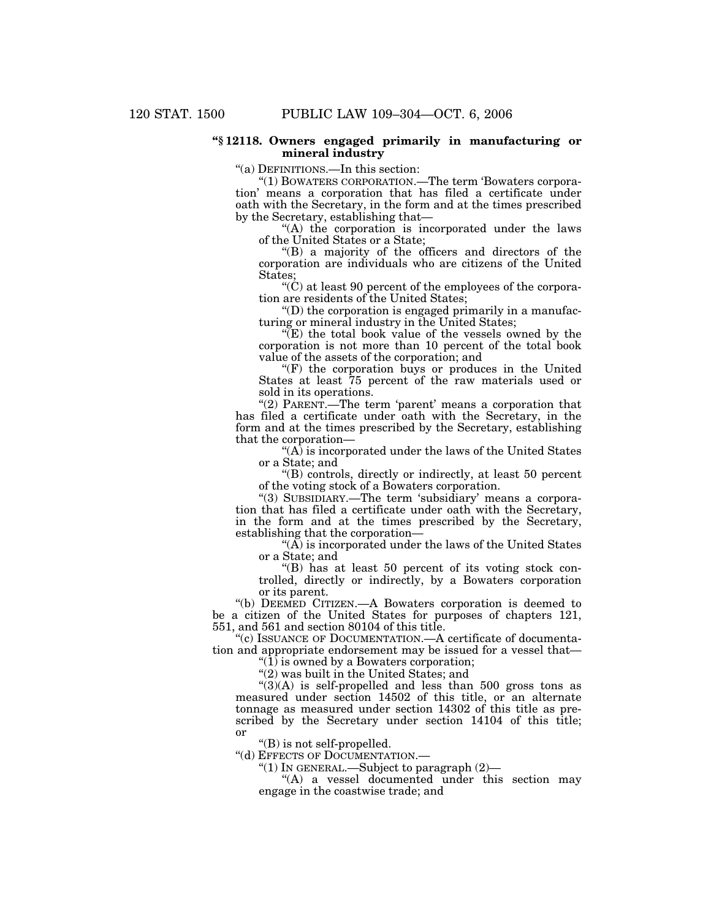#### **''§ 12118. Owners engaged primarily in manufacturing or mineral industry**

''(a) DEFINITIONS.—In this section:

''(1) BOWATERS CORPORATION.—The term 'Bowaters corporation' means a corporation that has filed a certificate under oath with the Secretary, in the form and at the times prescribed by the Secretary, establishing that—

"(A) the corporation is incorporated under the laws of the United States or a State;

''(B) a majority of the officers and directors of the corporation are individuals who are citizens of the United States;

 $C'$ ) at least 90 percent of the employees of the corporation are residents of the United States;

 $'(D)$  the corporation is engaged primarily in a manufacturing or mineral industry in the United States;

 $\sqrt{\text{E}}$ ) the total book value of the vessels owned by the corporation is not more than 10 percent of the total book value of the assets of the corporation; and

''(F) the corporation buys or produces in the United States at least 75 percent of the raw materials used or sold in its operations.

"(2) PARENT.—The term 'parent' means a corporation that has filed a certificate under oath with the Secretary, in the form and at the times prescribed by the Secretary, establishing that the corporation—

" $(A)$  is incorporated under the laws of the United States or a State; and

''(B) controls, directly or indirectly, at least 50 percent of the voting stock of a Bowaters corporation.

"(3) SUBSIDIARY.—The term 'subsidiary' means a corporation that has filed a certificate under oath with the Secretary, in the form and at the times prescribed by the Secretary, establishing that the corporation—

''(A) is incorporated under the laws of the United States or a State; and

''(B) has at least 50 percent of its voting stock controlled, directly or indirectly, by a Bowaters corporation or its parent.

''(b) DEEMED CITIZEN.—A Bowaters corporation is deemed to be a citizen of the United States for purposes of chapters 121, 551, and 561 and section 80104 of this title.

''(c) ISSUANCE OF DOCUMENTATION.—A certificate of documentation and appropriate endorsement may be issued for a vessel that—

" $(1)$  is owned by a Bowaters corporation;

 $''(2)$  was built in the United States; and

 $!(3)(A)$  is self-propelled and less than 500 gross tons as measured under section 14502 of this title, or an alternate tonnage as measured under section 14302 of this title as prescribed by the Secretary under section 14104 of this title; or

''(B) is not self-propelled.

''(d) EFFECTS OF DOCUMENTATION.—

"(1) IN GENERAL.—Subject to paragraph  $(2)$ —

''(A) a vessel documented under this section may engage in the coastwise trade; and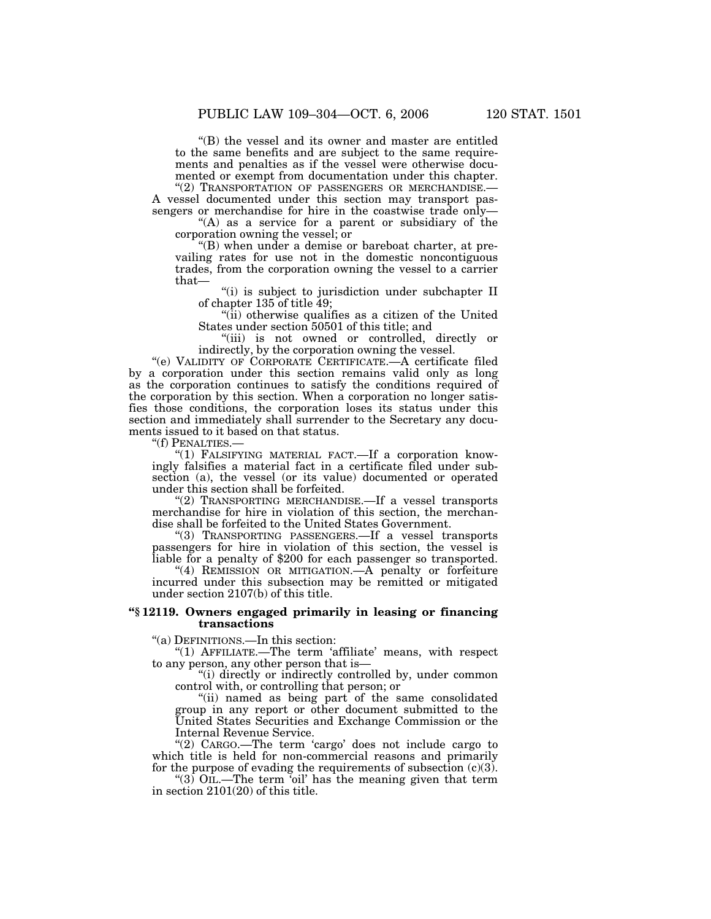''(B) the vessel and its owner and master are entitled to the same benefits and are subject to the same requirements and penalties as if the vessel were otherwise documented or exempt from documentation under this chapter.<br>"(2) TRANSPORTATION OF PASSENGERS OR MERCHANDISE.—

A vessel documented under this section may transport passengers or merchandise for hire in the coastwise trade only—

" $(A)$  as a service for a parent or subsidiary of the corporation owning the vessel; or

''(B) when under a demise or bareboat charter, at prevailing rates for use not in the domestic noncontiguous trades, from the corporation owning the vessel to a carrier that—

"(i) is subject to jurisdiction under subchapter II of chapter 135 of title 49;

''(ii) otherwise qualifies as a citizen of the United States under section 50501 of this title; and

''(iii) is not owned or controlled, directly or indirectly, by the corporation owning the vessel.

''(e) VALIDITY OF CORPORATE CERTIFICATE.—A certificate filed by a corporation under this section remains valid only as long as the corporation continues to satisfy the conditions required of the corporation by this section. When a corporation no longer satisfies those conditions, the corporation loses its status under this section and immediately shall surrender to the Secretary any documents issued to it based on that status.

''(f) PENALTIES.—

"(1) FALSIFYING MATERIAL FACT.—If a corporation knowingly falsifies a material fact in a certificate filed under subsection (a), the vessel (or its value) documented or operated under this section shall be forfeited.

"(2) TRANSPORTING MERCHANDISE.-If a vessel transports merchandise for hire in violation of this section, the merchandise shall be forfeited to the United States Government.

''(3) TRANSPORTING PASSENGERS.—If a vessel transports passengers for hire in violation of this section, the vessel is liable for a penalty of \$200 for each passenger so transported.

"(4) REMISSION OR MITIGATION.—A penalty or forfeiture incurred under this subsection may be remitted or mitigated under section 2107(b) of this title.

# **''§ 12119. Owners engaged primarily in leasing or financing transactions**

''(a) DEFINITIONS.—In this section:

"(1) AFFILIATE.—The term 'affiliate' means, with respect to any person, any other person that is—

''(i) directly or indirectly controlled by, under common control with, or controlling that person; or

''(ii) named as being part of the same consolidated group in any report or other document submitted to the United States Securities and Exchange Commission or the Internal Revenue Service.

''(2) CARGO.—The term 'cargo' does not include cargo to which title is held for non-commercial reasons and primarily for the purpose of evading the requirements of subsection  $(c)(3)$ .

"(3)  $OIL$ —The term 'oil' has the meaning given that term in section 2101(20) of this title.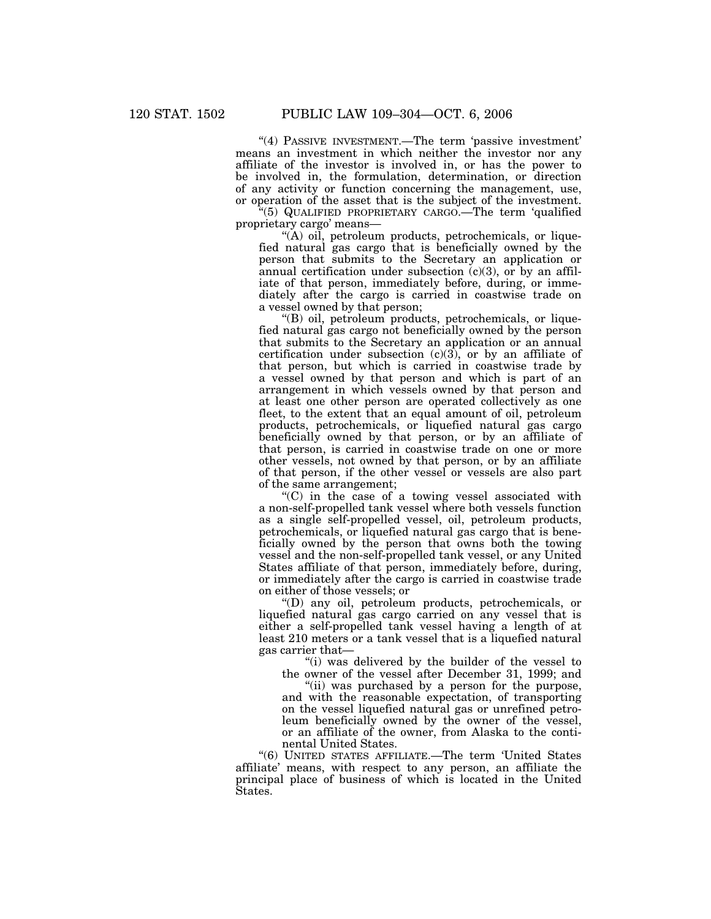"(4) PASSIVE INVESTMENT.—The term 'passive investment' means an investment in which neither the investor nor any affiliate of the investor is involved in, or has the power to be involved in, the formulation, determination, or direction of any activity or function concerning the management, use, or operation of the asset that is the subject of the investment.

''(5) QUALIFIED PROPRIETARY CARGO.—The term 'qualified proprietary cargo' means—

"(A) oil, petroleum products, petrochemicals, or liquefied natural gas cargo that is beneficially owned by the person that submits to the Secretary an application or annual certification under subsection  $(c)(3)$ , or by an affiliate of that person, immediately before, during, or immediately after the cargo is carried in coastwise trade on a vessel owned by that person;

''(B) oil, petroleum products, petrochemicals, or liquefied natural gas cargo not beneficially owned by the person that submits to the Secretary an application or an annual certification under subsection  $(c)(3)$ , or by an affiliate of that person, but which is carried in coastwise trade by a vessel owned by that person and which is part of an arrangement in which vessels owned by that person and at least one other person are operated collectively as one fleet, to the extent that an equal amount of oil, petroleum products, petrochemicals, or liquefied natural gas cargo beneficially owned by that person, or by an affiliate of that person, is carried in coastwise trade on one or more other vessels, not owned by that person, or by an affiliate of that person, if the other vessel or vessels are also part of the same arrangement;

''(C) in the case of a towing vessel associated with a non-self-propelled tank vessel where both vessels function as a single self-propelled vessel, oil, petroleum products, petrochemicals, or liquefied natural gas cargo that is beneficially owned by the person that owns both the towing vessel and the non-self-propelled tank vessel, or any United States affiliate of that person, immediately before, during, or immediately after the cargo is carried in coastwise trade on either of those vessels; or

''(D) any oil, petroleum products, petrochemicals, or liquefied natural gas cargo carried on any vessel that is either a self-propelled tank vessel having a length of at least 210 meters or a tank vessel that is a liquefied natural gas carrier that—

"(i) was delivered by the builder of the vessel to the owner of the vessel after December 31, 1999; and

"(ii) was purchased by a person for the purpose, and with the reasonable expectation, of transporting on the vessel liquefied natural gas or unrefined petroleum beneficially owned by the owner of the vessel, or an affiliate of the owner, from Alaska to the continental United States.

''(6) UNITED STATES AFFILIATE.—The term 'United States affiliate' means, with respect to any person, an affiliate the principal place of business of which is located in the United States.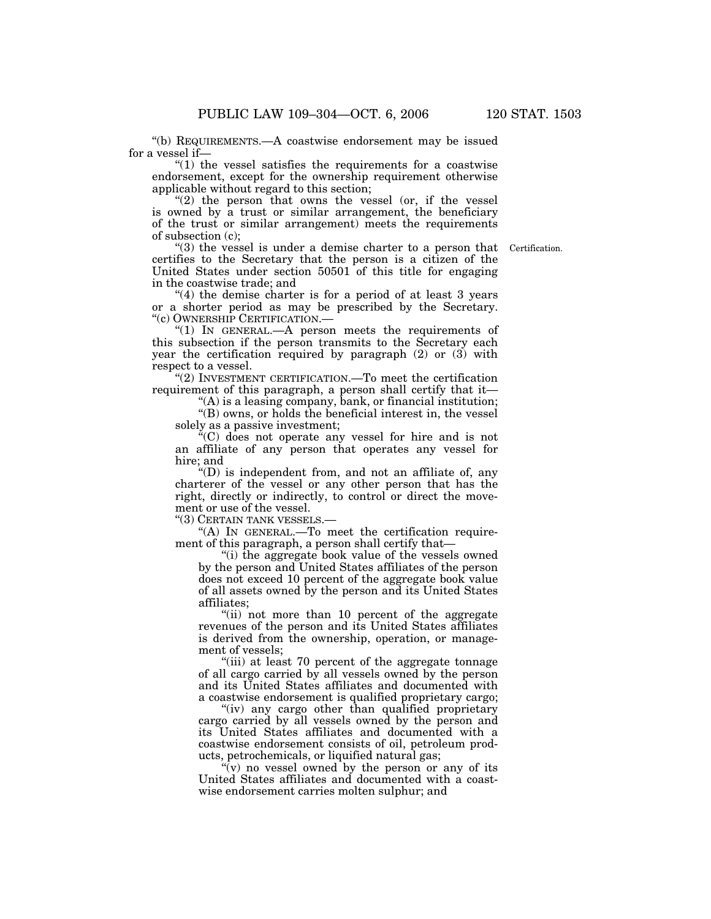''(b) REQUIREMENTS.—A coastwise endorsement may be issued for a vessel if—

" $(1)$  the vessel satisfies the requirements for a coastwise endorsement, except for the ownership requirement otherwise applicable without regard to this section;

"(2) the person that owns the vessel (or, if the vessel is owned by a trust or similar arrangement, the beneficiary of the trust or similar arrangement) meets the requirements of subsection (c);

''(3) the vessel is under a demise charter to a person that certifies to the Secretary that the person is a citizen of the United States under section 50501 of this title for engaging in the coastwise trade; and

 $(4)$  the demise charter is for a period of at least 3 years or a shorter period as may be prescribed by the Secretary. ''(c) OWNERSHIP CERTIFICATION.—

"(1) IN GENERAL.—A person meets the requirements of this subsection if the person transmits to the Secretary each year the certification required by paragraph  $(2)$  or  $(3)$  with respect to a vessel.

''(2) INVESTMENT CERTIFICATION.—To meet the certification requirement of this paragraph, a person shall certify that it—

''(A) is a leasing company, bank, or financial institution;

''(B) owns, or holds the beneficial interest in, the vessel solely as a passive investment;

''(C) does not operate any vessel for hire and is not an affiliate of any person that operates any vessel for hire; and

''(D) is independent from, and not an affiliate of, any charterer of the vessel or any other person that has the right, directly or indirectly, to control or direct the movement or use of the vessel.

''(3) CERTAIN TANK VESSELS.—

"(A) IN GENERAL.—To meet the certification requirement of this paragraph, a person shall certify that—

''(i) the aggregate book value of the vessels owned by the person and United States affiliates of the person does not exceed 10 percent of the aggregate book value of all assets owned by the person and its United States affiliates;

"(ii) not more than 10 percent of the aggregate revenues of the person and its United States affiliates is derived from the ownership, operation, or management of vessels;

"(iii) at least 70 percent of the aggregate tonnage of all cargo carried by all vessels owned by the person and its United States affiliates and documented with a coastwise endorsement is qualified proprietary cargo;

"(iv) any cargo other than qualified proprietary cargo carried by all vessels owned by the person and its United States affiliates and documented with a coastwise endorsement consists of oil, petroleum products, petrochemicals, or liquified natural gas;

 $\sqrt[n]{v}$  no vessel owned by the person or any of its United States affiliates and documented with a coastwise endorsement carries molten sulphur; and

Certification.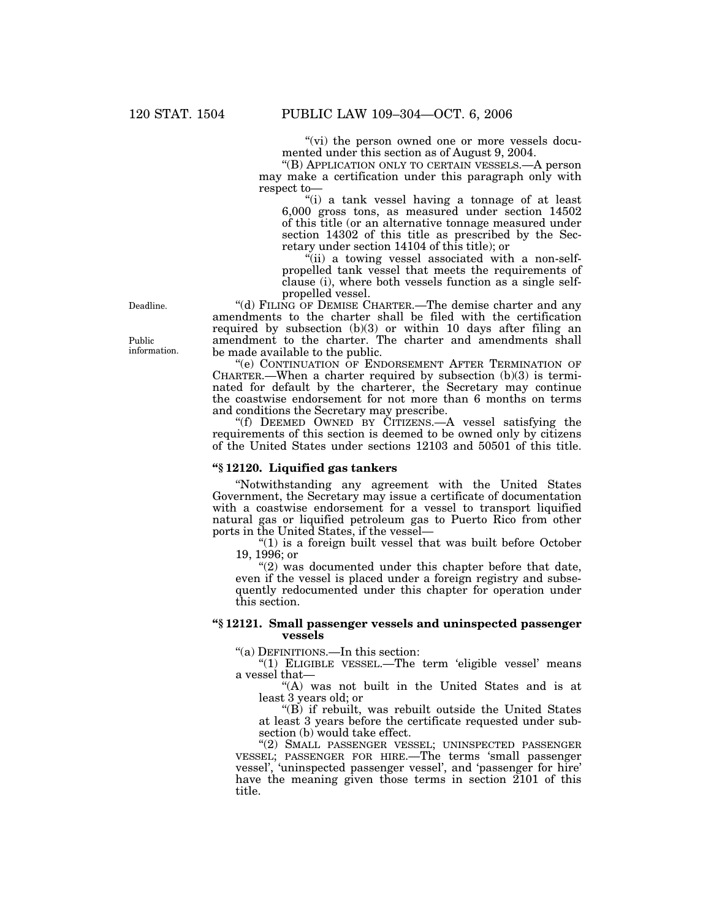"(vi) the person owned one or more vessels documented under this section as of August 9, 2004.

''(B) APPLICATION ONLY TO CERTAIN VESSELS.—A person may make a certification under this paragraph only with respect to—

''(i) a tank vessel having a tonnage of at least 6,000 gross tons, as measured under section 14502 of this title (or an alternative tonnage measured under section 14302 of this title as prescribed by the Secretary under section 14104 of this title); or

''(ii) a towing vessel associated with a non-selfpropelled tank vessel that meets the requirements of clause (i), where both vessels function as a single selfpropelled vessel.

''(d) FILING OF DEMISE CHARTER.—The demise charter and any amendments to the charter shall be filed with the certification required by subsection (b)(3) or within 10 days after filing an amendment to the charter. The charter and amendments shall be made available to the public.

"(e) CONTINUATION OF ENDORSEMENT AFTER TERMINATION OF  $CHARTER.$ —When a charter required by subsection  $(b)(3)$  is terminated for default by the charterer, the Secretary may continue the coastwise endorsement for not more than 6 months on terms and conditions the Secretary may prescribe.

''(f) DEEMED OWNED BY CITIZENS.—A vessel satisfying the requirements of this section is deemed to be owned only by citizens of the United States under sections 12103 and 50501 of this title.

# **''§ 12120. Liquified gas tankers**

''Notwithstanding any agreement with the United States Government, the Secretary may issue a certificate of documentation with a coastwise endorsement for a vessel to transport liquified natural gas or liquified petroleum gas to Puerto Rico from other ports in the United States, if the vessel—

" $(1)$  is a foreign built vessel that was built before October 19, 1996; or

 $''(2)$  was documented under this chapter before that date, even if the vessel is placed under a foreign registry and subsequently redocumented under this chapter for operation under this section.

# **''§ 12121. Small passenger vessels and uninspected passenger vessels**

''(a) DEFINITIONS.—In this section:

"(1) ELIGIBLE VESSEL.—The term 'eligible vessel' means a vessel that—

''(A) was not built in the United States and is at least 3 years old; or

"(B) if rebuilt, was rebuilt outside the United States at least 3 years before the certificate requested under subsection (b) would take effect.

"(2) SMALL PASSENGER VESSEL; UNINSPECTED PASSENGER VESSEL; PASSENGER FOR HIRE.—The terms 'small passenger vessel', 'uninspected passenger vessel', and 'passenger for hire' have the meaning given those terms in section 2101 of this title.

Deadline.

Public information.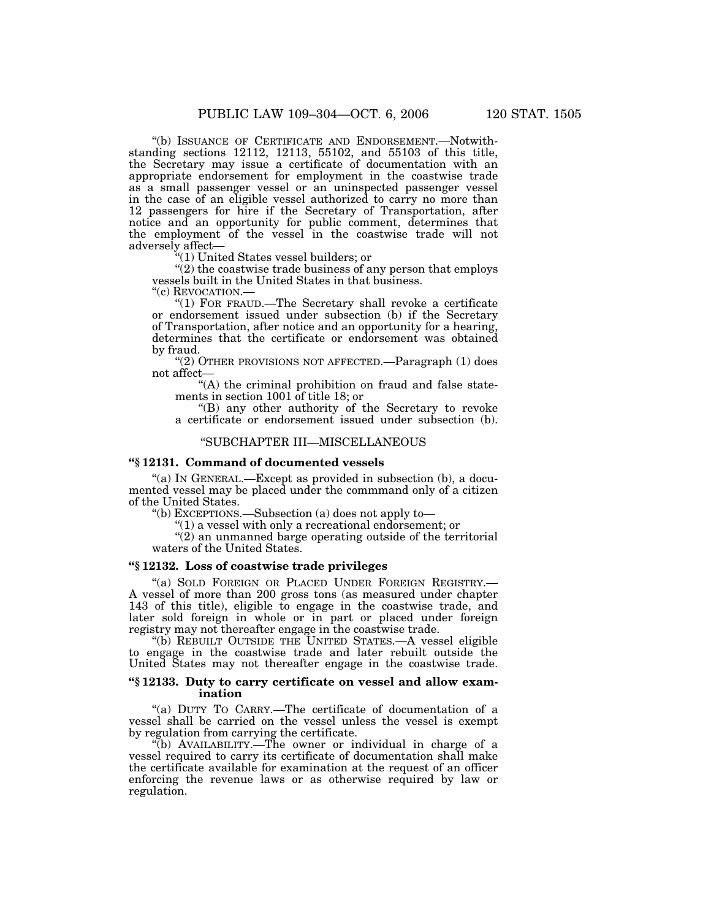''(b) ISSUANCE OF CERTIFICATE AND ENDORSEMENT.—Notwithstanding sections 12112, 12113, 55102, and 55103 of this title, the Secretary may issue a certificate of documentation with an appropriate endorsement for employment in the coastwise trade as a small passenger vessel or an uninspected passenger vessel in the case of an eligible vessel authorized to carry no more than 12 passengers for hire if the Secretary of Transportation, after notice and an opportunity for public comment, determines that the employment of the vessel in the coastwise trade will not adversely affect—

''(1) United States vessel builders; or

"(2) the coastwise trade business of any person that employs vessels built in the United States in that business.<br>"(c) REVOCATION.—

"(1) FOR FRAUD.—The Secretary shall revoke a certificate or endorsement issued under subsection (b) if the Secretary of Transportation, after notice and an opportunity for a hearing, determines that the certificate or endorsement was obtained by fraud.

"(2) OTHER PROVISIONS NOT AFFECTED.—Paragraph (1) does not affect—

"(A) the criminal prohibition on fraud and false statements in section 1001 of title 18; or

''(B) any other authority of the Secretary to revoke a certificate or endorsement issued under subsection (b).

# ''SUBCHAPTER III—MISCELLANEOUS

# **''§ 12131. Command of documented vessels**

"(a) In GENERAL.—Except as provided in subsection (b), a documented vessel may be placed under the commmand only of a citizen of the United States.

''(b) EXCEPTIONS.—Subsection (a) does not apply to—

''(1) a vessel with only a recreational endorsement; or

''(2) an unmanned barge operating outside of the territorial waters of the United States.

# **''§ 12132. Loss of coastwise trade privileges**

''(a) SOLD FOREIGN OR PLACED UNDER FOREIGN REGISTRY.— A vessel of more than 200 gross tons (as measured under chapter 143 of this title), eligible to engage in the coastwise trade, and later sold foreign in whole or in part or placed under foreign registry may not thereafter engage in the coastwise trade.

"(b) REBUILT OUTSIDE THE UNITED STATES.—A vessel eligible to engage in the coastwise trade and later rebuilt outside the United States may not thereafter engage in the coastwise trade.

# **''§ 12133. Duty to carry certificate on vessel and allow examination**

''(a) DUTY TO CARRY.—The certificate of documentation of a vessel shall be carried on the vessel unless the vessel is exempt by regulation from carrying the certificate.

''(b) AVAILABILITY.—The owner or individual in charge of a vessel required to carry its certificate of documentation shall make the certificate available for examination at the request of an officer enforcing the revenue laws or as otherwise required by law or regulation.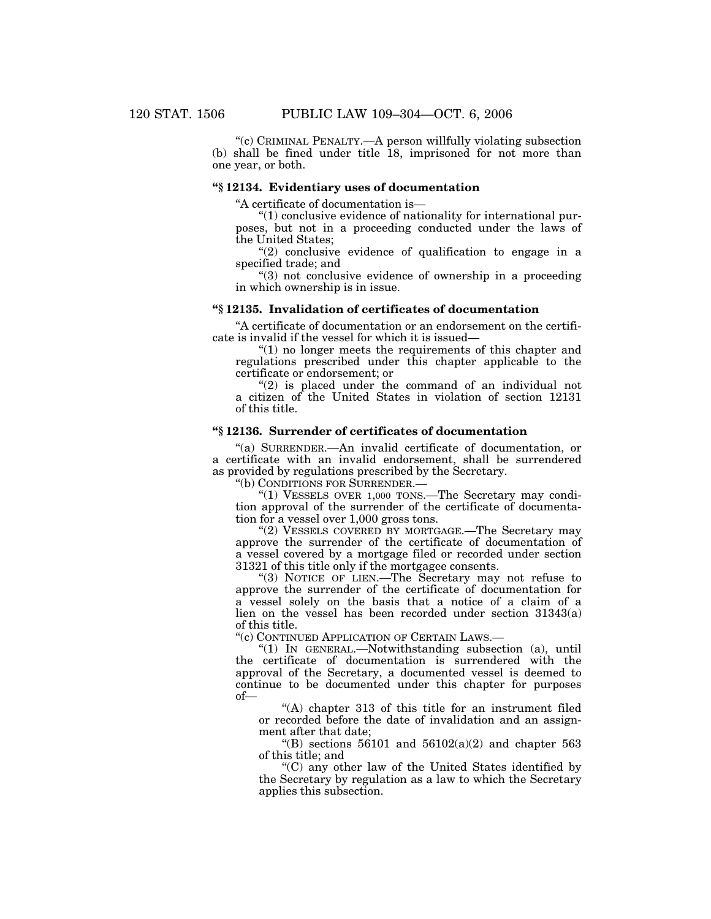''(c) CRIMINAL PENALTY.—A person willfully violating subsection (b) shall be fined under title 18, imprisoned for not more than one year, or both.

# **''§ 12134. Evidentiary uses of documentation**

''A certificate of documentation is—

''(1) conclusive evidence of nationality for international purposes, but not in a proceeding conducted under the laws of the United States;

"(2) conclusive evidence of qualification to engage in a specified trade; and

''(3) not conclusive evidence of ownership in a proceeding in which ownership is in issue.

# **''§ 12135. Invalidation of certificates of documentation**

''A certificate of documentation or an endorsement on the certificate is invalid if the vessel for which it is issued—

 $(1)$  no longer meets the requirements of this chapter and regulations prescribed under this chapter applicable to the certificate or endorsement; or

" $(2)$  is placed under the command of an individual not a citizen of the United States in violation of section 12131 of this title.

#### **''§ 12136. Surrender of certificates of documentation**

''(a) SURRENDER.—An invalid certificate of documentation, or a certificate with an invalid endorsement, shall be surrendered as provided by regulations prescribed by the Secretary.

''(b) CONDITIONS FOR SURRENDER.—

''(1) VESSELS OVER 1,000 TONS.—The Secretary may condition approval of the surrender of the certificate of documentation for a vessel over 1,000 gross tons.

"(2) VESSELS COVERED BY MORTGAGE.—The Secretary may approve the surrender of the certificate of documentation of a vessel covered by a mortgage filed or recorded under section 31321 of this title only if the mortgagee consents.

''(3) NOTICE OF LIEN.—The Secretary may not refuse to approve the surrender of the certificate of documentation for a vessel solely on the basis that a notice of a claim of a lien on the vessel has been recorded under section 31343(a) of this title.

''(c) CONTINUED APPLICATION OF CERTAIN LAWS.—

''(1) IN GENERAL.—Notwithstanding subsection (a), until the certificate of documentation is surrendered with the approval of the Secretary, a documented vessel is deemed to continue to be documented under this chapter for purposes of—

''(A) chapter 313 of this title for an instrument filed or recorded before the date of invalidation and an assignment after that date;

"(B) sections  $56101$  and  $56102(a)(2)$  and chapter  $563$ of this title; and

''(C) any other law of the United States identified by the Secretary by regulation as a law to which the Secretary applies this subsection.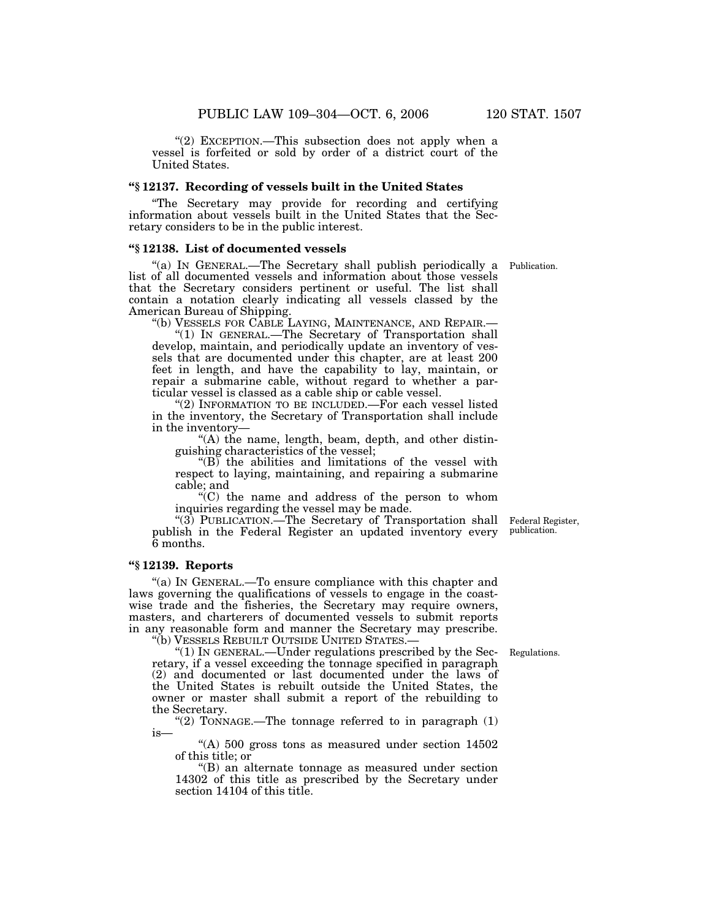"(2) EXCEPTION.—This subsection does not apply when a vessel is forfeited or sold by order of a district court of the United States.

# **''§ 12137. Recording of vessels built in the United States**

''The Secretary may provide for recording and certifying information about vessels built in the United States that the Secretary considers to be in the public interest.

#### **''§ 12138. List of documented vessels**

''(a) IN GENERAL.—The Secretary shall publish periodically a Publication. list of all documented vessels and information about those vessels that the Secretary considers pertinent or useful. The list shall contain a notation clearly indicating all vessels classed by the American Bureau of Shipping.

''(b) VESSELS FOR CABLE LAYING, MAINTENANCE, AND REPAIR.— ''(1) IN GENERAL.—The Secretary of Transportation shall

develop, maintain, and periodically update an inventory of vessels that are documented under this chapter, are at least 200 feet in length, and have the capability to lay, maintain, or repair a submarine cable, without regard to whether a particular vessel is classed as a cable ship or cable vessel.

''(2) INFORMATION TO BE INCLUDED.—For each vessel listed in the inventory, the Secretary of Transportation shall include in the inventory—

"(A) the name, length, beam, depth, and other distinguishing characteristics of the vessel;

 $\mathrm{H}(B)$  the abilities and limitations of the vessel with respect to laying, maintaining, and repairing a submarine cable; and

''(C) the name and address of the person to whom inquiries regarding the vessel may be made.

"(3) PUBLICATION.—The Secretary of Transportation shall publish in the Federal Register an updated inventory every 6 months.

# **''§ 12139. Reports**

''(a) IN GENERAL.—To ensure compliance with this chapter and laws governing the qualifications of vessels to engage in the coastwise trade and the fisheries, the Secretary may require owners, masters, and charterers of documented vessels to submit reports in any reasonable form and manner the Secretary may prescribe.

''(b) VESSELS REBUILT OUTSIDE UNITED STATES.—

''(1) IN GENERAL.—Under regulations prescribed by the Secretary, if a vessel exceeding the tonnage specified in paragraph (2) and documented or last documented under the laws of the United States is rebuilt outside the United States, the owner or master shall submit a report of the rebuilding to the Secretary. Regulations.

"(2) TONNAGE.—The tonnage referred to in paragraph  $(1)$ is—

"(A)  $500$  gross tons as measured under section  $14502$ of this title; or

''(B) an alternate tonnage as measured under section 14302 of this title as prescribed by the Secretary under section 14104 of this title.

Federal Register, publication.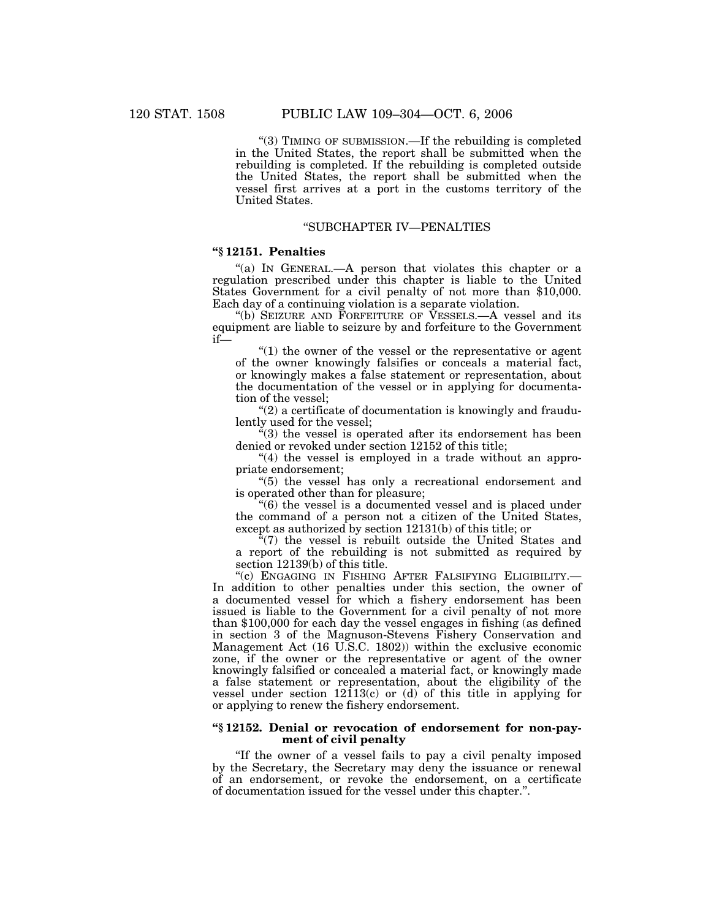"(3) TIMING OF SUBMISSION.—If the rebuilding is completed in the United States, the report shall be submitted when the rebuilding is completed. If the rebuilding is completed outside the United States, the report shall be submitted when the vessel first arrives at a port in the customs territory of the United States.

# ''SUBCHAPTER IV—PENALTIES

## **''§ 12151. Penalties**

''(a) IN GENERAL.—A person that violates this chapter or a regulation prescribed under this chapter is liable to the United States Government for a civil penalty of not more than \$10,000. Each day of a continuing violation is a separate violation.

''(b) SEIZURE AND FORFEITURE OF VESSELS.—A vessel and its equipment are liable to seizure by and forfeiture to the Government  $if$ 

" $(1)$  the owner of the vessel or the representative or agent of the owner knowingly falsifies or conceals a material fact, or knowingly makes a false statement or representation, about the documentation of the vessel or in applying for documentation of the vessel;

 $\degree$ (2) a certificate of documentation is knowingly and fraudulently used for the vessel;

"(3) the vessel is operated after its endorsement has been denied or revoked under section 12152 of this title;

 $(4)$  the vessel is employed in a trade without an appropriate endorsement;

"(5) the vessel has only a recreational endorsement and is operated other than for pleasure;

''(6) the vessel is a documented vessel and is placed under the command of a person not a citizen of the United States, except as authorized by section 12131(b) of this title; or

"(7) the vessel is rebuilt outside the United States and a report of the rebuilding is not submitted as required by section 12139(b) of this title.

"(c) ENGAGING IN FISHING AFTER FALSIFYING ELIGIBILITY.-In addition to other penalties under this section, the owner of a documented vessel for which a fishery endorsement has been issued is liable to the Government for a civil penalty of not more than \$100,000 for each day the vessel engages in fishing (as defined in section 3 of the Magnuson-Stevens Fishery Conservation and Management Act (16 U.S.C. 1802)) within the exclusive economic zone, if the owner or the representative or agent of the owner knowingly falsified or concealed a material fact, or knowingly made a false statement or representation, about the eligibility of the vessel under section 12113(c) or (d) of this title in applying for or applying to renew the fishery endorsement.

# **''§ 12152. Denial or revocation of endorsement for non-payment of civil penalty**

''If the owner of a vessel fails to pay a civil penalty imposed by the Secretary, the Secretary may deny the issuance or renewal of an endorsement, or revoke the endorsement, on a certificate of documentation issued for the vessel under this chapter.''.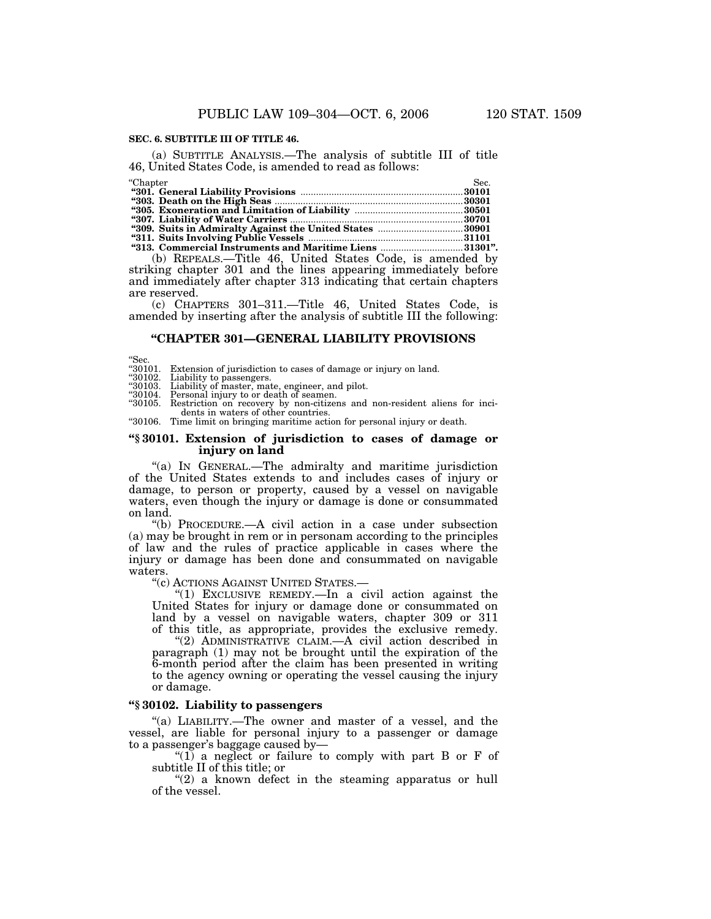# **SEC. 6. SUBTITLE III OF TITLE 46.**

(a) SUBTITLE ANALYSIS.—The analysis of subtitle III of title 46, United States Code, is amended to read as follows:

| "Chapter                                                 | Sec. |
|----------------------------------------------------------|------|
|                                                          |      |
|                                                          |      |
|                                                          |      |
|                                                          |      |
| "309. Suits in Admiralty Against the United States 30901 |      |
|                                                          |      |
| "313. Commercial Instruments and Maritime Liens 31301".  |      |
|                                                          |      |

(b) REPEALS.—Title 46, United States Code, is amended by striking chapter 301 and the lines appearing immediately before and immediately after chapter 313 indicating that certain chapters are reserved.

(c) CHAPTERS 301–311.—Title 46, United States Code, is amended by inserting after the analysis of subtitle III the following:

# **''CHAPTER 301—GENERAL LIABILITY PROVISIONS**

"Sec.<br>"30101. "30101. Extension of jurisdiction to cases of damage or injury on land.<br>"30102. Liability to passengers.

''30102. Liability to passengers. ''30103. Liability of master, mate, engineer, and pilot.

''30104. Personal injury to or death of seamen.

''30105. Restriction on recovery by non-citizens and non-resident aliens for incidents in waters of other countries.

''30106. Time limit on bringing maritime action for personal injury or death.

# **''§ 30101. Extension of jurisdiction to cases of damage or injury on land**

"(a) IN GENERAL.—The admiralty and maritime jurisdiction of the United States extends to and includes cases of injury or damage, to person or property, caused by a vessel on navigable waters, even though the injury or damage is done or consummated on land.

''(b) PROCEDURE.—A civil action in a case under subsection (a) may be brought in rem or in personam according to the principles of law and the rules of practice applicable in cases where the injury or damage has been done and consummated on navigable waters.

''(c) ACTIONS AGAINST UNITED STATES.—

" $(1)$  EXCLUSIVE REMEDY.—In a civil action against the United States for injury or damage done or consummated on land by a vessel on navigable waters, chapter 309 or 311 of this title, as appropriate, provides the exclusive remedy.

''(2) ADMINISTRATIVE CLAIM.—A civil action described in paragraph (1) may not be brought until the expiration of the 6-month period after the claim has been presented in writing to the agency owning or operating the vessel causing the injury or damage.

# **''§ 30102. Liability to passengers**

"(a) LIABILITY.—The owner and master of a vessel, and the vessel, are liable for personal injury to a passenger or damage to a passenger's baggage caused by—

" $(1)$  a neglect or failure to comply with part B or F of subtitle II of this title; or

"(2) a known defect in the steaming apparatus or hull of the vessel.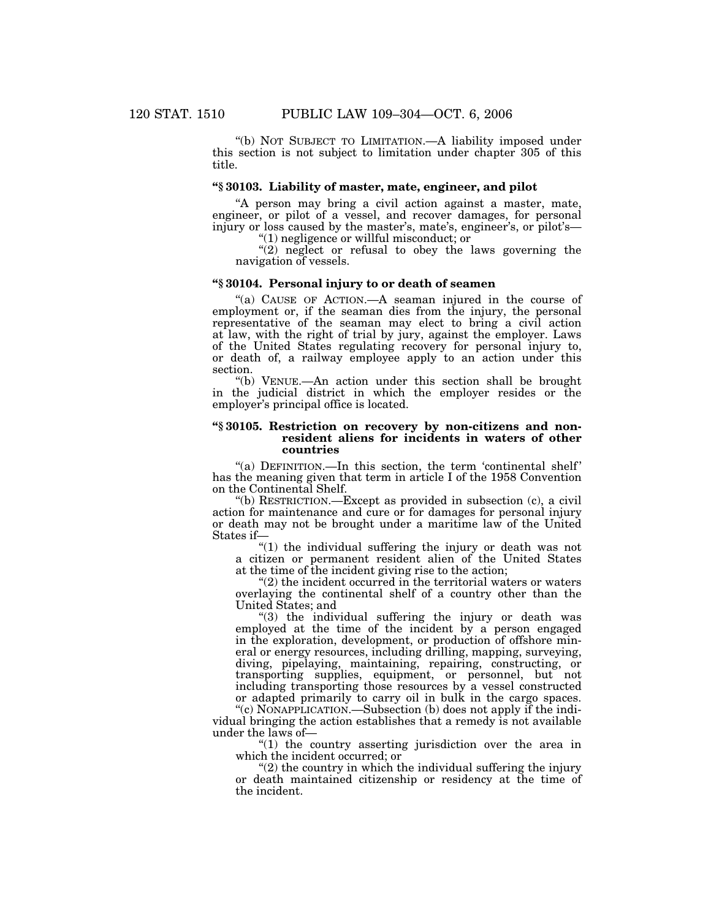''(b) NOT SUBJECT TO LIMITATION.—A liability imposed under this section is not subject to limitation under chapter 305 of this title.

## **''§ 30103. Liability of master, mate, engineer, and pilot**

''A person may bring a civil action against a master, mate, engineer, or pilot of a vessel, and recover damages, for personal injury or loss caused by the master's, mate's, engineer's, or pilot's—

 $(1)$  negligence or willful misconduct; or

 $(2)$  neglect or refusal to obey the laws governing the navigation of vessels.

#### **''§ 30104. Personal injury to or death of seamen**

"(a) CAUSE OF ACTION.—A seaman injured in the course of employment or, if the seaman dies from the injury, the personal representative of the seaman may elect to bring a civil action at law, with the right of trial by jury, against the employer. Laws of the United States regulating recovery for personal injury to, or death of, a railway employee apply to an action under this section.

''(b) VENUE.—An action under this section shall be brought in the judicial district in which the employer resides or the employer's principal office is located.

## **''§ 30105. Restriction on recovery by non-citizens and nonresident aliens for incidents in waters of other countries**

"(a) DEFINITION.—In this section, the term 'continental shelf' has the meaning given that term in article I of the 1958 Convention on the Continental Shelf.

''(b) RESTRICTION.—Except as provided in subsection (c), a civil action for maintenance and cure or for damages for personal injury or death may not be brought under a maritime law of the United States if—

''(1) the individual suffering the injury or death was not a citizen or permanent resident alien of the United States at the time of the incident giving rise to the action;

"(2) the incident occurred in the territorial waters or waters overlaying the continental shelf of a country other than the United States; and

''(3) the individual suffering the injury or death was employed at the time of the incident by a person engaged in the exploration, development, or production of offshore mineral or energy resources, including drilling, mapping, surveying, diving, pipelaying, maintaining, repairing, constructing, or transporting supplies, equipment, or personnel, but not including transporting those resources by a vessel constructed or adapted primarily to carry oil in bulk in the cargo spaces.

''(c) NONAPPLICATION.—Subsection (b) does not apply if the individual bringing the action establishes that a remedy is not available under the laws of—

"(1) the country asserting jurisdiction over the area in which the incident occurred; or

 $(2)$  the country in which the individual suffering the injury or death maintained citizenship or residency at the time of the incident.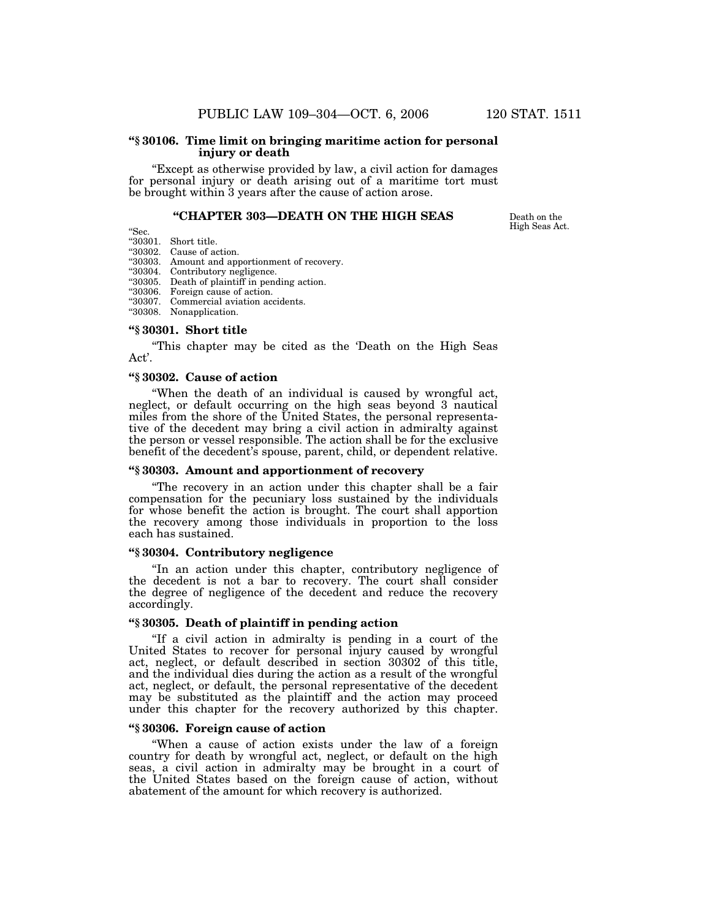## **''§ 30106. Time limit on bringing maritime action for personal injury or death**

''Except as otherwise provided by law, a civil action for damages for personal injury or death arising out of a maritime tort must be brought within 3 years after the cause of action arose.

# **''CHAPTER 303—DEATH ON THE HIGH SEAS**

Death on the High Seas Act.

''Sec.

''30301. Short title.

''30302. Cause of action.

''30303. Amount and apportionment of recovery.

''30304. Contributory negligence.

- ''30305. Death of plaintiff in pending action.
- ''30306. Foreign cause of action.
- ''30307. Commercial aviation accidents.
- ''30308. Nonapplication.

# **''§ 30301. Short title**

''This chapter may be cited as the 'Death on the High Seas Act'.

# **''§ 30302. Cause of action**

''When the death of an individual is caused by wrongful act, neglect, or default occurring on the high seas beyond 3 nautical miles from the shore of the United States, the personal representative of the decedent may bring a civil action in admiralty against the person or vessel responsible. The action shall be for the exclusive benefit of the decedent's spouse, parent, child, or dependent relative.

## **''§ 30303. Amount and apportionment of recovery**

''The recovery in an action under this chapter shall be a fair compensation for the pecuniary loss sustained by the individuals for whose benefit the action is brought. The court shall apportion the recovery among those individuals in proportion to the loss each has sustained.

# **''§ 30304. Contributory negligence**

''In an action under this chapter, contributory negligence of the decedent is not a bar to recovery. The court shall consider the degree of negligence of the decedent and reduce the recovery accordingly.

# **''§ 30305. Death of plaintiff in pending action**

''If a civil action in admiralty is pending in a court of the United States to recover for personal injury caused by wrongful act, neglect, or default described in section 30302 of this title, and the individual dies during the action as a result of the wrongful act, neglect, or default, the personal representative of the decedent may be substituted as the plaintiff and the action may proceed under this chapter for the recovery authorized by this chapter.

# **''§ 30306. Foreign cause of action**

''When a cause of action exists under the law of a foreign country for death by wrongful act, neglect, or default on the high seas, a civil action in admiralty may be brought in a court of the United States based on the foreign cause of action, without abatement of the amount for which recovery is authorized.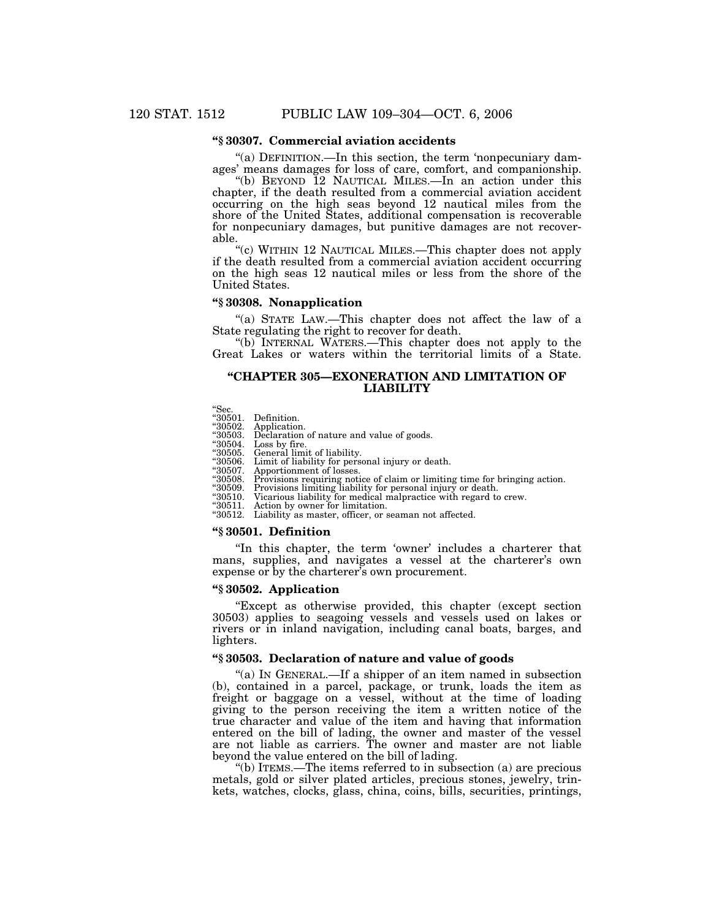# **''§ 30307. Commercial aviation accidents**

"(a) DEFINITION.—In this section, the term 'nonpecuniary damages' means damages for loss of care, comfort, and companionship.

''(b) BEYOND 12 NAUTICAL MILES.—In an action under this chapter, if the death resulted from a commercial aviation accident occurring on the high seas beyond 12 nautical miles from the shore of the United States, additional compensation is recoverable for nonpecuniary damages, but punitive damages are not recoverable.

''(c) WITHIN 12 NAUTICAL MILES.—This chapter does not apply if the death resulted from a commercial aviation accident occurring on the high seas 12 nautical miles or less from the shore of the United States.

## **''§ 30308. Nonapplication**

"(a) STATE LAW.—This chapter does not affect the law of a State regulating the right to recover for death.

''(b) INTERNAL WATERS.—This chapter does not apply to the Great Lakes or waters within the territorial limits of a State.

# **''CHAPTER 305—EXONERATION AND LIMITATION OF LIABILITY**

''Sec. ''30501. Definition. ''30502. Application.

"30502. Application.<br>"30503. Declaration of nature and value of goods.<br>"30504. Loss by fire.<br>"30505. General limit of liability.

Loss by fire.

"30505. General limit of liability.<br>"30506. Limit of liability for perss<br>"30507. Apportionment of losses.<br>"30508. Provisions requiring notion Limit of liability for personal injury or death.

"30507. Apportionment of losses.<br>"30508. Provisions requiring notice of claim or limiting time for bringing action.<br>"30509. Provisions limiting liability for personal injury or death.<br>"30510. Vicarious liability for medica

''30511. Action by owner for limitation. ''30512. Liability as master, officer, or seaman not affected.

# **''§ 30501. Definition**

''In this chapter, the term 'owner' includes a charterer that mans, supplies, and navigates a vessel at the charterer's own expense or by the charterer's own procurement.

## **''§ 30502. Application**

''Except as otherwise provided, this chapter (except section 30503) applies to seagoing vessels and vessels used on lakes or rivers or in inland navigation, including canal boats, barges, and lighters.

# **''§ 30503. Declaration of nature and value of goods**

"(a) In GENERAL.—If a shipper of an item named in subsection (b), contained in a parcel, package, or trunk, loads the item as freight or baggage on a vessel, without at the time of loading giving to the person receiving the item a written notice of the true character and value of the item and having that information entered on the bill of lading, the owner and master of the vessel are not liable as carriers. The owner and master are not liable beyond the value entered on the bill of lading.

''(b) ITEMS.—The items referred to in subsection (a) are precious metals, gold or silver plated articles, precious stones, jewelry, trinkets, watches, clocks, glass, china, coins, bills, securities, printings,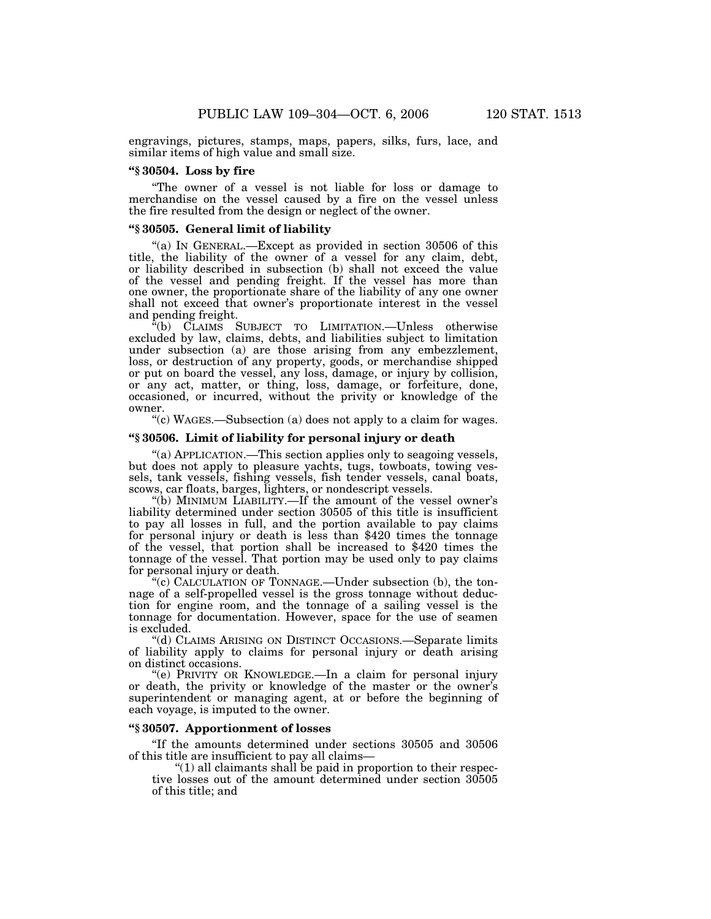engravings, pictures, stamps, maps, papers, silks, furs, lace, and similar items of high value and small size.

# **''§ 30504. Loss by fire**

''The owner of a vessel is not liable for loss or damage to merchandise on the vessel caused by a fire on the vessel unless the fire resulted from the design or neglect of the owner.

#### **''§ 30505. General limit of liability**

"(a) IN GENERAL.—Except as provided in section 30506 of this title, the liability of the owner of a vessel for any claim, debt, or liability described in subsection (b) shall not exceed the value of the vessel and pending freight. If the vessel has more than one owner, the proportionate share of the liability of any one owner shall not exceed that owner's proportionate interest in the vessel and pending freight.

''(b) CLAIMS SUBJECT TO LIMITATION.—Unless otherwise excluded by law, claims, debts, and liabilities subject to limitation under subsection (a) are those arising from any embezzlement, loss, or destruction of any property, goods, or merchandise shipped or put on board the vessel, any loss, damage, or injury by collision, or any act, matter, or thing, loss, damage, or forfeiture, done, occasioned, or incurred, without the privity or knowledge of the owner.

''(c) WAGES.—Subsection (a) does not apply to a claim for wages.

## **''§ 30506. Limit of liability for personal injury or death**

''(a) APPLICATION.—This section applies only to seagoing vessels, but does not apply to pleasure yachts, tugs, towboats, towing vessels, tank vessels, fishing vessels, fish tender vessels, canal boats, scows, car floats, barges, lighters, or nondescript vessels.

''(b) MINIMUM LIABILITY.—If the amount of the vessel owner's liability determined under section 30505 of this title is insufficient to pay all losses in full, and the portion available to pay claims for personal injury or death is less than \$420 times the tonnage of the vessel, that portion shall be increased to \$420 times the tonnage of the vessel. That portion may be used only to pay claims for personal injury or death.

''(c) CALCULATION OF TONNAGE.—Under subsection (b), the tonnage of a self-propelled vessel is the gross tonnage without deduction for engine room, and the tonnage of a sailing vessel is the tonnage for documentation. However, space for the use of seamen is excluded.

''(d) CLAIMS ARISING ON DISTINCT OCCASIONS.—Separate limits of liability apply to claims for personal injury or death arising on distinct occasions.

''(e) PRIVITY OR KNOWLEDGE.—In a claim for personal injury or death, the privity or knowledge of the master or the owner's superintendent or managing agent, at or before the beginning of each voyage, is imputed to the owner.

# **''§ 30507. Apportionment of losses**

''If the amounts determined under sections 30505 and 30506 of this title are insufficient to pay all claims—

 $''(1)$  all claimants shall be paid in proportion to their respective losses out of the amount determined under section 30505 of this title; and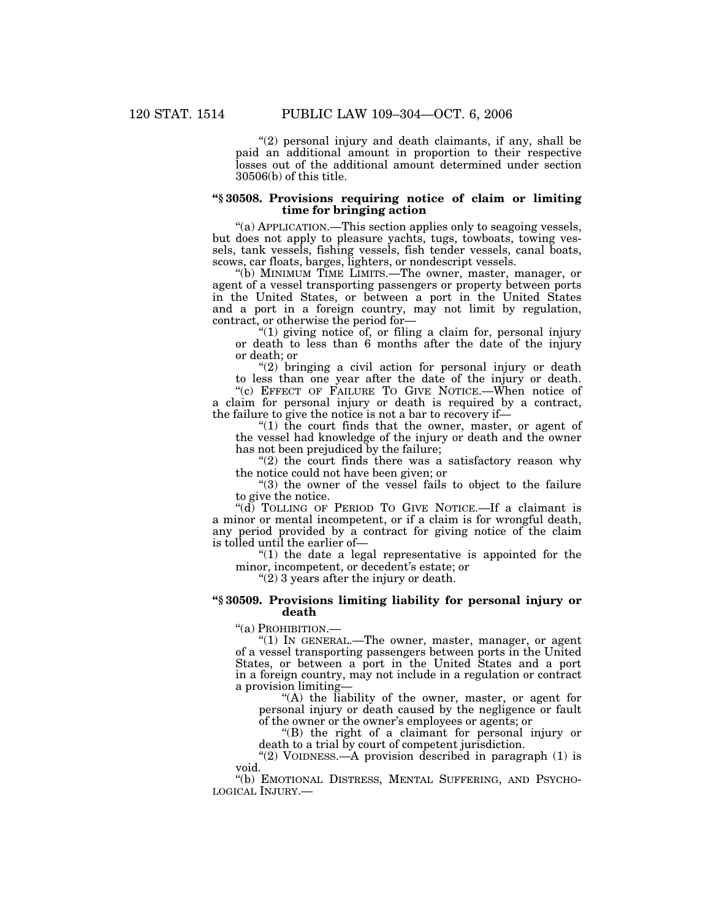"(2) personal injury and death claimants, if any, shall be paid an additional amount in proportion to their respective losses out of the additional amount determined under section 30506(b) of this title.

# **''§ 30508. Provisions requiring notice of claim or limiting time for bringing action**

''(a) APPLICATION.—This section applies only to seagoing vessels, but does not apply to pleasure yachts, tugs, towboats, towing vessels, tank vessels, fishing vessels, fish tender vessels, canal boats, scows, car floats, barges, lighters, or nondescript vessels.

''(b) MINIMUM TIME LIMITS.—The owner, master, manager, or agent of a vessel transporting passengers or property between ports in the United States, or between a port in the United States and a port in a foreign country, may not limit by regulation, contract, or otherwise the period for—

"(1) giving notice of, or filing a claim for, personal injury or death to less than 6 months after the date of the injury or death; or

"(2) bringing a civil action for personal injury or death to less than one year after the date of the injury or death.

''(c) EFFECT OF FAILURE TO GIVE NOTICE.—When notice of a claim for personal injury or death is required by a contract, the failure to give the notice is not a bar to recovery if—

''(1) the court finds that the owner, master, or agent of the vessel had knowledge of the injury or death and the owner has not been prejudiced by the failure;

" $(2)$  the court finds there was a satisfactory reason why the notice could not have been given; or

''(3) the owner of the vessel fails to object to the failure to give the notice.

''(d) TOLLING OF PERIOD TO GIVE NOTICE.—If a claimant is a minor or mental incompetent, or if a claim is for wrongful death, any period provided by a contract for giving notice of the claim is tolled until the earlier of—

 $''(1)$  the date a legal representative is appointed for the minor, incompetent, or decedent's estate; or

''(2) 3 years after the injury or death.

#### **''§ 30509. Provisions limiting liability for personal injury or death**

''(a) PROHIBITION.—

" $(1)$  In GENERAL.—The owner, master, manager, or agent of a vessel transporting passengers between ports in the United States, or between a port in the United States and a port in a foreign country, may not include in a regulation or contract a provision limiting—

''(A) the liability of the owner, master, or agent for personal injury or death caused by the negligence or fault of the owner or the owner's employees or agents; or

''(B) the right of a claimant for personal injury or death to a trial by court of competent jurisdiction.

''(2) VOIDNESS.—A provision described in paragraph (1) is void.

''(b) EMOTIONAL DISTRESS, MENTAL SUFFERING, AND PSYCHO- LOGICAL INJURY.—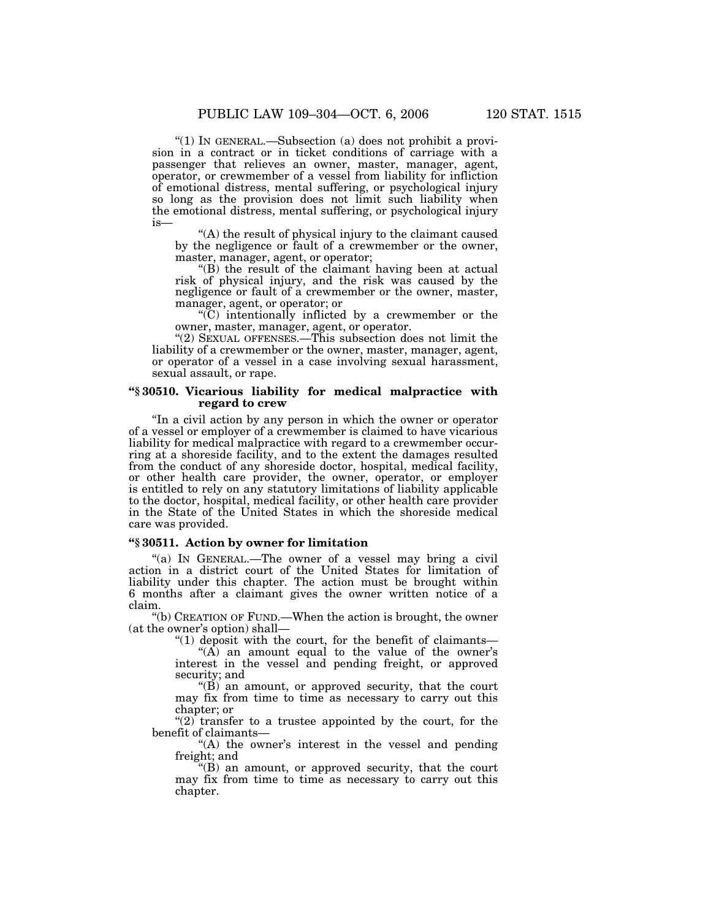''(1) IN GENERAL.—Subsection (a) does not prohibit a provision in a contract or in ticket conditions of carriage with a passenger that relieves an owner, master, manager, agent, operator, or crewmember of a vessel from liability for infliction of emotional distress, mental suffering, or psychological injury so long as the provision does not limit such liability when the emotional distress, mental suffering, or psychological injury is—

''(A) the result of physical injury to the claimant caused by the negligence or fault of a crewmember or the owner, master, manager, agent, or operator;

 $'(B)$  the result of the claimant having been at actual risk of physical injury, and the risk was caused by the negligence or fault of a crewmember or the owner, master, manager, agent, or operator; or

''(C) intentionally inflicted by a crewmember or the owner, master, manager, agent, or operator.

''(2) SEXUAL OFFENSES.—This subsection does not limit the liability of a crewmember or the owner, master, manager, agent, or operator of a vessel in a case involving sexual harassment, sexual assault, or rape.

# **''§ 30510. Vicarious liability for medical malpractice with regard to crew**

''In a civil action by any person in which the owner or operator of a vessel or employer of a crewmember is claimed to have vicarious liability for medical malpractice with regard to a crewmember occurring at a shoreside facility, and to the extent the damages resulted from the conduct of any shoreside doctor, hospital, medical facility, or other health care provider, the owner, operator, or employer is entitled to rely on any statutory limitations of liability applicable to the doctor, hospital, medical facility, or other health care provider in the State of the United States in which the shoreside medical care was provided.

## **''§ 30511. Action by owner for limitation**

"(a) IN GENERAL.—The owner of a vessel may bring a civil action in a district court of the United States for limitation of liability under this chapter. The action must be brought within 6 months after a claimant gives the owner written notice of a claim.

''(b) CREATION OF FUND.—When the action is brought, the owner (at the owner's option) shall—

" $(1)$  deposit with the court, for the benefit of claimants—

" $(A)$  an amount equal to the value of the owner's interest in the vessel and pending freight, or approved security; and

 $\mathrm{H}(B)$  an amount, or approved security, that the court may fix from time to time as necessary to carry out this chapter; or

" $(2)$ <sup>transfer</sup> to a trustee appointed by the court, for the benefit of claimants—

"(A) the owner's interest in the vessel and pending freight; and

''(B) an amount, or approved security, that the court may fix from time to time as necessary to carry out this chapter.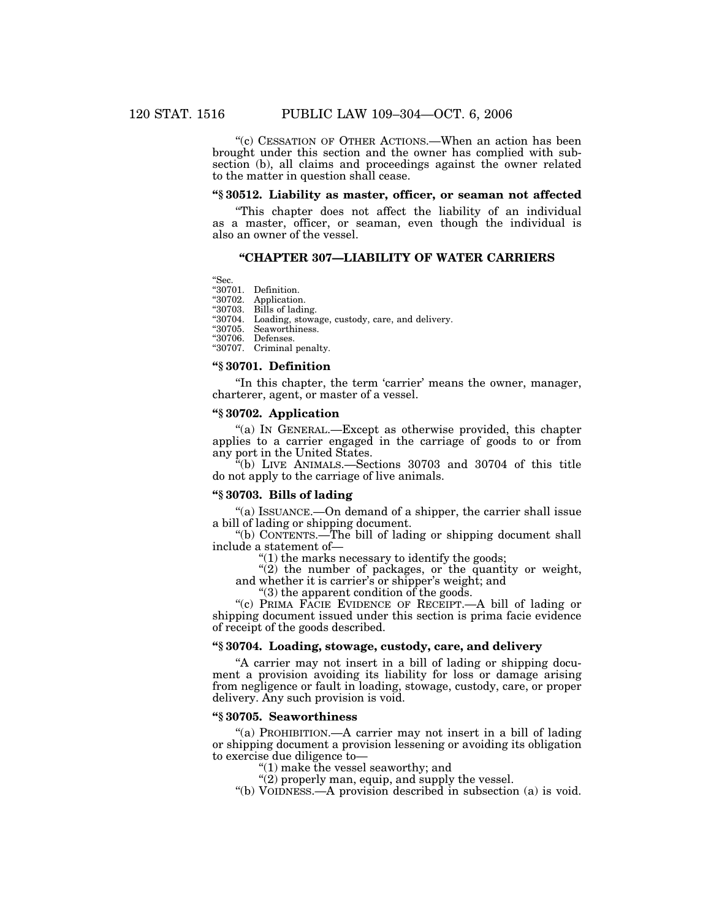''(c) CESSATION OF OTHER ACTIONS.—When an action has been brought under this section and the owner has complied with subsection (b), all claims and proceedings against the owner related to the matter in question shall cease.

# **''§ 30512. Liability as master, officer, or seaman not affected**

''This chapter does not affect the liability of an individual as a master, officer, or seaman, even though the individual is also an owner of the vessel.

# **''CHAPTER 307—LIABILITY OF WATER CARRIERS**

''Sec.

''30701. Definition.

''30702. Application. ''30703. Bills of lading.

''30704. Loading, stowage, custody, care, and delivery.

''30705. Seaworthiness.

''30706. Defenses.

''30707. Criminal penalty.

# **''§ 30701. Definition**

''In this chapter, the term 'carrier' means the owner, manager, charterer, agent, or master of a vessel.

## **''§ 30702. Application**

''(a) IN GENERAL.—Except as otherwise provided, this chapter applies to a carrier engaged in the carriage of goods to or from any port in the United States.

 $\frac{a}{b}$  (b) LIVE ANIMALS.—Sections 30703 and 30704 of this title do not apply to the carriage of live animals.

# **''§ 30703. Bills of lading**

"(a) ISSUANCE.—On demand of a shipper, the carrier shall issue a bill of lading or shipping document.

''(b) CONTENTS.—The bill of lading or shipping document shall include a statement of—

" $(1)$  the marks necessary to identify the goods;

"(2) the number of packages, or the quantity or weight, and whether it is carrier's or shipper's weight; and

" $(3)$  the apparent condition of the goods.

''(c) PRIMA FACIE EVIDENCE OF RECEIPT.—A bill of lading or shipping document issued under this section is prima facie evidence of receipt of the goods described.

## **''§ 30704. Loading, stowage, custody, care, and delivery**

''A carrier may not insert in a bill of lading or shipping document a provision avoiding its liability for loss or damage arising from negligence or fault in loading, stowage, custody, care, or proper delivery. Any such provision is void.

## **''§ 30705. Seaworthiness**

"(a) PROHIBITION.—A carrier may not insert in a bill of lading or shipping document a provision lessening or avoiding its obligation to exercise due diligence to—

" $(1)$  make the vessel seaworthy; and

- $''(2)$  properly man, equip, and supply the vessel.
- ''(b) VOIDNESS.—A provision described in subsection (a) is void.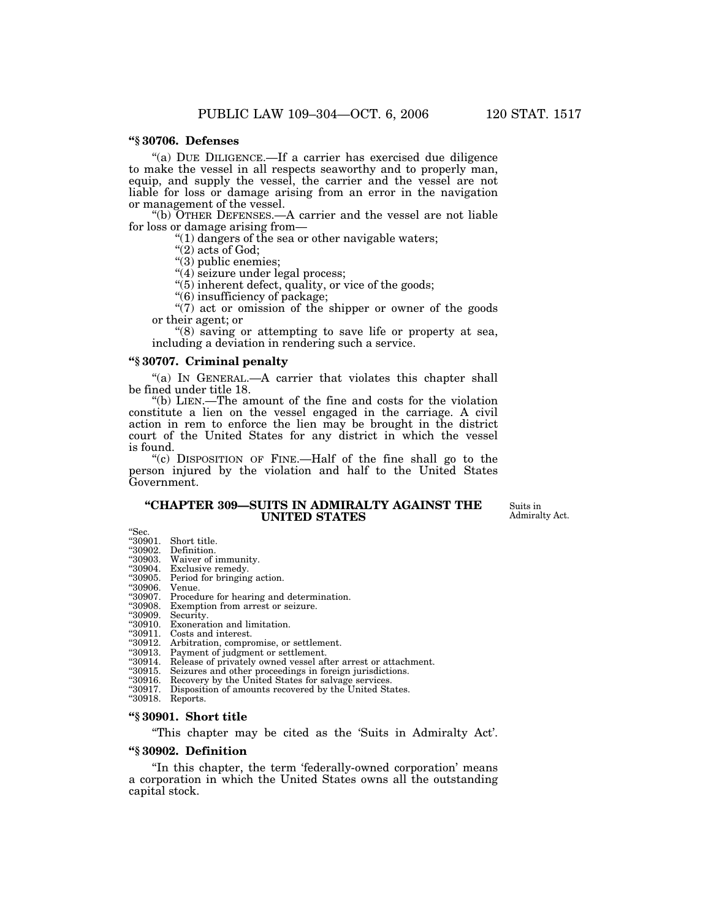# **''§ 30706. Defenses**

"(a) DUE DILIGENCE.—If a carrier has exercised due diligence to make the vessel in all respects seaworthy and to properly man, equip, and supply the vessel, the carrier and the vessel are not liable for loss or damage arising from an error in the navigation or management of the vessel.

''(b) OTHER DEFENSES.—A carrier and the vessel are not liable for loss or damage arising from—

''(1) dangers of the sea or other navigable waters;

"(2) acts of God;

"(3) public enemies;

"(4) seizure under legal process;

"(5) inherent defect, quality, or vice of the goods;

''(6) insufficiency of package;

"(7) act or omission of the shipper or owner of the goods or their agent; or

''(8) saving or attempting to save life or property at sea, including a deviation in rendering such a service.

## **''§ 30707. Criminal penalty**

"(a) IN GENERAL.—A carrier that violates this chapter shall be fined under title 18.

''(b) LIEN.—The amount of the fine and costs for the violation constitute a lien on the vessel engaged in the carriage. A civil action in rem to enforce the lien may be brought in the district court of the United States for any district in which the vessel is found.

"(c) DISPOSITION OF FINE.—Half of the fine shall go to the person injured by the violation and half to the United States Government.

# **''CHAPTER 309—SUITS IN ADMIRALTY AGAINST THE UNITED STATES**

Suits in Admiralty Act.

''Sec.

''30901. Short title.

- 
- "30902. Definition.<br>"30903. Waiver of i<br>"30904. Exclusive i Waiver of immunity.
- Exclusive remedy.
- "30905. Period for bringing action.<br>"30906. Venue.
- $\substack{430906. \\ 430907.}$ "30907. Procedure for hearing and determination.<br>"30908. Exemption from arrest or seizure.
- "30908. Exemption from arrest or seizure.<br>"30909. Security.<br>"30910. Exoneration and limitation.
- Security.
- "30910. Exoneration and limitation.<br>"30911. Costs and interest.
- 
- "30911. Costs and interest.<br>"30912. Arbitration, compro<br>"30913. Payment of judgme ''30912. Arbitration, compromise, or settlement.
- ''30913. Payment of judgment or settlement.
- "30914. Release of privately owned vessel after arrest or attachment.<br>"30915. Seizures and other proceedings in foreign jurisdictions.
- "30915. Seizures and other proceedings in foreign jurisdictions.<br>"30916. Recovery by the United States for salvage services.
- Recovery by the United States for salvage services.
- ''30917. Disposition of amounts recovered by the United States.
- ''30918. Reports.
- **''§ 30901. Short title**

''This chapter may be cited as the 'Suits in Admiralty Act'.

# **''§ 30902. Definition**

''In this chapter, the term 'federally-owned corporation' means a corporation in which the United States owns all the outstanding capital stock.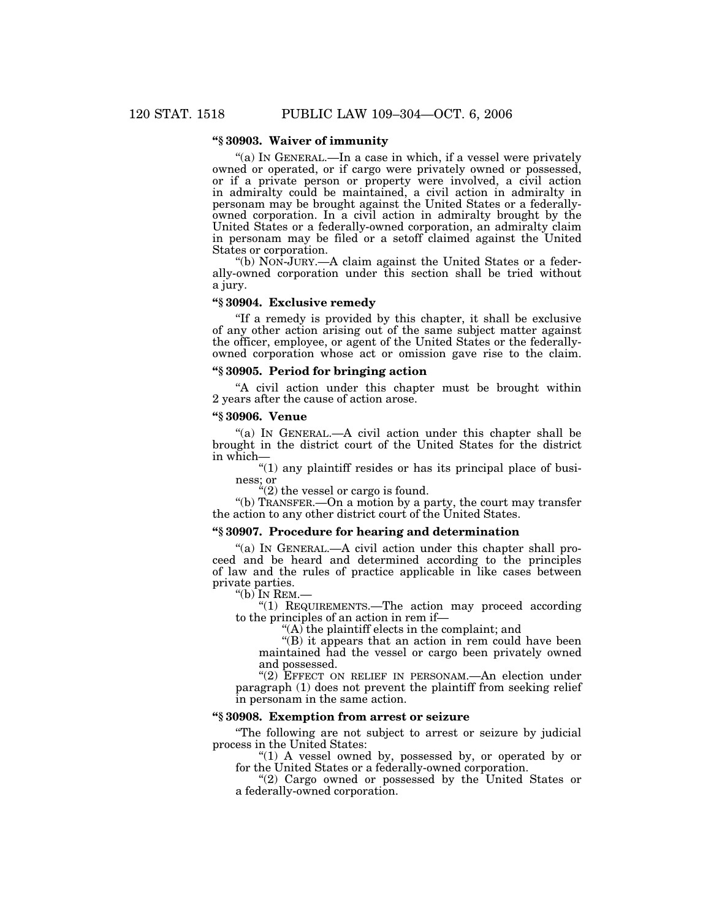# **''§ 30903. Waiver of immunity**

"(a) IN GENERAL.—In a case in which, if a vessel were privately owned or operated, or if cargo were privately owned or possessed, or if a private person or property were involved, a civil action in admiralty could be maintained, a civil action in admiralty in personam may be brought against the United States or a federallyowned corporation. In a civil action in admiralty brought by the United States or a federally-owned corporation, an admiralty claim in personam may be filed or a setoff claimed against the United States or corporation.

''(b) NON-JURY.—A claim against the United States or a federally-owned corporation under this section shall be tried without a jury.

#### **''§ 30904. Exclusive remedy**

''If a remedy is provided by this chapter, it shall be exclusive of any other action arising out of the same subject matter against the officer, employee, or agent of the United States or the federallyowned corporation whose act or omission gave rise to the claim.

# **''§ 30905. Period for bringing action**

''A civil action under this chapter must be brought within 2 years after the cause of action arose.

#### **''§ 30906. Venue**

"(a) IN GENERAL.—A civil action under this chapter shall be brought in the district court of the United States for the district in which—

"(1) any plaintiff resides or has its principal place of business; or

 $\cdot$ (2) the vessel or cargo is found.

''(b) TRANSFER.—On a motion by a party, the court may transfer the action to any other district court of the United States.

## **''§ 30907. Procedure for hearing and determination**

''(a) IN GENERAL.—A civil action under this chapter shall proceed and be heard and determined according to the principles of law and the rules of practice applicable in like cases between private parties.

" $(b)$ In Rem.

''(1) REQUIREMENTS.—The action may proceed according to the principles of an action in rem if—

 $(A)$  the plaintiff elects in the complaint; and

"(B) it appears that an action in rem could have been maintained had the vessel or cargo been privately owned and possessed.

"(2) EFFECT ON RELIEF IN PERSONAM.—An election under paragraph (1) does not prevent the plaintiff from seeking relief in personam in the same action.

## **''§ 30908. Exemption from arrest or seizure**

''The following are not subject to arrest or seizure by judicial process in the United States:

"(1) A vessel owned by, possessed by, or operated by or for the United States or a federally-owned corporation.

"(2) Cargo owned or possessed by the United States or a federally-owned corporation.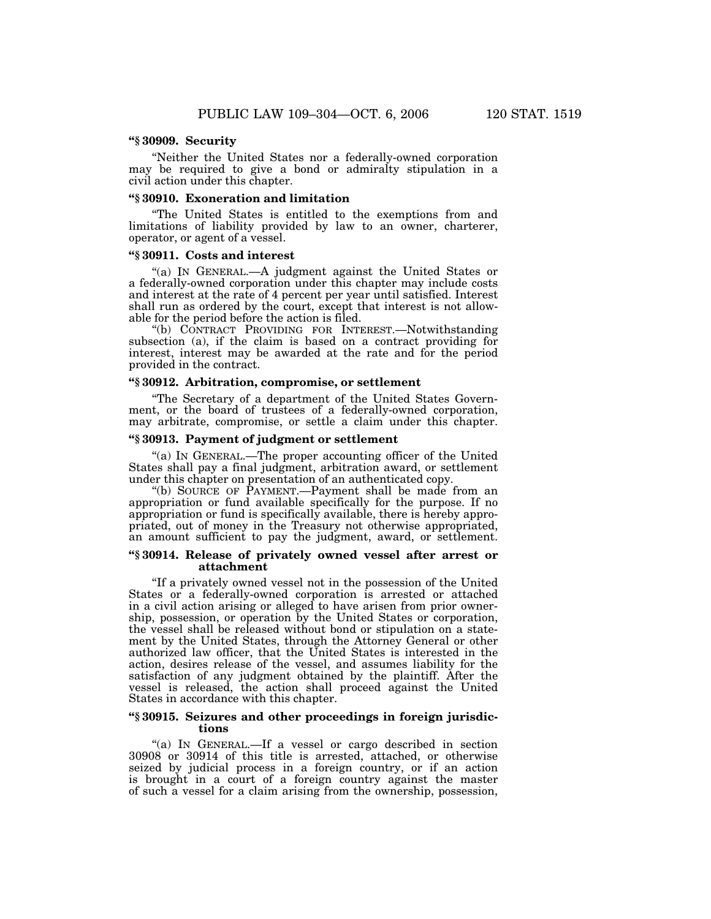# **''§ 30909. Security**

''Neither the United States nor a federally-owned corporation may be required to give a bond or admiralty stipulation in a civil action under this chapter.

# **''§ 30910. Exoneration and limitation**

''The United States is entitled to the exemptions from and limitations of liability provided by law to an owner, charterer, operator, or agent of a vessel.

# **''§ 30911. Costs and interest**

''(a) IN GENERAL.—A judgment against the United States or a federally-owned corporation under this chapter may include costs and interest at the rate of 4 percent per year until satisfied. Interest shall run as ordered by the court, except that interest is not allowable for the period before the action is filed.

''(b) CONTRACT PROVIDING FOR INTEREST.—Notwithstanding subsection (a), if the claim is based on a contract providing for interest, interest may be awarded at the rate and for the period provided in the contract.

# **''§ 30912. Arbitration, compromise, or settlement**

''The Secretary of a department of the United States Government, or the board of trustees of a federally-owned corporation, may arbitrate, compromise, or settle a claim under this chapter.

# **''§ 30913. Payment of judgment or settlement**

''(a) IN GENERAL.—The proper accounting officer of the United States shall pay a final judgment, arbitration award, or settlement under this chapter on presentation of an authenticated copy.

''(b) SOURCE OF PAYMENT.—Payment shall be made from an appropriation or fund available specifically for the purpose. If no appropriation or fund is specifically available, there is hereby appropriated, out of money in the Treasury not otherwise appropriated, an amount sufficient to pay the judgment, award, or settlement.

#### **''§ 30914. Release of privately owned vessel after arrest or attachment**

''If a privately owned vessel not in the possession of the United States or a federally-owned corporation is arrested or attached in a civil action arising or alleged to have arisen from prior ownership, possession, or operation by the United States or corporation, the vessel shall be released without bond or stipulation on a statement by the United States, through the Attorney General or other authorized law officer, that the United States is interested in the action, desires release of the vessel, and assumes liability for the satisfaction of any judgment obtained by the plaintiff. After the vessel is released, the action shall proceed against the United States in accordance with this chapter.

# **''§ 30915. Seizures and other proceedings in foreign jurisdictions**

''(a) IN GENERAL.—If a vessel or cargo described in section 30908 or 30914 of this title is arrested, attached, or otherwise seized by judicial process in a foreign country, or if an action is brought in a court of a foreign country against the master of such a vessel for a claim arising from the ownership, possession,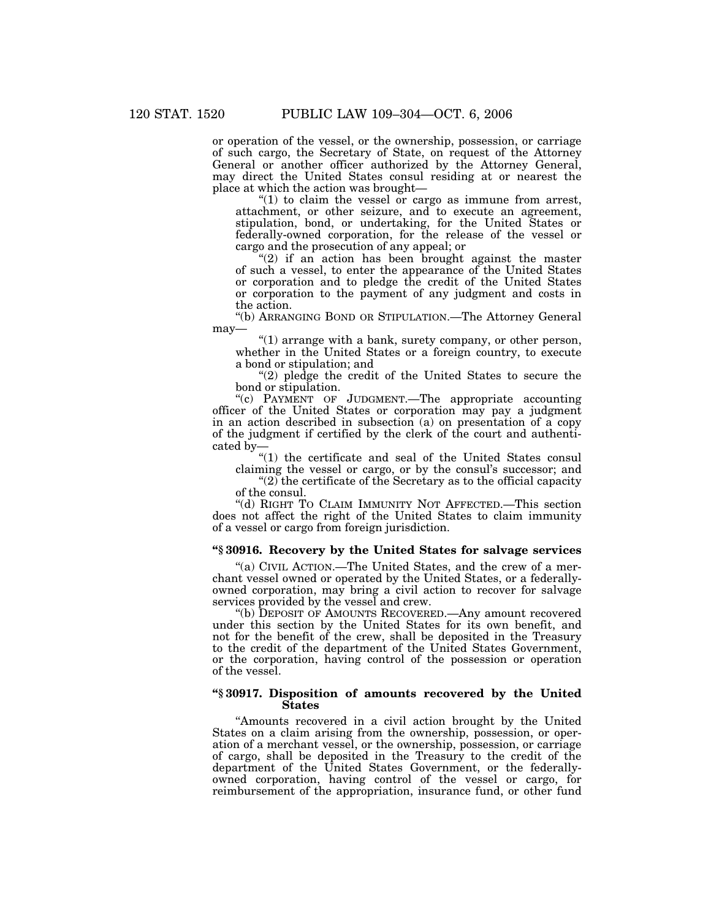or operation of the vessel, or the ownership, possession, or carriage of such cargo, the Secretary of State, on request of the Attorney General or another officer authorized by the Attorney General, may direct the United States consul residing at or nearest the place at which the action was brought—

 $''(1)$  to claim the vessel or cargo as immune from arrest, attachment, or other seizure, and to execute an agreement, stipulation, bond, or undertaking, for the United States or federally-owned corporation, for the release of the vessel or cargo and the prosecution of any appeal; or

 $(2)$  if an action has been brought against the master of such a vessel, to enter the appearance of the United States or corporation and to pledge the credit of the United States or corporation to the payment of any judgment and costs in the action.

''(b) ARRANGING BOND OR STIPULATION.—The Attorney General may—

''(1) arrange with a bank, surety company, or other person, whether in the United States or a foreign country, to execute a bond or stipulation; and

''(2) pledge the credit of the United States to secure the bond or stipulation.

''(c) PAYMENT OF JUDGMENT.—The appropriate accounting officer of the United States or corporation may pay a judgment in an action described in subsection (a) on presentation of a copy of the judgment if certified by the clerk of the court and authenticated by—

 $\overline{r(1)}$  the certificate and seal of the United States consul claiming the vessel or cargo, or by the consul's successor; and

 $(2)$  the certificate of the Secretary as to the official capacity of the consul.

''(d) RIGHT TO CLAIM IMMUNITY NOT AFFECTED.—This section does not affect the right of the United States to claim immunity of a vessel or cargo from foreign jurisdiction.

# **''§ 30916. Recovery by the United States for salvage services**

''(a) CIVIL ACTION.—The United States, and the crew of a merchant vessel owned or operated by the United States, or a federallyowned corporation, may bring a civil action to recover for salvage services provided by the vessel and crew.

''(b) DEPOSIT OF AMOUNTS RECOVERED.—Any amount recovered under this section by the United States for its own benefit, and not for the benefit of the crew, shall be deposited in the Treasury to the credit of the department of the United States Government, or the corporation, having control of the possession or operation of the vessel.

#### **''§ 30917. Disposition of amounts recovered by the United States**

''Amounts recovered in a civil action brought by the United States on a claim arising from the ownership, possession, or operation of a merchant vessel, or the ownership, possession, or carriage of cargo, shall be deposited in the Treasury to the credit of the department of the United States Government, or the federallyowned corporation, having control of the vessel or cargo, for reimbursement of the appropriation, insurance fund, or other fund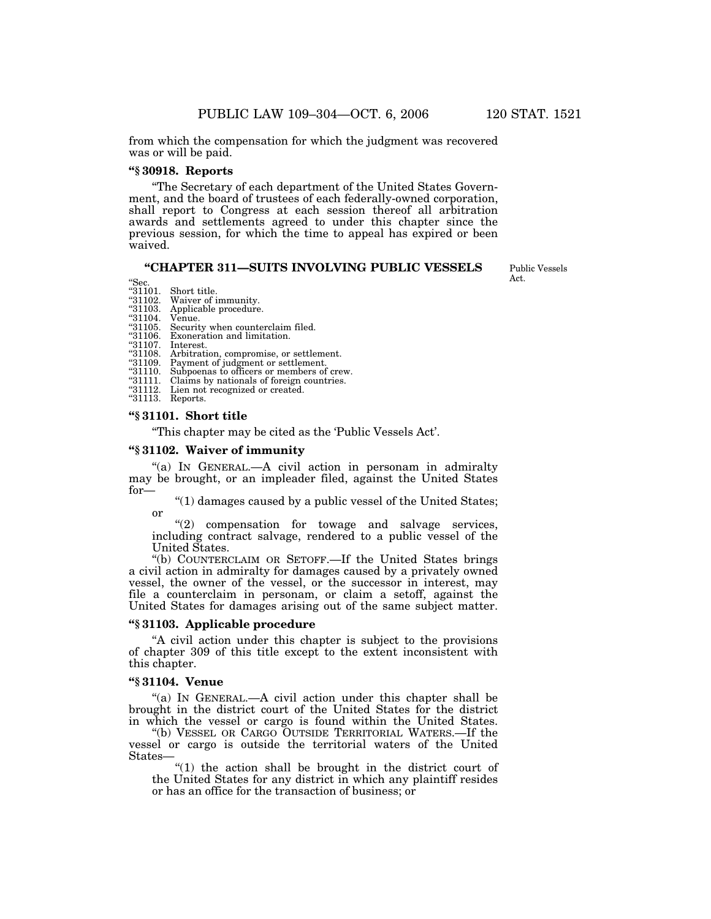from which the compensation for which the judgment was recovered was or will be paid.

#### **''§ 30918. Reports**

''The Secretary of each department of the United States Government, and the board of trustees of each federally-owned corporation, shall report to Congress at each session thereof all arbitration awards and settlements agreed to under this chapter since the previous session, for which the time to appeal has expired or been waived.

#### **''CHAPTER 311—SUITS INVOLVING PUBLIC VESSELS**

Public Vessels Act.

''Sec. ''31101. Short title.

- Waiver of immunity.
- Applicable procedure.<br>Venue.
- $\begin{array}{r} .31101. \ \text{\textdegree{*}}31102. \ \text{\textdegree{*}}31103. \ \text{\textdegree{*}}31104. \ \text{\textdegree{*}}31105. \end{array}$

# "31105. Security when counterclaim filed.<br>"31106. Exoneration and limitation.<br>"31107. Interest.<br>"31108. Arbitration, compromise, or settle

- Exoneration and limitation.
- Interest.
- "31108. Arbitration, compromise, or settlement.<br>"31109. Payment of judgment or settlement.<br>"31110. Subpoenas to officers or members of cre
- Payment of judgment or settlement.
- "31110. Subpoenas to officers or members of crew.<br>"31111. Claims by nationals of foreign countries.<br>"31112. Lien not recognized or created.
- Claims by nationals of foreign countries. Lien not recognized or created.
- ''31113. Reports.
- 

#### **''§ 31101. Short title**

''This chapter may be cited as the 'Public Vessels Act'.

#### **''§ 31102. Waiver of immunity**

"(a) IN GENERAL.—A civil action in personam in admiralty may be brought, or an impleader filed, against the United States for—

''(1) damages caused by a public vessel of the United States; or

''(2) compensation for towage and salvage services, including contract salvage, rendered to a public vessel of the United States.

''(b) COUNTERCLAIM OR SETOFF.—If the United States brings a civil action in admiralty for damages caused by a privately owned vessel, the owner of the vessel, or the successor in interest, may file a counterclaim in personam, or claim a setoff, against the United States for damages arising out of the same subject matter.

# **''§ 31103. Applicable procedure**

''A civil action under this chapter is subject to the provisions of chapter 309 of this title except to the extent inconsistent with this chapter.

#### **''§ 31104. Venue**

"(a) IN GENERAL.—A civil action under this chapter shall be brought in the district court of the United States for the district in which the vessel or cargo is found within the United States.

''(b) VESSEL OR CARGO OUTSIDE TERRITORIAL WATERS.—If the vessel or cargo is outside the territorial waters of the United States—

''(1) the action shall be brought in the district court of the United States for any district in which any plaintiff resides or has an office for the transaction of business; or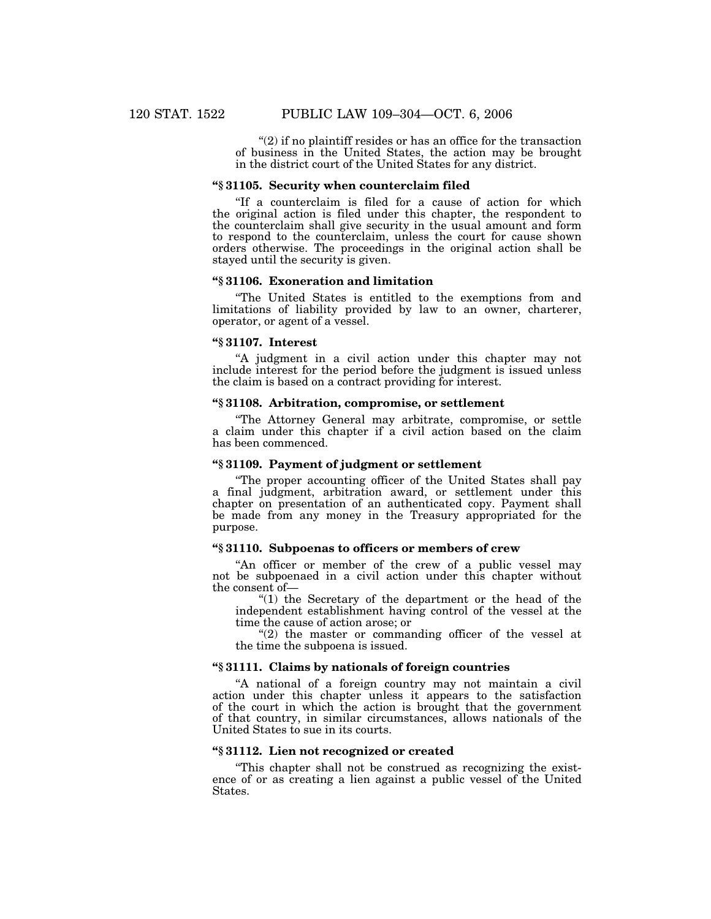$(2)$  if no plaintiff resides or has an office for the transaction of business in the United States, the action may be brought in the district court of the United States for any district.

#### **''§ 31105. Security when counterclaim filed**

''If a counterclaim is filed for a cause of action for which the original action is filed under this chapter, the respondent to the counterclaim shall give security in the usual amount and form to respond to the counterclaim, unless the court for cause shown orders otherwise. The proceedings in the original action shall be stayed until the security is given.

#### **''§ 31106. Exoneration and limitation**

''The United States is entitled to the exemptions from and limitations of liability provided by law to an owner, charterer, operator, or agent of a vessel.

#### **''§ 31107. Interest**

''A judgment in a civil action under this chapter may not include interest for the period before the judgment is issued unless the claim is based on a contract providing for interest.

# **''§ 31108. Arbitration, compromise, or settlement**

''The Attorney General may arbitrate, compromise, or settle a claim under this chapter if a civil action based on the claim has been commenced.

#### **''§ 31109. Payment of judgment or settlement**

''The proper accounting officer of the United States shall pay a final judgment, arbitration award, or settlement under this chapter on presentation of an authenticated copy. Payment shall be made from any money in the Treasury appropriated for the purpose.

#### **''§ 31110. Subpoenas to officers or members of crew**

"An officer or member of the crew of a public vessel may not be subpoenaed in a civil action under this chapter without the consent of—

''(1) the Secretary of the department or the head of the independent establishment having control of the vessel at the time the cause of action arose; or

 $(2)$  the master or commanding officer of the vessel at the time the subpoena is issued.

#### **''§ 31111. Claims by nationals of foreign countries**

''A national of a foreign country may not maintain a civil action under this chapter unless it appears to the satisfaction of the court in which the action is brought that the government of that country, in similar circumstances, allows nationals of the United States to sue in its courts.

#### **''§ 31112. Lien not recognized or created**

''This chapter shall not be construed as recognizing the existence of or as creating a lien against a public vessel of the United States.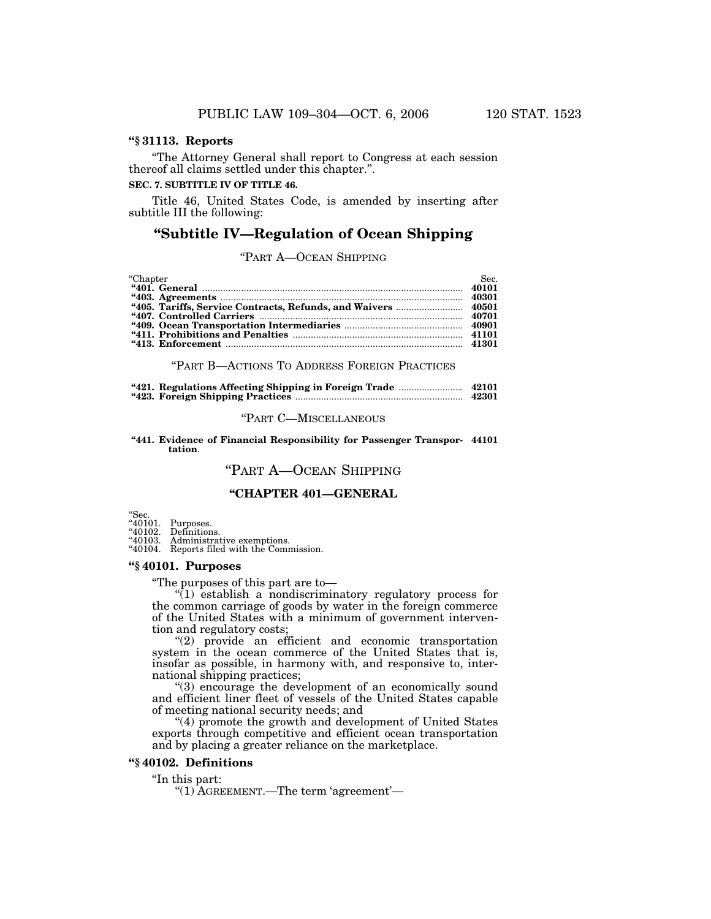# **''§ 31113. Reports**

''The Attorney General shall report to Congress at each session thereof all claims settled under this chapter.''.

# **SEC. 7. SUBTITLE IV OF TITLE 46.**

Title 46, United States Code, is amended by inserting after subtitle III the following:

# **''Subtitle IV—Regulation of Ocean Shipping**

''PART A—OCEAN SHIPPING

#### ''PART B—ACTIONS TO ADDRESS FOREIGN PRACTICES

| "421. Regulations Affecting Shipping in Foreign Trade | 42101 |
|-------------------------------------------------------|-------|
|                                                       | 42301 |

#### ''PART C—MISCELLANEOUS

**''441. Evidence of Financial Responsibility for Passenger Transpor-44101 tation**.

# ''PART A—OCEAN SHIPPING

# **''CHAPTER 401—GENERAL**

'Sec.

# ''40101. Purposes. ''40102. Definitions.

''40103. Administrative exemptions. ''40104. Reports filed with the Commission.

#### **''§ 40101. Purposes**

''The purposes of this part are to—

 $\sqrt[n]{(1)}$  establish a nondiscriminatory regulatory process for the common carriage of goods by water in the foreign commerce of the United States with a minimum of government intervention and regulatory costs;

"(2) provide an efficient and economic transportation system in the ocean commerce of the United States that is, insofar as possible, in harmony with, and responsive to, international shipping practices;

''(3) encourage the development of an economically sound and efficient liner fleet of vessels of the United States capable of meeting national security needs; and

"(4) promote the growth and development of United States exports through competitive and efficient ocean transportation and by placing a greater reliance on the marketplace.

#### **''§ 40102. Definitions**

''In this part:

" $(1)$  AGREEMENT.—The term 'agreement'—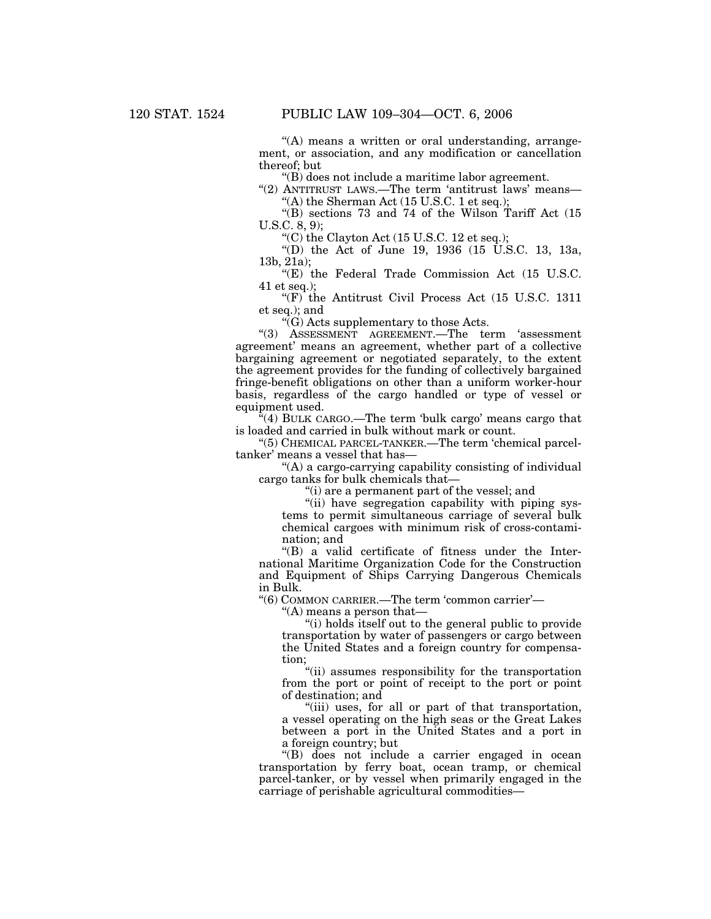"(A) means a written or oral understanding, arrangement, or association, and any modification or cancellation thereof; but

 $\mathrm{``(B)}$  does not include a maritime labor agreement.

"(2) ANTITRUST LAWS.—The term 'antitrust laws' means— "(A) the Sherman Act  $(15 \text{ U.S.C. 1 et seq.})$ ;

''(B) sections 73 and 74 of the Wilson Tariff Act (15 U.S.C. 8, 9);

''(C) the Clayton Act (15 U.S.C. 12 et seq.);

''(D) the Act of June 19, 1936 (15 U.S.C. 13, 13a, 13b, 21a);

''(E) the Federal Trade Commission Act (15 U.S.C. 41 et seq.);

''(F) the Antitrust Civil Process Act (15 U.S.C. 1311 et seq.); and

''(G) Acts supplementary to those Acts.

''(3) ASSESSMENT AGREEMENT.—The term 'assessment agreement' means an agreement, whether part of a collective bargaining agreement or negotiated separately, to the extent the agreement provides for the funding of collectively bargained fringe-benefit obligations on other than a uniform worker-hour basis, regardless of the cargo handled or type of vessel or equipment used.

 $\sqrt{4}$ (4) BULK CARGO.—The term 'bulk cargo' means cargo that is loaded and carried in bulk without mark or count.

''(5) CHEMICAL PARCEL-TANKER.—The term 'chemical parceltanker' means a vessel that has—

''(A) a cargo-carrying capability consisting of individual cargo tanks for bulk chemicals that—

''(i) are a permanent part of the vessel; and

"(ii) have segregation capability with piping systems to permit simultaneous carriage of several bulk chemical cargoes with minimum risk of cross-contamination; and

''(B) a valid certificate of fitness under the International Maritime Organization Code for the Construction and Equipment of Ships Carrying Dangerous Chemicals in Bulk.

''(6) COMMON CARRIER.—The term 'common carrier'—

''(A) means a person that—

''(i) holds itself out to the general public to provide transportation by water of passengers or cargo between the United States and a foreign country for compensation;

''(ii) assumes responsibility for the transportation from the port or point of receipt to the port or point of destination; and

''(iii) uses, for all or part of that transportation, a vessel operating on the high seas or the Great Lakes between a port in the United States and a port in a foreign country; but

''(B) does not include a carrier engaged in ocean transportation by ferry boat, ocean tramp, or chemical parcel-tanker, or by vessel when primarily engaged in the carriage of perishable agricultural commodities—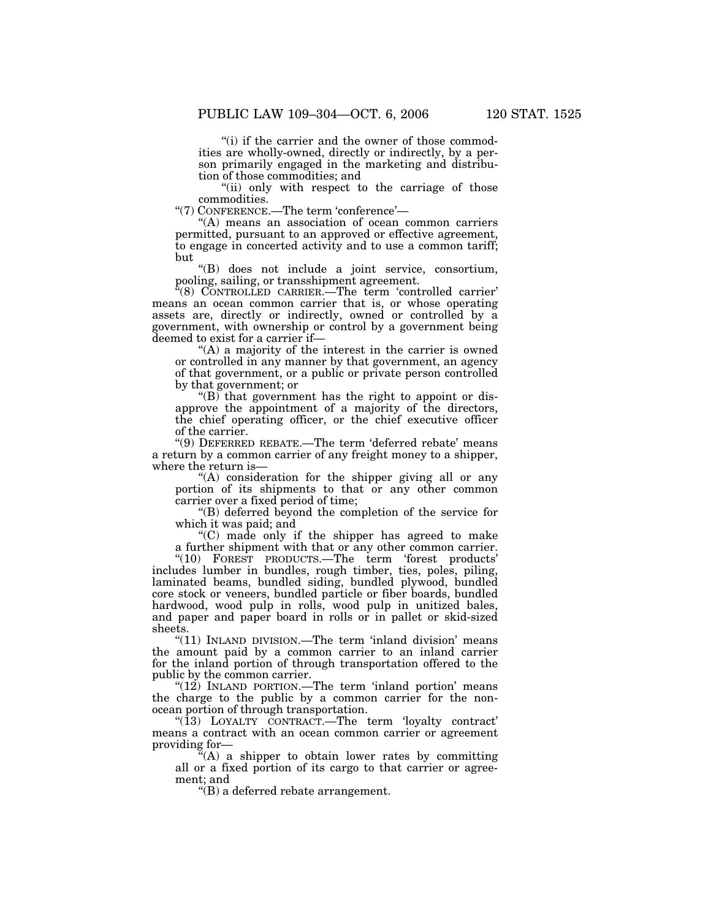"(i) if the carrier and the owner of those commodities are wholly-owned, directly or indirectly, by a person primarily engaged in the marketing and distribution of those commodities; and

"(ii) only with respect to the carriage of those commodities.

''(7) CONFERENCE.—The term 'conference'—

"(A) means an association of ocean common carriers permitted, pursuant to an approved or effective agreement, to engage in concerted activity and to use a common tariff; but

''(B) does not include a joint service, consortium, pooling, sailing, or transshipment agreement.

''(8) CONTROLLED CARRIER.—The term 'controlled carrier' means an ocean common carrier that is, or whose operating assets are, directly or indirectly, owned or controlled by a government, with ownership or control by a government being deemed to exist for a carrier if—

''(A) a majority of the interest in the carrier is owned or controlled in any manner by that government, an agency of that government, or a public or private person controlled by that government; or

 $\mathrm{``(B)}$  that government has the right to appoint or disapprove the appointment of a majority of the directors, the chief operating officer, or the chief executive officer of the carrier.

"(9) DEFERRED REBATE.—The term 'deferred rebate' means a return by a common carrier of any freight money to a shipper, where the return is—

 $<sup>4</sup>(A)$  consideration for the shipper giving all or any</sup> portion of its shipments to that or any other common carrier over a fixed period of time;

''(B) deferred beyond the completion of the service for which it was paid; and

''(C) made only if the shipper has agreed to make a further shipment with that or any other common carrier.

"(10) FOREST PRODUCTS.—The term 'forest products' includes lumber in bundles, rough timber, ties, poles, piling, laminated beams, bundled siding, bundled plywood, bundled core stock or veneers, bundled particle or fiber boards, bundled hardwood, wood pulp in rolls, wood pulp in unitized bales, and paper and paper board in rolls or in pallet or skid-sized sheets.

''(11) INLAND DIVISION.—The term 'inland division' means the amount paid by a common carrier to an inland carrier for the inland portion of through transportation offered to the public by the common carrier.

" $(12)$  INLAND PORTION.—The term 'inland portion' means the charge to the public by a common carrier for the nonocean portion of through transportation.

''(13) LOYALTY CONTRACT.—The term 'loyalty contract' means a contract with an ocean common carrier or agreement providing for—

''(A) a shipper to obtain lower rates by committing all or a fixed portion of its cargo to that carrier or agreement; and

 $\mathcal{H}(B)$  a deferred rebate arrangement.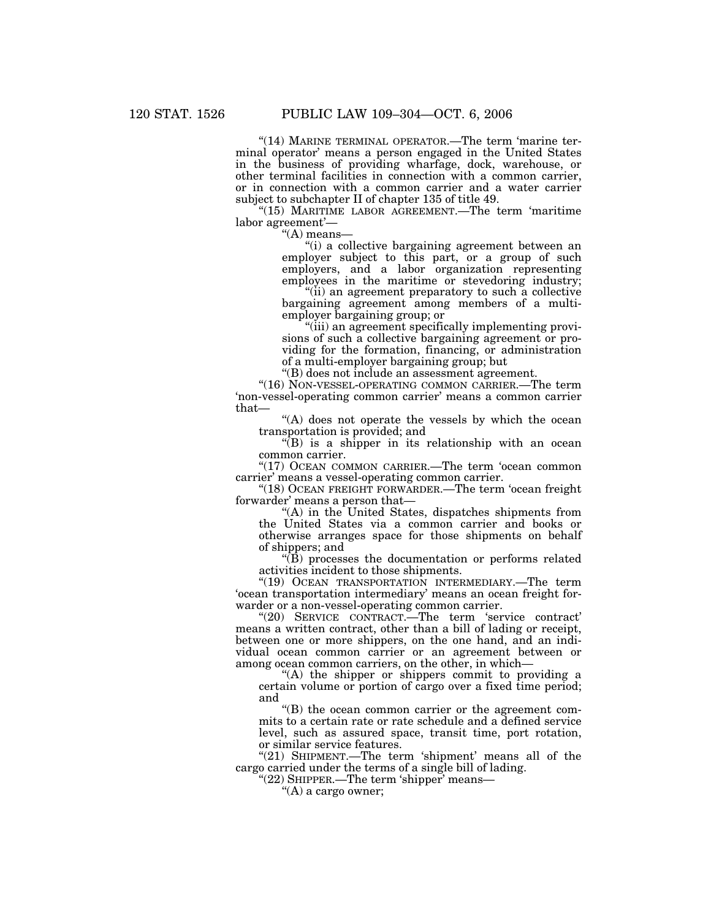"(14) MARINE TERMINAL OPERATOR.—The term 'marine terminal operator' means a person engaged in the United States in the business of providing wharfage, dock, warehouse, or other terminal facilities in connection with a common carrier, or in connection with a common carrier and a water carrier subject to subchapter II of chapter 135 of title 49.

''(15) MARITIME LABOR AGREEMENT.—The term 'maritime labor agreement'—

''(A) means—

''(i) a collective bargaining agreement between an employer subject to this part, or a group of such employers, and a labor organization representing employees in the maritime or stevedoring industry;

"(ii) an agreement preparatory to such a collective bargaining agreement among members of a multiemployer bargaining group; or

''(iii) an agreement specifically implementing provisions of such a collective bargaining agreement or providing for the formation, financing, or administration of a multi-employer bargaining group; but

''(B) does not include an assessment agreement.

''(16) NON-VESSEL-OPERATING COMMON CARRIER.—The term 'non-vessel-operating common carrier' means a common carrier that—

"(A) does not operate the vessels by which the ocean transportation is provided; and

''(B) is a shipper in its relationship with an ocean common carrier.

"(17) OCEAN COMMON CARRIER.—The term 'ocean common carrier' means a vessel-operating common carrier.

"(18) OCEAN FREIGHT FORWARDER.—The term 'ocean freight forwarder' means a person that—

''(A) in the United States, dispatches shipments from the United States via a common carrier and books or otherwise arranges space for those shipments on behalf of shippers; and

 $\mathrm{H}(B)$  processes the documentation or performs related activities incident to those shipments.

"(19) OCEAN TRANSPORTATION INTERMEDIARY.—The term 'ocean transportation intermediary' means an ocean freight forwarder or a non-vessel-operating common carrier.

''(20) SERVICE CONTRACT.—The term 'service contract' means a written contract, other than a bill of lading or receipt, between one or more shippers, on the one hand, and an individual ocean common carrier or an agreement between or among ocean common carriers, on the other, in which—

''(A) the shipper or shippers commit to providing a certain volume or portion of cargo over a fixed time period; and

''(B) the ocean common carrier or the agreement commits to a certain rate or rate schedule and a defined service level, such as assured space, transit time, port rotation, or similar service features.

"(21) SHIPMENT.—The term 'shipment' means all of the cargo carried under the terms of a single bill of lading.

"(22) SHIPPER.—The term 'shipper' means—

''(A) a cargo owner;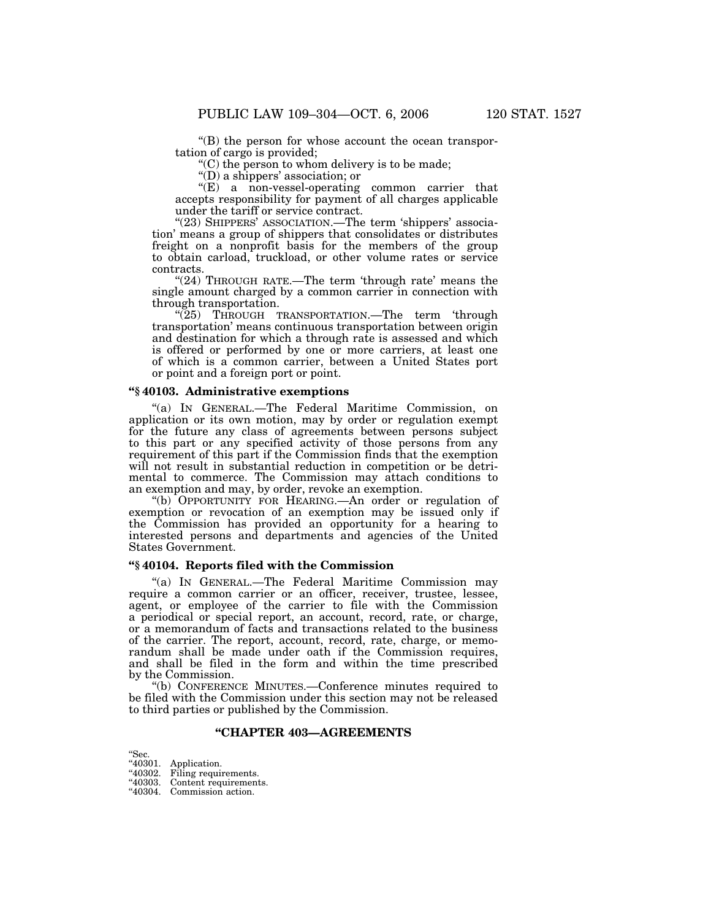$\mathrm{``(B)}$  the person for whose account the ocean transportation of cargo is provided;

 $(C)$  the person to whom delivery is to be made;

''(D) a shippers' association; or

''(E) a non-vessel-operating common carrier that accepts responsibility for payment of all charges applicable under the tariff or service contract.

"(23) SHIPPERS' ASSOCIATION.—The term 'shippers' association' means a group of shippers that consolidates or distributes freight on a nonprofit basis for the members of the group to obtain carload, truckload, or other volume rates or service contracts.

"(24) THROUGH RATE.—The term 'through rate' means the single amount charged by a common carrier in connection with through transportation.

"(25) THROUGH TRANSPORTATION.—The term 'through transportation' means continuous transportation between origin and destination for which a through rate is assessed and which is offered or performed by one or more carriers, at least one of which is a common carrier, between a United States port or point and a foreign port or point.

#### **''§ 40103. Administrative exemptions**

''(a) IN GENERAL.—The Federal Maritime Commission, on application or its own motion, may by order or regulation exempt for the future any class of agreements between persons subject to this part or any specified activity of those persons from any requirement of this part if the Commission finds that the exemption will not result in substantial reduction in competition or be detrimental to commerce. The Commission may attach conditions to an exemption and may, by order, revoke an exemption.

''(b) OPPORTUNITY FOR HEARING.—An order or regulation of exemption or revocation of an exemption may be issued only if the Commission has provided an opportunity for a hearing to interested persons and departments and agencies of the United States Government.

#### **''§ 40104. Reports filed with the Commission**

''(a) IN GENERAL.—The Federal Maritime Commission may require a common carrier or an officer, receiver, trustee, lessee, agent, or employee of the carrier to file with the Commission a periodical or special report, an account, record, rate, or charge, or a memorandum of facts and transactions related to the business of the carrier. The report, account, record, rate, charge, or memorandum shall be made under oath if the Commission requires, and shall be filed in the form and within the time prescribed by the Commission.

''(b) CONFERENCE MINUTES.—Conference minutes required to be filed with the Commission under this section may not be released to third parties or published by the Commission.

#### **''CHAPTER 403—AGREEMENTS**

''Sec. ''40301. Application. ''40302. Filing requirements. "40303. Content requirements. ''40304. Commission action.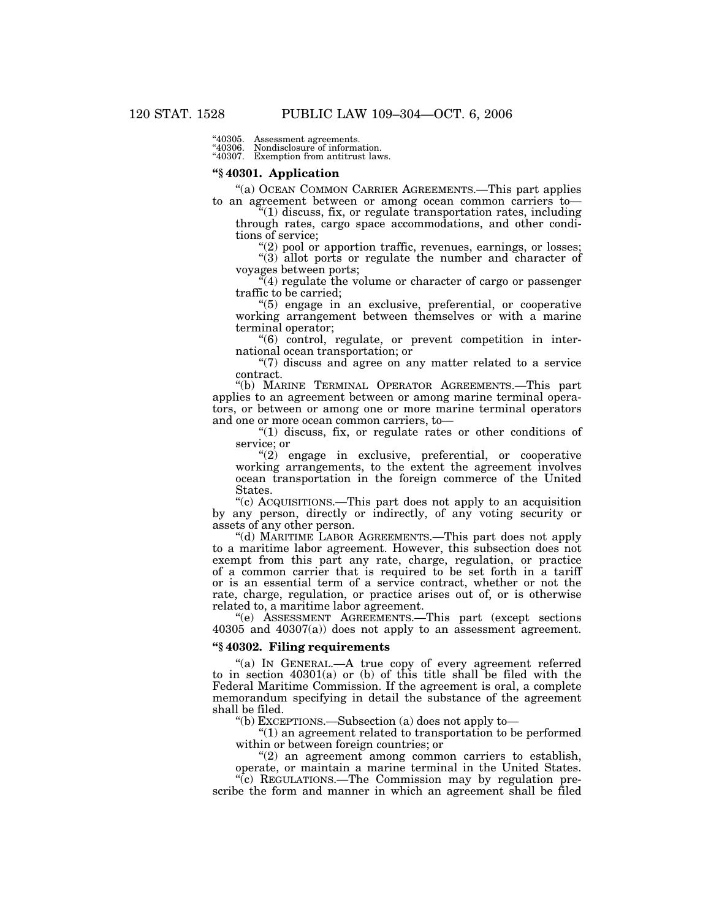''40305. Assessment agreements.

''40306. Nondisclosure of information. ''40307. Exemption from antitrust laws.

#### **''§ 40301. Application**

''(a) OCEAN COMMON CARRIER AGREEMENTS.—This part applies to an agreement between or among ocean common carriers to—

''(1) discuss, fix, or regulate transportation rates, including through rates, cargo space accommodations, and other conditions of service;

"(2) pool or apportion traffic, revenues, earnings, or losses;

''(3) allot ports or regulate the number and character of voyages between ports;

''(4) regulate the volume or character of cargo or passenger traffic to be carried;

''(5) engage in an exclusive, preferential, or cooperative working arrangement between themselves or with a marine terminal operator;

''(6) control, regulate, or prevent competition in international ocean transportation; or

 $\degree$ (7) discuss and agree on any matter related to a service contract.

''(b) MARINE TERMINAL OPERATOR AGREEMENTS.—This part applies to an agreement between or among marine terminal operators, or between or among one or more marine terminal operators and one or more ocean common carriers, to—

''(1) discuss, fix, or regulate rates or other conditions of service; or

''(2) engage in exclusive, preferential, or cooperative working arrangements, to the extent the agreement involves ocean transportation in the foreign commerce of the United States.

''(c) ACQUISITIONS.—This part does not apply to an acquisition by any person, directly or indirectly, of any voting security or assets of any other person.

''(d) MARITIME LABOR AGREEMENTS.—This part does not apply to a maritime labor agreement. However, this subsection does not exempt from this part any rate, charge, regulation, or practice of a common carrier that is required to be set forth in a tariff or is an essential term of a service contract, whether or not the rate, charge, regulation, or practice arises out of, or is otherwise related to, a maritime labor agreement.

''(e) ASSESSMENT AGREEMENTS.—This part (except sections 40305 and 40307(a)) does not apply to an assessment agreement.

#### **''§ 40302. Filing requirements**

"(a) IN GENERAL.—A true copy of every agreement referred to in section 40301(a) or (b) of this title shall be filed with the Federal Maritime Commission. If the agreement is oral, a complete memorandum specifying in detail the substance of the agreement shall be filed.

''(b) EXCEPTIONS.—Subsection (a) does not apply to—

''(1) an agreement related to transportation to be performed within or between foreign countries; or

 $(2)$  an agreement among common carriers to establish, operate, or maintain a marine terminal in the United States.

(c) REGULATIONS.—The Commission may by regulation prescribe the form and manner in which an agreement shall be filed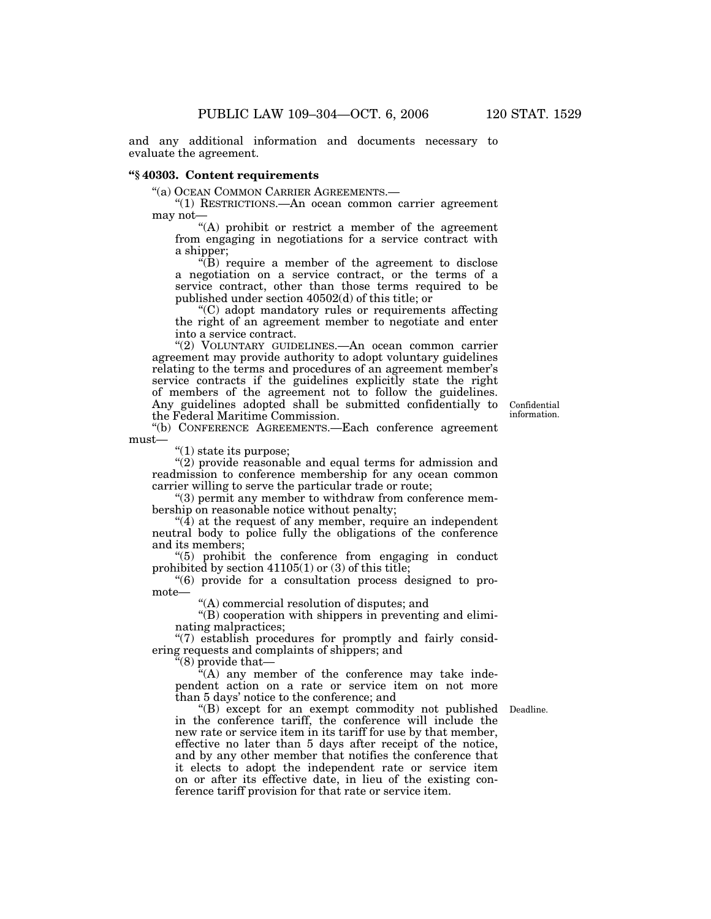and any additional information and documents necessary to evaluate the agreement.

#### **''§ 40303. Content requirements**

''(a) OCEAN COMMON CARRIER AGREEMENTS.—

''(1) RESTRICTIONS.—An ocean common carrier agreement may not—

"(A) prohibit or restrict a member of the agreement from engaging in negotiations for a service contract with a shipper;

 $\sqrt{\ }$ (B) require a member of the agreement to disclose a negotiation on a service contract, or the terms of a service contract, other than those terms required to be published under section 40502(d) of this title; or

''(C) adopt mandatory rules or requirements affecting the right of an agreement member to negotiate and enter into a service contract.

''(2) VOLUNTARY GUIDELINES.—An ocean common carrier agreement may provide authority to adopt voluntary guidelines relating to the terms and procedures of an agreement member's service contracts if the guidelines explicitly state the right of members of the agreement not to follow the guidelines. Any guidelines adopted shall be submitted confidentially to the Federal Maritime Commission.

Confidential information.

''(b) CONFERENCE AGREEMENTS.—Each conference agreement must—

''(1) state its purpose;

''(2) provide reasonable and equal terms for admission and readmission to conference membership for any ocean common carrier willing to serve the particular trade or route;

''(3) permit any member to withdraw from conference membership on reasonable notice without penalty;

 $(4)$  at the request of any member, require an independent neutral body to police fully the obligations of the conference and its members;

''(5) prohibit the conference from engaging in conduct prohibited by section  $41105(1)$  or  $(3)$  of this title;

''(6) provide for a consultation process designed to promote—

''(A) commercial resolution of disputes; and

 $\mathrm{``(B)}$  cooperation with shippers in preventing and eliminating malpractices;

"(7) establish procedures for promptly and fairly considering requests and complaints of shippers; and

 $(8)$  provide that-

"(A) any member of the conference may take independent action on a rate or service item on not more than 5 days' notice to the conference; and

''(B) except for an exempt commodity not published Deadline. in the conference tariff, the conference will include the new rate or service item in its tariff for use by that member, effective no later than 5 days after receipt of the notice, and by any other member that notifies the conference that it elects to adopt the independent rate or service item on or after its effective date, in lieu of the existing conference tariff provision for that rate or service item.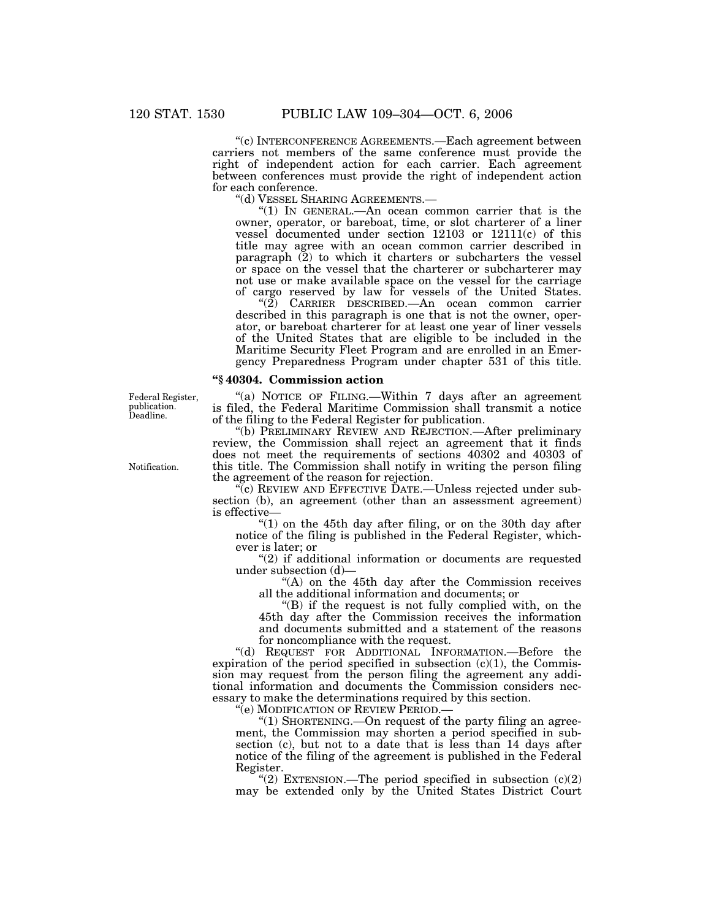''(c) INTERCONFERENCE AGREEMENTS.—Each agreement between carriers not members of the same conference must provide the right of independent action for each carrier. Each agreement between conferences must provide the right of independent action for each conference.<br>"(d) VESSEL SHARING AGREEMENTS.—

" $(1)$  In GENERAL.—An ocean common carrier that is the owner, operator, or bareboat, time, or slot charterer of a liner vessel documented under section 12103 or 12111(c) of this title may agree with an ocean common carrier described in paragraph (2) to which it charters or subcharters the vessel or space on the vessel that the charterer or subcharterer may not use or make available space on the vessel for the carriage of cargo reserved by law for vessels of the United States.

 $\sqrt[4]{2}$  CARRIER DESCRIBED.—An ocean common carrier described in this paragraph is one that is not the owner, operator, or bareboat charterer for at least one year of liner vessels of the United States that are eligible to be included in the Maritime Security Fleet Program and are enrolled in an Emergency Preparedness Program under chapter 531 of this title.

# **''§ 40304. Commission action**

"(a) NOTICE OF FILING.—Within 7 days after an agreement is filed, the Federal Maritime Commission shall transmit a notice of the filing to the Federal Register for publication.

''(b) PRELIMINARY REVIEW AND REJECTION.—After preliminary review, the Commission shall reject an agreement that it finds does not meet the requirements of sections 40302 and 40303 of this title. The Commission shall notify in writing the person filing the agreement of the reason for rejection.

''(c) REVIEW AND EFFECTIVE DATE.—Unless rejected under subsection (b), an agreement (other than an assessment agreement) is effective—

" $(1)$  on the 45th day after filing, or on the 30th day after notice of the filing is published in the Federal Register, whichever is later; or

''(2) if additional information or documents are requested under subsection (d)—

''(A) on the 45th day after the Commission receives all the additional information and documents; or

''(B) if the request is not fully complied with, on the 45th day after the Commission receives the information and documents submitted and a statement of the reasons for noncompliance with the request.

''(d) REQUEST FOR ADDITIONAL INFORMATION.—Before the expiration of the period specified in subsection  $(c)(1)$ , the Commission may request from the person filing the agreement any additional information and documents the Commission considers necessary to make the determinations required by this section.

''(e) MODIFICATION OF REVIEW PERIOD.—

" $(1)$  SHORTENING.—On request of the party filing an agreement, the Commission may shorten a period specified in subsection (c), but not to a date that is less than 14 days after notice of the filing of the agreement is published in the Federal Register.

"(2) EXTENSION.—The period specified in subsection  $(c)(2)$ may be extended only by the United States District Court

Federal Register, publication. Deadline.

Notification.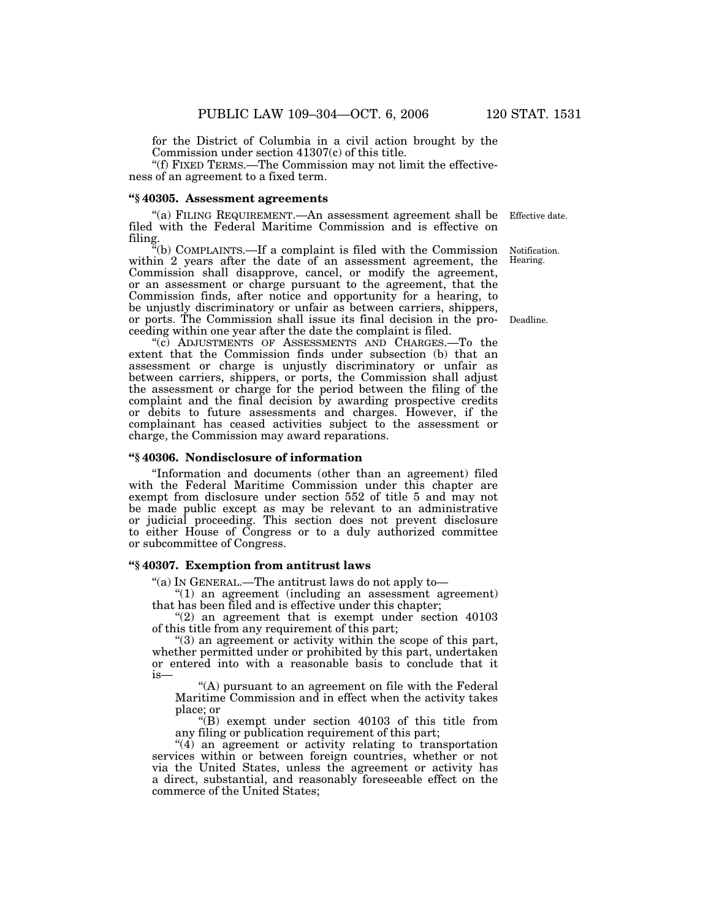for the District of Columbia in a civil action brought by the Commission under section 41307(c) of this title.

''(f) FIXED TERMS.—The Commission may not limit the effectiveness of an agreement to a fixed term.

#### **''§ 40305. Assessment agreements**

''(a) FILING REQUIREMENT.—An assessment agreement shall be filed with the Federal Maritime Commission and is effective on filing.

''(b) COMPLAINTS.—If a complaint is filed with the Commission within 2 years after the date of an assessment agreement, the Commission shall disapprove, cancel, or modify the agreement, or an assessment or charge pursuant to the agreement, that the Commission finds, after notice and opportunity for a hearing, to be unjustly discriminatory or unfair as between carriers, shippers, or ports. The Commission shall issue its final decision in the proceeding within one year after the date the complaint is filed.

''(c) ADJUSTMENTS OF ASSESSMENTS AND CHARGES.—To the extent that the Commission finds under subsection (b) that an assessment or charge is unjustly discriminatory or unfair as between carriers, shippers, or ports, the Commission shall adjust the assessment or charge for the period between the filing of the complaint and the final decision by awarding prospective credits or debits to future assessments and charges. However, if the complainant has ceased activities subject to the assessment or charge, the Commission may award reparations.

#### **''§ 40306. Nondisclosure of information**

''Information and documents (other than an agreement) filed with the Federal Maritime Commission under this chapter are exempt from disclosure under section 552 of title 5 and may not be made public except as may be relevant to an administrative or judicial proceeding. This section does not prevent disclosure to either House of Congress or to a duly authorized committee or subcommittee of Congress.

#### **''§ 40307. Exemption from antitrust laws**

''(a) IN GENERAL.—The antitrust laws do not apply to—

 $''(1)$  an agreement (including an assessment agreement) that has been filed and is effective under this chapter;

" $(2)$  an agreement that is exempt under section 40103 of this title from any requirement of this part;

''(3) an agreement or activity within the scope of this part, whether permitted under or prohibited by this part, undertaken or entered into with a reasonable basis to conclude that it is—

''(A) pursuant to an agreement on file with the Federal Maritime Commission and in effect when the activity takes place; or

''(B) exempt under section 40103 of this title from any filing or publication requirement of this part;

 $''(4)$  an agreement or activity relating to transportation services within or between foreign countries, whether or not via the United States, unless the agreement or activity has a direct, substantial, and reasonably foreseeable effect on the commerce of the United States;

Effective date.

Notification. Hearing.

Deadline.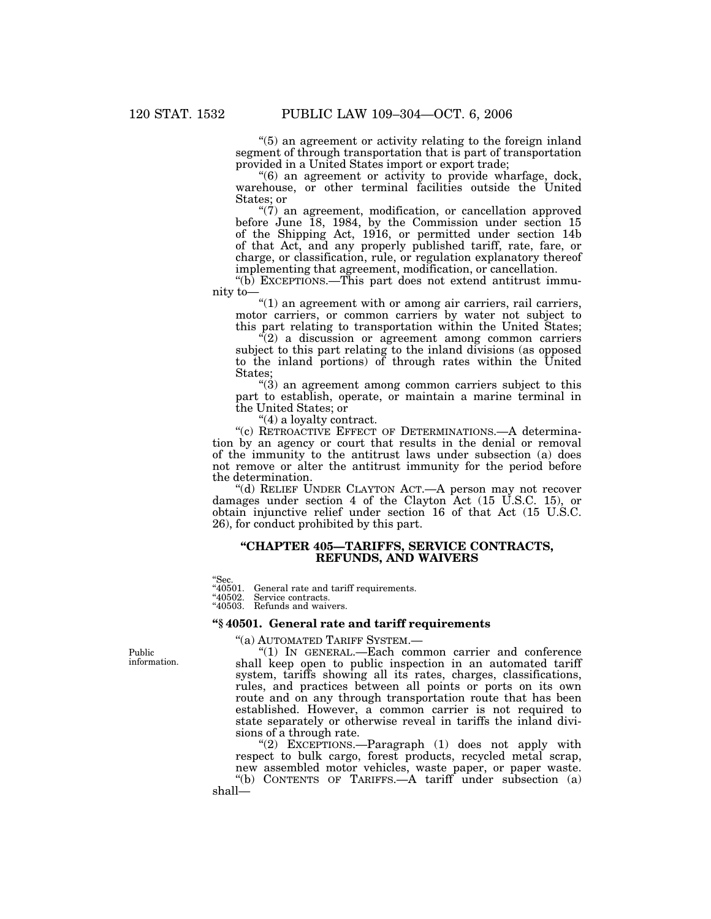''(5) an agreement or activity relating to the foreign inland segment of through transportation that is part of transportation provided in a United States import or export trade;

''(6) an agreement or activity to provide wharfage, dock, warehouse, or other terminal facilities outside the United States; or

"(7) an agreement, modification, or cancellation approved before June 18, 1984, by the Commission under section 15 of the Shipping Act, 1916, or permitted under section 14b of that Act, and any properly published tariff, rate, fare, or charge, or classification, rule, or regulation explanatory thereof implementing that agreement, modification, or cancellation.

''(b) EXCEPTIONS.—This part does not extend antitrust immunity to—

"(1) an agreement with or among air carriers, rail carriers, motor carriers, or common carriers by water not subject to this part relating to transportation within the United States;

 $f(2)$  a discussion or agreement among common carriers subject to this part relating to the inland divisions (as opposed to the inland portions) of through rates within the United States;

''(3) an agreement among common carriers subject to this part to establish, operate, or maintain a marine terminal in the United States; or

''(4) a loyalty contract.

"(c) RETROACTIVE EFFECT OF DETERMINATIONS.—A determination by an agency or court that results in the denial or removal of the immunity to the antitrust laws under subsection (a) does not remove or alter the antitrust immunity for the period before the determination.

''(d) RELIEF UNDER CLAYTON ACT.—A person may not recover damages under section 4 of the Clayton Act (15 U.S.C. 15), or obtain injunctive relief under section 16 of that Act (15 U.S.C. 26), for conduct prohibited by this part.

#### **''CHAPTER 405—TARIFFS, SERVICE CONTRACTS, REFUNDS, AND WAIVERS**

''Sec.

"40501. General rate and tariff requirements."<br>40502. Service contracts.

Service contracts.

''40503. Refunds and waivers.

#### **''§ 40501. General rate and tariff requirements**

''(a) AUTOMATED TARIFF SYSTEM.—

Public information.

''(1) IN GENERAL.—Each common carrier and conference shall keep open to public inspection in an automated tariff system, tariffs showing all its rates, charges, classifications, rules, and practices between all points or ports on its own route and on any through transportation route that has been established. However, a common carrier is not required to state separately or otherwise reveal in tariffs the inland divisions of a through rate.

" $(2)$  EXCEPTIONS.—Paragraph  $(1)$  does not apply with respect to bulk cargo, forest products, recycled metal scrap, new assembled motor vehicles, waste paper, or paper waste. ''(b) CONTENTS OF TARIFFS.—A tariff under subsection (a)

shall—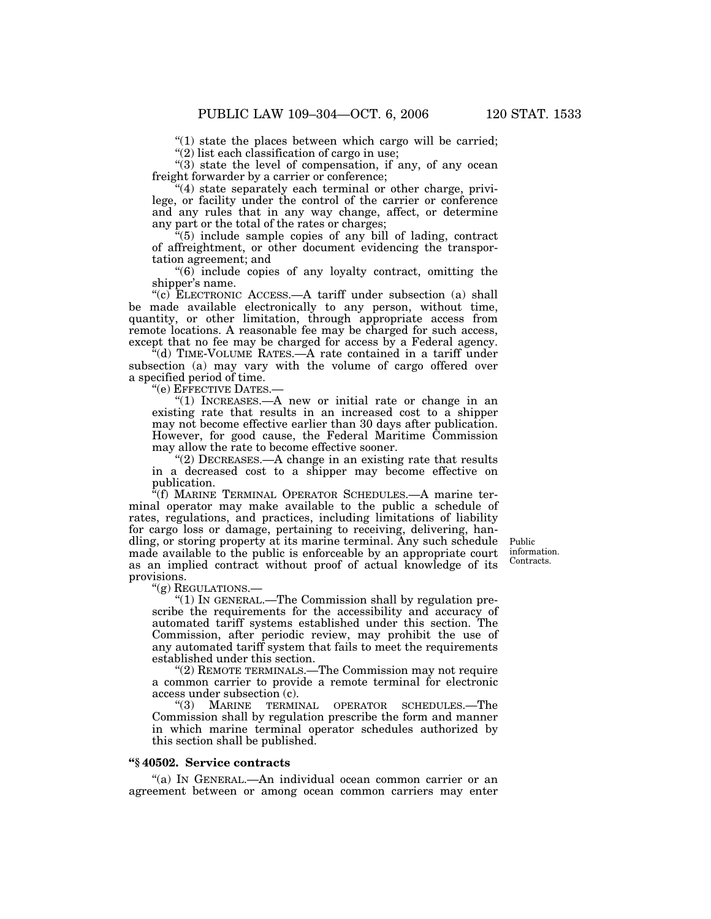" $(1)$  state the places between which cargo will be carried;

 $''(2)$  list each classification of cargo in use;

"(3) state the level of compensation, if any, of any ocean freight forwarder by a carrier or conference;

''(4) state separately each terminal or other charge, privilege, or facility under the control of the carrier or conference and any rules that in any way change, affect, or determine any part or the total of the rates or charges;

 $\frac{a}{b}$ (5) include sample copies of any bill of lading, contract of affreightment, or other document evidencing the transportation agreement; and

''(6) include copies of any loyalty contract, omitting the shipper's name.

"(c) ELECTRONIC ACCESS.—A tariff under subsection (a) shall be made available electronically to any person, without time, quantity, or other limitation, through appropriate access from remote locations. A reasonable fee may be charged for such access, except that no fee may be charged for access by a Federal agency.

''(d) TIME-VOLUME RATES.—A rate contained in a tariff under subsection (a) may vary with the volume of cargo offered over a specified period of time.

''(e) EFFECTIVE DATES.—

"(1) INCREASES.—A new or initial rate or change in an existing rate that results in an increased cost to a shipper may not become effective earlier than 30 days after publication. However, for good cause, the Federal Maritime Commission may allow the rate to become effective sooner.

" $(2)$  DECREASES.—A change in an existing rate that results in a decreased cost to a shipper may become effective on publication.

"(f) MARINE TERMINAL OPERATOR SCHEDULES.—A marine terminal operator may make available to the public a schedule of rates, regulations, and practices, including limitations of liability for cargo loss or damage, pertaining to receiving, delivering, handling, or storing property at its marine terminal. Any such schedule made available to the public is enforceable by an appropriate court as an implied contract without proof of actual knowledge of its provisions.

Public information. Contracts.

''(g) REGULATIONS.—

''(1) IN GENERAL.—The Commission shall by regulation prescribe the requirements for the accessibility and accuracy of automated tariff systems established under this section. The Commission, after periodic review, may prohibit the use of any automated tariff system that fails to meet the requirements established under this section.

''(2) REMOTE TERMINALS.—The Commission may not require a common carrier to provide a remote terminal for electronic access under subsection (c).

''(3) MARINE TERMINAL OPERATOR SCHEDULES.—The Commission shall by regulation prescribe the form and manner in which marine terminal operator schedules authorized by this section shall be published.

#### **''§ 40502. Service contracts**

''(a) IN GENERAL.—An individual ocean common carrier or an agreement between or among ocean common carriers may enter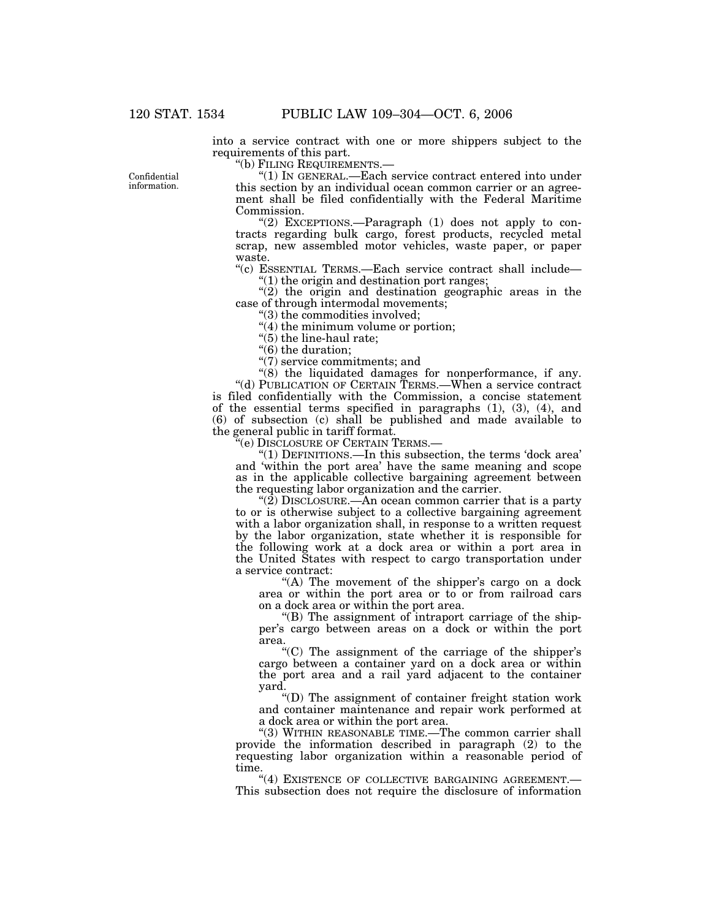into a service contract with one or more shippers subject to the requirements of this part.

''(b) FILING REQUIREMENTS.—

Confidential information.

''(1) IN GENERAL.—Each service contract entered into under this section by an individual ocean common carrier or an agreement shall be filed confidentially with the Federal Maritime Commission.

"(2) EXCEPTIONS.—Paragraph (1) does not apply to contracts regarding bulk cargo, forest products, recycled metal scrap, new assembled motor vehicles, waste paper, or paper waste.

''(c) ESSENTIAL TERMS.—Each service contract shall include— ''(1) the origin and destination port ranges;

 $''(2)$  the origin and destination geographic areas in the case of through intermodal movements;

''(3) the commodities involved;

"(4) the minimum volume or portion;

 $\cdot$ (5) the line-haul rate;

 $\degree$ (6) the duration;

 $\sqrt{\gamma}$  service commitments; and

"(8) the liquidated damages for nonperformance, if any. ''(d) PUBLICATION OF CERTAIN TERMS.—When a service contract is filed confidentially with the Commission, a concise statement of the essential terms specified in paragraphs (1), (3), (4), and (6) of subsection (c) shall be published and made available to the general public in tariff format.

'(e) DISCLOSURE OF CERTAIN TERMS.—

''(1) DEFINITIONS.—In this subsection, the terms 'dock area' and 'within the port area' have the same meaning and scope as in the applicable collective bargaining agreement between the requesting labor organization and the carrier.

"(2) DISCLOSURE.—An ocean common carrier that is a party to or is otherwise subject to a collective bargaining agreement with a labor organization shall, in response to a written request by the labor organization, state whether it is responsible for the following work at a dock area or within a port area in the United States with respect to cargo transportation under a service contract:

"(A) The movement of the shipper's cargo on a dock" area or within the port area or to or from railroad cars on a dock area or within the port area.

 $'(B)$  The assignment of intraport carriage of the shipper's cargo between areas on a dock or within the port area.

''(C) The assignment of the carriage of the shipper's cargo between a container yard on a dock area or within the port area and a rail yard adjacent to the container yard.

''(D) The assignment of container freight station work and container maintenance and repair work performed at a dock area or within the port area.

"(3) WITHIN REASONABLE TIME.—The common carrier shall provide the information described in paragraph (2) to the requesting labor organization within a reasonable period of

time.<br>"(4) EXISTENCE OF COLLECTIVE BARGAINING AGREEMENT.— This subsection does not require the disclosure of information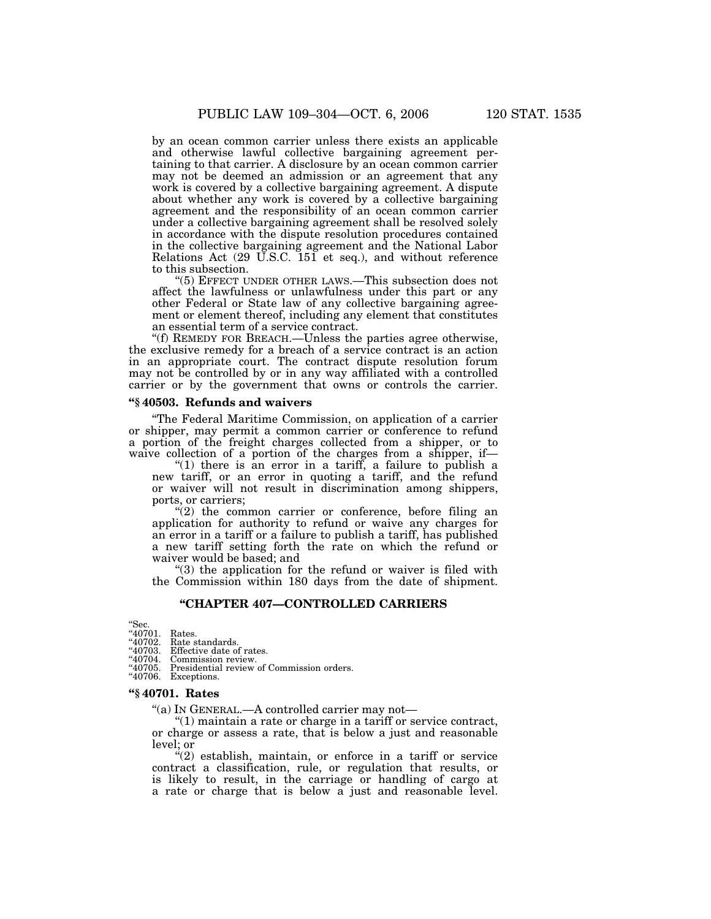by an ocean common carrier unless there exists an applicable and otherwise lawful collective bargaining agreement pertaining to that carrier. A disclosure by an ocean common carrier may not be deemed an admission or an agreement that any

work is covered by a collective bargaining agreement. A dispute about whether any work is covered by a collective bargaining agreement and the responsibility of an ocean common carrier under a collective bargaining agreement shall be resolved solely in accordance with the dispute resolution procedures contained in the collective bargaining agreement and the National Labor Relations Act (29 U.S.C. 151 et seq.), and without reference to this subsection.

''(5) EFFECT UNDER OTHER LAWS.—This subsection does not affect the lawfulness or unlawfulness under this part or any other Federal or State law of any collective bargaining agreement or element thereof, including any element that constitutes an essential term of a service contract.

''(f) REMEDY FOR BREACH.—Unless the parties agree otherwise, the exclusive remedy for a breach of a service contract is an action in an appropriate court. The contract dispute resolution forum may not be controlled by or in any way affiliated with a controlled carrier or by the government that owns or controls the carrier.

# **''§ 40503. Refunds and waivers**

''The Federal Maritime Commission, on application of a carrier or shipper, may permit a common carrier or conference to refund a portion of the freight charges collected from a shipper, or to waive collection of a portion of the charges from a shipper, if-

"(1) there is an error in a tariff, a failure to publish a new tariff, or an error in quoting a tariff, and the refund or waiver will not result in discrimination among shippers, ports, or carriers;

 $(2)$  the common carrier or conference, before filing an application for authority to refund or waive any charges for an error in a tariff or a failure to publish a tariff, has published a new tariff setting forth the rate on which the refund or waiver would be based; and

''(3) the application for the refund or waiver is filed with the Commission within 180 days from the date of shipment.

#### **''CHAPTER 407—CONTROLLED CARRIERS**

"Sec.<br>"40701. Rates. "40701. Rates.<br>"40702. Rate standards.<br>"40703. Effective date o

"40703. Effective date of rates.<br>"40704. Commission review. '40704. Commission review.<br>'40705. Presidential review

Presidential review of Commission orders.

"40706. Exceptions.

#### **''§ 40701. Rates**

''(a) IN GENERAL.—A controlled carrier may not—

 $''(1)$  maintain a rate or charge in a tariff or service contract, or charge or assess a rate, that is below a just and reasonable level; or

 $\sqrt{2}$ ) establish, maintain, or enforce in a tariff or service contract a classification, rule, or regulation that results, or is likely to result, in the carriage or handling of cargo at a rate or charge that is below a just and reasonable level.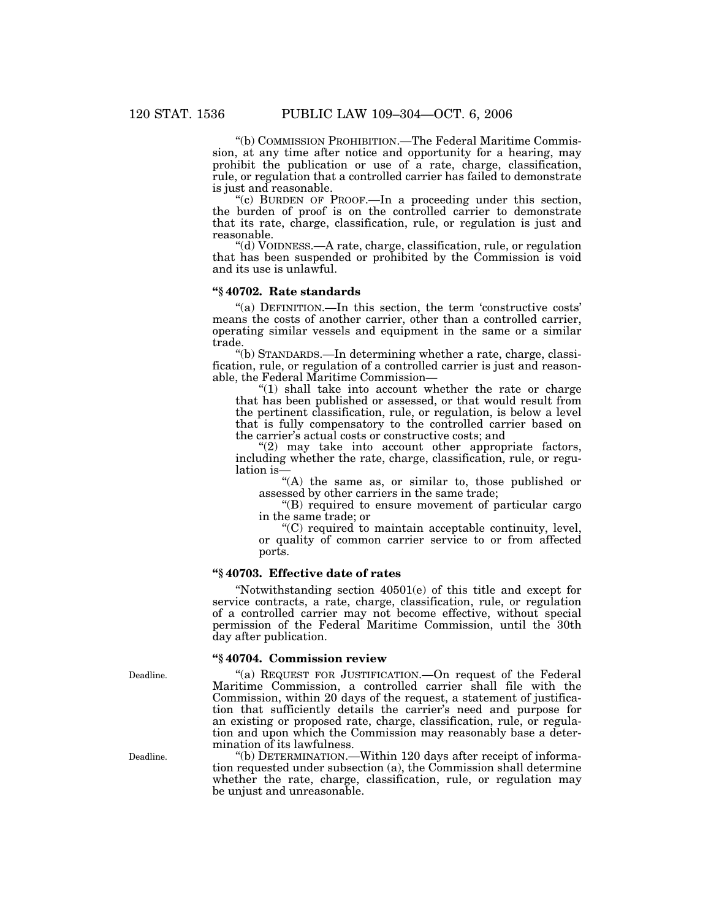''(b) COMMISSION PROHIBITION.—The Federal Maritime Commission, at any time after notice and opportunity for a hearing, may prohibit the publication or use of a rate, charge, classification, rule, or regulation that a controlled carrier has failed to demonstrate is just and reasonable.

''(c) BURDEN OF PROOF.—In a proceeding under this section, the burden of proof is on the controlled carrier to demonstrate that its rate, charge, classification, rule, or regulation is just and reasonable.

''(d) VOIDNESS.—A rate, charge, classification, rule, or regulation that has been suspended or prohibited by the Commission is void and its use is unlawful.

#### **''§ 40702. Rate standards**

"(a) DEFINITION.—In this section, the term 'constructive costs' means the costs of another carrier, other than a controlled carrier, operating similar vessels and equipment in the same or a similar trade.

''(b) STANDARDS.—In determining whether a rate, charge, classification, rule, or regulation of a controlled carrier is just and reasonable, the Federal Maritime Commission—

" $(1)$  shall take into account whether the rate or charge that has been published or assessed, or that would result from the pertinent classification, rule, or regulation, is below a level that is fully compensatory to the controlled carrier based on the carrier's actual costs or constructive costs; and

"(2) may take into account other appropriate factors, including whether the rate, charge, classification, rule, or regulation is—

''(A) the same as, or similar to, those published or assessed by other carriers in the same trade;

''(B) required to ensure movement of particular cargo in the same trade; or

''(C) required to maintain acceptable continuity, level, or quality of common carrier service to or from affected ports.

# **''§ 40703. Effective date of rates**

''Notwithstanding section 40501(e) of this title and except for service contracts, a rate, charge, classification, rule, or regulation of a controlled carrier may not become effective, without special permission of the Federal Maritime Commission, until the 30th day after publication.

#### **''§ 40704. Commission review**

"(a) REQUEST FOR JUSTIFICATION.—On request of the Federal Maritime Commission, a controlled carrier shall file with the Commission, within 20 days of the request, a statement of justification that sufficiently details the carrier's need and purpose for an existing or proposed rate, charge, classification, rule, or regulation and upon which the Commission may reasonably base a determination of its lawfulness.

''(b) DETERMINATION.—Within 120 days after receipt of information requested under subsection (a), the Commission shall determine whether the rate, charge, classification, rule, or regulation may be unjust and unreasonable.

Deadline.

Deadline.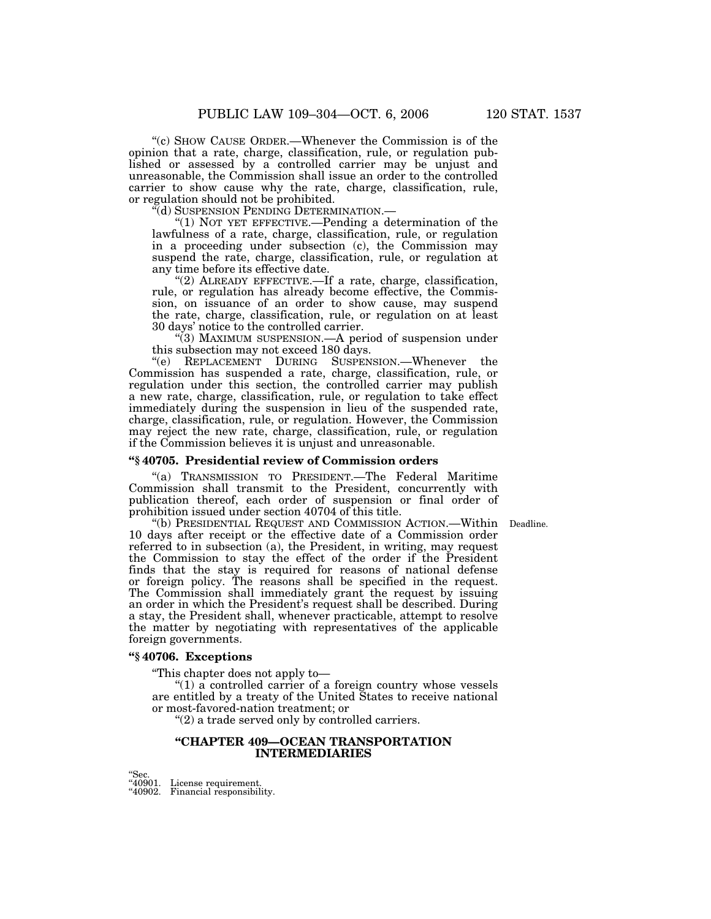''(c) SHOW CAUSE ORDER.—Whenever the Commission is of the opinion that a rate, charge, classification, rule, or regulation published or assessed by a controlled carrier may be unjust and unreasonable, the Commission shall issue an order to the controlled carrier to show cause why the rate, charge, classification, rule, or regulation should not be prohibited.<br>"(d) SUSPENSION PENDING DETERMINATION.—

"(1) NOT YET EFFECTIVE.—Pending a determination of the lawfulness of a rate, charge, classification, rule, or regulation in a proceeding under subsection (c), the Commission may suspend the rate, charge, classification, rule, or regulation at any time before its effective date.

''(2) ALREADY EFFECTIVE.—If a rate, charge, classification, rule, or regulation has already become effective, the Commission, on issuance of an order to show cause, may suspend the rate, charge, classification, rule, or regulation on at least 30 days' notice to the controlled carrier.

 $\degree$ (3) MAXIMUM SUSPENSION.—A period of suspension under this subsection may not exceed 180 days.

''(e) REPLACEMENT DURING SUSPENSION.—Whenever the Commission has suspended a rate, charge, classification, rule, or regulation under this section, the controlled carrier may publish a new rate, charge, classification, rule, or regulation to take effect immediately during the suspension in lieu of the suspended rate, charge, classification, rule, or regulation. However, the Commission may reject the new rate, charge, classification, rule, or regulation if the Commission believes it is unjust and unreasonable.

#### **''§ 40705. Presidential review of Commission orders**

''(a) TRANSMISSION TO PRESIDENT.—The Federal Maritime Commission shall transmit to the President, concurrently with publication thereof, each order of suspension or final order of prohibition issued under section 40704 of this title.

''(b) PRESIDENTIAL REQUEST AND COMMISSION ACTION.—Within Deadline. 10 days after receipt or the effective date of a Commission order referred to in subsection (a), the President, in writing, may request the Commission to stay the effect of the order if the President finds that the stay is required for reasons of national defense or foreign policy. The reasons shall be specified in the request. The Commission shall immediately grant the request by issuing an order in which the President's request shall be described. During a stay, the President shall, whenever practicable, attempt to resolve the matter by negotiating with representatives of the applicable foreign governments.

# **''§ 40706. Exceptions**

''This chapter does not apply to—

" $(1)$  a controlled carrier of a foreign country whose vessels are entitled by a treaty of the United States to receive national or most-favored-nation treatment; or

 $''(2)$  a trade served only by controlled carriers.

#### **''CHAPTER 409—OCEAN TRANSPORTATION INTERMEDIARIES**

"Sec.<br>"40901. License requirement. ''40902. Financial responsibility.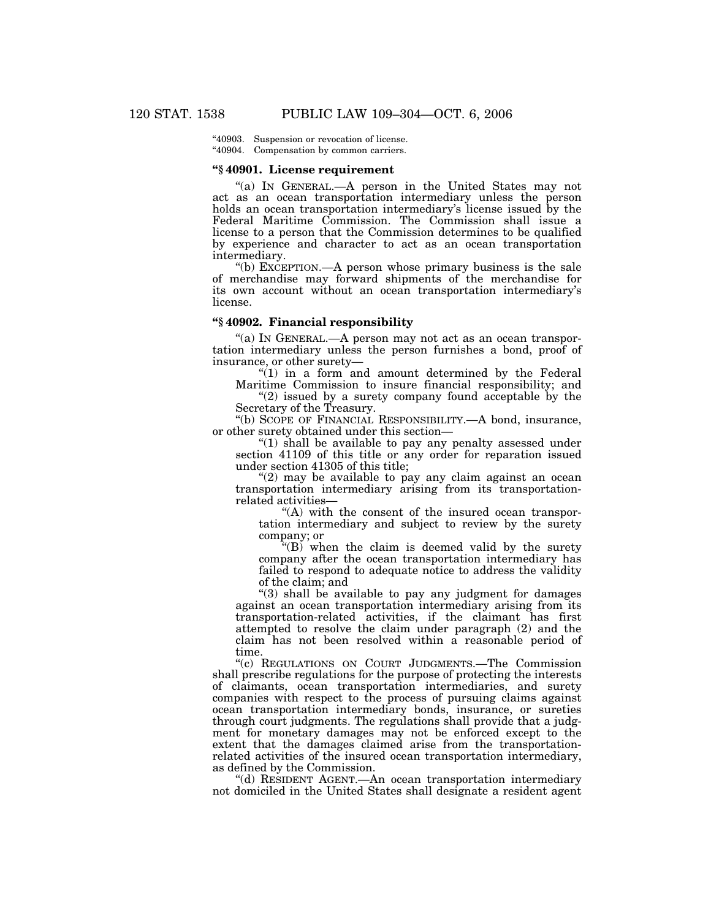"40903. Suspension or revocation of license. ''40904. Compensation by common carriers.

#### **''§ 40901. License requirement**

''(a) IN GENERAL.—A person in the United States may not act as an ocean transportation intermediary unless the person holds an ocean transportation intermediary's license issued by the Federal Maritime Commission. The Commission shall issue a license to a person that the Commission determines to be qualified by experience and character to act as an ocean transportation intermediary.

''(b) EXCEPTION.—A person whose primary business is the sale of merchandise may forward shipments of the merchandise for its own account without an ocean transportation intermediary's license.

#### **''§ 40902. Financial responsibility**

''(a) IN GENERAL.—A person may not act as an ocean transportation intermediary unless the person furnishes a bond, proof of insurance, or other surety—

 $''(1)$  in a form and amount determined by the Federal Maritime Commission to insure financial responsibility; and

" $(2)$  issued by a surety company found acceptable by the Secretary of the Treasury.

''(b) SCOPE OF FINANCIAL RESPONSIBILITY.—A bond, insurance, or other surety obtained under this section—

" $(1)$  shall be available to pay any penalty assessed under section 41109 of this title or any order for reparation issued under section 41305 of this title;

" $(2)$  may be available to pay any claim against an ocean transportation intermediary arising from its transportationrelated activities—

 $f(A)$  with the consent of the insured ocean transportation intermediary and subject to review by the surety company; or

''(B) when the claim is deemed valid by the surety company after the ocean transportation intermediary has failed to respond to adequate notice to address the validity of the claim; and

''(3) shall be available to pay any judgment for damages against an ocean transportation intermediary arising from its transportation-related activities, if the claimant has first attempted to resolve the claim under paragraph (2) and the claim has not been resolved within a reasonable period of time.

''(c) REGULATIONS ON COURT JUDGMENTS.—The Commission shall prescribe regulations for the purpose of protecting the interests of claimants, ocean transportation intermediaries, and surety companies with respect to the process of pursuing claims against ocean transportation intermediary bonds, insurance, or sureties through court judgments. The regulations shall provide that a judgment for monetary damages may not be enforced except to the extent that the damages claimed arise from the transportationrelated activities of the insured ocean transportation intermediary, as defined by the Commission.

''(d) RESIDENT AGENT.—An ocean transportation intermediary not domiciled in the United States shall designate a resident agent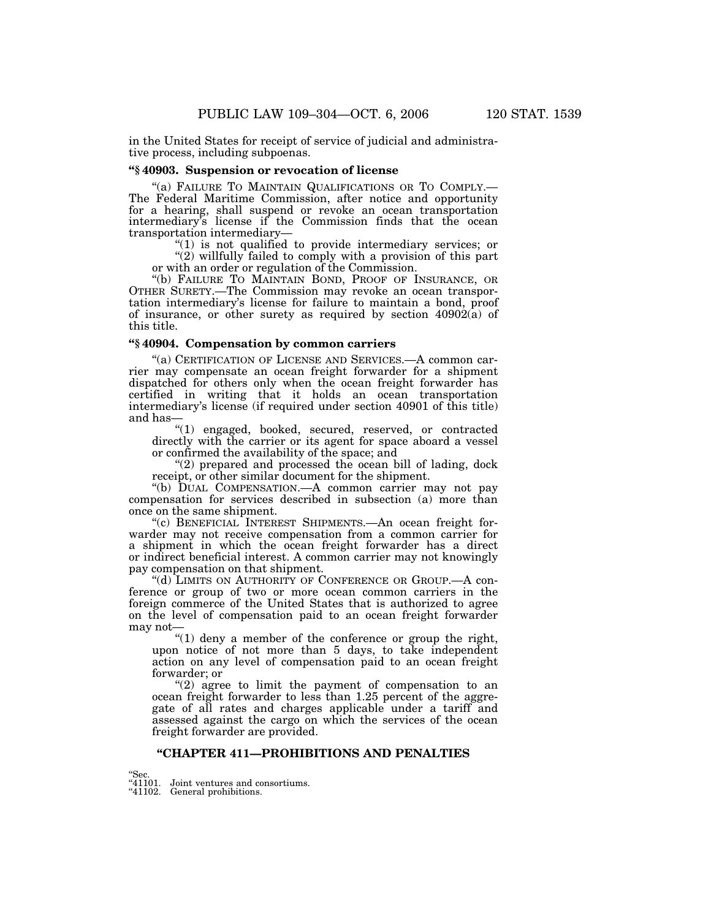in the United States for receipt of service of judicial and administrative process, including subpoenas.

#### **''§ 40903. Suspension or revocation of license**

"(a) FAILURE TO MAINTAIN QUALIFICATIONS OR TO COMPLY.— The Federal Maritime Commission, after notice and opportunity for a hearing, shall suspend or revoke an ocean transportation intermediary's license if the Commission finds that the ocean transportation intermediary—

> ''(1) is not qualified to provide intermediary services; or "(2) willfully failed to comply with a provision of this part

or with an order or regulation of the Commission.

''(b) FAILURE TO MAINTAIN BOND, PROOF OF INSURANCE, OR OTHER SURETY.—The Commission may revoke an ocean transportation intermediary's license for failure to maintain a bond, proof of insurance, or other surety as required by section  $40902(a)$  of this title.

# **''§ 40904. Compensation by common carriers**

''(a) CERTIFICATION OF LICENSE AND SERVICES.—A common carrier may compensate an ocean freight forwarder for a shipment dispatched for others only when the ocean freight forwarder has certified in writing that it holds an ocean transportation intermediary's license (if required under section 40901 of this title) and has—

''(1) engaged, booked, secured, reserved, or contracted directly with the carrier or its agent for space aboard a vessel or confirmed the availability of the space; and

"(2) prepared and processed the ocean bill of lading, dock receipt, or other similar document for the shipment.

''(b) DUAL COMPENSATION.—A common carrier may not pay compensation for services described in subsection (a) more than once on the same shipment.

''(c) BENEFICIAL INTEREST SHIPMENTS.—An ocean freight forwarder may not receive compensation from a common carrier for a shipment in which the ocean freight forwarder has a direct or indirect beneficial interest. A common carrier may not knowingly pay compensation on that shipment.

"(d) LIMITS ON AUTHORITY OF CONFERENCE OR GROUP. A conference or group of two or more ocean common carriers in the foreign commerce of the United States that is authorized to agree on the level of compensation paid to an ocean freight forwarder may not—

''(1) deny a member of the conference or group the right, upon notice of not more than 5 days, to take independent action on any level of compensation paid to an ocean freight forwarder; or

 $(2)$  agree to limit the payment of compensation to an ocean freight forwarder to less than 1.25 percent of the aggregate of all rates and charges applicable under a tariff and assessed against the cargo on which the services of the ocean freight forwarder are provided.

# **''CHAPTER 411—PROHIBITIONS AND PENALTIES**

 $"41101.$ 

Joint ventures and consortiums. "41102. General prohibitions.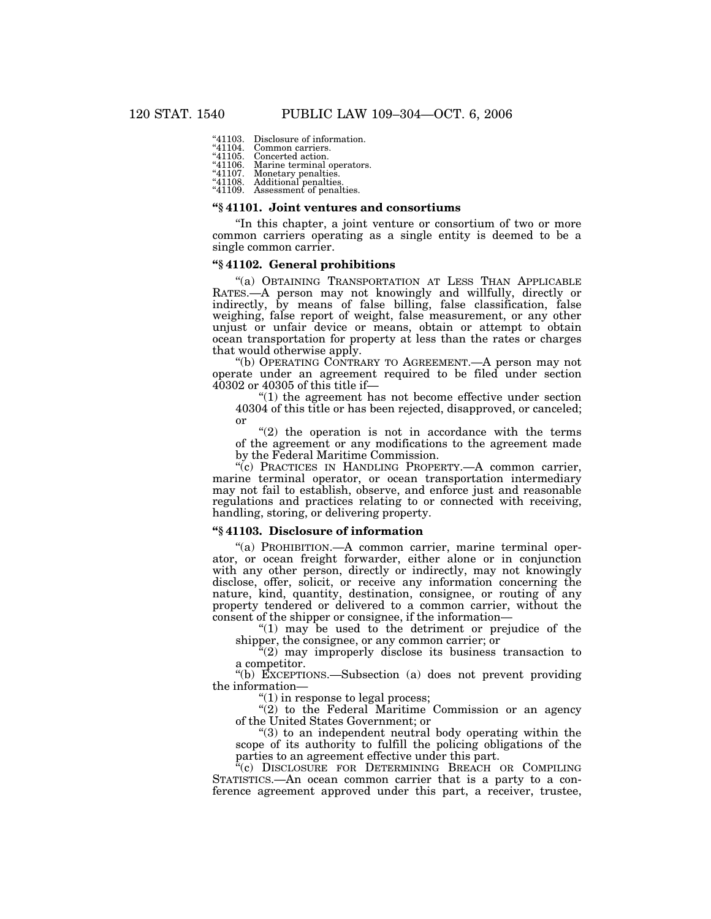"41103. Disclosure of information.<br>"41104. Common carriers.<br>"41105. Concerted action.

''41104. Common carriers. ''41105. Concerted action.

"41106. Marine terminal operators.

"41107. Monetary penalties.

''41108. Additional penalties. ''41109. Assessment of penalties.

#### **''§ 41101. Joint ventures and consortiums**

''In this chapter, a joint venture or consortium of two or more common carriers operating as a single entity is deemed to be a single common carrier.

#### **''§ 41102. General prohibitions**

"(a) OBTAINING TRANSPORTATION AT LESS THAN APPLICABLE RATES.—A person may not knowingly and willfully, directly or indirectly, by means of false billing, false classification, false weighing, false report of weight, false measurement, or any other unjust or unfair device or means, obtain or attempt to obtain ocean transportation for property at less than the rates or charges that would otherwise apply.

''(b) OPERATING CONTRARY TO AGREEMENT.—A person may not operate under an agreement required to be filed under section 40302 or 40305 of this title if—

''(1) the agreement has not become effective under section 40304 of this title or has been rejected, disapproved, or canceled; or

 $(2)$  the operation is not in accordance with the terms of the agreement or any modifications to the agreement made by the Federal Maritime Commission.

"(c) PRACTICES IN HANDLING PROPERTY. - A common carrier, marine terminal operator, or ocean transportation intermediary may not fail to establish, observe, and enforce just and reasonable regulations and practices relating to or connected with receiving, handling, storing, or delivering property.

#### **''§ 41103. Disclosure of information**

''(a) PROHIBITION.—A common carrier, marine terminal operator, or ocean freight forwarder, either alone or in conjunction with any other person, directly or indirectly, may not knowingly disclose, offer, solicit, or receive any information concerning the nature, kind, quantity, destination, consignee, or routing of any property tendered or delivered to a common carrier, without the consent of the shipper or consignee, if the information—

"(1) may be used to the detriment or prejudice of the shipper, the consignee, or any common carrier; or

 $f(2)$  may improperly disclose its business transaction to a competitor.

''(b) EXCEPTIONS.—Subsection (a) does not prevent providing the information—

''(1) in response to legal process;

"(2) to the Federal Maritime Commission or an agency of the United States Government; or

''(3) to an independent neutral body operating within the scope of its authority to fulfill the policing obligations of the parties to an agreement effective under this part.

"(c) DISCLOSURE FOR DETERMINING BREACH OR COMPILING STATISTICS.—An ocean common carrier that is a party to a conference agreement approved under this part, a receiver, trustee,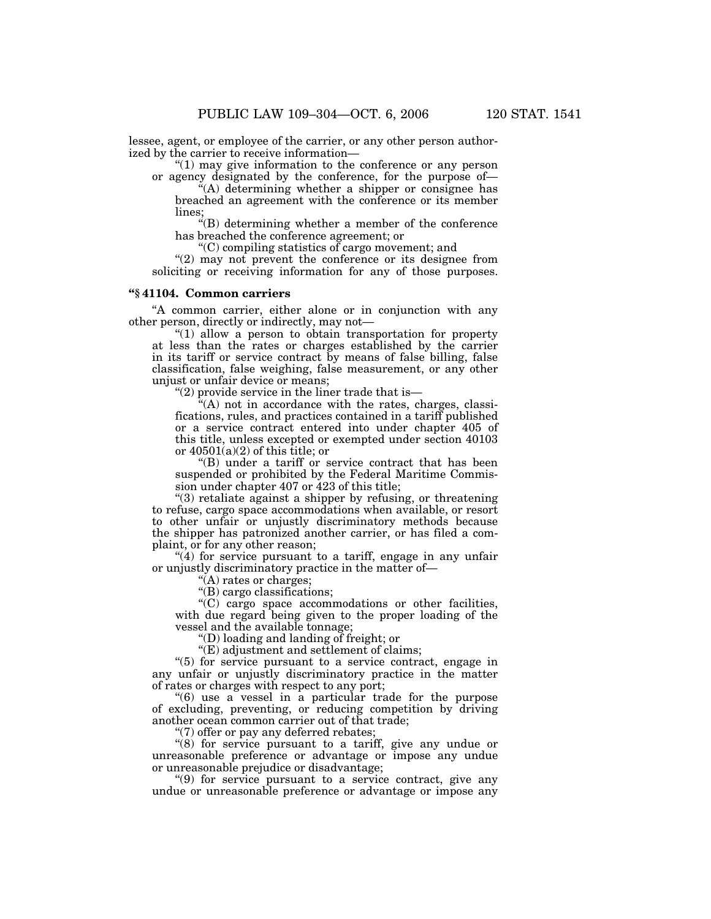lessee, agent, or employee of the carrier, or any other person authorized by the carrier to receive information—

''(1) may give information to the conference or any person or agency designated by the conference, for the purpose of—

 $*(A)$  determining whether a shipper or consignee has breached an agreement with the conference or its member lines;

 $\cdot$ <sup>"(B)</sup> determining whether a member of the conference has breached the conference agreement; or

''(C) compiling statistics of cargo movement; and

" $(2)$  may not prevent the conference or its designee from soliciting or receiving information for any of those purposes.

# **''§ 41104. Common carriers**

''A common carrier, either alone or in conjunction with any other person, directly or indirectly, may not—

''(1) allow a person to obtain transportation for property at less than the rates or charges established by the carrier in its tariff or service contract by means of false billing, false classification, false weighing, false measurement, or any other unjust or unfair device or means;

"(2) provide service in the liner trade that is-

 $\mathcal{H}(A)$  not in accordance with the rates, charges, classifications, rules, and practices contained in a tariff published or a service contract entered into under chapter 405 of this title, unless excepted or exempted under section 40103 or  $40501(a)(2)$  of this title; or

''(B) under a tariff or service contract that has been suspended or prohibited by the Federal Maritime Commission under chapter 407 or 423 of this title;

''(3) retaliate against a shipper by refusing, or threatening to refuse, cargo space accommodations when available, or resort to other unfair or unjustly discriminatory methods because the shipper has patronized another carrier, or has filed a complaint, or for any other reason;

 $(4)$  for service pursuant to a tariff, engage in any unfair or unjustly discriminatory practice in the matter of—

''(A) rates or charges;

''(B) cargo classifications;

''(C) cargo space accommodations or other facilities, with due regard being given to the proper loading of the vessel and the available tonnage;

''(D) loading and landing of freight; or

''(E) adjustment and settlement of claims;

''(5) for service pursuant to a service contract, engage in any unfair or unjustly discriminatory practice in the matter of rates or charges with respect to any port;

''(6) use a vessel in a particular trade for the purpose of excluding, preventing, or reducing competition by driving another ocean common carrier out of that trade;

''(7) offer or pay any deferred rebates;

"(8) for service pursuant to a tariff, give any undue or unreasonable preference or advantage or impose any undue or unreasonable prejudice or disadvantage;

''(9) for service pursuant to a service contract, give any undue or unreasonable preference or advantage or impose any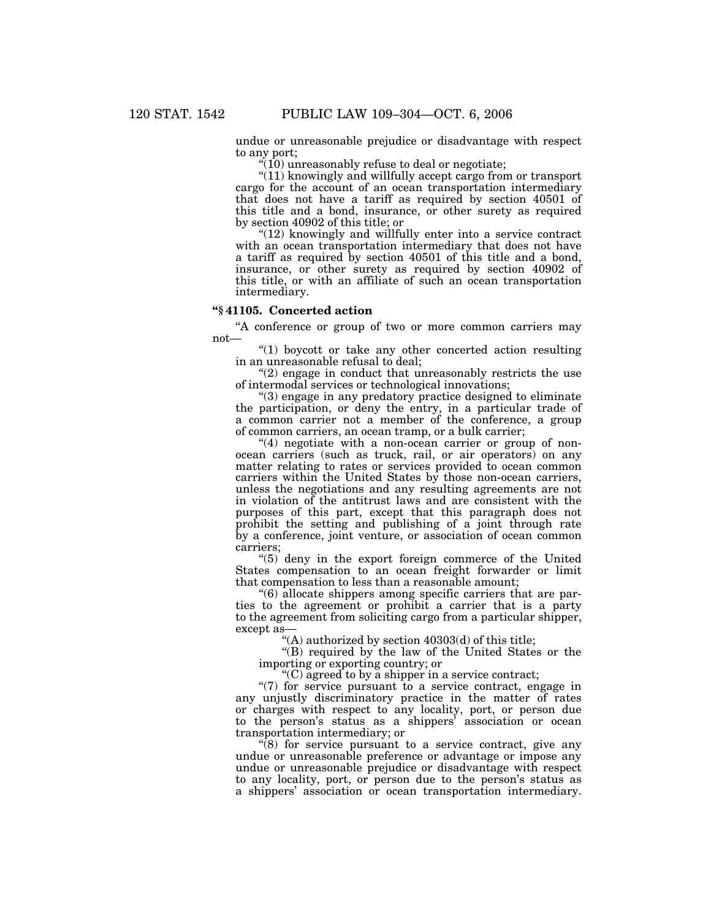undue or unreasonable prejudice or disadvantage with respect to any port;

 $\sqrt{10}$ ) unreasonably refuse to deal or negotiate;

''(11) knowingly and willfully accept cargo from or transport cargo for the account of an ocean transportation intermediary that does not have a tariff as required by section 40501 of this title and a bond, insurance, or other surety as required by section 40902 of this title; or

"(12) knowingly and willfully enter into a service contract with an ocean transportation intermediary that does not have a tariff as required by section 40501 of this title and a bond, insurance, or other surety as required by section 40902 of this title, or with an affiliate of such an ocean transportation intermediary.

#### **''§ 41105. Concerted action**

''A conference or group of two or more common carriers may not—

''(1) boycott or take any other concerted action resulting in an unreasonable refusal to deal;

 $(2)$  engage in conduct that unreasonably restricts the use of intermodal services or technological innovations;

''(3) engage in any predatory practice designed to eliminate the participation, or deny the entry, in a particular trade of a common carrier not a member of the conference, a group of common carriers, an ocean tramp, or a bulk carrier;

" $(4)$  negotiate with a non-ocean carrier or group of nonocean carriers (such as truck, rail, or air operators) on any matter relating to rates or services provided to ocean common carriers within the United States by those non-ocean carriers, unless the negotiations and any resulting agreements are not in violation of the antitrust laws and are consistent with the purposes of this part, except that this paragraph does not prohibit the setting and publishing of a joint through rate by a conference, joint venture, or association of ocean common carriers;

''(5) deny in the export foreign commerce of the United States compensation to an ocean freight forwarder or limit that compensation to less than a reasonable amount;

''(6) allocate shippers among specific carriers that are parties to the agreement or prohibit a carrier that is a party to the agreement from soliciting cargo from a particular shipper, except as—

 $(A)$  authorized by section 40303(d) of this title:

''(B) required by the law of the United States or the importing or exporting country; or

 $C$ ) agreed to by a shipper in a service contract;

"(7) for service pursuant to a service contract, engage in any unjustly discriminatory practice in the matter of rates or charges with respect to any locality, port, or person due to the person's status as a shippers' association or ocean transportation intermediary; or

 $\sqrt[4]{(8)}$  for service pursuant to a service contract, give any undue or unreasonable preference or advantage or impose any undue or unreasonable prejudice or disadvantage with respect to any locality, port, or person due to the person's status as a shippers' association or ocean transportation intermediary.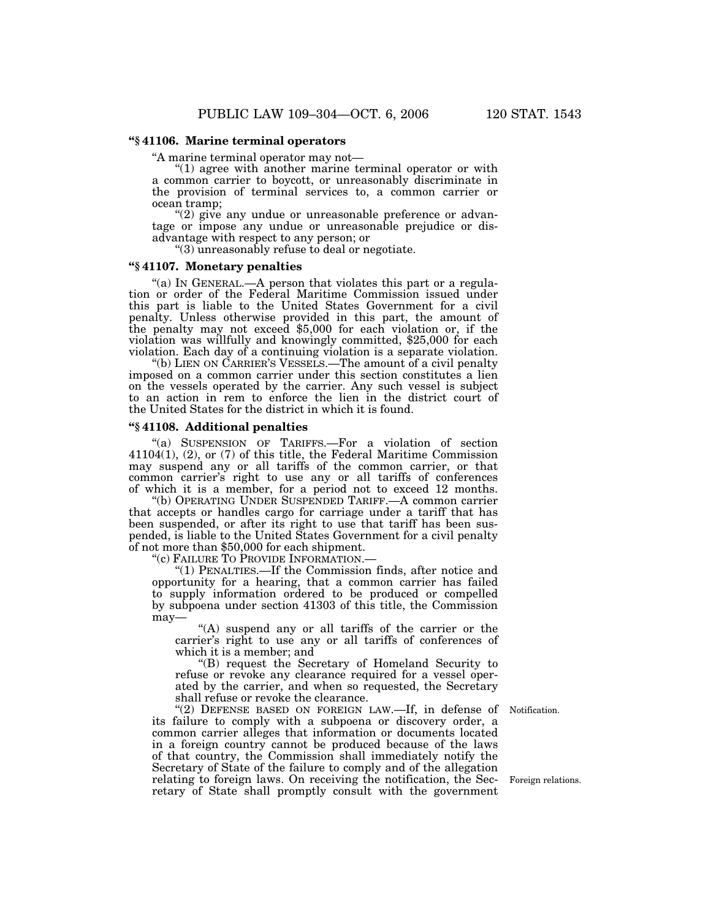''A marine terminal operator may not—

 $(1)$  agree with another marine terminal operator or with a common carrier to boycott, or unreasonably discriminate in the provision of terminal services to, a common carrier or ocean tramp;

"(2) give any undue or unreasonable preference or advantage or impose any undue or unreasonable prejudice or disadvantage with respect to any person; or

''(3) unreasonably refuse to deal or negotiate.

#### **''§ 41107. Monetary penalties**

"(a) IN GENERAL.—A person that violates this part or a regulation or order of the Federal Maritime Commission issued under this part is liable to the United States Government for a civil penalty. Unless otherwise provided in this part, the amount of the penalty may not exceed \$5,000 for each violation or, if the violation was willfully and knowingly committed, \$25,000 for each violation. Each day of a continuing violation is a separate violation.

"(b) LIEN ON CARRIER'S VESSELS.—The amount of a civil penalty imposed on a common carrier under this section constitutes a lien on the vessels operated by the carrier. Any such vessel is subject to an action in rem to enforce the lien in the district court of the United States for the district in which it is found.

# **''§ 41108. Additional penalties**

''(a) SUSPENSION OF TARIFFS.—For a violation of section 41104(1), (2), or (7) of this title, the Federal Maritime Commission may suspend any or all tariffs of the common carrier, or that common carrier's right to use any or all tariffs of conferences of which it is a member, for a period not to exceed 12 months.

''(b) OPERATING UNDER SUSPENDED TARIFF.—A common carrier that accepts or handles cargo for carriage under a tariff that has been suspended, or after its right to use that tariff has been suspended, is liable to the United States Government for a civil penalty of not more than \$50,000 for each shipment.

''(c) FAILURE TO PROVIDE INFORMATION.—

''(1) PENALTIES.—If the Commission finds, after notice and opportunity for a hearing, that a common carrier has failed to supply information ordered to be produced or compelled by subpoena under section 41303 of this title, the Commission may—

"(A) suspend any or all tariffs of the carrier or the carrier's right to use any or all tariffs of conferences of which it is a member; and

''(B) request the Secretary of Homeland Security to refuse or revoke any clearance required for a vessel operated by the carrier, and when so requested, the Secretary shall refuse or revoke the clearance.

"(2) DEFENSE BASED ON FOREIGN LAW.—If, in defense of Notification. its failure to comply with a subpoena or discovery order, a common carrier alleges that information or documents located in a foreign country cannot be produced because of the laws of that country, the Commission shall immediately notify the Secretary of State of the failure to comply and of the allegation relating to foreign laws. On receiving the notification, the Secretary of State shall promptly consult with the government

Foreign relations.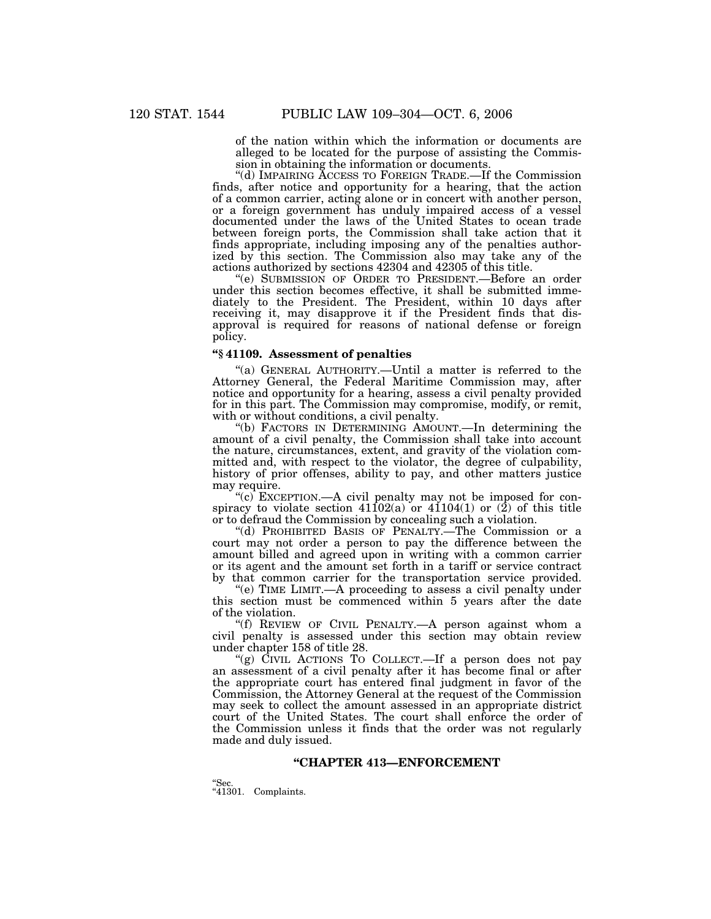of the nation within which the information or documents are alleged to be located for the purpose of assisting the Commission in obtaining the information or documents.

''(d) IMPAIRING ACCESS TO FOREIGN TRADE.—If the Commission finds, after notice and opportunity for a hearing, that the action of a common carrier, acting alone or in concert with another person, or a foreign government has unduly impaired access of a vessel documented under the laws of the United States to ocean trade between foreign ports, the Commission shall take action that it finds appropriate, including imposing any of the penalties authorized by this section. The Commission also may take any of the actions authorized by sections 42304 and 42305 of this title.

''(e) SUBMISSION OF ORDER TO PRESIDENT.—Before an order under this section becomes effective, it shall be submitted immediately to the President. The President, within 10 days after receiving it, may disapprove it if the President finds that disapproval is required for reasons of national defense or foreign policy.

#### **''§ 41109. Assessment of penalties**

''(a) GENERAL AUTHORITY.—Until a matter is referred to the Attorney General, the Federal Maritime Commission may, after notice and opportunity for a hearing, assess a civil penalty provided for in this part. The Commission may compromise, modify, or remit, with or without conditions, a civil penalty.

''(b) FACTORS IN DETERMINING AMOUNT.—In determining the amount of a civil penalty, the Commission shall take into account the nature, circumstances, extent, and gravity of the violation committed and, with respect to the violator, the degree of culpability, history of prior offenses, ability to pay, and other matters justice may require.

"(c) EXCEPTION.—A civil penalty may not be imposed for conspiracy to violate section  $41102(a)$  or  $41104(1)$  or  $(2)$  of this title or to defraud the Commission by concealing such a violation.

''(d) PROHIBITED BASIS OF PENALTY.—The Commission or a court may not order a person to pay the difference between the amount billed and agreed upon in writing with a common carrier or its agent and the amount set forth in a tariff or service contract by that common carrier for the transportation service provided.

''(e) TIME LIMIT.—A proceeding to assess a civil penalty under this section must be commenced within 5 years after the date of the violation.

''(f) REVIEW OF CIVIL PENALTY.—A person against whom a civil penalty is assessed under this section may obtain review under chapter 158 of title 28.

"(g) CIVIL ACTIONS TO COLLECT.—If a person does not pay an assessment of a civil penalty after it has become final or after the appropriate court has entered final judgment in favor of the Commission, the Attorney General at the request of the Commission may seek to collect the amount assessed in an appropriate district court of the United States. The court shall enforce the order of the Commission unless it finds that the order was not regularly made and duly issued.

#### **''CHAPTER 413—ENFORCEMENT**

"Sec.<br>"41301. Complaints.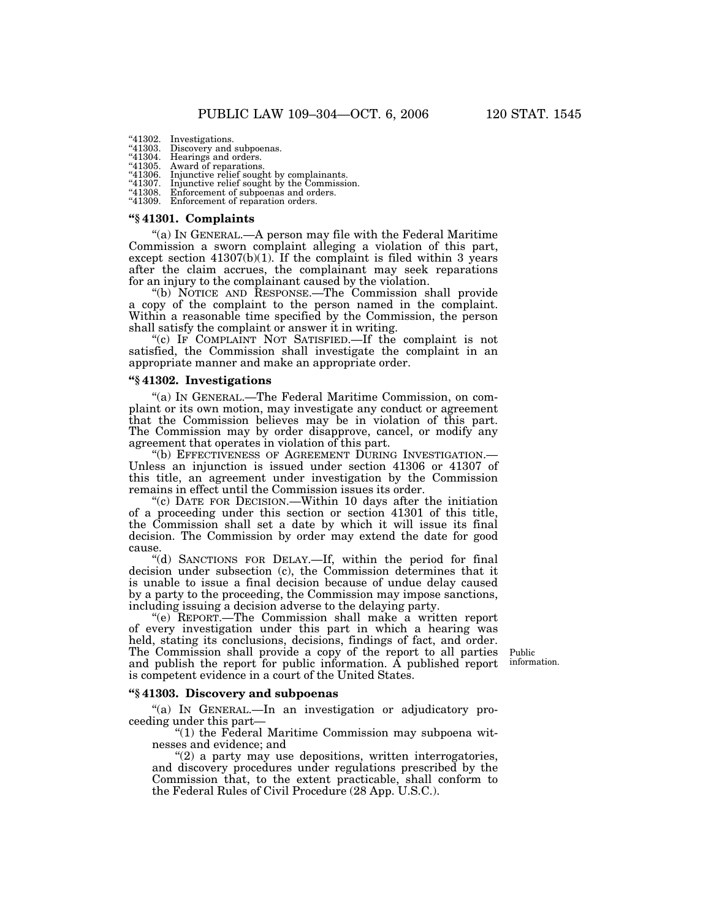- 
- ''41302. Investigations. ''41303. Discovery and subpoenas.
- "41304. Hearings and orders.<br>"41305. Award of reparations
- "41305. Award of reparations.<br>"41306. Injunctive relief sough
- ''41306. Injunctive relief sought by complainants. ''41307. Injunctive relief sought by the Commission.
- 
- "41308. Enforcement of subpoenas and orders.<br>"41309. Enforcement of reparation orders. Enforcement of reparation orders.
- 

# **''§ 41301. Complaints**

''(a) IN GENERAL.—A person may file with the Federal Maritime Commission a sworn complaint alleging a violation of this part, except section  $41307(b)(1)$ . If the complaint is filed within 3 years after the claim accrues, the complainant may seek reparations for an injury to the complainant caused by the violation.

"(b) NOTICE AND RESPONSE.—The Commission shall provide a copy of the complaint to the person named in the complaint. Within a reasonable time specified by the Commission, the person shall satisfy the complaint or answer it in writing.

''(c) IF COMPLAINT NOT SATISFIED.—If the complaint is not satisfied, the Commission shall investigate the complaint in an appropriate manner and make an appropriate order.

#### **''§ 41302. Investigations**

(a) In GENERAL.—The Federal Maritime Commission, on complaint or its own motion, may investigate any conduct or agreement that the Commission believes may be in violation of this part. The Commission may by order disapprove, cancel, or modify any agreement that operates in violation of this part.

"(b) EFFECTIVENESS OF AGREEMENT DURING INVESTIGATION.-Unless an injunction is issued under section 41306 or 41307 of this title, an agreement under investigation by the Commission remains in effect until the Commission issues its order.

''(c) DATE FOR DECISION.—Within 10 days after the initiation of a proceeding under this section or section 41301 of this title, the Commission shall set a date by which it will issue its final decision. The Commission by order may extend the date for good cause.

''(d) SANCTIONS FOR DELAY.—If, within the period for final decision under subsection (c), the Commission determines that it is unable to issue a final decision because of undue delay caused by a party to the proceeding, the Commission may impose sanctions, including issuing a decision adverse to the delaying party.

''(e) REPORT.—The Commission shall make a written report of every investigation under this part in which a hearing was held, stating its conclusions, decisions, findings of fact, and order. The Commission shall provide a copy of the report to all parties and publish the report for public information. A published report is competent evidence in a court of the United States.

Public information.

#### **''§ 41303. Discovery and subpoenas**

''(a) IN GENERAL.—In an investigation or adjudicatory proceeding under this part—

''(1) the Federal Maritime Commission may subpoena witnesses and evidence; and

 $\degree$ (2) a party may use depositions, written interrogatories, and discovery procedures under regulations prescribed by the Commission that, to the extent practicable, shall conform to the Federal Rules of Civil Procedure (28 App. U.S.C.).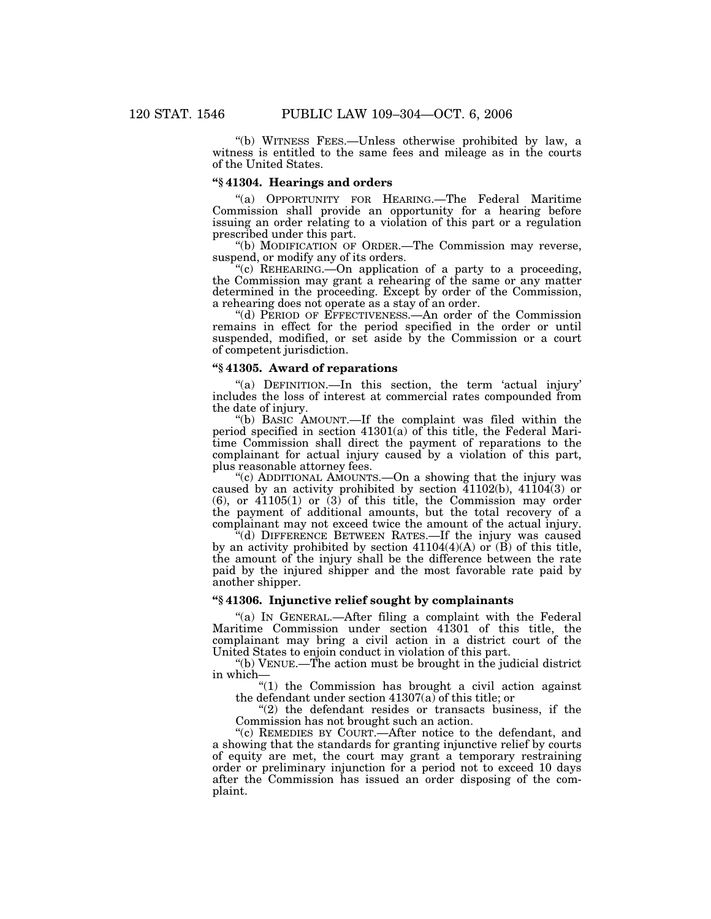''(b) WITNESS FEES.—Unless otherwise prohibited by law, a witness is entitled to the same fees and mileage as in the courts of the United States.

#### **''§ 41304. Hearings and orders**

''(a) OPPORTUNITY FOR HEARING.—The Federal Maritime Commission shall provide an opportunity for a hearing before issuing an order relating to a violation of this part or a regulation prescribed under this part.

''(b) MODIFICATION OF ORDER.—The Commission may reverse, suspend, or modify any of its orders.

"(c) REHEARING.—On application of a party to a proceeding, the Commission may grant a rehearing of the same or any matter determined in the proceeding. Except by order of the Commission, a rehearing does not operate as a stay of an order.

''(d) PERIOD OF EFFECTIVENESS.—An order of the Commission remains in effect for the period specified in the order or until suspended, modified, or set aside by the Commission or a court of competent jurisdiction.

#### **''§ 41305. Award of reparations**

"(a) DEFINITION.—In this section, the term 'actual injury' includes the loss of interest at commercial rates compounded from the date of injury.

''(b) BASIC AMOUNT.—If the complaint was filed within the period specified in section 41301(a) of this title, the Federal Maritime Commission shall direct the payment of reparations to the complainant for actual injury caused by a violation of this part, plus reasonable attorney fees.

"(c) ADDITIONAL AMOUNTS.—On a showing that the injury was caused by an activity prohibited by section 41102(b), 41104(3) or (6), or 41105(1) or (3) of this title, the Commission may order the payment of additional amounts, but the total recovery of a complainant may not exceed twice the amount of the actual injury.

''(d) DIFFERENCE BETWEEN RATES.—If the injury was caused by an activity prohibited by section  $41104(4)(A)$  or  $(\overrightarrow{B})$  of this title, the amount of the injury shall be the difference between the rate paid by the injured shipper and the most favorable rate paid by another shipper.

#### **''§ 41306. Injunctive relief sought by complainants**

''(a) IN GENERAL.—After filing a complaint with the Federal Maritime Commission under section 41301 of this title, the complainant may bring a civil action in a district court of the United States to enjoin conduct in violation of this part.

''(b) VENUE.—The action must be brought in the judicial district in which—

"(1) the Commission has brought a civil action against the defendant under section 41307(a) of this title; or

 $(2)$  the defendant resides or transacts business, if the Commission has not brought such an action.

''(c) REMEDIES BY COURT.—After notice to the defendant, and a showing that the standards for granting injunctive relief by courts of equity are met, the court may grant a temporary restraining order or preliminary injunction for a period not to exceed 10 days after the Commission has issued an order disposing of the complaint.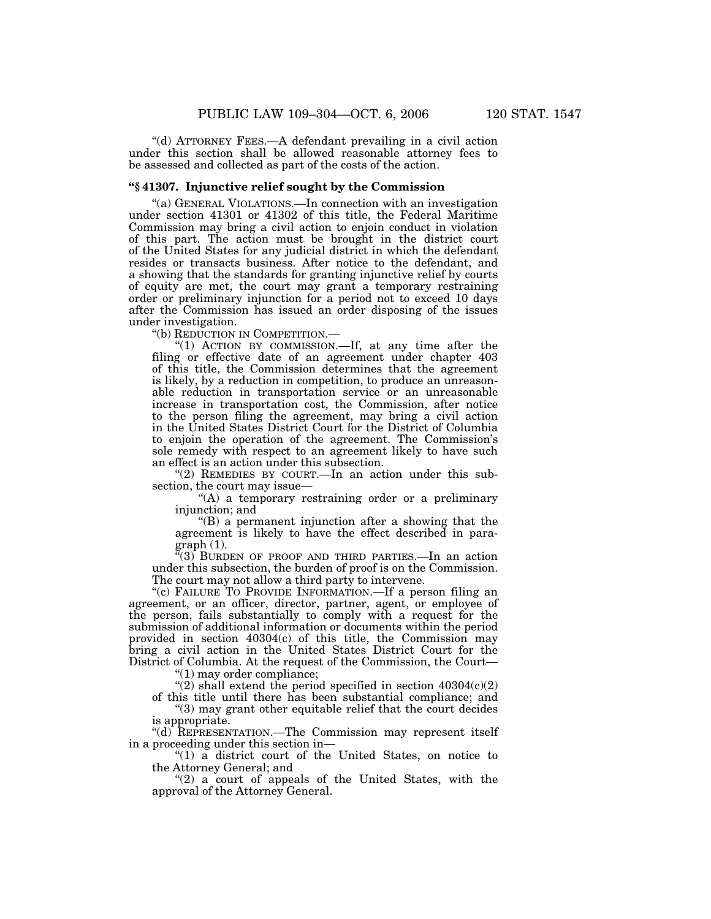''(d) ATTORNEY FEES.—A defendant prevailing in a civil action under this section shall be allowed reasonable attorney fees to be assessed and collected as part of the costs of the action.

#### **''§ 41307. Injunctive relief sought by the Commission**

"(a) GENERAL VIOLATIONS.—In connection with an investigation under section 41301 or 41302 of this title, the Federal Maritime Commission may bring a civil action to enjoin conduct in violation of this part. The action must be brought in the district court of the United States for any judicial district in which the defendant resides or transacts business. After notice to the defendant, and a showing that the standards for granting injunctive relief by courts of equity are met, the court may grant a temporary restraining order or preliminary injunction for a period not to exceed 10 days after the Commission has issued an order disposing of the issues under investigation.

''(b) REDUCTION IN COMPETITION.—

"(1) ACTION BY COMMISSION.—If, at any time after the filing or effective date of an agreement under chapter 403 of this title, the Commission determines that the agreement is likely, by a reduction in competition, to produce an unreasonable reduction in transportation service or an unreasonable increase in transportation cost, the Commission, after notice to the person filing the agreement, may bring a civil action in the United States District Court for the District of Columbia to enjoin the operation of the agreement. The Commission's sole remedy with respect to an agreement likely to have such an effect is an action under this subsection.

"(2) REMEDIES BY COURT.—In an action under this subsection, the court may issue—

''(A) a temporary restraining order or a preliminary injunction; and

''(B) a permanent injunction after a showing that the agreement is likely to have the effect described in paragraph (1).

''(3) BURDEN OF PROOF AND THIRD PARTIES.—In an action under this subsection, the burden of proof is on the Commission. The court may not allow a third party to intervene.

''(c) FAILURE TO PROVIDE INFORMATION.—If a person filing an agreement, or an officer, director, partner, agent, or employee of the person, fails substantially to comply with a request for the submission of additional information or documents within the period provided in section 40304(c) of this title, the Commission may bring a civil action in the United States District Court for the District of Columbia. At the request of the Commission, the Court—

''(1) may order compliance;

"(2) shall extend the period specified in section  $40304(c)(2)$ 

of this title until there has been substantial compliance; and ''(3) may grant other equitable relief that the court decides

is appropriate.

''(d) REPRESENTATION.—The Commission may represent itself in a proceeding under this section in—

''(1) a district court of the United States, on notice to the Attorney General; and

"(2) a court of appeals of the United States, with the approval of the Attorney General.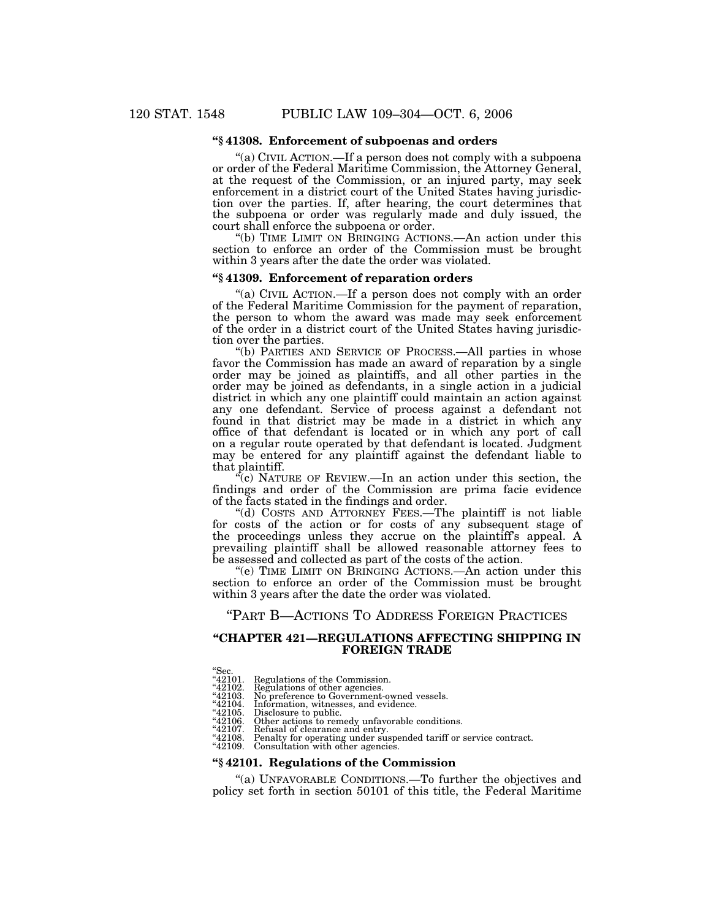#### **''§ 41308. Enforcement of subpoenas and orders**

"(a) CIVIL ACTION.—If a person does not comply with a subpoena or order of the Federal Maritime Commission, the Attorney General, at the request of the Commission, or an injured party, may seek enforcement in a district court of the United States having jurisdiction over the parties. If, after hearing, the court determines that the subpoena or order was regularly made and duly issued, the court shall enforce the subpoena or order.

''(b) TIME LIMIT ON BRINGING ACTIONS.—An action under this section to enforce an order of the Commission must be brought within 3 years after the date the order was violated.

#### **''§ 41309. Enforcement of reparation orders**

''(a) CIVIL ACTION.—If a person does not comply with an order of the Federal Maritime Commission for the payment of reparation, the person to whom the award was made may seek enforcement of the order in a district court of the United States having jurisdiction over the parties.

''(b) PARTIES AND SERVICE OF PROCESS.—All parties in whose favor the Commission has made an award of reparation by a single order may be joined as plaintiffs, and all other parties in the order may be joined as defendants, in a single action in a judicial district in which any one plaintiff could maintain an action against any one defendant. Service of process against a defendant not found in that district may be made in a district in which any office of that defendant is located or in which any port of call on a regular route operated by that defendant is located. Judgment may be entered for any plaintiff against the defendant liable to that plaintiff.

''(c) NATURE OF REVIEW.—In an action under this section, the findings and order of the Commission are prima facie evidence of the facts stated in the findings and order.

''(d) COSTS AND ATTORNEY FEES.—The plaintiff is not liable for costs of the action or for costs of any subsequent stage of the proceedings unless they accrue on the plaintiff's appeal. A prevailing plaintiff shall be allowed reasonable attorney fees to be assessed and collected as part of the costs of the action.

''(e) TIME LIMIT ON BRINGING ACTIONS.—An action under this section to enforce an order of the Commission must be brought within 3 years after the date the order was violated.

#### ''PART B—ACTIONS TO ADDRESS FOREIGN PRACTICES

### **''CHAPTER 421—REGULATIONS AFFECTING SHIPPING IN FOREIGN TRADE**

''Sec.

| "42101. |  | Regulations of the Commission. |
|---------|--|--------------------------------|
|         |  |                                |

''42101. Regulations of the Commission. ''42102. Regulations of other agencies. ''42103. No preference to Government-owned vessels.

"42104. Information, witnesses, and evidence.<br>"42105. Disclosure to public.<br>"42106. Other actions to remedy unfavorable ''42105. Disclosure to public. ''42106. Other actions to remedy unfavorable conditions.

''42107. Refusal of clearance and entry. ''42108. Penalty for operating under suspended tariff or service contract. "42107. Refusal of clearance and entry."<br>"42108. Penalty for operating under susp<br>"42109. Consultation with other agencies"

#### **''§ 42101. Regulations of the Commission**

''(a) UNFAVORABLE CONDITIONS.—To further the objectives and policy set forth in section 50101 of this title, the Federal Maritime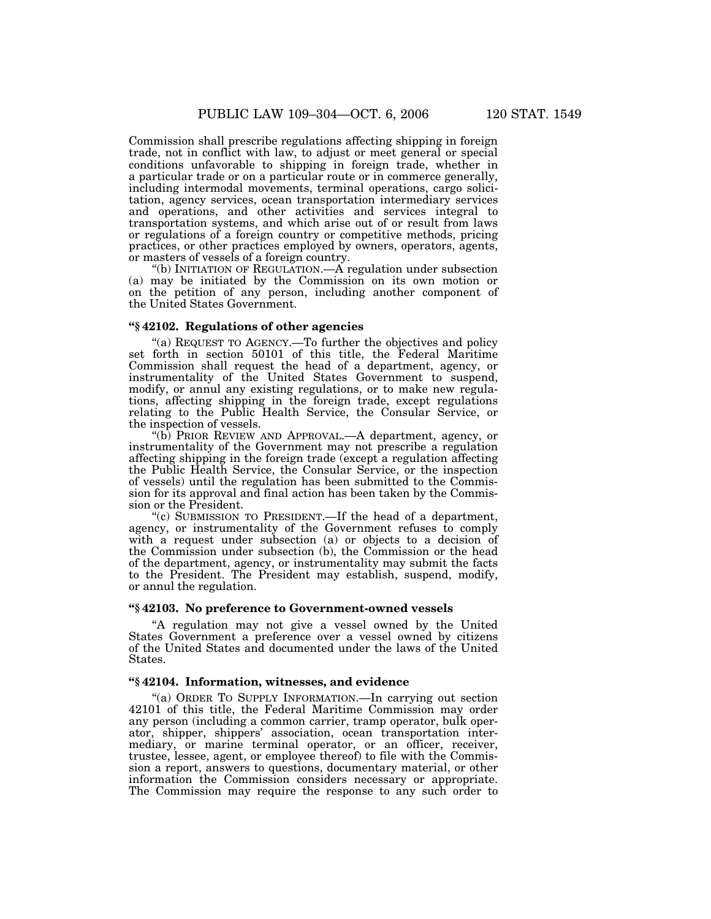a particular trade or on a particular route or in commerce generally, including intermodal movements, terminal operations, cargo solicitation, agency services, ocean transportation intermediary services and operations, and other activities and services integral to transportation systems, and which arise out of or result from laws or regulations of a foreign country or competitive methods, pricing practices, or other practices employed by owners, operators, agents, or masters of vessels of a foreign country.

''(b) INITIATION OF REGULATION.—A regulation under subsection (a) may be initiated by the Commission on its own motion or on the petition of any person, including another component of the United States Government.

#### **''§ 42102. Regulations of other agencies**

"(a) REQUEST TO AGENCY.—To further the objectives and policy set forth in section 50101 of this title, the Federal Maritime Commission shall request the head of a department, agency, or instrumentality of the United States Government to suspend, modify, or annul any existing regulations, or to make new regulations, affecting shipping in the foreign trade, except regulations relating to the Public Health Service, the Consular Service, or the inspection of vessels.

''(b) PRIOR REVIEW AND APPROVAL.—A department, agency, or instrumentality of the Government may not prescribe a regulation affecting shipping in the foreign trade (except a regulation affecting the Public Health Service, the Consular Service, or the inspection of vessels) until the regulation has been submitted to the Commission for its approval and final action has been taken by the Commission or the President.

''(c) SUBMISSION TO PRESIDENT.—If the head of a department, agency, or instrumentality of the Government refuses to comply with a request under subsection (a) or objects to a decision of the Commission under subsection (b), the Commission or the head of the department, agency, or instrumentality may submit the facts to the President. The President may establish, suspend, modify, or annul the regulation.

# **''§ 42103. No preference to Government-owned vessels**

''A regulation may not give a vessel owned by the United States Government a preference over a vessel owned by citizens of the United States and documented under the laws of the United States.

#### **''§ 42104. Information, witnesses, and evidence**

''(a) ORDER TO SUPPLY INFORMATION.—In carrying out section 42101 of this title, the Federal Maritime Commission may order any person (including a common carrier, tramp operator, bulk operator, shipper, shippers' association, ocean transportation intermediary, or marine terminal operator, or an officer, receiver, trustee, lessee, agent, or employee thereof) to file with the Commission a report, answers to questions, documentary material, or other information the Commission considers necessary or appropriate. The Commission may require the response to any such order to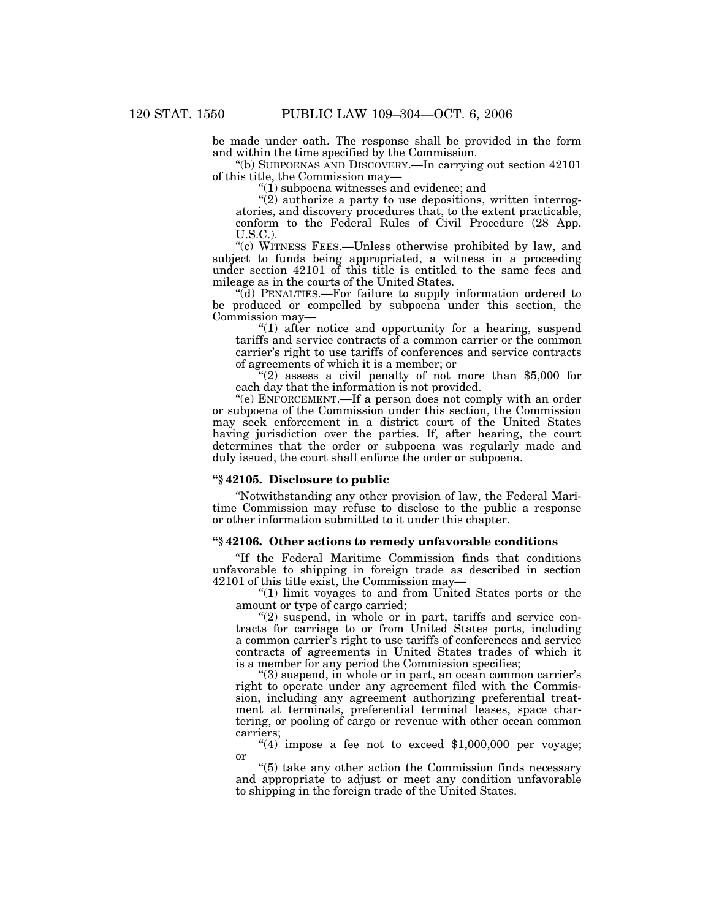be made under oath. The response shall be provided in the form and within the time specified by the Commission.

''(b) SUBPOENAS AND DISCOVERY.—In carrying out section 42101 of this title, the Commission may—

''(1) subpoena witnesses and evidence; and

 $''(2)$  authorize a party to use depositions, written interrogatories, and discovery procedures that, to the extent practicable, conform to the Federal Rules of Civil Procedure (28 App. U.S.C.).

''(c) WITNESS FEES.—Unless otherwise prohibited by law, and subject to funds being appropriated, a witness in a proceeding under section 42101 of this title is entitled to the same fees and mileage as in the courts of the United States.

''(d) PENALTIES.—For failure to supply information ordered to be produced or compelled by subpoena under this section, the Commission may—

"(1) after notice and opportunity for a hearing, suspend tariffs and service contracts of a common carrier or the common carrier's right to use tariffs of conferences and service contracts of agreements of which it is a member; or

 $(2)$  assess a civil penalty of not more than \$5,000 for each day that the information is not provided.

''(e) ENFORCEMENT.—If a person does not comply with an order or subpoena of the Commission under this section, the Commission may seek enforcement in a district court of the United States having jurisdiction over the parties. If, after hearing, the court determines that the order or subpoena was regularly made and duly issued, the court shall enforce the order or subpoena.

#### **''§ 42105. Disclosure to public**

''Notwithstanding any other provision of law, the Federal Maritime Commission may refuse to disclose to the public a response or other information submitted to it under this chapter.

#### **''§ 42106. Other actions to remedy unfavorable conditions**

''If the Federal Maritime Commission finds that conditions unfavorable to shipping in foreign trade as described in section 42101 of this title exist, the Commission may—

''(1) limit voyages to and from United States ports or the amount or type of cargo carried;

"(2) suspend, in whole or in part, tariffs and service contracts for carriage to or from United States ports, including a common carrier's right to use tariffs of conferences and service contracts of agreements in United States trades of which it is a member for any period the Commission specifies;

''(3) suspend, in whole or in part, an ocean common carrier's right to operate under any agreement filed with the Commission, including any agreement authorizing preferential treatment at terminals, preferential terminal leases, space chartering, or pooling of cargo or revenue with other ocean common carriers;

" $(4)$  impose a fee not to exceed \$1,000,000 per voyage; or

''(5) take any other action the Commission finds necessary and appropriate to adjust or meet any condition unfavorable to shipping in the foreign trade of the United States.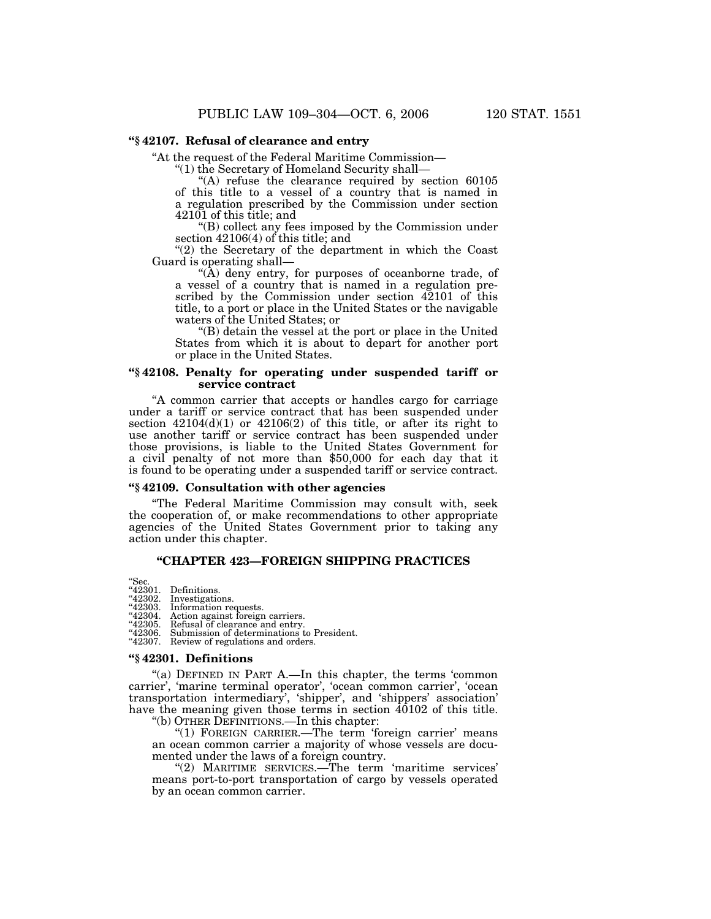#### **''§ 42107. Refusal of clearance and entry**

''At the request of the Federal Maritime Commission—

''(1) the Secretary of Homeland Security shall—

 $(A)$  refuse the clearance required by section 60105 of this title to a vessel of a country that is named in a regulation prescribed by the Commission under section 42101 of this title; and

''(B) collect any fees imposed by the Commission under section 42106(4) of this title; and

"(2) the Secretary of the department in which the Coast Guard is operating shall—

"(A) deny entry, for purposes of oceanborne trade, of a vessel of a country that is named in a regulation prescribed by the Commission under section 42101 of this title, to a port or place in the United States or the navigable waters of the United States; or

''(B) detain the vessel at the port or place in the United States from which it is about to depart for another port or place in the United States.

#### **''§ 42108. Penalty for operating under suspended tariff or service contract**

''A common carrier that accepts or handles cargo for carriage under a tariff or service contract that has been suspended under section  $42104(d)(1)$  or  $42106(2)$  of this title, or after its right to use another tariff or service contract has been suspended under those provisions, is liable to the United States Government for a civil penalty of not more than \$50,000 for each day that it is found to be operating under a suspended tariff or service contract.

#### **''§ 42109. Consultation with other agencies**

''The Federal Maritime Commission may consult with, seek the cooperation of, or make recommendations to other appropriate agencies of the United States Government prior to taking any action under this chapter.

#### **''CHAPTER 423—FOREIGN SHIPPING PRACTICES**

''Sec.

 $\begin{array}{c}\n \stackrel{\text{\scriptsize{42301}}}{\text{\scriptsize{42302}}}\n \stackrel{\text{\scriptsize{42302}}}{\text{\scriptsize{52303}}}\n \stackrel{\text{\scriptsize{52301}}}{\text{\scriptsize{52303}}}\n \end{array}$ ''42302. Investigations. ''42303. Information requests.

"42304. Action against foreign carriers.<br>"42305. Refusal of clearance and entry. Refusal of clearance and entry.

- Submission of determinations to President. "42306. Submission of determinations to r<br>"42307. Review of regulations and orders.
- 

#### **''§ 42301. Definitions**

''(a) DEFINED IN PART A.—In this chapter, the terms 'common carrier', 'marine terminal operator', 'ocean common carrier', 'ocean transportation intermediary', 'shipper', and 'shippers' association' have the meaning given those terms in section  $40102$  of this title.

''(b) OTHER DEFINITIONS.—In this chapter:

"(1) FOREIGN CARRIER.—The term 'foreign carrier' means an ocean common carrier a majority of whose vessels are documented under the laws of a foreign country.

"(2) MARITIME SERVICES.—The term 'maritime services' means port-to-port transportation of cargo by vessels operated by an ocean common carrier.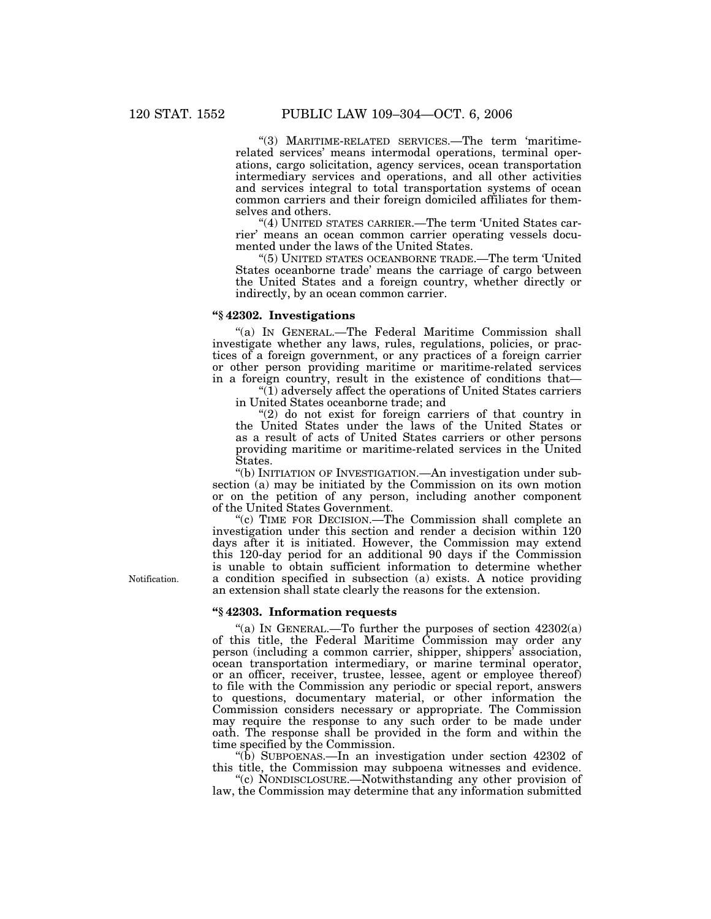''(3) MARITIME-RELATED SERVICES.—The term 'maritimerelated services' means intermodal operations, terminal operations, cargo solicitation, agency services, ocean transportation intermediary services and operations, and all other activities and services integral to total transportation systems of ocean common carriers and their foreign domiciled affiliates for themselves and others.

"(4) UNITED STATES CARRIER.—The term 'United States carrier' means an ocean common carrier operating vessels documented under the laws of the United States.

''(5) UNITED STATES OCEANBORNE TRADE.—The term 'United States oceanborne trade' means the carriage of cargo between the United States and a foreign country, whether directly or indirectly, by an ocean common carrier.

#### **''§ 42302. Investigations**

"(a) IN GENERAL.—The Federal Maritime Commission shall investigate whether any laws, rules, regulations, policies, or practices of a foreign government, or any practices of a foreign carrier or other person providing maritime or maritime-related services in a foreign country, result in the existence of conditions that—

''(1) adversely affect the operations of United States carriers in United States oceanborne trade; and

" $(2)$  do not exist for foreign carriers of that country in the United States under the laws of the United States or as a result of acts of United States carriers or other persons providing maritime or maritime-related services in the United States.

''(b) INITIATION OF INVESTIGATION.—An investigation under subsection (a) may be initiated by the Commission on its own motion or on the petition of any person, including another component of the United States Government.

''(c) TIME FOR DECISION.—The Commission shall complete an investigation under this section and render a decision within 120 days after it is initiated. However, the Commission may extend this 120-day period for an additional 90 days if the Commission is unable to obtain sufficient information to determine whether a condition specified in subsection (a) exists. A notice providing an extension shall state clearly the reasons for the extension.

#### **''§ 42303. Information requests**

"(a) In GENERAL.—To further the purposes of section  $42302(a)$ of this title, the Federal Maritime Commission may order any person (including a common carrier, shipper, shippers' association, ocean transportation intermediary, or marine terminal operator, or an officer, receiver, trustee, lessee, agent or employee thereof) to file with the Commission any periodic or special report, answers to questions, documentary material, or other information the Commission considers necessary or appropriate. The Commission may require the response to any such order to be made under oath. The response shall be provided in the form and within the time specified by the Commission.

" $(b)$  SUBPOENAS.—In an investigation under section 42302 of this title, the Commission may subpoena witnesses and evidence.

''(c) NONDISCLOSURE.—Notwithstanding any other provision of law, the Commission may determine that any information submitted

Notification.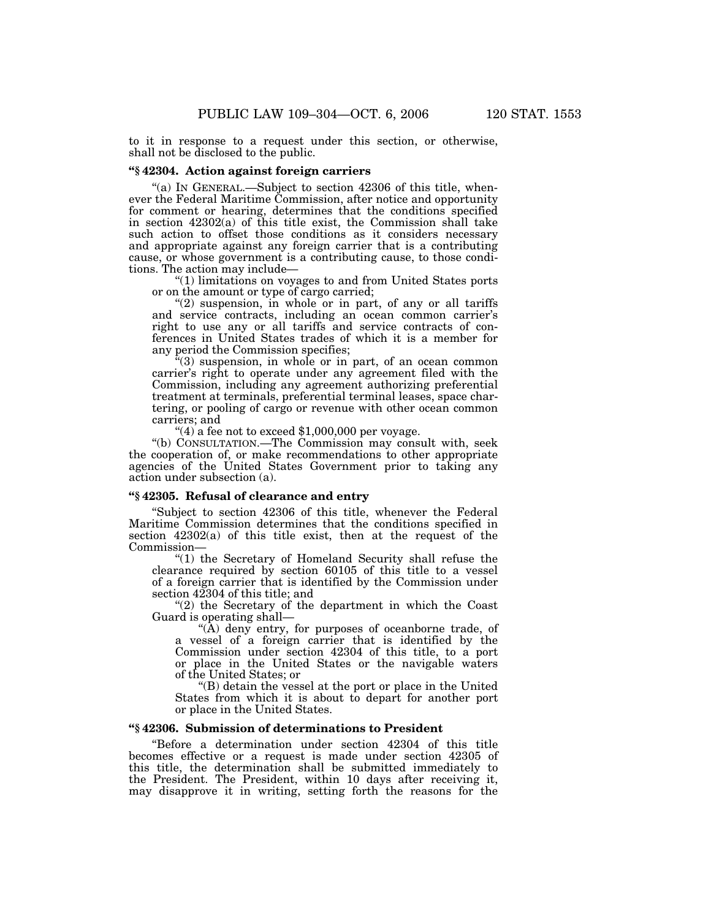to it in response to a request under this section, or otherwise, shall not be disclosed to the public.

# **''§ 42304. Action against foreign carriers**

"(a) IN GENERAL.—Subject to section 42306 of this title, whenever the Federal Maritime Commission, after notice and opportunity for comment or hearing, determines that the conditions specified in section 42302(a) of this title exist, the Commission shall take such action to offset those conditions as it considers necessary and appropriate against any foreign carrier that is a contributing cause, or whose government is a contributing cause, to those conditions. The action may include—

''(1) limitations on voyages to and from United States ports or on the amount or type of cargo carried;

 $(2)$  suspension, in whole or in part, of any or all tariffs and service contracts, including an ocean common carrier's right to use any or all tariffs and service contracts of conferences in United States trades of which it is a member for any period the Commission specifies;

 $(3)$  suspension, in whole or in part, of an ocean common carrier's right to operate under any agreement filed with the Commission, including any agreement authorizing preferential treatment at terminals, preferential terminal leases, space chartering, or pooling of cargo or revenue with other ocean common carriers; and

"(4) a fee not to exceed  $$1,000,000$  per voyage.

''(b) CONSULTATION.—The Commission may consult with, seek the cooperation of, or make recommendations to other appropriate agencies of the United States Government prior to taking any action under subsection (a).

#### **''§ 42305. Refusal of clearance and entry**

''Subject to section 42306 of this title, whenever the Federal Maritime Commission determines that the conditions specified in section 42302(a) of this title exist, then at the request of the Commission—

"(1) the Secretary of Homeland Security shall refuse the clearance required by section 60105 of this title to a vessel of a foreign carrier that is identified by the Commission under section 42304 of this title; and

"(2) the Secretary of the department in which the Coast Guard is operating shall—

''(A) deny entry, for purposes of oceanborne trade, of a vessel of a foreign carrier that is identified by the Commission under section 42304 of this title, to a port or place in the United States or the navigable waters of the United States; or

''(B) detain the vessel at the port or place in the United States from which it is about to depart for another port or place in the United States.

### **''§ 42306. Submission of determinations to President**

''Before a determination under section 42304 of this title becomes effective or a request is made under section 42305 of this title, the determination shall be submitted immediately to the President. The President, within 10 days after receiving it, may disapprove it in writing, setting forth the reasons for the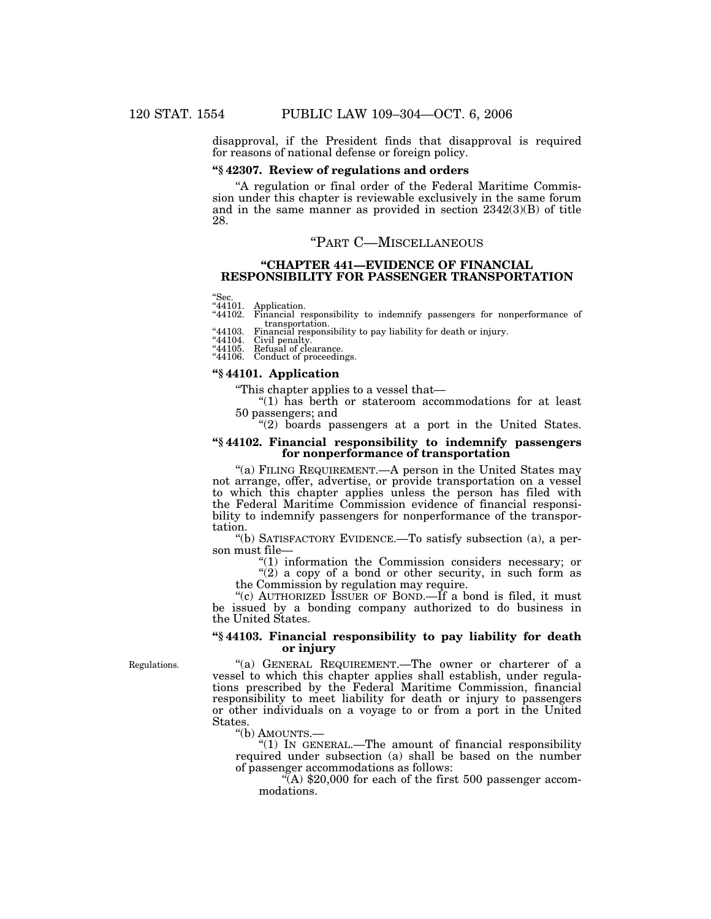disapproval, if the President finds that disapproval is required for reasons of national defense or foreign policy.

# **''§ 42307. Review of regulations and orders**

''A regulation or final order of the Federal Maritime Commission under this chapter is reviewable exclusively in the same forum and in the same manner as provided in section 2342(3)(B) of title 28.

# ''PART C—MISCELLANEOUS

# **''CHAPTER 441—EVIDENCE OF FINANCIAL RESPONSIBILITY FOR PASSENGER TRANSPORTATION**

"Sec.<br>"44101. Application.<br>"44102. Financial responsibility to indemnify passengers for nonperformance of

transportation. ''44103. Financial responsibility to pay liability for death or injury.

"44104. Civil penalty.<br>"44105. Refusal of clearance. "44104. Civil penalty.<br>"44105. Refusal of clearance."<br>"44106. Conduct of proceedings.

#### **''§ 44101. Application**

''This chapter applies to a vessel that—

"(1) has berth or stateroom accommodations for at least 50 passengers; and

"(2) boards passengers at a port in the United States.

#### **''§ 44102. Financial responsibility to indemnify passengers for nonperformance of transportation**

''(a) FILING REQUIREMENT.—A person in the United States may not arrange, offer, advertise, or provide transportation on a vessel to which this chapter applies unless the person has filed with the Federal Maritime Commission evidence of financial responsibility to indemnify passengers for nonperformance of the transportation.

''(b) SATISFACTORY EVIDENCE.—To satisfy subsection (a), a person must file—

''(1) information the Commission considers necessary; or  $''(2)$  a copy of a bond or other security, in such form as the Commission by regulation may require.

''(c) AUTHORIZED ISSUER OF BOND.—If a bond is filed, it must be issued by a bonding company authorized to do business in the United States.

#### **''§ 44103. Financial responsibility to pay liability for death or injury**

Regulations.

"(a) GENERAL REQUIREMENT.—The owner or charterer of a vessel to which this chapter applies shall establish, under regulations prescribed by the Federal Maritime Commission, financial responsibility to meet liability for death or injury to passengers or other individuals on a voyage to or from a port in the United States.<br>"(b) AMOUNTS.—

"(1) IN GENERAL.—The amount of financial responsibility required under subsection (a) shall be based on the number of passenger accommodations as follows:

 $\widetilde{f}(A)$  \$20,000 for each of the first 500 passenger accommodations.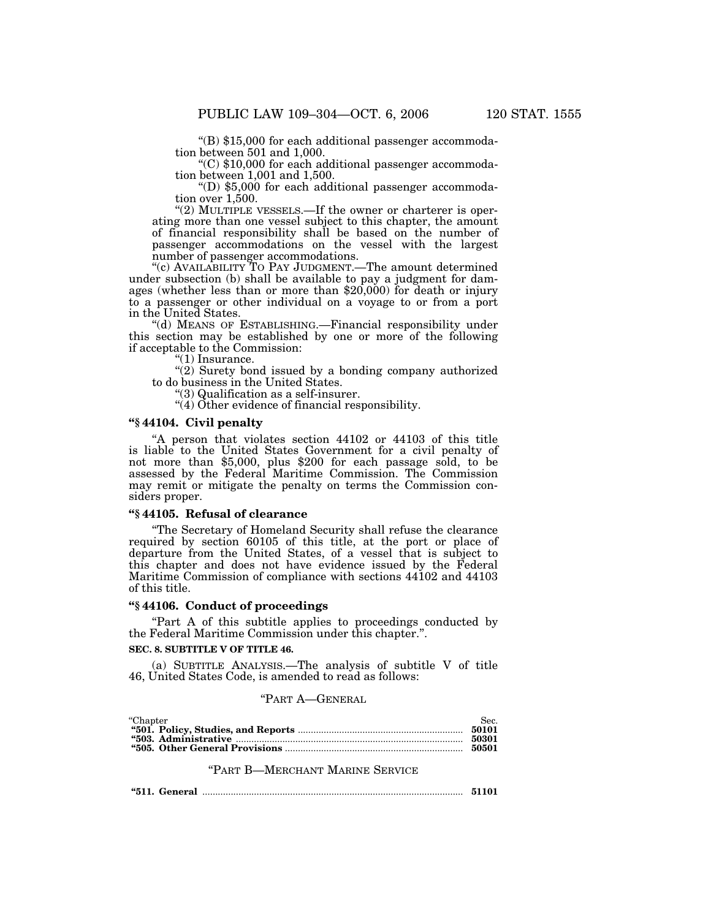''(B) \$15,000 for each additional passenger accommodation between 501 and 1,000.

''(C) \$10,000 for each additional passenger accommodation between 1,001 and 1,500.

 $\degree$ (D) \$5,000 for each additional passenger accommodation over 1,500.

"(2) MULTIPLE VESSELS.—If the owner or charterer is operating more than one vessel subject to this chapter, the amount of financial responsibility shall be based on the number of passenger accommodations on the vessel with the largest number of passenger accommodations.

"(c) AVAILABILITY TO PAY JUDGMENT.—The amount determined under subsection (b) shall be available to pay a judgment for damages (whether less than or more than \$20,000) for death or injury to a passenger or other individual on a voyage to or from a port in the United States.

''(d) MEANS OF ESTABLISHING.—Financial responsibility under this section may be established by one or more of the following if acceptable to the Commission:

''(1) Insurance.

''(2) Surety bond issued by a bonding company authorized to do business in the United States.

''(3) Qualification as a self-insurer.

"(4) Other evidence of financial responsibility.

#### **''§ 44104. Civil penalty**

"A person that violates section 44102 or 44103 of this title is liable to the United States Government for a civil penalty of not more than \$5,000, plus \$200 for each passage sold, to be assessed by the Federal Maritime Commission. The Commission may remit or mitigate the penalty on terms the Commission considers proper.

### **''§ 44105. Refusal of clearance**

''The Secretary of Homeland Security shall refuse the clearance required by section 60105 of this title, at the port or place of departure from the United States, of a vessel that is subject to this chapter and does not have evidence issued by the Federal Maritime Commission of compliance with sections 44102 and 44103 of this title.

#### **''§ 44106. Conduct of proceedings**

''Part A of this subtitle applies to proceedings conducted by the Federal Maritime Commission under this chapter.''.

#### **SEC. 8. SUBTITLE V OF TITLE 46.**

(a) SUBTITLE ANALYSIS.—The analysis of subtitle V of title 46, United States Code, is amended to read as follows:

#### ''PART A—GENERAL

| "Chapter" | Sec.  |
|-----------|-------|
|           |       |
|           | 50301 |
|           |       |
|           |       |

#### ''PART B—MERCHANT MARINE SERVICE

|  |  |  | 51101 |  |
|--|--|--|-------|--|
|--|--|--|-------|--|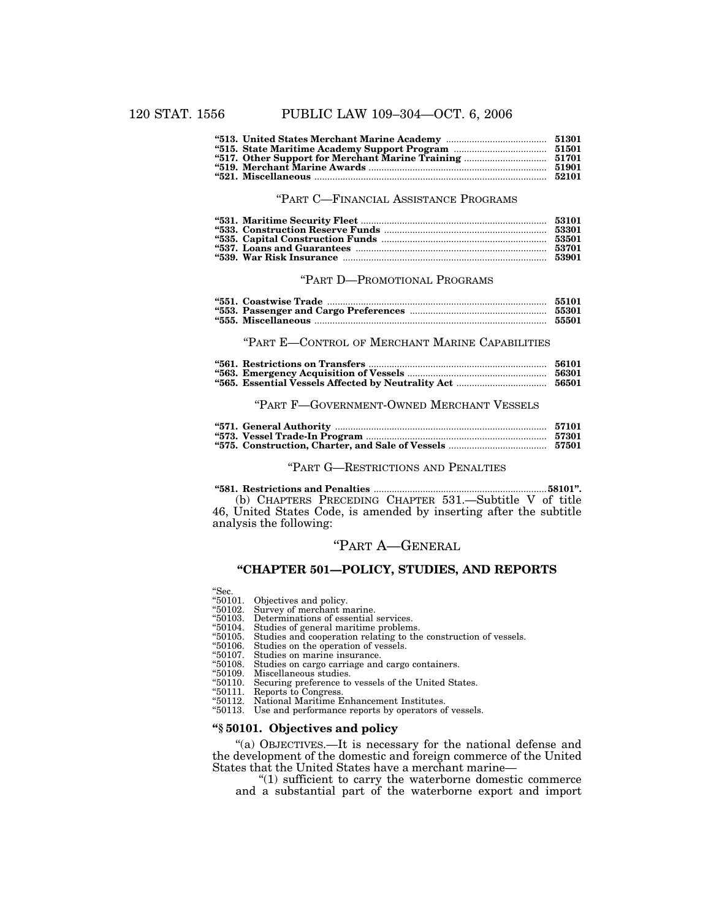| 51901 |
|-------|
| 52101 |

# ''PART C—FINANCIAL ASSISTANCE PROGRAMS

#### ''PART D—PROMOTIONAL PROGRAMS

| 55101 |
|-------|
|       |
| 55501 |

#### ''PART E—CONTROL OF MERCHANT MARINE CAPABILITIES

|  | 56101 |
|--|-------|
|  | 56301 |
|  |       |
|  |       |

### ''PART F—GOVERNMENT-OWNED MERCHANT VESSELS

| 57101 |
|-------|
| 57301 |
|       |

#### ''PART G—RESTRICTIONS AND PENALTIES

**''581. Restrictions and Penalties** ...................................................................**58101''.** (b) CHAPTERS PRECEDING CHAPTER 531.—Subtitle V of title 46, United States Code, is amended by inserting after the subtitle analysis the following:

# ''PART A—GENERAL

#### **''CHAPTER 501—POLICY, STUDIES, AND REPORTS**

- 
- "Sec.<br>"50101. Objectives and policy.<br>"50102. Survey of merchant marine.<br>"50103. Determinations of essential services.<br>"50104. Studies of general maritime problems.<br>"50105. Studies and cooperation relating to the constructi
- 
- 

- ''50112. National Maritime Enhancement Institutes.
- "50113. Use and performance reports by operators of vessels.

### **''§ 50101. Objectives and policy**

"(a) OBJECTIVES.—It is necessary for the national defense and the development of the domestic and foreign commerce of the United States that the United States have a merchant marine—

''(1) sufficient to carry the waterborne domestic commerce and a substantial part of the waterborne export and import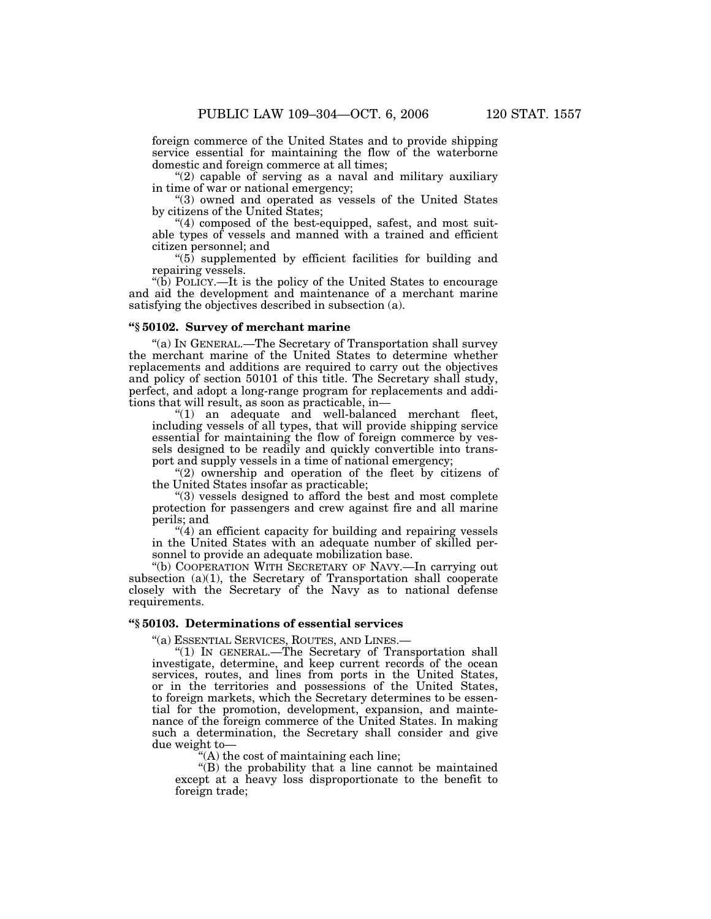foreign commerce of the United States and to provide shipping service essential for maintaining the flow of the waterborne domestic and foreign commerce at all times;

"(2) capable of serving as a naval and military auxiliary in time of war or national emergency;

''(3) owned and operated as vessels of the United States by citizens of the United States;

"(4) composed of the best-equipped, safest, and most suitable types of vessels and manned with a trained and efficient citizen personnel; and

 $(5)$  supplemented by efficient facilities for building and repairing vessels.

"(b) POLICY.—It is the policy of the United States to encourage and aid the development and maintenance of a merchant marine satisfying the objectives described in subsection (a).

#### **''§ 50102. Survey of merchant marine**

''(a) IN GENERAL.—The Secretary of Transportation shall survey the merchant marine of the United States to determine whether replacements and additions are required to carry out the objectives and policy of section 50101 of this title. The Secretary shall study, perfect, and adopt a long-range program for replacements and additions that will result, as soon as practicable, in—

''(1) an adequate and well-balanced merchant fleet, including vessels of all types, that will provide shipping service essential for maintaining the flow of foreign commerce by vessels designed to be readily and quickly convertible into transport and supply vessels in a time of national emergency;

"(2) ownership and operation of the fleet by citizens of the United States insofar as practicable;

''(3) vessels designed to afford the best and most complete protection for passengers and crew against fire and all marine perils; and

"(4) an efficient capacity for building and repairing vessels in the United States with an adequate number of skilled personnel to provide an adequate mobilization base.

''(b) COOPERATION WITH SECRETARY OF NAVY.—In carrying out subsection  $(a)(1)$ , the Secretary of Transportation shall cooperate closely with the Secretary of the Navy as to national defense requirements.

#### **''§ 50103. Determinations of essential services**

''(a) ESSENTIAL SERVICES, ROUTES, AND LINES.— ''(1) IN GENERAL.—The Secretary of Transportation shall investigate, determine, and keep current records of the ocean services, routes, and lines from ports in the United States, or in the territories and possessions of the United States, to foreign markets, which the Secretary determines to be essential for the promotion, development, expansion, and maintenance of the foreign commerce of the United States. In making such a determination, the Secretary shall consider and give due weight to—

''(A) the cost of maintaining each line;

''(B) the probability that a line cannot be maintained except at a heavy loss disproportionate to the benefit to foreign trade;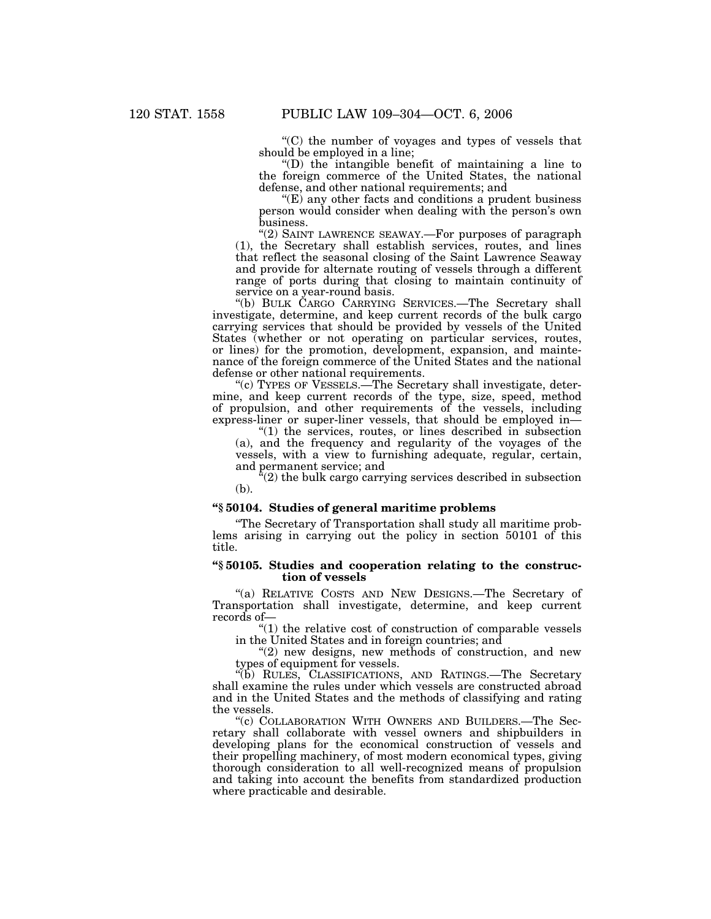''(C) the number of voyages and types of vessels that should be employed in a line;

''(D) the intangible benefit of maintaining a line to the foreign commerce of the United States, the national defense, and other national requirements; and

 $E(E)$  any other facts and conditions a prudent business person would consider when dealing with the person's own business.

"(2) SAINT LAWRENCE SEAWAY.—For purposes of paragraph (1), the Secretary shall establish services, routes, and lines that reflect the seasonal closing of the Saint Lawrence Seaway and provide for alternate routing of vessels through a different range of ports during that closing to maintain continuity of service on a year-round basis.

''(b) BULK CARGO CARRYING SERVICES.—The Secretary shall investigate, determine, and keep current records of the bulk cargo carrying services that should be provided by vessels of the United States (whether or not operating on particular services, routes, or lines) for the promotion, development, expansion, and maintenance of the foreign commerce of the United States and the national defense or other national requirements.

''(c) TYPES OF VESSELS.—The Secretary shall investigate, determine, and keep current records of the type, size, speed, method of propulsion, and other requirements of the vessels, including express-liner or super-liner vessels, that should be employed in—

''(1) the services, routes, or lines described in subsection (a), and the frequency and regularity of the voyages of the vessels, with a view to furnishing adequate, regular, certain, and permanent service; and

 $(2)$  the bulk cargo carrying services described in subsection (b).

#### **''§ 50104. Studies of general maritime problems**

''The Secretary of Transportation shall study all maritime problems arising in carrying out the policy in section 50101 of this title.

#### **''§ 50105. Studies and cooperation relating to the construction of vessels**

''(a) RELATIVE COSTS AND NEW DESIGNS.—The Secretary of Transportation shall investigate, determine, and keep current records of—

" $(1)$  the relative cost of construction of comparable vessels in the United States and in foreign countries; and

 $(2)$  new designs, new methods of construction, and new types of equipment for vessels.

''(b) RULES, CLASSIFICATIONS, AND RATINGS.—The Secretary shall examine the rules under which vessels are constructed abroad and in the United States and the methods of classifying and rating the vessels.

''(c) COLLABORATION WITH OWNERS AND BUILDERS.—The Secretary shall collaborate with vessel owners and shipbuilders in developing plans for the economical construction of vessels and their propelling machinery, of most modern economical types, giving thorough consideration to all well-recognized means of propulsion and taking into account the benefits from standardized production where practicable and desirable.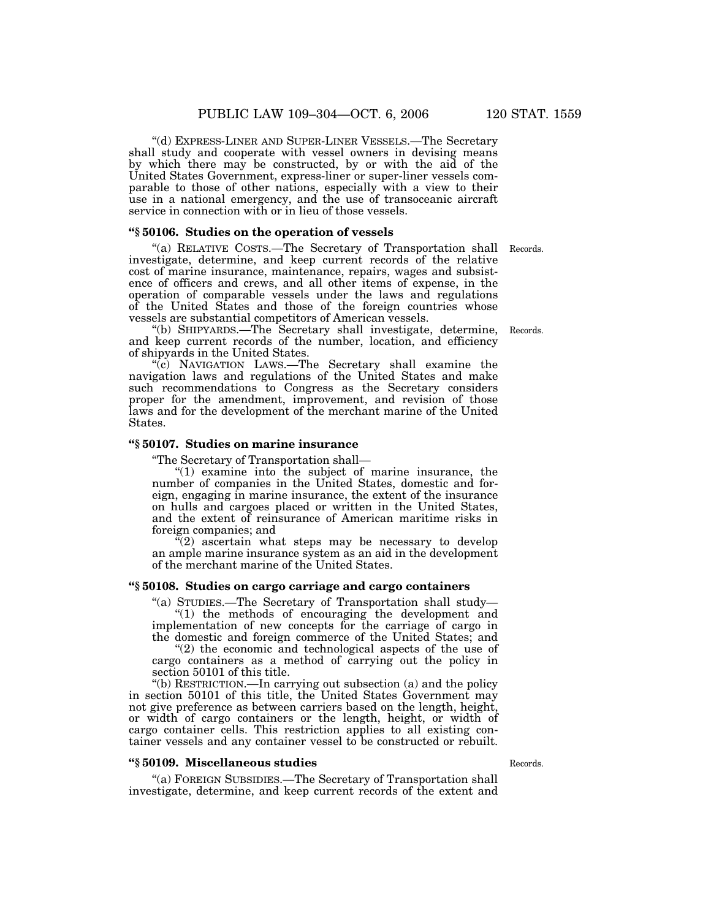''(d) EXPRESS-LINER AND SUPER-LINER VESSELS.—The Secretary shall study and cooperate with vessel owners in devising means by which there may be constructed, by or with the aid of the United States Government, express-liner or super-liner vessels comparable to those of other nations, especially with a view to their use in a national emergency, and the use of transoceanic aircraft service in connection with or in lieu of those vessels.

# **''§ 50106. Studies on the operation of vessels**

"(a) RELATIVE COSTS.—The Secretary of Transportation shall Records. investigate, determine, and keep current records of the relative cost of marine insurance, maintenance, repairs, wages and subsistence of officers and crews, and all other items of expense, in the operation of comparable vessels under the laws and regulations of the United States and those of the foreign countries whose vessels are substantial competitors of American vessels.

''(b) SHIPYARDS.—The Secretary shall investigate, determine, and keep current records of the number, location, and efficiency of shipyards in the United States.

''(c) NAVIGATION LAWS.—The Secretary shall examine the navigation laws and regulations of the United States and make such recommendations to Congress as the Secretary considers proper for the amendment, improvement, and revision of those laws and for the development of the merchant marine of the United States.

#### **''§ 50107. Studies on marine insurance**

''The Secretary of Transportation shall—

" $(1)$  examine into the subject of marine insurance, the number of companies in the United States, domestic and foreign, engaging in marine insurance, the extent of the insurance on hulls and cargoes placed or written in the United States, and the extent of reinsurance of American maritime risks in foreign companies; and

 $(2)$  ascertain what steps may be necessary to develop an ample marine insurance system as an aid in the development of the merchant marine of the United States.

# **''§ 50108. Studies on cargo carriage and cargo containers**

''(a) STUDIES.—The Secretary of Transportation shall study— "(1) the methods of encouraging the development and implementation of new concepts for the carriage of cargo in the domestic and foreign commerce of the United States; and

"(2) the economic and technological aspects of the use of cargo containers as a method of carrying out the policy in section 50101 of this title.

''(b) RESTRICTION.—In carrying out subsection (a) and the policy in section 50101 of this title, the United States Government may not give preference as between carriers based on the length, height, or width of cargo containers or the length, height, or width of cargo container cells. This restriction applies to all existing container vessels and any container vessel to be constructed or rebuilt.

#### **''§ 50109. Miscellaneous studies**

''(a) FOREIGN SUBSIDIES.—The Secretary of Transportation shall investigate, determine, and keep current records of the extent and

Records.

Records.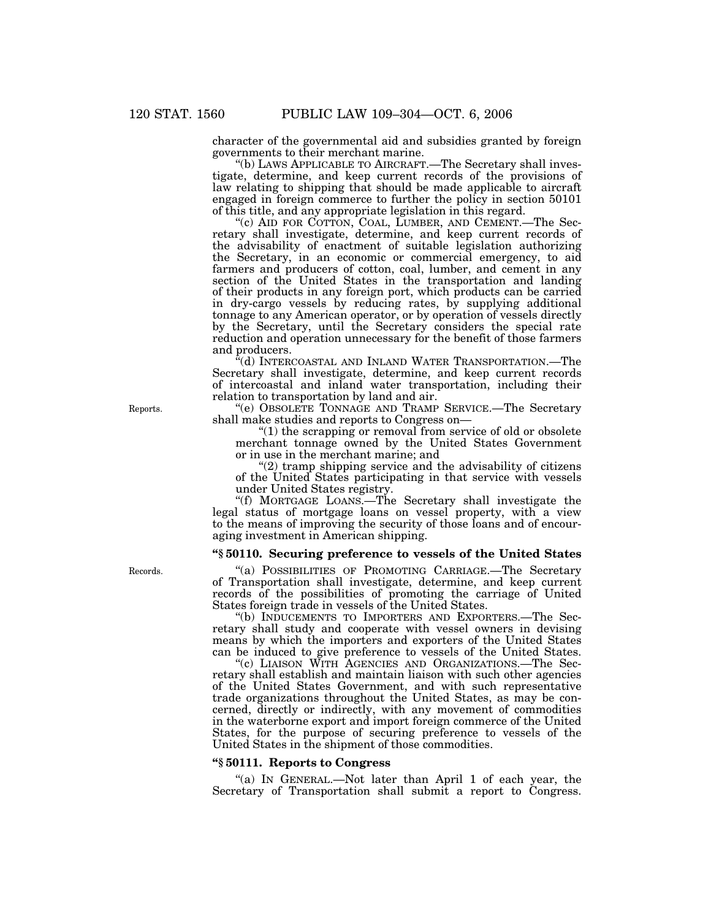character of the governmental aid and subsidies granted by foreign governments to their merchant marine.

''(b) LAWS APPLICABLE TO AIRCRAFT.—The Secretary shall investigate, determine, and keep current records of the provisions of law relating to shipping that should be made applicable to aircraft engaged in foreign commerce to further the policy in section 50101 of this title, and any appropriate legislation in this regard.

''(c) AID FOR COTTON, COAL, LUMBER, AND CEMENT.—The Secretary shall investigate, determine, and keep current records of the advisability of enactment of suitable legislation authorizing the Secretary, in an economic or commercial emergency, to aid farmers and producers of cotton, coal, lumber, and cement in any section of the United States in the transportation and landing of their products in any foreign port, which products can be carried in dry-cargo vessels by reducing rates, by supplying additional tonnage to any American operator, or by operation of vessels directly by the Secretary, until the Secretary considers the special rate reduction and operation unnecessary for the benefit of those farmers and producers.

(d) INTERCOASTAL AND INLAND WATER TRANSPORTATION.—The Secretary shall investigate, determine, and keep current records of intercoastal and inland water transportation, including their relation to transportation by land and air.

''(e) OBSOLETE TONNAGE AND TRAMP SERVICE.—The Secretary shall make studies and reports to Congress on—

''(1) the scrapping or removal from service of old or obsolete merchant tonnage owned by the United States Government or in use in the merchant marine; and

 $(2)$  tramp shipping service and the advisability of citizens of the United States participating in that service with vessels under United States registry.

''(f) MORTGAGE LOANS.—The Secretary shall investigate the legal status of mortgage loans on vessel property, with a view to the means of improving the security of those loans and of encouraging investment in American shipping.

#### **''§ 50110. Securing preference to vessels of the United States**

''(a) POSSIBILITIES OF PROMOTING CARRIAGE.—The Secretary of Transportation shall investigate, determine, and keep current records of the possibilities of promoting the carriage of United States foreign trade in vessels of the United States.

''(b) INDUCEMENTS TO IMPORTERS AND EXPORTERS.—The Secretary shall study and cooperate with vessel owners in devising means by which the importers and exporters of the United States can be induced to give preference to vessels of the United States.

''(c) LIAISON WITH AGENCIES AND ORGANIZATIONS.—The Secretary shall establish and maintain liaison with such other agencies of the United States Government, and with such representative trade organizations throughout the United States, as may be concerned, directly or indirectly, with any movement of commodities in the waterborne export and import foreign commerce of the United States, for the purpose of securing preference to vessels of the United States in the shipment of those commodities.

#### **''§ 50111. Reports to Congress**

''(a) IN GENERAL.—Not later than April 1 of each year, the Secretary of Transportation shall submit a report to Congress.

Reports.

Records.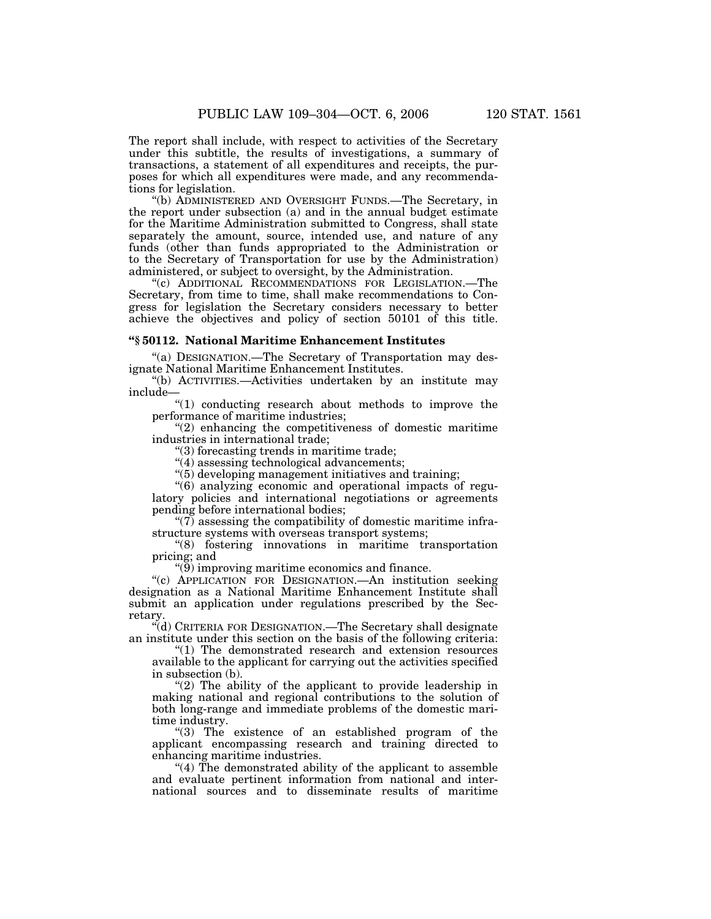The report shall include, with respect to activities of the Secretary under this subtitle, the results of investigations, a summary of transactions, a statement of all expenditures and receipts, the purposes for which all expenditures were made, and any recommendations for legislation.

''(b) ADMINISTERED AND OVERSIGHT FUNDS.—The Secretary, in the report under subsection (a) and in the annual budget estimate for the Maritime Administration submitted to Congress, shall state separately the amount, source, intended use, and nature of any funds (other than funds appropriated to the Administration or to the Secretary of Transportation for use by the Administration) administered, or subject to oversight, by the Administration.

''(c) ADDITIONAL RECOMMENDATIONS FOR LEGISLATION.—The Secretary, from time to time, shall make recommendations to Congress for legislation the Secretary considers necessary to better achieve the objectives and policy of section 50101 of this title.

#### **''§ 50112. National Maritime Enhancement Institutes**

''(a) DESIGNATION.—The Secretary of Transportation may designate National Maritime Enhancement Institutes.

''(b) ACTIVITIES.—Activities undertaken by an institute may include—

''(1) conducting research about methods to improve the performance of maritime industries;

"(2) enhancing the competitiveness of domestic maritime industries in international trade;

''(3) forecasting trends in maritime trade;

"(4) assessing technological advancements;

''(5) developing management initiatives and training;

''(6) analyzing economic and operational impacts of regulatory policies and international negotiations or agreements pending before international bodies;

 $\degree$ (7) assessing the compatibility of domestic maritime infrastructure systems with overseas transport systems;

''(8) fostering innovations in maritime transportation pricing; and

''(9) improving maritime economics and finance.

''(c) APPLICATION FOR DESIGNATION.—An institution seeking designation as a National Maritime Enhancement Institute shall submit an application under regulations prescribed by the Secretary.

''(d) CRITERIA FOR DESIGNATION.—The Secretary shall designate an institute under this section on the basis of the following criteria:

"(1) The demonstrated research and extension resources available to the applicant for carrying out the activities specified in subsection (b).

"(2) The ability of the applicant to provide leadership in making national and regional contributions to the solution of both long-range and immediate problems of the domestic maritime industry.

"(3) The existence of an established program of the applicant encompassing research and training directed to enhancing maritime industries.

"(4) The demonstrated ability of the applicant to assemble and evaluate pertinent information from national and international sources and to disseminate results of maritime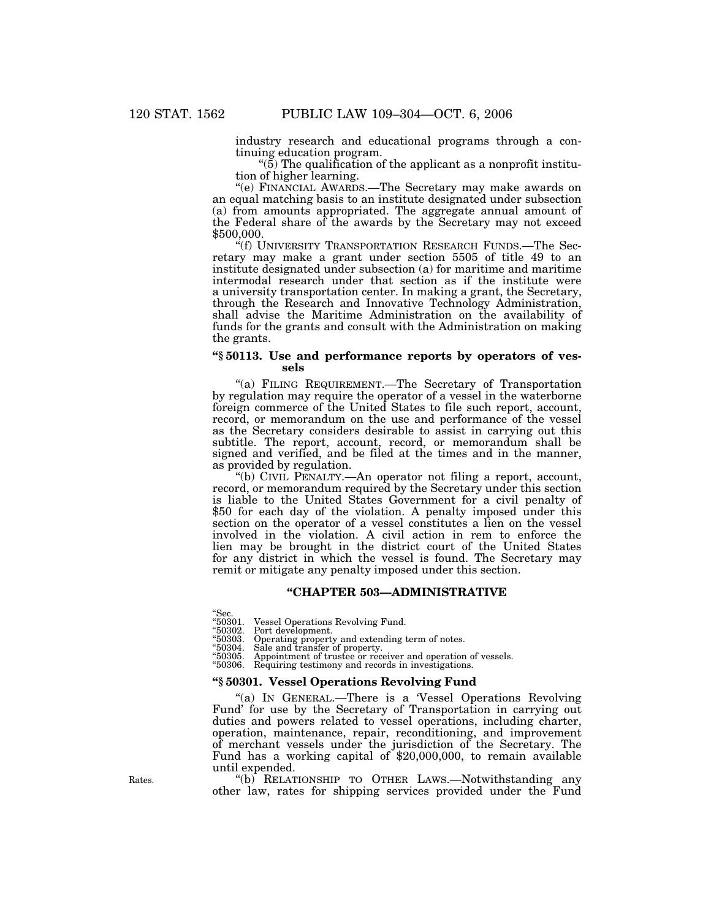industry research and educational programs through a continuing education program.

" $(5)$  The qualification of the applicant as a nonprofit institution of higher learning.

''(e) FINANCIAL AWARDS.—The Secretary may make awards on an equal matching basis to an institute designated under subsection (a) from amounts appropriated. The aggregate annual amount of the Federal share of the awards by the Secretary may not exceed \$500,000.

"(f) UNIVERSITY TRANSPORTATION RESEARCH FUNDS.—The Secretary may make a grant under section 5505 of title 49 to an institute designated under subsection (a) for maritime and maritime intermodal research under that section as if the institute were a university transportation center. In making a grant, the Secretary, through the Research and Innovative Technology Administration, shall advise the Maritime Administration on the availability of funds for the grants and consult with the Administration on making the grants.

#### **''§ 50113. Use and performance reports by operators of vessels**

"(a) FILING REQUIREMENT.—The Secretary of Transportation by regulation may require the operator of a vessel in the waterborne foreign commerce of the United States to file such report, account, record, or memorandum on the use and performance of the vessel as the Secretary considers desirable to assist in carrying out this subtitle. The report, account, record, or memorandum shall be signed and verified, and be filed at the times and in the manner, as provided by regulation.

''(b) CIVIL PENALTY.—An operator not filing a report, account, record, or memorandum required by the Secretary under this section is liable to the United States Government for a civil penalty of \$50 for each day of the violation. A penalty imposed under this section on the operator of a vessel constitutes a lien on the vessel involved in the violation. A civil action in rem to enforce the lien may be brought in the district court of the United States for any district in which the vessel is found. The Secretary may remit or mitigate any penalty imposed under this section.

#### **''CHAPTER 503—ADMINISTRATIVE**

"Sec.<br>"50301.<br>"50302.<br>"50303. Vessel Operations Revolving Fund.

Port development.

''50303. Operating property and extending term of notes.

''50304. Sale and transfer of property. ''50305. Appointment of trustee or receiver and operation of vessels. ''50306. Requiring testimony and records in investigations.

# **''§ 50301. Vessel Operations Revolving Fund**

"(a) IN GENERAL.—There is a 'Vessel Operations Revolving Fund' for use by the Secretary of Transportation in carrying out duties and powers related to vessel operations, including charter, operation, maintenance, repair, reconditioning, and improvement of merchant vessels under the jurisdiction of the Secretary. The Fund has a working capital of \$20,000,000, to remain available until expended.

''(b) RELATIONSHIP TO OTHER LAWS.—Notwithstanding any other law, rates for shipping services provided under the Fund

Rates.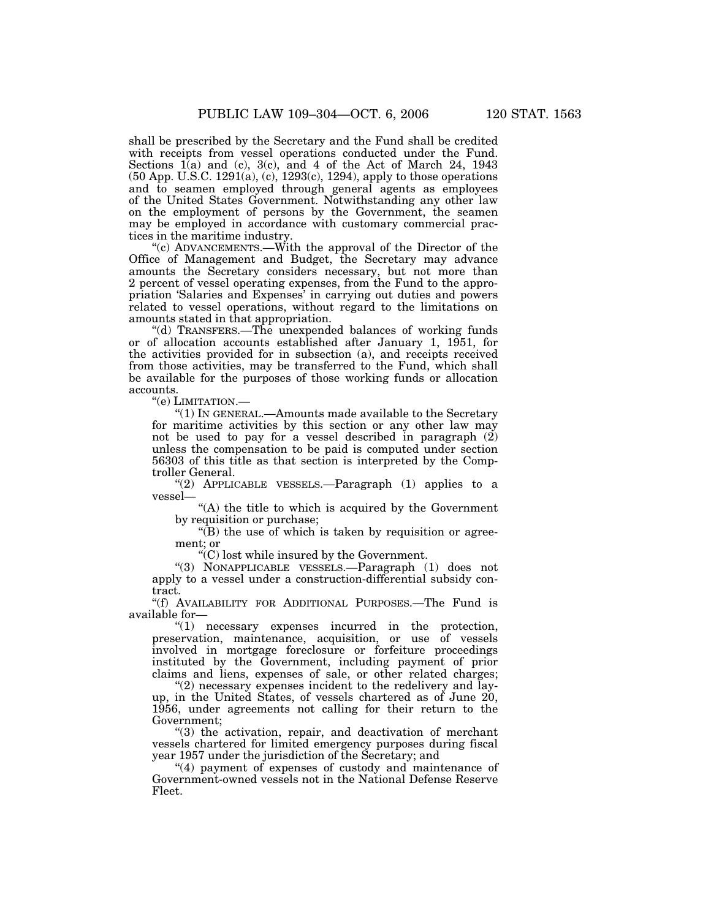shall be prescribed by the Secretary and the Fund shall be credited with receipts from vessel operations conducted under the Fund. Sections 1(a) and (c), 3(c), and 4 of the Act of March 24, 1943 (50 App. U.S.C. 1291(a), (c), 1293(c), 1294), apply to those operations and to seamen employed through general agents as employees of the United States Government. Notwithstanding any other law on the employment of persons by the Government, the seamen may be employed in accordance with customary commercial practices in the maritime industry.

"(c) ADVANCEMENTS.—With the approval of the Director of the Office of Management and Budget, the Secretary may advance amounts the Secretary considers necessary, but not more than 2 percent of vessel operating expenses, from the Fund to the appropriation 'Salaries and Expenses' in carrying out duties and powers related to vessel operations, without regard to the limitations on amounts stated in that appropriation.

''(d) TRANSFERS.—The unexpended balances of working funds or of allocation accounts established after January 1, 1951, for the activities provided for in subsection (a), and receipts received from those activities, may be transferred to the Fund, which shall be available for the purposes of those working funds or allocation accounts.

''(e) LIMITATION.—

''(1) IN GENERAL.—Amounts made available to the Secretary for maritime activities by this section or any other law may not be used to pay for a vessel described in paragraph (2) unless the compensation to be paid is computed under section 56303 of this title as that section is interpreted by the Comptroller General.

"(2) APPLICABLE VESSELS.—Paragraph  $(1)$  applies to a vessel—

"(A) the title to which is acquired by the Government by requisition or purchase;

 $\mathrm{``(B)}$  the use of which is taken by requisition or agreement; or

''(C) lost while insured by the Government.

''(3) NONAPPLICABLE VESSELS.—Paragraph (1) does not apply to a vessel under a construction-differential subsidy contract.

''(f) AVAILABILITY FOR ADDITIONAL PURPOSES.—The Fund is available for—

 $''(1)$  necessary expenses incurred in the protection, preservation, maintenance, acquisition, or use of vessels involved in mortgage foreclosure or forfeiture proceedings instituted by the Government, including payment of prior claims and liens, expenses of sale, or other related charges;

"(2) necessary expenses incident to the redelivery and layup, in the United States, of vessels chartered as of June 20, 1956, under agreements not calling for their return to the Government;

''(3) the activation, repair, and deactivation of merchant vessels chartered for limited emergency purposes during fiscal year 1957 under the jurisdiction of the Secretary; and

" $(4)$  payment of expenses of custody and maintenance of Government-owned vessels not in the National Defense Reserve Fleet.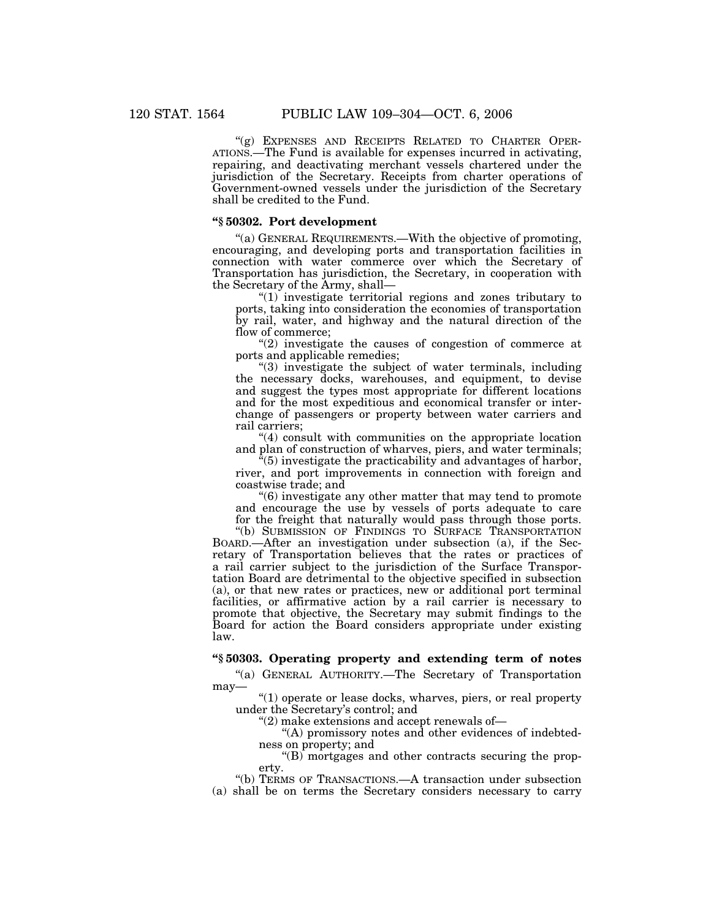''(g) EXPENSES AND RECEIPTS RELATED TO CHARTER OPER-ATIONS.—The Fund is available for expenses incurred in activating, repairing, and deactivating merchant vessels chartered under the jurisdiction of the Secretary. Receipts from charter operations of Government-owned vessels under the jurisdiction of the Secretary shall be credited to the Fund.

# **''§ 50302. Port development**

''(a) GENERAL REQUIREMENTS.—With the objective of promoting, encouraging, and developing ports and transportation facilities in connection with water commerce over which the Secretary of Transportation has jurisdiction, the Secretary, in cooperation with the Secretary of the Army, shall—

 $''(1)$  investigate territorial regions and zones tributary to ports, taking into consideration the economies of transportation by rail, water, and highway and the natural direction of the flow of commerce;

 $''(2)$  investigate the causes of congestion of commerce at ports and applicable remedies;

''(3) investigate the subject of water terminals, including the necessary docks, warehouses, and equipment, to devise and suggest the types most appropriate for different locations and for the most expeditious and economical transfer or interchange of passengers or property between water carriers and rail carriers;

''(4) consult with communities on the appropriate location and plan of construction of wharves, piers, and water terminals;

 $\epsilon$ <sup>3</sup>(5) investigate the practicability and advantages of harbor, river, and port improvements in connection with foreign and coastwise trade; and

''(6) investigate any other matter that may tend to promote and encourage the use by vessels of ports adequate to care for the freight that naturally would pass through those ports.

''(b) SUBMISSION OF FINDINGS TO SURFACE TRANSPORTATION BOARD.—After an investigation under subsection (a), if the Secretary of Transportation believes that the rates or practices of a rail carrier subject to the jurisdiction of the Surface Transportation Board are detrimental to the objective specified in subsection (a), or that new rates or practices, new or additional port terminal facilities, or affirmative action by a rail carrier is necessary to promote that objective, the Secretary may submit findings to the Board for action the Board considers appropriate under existing law.

#### **''§ 50303. Operating property and extending term of notes**

"(a) GENERAL AUTHORITY.—The Secretary of Transportation may—

''(1) operate or lease docks, wharves, piers, or real property under the Secretary's control; and

''(2) make extensions and accept renewals of—

''(A) promissory notes and other evidences of indebtedness on property; and

''(B) mortgages and other contracts securing the property.

''(b) TERMS OF TRANSACTIONS.—A transaction under subsection (a) shall be on terms the Secretary considers necessary to carry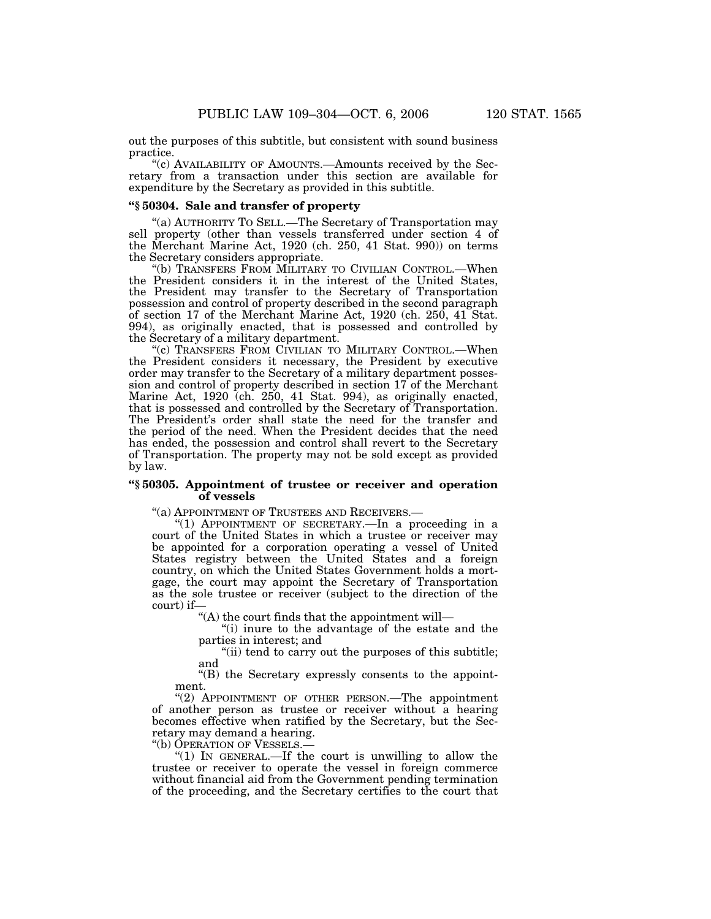out the purposes of this subtitle, but consistent with sound business practice.

''(c) AVAILABILITY OF AMOUNTS.—Amounts received by the Secretary from a transaction under this section are available for expenditure by the Secretary as provided in this subtitle.

#### **''§ 50304. Sale and transfer of property**

''(a) AUTHORITY TO SELL.—The Secretary of Transportation may sell property (other than vessels transferred under section 4 of the Merchant Marine Act, 1920 (ch. 250, 41 Stat. 990)) on terms the Secretary considers appropriate.

''(b) TRANSFERS FROM MILITARY TO CIVILIAN CONTROL.—When the President considers it in the interest of the United States, the President may transfer to the Secretary of Transportation possession and control of property described in the second paragraph of section 17 of the Merchant Marine Act, 1920 (ch. 250, 41 Stat. 994), as originally enacted, that is possessed and controlled by the Secretary of a military department.

''(c) TRANSFERS FROM CIVILIAN TO MILITARY CONTROL.—When the President considers it necessary, the President by executive order may transfer to the Secretary of a military department possession and control of property described in section 17 of the Merchant Marine Act, 1920 (ch. 250, 41 Stat. 994), as originally enacted, that is possessed and controlled by the Secretary of Transportation. The President's order shall state the need for the transfer and the period of the need. When the President decides that the need has ended, the possession and control shall revert to the Secretary of Transportation. The property may not be sold except as provided by law.

#### **''§ 50305. Appointment of trustee or receiver and operation of vessels**

''(a) APPOINTMENT OF TRUSTEES AND RECEIVERS.—

''(1) APPOINTMENT OF SECRETARY.—In a proceeding in a court of the United States in which a trustee or receiver may be appointed for a corporation operating a vessel of United States registry between the United States and a foreign country, on which the United States Government holds a mortgage, the court may appoint the Secretary of Transportation as the sole trustee or receiver (subject to the direction of the court) if—

''(A) the court finds that the appointment will—

''(i) inure to the advantage of the estate and the parties in interest; and

"(ii) tend to carry out the purposes of this subtitle; and

''(B) the Secretary expressly consents to the appointment.

"(2) APPOINTMENT OF OTHER PERSON.—The appointment of another person as trustee or receiver without a hearing becomes effective when ratified by the Secretary, but the Secretary may demand a hearing.

"(b) OPERATION OF VESSELS.-

" $(1)$  In GENERAL.—If the court is unwilling to allow the trustee or receiver to operate the vessel in foreign commerce without financial aid from the Government pending termination of the proceeding, and the Secretary certifies to the court that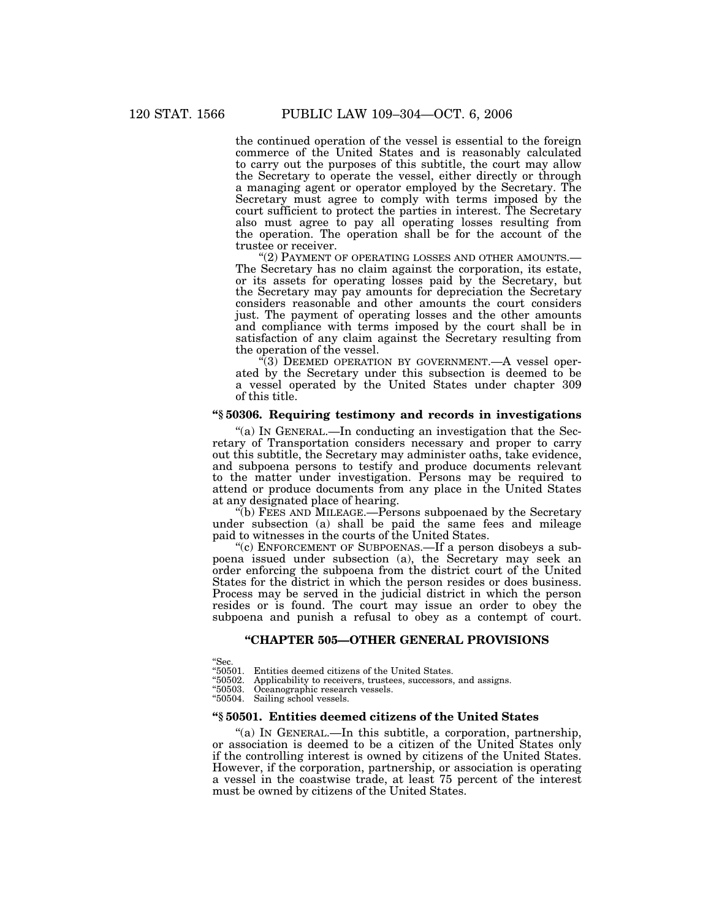the continued operation of the vessel is essential to the foreign commerce of the United States and is reasonably calculated to carry out the purposes of this subtitle, the court may allow the Secretary to operate the vessel, either directly or through a managing agent or operator employed by the Secretary. The Secretary must agree to comply with terms imposed by the court sufficient to protect the parties in interest. The Secretary also must agree to pay all operating losses resulting from the operation. The operation shall be for the account of the trustee or receiver.<br>
"(2) PAYMENT OF OPERATING LOSSES AND OTHER AMOUNTS.—

The Secretary has no claim against the corporation, its estate, or its assets for operating losses paid by the Secretary, but the Secretary may pay amounts for depreciation the Secretary considers reasonable and other amounts the court considers just. The payment of operating losses and the other amounts and compliance with terms imposed by the court shall be in satisfaction of any claim against the Secretary resulting from the operation of the vessel.

(3) DEEMED OPERATION BY GOVERNMENT.—A vessel operated by the Secretary under this subsection is deemed to be a vessel operated by the United States under chapter 309 of this title.

#### **''§ 50306. Requiring testimony and records in investigations**

''(a) IN GENERAL.—In conducting an investigation that the Secretary of Transportation considers necessary and proper to carry out this subtitle, the Secretary may administer oaths, take evidence, and subpoena persons to testify and produce documents relevant to the matter under investigation. Persons may be required to attend or produce documents from any place in the United States at any designated place of hearing.

''(b) FEES AND MILEAGE.—Persons subpoenaed by the Secretary under subsection (a) shall be paid the same fees and mileage paid to witnesses in the courts of the United States.

''(c) ENFORCEMENT OF SUBPOENAS.—If a person disobeys a subpoena issued under subsection (a), the Secretary may seek an order enforcing the subpoena from the district court of the United States for the district in which the person resides or does business. Process may be served in the judicial district in which the person resides or is found. The court may issue an order to obey the subpoena and punish a refusal to obey as a contempt of court.

#### **''CHAPTER 505—OTHER GENERAL PROVISIONS**

''Sec.

"50501. Entities deemed citizens of the United States.<br>"50502. Applicability to receivers, trustees, successors,

Applicability to receivers, trustees, successors, and assigns.

''50503. Oceanographic research vessels.

"50504. Sailing school vessels.

#### **''§ 50501. Entities deemed citizens of the United States**

"(a) IN GENERAL.—In this subtitle, a corporation, partnership, or association is deemed to be a citizen of the United States only if the controlling interest is owned by citizens of the United States. However, if the corporation, partnership, or association is operating a vessel in the coastwise trade, at least 75 percent of the interest must be owned by citizens of the United States.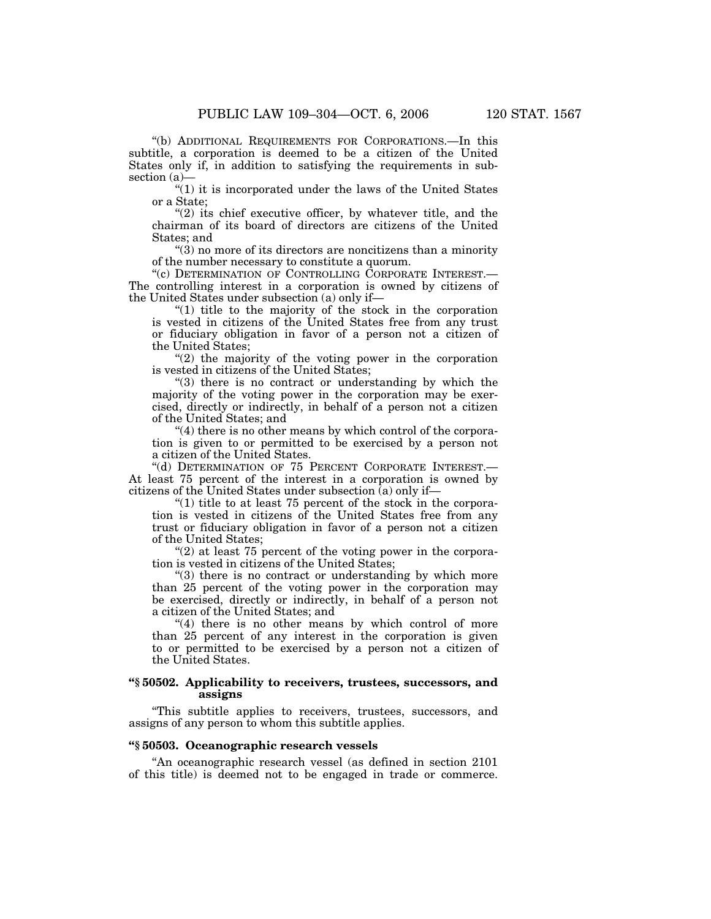''(b) ADDITIONAL REQUIREMENTS FOR CORPORATIONS.—In this subtitle, a corporation is deemed to be a citizen of the United States only if, in addition to satisfying the requirements in subsection (a)—

''(1) it is incorporated under the laws of the United States or a State;

" $(2)$  its chief executive officer, by whatever title, and the chairman of its board of directors are citizens of the United States; and

''(3) no more of its directors are noncitizens than a minority of the number necessary to constitute a quorum.

''(c) DETERMINATION OF CONTROLLING CORPORATE INTEREST.— The controlling interest in a corporation is owned by citizens of the United States under subsection (a) only if—

''(1) title to the majority of the stock in the corporation is vested in citizens of the United States free from any trust or fiduciary obligation in favor of a person not a citizen of the United States;

 $''(2)$  the majority of the voting power in the corporation is vested in citizens of the United States;

''(3) there is no contract or understanding by which the majority of the voting power in the corporation may be exercised, directly or indirectly, in behalf of a person not a citizen of the United States; and

 $''(4)$  there is no other means by which control of the corporation is given to or permitted to be exercised by a person not a citizen of the United States.

''(d) DETERMINATION OF 75 PERCENT CORPORATE INTEREST.— At least 75 percent of the interest in a corporation is owned by citizens of the United States under subsection (a) only if—

" $(1)$  title to at least 75 percent of the stock in the corporation is vested in citizens of the United States free from any trust or fiduciary obligation in favor of a person not a citizen of the United States;

" $(2)$  at least 75 percent of the voting power in the corporation is vested in citizens of the United States;

"(3) there is no contract or understanding by which more than 25 percent of the voting power in the corporation may be exercised, directly or indirectly, in behalf of a person not a citizen of the United States; and

" $(4)$  there is no other means by which control of more than 25 percent of any interest in the corporation is given to or permitted to be exercised by a person not a citizen of the United States.

#### **''§ 50502. Applicability to receivers, trustees, successors, and assigns**

''This subtitle applies to receivers, trustees, successors, and assigns of any person to whom this subtitle applies.

# **''§ 50503. Oceanographic research vessels**

''An oceanographic research vessel (as defined in section 2101 of this title) is deemed not to be engaged in trade or commerce.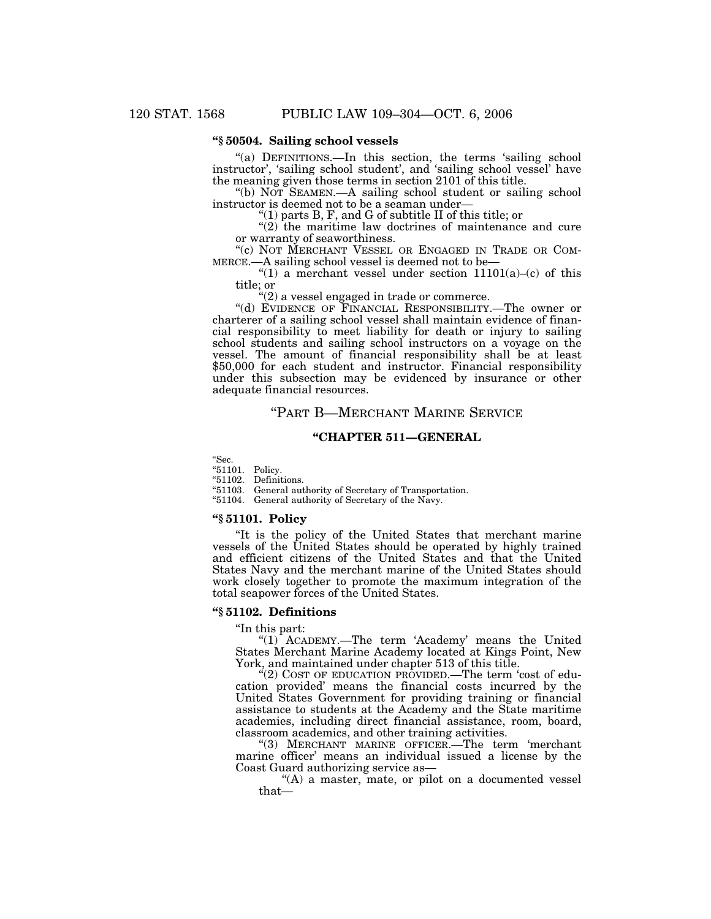# **''§ 50504. Sailing school vessels**

"(a) DEFINITIONS.—In this section, the terms 'sailing school instructor', 'sailing school student', and 'sailing school vessel' have the meaning given those terms in section 2101 of this title.

''(b) NOT SEAMEN.—A sailing school student or sailing school instructor is deemed not to be a seaman under—

''(1) parts B, F, and G of subtitle II of this title; or

 $(2)$  the maritime law doctrines of maintenance and cure or warranty of seaworthiness.<br>"(c) NOT MERCHANT VESSEL OR ENGAGED IN TRADE OR COM-

MERCE.—A sailing school vessel is deemed not to be—

"(1) a merchant vessel under section  $11101(a)$ -(c) of this title; or

 $C'(2)$  a vessel engaged in trade or commerce.

''(d) EVIDENCE OF FINANCIAL RESPONSIBILITY.—The owner or charterer of a sailing school vessel shall maintain evidence of financial responsibility to meet liability for death or injury to sailing school students and sailing school instructors on a voyage on the vessel. The amount of financial responsibility shall be at least \$50,000 for each student and instructor. Financial responsibility under this subsection may be evidenced by insurance or other adequate financial resources.

# ''PART B—MERCHANT MARINE SERVICE

#### **''CHAPTER 511—GENERAL**

''Sec.

"51101. Policy.

''51102. Definitions.

''51103. General authority of Secretary of Transportation.

"51104. General authority of Secretary of the Navy.

#### **''§ 51101. Policy**

''It is the policy of the United States that merchant marine vessels of the United States should be operated by highly trained and efficient citizens of the United States and that the United States Navy and the merchant marine of the United States should work closely together to promote the maximum integration of the total seapower forces of the United States.

# **''§ 51102. Definitions**

''In this part:

" $(1)$  ACADEMY.—The term 'Academy' means the United States Merchant Marine Academy located at Kings Point, New York, and maintained under chapter 513 of this title.

"(2) COST OF EDUCATION PROVIDED.—The term 'cost of education provided' means the financial costs incurred by the United States Government for providing training or financial assistance to students at the Academy and the State maritime academies, including direct financial assistance, room, board, classroom academics, and other training activities.

"(3) MERCHANT MARINE OFFICER.—The term 'merchant marine officer' means an individual issued a license by the Coast Guard authorizing service as—

''(A) a master, mate, or pilot on a documented vessel that—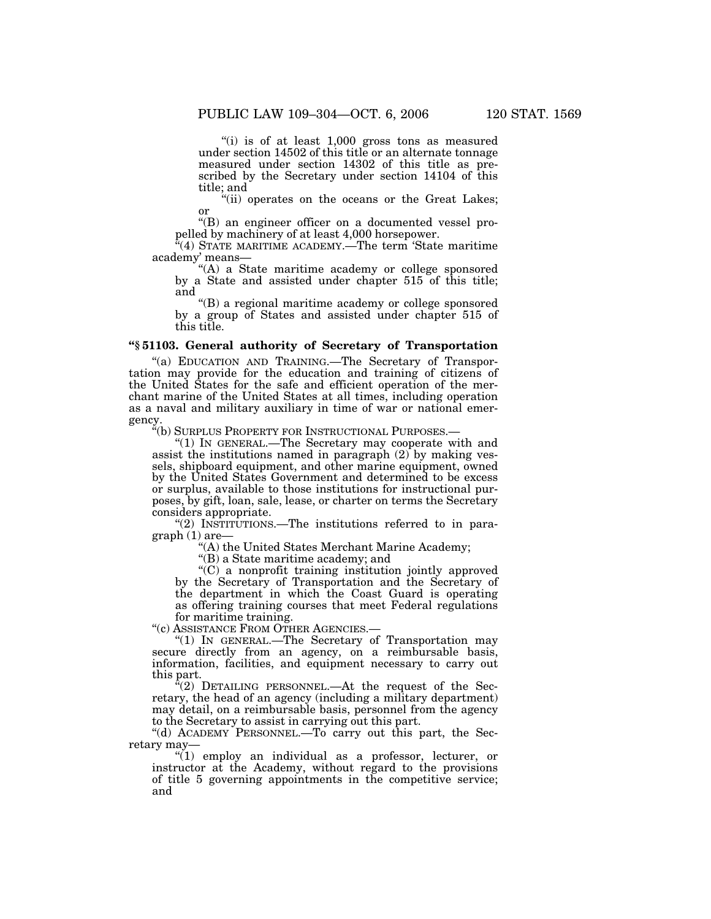"(i) is of at least 1,000 gross tons as measured under section 14502 of this title or an alternate tonnage measured under section 14302 of this title as prescribed by the Secretary under section 14104 of this title; and

''(ii) operates on the oceans or the Great Lakes; or

''(B) an engineer officer on a documented vessel propelled by machinery of at least 4,000 horsepower.

 $(4)$  State maritime academy.—The term State maritime academy' means—

"(A) a State maritime academy or college sponsored by a State and assisted under chapter 515 of this title; and

''(B) a regional maritime academy or college sponsored by a group of States and assisted under chapter 515 of this title.

# **''§ 51103. General authority of Secretary of Transportation**

''(a) EDUCATION AND TRAINING.—The Secretary of Transportation may provide for the education and training of citizens of the United States for the safe and efficient operation of the merchant marine of the United States at all times, including operation as a naval and military auxiliary in time of war or national emergency.

''(b) SURPLUS PROPERTY FOR INSTRUCTIONAL PURPOSES.—

"(1) IN GENERAL.—The Secretary may cooperate with and assist the institutions named in paragraph  $(2)$  by making vessels, shipboard equipment, and other marine equipment, owned by the United States Government and determined to be excess or surplus, available to those institutions for instructional purposes, by gift, loan, sale, lease, or charter on terms the Secretary considers appropriate.

"(2) INSTITUTIONS.—The institutions referred to in paragraph (1) are—

''(A) the United States Merchant Marine Academy;

''(B) a State maritime academy; and

''(C) a nonprofit training institution jointly approved by the Secretary of Transportation and the Secretary of the department in which the Coast Guard is operating as offering training courses that meet Federal regulations for maritime training.

''(c) ASSISTANCE FROM OTHER AGENCIES.—

''(1) IN GENERAL.—The Secretary of Transportation may secure directly from an agency, on a reimbursable basis, information, facilities, and equipment necessary to carry out this part.

 $\mathcal{E}(2)$  DETAILING PERSONNEL.—At the request of the Secretary, the head of an agency (including a military department) may detail, on a reimbursable basis, personnel from the agency to the Secretary to assist in carrying out this part.

"(d) ACADEMY PERSONNEL.—To carry out this part, the Secretary may—

 $\sqrt[4]{1}$  employ an individual as a professor, lecturer, or instructor at the Academy, without regard to the provisions of title 5 governing appointments in the competitive service; and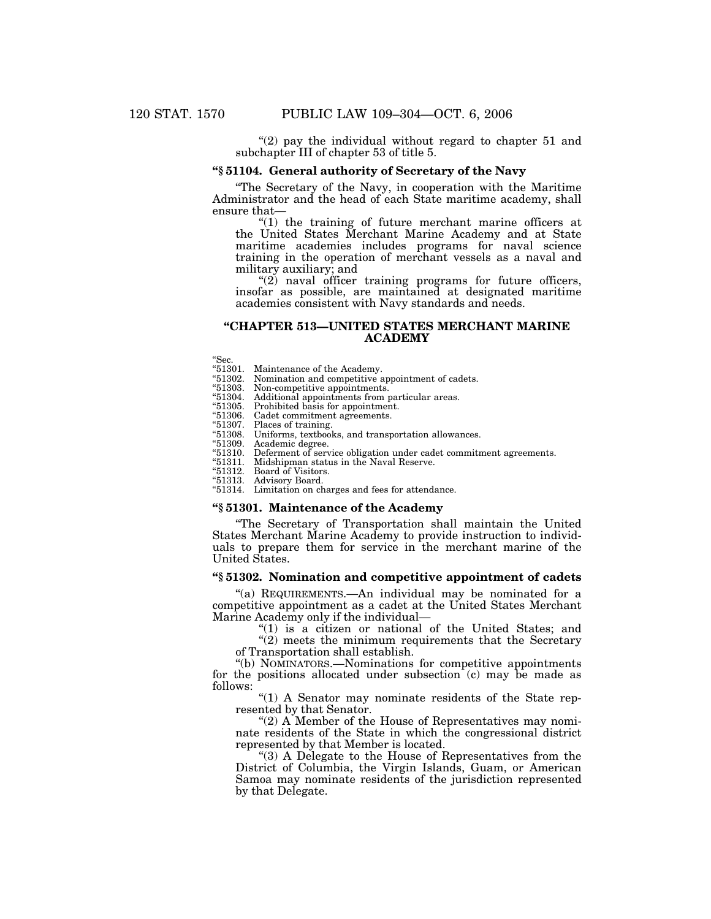" $(2)$  pay the individual without regard to chapter 51 and subchapter III of chapter 53 of title 5.

#### **''§ 51104. General authority of Secretary of the Navy**

''The Secretary of the Navy, in cooperation with the Maritime Administrator and the head of each State maritime academy, shall ensure that—

" $(1)$  the training of future merchant marine officers at the United States Merchant Marine Academy and at State maritime academies includes programs for naval science training in the operation of merchant vessels as a naval and military auxiliary; and

"(2) naval officer training programs for future officers, insofar as possible, are maintained at designated maritime academies consistent with Navy standards and needs.

#### **''CHAPTER 513—UNITED STATES MERCHANT MARINE ACADEMY**

''Sec.

"51301. Maintenance of the Academy.<br>"51302. Nomination and competitive a ''51302. Nomination and competitive appointment of cadets.

''51303. Non-competitive appointments.

''51304. Additional appointments from particular areas.

Prohibited basis for appointment.

"51306. Cadet commitment agreements.<br>"51307. Places of training.

"51307. Places of training.<br>"51308. Uniforms, textbool<br>"51309. Academic degree. Uniforms, textbooks, and transportation allowances.

"51309. Academic degree.<br>"51310. Deferment of serv

Deferment of service obligation under cadet commitment agreements.

''51311. Midshipman status in the Naval Reserve.

"51312. Board of Visitors.

''51313. Advisory Board.

''51314. Limitation on charges and fees for attendance.

#### **''§ 51301. Maintenance of the Academy**

''The Secretary of Transportation shall maintain the United States Merchant Marine Academy to provide instruction to individuals to prepare them for service in the merchant marine of the United States.

#### **''§ 51302. Nomination and competitive appointment of cadets**

"(a) REQUIREMENTS.—An individual may be nominated for a competitive appointment as a cadet at the United States Merchant Marine Academy only if the individual—

"(1) is a citizen or national of the United States; and

 $''(2)$  meets the minimum requirements that the Secretary of Transportation shall establish.

''(b) NOMINATORS.—Nominations for competitive appointments for the positions allocated under subsection (c) may be made as follows:

" $(1)$  A Senator may nominate residents of the State represented by that Senator.

"(2) A Member of the House of Representatives may nominate residents of the State in which the congressional district represented by that Member is located.

''(3) A Delegate to the House of Representatives from the District of Columbia, the Virgin Islands, Guam, or American Samoa may nominate residents of the jurisdiction represented by that Delegate.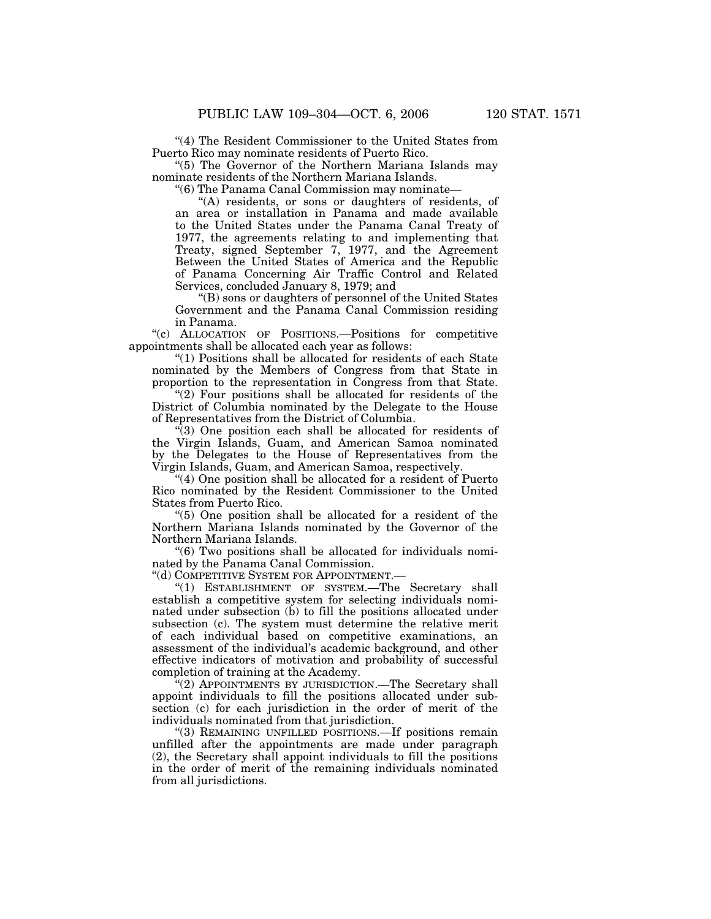"(4) The Resident Commissioner to the United States from Puerto Rico may nominate residents of Puerto Rico.

"(5) The Governor of the Northern Mariana Islands may nominate residents of the Northern Mariana Islands.

''(6) The Panama Canal Commission may nominate—

''(A) residents, or sons or daughters of residents, of an area or installation in Panama and made available to the United States under the Panama Canal Treaty of 1977, the agreements relating to and implementing that Treaty, signed September 7, 1977, and the Agreement Between the United States of America and the Republic of Panama Concerning Air Traffic Control and Related Services, concluded January 8, 1979; and

''(B) sons or daughters of personnel of the United States Government and the Panama Canal Commission residing in Panama.

''(c) ALLOCATION OF POSITIONS.—Positions for competitive appointments shall be allocated each year as follows:

''(1) Positions shall be allocated for residents of each State nominated by the Members of Congress from that State in proportion to the representation in Congress from that State.

"(2) Four positions shall be allocated for residents of the District of Columbia nominated by the Delegate to the House of Representatives from the District of Columbia.

''(3) One position each shall be allocated for residents of the Virgin Islands, Guam, and American Samoa nominated by the Delegates to the House of Representatives from the Virgin Islands, Guam, and American Samoa, respectively.

"(4) One position shall be allocated for a resident of Puerto Rico nominated by the Resident Commissioner to the United States from Puerto Rico.

''(5) One position shall be allocated for a resident of the Northern Mariana Islands nominated by the Governor of the Northern Mariana Islands.

''(6) Two positions shall be allocated for individuals nominated by the Panama Canal Commission.

''(d) COMPETITIVE SYSTEM FOR APPOINTMENT.—

"(1) ESTABLISHMENT OF SYSTEM.—The Secretary shall establish a competitive system for selecting individuals nominated under subsection (b) to fill the positions allocated under subsection (c). The system must determine the relative merit of each individual based on competitive examinations, an assessment of the individual's academic background, and other effective indicators of motivation and probability of successful completion of training at the Academy.

"(2) APPOINTMENTS BY JURISDICTION.—The Secretary shall appoint individuals to fill the positions allocated under subsection (c) for each jurisdiction in the order of merit of the individuals nominated from that jurisdiction.

"(3) REMAINING UNFILLED POSITIONS.-If positions remain unfilled after the appointments are made under paragraph (2), the Secretary shall appoint individuals to fill the positions in the order of merit of the remaining individuals nominated from all jurisdictions.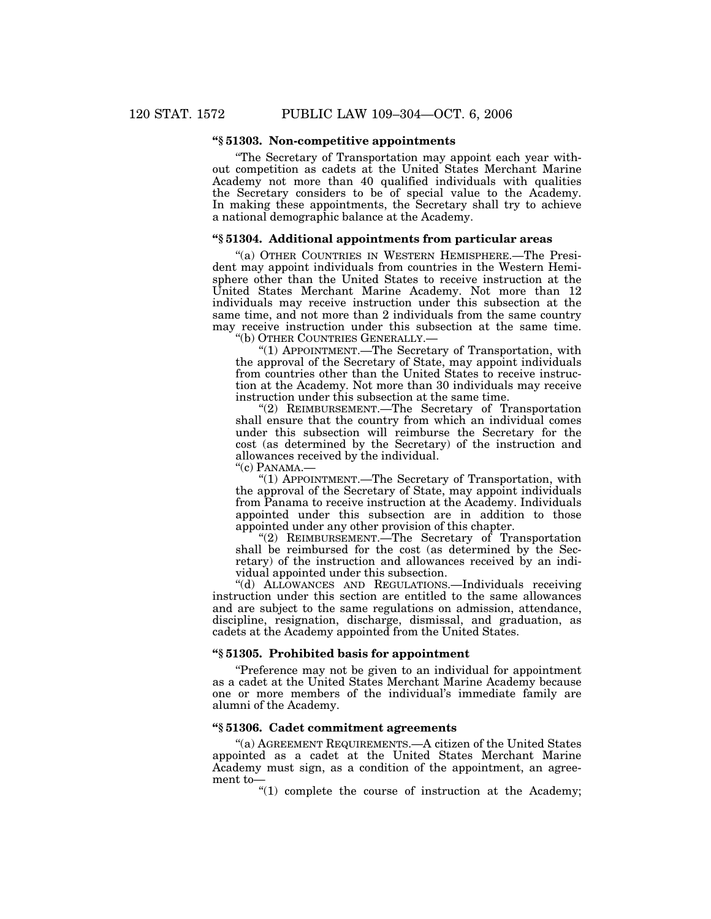#### **''§ 51303. Non-competitive appointments**

''The Secretary of Transportation may appoint each year without competition as cadets at the United States Merchant Marine Academy not more than 40 qualified individuals with qualities the Secretary considers to be of special value to the Academy. In making these appointments, the Secretary shall try to achieve a national demographic balance at the Academy.

#### **''§ 51304. Additional appointments from particular areas**

''(a) OTHER COUNTRIES IN WESTERN HEMISPHERE.—The President may appoint individuals from countries in the Western Hemisphere other than the United States to receive instruction at the United States Merchant Marine Academy. Not more than 12 individuals may receive instruction under this subsection at the same time, and not more than 2 individuals from the same country may receive instruction under this subsection at the same time. ''(b) OTHER COUNTRIES GENERALLY.—

''(1) APPOINTMENT.—The Secretary of Transportation, with the approval of the Secretary of State, may appoint individuals from countries other than the United States to receive instruction at the Academy. Not more than 30 individuals may receive instruction under this subsection at the same time.

''(2) REIMBURSEMENT.—The Secretary of Transportation shall ensure that the country from which an individual comes under this subsection will reimburse the Secretary for the cost (as determined by the Secretary) of the instruction and allowances received by the individual.

''(c) PANAMA.—

''(1) APPOINTMENT.—The Secretary of Transportation, with the approval of the Secretary of State, may appoint individuals from Panama to receive instruction at the Academy. Individuals appointed under this subsection are in addition to those appointed under any other provision of this chapter.

"(2) REIMBURSEMENT.—The Secretary of Transportation shall be reimbursed for the cost (as determined by the Secretary) of the instruction and allowances received by an individual appointed under this subsection.

''(d) ALLOWANCES AND REGULATIONS.—Individuals receiving instruction under this section are entitled to the same allowances and are subject to the same regulations on admission, attendance, discipline, resignation, discharge, dismissal, and graduation, as cadets at the Academy appointed from the United States.

#### **''§ 51305. Prohibited basis for appointment**

''Preference may not be given to an individual for appointment as a cadet at the United States Merchant Marine Academy because one or more members of the individual's immediate family are alumni of the Academy.

#### **''§ 51306. Cadet commitment agreements**

''(a) AGREEMENT REQUIREMENTS.—A citizen of the United States appointed as a cadet at the United States Merchant Marine Academy must sign, as a condition of the appointment, an agreement to—

"(1) complete the course of instruction at the Academy;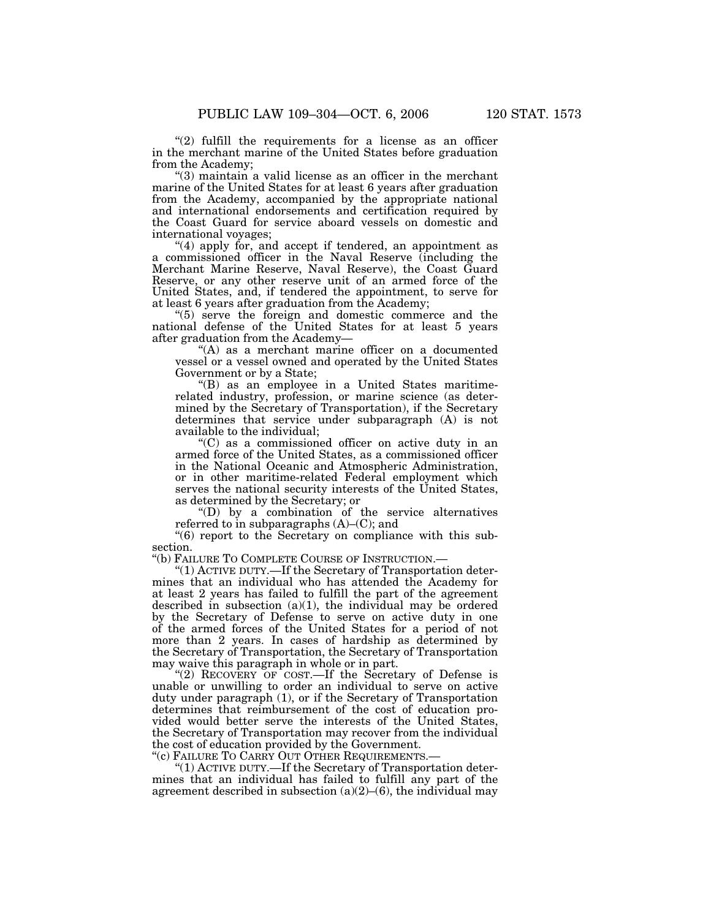" $(2)$  fulfill the requirements for a license as an officer in the merchant marine of the United States before graduation from the Academy;

"(3) maintain a valid license as an officer in the merchant marine of the United States for at least 6 years after graduation from the Academy, accompanied by the appropriate national and international endorsements and certification required by the Coast Guard for service aboard vessels on domestic and international voyages;

"(4) apply for, and accept if tendered, an appointment as a commissioned officer in the Naval Reserve (including the Merchant Marine Reserve, Naval Reserve), the Coast Guard Reserve, or any other reserve unit of an armed force of the United States, and, if tendered the appointment, to serve for at least 6 years after graduation from the Academy;

''(5) serve the foreign and domestic commerce and the national defense of the United States for at least 5 years after graduation from the Academy—

"(A) as a merchant marine officer on a documented vessel or a vessel owned and operated by the United States Government or by a State;

''(B) as an employee in a United States maritimerelated industry, profession, or marine science (as determined by the Secretary of Transportation), if the Secretary determines that service under subparagraph (A) is not available to the individual;

''(C) as a commissioned officer on active duty in an armed force of the United States, as a commissioned officer in the National Oceanic and Atmospheric Administration, or in other maritime-related Federal employment which serves the national security interests of the United States, as determined by the Secretary; or

''(D) by a combination of the service alternatives referred to in subparagraphs  $(A)$ – $(C)$ ; and

''(6) report to the Secretary on compliance with this subsection.

''(b) FAILURE TO COMPLETE COURSE OF INSTRUCTION.—

''(1) ACTIVE DUTY.—If the Secretary of Transportation determines that an individual who has attended the Academy for at least 2 years has failed to fulfill the part of the agreement described in subsection (a)(1), the individual may be ordered by the Secretary of Defense to serve on active duty in one of the armed forces of the United States for a period of not more than 2 years. In cases of hardship as determined by the Secretary of Transportation, the Secretary of Transportation may waive this paragraph in whole or in part.

''(2) RECOVERY OF COST.—If the Secretary of Defense is unable or unwilling to order an individual to serve on active duty under paragraph (1), or if the Secretary of Transportation determines that reimbursement of the cost of education provided would better serve the interests of the United States, the Secretary of Transportation may recover from the individual the cost of education provided by the Government.

''(c) FAILURE TO CARRY OUT OTHER REQUIREMENTS.—

''(1) ACTIVE DUTY.—If the Secretary of Transportation determines that an individual has failed to fulfill any part of the agreement described in subsection  $(a)(2)$ – $(6)$ , the individual may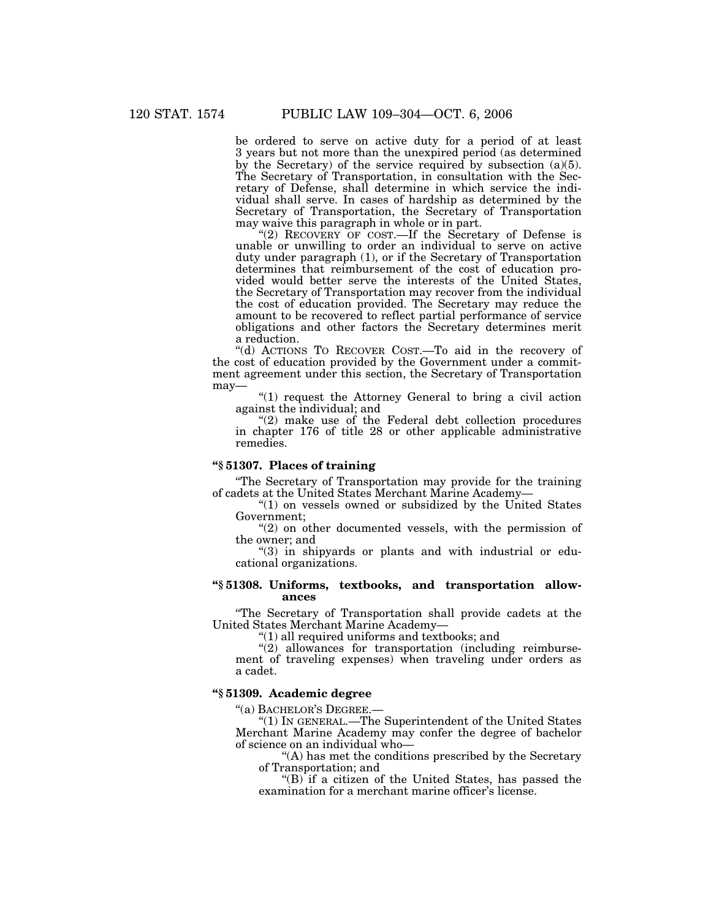be ordered to serve on active duty for a period of at least 3 years but not more than the unexpired period (as determined by the Secretary) of the service required by subsection (a)(5). The Secretary of Transportation, in consultation with the Secretary of Defense, shall determine in which service the individual shall serve. In cases of hardship as determined by the Secretary of Transportation, the Secretary of Transportation may waive this paragraph in whole or in part.

''(2) RECOVERY OF COST.—If the Secretary of Defense is unable or unwilling to order an individual to serve on active duty under paragraph (1), or if the Secretary of Transportation determines that reimbursement of the cost of education provided would better serve the interests of the United States, the Secretary of Transportation may recover from the individual the cost of education provided. The Secretary may reduce the amount to be recovered to reflect partial performance of service obligations and other factors the Secretary determines merit a reduction.

''(d) ACTIONS TO RECOVER COST.—To aid in the recovery of the cost of education provided by the Government under a commitment agreement under this section, the Secretary of Transportation may—

" $(1)$  request the Attorney General to bring a civil action against the individual; and

"(2) make use of the Federal debt collection procedures" in chapter 176 of title 28 or other applicable administrative remedies.

#### **''§ 51307. Places of training**

''The Secretary of Transportation may provide for the training of cadets at the United States Merchant Marine Academy—

''(1) on vessels owned or subsidized by the United States Government;

 $''(2)$  on other documented vessels, with the permission of the owner; and

''(3) in shipyards or plants and with industrial or educational organizations.

#### **''§ 51308. Uniforms, textbooks, and transportation allowances**

''The Secretary of Transportation shall provide cadets at the United States Merchant Marine Academy—

''(1) all required uniforms and textbooks; and

 $''(2)$  allowances for transportation (including reimbursement of traveling expenses) when traveling under orders as a cadet.

#### **''§ 51309. Academic degree**

"(a) BACHELOR'S DEGREE.-

''(1) IN GENERAL.—The Superintendent of the United States Merchant Marine Academy may confer the degree of bachelor of science on an individual who—

''(A) has met the conditions prescribed by the Secretary of Transportation; and

 $'(B)$  if a citizen of the United States, has passed the examination for a merchant marine officer's license.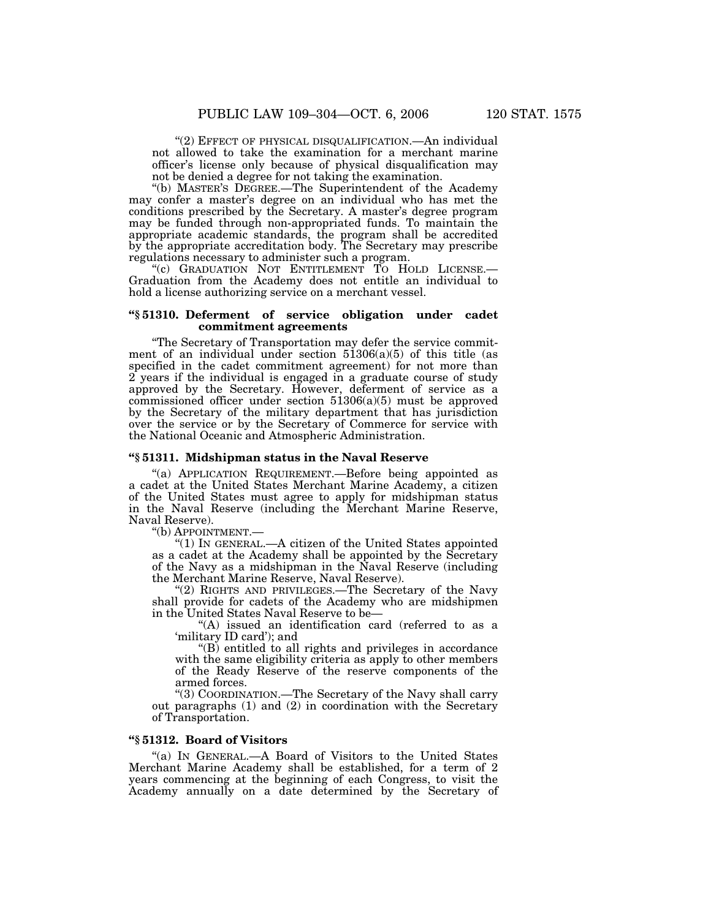"(2) EFFECT OF PHYSICAL DISQUALIFICATION.—An individual not allowed to take the examination for a merchant marine officer's license only because of physical disqualification may

not be denied a degree for not taking the examination.

''(b) MASTER'S DEGREE.—The Superintendent of the Academy may confer a master's degree on an individual who has met the conditions prescribed by the Secretary. A master's degree program may be funded through non-appropriated funds. To maintain the appropriate academic standards, the program shall be accredited by the appropriate accreditation body. The Secretary may prescribe regulations necessary to administer such a program.

''(c) GRADUATION NOT ENTITLEMENT TO HOLD LICENSE.— Graduation from the Academy does not entitle an individual to hold a license authorizing service on a merchant vessel.

#### **''§ 51310. Deferment of service obligation under cadet commitment agreements**

''The Secretary of Transportation may defer the service commitment of an individual under section  $51306(a)(5)$  of this title (as specified in the cadet commitment agreement) for not more than 2 years if the individual is engaged in a graduate course of study approved by the Secretary. However, deferment of service as a commissioned officer under section 51306(a)(5) must be approved by the Secretary of the military department that has jurisdiction over the service or by the Secretary of Commerce for service with the National Oceanic and Atmospheric Administration.

#### **''§ 51311. Midshipman status in the Naval Reserve**

''(a) APPLICATION REQUIREMENT.—Before being appointed as a cadet at the United States Merchant Marine Academy, a citizen of the United States must agree to apply for midshipman status in the Naval Reserve (including the Merchant Marine Reserve, Naval Reserve).

''(b) APPOINTMENT.— ''(1) IN GENERAL.—A citizen of the United States appointed as a cadet at the Academy shall be appointed by the Secretary of the Navy as a midshipman in the Naval Reserve (including the Merchant Marine Reserve, Naval Reserve).

"(2) RIGHTS AND PRIVILEGES.—The Secretary of the Navy shall provide for cadets of the Academy who are midshipmen in the United States Naval Reserve to be—

''(A) issued an identification card (referred to as a 'military ID card'); and

 $\mathrm{``(B)}$  entitled to all rights and privileges in accordance with the same eligibility criteria as apply to other members of the Ready Reserve of the reserve components of the armed forces.

''(3) COORDINATION.—The Secretary of the Navy shall carry out paragraphs (1) and (2) in coordination with the Secretary of Transportation.

# **''§ 51312. Board of Visitors**

''(a) IN GENERAL.—A Board of Visitors to the United States Merchant Marine Academy shall be established, for a term of 2 years commencing at the beginning of each Congress, to visit the Academy annually on a date determined by the Secretary of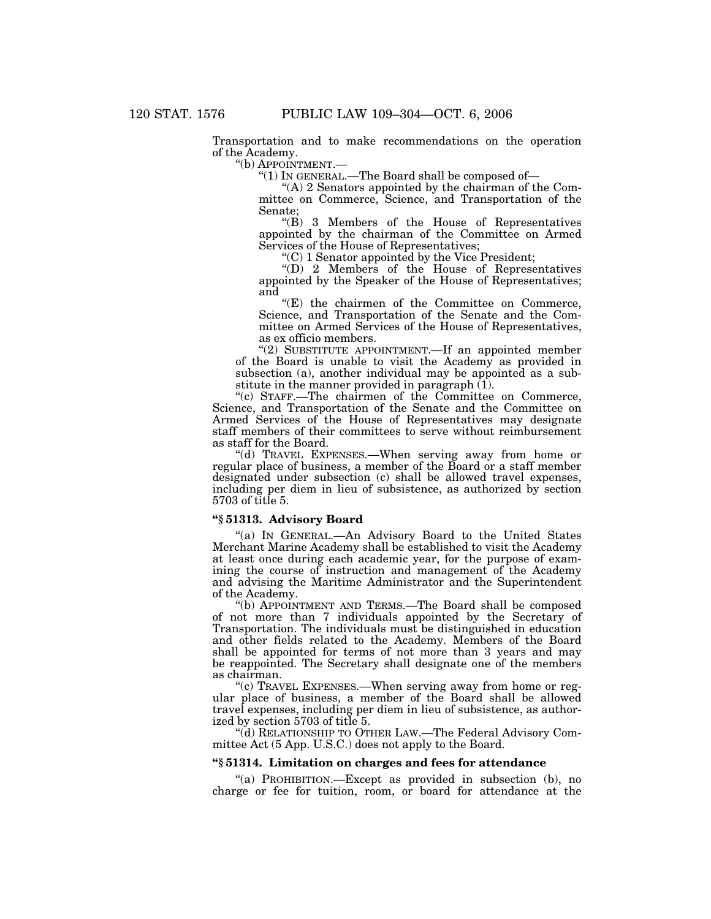Transportation and to make recommendations on the operation of the Academy.

''(b) APPOINTMENT.—

''(1) IN GENERAL.—The Board shall be composed of—

"(A) 2 Senators appointed by the chairman of the Committee on Commerce, Science, and Transportation of the Senate;

''(B) 3 Members of the House of Representatives appointed by the chairman of the Committee on Armed Services of the House of Representatives;

''(C) 1 Senator appointed by the Vice President;

''(D) 2 Members of the House of Representatives appointed by the Speaker of the House of Representatives; and

''(E) the chairmen of the Committee on Commerce, Science, and Transportation of the Senate and the Committee on Armed Services of the House of Representatives, as ex officio members.

"(2) SUBSTITUTE APPOINTMENT.—If an appointed member of the Board is unable to visit the Academy as provided in subsection (a), another individual may be appointed as a substitute in the manner provided in paragraph  $(1)$ .

''(c) STAFF.—The chairmen of the Committee on Commerce, Science, and Transportation of the Senate and the Committee on Armed Services of the House of Representatives may designate staff members of their committees to serve without reimbursement as staff for the Board.

''(d) TRAVEL EXPENSES.—When serving away from home or regular place of business, a member of the Board or a staff member designated under subsection (c) shall be allowed travel expenses, including per diem in lieu of subsistence, as authorized by section 5703 of title 5.

#### **''§ 51313. Advisory Board**

''(a) IN GENERAL.—An Advisory Board to the United States Merchant Marine Academy shall be established to visit the Academy at least once during each academic year, for the purpose of examining the course of instruction and management of the Academy and advising the Maritime Administrator and the Superintendent of the Academy.

''(b) APPOINTMENT AND TERMS.—The Board shall be composed of not more than 7 individuals appointed by the Secretary of Transportation. The individuals must be distinguished in education and other fields related to the Academy. Members of the Board shall be appointed for terms of not more than 3 years and may be reappointed. The Secretary shall designate one of the members as chairman.

''(c) TRAVEL EXPENSES.—When serving away from home or regular place of business, a member of the Board shall be allowed travel expenses, including per diem in lieu of subsistence, as authorized by section 5703 of title 5.

''(d) RELATIONSHIP TO OTHER LAW.—The Federal Advisory Committee Act (5 App. U.S.C.) does not apply to the Board.

#### **''§ 51314. Limitation on charges and fees for attendance**

''(a) PROHIBITION.—Except as provided in subsection (b), no charge or fee for tuition, room, or board for attendance at the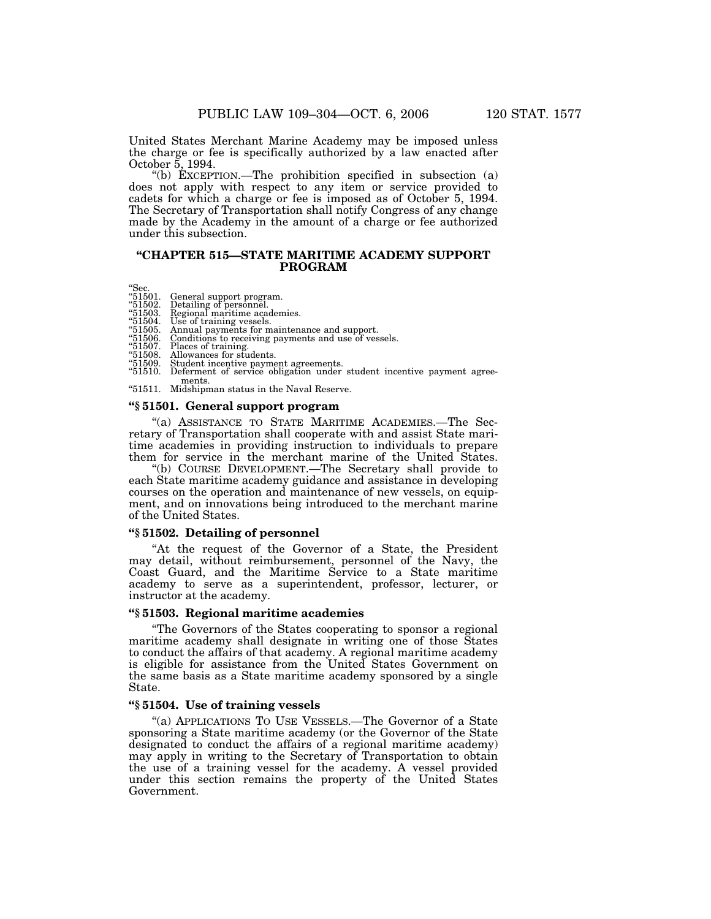United States Merchant Marine Academy may be imposed unless the charge or fee is specifically authorized by a law enacted after October 5, 1994.

''(b) EXCEPTION.—The prohibition specified in subsection (a) does not apply with respect to any item or service provided to cadets for which a charge or fee is imposed as of October 5, 1994. The Secretary of Transportation shall notify Congress of any change made by the Academy in the amount of a charge or fee authorized under this subsection.

#### **''CHAPTER 515—STATE MARITIME ACADEMY SUPPORT PROGRAM**

''Sec. ''51501. General support program.

# ''51502. Detailing of personnel. ''51503. Regional maritime academies.

- 
- "51502. Detailing of personnel.<br>"51503. Regional maritime acad<br>"51504. Use of training vessels.<br>"51505. Annual payments for m<br>"51506. Conditions to receiving
- ''51505. Annual payments for maintenance and support. ''51506. Conditions to receiving payments and use of vessels.
- "51507. Places of training.<br>"51508. Allowances for stu
- "51508. Allowances for students.<br>"51509. Student incentive payme
- 
- ''51509. Student incentive payment agreements. Deferment of service obligation under student incentive payment agreements.

''51511. Midshipman status in the Naval Reserve.

#### **''§ 51501. General support program**

''(a) ASSISTANCE TO STATE MARITIME ACADEMIES.—The Secretary of Transportation shall cooperate with and assist State maritime academies in providing instruction to individuals to prepare them for service in the merchant marine of the United States.

''(b) COURSE DEVELOPMENT.—The Secretary shall provide to each State maritime academy guidance and assistance in developing courses on the operation and maintenance of new vessels, on equipment, and on innovations being introduced to the merchant marine of the United States.

#### **''§ 51502. Detailing of personnel**

''At the request of the Governor of a State, the President may detail, without reimbursement, personnel of the Navy, the Coast Guard, and the Maritime Service to a State maritime academy to serve as a superintendent, professor, lecturer, or instructor at the academy.

#### **''§ 51503. Regional maritime academies**

''The Governors of the States cooperating to sponsor a regional maritime academy shall designate in writing one of those States to conduct the affairs of that academy. A regional maritime academy is eligible for assistance from the United States Government on the same basis as a State maritime academy sponsored by a single State.

#### **''§ 51504. Use of training vessels**

''(a) APPLICATIONS TO USE VESSELS.—The Governor of a State sponsoring a State maritime academy (or the Governor of the State designated to conduct the affairs of a regional maritime academy) may apply in writing to the Secretary of Transportation to obtain the use of a training vessel for the academy. A vessel provided under this section remains the property of the United States Government.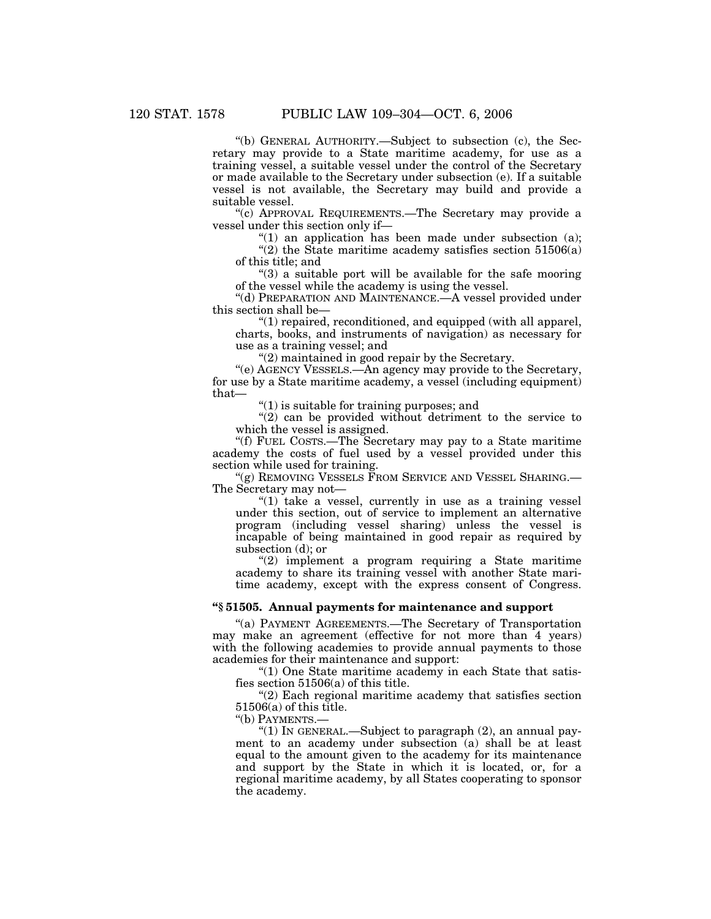''(b) GENERAL AUTHORITY.—Subject to subsection (c), the Secretary may provide to a State maritime academy, for use as a training vessel, a suitable vessel under the control of the Secretary or made available to the Secretary under subsection (e). If a suitable vessel is not available, the Secretary may build and provide a suitable vessel.

''(c) APPROVAL REQUIREMENTS.—The Secretary may provide a vessel under this section only if—

"(1) an application has been made under subsection (a);

"(2) the State maritime academy satisfies section  $51506(a)$ of this title; and

 $(3)$  a suitable port will be available for the safe mooring of the vessel while the academy is using the vessel.

''(d) PREPARATION AND MAINTENANCE.—A vessel provided under this section shall be—

''(1) repaired, reconditioned, and equipped (with all apparel, charts, books, and instruments of navigation) as necessary for use as a training vessel; and

''(2) maintained in good repair by the Secretary.

''(e) AGENCY VESSELS.—An agency may provide to the Secretary, for use by a State maritime academy, a vessel (including equipment) that—

''(1) is suitable for training purposes; and

 $(2)$  can be provided without detriment to the service to which the vessel is assigned.

''(f) FUEL COSTS.—The Secretary may pay to a State maritime academy the costs of fuel used by a vessel provided under this section while used for training.

''(g) REMOVING VESSELS FROM SERVICE AND VESSEL SHARING.— The Secretary may not—

" $(1)$  take a vessel, currently in use as a training vessel under this section, out of service to implement an alternative program (including vessel sharing) unless the vessel is incapable of being maintained in good repair as required by subsection (d); or

" $(2)$  implement a program requiring a State maritime academy to share its training vessel with another State maritime academy, except with the express consent of Congress.

# **''§ 51505. Annual payments for maintenance and support**

''(a) PAYMENT AGREEMENTS.—The Secretary of Transportation may make an agreement (effective for not more than 4 years) with the following academies to provide annual payments to those academies for their maintenance and support:

''(1) One State maritime academy in each State that satisfies section 51506(a) of this title.

 $''(2)$  Each regional maritime academy that satisfies section 51506(a) of this title.

''(b) PAYMENTS.—

"(1) In GENERAL.—Subject to paragraph  $(2)$ , an annual payment to an academy under subsection (a) shall be at least equal to the amount given to the academy for its maintenance and support by the State in which it is located, or, for a regional maritime academy, by all States cooperating to sponsor the academy.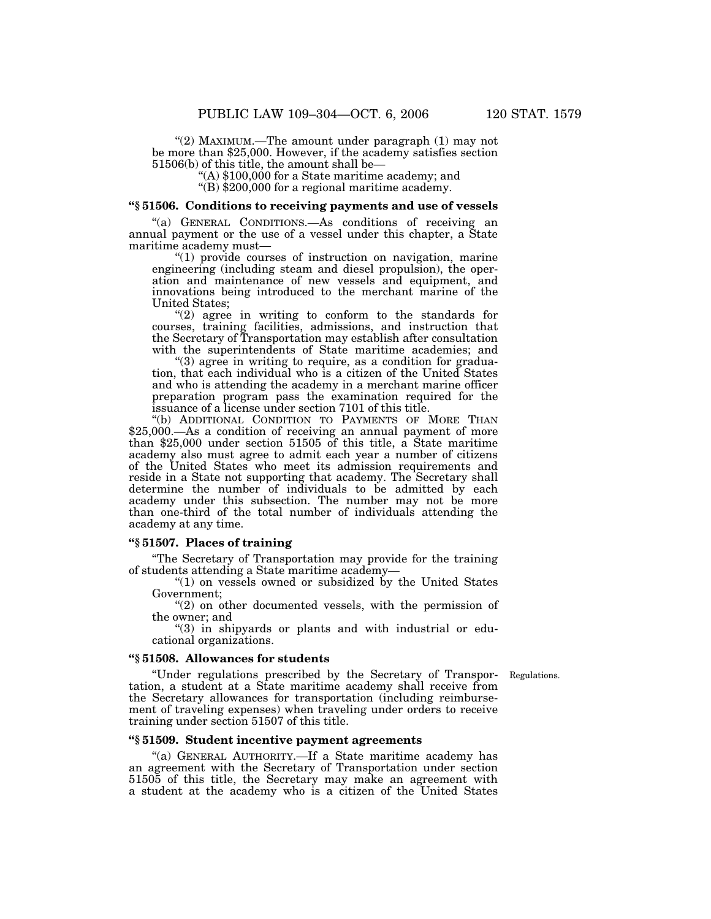51506(b) of this title, the amount shall be—

''(A) \$100,000 for a State maritime academy; and

"(B)  $$200,000$  for a regional maritime academy.

#### **''§ 51506. Conditions to receiving payments and use of vessels**

''(a) GENERAL CONDITIONS.—As conditions of receiving an annual payment or the use of a vessel under this chapter, a State maritime academy must—

''(1) provide courses of instruction on navigation, marine engineering (including steam and diesel propulsion), the operation and maintenance of new vessels and equipment, and innovations being introduced to the merchant marine of the United States;

 $(2)$  agree in writing to conform to the standards for courses, training facilities, admissions, and instruction that the Secretary of Transportation may establish after consultation with the superintendents of State maritime academies; and

 $(3)$  agree in writing to require, as a condition for graduation, that each individual who is a citizen of the United States and who is attending the academy in a merchant marine officer preparation program pass the examination required for the issuance of a license under section 7101 of this title.

''(b) ADDITIONAL CONDITION TO PAYMENTS OF MORE THAN \$25,000.—As a condition of receiving an annual payment of more than \$25,000 under section 51505 of this title, a State maritime academy also must agree to admit each year a number of citizens of the United States who meet its admission requirements and reside in a State not supporting that academy. The Secretary shall determine the number of individuals to be admitted by each academy under this subsection. The number may not be more than one-third of the total number of individuals attending the academy at any time.

#### **''§ 51507. Places of training**

''The Secretary of Transportation may provide for the training of students attending a State maritime academy—

''(1) on vessels owned or subsidized by the United States Government;

"(2) on other documented vessels, with the permission of the owner; and

''(3) in shipyards or plants and with industrial or educational organizations.

#### **''§ 51508. Allowances for students**

''Under regulations prescribed by the Secretary of Transpor-Regulations. tation, a student at a State maritime academy shall receive from the Secretary allowances for transportation (including reimbursement of traveling expenses) when traveling under orders to receive training under section 51507 of this title.

#### **''§ 51509. Student incentive payment agreements**

''(a) GENERAL AUTHORITY.—If a State maritime academy has an agreement with the Secretary of Transportation under section 51505 of this title, the Secretary may make an agreement with a student at the academy who is a citizen of the United States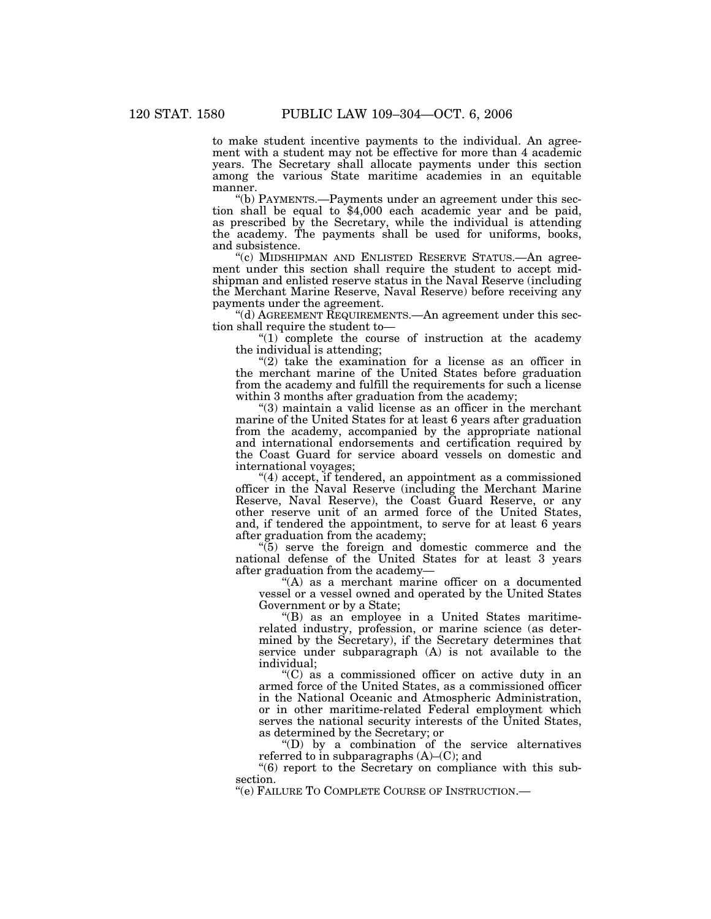to make student incentive payments to the individual. An agreement with a student may not be effective for more than 4 academic years. The Secretary shall allocate payments under this section among the various State maritime academies in an equitable

manner.<br>"(b) PAYMENTS.—Payments under an agreement under this section shall be equal to \$4,000 each academic year and be paid, as prescribed by the Secretary, while the individual is attending the academy. The payments shall be used for uniforms, books, and subsistence.

"(c) MIDSHIPMAN AND ENLISTED RESERVE STATUS.—An agreement under this section shall require the student to accept midshipman and enlisted reserve status in the Naval Reserve (including the Merchant Marine Reserve, Naval Reserve) before receiving any payments under the agreement.

''(d) AGREEMENT REQUIREMENTS.—An agreement under this section shall require the student to—

" $(1)$  complete the course of instruction at the academy the individual is attending;

"(2) take the examination for a license as an officer in the merchant marine of the United States before graduation from the academy and fulfill the requirements for such a license within 3 months after graduation from the academy;

''(3) maintain a valid license as an officer in the merchant marine of the United States for at least 6 years after graduation from the academy, accompanied by the appropriate national and international endorsements and certification required by the Coast Guard for service aboard vessels on domestic and international voyages;

''(4) accept, if tendered, an appointment as a commissioned officer in the Naval Reserve (including the Merchant Marine Reserve, Naval Reserve), the Coast Guard Reserve, or any other reserve unit of an armed force of the United States, and, if tendered the appointment, to serve for at least 6 years after graduation from the academy;

''(5) serve the foreign and domestic commerce and the national defense of the United States for at least 3 years after graduation from the academy—

''(A) as a merchant marine officer on a documented vessel or a vessel owned and operated by the United States Government or by a State;

''(B) as an employee in a United States maritimerelated industry, profession, or marine science (as determined by the Secretary), if the Secretary determines that service under subparagraph (A) is not available to the individual;

 $(C)$  as a commissioned officer on active duty in an armed force of the United States, as a commissioned officer in the National Oceanic and Atmospheric Administration, or in other maritime-related Federal employment which serves the national security interests of the United States, as determined by the Secretary; or

''(D) by a combination of the service alternatives referred to in subparagraphs  $(A)$ – $(C)$ ; and

''(6) report to the Secretary on compliance with this subsection.

''(e) FAILURE TO COMPLETE COURSE OF INSTRUCTION.—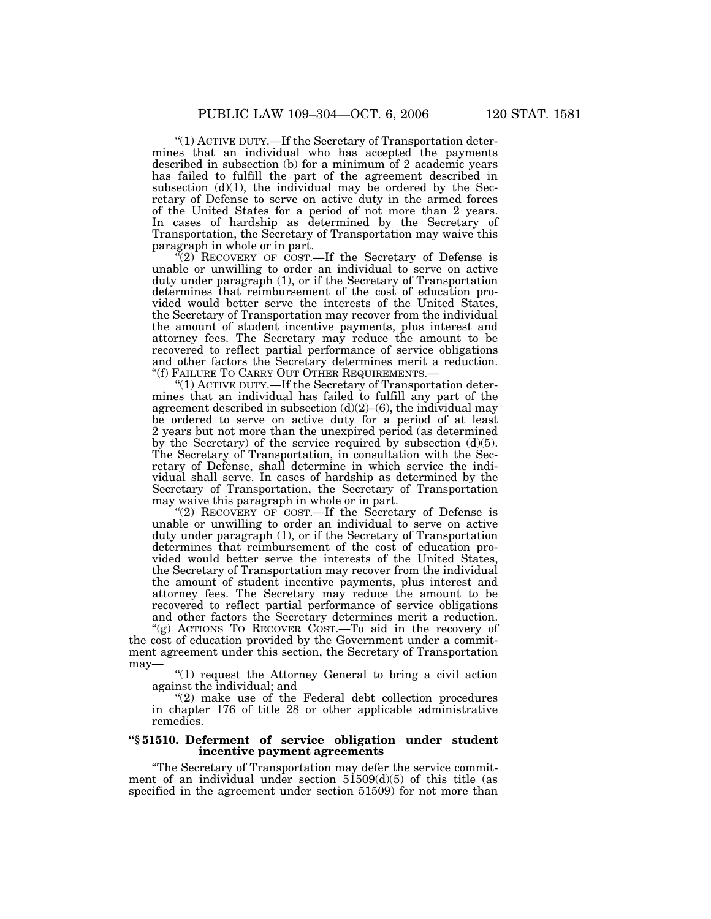''(1) ACTIVE DUTY.—If the Secretary of Transportation determines that an individual who has accepted the payments described in subsection (b) for a minimum of 2 academic years has failed to fulfill the part of the agreement described in subsection  $(d)(1)$ , the individual may be ordered by the Secretary of Defense to serve on active duty in the armed forces of the United States for a period of not more than 2 years. In cases of hardship as determined by the Secretary of Transportation, the Secretary of Transportation may waive this paragraph in whole or in part.

"(2) RECOVERY OF COST.—If the Secretary of Defense is unable or unwilling to order an individual to serve on active duty under paragraph (1), or if the Secretary of Transportation determines that reimbursement of the cost of education provided would better serve the interests of the United States, the Secretary of Transportation may recover from the individual the amount of student incentive payments, plus interest and attorney fees. The Secretary may reduce the amount to be recovered to reflect partial performance of service obligations and other factors the Secretary determines merit a reduction. "(f) FAILURE TO CARRY OUT OTHER REQUIREMENTS.

''(1) ACTIVE DUTY.—If the Secretary of Transportation determines that an individual has failed to fulfill any part of the agreement described in subsection  $(d)(2)$ – $(6)$ , the individual may be ordered to serve on active duty for a period of at least 2 years but not more than the unexpired period (as determined by the Secretary) of the service required by subsection (d)(5). The Secretary of Transportation, in consultation with the Secretary of Defense, shall determine in which service the individual shall serve. In cases of hardship as determined by the Secretary of Transportation, the Secretary of Transportation may waive this paragraph in whole or in part.

"(2) RECOVERY OF COST.—If the Secretary of Defense is unable or unwilling to order an individual to serve on active duty under paragraph (1), or if the Secretary of Transportation determines that reimbursement of the cost of education provided would better serve the interests of the United States, the Secretary of Transportation may recover from the individual the amount of student incentive payments, plus interest and attorney fees. The Secretary may reduce the amount to be recovered to reflect partial performance of service obligations and other factors the Secretary determines merit a reduction. "(g) ACTIONS TO RECOVER COST.—To aid in the recovery of

the cost of education provided by the Government under a commitment agreement under this section, the Secretary of Transportation may—

"(1) request the Attorney General to bring a civil action against the individual; and

"(2) make use of the Federal debt collection procedures in chapter 176 of title 28 or other applicable administrative remedies.

#### **''§ 51510. Deferment of service obligation under student incentive payment agreements**

''The Secretary of Transportation may defer the service commitment of an individual under section  $51509(d)(5)$  of this title (as specified in the agreement under section 51509) for not more than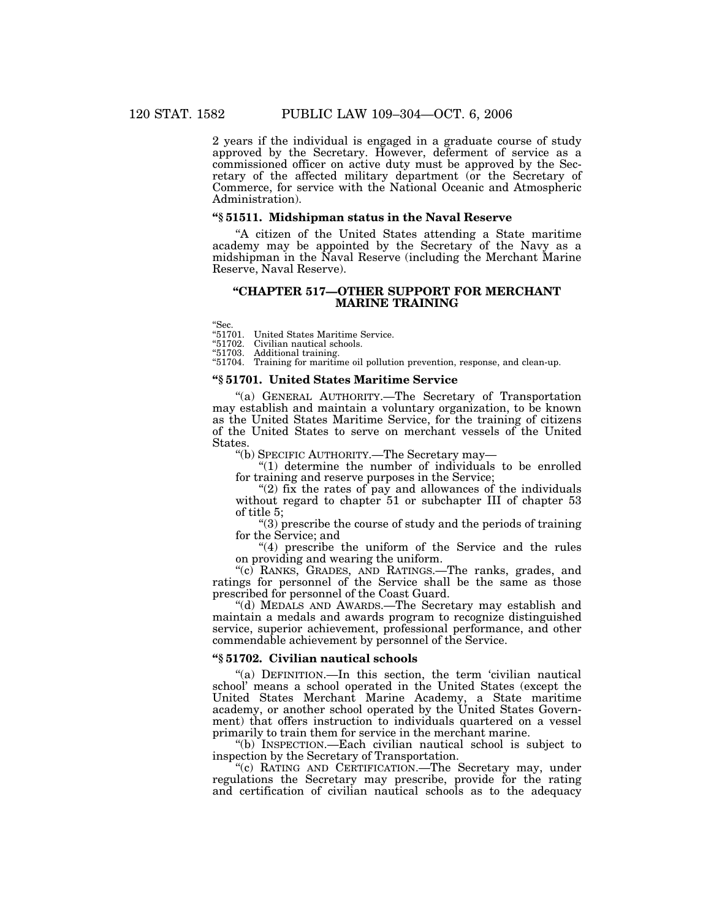2 years if the individual is engaged in a graduate course of study approved by the Secretary. However, deferment of service as a commissioned officer on active duty must be approved by the Secretary of the affected military department (or the Secretary of Commerce, for service with the National Oceanic and Atmospheric Administration).

#### **''§ 51511. Midshipman status in the Naval Reserve**

''A citizen of the United States attending a State maritime academy may be appointed by the Secretary of the Navy as a midshipman in the Naval Reserve (including the Merchant Marine Reserve, Naval Reserve).

#### **''CHAPTER 517—OTHER SUPPORT FOR MERCHANT MARINE TRAINING**

''Sec.

''51701. United States Maritime Service.

''51702. Civilian nautical schools.

''51703. Additional training.

''51704. Training for maritime oil pollution prevention, response, and clean-up.

#### **''§ 51701. United States Maritime Service**

"(a) GENERAL AUTHORITY.-The Secretary of Transportation may establish and maintain a voluntary organization, to be known as the United States Maritime Service, for the training of citizens of the United States to serve on merchant vessels of the United States.

''(b) SPECIFIC AUTHORITY.—The Secretary may—

''(1) determine the number of individuals to be enrolled for training and reserve purposes in the Service;

"(2)  $fix$  the rates of pay and allowances of the individuals without regard to chapter 51 or subchapter III of chapter 53 of title 5;

''(3) prescribe the course of study and the periods of training for the Service; and

"(4) prescribe the uniform of the Service and the rules on providing and wearing the uniform.

''(c) RANKS, GRADES, AND RATINGS.—The ranks, grades, and ratings for personnel of the Service shall be the same as those prescribed for personnel of the Coast Guard.

"(d) MEDALS AND AWARDS.—The Secretary may establish and maintain a medals and awards program to recognize distinguished service, superior achievement, professional performance, and other commendable achievement by personnel of the Service.

#### **''§ 51702. Civilian nautical schools**

"(a) DEFINITION.—In this section, the term 'civilian nautical school' means a school operated in the United States (except the United States Merchant Marine Academy, a State maritime academy, or another school operated by the United States Government) that offers instruction to individuals quartered on a vessel primarily to train them for service in the merchant marine.

''(b) INSPECTION.—Each civilian nautical school is subject to inspection by the Secretary of Transportation.

''(c) RATING AND CERTIFICATION.—The Secretary may, under regulations the Secretary may prescribe, provide for the rating and certification of civilian nautical schools as to the adequacy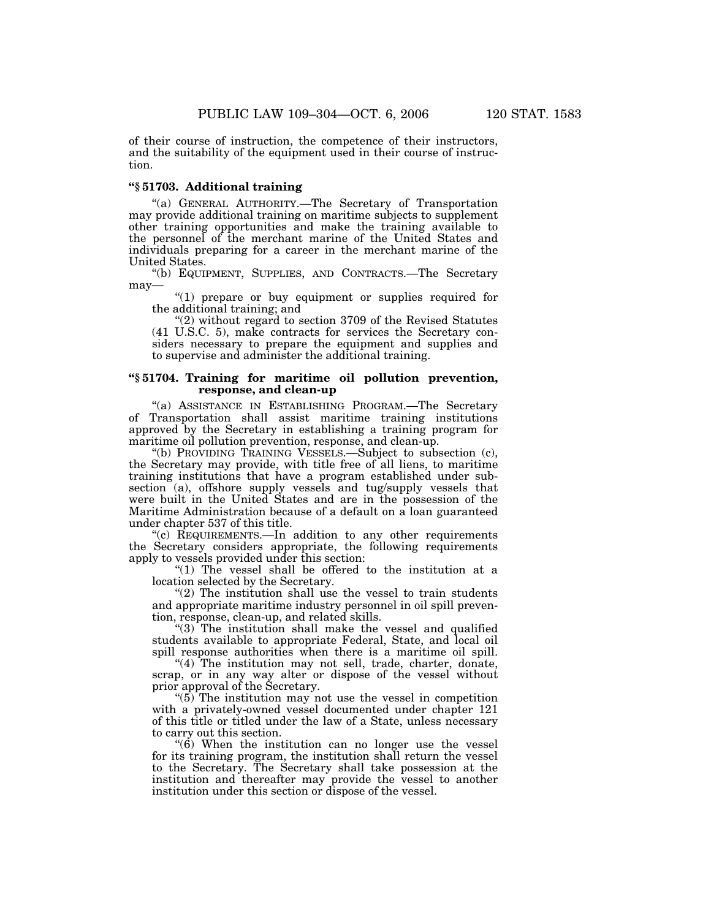of their course of instruction, the competence of their instructors, and the suitability of the equipment used in their course of instruction.

#### **''§ 51703. Additional training**

''(a) GENERAL AUTHORITY.—The Secretary of Transportation may provide additional training on maritime subjects to supplement other training opportunities and make the training available to the personnel of the merchant marine of the United States and individuals preparing for a career in the merchant marine of the United States.

''(b) EQUIPMENT, SUPPLIES, AND CONTRACTS.—The Secretary may—

"(1) prepare or buy equipment or supplies required for the additional training; and

" $(2)$  without regard to section 3709 of the Revised Statutes (41 U.S.C. 5), make contracts for services the Secretary considers necessary to prepare the equipment and supplies and to supervise and administer the additional training.

#### **''§ 51704. Training for maritime oil pollution prevention, response, and clean-up**

''(a) ASSISTANCE IN ESTABLISHING PROGRAM.—The Secretary of Transportation shall assist maritime training institutions approved by the Secretary in establishing a training program for maritime oil pollution prevention, response, and clean-up.

''(b) PROVIDING TRAINING VESSELS.—Subject to subsection (c), the Secretary may provide, with title free of all liens, to maritime training institutions that have a program established under subsection (a), offshore supply vessels and tug/supply vessels that were built in the United States and are in the possession of the Maritime Administration because of a default on a loan guaranteed under chapter 537 of this title.

''(c) REQUIREMENTS.—In addition to any other requirements the Secretary considers appropriate, the following requirements apply to vessels provided under this section:

"(1) The vessel shall be offered to the institution at a location selected by the Secretary.

''(2) The institution shall use the vessel to train students and appropriate maritime industry personnel in oil spill prevention, response, clean-up, and related skills.

" $(3)$ . The institution shall make the vessel and qualified students available to appropriate Federal, State, and local oil spill response authorities when there is a maritime oil spill.

''(4) The institution may not sell, trade, charter, donate, scrap, or in any way alter or dispose of the vessel without prior approval of the Secretary.

" $(5)$  The institution may not use the vessel in competition with a privately-owned vessel documented under chapter 121 of this title or titled under the law of a State, unless necessary to carry out this section.

 $(6)$  When the institution can no longer use the vessel for its training program, the institution shall return the vessel to the Secretary. The Secretary shall take possession at the institution and thereafter may provide the vessel to another institution under this section or dispose of the vessel.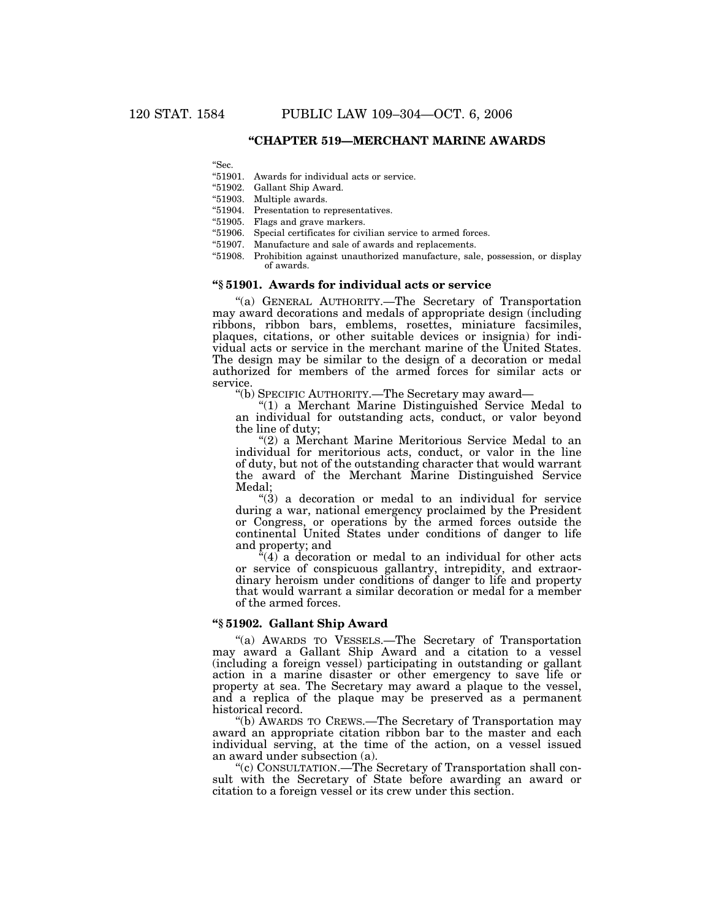# **''CHAPTER 519—MERCHANT MARINE AWARDS**

''Sec.

''51901. Awards for individual acts or service.

''51902. Gallant Ship Award.

''51903. Multiple awards.

''51904. Presentation to representatives.

''51905. Flags and grave markers.

"51906. Special certificates for civilian service to armed forces.

''51907. Manufacture and sale of awards and replacements.

''51908. Prohibition against unauthorized manufacture, sale, possession, or display of awards.

#### **''§ 51901. Awards for individual acts or service**

''(a) GENERAL AUTHORITY.—The Secretary of Transportation may award decorations and medals of appropriate design (including ribbons, ribbon bars, emblems, rosettes, miniature facsimiles, plaques, citations, or other suitable devices or insignia) for individual acts or service in the merchant marine of the United States. The design may be similar to the design of a decoration or medal authorized for members of the armed forces for similar acts or service.

''(b) SPECIFIC AUTHORITY.—The Secretary may award—

''(1) a Merchant Marine Distinguished Service Medal to an individual for outstanding acts, conduct, or valor beyond the line of duty;

''(2) a Merchant Marine Meritorious Service Medal to an individual for meritorious acts, conduct, or valor in the line of duty, but not of the outstanding character that would warrant the award of the Merchant Marine Distinguished Service Medal;

"(3) a decoration or medal to an individual for service during a war, national emergency proclaimed by the President or Congress, or operations by the armed forces outside the continental United States under conditions of danger to life and property; and

 $\sqrt{4}$  a decoration or medal to an individual for other acts or service of conspicuous gallantry, intrepidity, and extraordinary heroism under conditions of danger to life and property that would warrant a similar decoration or medal for a member of the armed forces.

# **''§ 51902. Gallant Ship Award**

''(a) AWARDS TO VESSELS.—The Secretary of Transportation may award a Gallant Ship Award and a citation to a vessel (including a foreign vessel) participating in outstanding or gallant action in a marine disaster or other emergency to save life or property at sea. The Secretary may award a plaque to the vessel, and a replica of the plaque may be preserved as a permanent historical record.

''(b) AWARDS TO CREWS.—The Secretary of Transportation may award an appropriate citation ribbon bar to the master and each individual serving, at the time of the action, on a vessel issued an award under subsection (a).

''(c) CONSULTATION.—The Secretary of Transportation shall consult with the Secretary of State before awarding an award or citation to a foreign vessel or its crew under this section.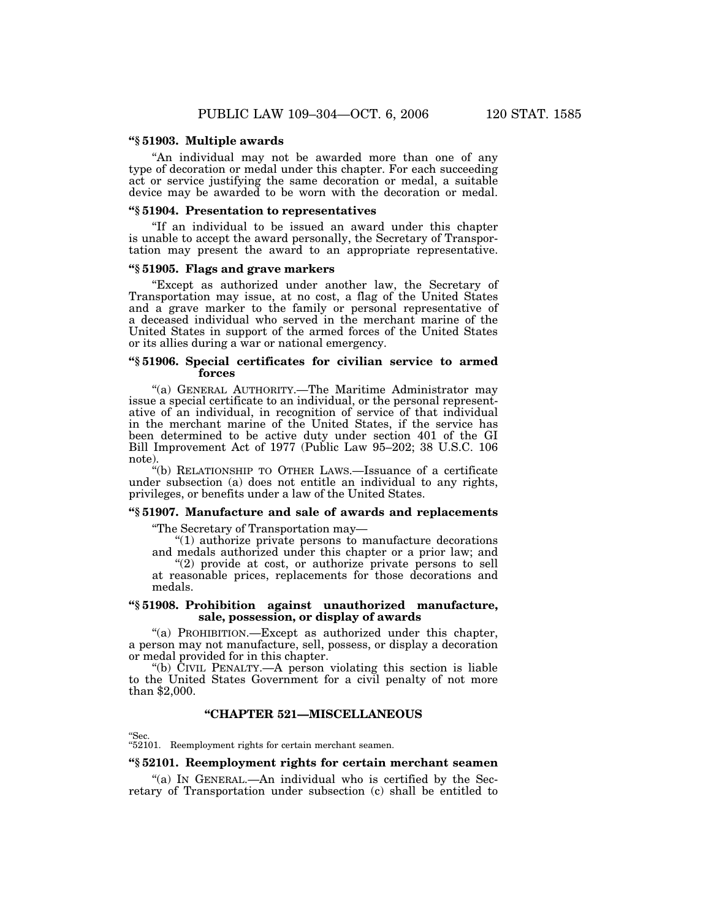# **''§ 51903. Multiple awards**

''An individual may not be awarded more than one of any type of decoration or medal under this chapter. For each succeeding act or service justifying the same decoration or medal, a suitable device may be awarded to be worn with the decoration or medal.

#### **''§ 51904. Presentation to representatives**

''If an individual to be issued an award under this chapter is unable to accept the award personally, the Secretary of Transportation may present the award to an appropriate representative.

#### **''§ 51905. Flags and grave markers**

''Except as authorized under another law, the Secretary of Transportation may issue, at no cost, a flag of the United States and a grave marker to the family or personal representative of a deceased individual who served in the merchant marine of the United States in support of the armed forces of the United States or its allies during a war or national emergency.

#### **''§ 51906. Special certificates for civilian service to armed forces**

''(a) GENERAL AUTHORITY.—The Maritime Administrator may issue a special certificate to an individual, or the personal representative of an individual, in recognition of service of that individual in the merchant marine of the United States, if the service has been determined to be active duty under section 401 of the GI Bill Improvement Act of 1977 (Public Law 95–202; 38 U.S.C. 106 note).

''(b) RELATIONSHIP TO OTHER LAWS.—Issuance of a certificate under subsection (a) does not entitle an individual to any rights, privileges, or benefits under a law of the United States.

#### **''§ 51907. Manufacture and sale of awards and replacements**

''The Secretary of Transportation may—

 $''(1)$  authorize private persons to manufacture decorations and medals authorized under this chapter or a prior law; and

''(2) provide at cost, or authorize private persons to sell at reasonable prices, replacements for those decorations and medals.

#### **''§ 51908. Prohibition against unauthorized manufacture, sale, possession, or display of awards**

''(a) PROHIBITION.—Except as authorized under this chapter, a person may not manufacture, sell, possess, or display a decoration or medal provided for in this chapter.

''(b) CIVIL PENALTY.—A person violating this section is liable to the United States Government for a civil penalty of not more than \$2,000.

#### **''CHAPTER 521—MISCELLANEOUS**

''Sec.

''52101. Reemployment rights for certain merchant seamen.

#### **''§ 52101. Reemployment rights for certain merchant seamen**

"(a) IN GENERAL.—An individual who is certified by the Secretary of Transportation under subsection (c) shall be entitled to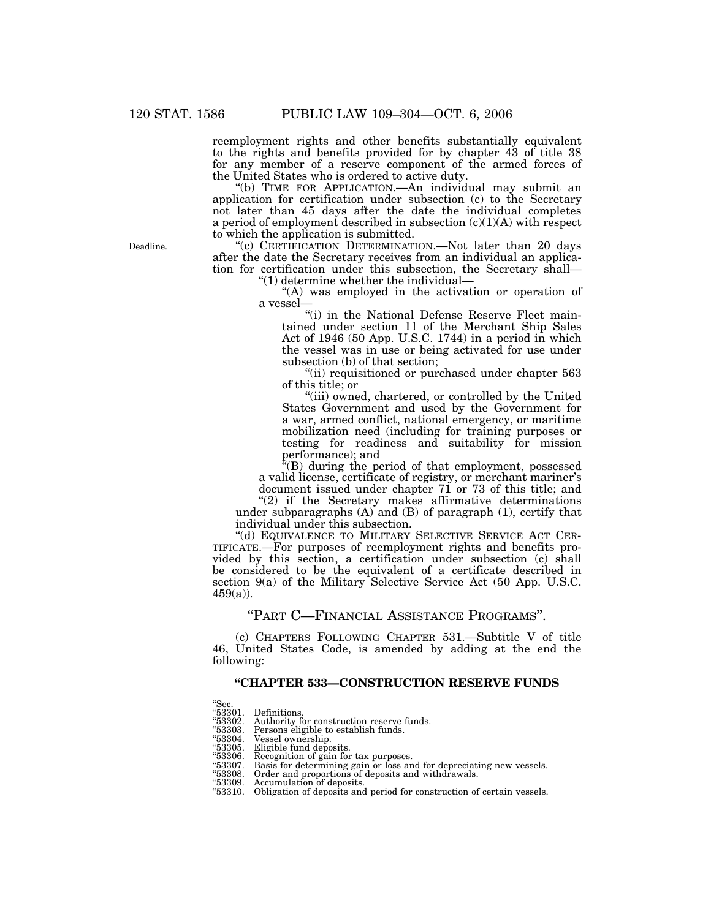reemployment rights and other benefits substantially equivalent to the rights and benefits provided for by chapter 43 of title 38 for any member of a reserve component of the armed forces of the United States who is ordered to active duty.

''(b) TIME FOR APPLICATION.—An individual may submit an application for certification under subsection (c) to the Secretary not later than 45 days after the date the individual completes a period of employment described in subsection  $(c)(1)(A)$  with respect to which the application is submitted.

''(c) CERTIFICATION DETERMINATION.—Not later than 20 days after the date the Secretary receives from an individual an application for certification under this subsection, the Secretary shall—

''(1) determine whether the individual—

''(A) was employed in the activation or operation of a vessel—

"(i) in the National Defense Reserve Fleet maintained under section 11 of the Merchant Ship Sales Act of 1946 (50 App. U.S.C. 1744) in a period in which the vessel was in use or being activated for use under subsection (b) of that section;

''(ii) requisitioned or purchased under chapter 563 of this title; or

"(iii) owned, chartered, or controlled by the United States Government and used by the Government for a war, armed conflict, national emergency, or maritime mobilization need (including for training purposes or testing for readiness and suitability for mission performance); and

''(B) during the period of that employment, possessed a valid license, certificate of registry, or merchant mariner's document issued under chapter 71 or 73 of this title; and

"(2) if the Secretary makes affirmative determinations under subparagraphs (A) and (B) of paragraph (1), certify that individual under this subsection.<br>"(d) EQUIVALENCE TO MILITARY SELECTIVE SERVICE ACT CER-

TIFICATE.—For purposes of reemployment rights and benefits provided by this section, a certification under subsection (c) shall be considered to be the equivalent of a certificate described in section 9(a) of the Military Selective Service Act (50 App. U.S.C.  $459(a)$ ).

# ''PART C—FINANCIAL ASSISTANCE PROGRAMS''.

(c) CHAPTERS FOLLOWING CHAPTER 531.—Subtitle V of title 46, United States Code, is amended by adding at the end the following:

#### **''CHAPTER 533—CONSTRUCTION RESERVE FUNDS**

Definitions.

''53303. Persons eligible to establish funds.

"53304. Vessel ownership.<br>"53305. Eligible fund depo

- ''53305. Eligible fund deposits. ''53306. Recognition of gain for tax purposes.
- ''53307. Basis for determining gain or loss and for depreciating new vessels.

Deadline.

 $\begin{array}{l} \text{``Sec.}\ \text{``53301.}\ \text{``53302.}\ \text{``53303.}\ \text{``53304.}\ \end{array}$ Authority for construction reserve funds.

<sup>&#</sup>x27;'53308. Order and proportions of deposits and withdrawals.

<sup>&#</sup>x27;'53309. Accumulation of deposits. ''53310. Obligation of deposits and period for construction of certain vessels.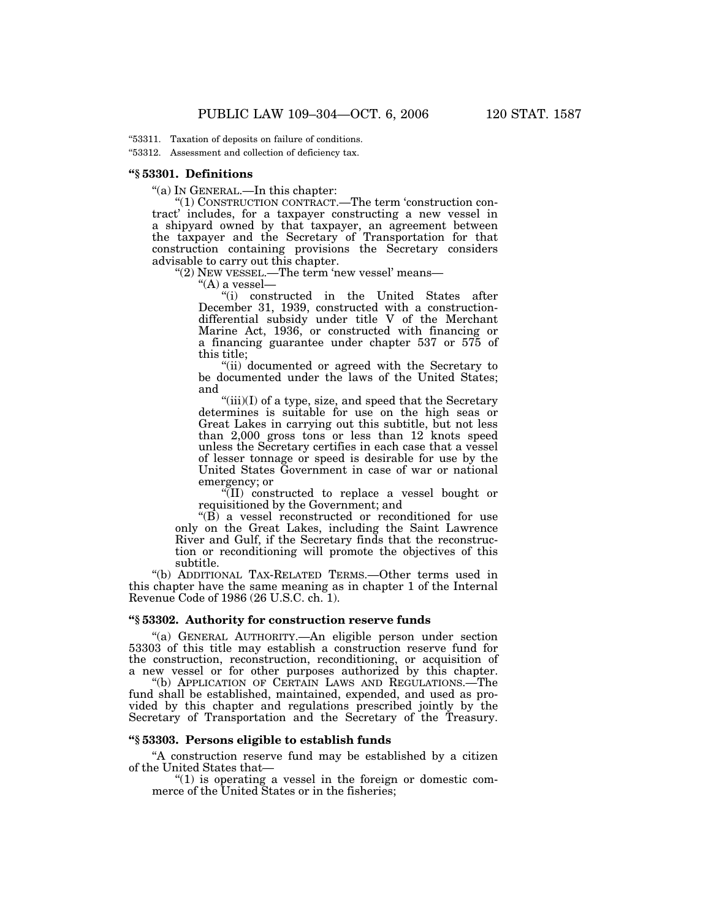"53311. Taxation of deposits on failure of conditions.

''53312. Assessment and collection of deficiency tax.

#### **''§ 53301. Definitions**

''(a) IN GENERAL.—In this chapter:

''(1) CONSTRUCTION CONTRACT.—The term 'construction contract' includes, for a taxpayer constructing a new vessel in a shipyard owned by that taxpayer, an agreement between the taxpayer and the Secretary of Transportation for that construction containing provisions the Secretary considers advisable to carry out this chapter.

''(2) NEW VESSEL.—The term 'new vessel' means—

''(A) a vessel—

''(i) constructed in the United States after December 31, 1939, constructed with a constructiondifferential subsidy under title V of the Merchant Marine Act, 1936, or constructed with financing or a financing guarantee under chapter 537 or 575 of this title;

"(ii) documented or agreed with the Secretary to be documented under the laws of the United States; and

"(iii)(I) of a type, size, and speed that the Secretary determines is suitable for use on the high seas or Great Lakes in carrying out this subtitle, but not less than 2,000 gross tons or less than 12 knots speed unless the Secretary certifies in each case that a vessel of lesser tonnage or speed is desirable for use by the United States Government in case of war or national emergency; or

''(II) constructed to replace a vessel bought or requisitioned by the Government; and

 $\mathrm{``(B)}$  a vessel reconstructed or reconditioned for use only on the Great Lakes, including the Saint Lawrence River and Gulf, if the Secretary finds that the reconstruction or reconditioning will promote the objectives of this subtitle.

''(b) ADDITIONAL TAX-RELATED TERMS.—Other terms used in this chapter have the same meaning as in chapter 1 of the Internal Revenue Code of 1986 (26 U.S.C. ch. 1).

#### **''§ 53302. Authority for construction reserve funds**

''(a) GENERAL AUTHORITY.—An eligible person under section 53303 of this title may establish a construction reserve fund for the construction, reconstruction, reconditioning, or acquisition of a new vessel or for other purposes authorized by this chapter.

''(b) APPLICATION OF CERTAIN LAWS AND REGULATIONS.—The fund shall be established, maintained, expended, and used as provided by this chapter and regulations prescribed jointly by the Secretary of Transportation and the Secretary of the Treasury.

#### **''§ 53303. Persons eligible to establish funds**

''A construction reserve fund may be established by a citizen of the United States that—

" $(1)$  is operating a vessel in the foreign or domestic commerce of the United States or in the fisheries;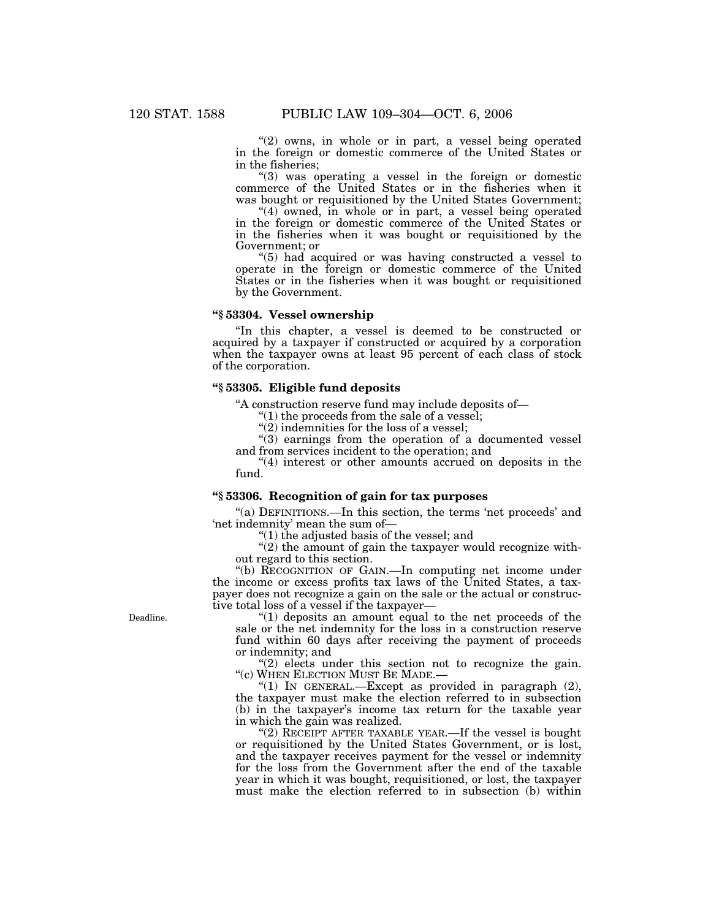"(2) owns, in whole or in part, a vessel being operated in the foreign or domestic commerce of the United States or in the fisheries;

''(3) was operating a vessel in the foreign or domestic commerce of the United States or in the fisheries when it was bought or requisitioned by the United States Government;

"(4) owned, in whole or in part, a vessel being operated in the foreign or domestic commerce of the United States or in the fisheries when it was bought or requisitioned by the Government; or

" $(5)$  had acquired or was having constructed a vessel to operate in the foreign or domestic commerce of the United States or in the fisheries when it was bought or requisitioned by the Government.

#### **''§ 53304. Vessel ownership**

''In this chapter, a vessel is deemed to be constructed or acquired by a taxpayer if constructed or acquired by a corporation when the taxpayer owns at least 95 percent of each class of stock of the corporation.

# **''§ 53305. Eligible fund deposits**

''A construction reserve fund may include deposits of—

" $(1)$  the proceeds from the sale of a vessel;

 $(2)$  indemnities for the loss of a vessel;

 $(3)$  earnings from the operation of a documented vessel and from services incident to the operation; and

"(4) interest or other amounts accrued on deposits in the fund.

#### **''§ 53306. Recognition of gain for tax purposes**

''(a) DEFINITIONS.—In this section, the terms 'net proceeds' and 'net indemnity' mean the sum of—

''(1) the adjusted basis of the vessel; and

 $''(2)$  the amount of gain the taxpayer would recognize without regard to this section.

''(b) RECOGNITION OF GAIN.—In computing net income under the income or excess profits tax laws of the United States, a taxpayer does not recognize a gain on the sale or the actual or constructive total loss of a vessel if the taxpayer—

''(1) deposits an amount equal to the net proceeds of the sale or the net indemnity for the loss in a construction reserve fund within 60 days after receiving the payment of proceeds or indemnity; and

"(2) elects under this section not to recognize the gain. ''(c) WHEN ELECTION MUST BE MADE.—

''(1) IN GENERAL.—Except as provided in paragraph (2), the taxpayer must make the election referred to in subsection (b) in the taxpayer's income tax return for the taxable year in which the gain was realized.

"(2) RECEIPT AFTER TAXABLE YEAR.—If the vessel is bought or requisitioned by the United States Government, or is lost, and the taxpayer receives payment for the vessel or indemnity for the loss from the Government after the end of the taxable year in which it was bought, requisitioned, or lost, the taxpayer must make the election referred to in subsection (b) within

Deadline.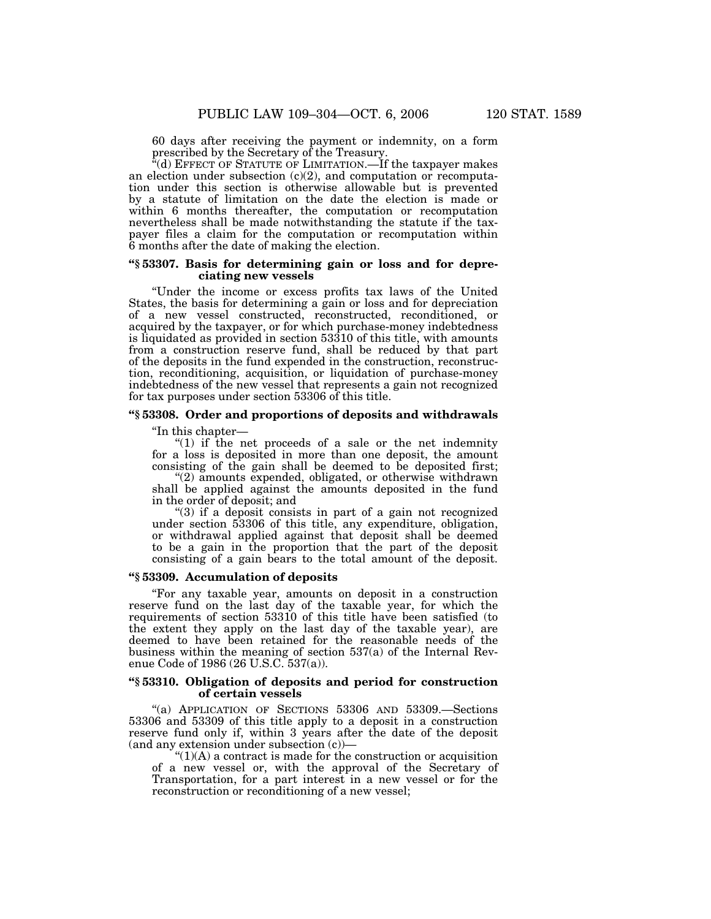60 days after receiving the payment or indemnity, on a form prescribed by the Secretary of the Treasury.

 $\mathbf{F}^{\mathsf{r}}(\mathbf{d})$  EFFECT OF STATUTE OF LIMITATION.—If the taxpayer makes an election under subsection  $(c)(2)$ , and computation or recomputation under this section is otherwise allowable but is prevented by a statute of limitation on the date the election is made or within 6 months thereafter, the computation or recomputation nevertheless shall be made notwithstanding the statute if the taxpayer files a claim for the computation or recomputation within 6 months after the date of making the election.

#### **''§ 53307. Basis for determining gain or loss and for depreciating new vessels**

''Under the income or excess profits tax laws of the United States, the basis for determining a gain or loss and for depreciation of a new vessel constructed, reconstructed, reconditioned, or acquired by the taxpayer, or for which purchase-money indebtedness is liquidated as provided in section 53310 of this title, with amounts from a construction reserve fund, shall be reduced by that part of the deposits in the fund expended in the construction, reconstruction, reconditioning, acquisition, or liquidation of purchase-money indebtedness of the new vessel that represents a gain not recognized for tax purposes under section 53306 of this title.

#### **''§ 53308. Order and proportions of deposits and withdrawals**

''In this chapter—

" $(1)$  if the net proceeds of a sale or the net indemnity for a loss is deposited in more than one deposit, the amount consisting of the gain shall be deemed to be deposited first;

"(2) amounts expended, obligated, or otherwise withdrawn shall be applied against the amounts deposited in the fund in the order of deposit; and

 $(3)$  if a deposit consists in part of a gain not recognized under section 53306 of this title, any expenditure, obligation, or withdrawal applied against that deposit shall be deemed to be a gain in the proportion that the part of the deposit consisting of a gain bears to the total amount of the deposit.

#### **''§ 53309. Accumulation of deposits**

''For any taxable year, amounts on deposit in a construction reserve fund on the last day of the taxable year, for which the requirements of section 53310 of this title have been satisfied (to the extent they apply on the last day of the taxable year), are deemed to have been retained for the reasonable needs of the business within the meaning of section 537(a) of the Internal Revenue Code of 1986 (26 U.S.C. 537(a)).

#### **''§ 53310. Obligation of deposits and period for construction of certain vessels**

''(a) APPLICATION OF SECTIONS 53306 AND 53309.—Sections 53306 and 53309 of this title apply to a deposit in a construction reserve fund only if, within 3 years after the date of the deposit (and any extension under subsection (c))—

 $\mathcal{L}(1)(A)$  a contract is made for the construction or acquisition of a new vessel or, with the approval of the Secretary of Transportation, for a part interest in a new vessel or for the reconstruction or reconditioning of a new vessel;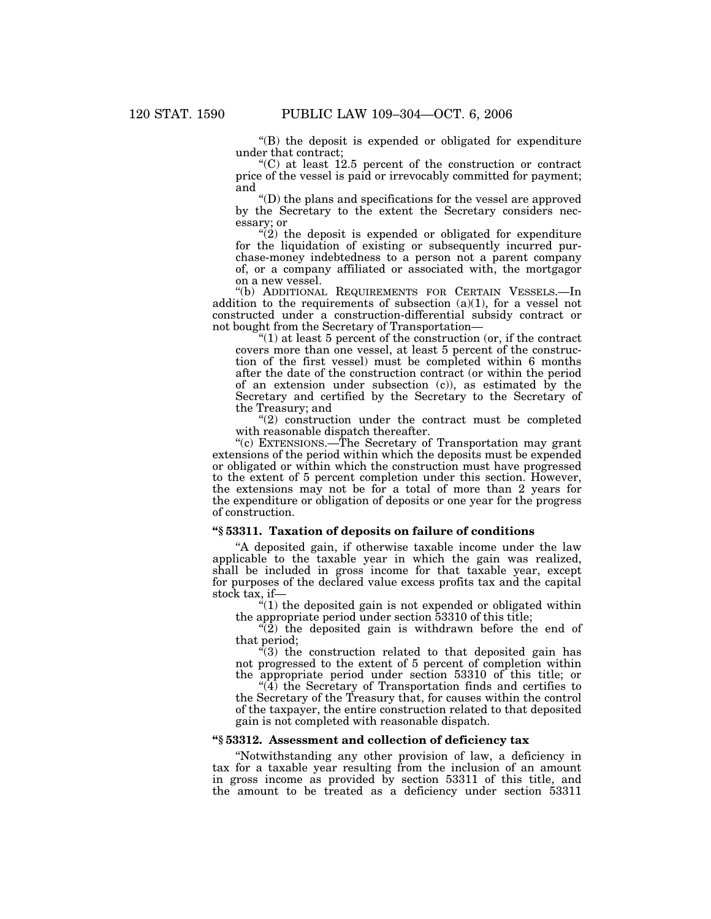''(B) the deposit is expended or obligated for expenditure under that contract;

 $C($ ) at least 12.5 percent of the construction or contract price of the vessel is paid or irrevocably committed for payment; and

''(D) the plans and specifications for the vessel are approved by the Secretary to the extent the Secretary considers necessary; or

 $\sqrt{\hat{2}}$  the deposit is expended or obligated for expenditure for the liquidation of existing or subsequently incurred purchase-money indebtedness to a person not a parent company of, or a company affiliated or associated with, the mortgagor on a new vessel.

''(b) ADDITIONAL REQUIREMENTS FOR CERTAIN VESSELS.—In addition to the requirements of subsection  $(a)(1)$ , for a vessel not constructed under a construction-differential subsidy contract or not bought from the Secretary of Transportation—

" $(1)$  at least 5 percent of the construction (or, if the contract covers more than one vessel, at least 5 percent of the construction of the first vessel) must be completed within 6 months after the date of the construction contract (or within the period of an extension under subsection (c)), as estimated by the Secretary and certified by the Secretary to the Secretary of the Treasury; and

"(2) construction under the contract must be completed with reasonable dispatch thereafter.

''(c) EXTENSIONS.—The Secretary of Transportation may grant extensions of the period within which the deposits must be expended or obligated or within which the construction must have progressed to the extent of 5 percent completion under this section. However, the extensions may not be for a total of more than 2 years for the expenditure or obligation of deposits or one year for the progress of construction.

#### **''§ 53311. Taxation of deposits on failure of conditions**

''A deposited gain, if otherwise taxable income under the law applicable to the taxable year in which the gain was realized, shall be included in gross income for that taxable year, except for purposes of the declared value excess profits tax and the capital stock tax, if—

 $\sqrt{\ }$ (1) the deposited gain is not expended or obligated within the appropriate period under section 53310 of this title;

 $\sqrt{\frac{2}{2}}$  the deposited gain is withdrawn before the end of that period;

 $\epsilon$ <sup>(3)</sup>) the construction related to that deposited gain has not progressed to the extent of 5 percent of completion within the appropriate period under section 53310 of this title; or

 $\mathcal{A}(\overline{4})$  the Secretary of Transportation finds and certifies to the Secretary of the Treasury that, for causes within the control of the taxpayer, the entire construction related to that deposited gain is not completed with reasonable dispatch.

#### **''§ 53312. Assessment and collection of deficiency tax**

''Notwithstanding any other provision of law, a deficiency in tax for a taxable year resulting from the inclusion of an amount in gross income as provided by section 53311 of this title, and the amount to be treated as a deficiency under section 53311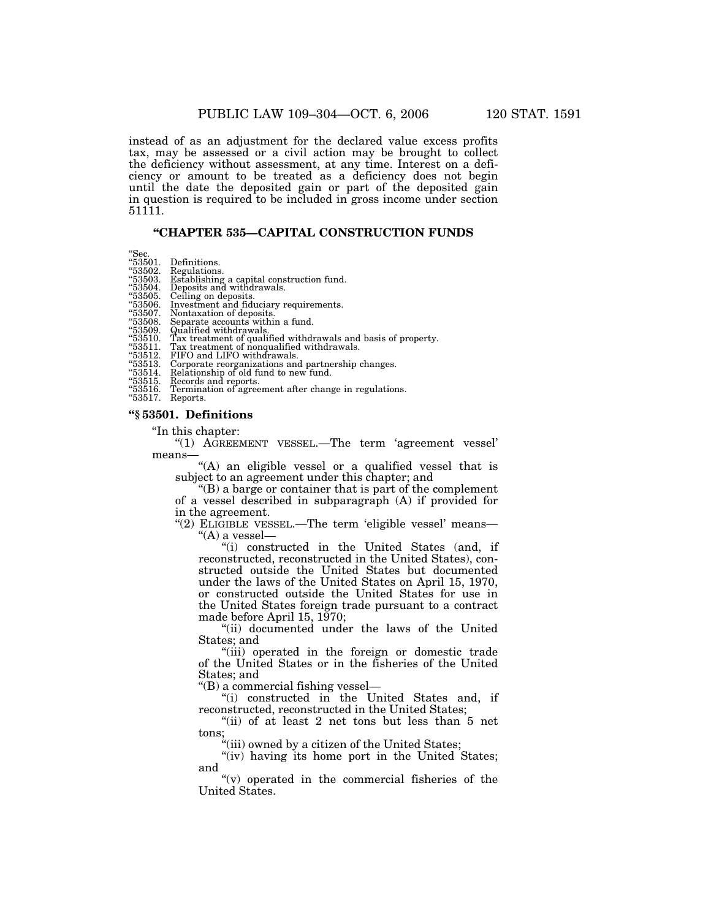instead of as an adjustment for the declared value excess profits tax, may be assessed or a civil action may be brought to collect the deficiency without assessment, at any time. Interest on a deficiency or amount to be treated as a deficiency does not begin until the date the deposited gain or part of the deposited gain in question is required to be included in gross income under section 51111.

#### **''CHAPTER 535—CAPITAL CONSTRUCTION FUNDS**

# "Sec.<br>"53501. Definitions.<br>"53502. Regulations.

- ''53503. Establishing a capital construction fund. ''53504. Deposits and withdrawals. "53503. Establishing a capit<br>"53503. Establishing a capit<br>"53505. Ceiling on deposits.<br>"53506. Investment and fid
- 
- 
- ''53506. Investment and fiduciary requirements.
- ''53507. Nontaxation of deposits. ''53508. Separate accounts within a fund.
- 
- ''53509. Qualified withdrawals. ''53510. Tax treatment of qualified withdrawals and basis of property.
- ''53511. Tax treatment of nonqualified withdrawals. ''53512. FIFO and LIFO withdrawals.
- 
- "53511. Tax treatment of nonqualified withdrawals.<br>"53512. FIFO and LIFO withdrawals.<br>"53513. Corporate reorganizations and partnership changes.<br>"53514. Records and reports.
- 
- ''53514. Relationship of old fund to new fund. ''53515. Records and reports. ''53516. Termination of agreement after change in regulations.
- "53516. Termina"<br>"53517. Reports.

# **''§ 53501. Definitions**

''In this chapter:

''(1) AGREEMENT VESSEL.—The term 'agreement vessel' means—

"(A) an eligible vessel or a qualified vessel that is subject to an agreement under this chapter; and

''(B) a barge or container that is part of the complement of a vessel described in subparagraph (A) if provided for in the agreement.

"(2) ELIGIBLE VESSEL.—The term 'eligible vessel' means—  $\mathrm{``(A)}$  a vessel—

''(i) constructed in the United States (and, if reconstructed, reconstructed in the United States), constructed outside the United States but documented under the laws of the United States on April 15, 1970, or constructed outside the United States for use in the United States foreign trade pursuant to a contract made before April 15, 1970;

''(ii) documented under the laws of the United States; and

''(iii) operated in the foreign or domestic trade of the United States or in the fisheries of the United States; and

''(B) a commercial fishing vessel—

''(i) constructed in the United States and, if reconstructed, reconstructed in the United States;

''(ii) of at least 2 net tons but less than 5 net tons;

''(iii) owned by a citizen of the United States;

"(iv) having its home port in the United States; and

''(v) operated in the commercial fisheries of the United States.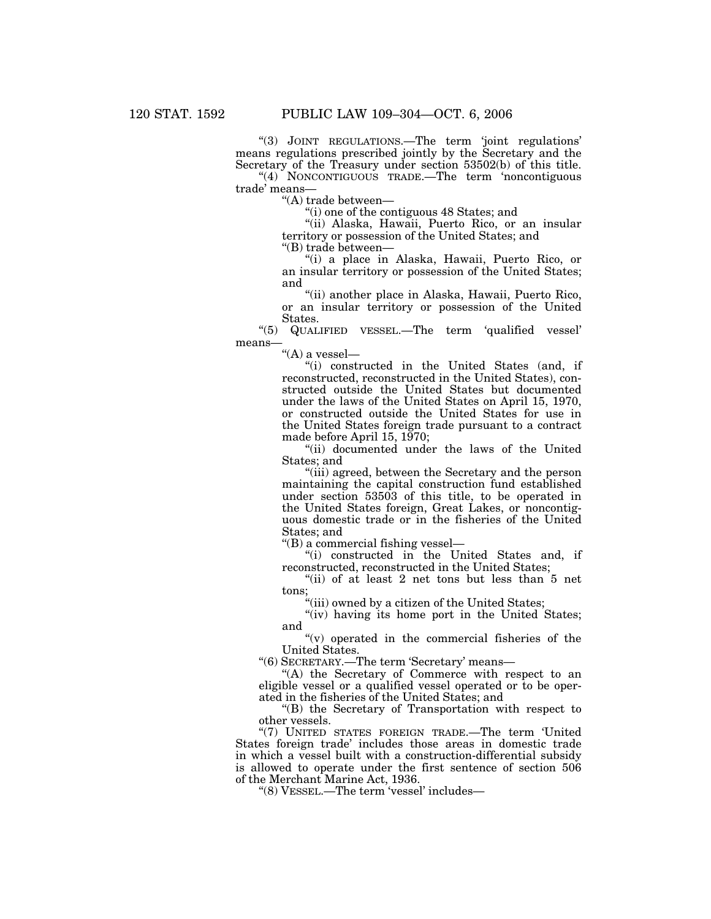''(3) JOINT REGULATIONS.—The term 'joint regulations' means regulations prescribed jointly by the Secretary and the Secretary of the Treasury under section 53502(b) of this title. ''(4) NONCONTIGUOUS TRADE.—The term 'noncontiguous

trade' means—

''(A) trade between—

''(i) one of the contiguous 48 States; and

''(ii) Alaska, Hawaii, Puerto Rico, or an insular territory or possession of the United States; and ''(B) trade between—

''(i) a place in Alaska, Hawaii, Puerto Rico, or an insular territory or possession of the United States; and

''(ii) another place in Alaska, Hawaii, Puerto Rico, or an insular territory or possession of the United States.

''(5) QUALIFIED VESSEL.—The term 'qualified vessel' means—

"(A) a vessel—

''(i) constructed in the United States (and, if reconstructed, reconstructed in the United States), constructed outside the United States but documented under the laws of the United States on April 15, 1970, or constructed outside the United States for use in the United States foreign trade pursuant to a contract made before April 15, 1970;

''(ii) documented under the laws of the United States; and

''(iii) agreed, between the Secretary and the person maintaining the capital construction fund established under section 53503 of this title, to be operated in the United States foreign, Great Lakes, or noncontiguous domestic trade or in the fisheries of the United States; and

''(B) a commercial fishing vessel—

''(i) constructed in the United States and, if reconstructed, reconstructed in the United States;

''(ii) of at least 2 net tons but less than 5 net tons;

''(iii) owned by a citizen of the United States;

"(iv) having its home port in the United States; and

''(v) operated in the commercial fisheries of the United States.

''(6) SECRETARY.—The term 'Secretary' means—

"(A) the Secretary of Commerce with respect to an eligible vessel or a qualified vessel operated or to be operated in the fisheries of the United States; and

''(B) the Secretary of Transportation with respect to other vessels.

''(7) UNITED STATES FOREIGN TRADE.—The term 'United States foreign trade' includes those areas in domestic trade in which a vessel built with a construction-differential subsidy is allowed to operate under the first sentence of section 506 of the Merchant Marine Act, 1936.

"(8) VESSEL.—The term 'vessel' includes—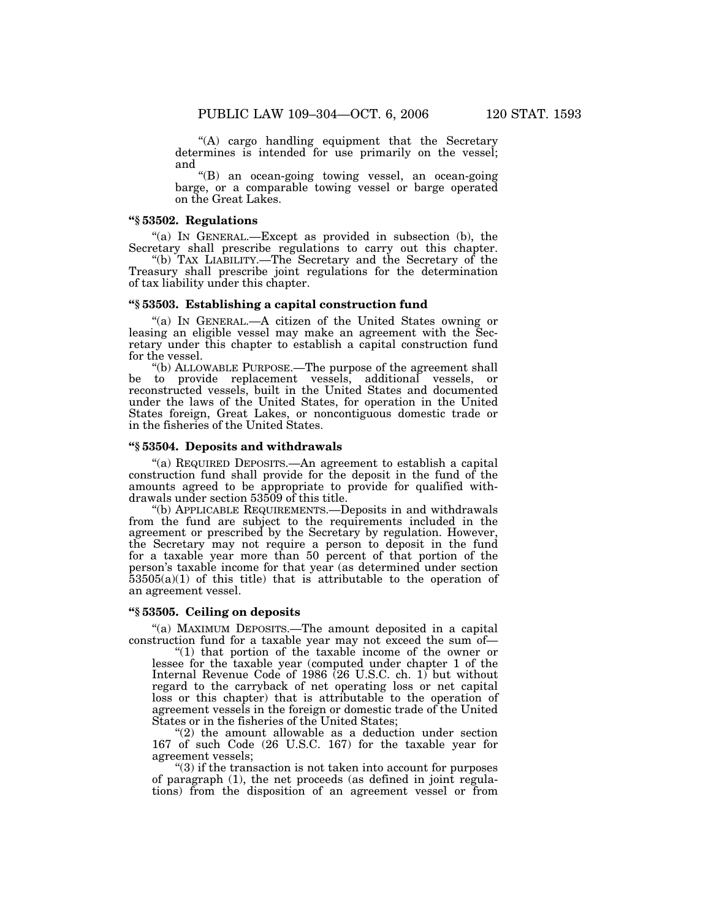''(A) cargo handling equipment that the Secretary determines is intended for use primarily on the vessel; and

''(B) an ocean-going towing vessel, an ocean-going barge, or a comparable towing vessel or barge operated on the Great Lakes.

#### **''§ 53502. Regulations**

''(a) IN GENERAL.—Except as provided in subsection (b), the Secretary shall prescribe regulations to carry out this chapter.

''(b) TAX LIABILITY.—The Secretary and the Secretary of the Treasury shall prescribe joint regulations for the determination of tax liability under this chapter.

# **''§ 53503. Establishing a capital construction fund**

''(a) IN GENERAL.—A citizen of the United States owning or leasing an eligible vessel may make an agreement with the Secretary under this chapter to establish a capital construction fund for the vessel.

''(b) ALLOWABLE PURPOSE.—The purpose of the agreement shall be to provide replacement vessels, additional vessels, or reconstructed vessels, built in the United States and documented under the laws of the United States, for operation in the United States foreign, Great Lakes, or noncontiguous domestic trade or in the fisheries of the United States.

#### **''§ 53504. Deposits and withdrawals**

''(a) REQUIRED DEPOSITS.—An agreement to establish a capital construction fund shall provide for the deposit in the fund of the amounts agreed to be appropriate to provide for qualified withdrawals under section 53509 of this title.

''(b) APPLICABLE REQUIREMENTS.—Deposits in and withdrawals from the fund are subject to the requirements included in the agreement or prescribed by the Secretary by regulation. However, the Secretary may not require a person to deposit in the fund for a taxable year more than 50 percent of that portion of the person's taxable income for that year (as determined under section  $53505(a)(1)$  of this title) that is attributable to the operation of an agreement vessel.

#### **''§ 53505. Ceiling on deposits**

"(a) MAXIMUM DEPOSITS.—The amount deposited in a capital construction fund for a taxable year may not exceed the sum of—

''(1) that portion of the taxable income of the owner or lessee for the taxable year (computed under chapter 1 of the Internal Revenue Code of 1986 (26 U.S.C. ch. 1) but without regard to the carryback of net operating loss or net capital loss or this chapter) that is attributable to the operation of agreement vessels in the foreign or domestic trade of the United States or in the fisheries of the United States;

"(2) the amount allowable as a deduction under section 167 of such Code (26 U.S.C. 167) for the taxable year for agreement vessels;

''(3) if the transaction is not taken into account for purposes of paragraph (1), the net proceeds (as defined in joint regulations) from the disposition of an agreement vessel or from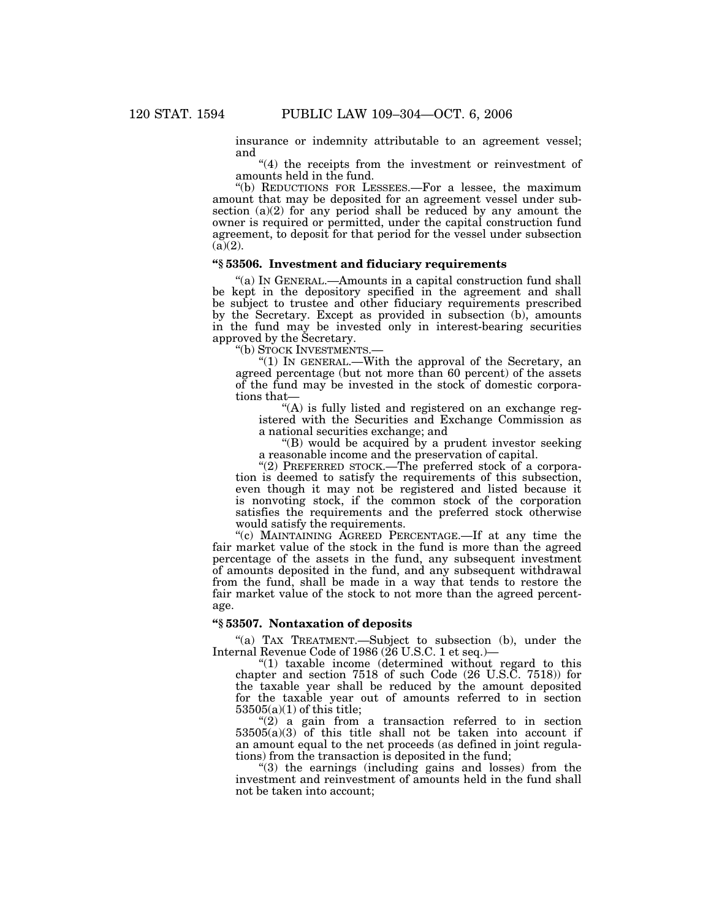insurance or indemnity attributable to an agreement vessel; and

"(4) the receipts from the investment or reinvestment of amounts held in the fund.

''(b) REDUCTIONS FOR LESSEES.—For a lessee, the maximum amount that may be deposited for an agreement vessel under subsection (a)(2) for any period shall be reduced by any amount the owner is required or permitted, under the capital construction fund agreement, to deposit for that period for the vessel under subsection  $(a)(2)$ .

## **''§ 53506. Investment and fiduciary requirements**

"(a) IN GENERAL.—Amounts in a capital construction fund shall be kept in the depository specified in the agreement and shall be subject to trustee and other fiduciary requirements prescribed by the Secretary. Except as provided in subsection (b), amounts in the fund may be invested only in interest-bearing securities approved by the Secretary.

''(b) STOCK INVESTMENTS.—

 $(1)$  In GENERAL.—With the approval of the Secretary, an agreed percentage (but not more than 60 percent) of the assets of the fund may be invested in the stock of domestic corporations that—

"(A) is fully listed and registered on an exchange registered with the Securities and Exchange Commission as a national securities exchange; and

''(B) would be acquired by a prudent investor seeking a reasonable income and the preservation of capital.

"(2) PREFERRED STOCK.—The preferred stock of a corporation is deemed to satisfy the requirements of this subsection, even though it may not be registered and listed because it is nonvoting stock, if the common stock of the corporation satisfies the requirements and the preferred stock otherwise would satisfy the requirements.

"(c) MAINTAINING AGREED PERCENTAGE.—If at any time the fair market value of the stock in the fund is more than the agreed percentage of the assets in the fund, any subsequent investment of amounts deposited in the fund, and any subsequent withdrawal from the fund, shall be made in a way that tends to restore the fair market value of the stock to not more than the agreed percentage.

## **''§ 53507. Nontaxation of deposits**

"(a) TAX TREATMENT.—Subject to subsection (b), under the Internal Revenue Code of 1986 (26 U.S.C. 1 et seq.)—

"(1) taxable income (determined without regard to this chapter and section 7518 of such Code (26 U.S.C. 7518)) for the taxable year shall be reduced by the amount deposited for the taxable year out of amounts referred to in section 53505(a)(1) of this title;

" $(2)$  a gain from a transaction referred to in section  $53505(a)(3)$  of this title shall not be taken into account if an amount equal to the net proceeds (as defined in joint regulations) from the transaction is deposited in the fund;

''(3) the earnings (including gains and losses) from the investment and reinvestment of amounts held in the fund shall not be taken into account;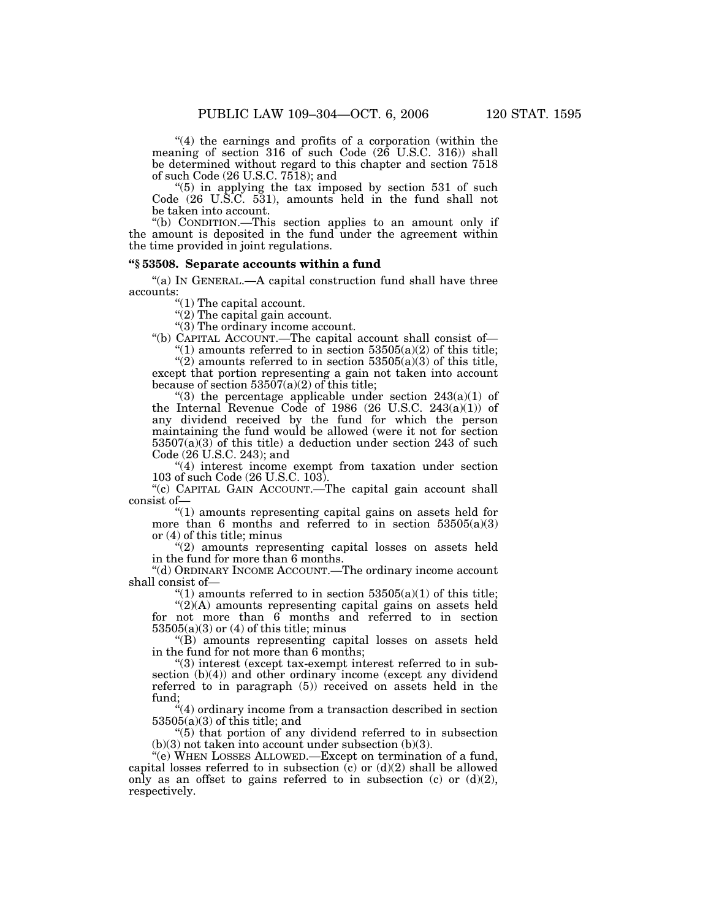''(4) the earnings and profits of a corporation (within the meaning of section 316 of such Code (26 U.S.C. 316)) shall be determined without regard to this chapter and section 7518 of such Code (26 U.S.C. 7518); and

"(5) in applying the tax imposed by section 531 of such Code (26 U.S.C. 531), amounts held in the fund shall not be taken into account.

''(b) CONDITION.—This section applies to an amount only if the amount is deposited in the fund under the agreement within the time provided in joint regulations.

## **''§ 53508. Separate accounts within a fund**

"(a) IN GENERAL.—A capital construction fund shall have three accounts:

''(1) The capital account.

''(2) The capital gain account.

"(3) The ordinary income account.

''(b) CAPITAL ACCOUNT.—The capital account shall consist of—

"(1) amounts referred to in section  $53505(a)(2)$  of this title; "(2) amounts referred to in section  $53505(a)(3)$  of this title,

except that portion representing a gain not taken into account because of section  $53507(a)(2)$  of this title;

"(3) the percentage applicable under section  $243(a)(1)$  of the Internal Revenue Code of 1986 (26 U.S.C. 243(a)(1)) of any dividend received by the fund for which the person maintaining the fund would be allowed (were it not for section  $53507(a)(3)$  of this title) a deduction under section 243 of such Code (26 U.S.C. 243); and

"(4) interest income exempt from taxation under section 103 of such Code (26 U.S.C. 103).

''(c) CAPITAL GAIN ACCOUNT.—The capital gain account shall consist of—

''(1) amounts representing capital gains on assets held for more than 6 months and referred to in section  $53505(a)(3)$ or (4) of this title; minus

''(2) amounts representing capital losses on assets held in the fund for more than 6 months.

''(d) ORDINARY INCOME ACCOUNT.—The ordinary income account shall consist of—

"(1) amounts referred to in section  $53505(a)(1)$  of this title;

 $''(2)$ (A) amounts representing capital gains on assets held for not more than 6 months and referred to in section  $53505(a)(3)$  or  $(4)$  of this title; minus

''(B) amounts representing capital losses on assets held in the fund for not more than 6 months;

''(3) interest (except tax-exempt interest referred to in subsection (b)(4)) and other ordinary income (except any dividend referred to in paragraph (5)) received on assets held in the fund;

 $\dddot{H}$ (4) ordinary income from a transaction described in section 53505(a)(3) of this title; and

''(5) that portion of any dividend referred to in subsection  $(b)(3)$  not taken into account under subsection  $(b)(3)$ .

''(e) WHEN LOSSES ALLOWED.—Except on termination of a fund, capital losses referred to in subsection  $(c)$  or  $(d)(2)$  shall be allowed only as an offset to gains referred to in subsection (c) or  $(d)(2)$ , respectively.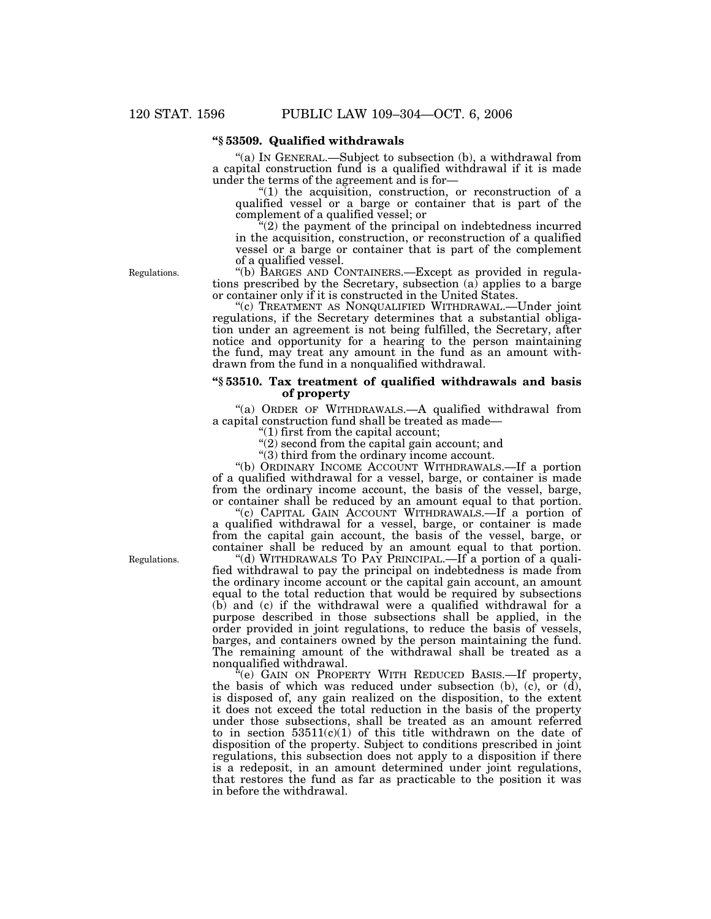## **''§ 53509. Qualified withdrawals**

"(a) IN GENERAL.—Subject to subsection (b), a withdrawal from a capital construction fund is a qualified withdrawal if it is made under the terms of the agreement and is for—

"(1) the acquisition, construction, or reconstruction of a qualified vessel or a barge or container that is part of the complement of a qualified vessel; or

 $f(2)$  the payment of the principal on indebtedness incurred in the acquisition, construction, or reconstruction of a qualified vessel or a barge or container that is part of the complement of a qualified vessel.

Regulations.

''(b) BARGES AND CONTAINERS.—Except as provided in regulations prescribed by the Secretary, subsection (a) applies to a barge or container only if it is constructed in the United States.

''(c) TREATMENT AS NONQUALIFIED WITHDRAWAL.—Under joint regulations, if the Secretary determines that a substantial obligation under an agreement is not being fulfilled, the Secretary, after notice and opportunity for a hearing to the person maintaining the fund, may treat any amount in the fund as an amount withdrawn from the fund in a nonqualified withdrawal.

## **''§ 53510. Tax treatment of qualified withdrawals and basis of property**

''(a) ORDER OF WITHDRAWALS.—A qualified withdrawal from a capital construction fund shall be treated as made—

''(1) first from the capital account;

 $'(2)$  second from the capital gain account; and

''(3) third from the ordinary income account.

''(b) ORDINARY INCOME ACCOUNT WITHDRAWALS.—If a portion of a qualified withdrawal for a vessel, barge, or container is made from the ordinary income account, the basis of the vessel, barge, or container shall be reduced by an amount equal to that portion.

"(c) CAPITAL GAIN ACCOUNT WITHDRAWALS.—If a portion of a qualified withdrawal for a vessel, barge, or container is made from the capital gain account, the basis of the vessel, barge, or container shall be reduced by an amount equal to that portion.

''(d) WITHDRAWALS TO PAY PRINCIPAL.—If a portion of a qualified withdrawal to pay the principal on indebtedness is made from the ordinary income account or the capital gain account, an amount equal to the total reduction that would be required by subsections (b) and (c) if the withdrawal were a qualified withdrawal for a purpose described in those subsections shall be applied, in the order provided in joint regulations, to reduce the basis of vessels, barges, and containers owned by the person maintaining the fund. The remaining amount of the withdrawal shall be treated as a nonqualified withdrawal.

'(e) GAIN ON PROPERTY WITH REDUCED BASIS.-If property, the basis of which was reduced under subsection  $(b)$ ,  $(c)$ ,  $\overline{or}$   $(d)$ , is disposed of, any gain realized on the disposition, to the extent it does not exceed the total reduction in the basis of the property under those subsections, shall be treated as an amount referred to in section  $53511(c)(1)$  of this title withdrawn on the date of disposition of the property. Subject to conditions prescribed in joint regulations, this subsection does not apply to a disposition if there is a redeposit, in an amount determined under joint regulations, that restores the fund as far as practicable to the position it was in before the withdrawal.

Regulations.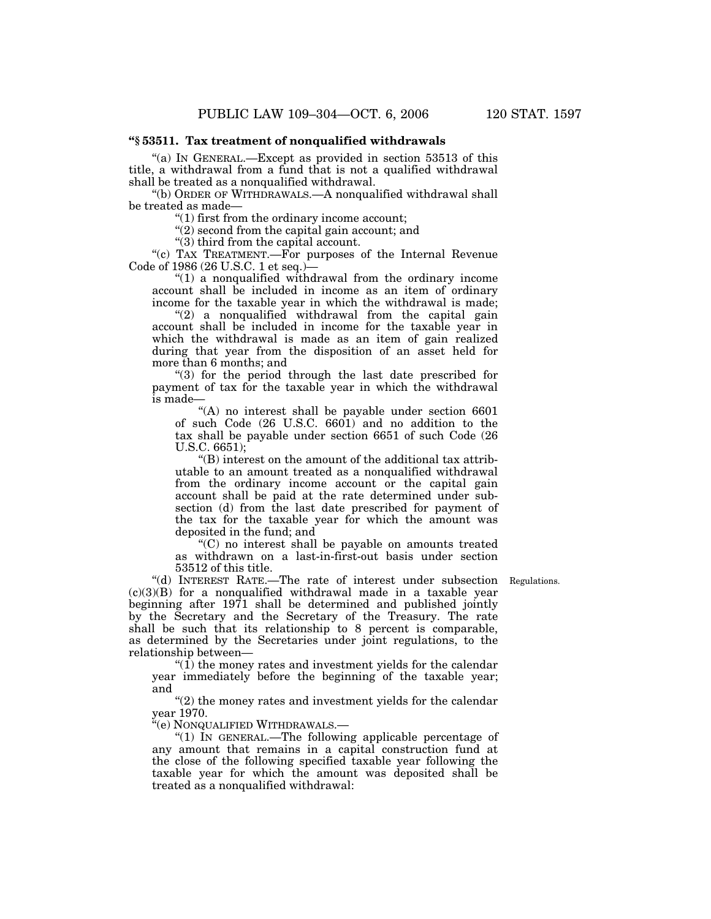## **''§ 53511. Tax treatment of nonqualified withdrawals**

"(a) IN GENERAL.—Except as provided in section 53513 of this title, a withdrawal from a fund that is not a qualified withdrawal shall be treated as a nonqualified withdrawal.

''(b) ORDER OF WITHDRAWALS.—A nonqualified withdrawal shall be treated as made—

''(1) first from the ordinary income account;

''(2) second from the capital gain account; and

''(3) third from the capital account.

"(c) TAX TREATMENT.—For purposes of the Internal Revenue Code of 1986 (26 U.S.C. 1 et seq.)—

 $''(1)$  a nonqualified withdrawal from the ordinary income account shall be included in income as an item of ordinary income for the taxable year in which the withdrawal is made;

 $(2)$  a nonqualified withdrawal from the capital gain account shall be included in income for the taxable year in which the withdrawal is made as an item of gain realized during that year from the disposition of an asset held for more than 6 months; and

''(3) for the period through the last date prescribed for payment of tax for the taxable year in which the withdrawal is made—

"(A) no interest shall be payable under section  $6601$ of such Code (26 U.S.C. 6601) and no addition to the tax shall be payable under section 6651 of such Code (26 U.S.C. 6651);

''(B) interest on the amount of the additional tax attributable to an amount treated as a nonqualified withdrawal from the ordinary income account or the capital gain account shall be paid at the rate determined under subsection (d) from the last date prescribed for payment of the tax for the taxable year for which the amount was deposited in the fund; and

''(C) no interest shall be payable on amounts treated as withdrawn on a last-in-first-out basis under section 53512 of this title.

''(d) INTEREST RATE.—The rate of interest under subsection Regulations.  $(c)(3)(B)$  for a nonqualified withdrawal made in a taxable year beginning after 1971 shall be determined and published jointly by the Secretary and the Secretary of the Treasury. The rate shall be such that its relationship to 8 percent is comparable, as determined by the Secretaries under joint regulations, to the relationship between—

" $(\overline{1})$  the money rates and investment yields for the calendar year immediately before the beginning of the taxable year; and

 $''(2)$  the money rates and investment yields for the calendar year 1970.

''(e) NONQUALIFIED WITHDRAWALS.—

" $(1)$  In GENERAL.—The following applicable percentage of any amount that remains in a capital construction fund at the close of the following specified taxable year following the taxable year for which the amount was deposited shall be treated as a nonqualified withdrawal: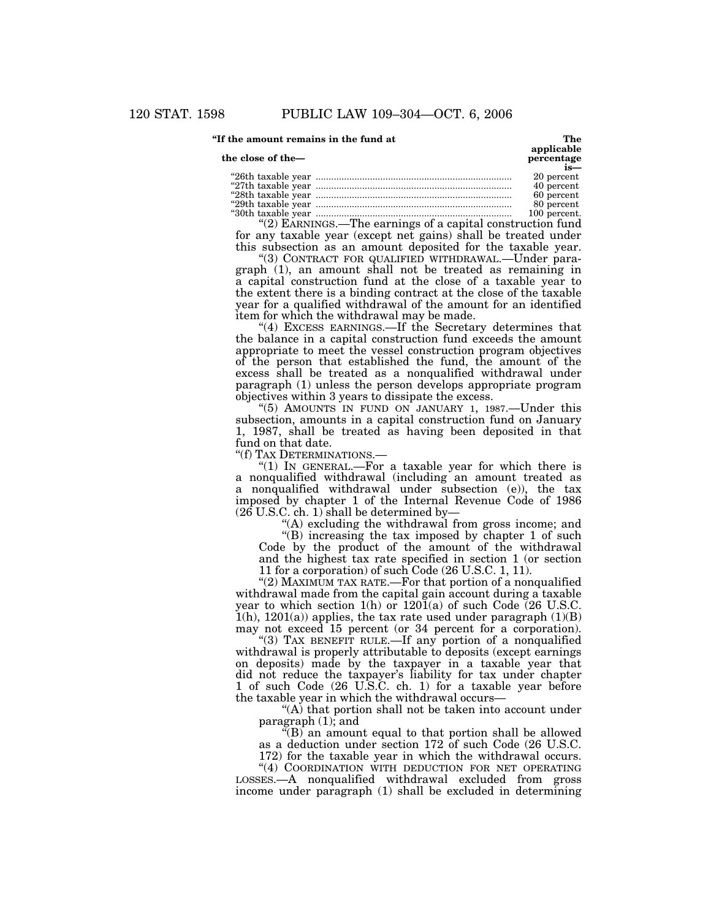#### **''If the amount remains in the fund at The**

**the close of the— percentage**

**applicable**

|                                                                       | $i_{s-}$   |
|-----------------------------------------------------------------------|------------|
|                                                                       | 20 percent |
|                                                                       | 40 percent |
|                                                                       | 60 percent |
|                                                                       | 80 percent |
|                                                                       |            |
| $\mathcal{H}(9)$ Expansion The comings of a conital construction fund |            |

'(2) EARNINGS.—The earnings of a capital construction fund for any taxable year (except net gains) shall be treated under this subsection as an amount deposited for the taxable year.

''(3) CONTRACT FOR QUALIFIED WITHDRAWAL.—Under paragraph (1), an amount shall not be treated as remaining in a capital construction fund at the close of a taxable year to the extent there is a binding contract at the close of the taxable year for a qualified withdrawal of the amount for an identified item for which the withdrawal may be made.

"(4) EXCESS EARNINGS.—If the Secretary determines that the balance in a capital construction fund exceeds the amount appropriate to meet the vessel construction program objectives of the person that established the fund, the amount of the excess shall be treated as a nonqualified withdrawal under paragraph (1) unless the person develops appropriate program objectives within 3 years to dissipate the excess.

''(5) AMOUNTS IN FUND ON JANUARY 1, 1987.—Under this subsection, amounts in a capital construction fund on January 1, 1987, shall be treated as having been deposited in that fund on that date.

''(f) TAX DETERMINATIONS.—

''(1) IN GENERAL.—For a taxable year for which there is a nonqualified withdrawal (including an amount treated as a nonqualified withdrawal under subsection (e)), the tax imposed by chapter 1 of the Internal Revenue Code of 1986  $(26$  U.S.C. ch. 1) shall be determined by-

''(A) excluding the withdrawal from gross income; and

"(B) increasing the tax imposed by chapter 1 of such Code by the product of the amount of the withdrawal and the highest tax rate specified in section 1 (or section 11 for a corporation) of such Code (26 U.S.C. 1, 11).

''(2) MAXIMUM TAX RATE.—For that portion of a nonqualified withdrawal made from the capital gain account during a taxable year to which section  $1(h)$  or  $120\tilde{1}(a)$  of such Code (26 U.S.C.  $1(h)$ ,  $1201(a)$  applies, the tax rate used under paragraph  $(1)(B)$ may not exceed 15 percent (or 34 percent for a corporation).

"(3) TAX BENEFIT RULE.—If any portion of a nonqualified withdrawal is properly attributable to deposits (except earnings on deposits) made by the taxpayer in a taxable year that did not reduce the taxpayer's liability for tax under chapter 1 of such Code (26 U.S.C. ch. 1) for a taxable year before the taxable year in which the withdrawal occurs—

"(A) that portion shall not be taken into account under paragraph (1); and

 $\sqrt{\ }$ (B) an amount equal to that portion shall be allowed as a deduction under section 172 of such Code (26 U.S.C.

172) for the taxable year in which the withdrawal occurs.

"(4) COORDINATION WITH DEDUCTION FOR NET OPERATING LOSSES.—A nonqualified withdrawal excluded from gross income under paragraph (1) shall be excluded in determining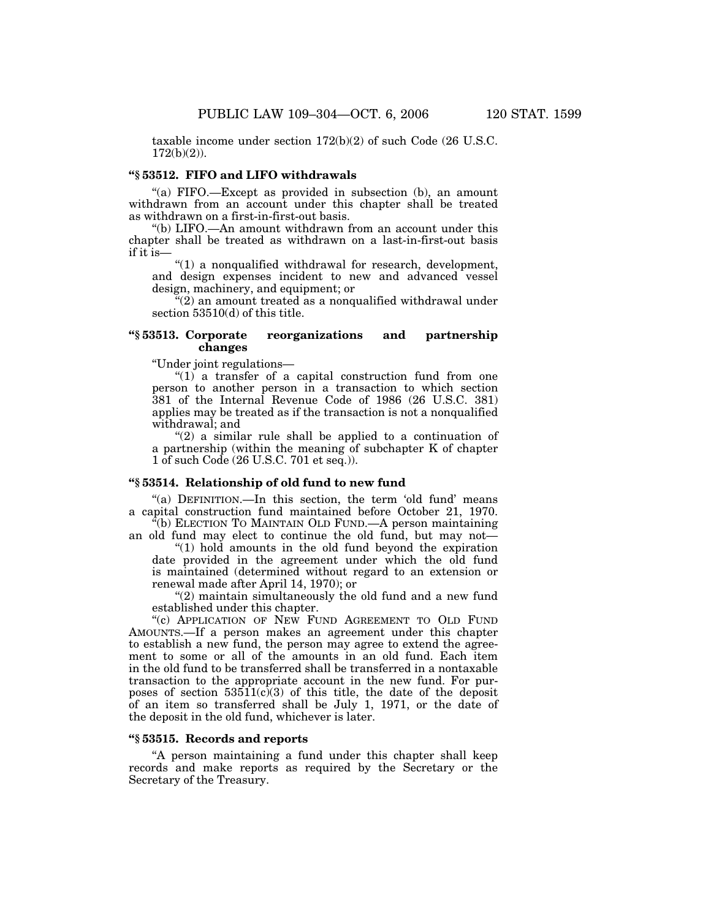taxable income under section 172(b)(2) of such Code (26 U.S.C.  $172(b)(2)$ ).

#### **''§ 53512. FIFO and LIFO withdrawals**

''(a) FIFO.—Except as provided in subsection (b), an amount withdrawn from an account under this chapter shall be treated as withdrawn on a first-in-first-out basis.

''(b) LIFO.—An amount withdrawn from an account under this chapter shall be treated as withdrawn on a last-in-first-out basis if it is—

''(1) a nonqualified withdrawal for research, development, and design expenses incident to new and advanced vessel design, machinery, and equipment; or

 $\tilde{H}(2)$  an amount treated as a nonqualified withdrawal under section 53510(d) of this title.

# **''§ 53513. Corporate reorganizations and partnership changes**

''Under joint regulations—

" $(1)$  a transfer of a capital construction fund from one person to another person in a transaction to which section 381 of the Internal Revenue Code of 1986 (26 U.S.C. 381) applies may be treated as if the transaction is not a nonqualified withdrawal; and

" $(2)$  a similar rule shall be applied to a continuation of a partnership (within the meaning of subchapter K of chapter 1 of such Code (26 U.S.C. 701 et seq.)).

#### **''§ 53514. Relationship of old fund to new fund**

''(a) DEFINITION.—In this section, the term 'old fund' means a capital construction fund maintained before October 21, 1970.  $\cdot$ <sup>"(b)</sup> ELECTION TO MAINTAIN OLD FUND.—A person maintaining

an old fund may elect to continue the old fund, but may not—

''(1) hold amounts in the old fund beyond the expiration date provided in the agreement under which the old fund is maintained (determined without regard to an extension or renewal made after April 14, 1970); or

''(2) maintain simultaneously the old fund and a new fund established under this chapter.

"(c) APPLICATION OF NEW FUND AGREEMENT TO OLD FUND AMOUNTS.—If a person makes an agreement under this chapter to establish a new fund, the person may agree to extend the agreement to some or all of the amounts in an old fund. Each item in the old fund to be transferred shall be transferred in a nontaxable transaction to the appropriate account in the new fund. For purposes of section  $53511(c)(3)$  of this title, the date of the deposit of an item so transferred shall be July 1, 1971, or the date of the deposit in the old fund, whichever is later.

#### **''§ 53515. Records and reports**

''A person maintaining a fund under this chapter shall keep records and make reports as required by the Secretary or the Secretary of the Treasury.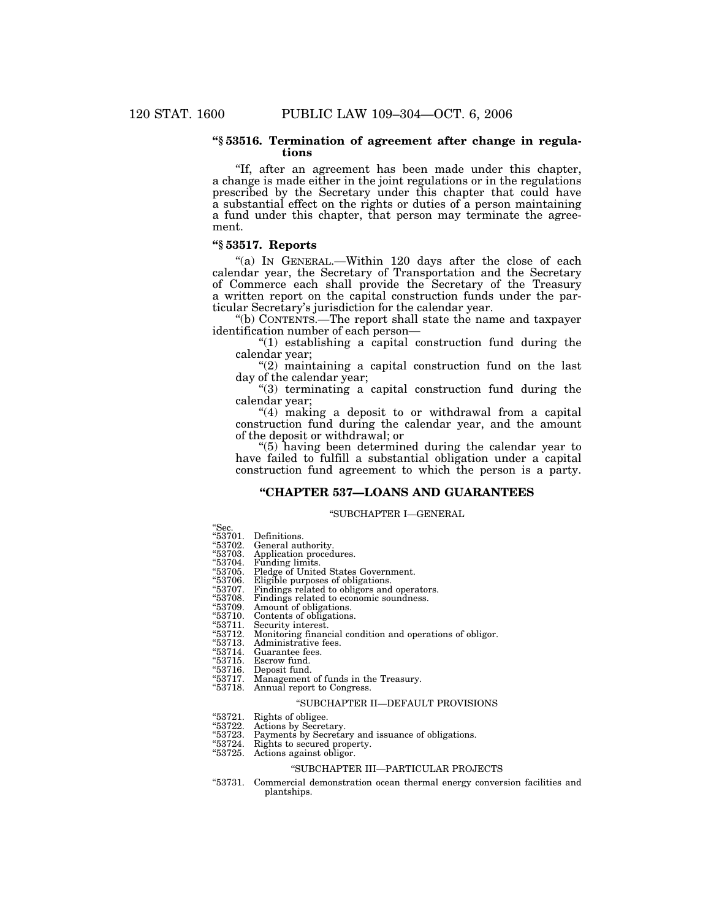#### **''§ 53516. Termination of agreement after change in regulations**

''If, after an agreement has been made under this chapter, a change is made either in the joint regulations or in the regulations prescribed by the Secretary under this chapter that could have a substantial effect on the rights or duties of a person maintaining a fund under this chapter, that person may terminate the agreement.

## **''§ 53517. Reports**

"(a) IN GENERAL.—Within 120 days after the close of each calendar year, the Secretary of Transportation and the Secretary of Commerce each shall provide the Secretary of the Treasury a written report on the capital construction funds under the particular Secretary's jurisdiction for the calendar year.

''(b) CONTENTS.—The report shall state the name and taxpayer identification number of each person—

" $(1)$  establishing a capital construction fund during the calendar year;

 $''(2)$  maintaining a capital construction fund on the last day of the calendar year;

''(3) terminating a capital construction fund during the calendar year;

''(4) making a deposit to or withdrawal from a capital construction fund during the calendar year, and the amount of the deposit or withdrawal; or

(5) having been determined during the calendar year to have failed to fulfill a substantial obligation under a capital construction fund agreement to which the person is a party.

## **''CHAPTER 537—LOANS AND GUARANTEES**

#### ''SUBCHAPTER I—GENERAL

- "Sec.<br>"53701. "53701. Definitions.<br>"53702. General aut
- "53702. General authority.<br>"53703. Application proced"<br>53704. Funding limits.
- Application procedures.
- 
- Pledge of United States Government. Eligible purposes of obligations.
- "53704. Funding limits."<br>53705. Pledge of Unite<br>"53706. Eligible purpose<br>"53707. Findings relate" Findings related to obligors and operators.
- ''53708. Findings related to economic soundness.
- "53709. Amount of obligations.<br>"53710. Contents of obligations
- "53710. Contents of obligations.<br>"53711. Security interest.
- "53711. Security interest.<br>"53712. Monitoring financ
- ''53712. Monitoring financial condition and operations of obligor.
- Administrative fees.
- "53714. Guarantee fees.<br>"53715. Escrow fund.
- "53715. Escrow fund.<br>"53716. Deposit fund
- "53716. Deposit fund.<br>"53717. Management
- Management of funds in the Treasury.
- ''53718. Annual report to Congress.

#### ''SUBCHAPTER II—DEFAULT PROVISIONS

- "53721. Rights of obligee.<br>"53722. Actions by Secret
- "53722. Actions by Secretary.<br>"53723. Payments by Secreta
- ''53723. Payments by Secretary and issuance of obligations.
- "53724. Rights to secured property.<br>"53725. Actions against obligor. Actions against obligor.

# ''SUBCHAPTER III—PARTICULAR PROJECTS

"53731. Commercial demonstration ocean thermal energy conversion facilities and plantships.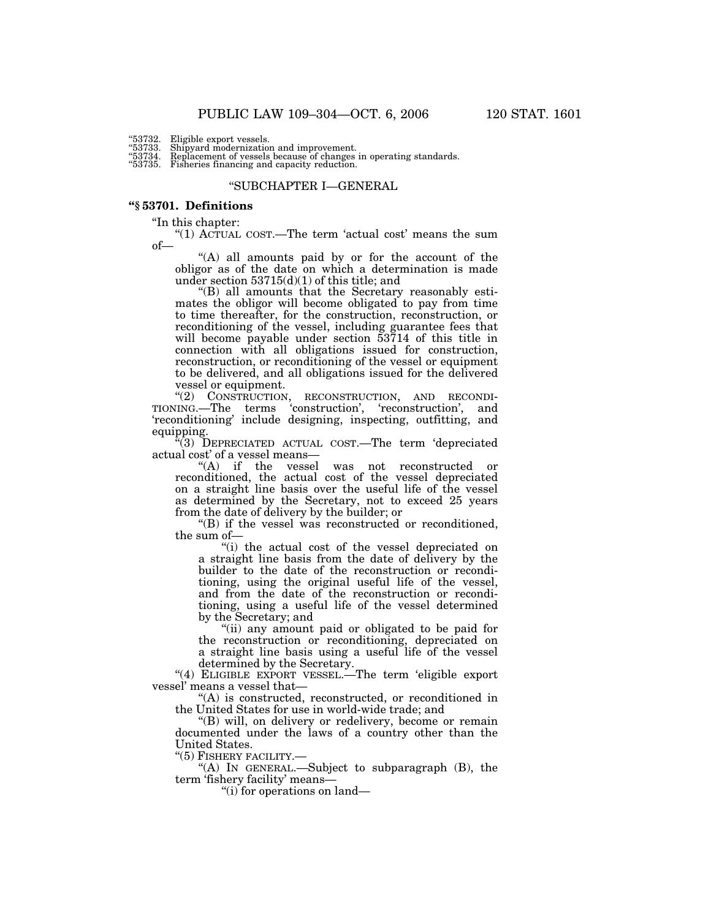''53732. Eligible export vessels.

''53733. Shipyard modernization and improvement. ''53734. Replacement of vessels because of changes in operating standards.

''53735. Fisheries financing and capacity reduction.

# ''SUBCHAPTER I—GENERAL

#### **''§ 53701. Definitions**

''In this chapter:

"(1) ACTUAL COST.—The term 'actual cost' means the sum of—

"(A) all amounts paid by or for the account of the obligor as of the date on which a determination is made under section 53715(d)(1) of this title; and

''(B) all amounts that the Secretary reasonably estimates the obligor will become obligated to pay from time to time thereafter, for the construction, reconstruction, or reconditioning of the vessel, including guarantee fees that will become payable under section 53714 of this title in connection with all obligations issued for construction, reconstruction, or reconditioning of the vessel or equipment to be delivered, and all obligations issued for the delivered vessel or equipment.

''(2) CONSTRUCTION, RECONSTRUCTION, AND RECONDI-TIONING.—The terms 'construction', 'reconstruction', and 'reconditioning' include designing, inspecting, outfitting, and equipping.

''(3) DEPRECIATED ACTUAL COST.—The term 'depreciated actual cost' of a vessel means—

"(A) if the vessel was not reconstructed or reconditioned, the actual cost of the vessel depreciated on a straight line basis over the useful life of the vessel as determined by the Secretary, not to exceed 25 years from the date of delivery by the builder; or

''(B) if the vessel was reconstructed or reconditioned, the sum of—

"(i) the actual cost of the vessel depreciated on a straight line basis from the date of delivery by the builder to the date of the reconstruction or reconditioning, using the original useful life of the vessel, and from the date of the reconstruction or reconditioning, using a useful life of the vessel determined by the Secretary; and

''(ii) any amount paid or obligated to be paid for the reconstruction or reconditioning, depreciated on a straight line basis using a useful life of the vessel determined by the Secretary.

"(4) ELIGIBLE EXPORT VESSEL.—The term 'eligible export vessel' means a vessel that—

''(A) is constructed, reconstructed, or reconditioned in the United States for use in world-wide trade; and

''(B) will, on delivery or redelivery, become or remain documented under the laws of a country other than the United States.

''(5) FISHERY FACILITY.—

"(A) In GENERAL.—Subject to subparagraph  $(B)$ , the term 'fishery facility' means—

''(i) for operations on land—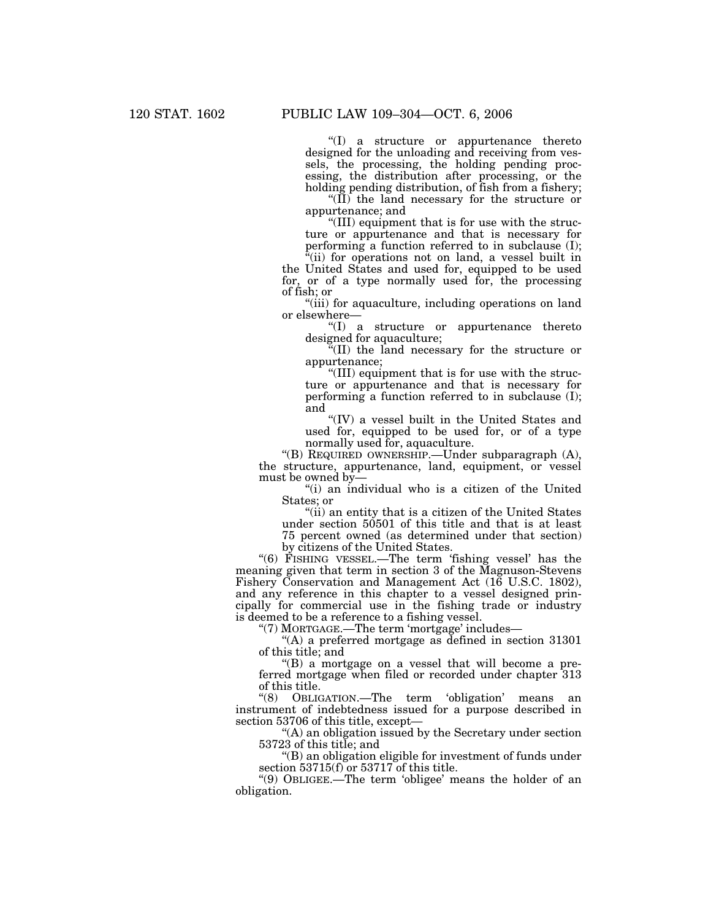''(I) a structure or appurtenance thereto designed for the unloading and receiving from vessels, the processing, the holding pending processing, the distribution after processing, or the holding pending distribution, of fish from a fishery;

" $(\overline{II})$  the land necessary for the structure or appurtenance; and

''(III) equipment that is for use with the structure or appurtenance and that is necessary for performing a function referred to in subclause (I);<br> $\frac{u}{u}$ ;

(ii) for operations not on land, a vessel built in the United States and used for, equipped to be used for, or of a type normally used for, the processing of fish; or

''(iii) for aquaculture, including operations on land or elsewhere—

''(I) a structure or appurtenance thereto designed for aquaculture;

 $\sqrt[\alpha]{\text{III}}$  the land necessary for the structure or appurtenance;

''(III) equipment that is for use with the structure or appurtenance and that is necessary for performing a function referred to in subclause (I); and

''(IV) a vessel built in the United States and used for, equipped to be used for, or of a type normally used for, aquaculture.

''(B) REQUIRED OWNERSHIP.—Under subparagraph (A), the structure, appurtenance, land, equipment, or vessel must be owned by—

''(i) an individual who is a citizen of the United States; or

''(ii) an entity that is a citizen of the United States under section 50501 of this title and that is at least 75 percent owned (as determined under that section) by citizens of the United States.

''(6) FISHING VESSEL.—The term 'fishing vessel' has the meaning given that term in section 3 of the Magnuson-Stevens Fishery Conservation and Management Act (16 U.S.C. 1802), and any reference in this chapter to a vessel designed principally for commercial use in the fishing trade or industry is deemed to be a reference to a fishing vessel.

''(7) MORTGAGE.—The term 'mortgage' includes—

''(A) a preferred mortgage as defined in section 31301 of this title; and

''(B) a mortgage on a vessel that will become a preferred mortgage when filed or recorded under chapter 313 of this title.

OBLIGATION.—The term 'obligation' means an instrument of indebtedness issued for a purpose described in section 53706 of this title, except—

''(A) an obligation issued by the Secretary under section 53723 of this title; and

''(B) an obligation eligible for investment of funds under section 53715(f) or 53717 of this title.

''(9) OBLIGEE.—The term 'obligee' means the holder of an obligation.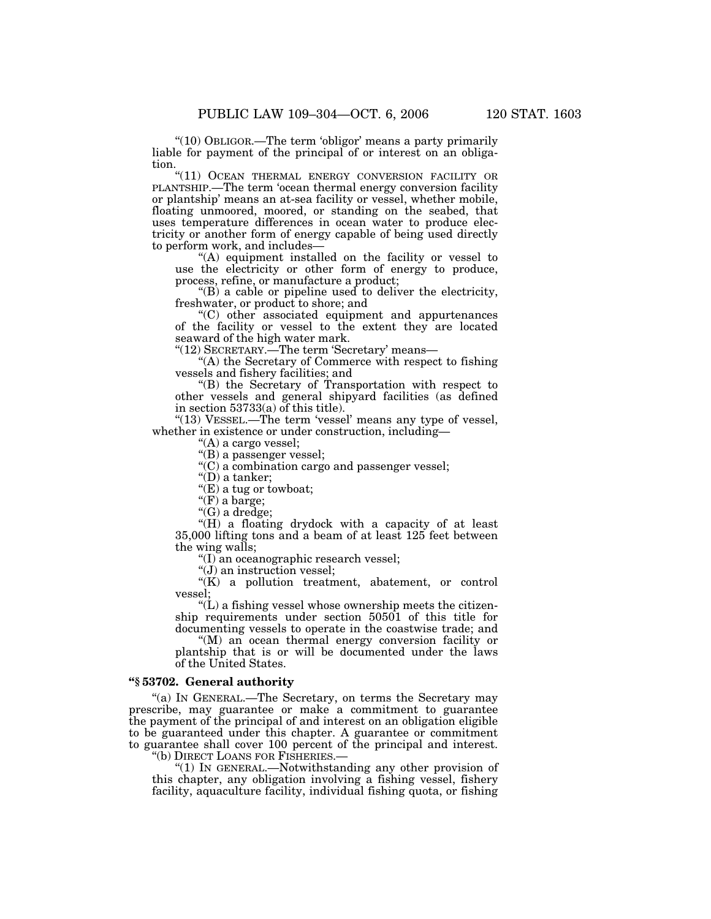''(10) OBLIGOR.—The term 'obligor' means a party primarily liable for payment of the principal of or interest on an obligation.

"(11) OCEAN THERMAL ENERGY CONVERSION FACILITY OR PLANTSHIP.—The term 'ocean thermal energy conversion facility or plantship' means an at-sea facility or vessel, whether mobile, floating unmoored, moored, or standing on the seabed, that uses temperature differences in ocean water to produce electricity or another form of energy capable of being used directly to perform work, and includes—

''(A) equipment installed on the facility or vessel to use the electricity or other form of energy to produce, process, refine, or manufacture a product;

 $\mathrm{``(B)}$  a cable or pipeline used to deliver the electricity, freshwater, or product to shore; and

''(C) other associated equipment and appurtenances of the facility or vessel to the extent they are located seaward of the high water mark.

''(12) SECRETARY.—The term 'Secretary' means—

''(A) the Secretary of Commerce with respect to fishing vessels and fishery facilities; and

''(B) the Secretary of Transportation with respect to other vessels and general shipyard facilities (as defined in section 53733(a) of this title).

"(13) VESSEL.—The term 'vessel' means any type of vessel, whether in existence or under construction, including—

''(A) a cargo vessel;

''(B) a passenger vessel;

''(C) a combination cargo and passenger vessel;

 $\widetilde{f(D)}$  a tanker;

''(E) a tug or towboat;

"(F) a barge;

''(G) a dredge;

"(H) a floating drydock with a capacity of at least 35,000 lifting tons and a beam of at least 125 feet between the wing walls;

''(I) an oceanographic research vessel;

''(J) an instruction vessel;

 $f(K)$  a pollution treatment, abatement, or control vessel;

 $\mathrm{``(L)}$  a fishing vessel whose ownership meets the citizenship requirements under section 50501 of this title for documenting vessels to operate in the coastwise trade; and

''(M) an ocean thermal energy conversion facility or plantship that is or will be documented under the laws of the United States.

# **''§ 53702. General authority**

''(a) IN GENERAL.—The Secretary, on terms the Secretary may prescribe, may guarantee or make a commitment to guarantee the payment of the principal of and interest on an obligation eligible to be guaranteed under this chapter. A guarantee or commitment to guarantee shall cover 100 percent of the principal and interest.

''(b) DIRECT LOANS FOR FISHERIES.—

''(1) IN GENERAL.—Notwithstanding any other provision of this chapter, any obligation involving a fishing vessel, fishery facility, aquaculture facility, individual fishing quota, or fishing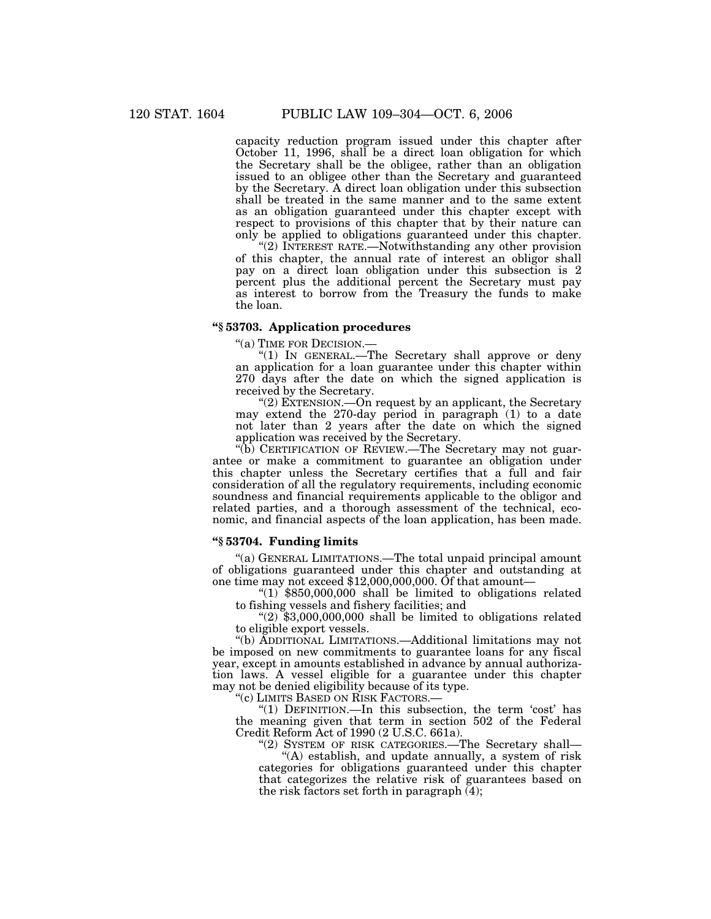capacity reduction program issued under this chapter after October 11, 1996, shall be a direct loan obligation for which the Secretary shall be the obligee, rather than an obligation issued to an obligee other than the Secretary and guaranteed by the Secretary. A direct loan obligation under this subsection shall be treated in the same manner and to the same extent as an obligation guaranteed under this chapter except with respect to provisions of this chapter that by their nature can only be applied to obligations guaranteed under this chapter.

''(2) INTEREST RATE.—Notwithstanding any other provision of this chapter, the annual rate of interest an obligor shall pay on a direct loan obligation under this subsection is 2 percent plus the additional percent the Secretary must pay as interest to borrow from the Treasury the funds to make the loan.

## **''§ 53703. Application procedures**

''(a) TIME FOR DECISION.—

"(1) IN GENERAL.—The Secretary shall approve or deny an application for a loan guarantee under this chapter within 270 days after the date on which the signed application is received by the Secretary.

''(2) EXTENSION.—On request by an applicant, the Secretary may extend the 270-day period in paragraph (1) to a date not later than 2 years after the date on which the signed application was received by the Secretary.

''(b) CERTIFICATION OF REVIEW.—The Secretary may not guarantee or make a commitment to guarantee an obligation under this chapter unless the Secretary certifies that a full and fair consideration of all the regulatory requirements, including economic soundness and financial requirements applicable to the obligor and related parties, and a thorough assessment of the technical, economic, and financial aspects of the loan application, has been made.

#### **''§ 53704. Funding limits**

''(a) GENERAL LIMITATIONS.—The total unpaid principal amount of obligations guaranteed under this chapter and outstanding at one time may not exceed \$12,000,000,000. Of that amount—

" $(1)$  \$850,000,000 shall be limited to obligations related to fishing vessels and fishery facilities; and

" $(2)$  \$3,000,000,000 shall be limited to obligations related to eligible export vessels.

''(b) ADDITIONAL LIMITATIONS.—Additional limitations may not be imposed on new commitments to guarantee loans for any fiscal year, except in amounts established in advance by annual authorization laws. A vessel eligible for a guarantee under this chapter may not be denied eligibility because of its type.

''(c) LIMITS BASED ON RISK FACTORS.—

''(1) DEFINITION.—In this subsection, the term 'cost' has the meaning given that term in section 502 of the Federal Credit Reform Act of 1990 (2 U.S.C. 661a).

"(2) SYSTEM OF RISK CATEGORIES.—The Secretary shall-

''(A) establish, and update annually, a system of risk categories for obligations guaranteed under this chapter that categorizes the relative risk of guarantees based on the risk factors set forth in paragraph  $(4)$ ;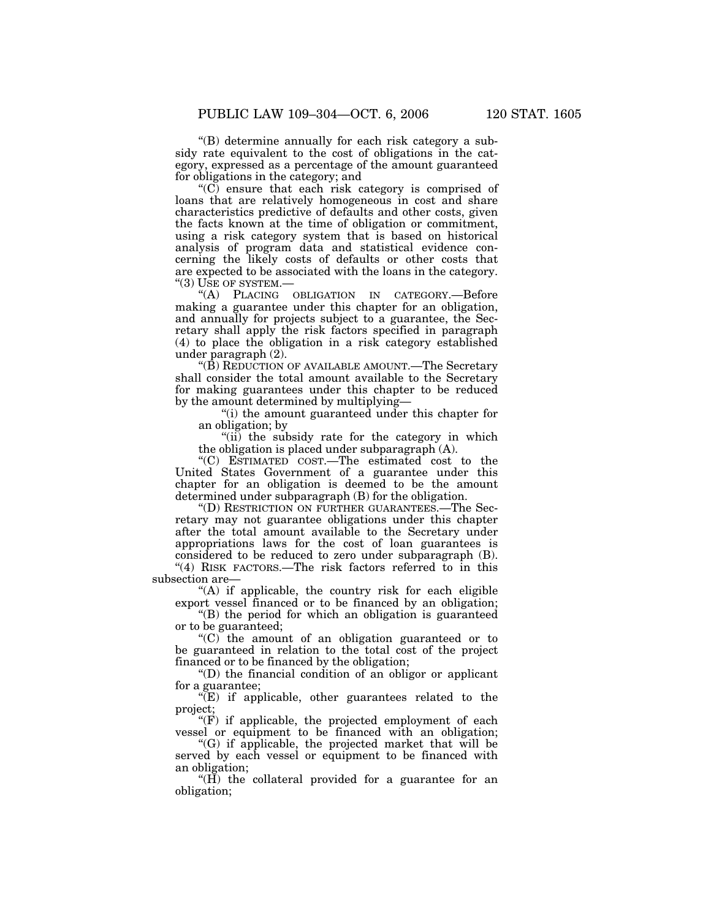''(B) determine annually for each risk category a subsidy rate equivalent to the cost of obligations in the category, expressed as a percentage of the amount guaranteed for obligations in the category; and

" $(C)$  ensure that each risk category is comprised of loans that are relatively homogeneous in cost and share characteristics predictive of defaults and other costs, given the facts known at the time of obligation or commitment, using a risk category system that is based on historical analysis of program data and statistical evidence concerning the likely costs of defaults or other costs that are expected to be associated with the loans in the category. "(3) USE OF SYSTEM.-

''(A) PLACING OBLIGATION IN CATEGORY.—Before making a guarantee under this chapter for an obligation, and annually for projects subject to a guarantee, the Secretary shall apply the risk factors specified in paragraph (4) to place the obligation in a risk category established under paragraph (2).

''(B) REDUCTION OF AVAILABLE AMOUNT.—The Secretary shall consider the total amount available to the Secretary for making guarantees under this chapter to be reduced by the amount determined by multiplying—

''(i) the amount guaranteed under this chapter for an obligation; by

''(ii) the subsidy rate for the category in which the obligation is placed under subparagraph (A).

''(C) ESTIMATED COST.—The estimated cost to the United States Government of a guarantee under this chapter for an obligation is deemed to be the amount determined under subparagraph (B) for the obligation.

''(D) RESTRICTION ON FURTHER GUARANTEES.—The Secretary may not guarantee obligations under this chapter after the total amount available to the Secretary under appropriations laws for the cost of loan guarantees is considered to be reduced to zero under subparagraph (B).

"(4) RISK FACTORS.—The risk factors referred to in this subsection are—

 $f(A)$  if applicable, the country risk for each eligible export vessel financed or to be financed by an obligation;

''(B) the period for which an obligation is guaranteed or to be guaranteed;

 $(C)$  the amount of an obligation guaranteed or to be guaranteed in relation to the total cost of the project financed or to be financed by the obligation;

''(D) the financial condition of an obligor or applicant for a guarantee;

''(E) if applicable, other guarantees related to the project;

" $(F)$  if applicable, the projected employment of each vessel or equipment to be financed with an obligation;

''(G) if applicable, the projected market that will be served by each vessel or equipment to be financed with an obligation;

" $(H)$  the collateral provided for a guarantee for an obligation;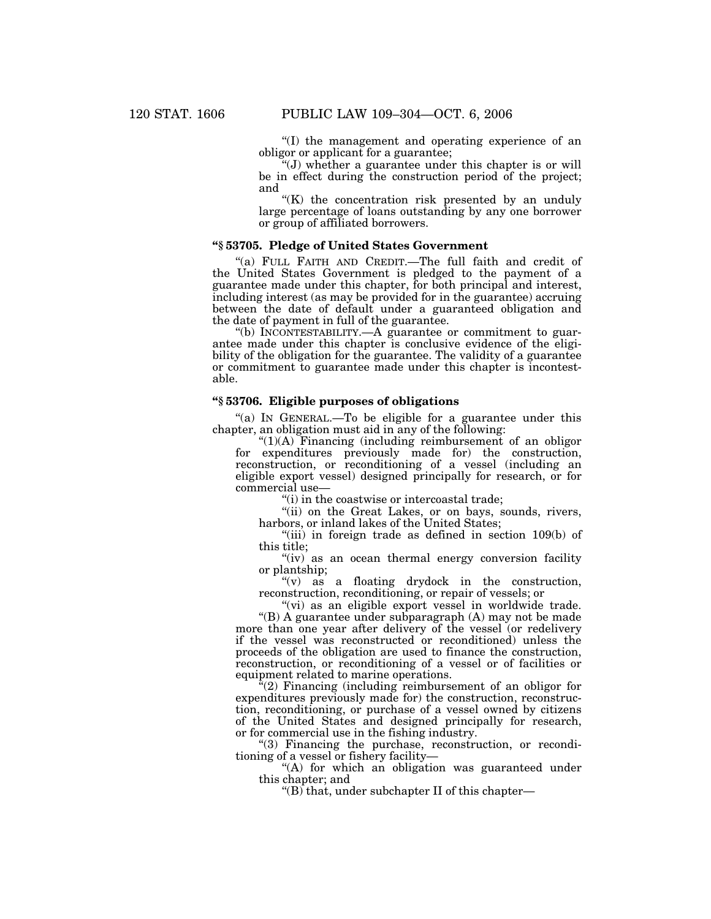''(I) the management and operating experience of an obligor or applicant for a guarantee;

''(J) whether a guarantee under this chapter is or will be in effect during the construction period of the project; and

"(K) the concentration risk presented by an unduly large percentage of loans outstanding by any one borrower or group of affiliated borrowers.

## **''§ 53705. Pledge of United States Government**

''(a) FULL FAITH AND CREDIT.—The full faith and credit of the United States Government is pledged to the payment of a guarantee made under this chapter, for both principal and interest, including interest (as may be provided for in the guarantee) accruing between the date of default under a guaranteed obligation and the date of payment in full of the guarantee.

''(b) INCONTESTABILITY.—A guarantee or commitment to guarantee made under this chapter is conclusive evidence of the eligibility of the obligation for the guarantee. The validity of a guarantee or commitment to guarantee made under this chapter is incontestable.

## **''§ 53706. Eligible purposes of obligations**

"(a) IN GENERAL.—To be eligible for a guarantee under this chapter, an obligation must aid in any of the following:

 $f(1)(A)$  Financing (including reimbursement of an obligor for expenditures previously made for) the construction, reconstruction, or reconditioning of a vessel (including an eligible export vessel) designed principally for research, or for commercial use—

"(i) in the coastwise or intercoastal trade;

"(ii) on the Great Lakes, or on bays, sounds, rivers, harbors, or inland lakes of the United States;

"(iii) in foreign trade as defined in section 109(b) of this title;

"(iv) as an ocean thermal energy conversion facility or plantship;

 $\mathcal{H}(v)$  as a floating drydock in the construction, reconstruction, reconditioning, or repair of vessels; or

"(vi) as an eligible export vessel in worldwide trade.

 $\mathrm{``(B)}$  A guarantee under subparagraph  $(A)$  may not be made more than one year after delivery of the vessel (or redelivery if the vessel was reconstructed or reconditioned) unless the proceeds of the obligation are used to finance the construction, reconstruction, or reconditioning of a vessel or of facilities or equipment related to marine operations.

 $(2)$  Financing (including reimbursement of an obligor for expenditures previously made for) the construction, reconstruction, reconditioning, or purchase of a vessel owned by citizens of the United States and designed principally for research, or for commercial use in the fishing industry.

''(3) Financing the purchase, reconstruction, or reconditioning of a vessel or fishery facility—

"(A) for which an obligation was guaranteed under this chapter; and

" $(B)$  that, under subchapter II of this chapter—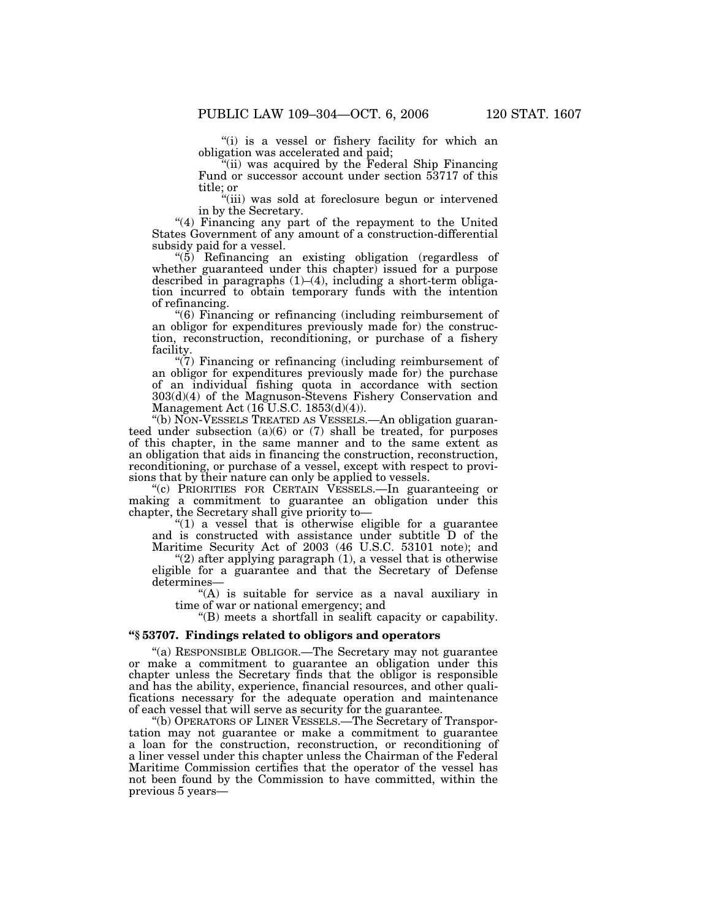"(i) is a vessel or fishery facility for which an obligation was accelerated and paid;

''(ii) was acquired by the Federal Ship Financing Fund or successor account under section 53717 of this title; or

''(iii) was sold at foreclosure begun or intervened in by the Secretary.

"(4) Financing any part of the repayment to the United States Government of any amount of a construction-differential subsidy paid for a vessel.

 $(5)$  Refinancing an existing obligation (regardless of whether guaranteed under this chapter) issued for a purpose described in paragraphs  $(1)$ – $(4)$ , including a short-term obligation incurred to obtain temporary funds with the intention of refinancing.

''(6) Financing or refinancing (including reimbursement of an obligor for expenditures previously made for) the construction, reconstruction, reconditioning, or purchase of a fishery facility.

''(7) Financing or refinancing (including reimbursement of an obligor for expenditures previously made for) the purchase of an individual fishing quota in accordance with section 303(d)(4) of the Magnuson-Stevens Fishery Conservation and Management Act (16 U.S.C. 1853(d)(4)).

''(b) NON-VESSELS TREATED AS VESSELS.—An obligation guaranteed under subsection  $(a)(6)$  or  $(7)$  shall be treated, for purposes of this chapter, in the same manner and to the same extent as an obligation that aids in financing the construction, reconstruction, reconditioning, or purchase of a vessel, except with respect to provisions that by their nature can only be applied to vessels.

''(c) PRIORITIES FOR CERTAIN VESSELS.—In guaranteeing or making a commitment to guarantee an obligation under this chapter, the Secretary shall give priority to—

''(1) a vessel that is otherwise eligible for a guarantee and is constructed with assistance under subtitle D of the Maritime Security Act of 2003 (46 U.S.C. 53101 note); and

" $(2)$  after applying paragraph  $(1)$ , a vessel that is otherwise eligible for a guarantee and that the Secretary of Defense determines—

''(A) is suitable for service as a naval auxiliary in time of war or national emergency; and

''(B) meets a shortfall in sealift capacity or capability.

# **''§ 53707. Findings related to obligors and operators**

''(a) RESPONSIBLE OBLIGOR.—The Secretary may not guarantee or make a commitment to guarantee an obligation under this chapter unless the Secretary finds that the obligor is responsible and has the ability, experience, financial resources, and other qualifications necessary for the adequate operation and maintenance of each vessel that will serve as security for the guarantee.

"(b) OPERATORS OF LINER VESSELS. The Secretary of Transportation may not guarantee or make a commitment to guarantee a loan for the construction, reconstruction, or reconditioning of a liner vessel under this chapter unless the Chairman of the Federal Maritime Commission certifies that the operator of the vessel has not been found by the Commission to have committed, within the previous 5 years—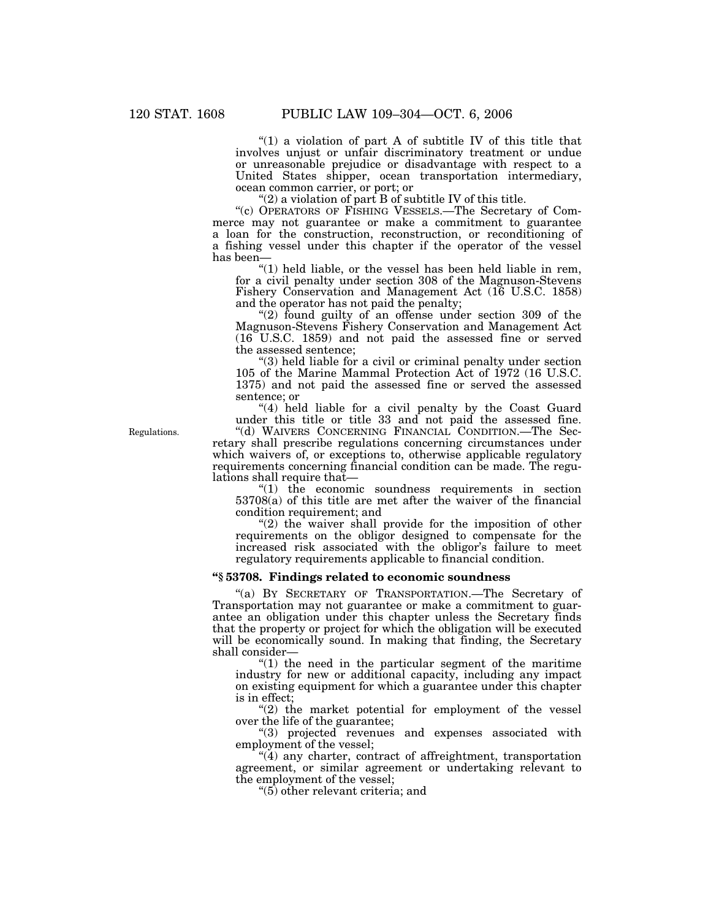" $(1)$  a violation of part A of subtitle IV of this title that involves unjust or unfair discriminatory treatment or undue or unreasonable prejudice or disadvantage with respect to a United States shipper, ocean transportation intermediary, ocean common carrier, or port; or

" $(2)$  a violation of part B of subtitle IV of this title.

''(c) OPERATORS OF FISHING VESSELS.—The Secretary of Commerce may not guarantee or make a commitment to guarantee a loan for the construction, reconstruction, or reconditioning of a fishing vessel under this chapter if the operator of the vessel has been—

''(1) held liable, or the vessel has been held liable in rem, for a civil penalty under section 308 of the Magnuson-Stevens Fishery Conservation and Management Act (16 U.S.C. 1858) and the operator has not paid the penalty;

" $(2)$  found guilty of an offense under section 309 of the Magnuson-Stevens Fishery Conservation and Management Act (16 U.S.C. 1859) and not paid the assessed fine or served the assessed sentence;

''(3) held liable for a civil or criminal penalty under section 105 of the Marine Mammal Protection Act of 1972 (16 U.S.C. 1375) and not paid the assessed fine or served the assessed sentence; or

"(4) held liable for a civil penalty by the Coast Guard under this title or title 33 and not paid the assessed fine.

Regulations.

''(d) WAIVERS CONCERNING FINANCIAL CONDITION.—The Secretary shall prescribe regulations concerning circumstances under which waivers of, or exceptions to, otherwise applicable regulatory requirements concerning financial condition can be made. The regulations shall require that—

"(1) the economic soundness requirements in section 53708(a) of this title are met after the waiver of the financial condition requirement; and

"(2) the waiver shall provide for the imposition of other requirements on the obligor designed to compensate for the increased risk associated with the obligor's failure to meet regulatory requirements applicable to financial condition.

# **''§ 53708. Findings related to economic soundness**

"(a) BY SECRETARY OF TRANSPORTATION.—The Secretary of Transportation may not guarantee or make a commitment to guarantee an obligation under this chapter unless the Secretary finds that the property or project for which the obligation will be executed will be economically sound. In making that finding, the Secretary shall consider—

" $(1)$  the need in the particular segment of the maritime industry for new or additional capacity, including any impact on existing equipment for which a guarantee under this chapter is in effect;

 $(2)$  the market potential for employment of the vessel over the life of the guarantee;

''(3) projected revenues and expenses associated with employment of the vessel;

 $\mathcal{H}(4)$  any charter, contract of affreightment, transportation agreement, or similar agreement or undertaking relevant to the employment of the vessel;

''(5) other relevant criteria; and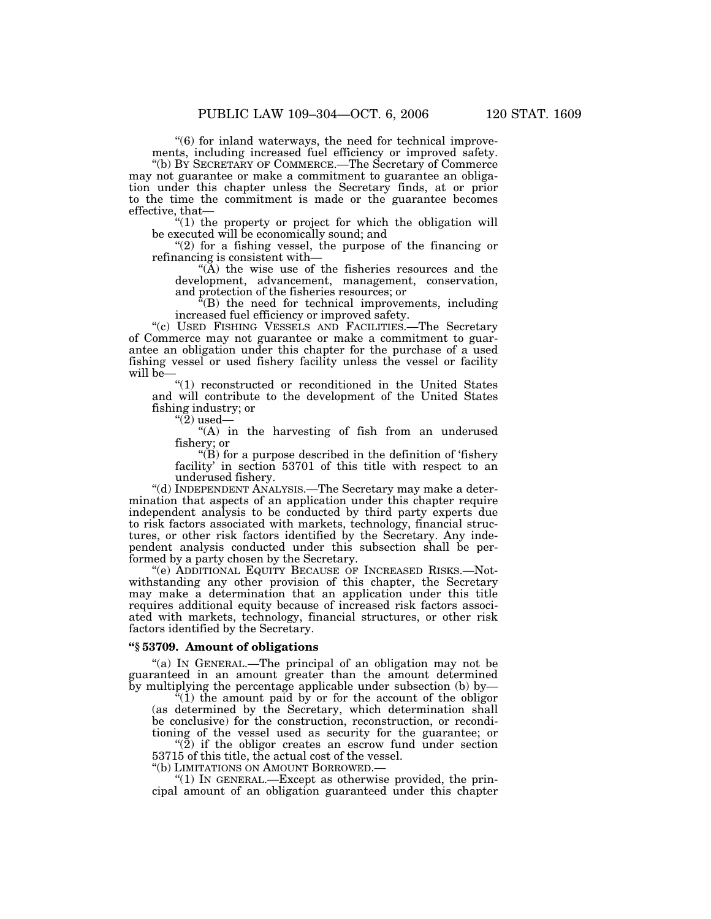''(6) for inland waterways, the need for technical improvements, including increased fuel efficiency or improved safety.

''(b) BY SECRETARY OF COMMERCE.—The Secretary of Commerce may not guarantee or make a commitment to guarantee an obligation under this chapter unless the Secretary finds, at or prior to the time the commitment is made or the guarantee becomes effective, that—

"(1) the property or project for which the obligation will be executed will be economically sound; and

" $(2)$  for a fishing vessel, the purpose of the financing or refinancing is consistent with—

"(A) the wise use of the fisheries resources and the development, advancement, management, conservation, and protection of the fisheries resources; or

 $^{a}(B)$  the need for technical improvements, including increased fuel efficiency or improved safety.

''(c) USED FISHING VESSELS AND FACILITIES.—The Secretary of Commerce may not guarantee or make a commitment to guarantee an obligation under this chapter for the purchase of a used fishing vessel or used fishery facility unless the vessel or facility will be—

''(1) reconstructed or reconditioned in the United States and will contribute to the development of the United States fishing industry; or

" $(2)$  used—

"(A) in the harvesting of fish from an underused fishery; or

''(B) for a purpose described in the definition of 'fishery facility' in section 53701 of this title with respect to an underused fishery.

''(d) INDEPENDENT ANALYSIS.—The Secretary may make a determination that aspects of an application under this chapter require independent analysis to be conducted by third party experts due to risk factors associated with markets, technology, financial structures, or other risk factors identified by the Secretary. Any independent analysis conducted under this subsection shall be performed by a party chosen by the Secretary.

''(e) ADDITIONAL EQUITY BECAUSE OF INCREASED RISKS.—Notwithstanding any other provision of this chapter, the Secretary may make a determination that an application under this title requires additional equity because of increased risk factors associated with markets, technology, financial structures, or other risk factors identified by the Secretary.

#### **''§ 53709. Amount of obligations**

"(a) IN GENERAL.—The principal of an obligation may not be guaranteed in an amount greater than the amount determined by multiplying the percentage applicable under subsection (b) by—

 $(1)$  the amount paid by or for the account of the obligor (as determined by the Secretary, which determination shall be conclusive) for the construction, reconstruction, or reconditioning of the vessel used as security for the guarantee; or

 $\sqrt{\frac{2}{2}}$  if the obligor creates an escrow fund under section 53715 of this title, the actual cost of the vessel.

''(b) LIMITATIONS ON AMOUNT BORROWED.— ''(1) IN GENERAL.—Except as otherwise provided, the principal amount of an obligation guaranteed under this chapter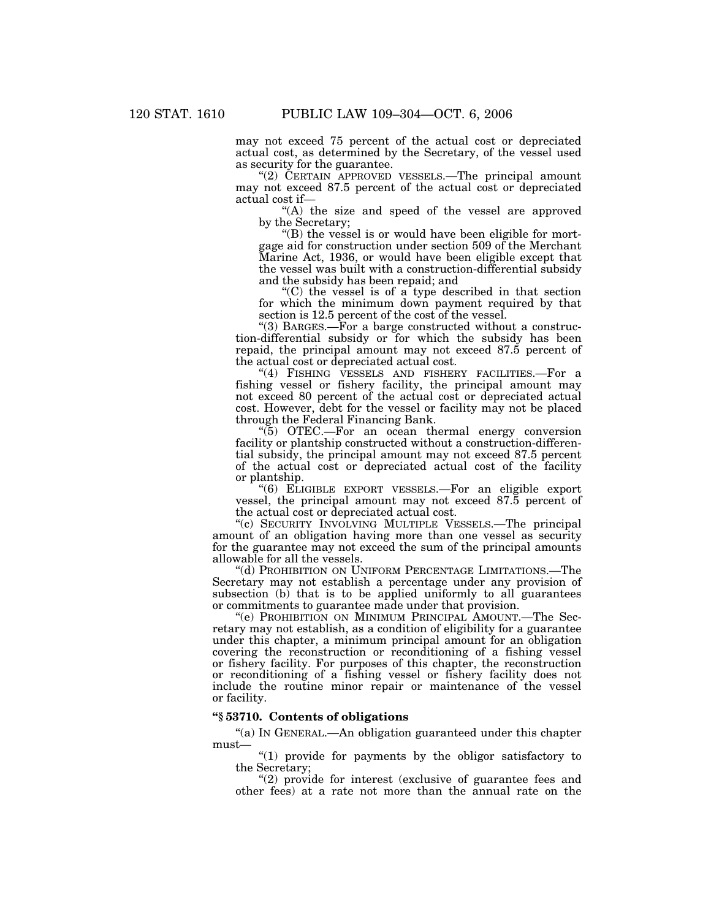may not exceed 75 percent of the actual cost or depreciated actual cost, as determined by the Secretary, of the vessel used as security for the guarantee.

"(2) CERTAIN APPROVED VESSELS.—The principal amount may not exceed 87.5 percent of the actual cost or depreciated actual cost if—

"(A) the size and speed of the vessel are approved by the Secretary;

 $\mathrm{``(B)}$  the vessel is or would have been eligible for mortgage aid for construction under section 509 of the Merchant Marine Act, 1936, or would have been eligible except that the vessel was built with a construction-differential subsidy and the subsidy has been repaid; and

''(C) the vessel is of a type described in that section for which the minimum down payment required by that section is 12.5 percent of the cost of the vessel.

''(3) BARGES.—For a barge constructed without a construction-differential subsidy or for which the subsidy has been repaid, the principal amount may not exceed 87.5 percent of the actual cost or depreciated actual cost.

"(4) FISHING VESSELS AND FISHERY FACILITIES.—For a fishing vessel or fishery facility, the principal amount may not exceed 80 percent of the actual cost or depreciated actual cost. However, debt for the vessel or facility may not be placed through the Federal Financing Bank.

 $\sqrt[4]{(5)}$  OTEC.—For an ocean thermal energy conversion facility or plantship constructed without a construction-differential subsidy, the principal amount may not exceed 87.5 percent of the actual cost or depreciated actual cost of the facility or plantship.

''(6) ELIGIBLE EXPORT VESSELS.—For an eligible export vessel, the principal amount may not exceed 87.5 percent of the actual cost or depreciated actual cost.

''(c) SECURITY INVOLVING MULTIPLE VESSELS.—The principal amount of an obligation having more than one vessel as security for the guarantee may not exceed the sum of the principal amounts allowable for all the vessels.

''(d) PROHIBITION ON UNIFORM PERCENTAGE LIMITATIONS.—The Secretary may not establish a percentage under any provision of subsection (b) that is to be applied uniformly to all guarantees or commitments to guarantee made under that provision.

"(e) PROHIBITION ON MINIMUM PRINCIPAL AMOUNT.—The Secretary may not establish, as a condition of eligibility for a guarantee under this chapter, a minimum principal amount for an obligation covering the reconstruction or reconditioning of a fishing vessel or fishery facility. For purposes of this chapter, the reconstruction or reconditioning of a fishing vessel or fishery facility does not include the routine minor repair or maintenance of the vessel or facility.

#### **''§ 53710. Contents of obligations**

''(a) IN GENERAL.—An obligation guaranteed under this chapter must—

''(1) provide for payments by the obligor satisfactory to the Secretary;

''(2) provide for interest (exclusive of guarantee fees and other fees) at a rate not more than the annual rate on the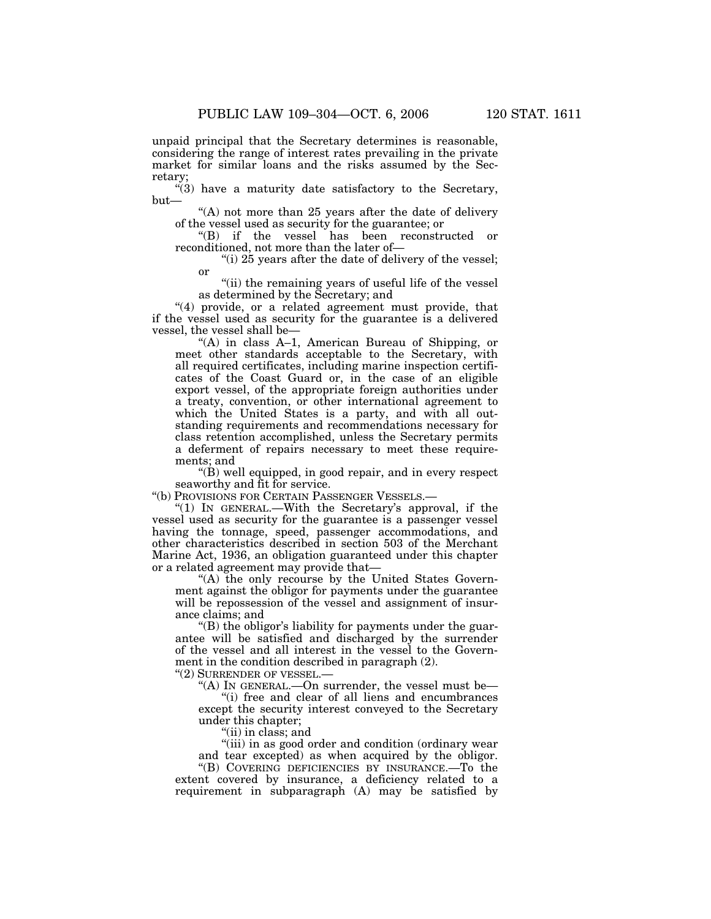unpaid principal that the Secretary determines is reasonable, considering the range of interest rates prevailing in the private market for similar loans and the risks assumed by the Secretary;

''(3) have a maturity date satisfactory to the Secretary, but—

"(A) not more than  $25$  years after the date of delivery of the vessel used as security for the guarantee; or

''(B) if the vessel has been reconstructed or reconditioned, not more than the later of—

"(i) 25 years after the date of delivery of the vessel; or

"(ii) the remaining years of useful life of the vessel as determined by the Secretary; and

"(4) provide, or a related agreement must provide, that if the vessel used as security for the guarantee is a delivered vessel, the vessel shall be—

''(A) in class A–1, American Bureau of Shipping, or meet other standards acceptable to the Secretary, with all required certificates, including marine inspection certificates of the Coast Guard or, in the case of an eligible export vessel, of the appropriate foreign authorities under a treaty, convention, or other international agreement to which the United States is a party, and with all outstanding requirements and recommendations necessary for class retention accomplished, unless the Secretary permits a deferment of repairs necessary to meet these requirements; and

 $E(B)$  well equipped, in good repair, and in every respect seaworthy and fit for service.

''(b) PROVISIONS FOR CERTAIN PASSENGER VESSELS.—

"(1) IN GENERAL.—With the Secretary's approval, if the vessel used as security for the guarantee is a passenger vessel having the tonnage, speed, passenger accommodations, and other characteristics described in section 503 of the Merchant Marine Act, 1936, an obligation guaranteed under this chapter or a related agreement may provide that—

''(A) the only recourse by the United States Government against the obligor for payments under the guarantee will be repossession of the vessel and assignment of insurance claims; and

 $\mathrm{``(B)}$  the obligor's liability for payments under the guarantee will be satisfied and discharged by the surrender of the vessel and all interest in the vessel to the Government in the condition described in paragraph (2).

''(2) SURRENDER OF VESSEL.—

''(A) IN GENERAL.—On surrender, the vessel must be—

''(i) free and clear of all liens and encumbrances except the security interest conveyed to the Secretary under this chapter;

"(ii) in class; and

"(iii) in as good order and condition (ordinary wear and tear excepted) as when acquired by the obligor.

''(B) COVERING DEFICIENCIES BY INSURANCE.—To the extent covered by insurance, a deficiency related to a requirement in subparagraph (A) may be satisfied by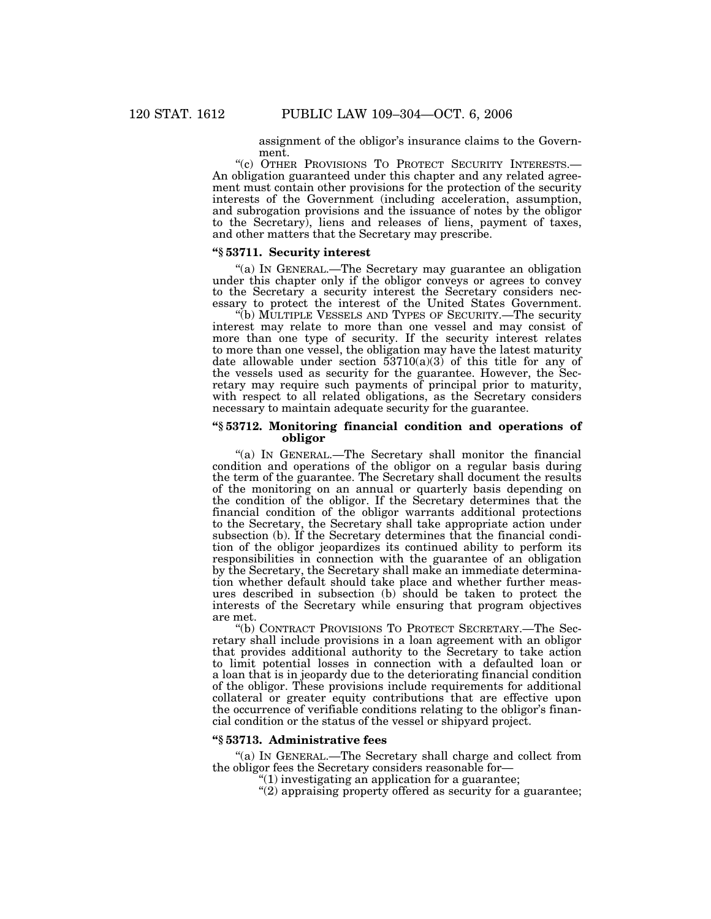assignment of the obligor's insurance claims to the Government.

"(c) OTHER PROVISIONS TO PROTECT SECURITY INTERESTS.-An obligation guaranteed under this chapter and any related agreement must contain other provisions for the protection of the security interests of the Government (including acceleration, assumption, and subrogation provisions and the issuance of notes by the obligor to the Secretary), liens and releases of liens, payment of taxes, and other matters that the Secretary may prescribe.

#### **''§ 53711. Security interest**

''(a) IN GENERAL.—The Secretary may guarantee an obligation under this chapter only if the obligor conveys or agrees to convey to the Secretary a security interest the Secretary considers necessary to protect the interest of the United States Government.

''(b) MULTIPLE VESSELS AND TYPES OF SECURITY.—The security interest may relate to more than one vessel and may consist of more than one type of security. If the security interest relates to more than one vessel, the obligation may have the latest maturity date allowable under section  $53710(a)(3)$  of this title for any of the vessels used as security for the guarantee. However, the Secretary may require such payments of principal prior to maturity, with respect to all related obligations, as the Secretary considers necessary to maintain adequate security for the guarantee.

#### **''§ 53712. Monitoring financial condition and operations of obligor**

''(a) IN GENERAL.—The Secretary shall monitor the financial condition and operations of the obligor on a regular basis during the term of the guarantee. The Secretary shall document the results of the monitoring on an annual or quarterly basis depending on the condition of the obligor. If the Secretary determines that the financial condition of the obligor warrants additional protections to the Secretary, the Secretary shall take appropriate action under subsection (b). If the Secretary determines that the financial condition of the obligor jeopardizes its continued ability to perform its responsibilities in connection with the guarantee of an obligation by the Secretary, the Secretary shall make an immediate determination whether default should take place and whether further measures described in subsection (b) should be taken to protect the interests of the Secretary while ensuring that program objectives are met.

''(b) CONTRACT PROVISIONS TO PROTECT SECRETARY.—The Secretary shall include provisions in a loan agreement with an obligor that provides additional authority to the Secretary to take action to limit potential losses in connection with a defaulted loan or a loan that is in jeopardy due to the deteriorating financial condition of the obligor. These provisions include requirements for additional collateral or greater equity contributions that are effective upon the occurrence of verifiable conditions relating to the obligor's financial condition or the status of the vessel or shipyard project.

# **''§ 53713. Administrative fees**

''(a) IN GENERAL.—The Secretary shall charge and collect from the obligor fees the Secretary considers reasonable for—

- $''(1)$  investigating an application for a guarantee;
- $'(2)$  appraising property offered as security for a guarantee;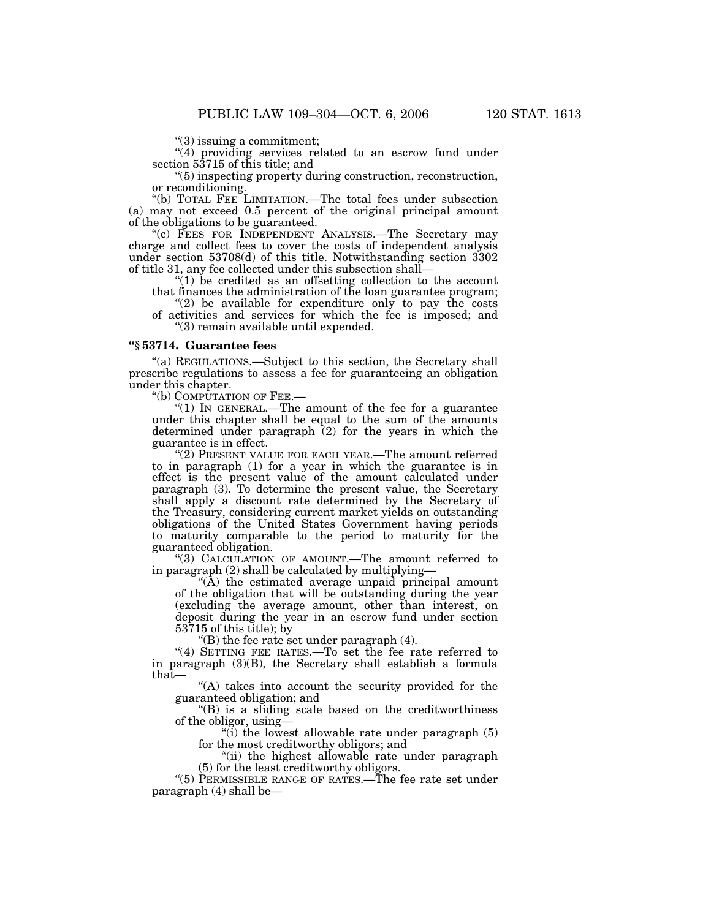''(3) issuing a commitment;

 $*(4)$  providing services related to an escrow fund under section 53715 of this title; and

''(5) inspecting property during construction, reconstruction, or reconditioning.

''(b) TOTAL FEE LIMITATION.—The total fees under subsection (a) may not exceed 0.5 percent of the original principal amount of the obligations to be guaranteed.

"(c) FEES FOR INDEPENDENT ANALYSIS.—The Secretary may charge and collect fees to cover the costs of independent analysis under section 53708(d) of this title. Notwithstanding section 3302 of title 31, any fee collected under this subsection shall—

 $'(1)$  be credited as an offsetting collection to the account that finances the administration of the loan guarantee program;

"(2) be available for expenditure only to pay the costs of activities and services for which the fee is imposed; and

''(3) remain available until expended.

# **''§ 53714. Guarantee fees**

"(a) REGULATIONS.—Subject to this section, the Secretary shall prescribe regulations to assess a fee for guaranteeing an obligation under this chapter.

''(b) COMPUTATION OF FEE.—

" $(1)$  In GENERAL.—The amount of the fee for a guarantee under this chapter shall be equal to the sum of the amounts determined under paragraph (2) for the years in which the guarantee is in effect.

"(2) PRESENT VALUE FOR EACH YEAR.—The amount referred to in paragraph (1) for a year in which the guarantee is in effect is the present value of the amount calculated under paragraph (3). To determine the present value, the Secretary shall apply a discount rate determined by the Secretary of the Treasury, considering current market yields on outstanding obligations of the United States Government having periods to maturity comparable to the period to maturity for the guaranteed obligation.

''(3) CALCULATION OF AMOUNT.—The amount referred to in paragraph (2) shall be calculated by multiplying—

"(A) the estimated average unpaid principal amount of the obligation that will be outstanding during the year (excluding the average amount, other than interest, on deposit during the year in an escrow fund under section 53715 of this title); by

 $\cdot$ (B) the fee rate set under paragraph (4).

"(4) SETTING FEE RATES.—To set the fee rate referred to in paragraph (3)(B), the Secretary shall establish a formula that—

''(A) takes into account the security provided for the guaranteed obligation; and

''(B) is a sliding scale based on the creditworthiness of the obligor, using—

" $(i)$  the lowest allowable rate under paragraph  $(5)$ for the most creditworthy obligors; and

''(ii) the highest allowable rate under paragraph (5) for the least creditworthy obligors.

''(5) PERMISSIBLE RANGE OF RATES.—The fee rate set under paragraph (4) shall be—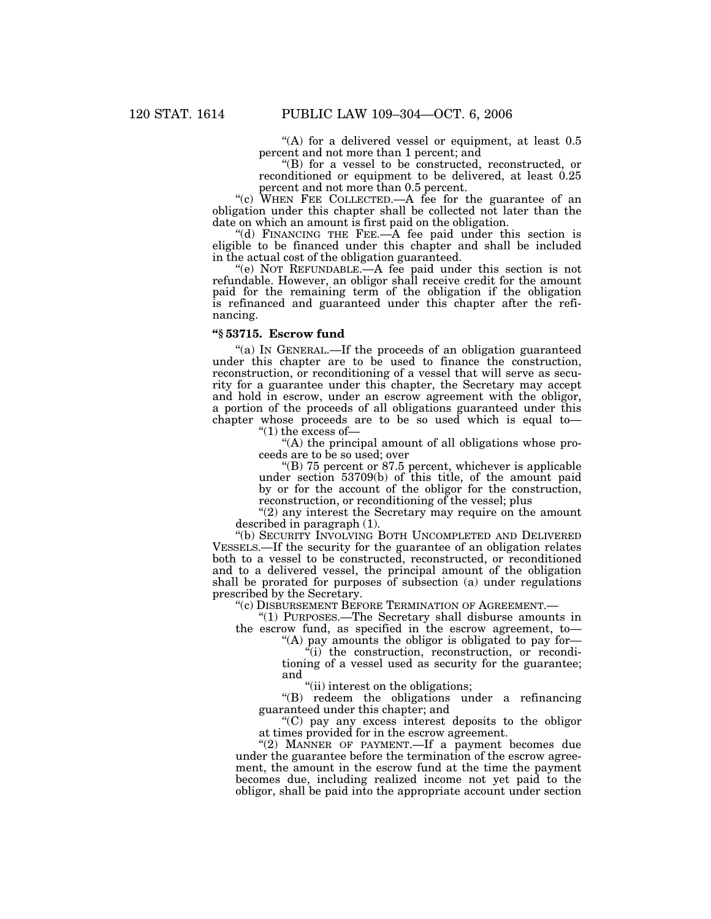"(A) for a delivered vessel or equipment, at least  $0.5$ percent and not more than 1 percent; and

''(B) for a vessel to be constructed, reconstructed, or reconditioned or equipment to be delivered, at least  $0.25$ percent and not more than 0.5 percent.

"(c) WHEN FEE COLLECTED.—A fee for the guarantee of an obligation under this chapter shall be collected not later than the date on which an amount is first paid on the obligation.

''(d) FINANCING THE FEE.—A fee paid under this section is eligible to be financed under this chapter and shall be included in the actual cost of the obligation guaranteed.

''(e) NOT REFUNDABLE.—A fee paid under this section is not refundable. However, an obligor shall receive credit for the amount paid for the remaining term of the obligation if the obligation is refinanced and guaranteed under this chapter after the refinancing.

#### **''§ 53715. Escrow fund**

"(a) IN GENERAL.—If the proceeds of an obligation guaranteed under this chapter are to be used to finance the construction, reconstruction, or reconditioning of a vessel that will serve as security for a guarantee under this chapter, the Secretary may accept and hold in escrow, under an escrow agreement with the obligor, a portion of the proceeds of all obligations guaranteed under this chapter whose proceeds are to be so used which is equal to—

" $(1)$  the excess of-

 $(A)$  the principal amount of all obligations whose proceeds are to be so used; over

''(B) 75 percent or 87.5 percent, whichever is applicable under section 53709(b) of this title, of the amount paid by or for the account of the obligor for the construction, reconstruction, or reconditioning of the vessel; plus

" $(2)$  any interest the Secretary may require on the amount described in paragraph (1).

''(b) SECURITY INVOLVING BOTH UNCOMPLETED AND DELIVERED VESSELS.—If the security for the guarantee of an obligation relates both to a vessel to be constructed, reconstructed, or reconditioned and to a delivered vessel, the principal amount of the obligation shall be prorated for purposes of subsection (a) under regulations prescribed by the Secretary.

''(c) DISBURSEMENT BEFORE TERMINATION OF AGREEMENT.—

''(1) PURPOSES.—The Secretary shall disburse amounts in the escrow fund, as specified in the escrow agreement, to-"(A) pay amounts the obligor is obligated to pay for-

''(i) the construction, reconstruction, or recondi-

tioning of a vessel used as security for the guarantee; and

''(ii) interest on the obligations;

''(B) redeem the obligations under a refinancing guaranteed under this chapter; and

''(C) pay any excess interest deposits to the obligor at times provided for in the escrow agreement.

"(2) MANNER OF PAYMENT. If a payment becomes due under the guarantee before the termination of the escrow agreement, the amount in the escrow fund at the time the payment becomes due, including realized income not yet paid to the obligor, shall be paid into the appropriate account under section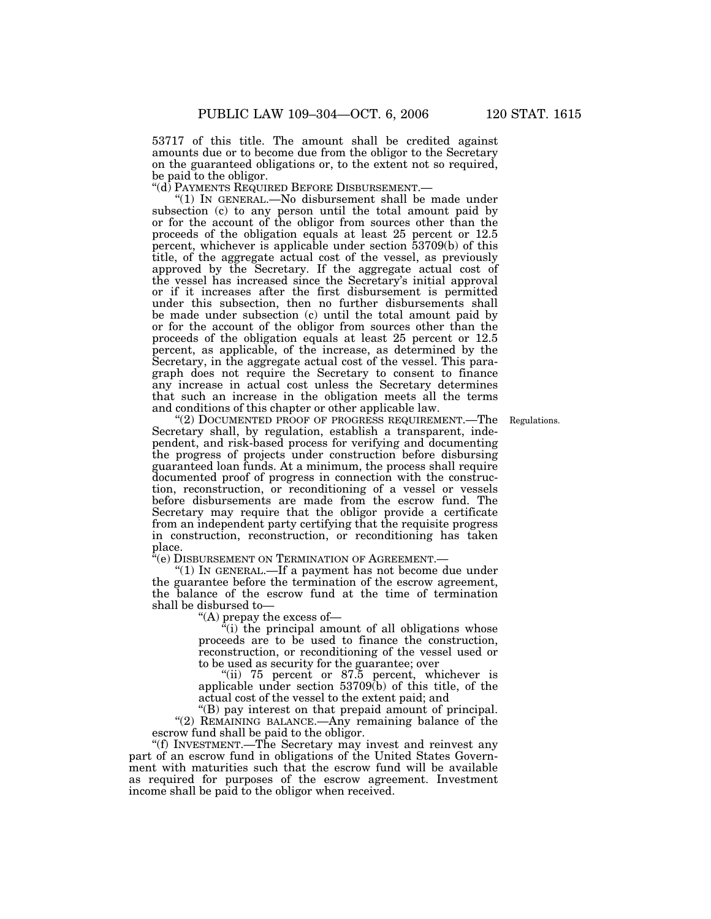53717 of this title. The amount shall be credited against amounts due or to become due from the obligor to the Secretary on the guaranteed obligations or, to the extent not so required,

be paid to the obligor.<br>"(d) PAYMENTS REQUIRED BEFORE DISBURSEMENT.—

" $(1)$  IN GENERAL.—No disbursement shall be made under subsection (c) to any person until the total amount paid by or for the account of the obligor from sources other than the proceeds of the obligation equals at least 25 percent or 12.5 percent, whichever is applicable under section 53709(b) of this title, of the aggregate actual cost of the vessel, as previously approved by the Secretary. If the aggregate actual cost of the vessel has increased since the Secretary's initial approval or if it increases after the first disbursement is permitted under this subsection, then no further disbursements shall be made under subsection (c) until the total amount paid by or for the account of the obligor from sources other than the proceeds of the obligation equals at least 25 percent or 12.5 percent, as applicable, of the increase, as determined by the Secretary, in the aggregate actual cost of the vessel. This paragraph does not require the Secretary to consent to finance any increase in actual cost unless the Secretary determines that such an increase in the obligation meets all the terms and conditions of this chapter or other applicable law.

Regulations.

"(2) DOCUMENTED PROOF OF PROGRESS REQUIREMENT.—The Secretary shall, by regulation, establish a transparent, independent, and risk-based process for verifying and documenting the progress of projects under construction before disbursing guaranteed loan funds. At a minimum, the process shall require documented proof of progress in connection with the construction, reconstruction, or reconditioning of a vessel or vessels before disbursements are made from the escrow fund. The Secretary may require that the obligor provide a certificate from an independent party certifying that the requisite progress in construction, reconstruction, or reconditioning has taken place.

''(e) DISBURSEMENT ON TERMINATION OF AGREEMENT.—

"(1) In GENERAL.—If a payment has not become due under the guarantee before the termination of the escrow agreement, the balance of the escrow fund at the time of termination shall be disbursed to—

''(A) prepay the excess of—

 $\ddot{f}$ (i) the principal amount of all obligations whose proceeds are to be used to finance the construction, reconstruction, or reconditioning of the vessel used or to be used as security for the guarantee; over

"(ii) 75 percent or 87.5 percent, whichever is applicable under section 53709(b) of this title, of the actual cost of the vessel to the extent paid; and

''(B) pay interest on that prepaid amount of principal. "(2) REMAINING BALANCE.—Any remaining balance of the escrow fund shall be paid to the obligor.

''(f) INVESTMENT.—The Secretary may invest and reinvest any part of an escrow fund in obligations of the United States Government with maturities such that the escrow fund will be available as required for purposes of the escrow agreement. Investment income shall be paid to the obligor when received.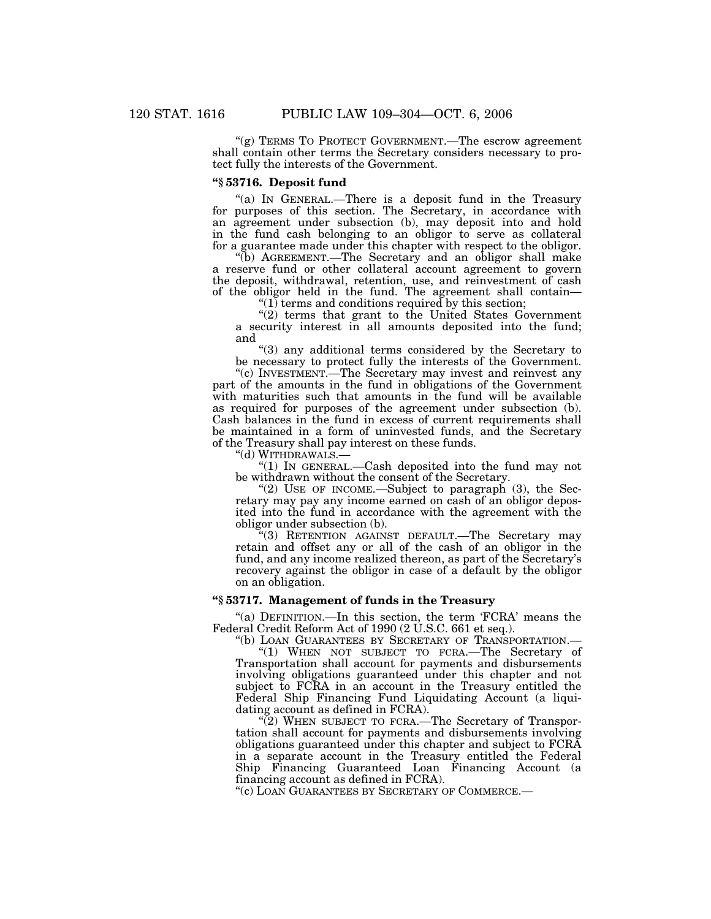"(g) TERMS TO PROTECT GOVERNMENT.—The escrow agreement shall contain other terms the Secretary considers necessary to protect fully the interests of the Government.

#### **''§ 53716. Deposit fund**

''(a) IN GENERAL.—There is a deposit fund in the Treasury for purposes of this section. The Secretary, in accordance with an agreement under subsection (b), may deposit into and hold in the fund cash belonging to an obligor to serve as collateral for a guarantee made under this chapter with respect to the obligor.

''(b) AGREEMENT.—The Secretary and an obligor shall make a reserve fund or other collateral account agreement to govern the deposit, withdrawal, retention, use, and reinvestment of cash of the obligor held in the fund. The agreement shall contain—

" $(1)$  terms and conditions required by this section;

 $''(2)$  terms that grant to the United States Government a security interest in all amounts deposited into the fund; and

''(3) any additional terms considered by the Secretary to be necessary to protect fully the interests of the Government.

''(c) INVESTMENT.—The Secretary may invest and reinvest any part of the amounts in the fund in obligations of the Government with maturities such that amounts in the fund will be available as required for purposes of the agreement under subsection (b). Cash balances in the fund in excess of current requirements shall be maintained in a form of uninvested funds, and the Secretary of the Treasury shall pay interest on these funds.

''(d) WITHDRAWALS.—

''(1) IN GENERAL.—Cash deposited into the fund may not be withdrawn without the consent of the Secretary.

" $(2)$  USE OF INCOME.—Subject to paragraph  $(3)$ , the Secretary may pay any income earned on cash of an obligor deposited into the fund in accordance with the agreement with the obligor under subsection (b).

''(3) RETENTION AGAINST DEFAULT.—The Secretary may retain and offset any or all of the cash of an obligor in the fund, and any income realized thereon, as part of the Secretary's recovery against the obligor in case of a default by the obligor on an obligation.

## **''§ 53717. Management of funds in the Treasury**

"(a) DEFINITION.—In this section, the term 'FCRA' means the Federal Credit Reform Act of 1990 (2 U.S.C. 661 et seq.).

''(b) LOAN GUARANTEES BY SECRETARY OF TRANSPORTATION.—

"(1) WHEN NOT SUBJECT TO FCRA.—The Secretary of Transportation shall account for payments and disbursements involving obligations guaranteed under this chapter and not subject to FCRA in an account in the Treasury entitled the Federal Ship Financing Fund Liquidating Account (a liquidating account as defined in FCRA).

"(2) WHEN SUBJECT TO FCRA.—The Secretary of Transportation shall account for payments and disbursements involving obligations guaranteed under this chapter and subject to FCRA in a separate account in the Treasury entitled the Federal Ship Financing Guaranteed Loan Financing Account (a financing account as defined in FCRA).

''(c) LOAN GUARANTEES BY SECRETARY OF COMMERCE.—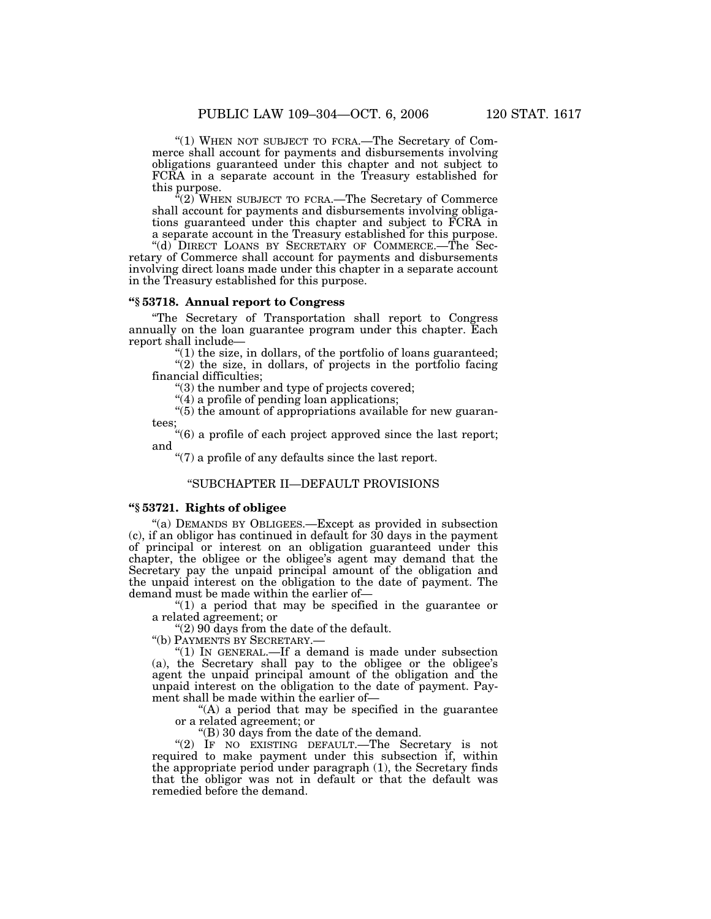"(1) WHEN NOT SUBJECT TO FCRA.—The Secretary of Commerce shall account for payments and disbursements involving obligations guaranteed under this chapter and not subject to FCRA in a separate account in the Treasury established for this purpose.

 $^{a}(2)$  WHEN SUBJECT TO FCRA.—The Secretary of Commerce shall account for payments and disbursements involving obligations guaranteed under this chapter and subject to FCRA in a separate account in the Treasury established for this purpose.

"(d) DIRECT LOANS BY SECRETARY OF COMMERCE.—The Secretary of Commerce shall account for payments and disbursements involving direct loans made under this chapter in a separate account in the Treasury established for this purpose.

#### **''§ 53718. Annual report to Congress**

''The Secretary of Transportation shall report to Congress annually on the loan guarantee program under this chapter. Each report shall include—

 $''(1)$  the size, in dollars, of the portfolio of loans guaranteed;  $''(2)$  the size, in dollars, of projects in the portfolio facing

financial difficulties;

''(3) the number and type of projects covered;

''(4) a profile of pending loan applications;

''(5) the amount of appropriations available for new guarantees;

 $C''(6)$  a profile of each project approved since the last report; and

''(7) a profile of any defaults since the last report.

## ''SUBCHAPTER II—DEFAULT PROVISIONS

#### **''§ 53721. Rights of obligee**

''(a) DEMANDS BY OBLIGEES.—Except as provided in subsection (c), if an obligor has continued in default for 30 days in the payment of principal or interest on an obligation guaranteed under this chapter, the obligee or the obligee's agent may demand that the Secretary pay the unpaid principal amount of the obligation and the unpaid interest on the obligation to the date of payment. The demand must be made within the earlier of—

 $''(1)$  a period that may be specified in the guarantee or a related agreement; or

''(2) 90 days from the date of the default.

''(b) PAYMENTS BY SECRETARY.—

''(1) IN GENERAL.—If a demand is made under subsection (a), the Secretary shall pay to the obligee or the obligee's agent the unpaid principal amount of the obligation and the unpaid interest on the obligation to the date of payment. Payment shall be made within the earlier of—

 $(A)$  a period that may be specified in the guarantee or a related agreement; or

''(B) 30 days from the date of the demand.

"(2) IF NO EXISTING DEFAULT.—The Secretary is not required to make payment under this subsection if, within the appropriate period under paragraph (1), the Secretary finds that the obligor was not in default or that the default was remedied before the demand.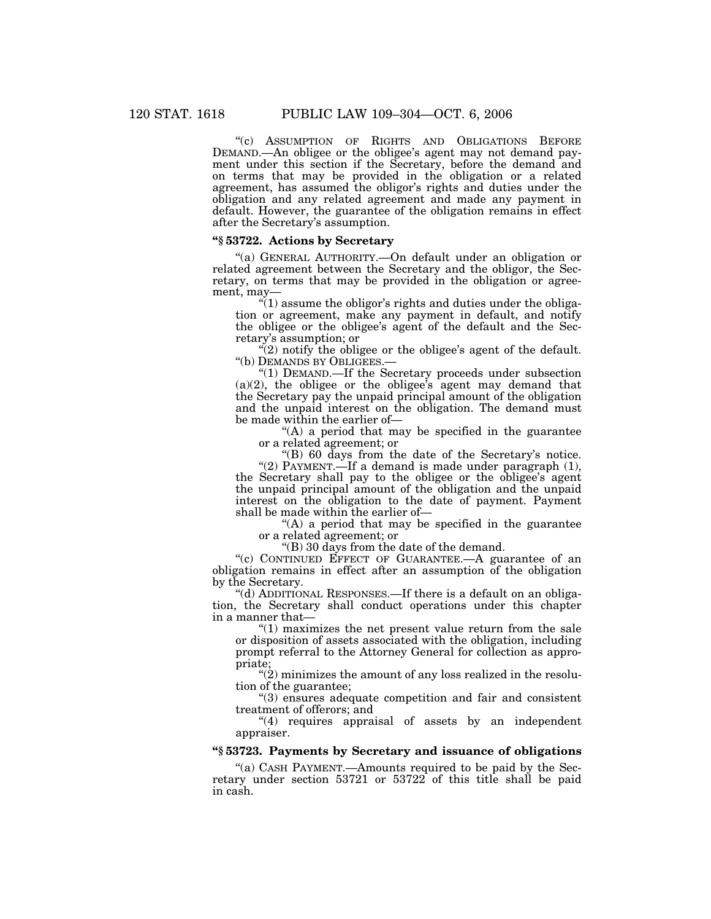''(c) ASSUMPTION OF RIGHTS AND OBLIGATIONS BEFORE DEMAND.—An obligee or the obligee's agent may not demand payment under this section if the Secretary, before the demand and on terms that may be provided in the obligation or a related agreement, has assumed the obligor's rights and duties under the obligation and any related agreement and made any payment in default. However, the guarantee of the obligation remains in effect after the Secretary's assumption.

## **''§ 53722. Actions by Secretary**

''(a) GENERAL AUTHORITY.—On default under an obligation or related agreement between the Secretary and the obligor, the Secretary, on terms that may be provided in the obligation or agreement, may—

 $\ddot{=}$  (1) assume the obligor's rights and duties under the obligation or agreement, make any payment in default, and notify the obligee or the obligee's agent of the default and the Secretary's assumption; or

 $\mathcal{L}(2)$  notify the obligee or the obligee's agent of the default. ''(b) DEMANDS BY OBLIGEES.—

''(1) DEMAND.—If the Secretary proceeds under subsection (a)(2), the obligee or the obligee's agent may demand that the Secretary pay the unpaid principal amount of the obligation and the unpaid interest on the obligation. The demand must be made within the earlier of—

''(A) a period that may be specified in the guarantee or a related agreement; or

''(B) 60 days from the date of the Secretary's notice.

"(2) PAYMENT. If a demand is made under paragraph (1), the Secretary shall pay to the obligee or the obligee's agent the unpaid principal amount of the obligation and the unpaid interest on the obligation to the date of payment. Payment shall be made within the earlier of—

 $(A)$  a period that may be specified in the guarantee or a related agreement; or

''(B) 30 days from the date of the demand.

"(c) CONTINUED EFFECT OF GUARANTEE.—A guarantee of an obligation remains in effect after an assumption of the obligation by the Secretary.

''(d) ADDITIONAL RESPONSES.—If there is a default on an obligation, the Secretary shall conduct operations under this chapter in a manner that—

" $(1)$  maximizes the net present value return from the sale or disposition of assets associated with the obligation, including prompt referral to the Attorney General for collection as appropriate;

 $''(2)$  minimizes the amount of any loss realized in the resolution of the guarantee;

''(3) ensures adequate competition and fair and consistent treatment of offerors; and

 $''(4)$  requires appraisal of assets by an independent appraiser.

# **''§ 53723. Payments by Secretary and issuance of obligations**

''(a) CASH PAYMENT.—Amounts required to be paid by the Secretary under section 53721 or 53722 of this title shall be paid in cash.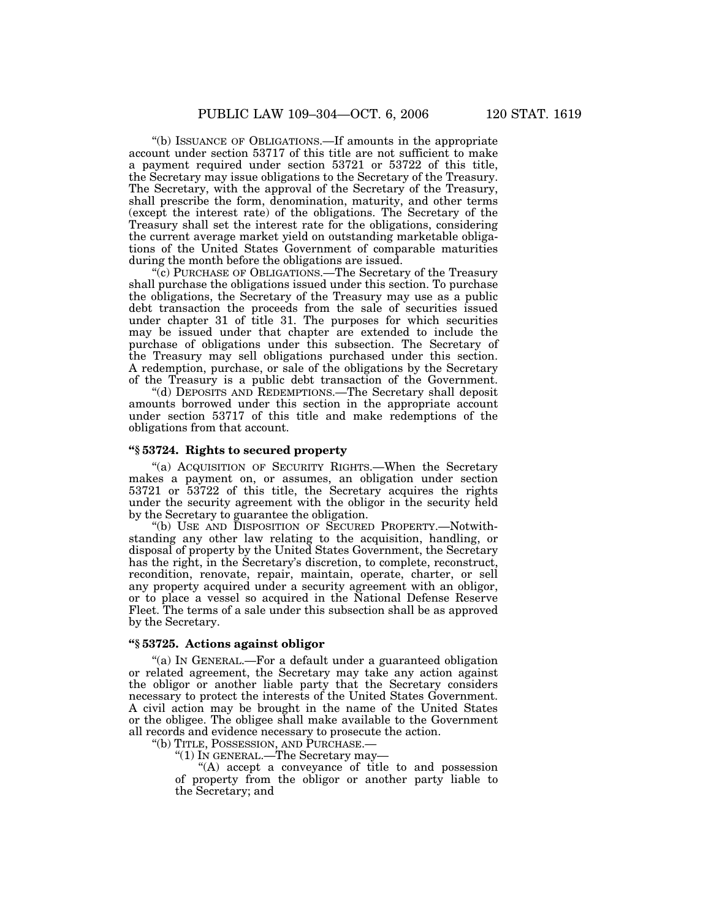''(b) ISSUANCE OF OBLIGATIONS.—If amounts in the appropriate account under section 53717 of this title are not sufficient to make a payment required under section 53721 or 53722 of this title, the Secretary may issue obligations to the Secretary of the Treasury. The Secretary, with the approval of the Secretary of the Treasury, shall prescribe the form, denomination, maturity, and other terms (except the interest rate) of the obligations. The Secretary of the Treasury shall set the interest rate for the obligations, considering the current average market yield on outstanding marketable obligations of the United States Government of comparable maturities during the month before the obligations are issued.

''(c) PURCHASE OF OBLIGATIONS.—The Secretary of the Treasury shall purchase the obligations issued under this section. To purchase the obligations, the Secretary of the Treasury may use as a public debt transaction the proceeds from the sale of securities issued under chapter 31 of title 31. The purposes for which securities may be issued under that chapter are extended to include the purchase of obligations under this subsection. The Secretary of the Treasury may sell obligations purchased under this section. A redemption, purchase, or sale of the obligations by the Secretary of the Treasury is a public debt transaction of the Government.

''(d) DEPOSITS AND REDEMPTIONS.—The Secretary shall deposit amounts borrowed under this section in the appropriate account under section 53717 of this title and make redemptions of the obligations from that account.

#### **''§ 53724. Rights to secured property**

"(a) ACQUISITION OF SECURITY RIGHTS.—When the Secretary makes a payment on, or assumes, an obligation under section 53721 or 53722 of this title, the Secretary acquires the rights under the security agreement with the obligor in the security held by the Secretary to guarantee the obligation.

''(b) USE AND DISPOSITION OF SECURED PROPERTY.—Notwithstanding any other law relating to the acquisition, handling, or disposal of property by the United States Government, the Secretary has the right, in the Secretary's discretion, to complete, reconstruct, recondition, renovate, repair, maintain, operate, charter, or sell any property acquired under a security agreement with an obligor, or to place a vessel so acquired in the National Defense Reserve Fleet. The terms of a sale under this subsection shall be as approved by the Secretary.

# **''§ 53725. Actions against obligor**

"(a) In GENERAL.—For a default under a guaranteed obligation or related agreement, the Secretary may take any action against the obligor or another liable party that the Secretary considers necessary to protect the interests of the United States Government. A civil action may be brought in the name of the United States or the obligee. The obligee shall make available to the Government all records and evidence necessary to prosecute the action.

''(b) TITLE, POSSESSION, AND PURCHASE.—

''(1) IN GENERAL.—The Secretary may—

''(A) accept a conveyance of title to and possession of property from the obligor or another party liable to the Secretary; and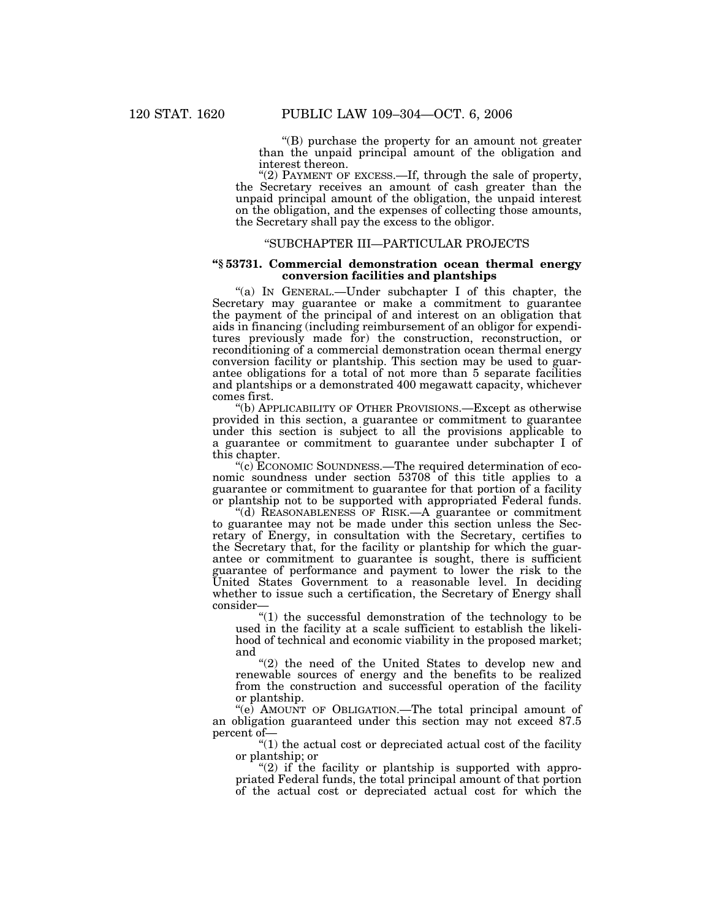''(B) purchase the property for an amount not greater than the unpaid principal amount of the obligation and interest thereon.

"(2) PAYMENT OF EXCESS.—If, through the sale of property, the Secretary receives an amount of cash greater than the unpaid principal amount of the obligation, the unpaid interest on the obligation, and the expenses of collecting those amounts, the Secretary shall pay the excess to the obligor.

## ''SUBCHAPTER III—PARTICULAR PROJECTS

#### **''§ 53731. Commercial demonstration ocean thermal energy conversion facilities and plantships**

"(a) IN GENERAL.—Under subchapter I of this chapter, the Secretary may guarantee or make a commitment to guarantee the payment of the principal of and interest on an obligation that aids in financing (including reimbursement of an obligor for expenditures previously made for) the construction, reconstruction, or reconditioning of a commercial demonstration ocean thermal energy conversion facility or plantship. This section may be used to guarantee obligations for a total of not more than 5 separate facilities and plantships or a demonstrated 400 megawatt capacity, whichever comes first.

''(b) APPLICABILITY OF OTHER PROVISIONS.—Except as otherwise provided in this section, a guarantee or commitment to guarantee under this section is subject to all the provisions applicable to a guarantee or commitment to guarantee under subchapter I of this chapter.

"(c) ECONOMIC SOUNDNESS.—The required determination of economic soundness under section 53708 of this title applies to a guarantee or commitment to guarantee for that portion of a facility or plantship not to be supported with appropriated Federal funds.

''(d) REASONABLENESS OF RISK.—A guarantee or commitment to guarantee may not be made under this section unless the Secretary of Energy, in consultation with the Secretary, certifies to the Secretary that, for the facility or plantship for which the guarantee or commitment to guarantee is sought, there is sufficient guarantee of performance and payment to lower the risk to the United States Government to a reasonable level. In deciding whether to issue such a certification, the Secretary of Energy shall consider—

''(1) the successful demonstration of the technology to be used in the facility at a scale sufficient to establish the likelihood of technical and economic viability in the proposed market; and

"(2) the need of the United States to develop new and renewable sources of energy and the benefits to be realized from the construction and successful operation of the facility or plantship.

"(e) AMOUNT OF OBLIGATION.—The total principal amount of an obligation guaranteed under this section may not exceed 87.5 percent of—

 $''(1)$  the actual cost or depreciated actual cost of the facility or plantship; or

" $(2)$  if the facility or plantship is supported with appropriated Federal funds, the total principal amount of that portion of the actual cost or depreciated actual cost for which the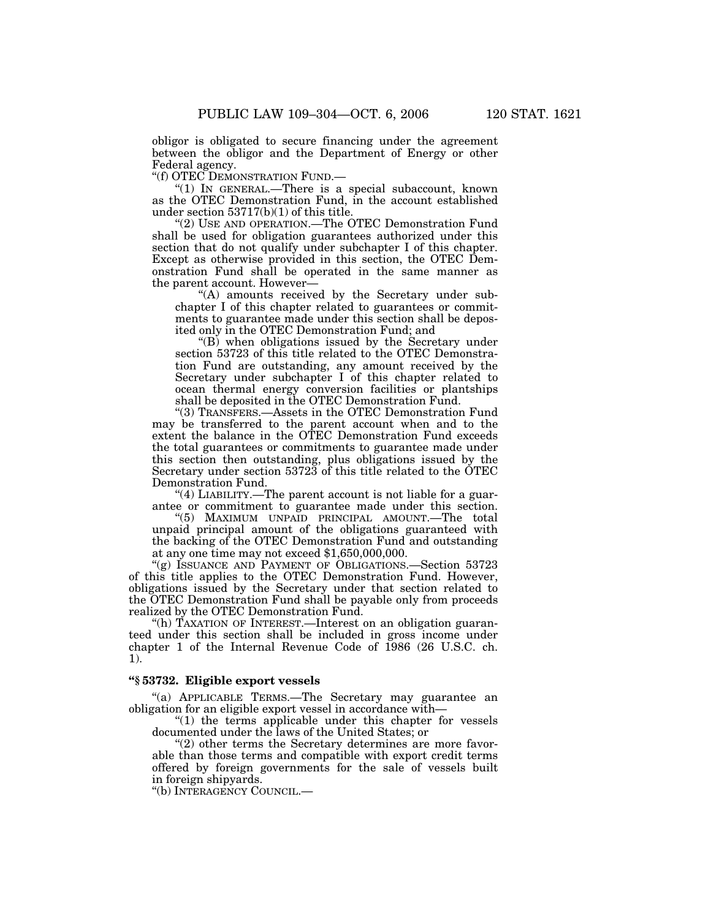obligor is obligated to secure financing under the agreement between the obligor and the Department of Energy or other Federal agency.

''(f) OTEC DEMONSTRATION FUND.—

''(1) IN GENERAL.—There is a special subaccount, known as the OTEC Demonstration Fund, in the account established under section 53717(b)(1) of this title.

''(2) USE AND OPERATION.—The OTEC Demonstration Fund shall be used for obligation guarantees authorized under this section that do not qualify under subchapter I of this chapter. Except as otherwise provided in this section, the OTEC Demonstration Fund shall be operated in the same manner as the parent account. However—

"(A) amounts received by the Secretary under subchapter I of this chapter related to guarantees or commitments to guarantee made under this section shall be deposited only in the OTEC Demonstration Fund; and

''(B) when obligations issued by the Secretary under section 53723 of this title related to the OTEC Demonstration Fund are outstanding, any amount received by the Secretary under subchapter I of this chapter related to ocean thermal energy conversion facilities or plantships shall be deposited in the OTEC Demonstration Fund.

''(3) TRANSFERS.—Assets in the OTEC Demonstration Fund may be transferred to the parent account when and to the extent the balance in the OTEC Demonstration Fund exceeds the total guarantees or commitments to guarantee made under this section then outstanding, plus obligations issued by the Secretary under section 53723 of this title related to the OTEC Demonstration Fund.

"(4) LIABILITY.—The parent account is not liable for a guarantee or commitment to guarantee made under this section.

''(5) MAXIMUM UNPAID PRINCIPAL AMOUNT.—The total unpaid principal amount of the obligations guaranteed with the backing of the OTEC Demonstration Fund and outstanding at any one time may not exceed \$1,650,000,000.

"(g) ISSUANCE AND PAYMENT OF OBLIGATIONS.—Section 53723 of this title applies to the OTEC Demonstration Fund. However, obligations issued by the Secretary under that section related to the OTEC Demonstration Fund shall be payable only from proceeds realized by the OTEC Demonstration Fund.

"(h) TAXATION OF INTEREST.—Interest on an obligation guaranteed under this section shall be included in gross income under chapter 1 of the Internal Revenue Code of 1986 (26 U.S.C. ch. 1).

# **''§ 53732. Eligible export vessels**

''(a) APPLICABLE TERMS.—The Secretary may guarantee an obligation for an eligible export vessel in accordance with—

"(1) the terms applicable under this chapter for vessels documented under the laws of the United States; or

"(2) other terms the Secretary determines are more favorable than those terms and compatible with export credit terms offered by foreign governments for the sale of vessels built in foreign shipyards.

''(b) INTERAGENCY COUNCIL.—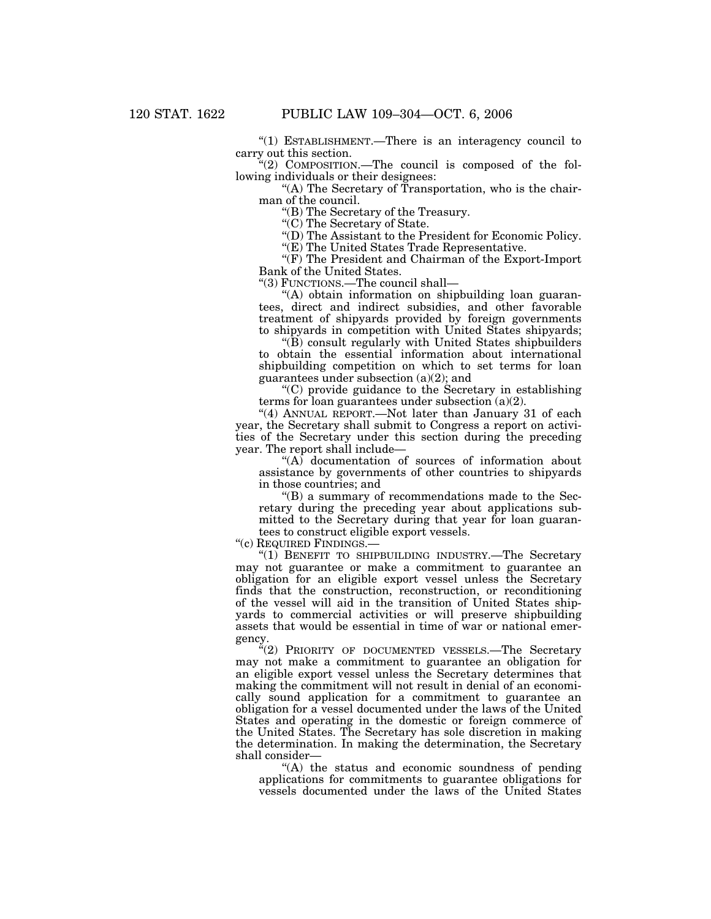"(1) ESTABLISHMENT.—There is an interagency council to carry out this section.

''(2) COMPOSITION.—The council is composed of the following individuals or their designees:

"(A) The Secretary of Transportation, who is the chairman of the council.

''(B) The Secretary of the Treasury.

''(C) The Secretary of State.

''(D) The Assistant to the President for Economic Policy.

''(E) The United States Trade Representative.

''(F) The President and Chairman of the Export-Import Bank of the United States.

''(3) FUNCTIONS.—The council shall—

''(A) obtain information on shipbuilding loan guarantees, direct and indirect subsidies, and other favorable treatment of shipyards provided by foreign governments to shipyards in competition with United States shipyards;

 $\mathrm{``(B)}$  consult regularly with United States shipbuilders to obtain the essential information about international shipbuilding competition on which to set terms for loan guarantees under subsection (a)(2); and

''(C) provide guidance to the Secretary in establishing terms for loan guarantees under subsection (a)(2).

"(4) ANNUAL REPORT.—Not later than January 31 of each year, the Secretary shall submit to Congress a report on activities of the Secretary under this section during the preceding year. The report shall include—

"(A) documentation of sources of information about assistance by governments of other countries to shipyards in those countries; and

''(B) a summary of recommendations made to the Secretary during the preceding year about applications submitted to the Secretary during that year for loan guarantees to construct eligible export vessels.

''(c) REQUIRED FINDINGS.—

''(1) BENEFIT TO SHIPBUILDING INDUSTRY.—The Secretary may not guarantee or make a commitment to guarantee an obligation for an eligible export vessel unless the Secretary finds that the construction, reconstruction, or reconditioning of the vessel will aid in the transition of United States shipyards to commercial activities or will preserve shipbuilding assets that would be essential in time of war or national emergency.

"(2) PRIORITY OF DOCUMENTED VESSELS.—The Secretary may not make a commitment to guarantee an obligation for an eligible export vessel unless the Secretary determines that making the commitment will not result in denial of an economically sound application for a commitment to guarantee an obligation for a vessel documented under the laws of the United States and operating in the domestic or foreign commerce of the United States. The Secretary has sole discretion in making the determination. In making the determination, the Secretary shall consider—

''(A) the status and economic soundness of pending applications for commitments to guarantee obligations for vessels documented under the laws of the United States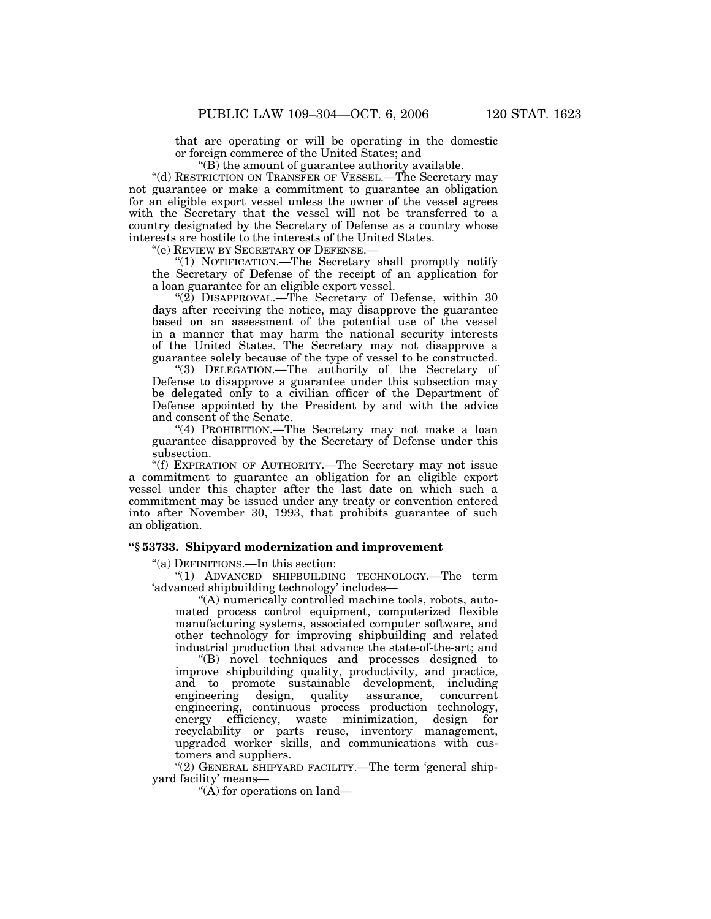that are operating or will be operating in the domestic or foreign commerce of the United States; and

 $\mathrm{``(B)}$  the amount of guarantee authority available.

''(d) RESTRICTION ON TRANSFER OF VESSEL.—The Secretary may not guarantee or make a commitment to guarantee an obligation for an eligible export vessel unless the owner of the vessel agrees with the Secretary that the vessel will not be transferred to a country designated by the Secretary of Defense as a country whose interests are hostile to the interests of the United States.

''(e) REVIEW BY SECRETARY OF DEFENSE.—

''(1) NOTIFICATION.—The Secretary shall promptly notify the Secretary of Defense of the receipt of an application for a loan guarantee for an eligible export vessel.

"(2) DISAPPROVAL.—The Secretary of Defense, within 30 days after receiving the notice, may disapprove the guarantee based on an assessment of the potential use of the vessel in a manner that may harm the national security interests of the United States. The Secretary may not disapprove a guarantee solely because of the type of vessel to be constructed.

''(3) DELEGATION.—The authority of the Secretary of Defense to disapprove a guarantee under this subsection may be delegated only to a civilian officer of the Department of Defense appointed by the President by and with the advice and consent of the Senate.

"(4) PROHIBITION.—The Secretary may not make a loan guarantee disapproved by the Secretary of Defense under this subsection.

''(f) EXPIRATION OF AUTHORITY.—The Secretary may not issue a commitment to guarantee an obligation for an eligible export vessel under this chapter after the last date on which such a commitment may be issued under any treaty or convention entered into after November 30, 1993, that prohibits guarantee of such an obligation.

#### **''§ 53733. Shipyard modernization and improvement**

''(a) DEFINITIONS.—In this section:

''(1) ADVANCED SHIPBUILDING TECHNOLOGY.—The term 'advanced shipbuilding technology' includes—

''(A) numerically controlled machine tools, robots, automated process control equipment, computerized flexible manufacturing systems, associated computer software, and other technology for improving shipbuilding and related industrial production that advance the state-of-the-art; and

''(B) novel techniques and processes designed to improve shipbuilding quality, productivity, and practice, and to promote sustainable development, including design, quality assurance, concurrent engineering, continuous process production technology, energy efficiency, waste minimization, design for efficiency, waste minimization, design for recyclability or parts reuse, inventory management, upgraded worker skills, and communications with customers and suppliers.

"(2) GENERAL SHIPYARD FACILITY.—The term 'general shipyard facility' means—

''(A) for operations on land—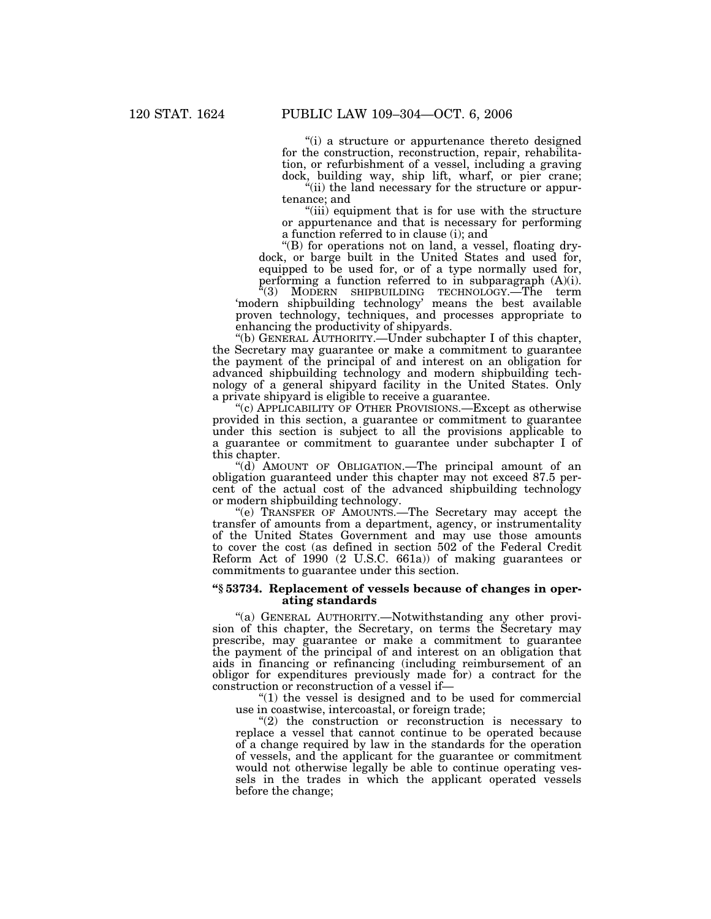"(i) a structure or appurtenance thereto designed for the construction, reconstruction, repair, rehabilitation, or refurbishment of a vessel, including a graving dock, building way, ship lift, wharf, or pier crane;

''(ii) the land necessary for the structure or appurtenance; and

''(iii) equipment that is for use with the structure or appurtenance and that is necessary for performing a function referred to in clause (i); and

''(B) for operations not on land, a vessel, floating drydock, or barge built in the United States and used for, equipped to be used for, or of a type normally used for, performing a function referred to in subparagraph (A)(i).

''(3) MODERN SHIPBUILDING TECHNOLOGY.—The term 'modern shipbuilding technology' means the best available proven technology, techniques, and processes appropriate to enhancing the productivity of shipyards.

''(b) GENERAL AUTHORITY.—Under subchapter I of this chapter, the Secretary may guarantee or make a commitment to guarantee the payment of the principal of and interest on an obligation for advanced shipbuilding technology and modern shipbuilding technology of a general shipyard facility in the United States. Only a private shipyard is eligible to receive a guarantee.

''(c) APPLICABILITY OF OTHER PROVISIONS.—Except as otherwise provided in this section, a guarantee or commitment to guarantee under this section is subject to all the provisions applicable to a guarantee or commitment to guarantee under subchapter I of this chapter.

"(d) AMOUNT OF OBLIGATION.—The principal amount of an obligation guaranteed under this chapter may not exceed 87.5 percent of the actual cost of the advanced shipbuilding technology or modern shipbuilding technology.

''(e) TRANSFER OF AMOUNTS.—The Secretary may accept the transfer of amounts from a department, agency, or instrumentality of the United States Government and may use those amounts to cover the cost (as defined in section 502 of the Federal Credit Reform Act of 1990 (2 U.S.C. 661a)) of making guarantees or commitments to guarantee under this section.

### **''§ 53734. Replacement of vessels because of changes in operating standards**

''(a) GENERAL AUTHORITY.—Notwithstanding any other provision of this chapter, the Secretary, on terms the Secretary may prescribe, may guarantee or make a commitment to guarantee the payment of the principal of and interest on an obligation that aids in financing or refinancing (including reimbursement of an obligor for expenditures previously made for) a contract for the construction or reconstruction of a vessel if—

''(1) the vessel is designed and to be used for commercial use in coastwise, intercoastal, or foreign trade;

"(2) the construction or reconstruction is necessary to replace a vessel that cannot continue to be operated because of a change required by law in the standards for the operation of vessels, and the applicant for the guarantee or commitment would not otherwise legally be able to continue operating vessels in the trades in which the applicant operated vessels before the change;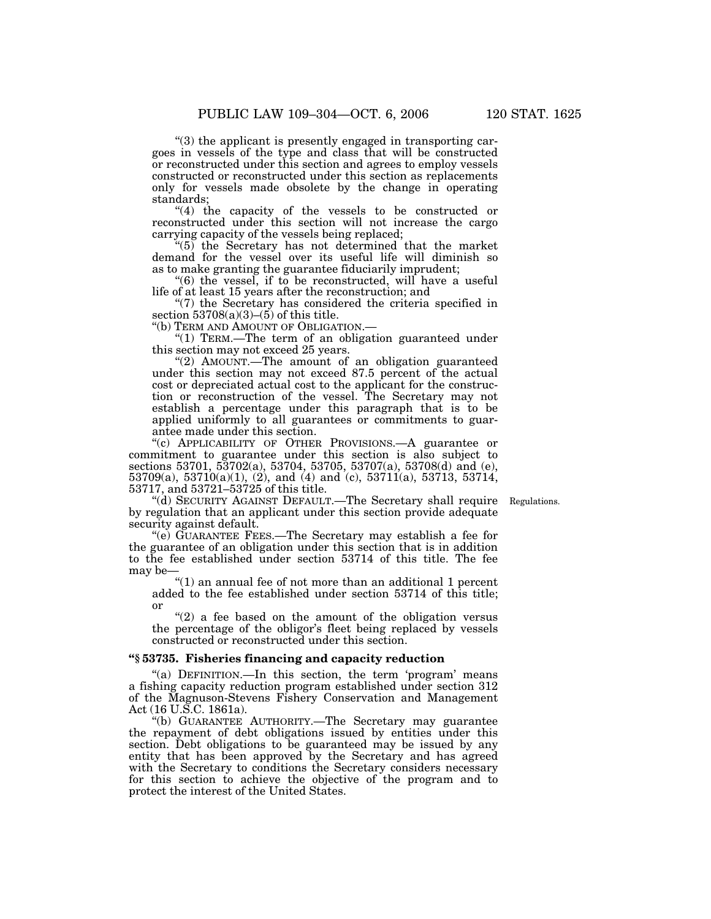''(3) the applicant is presently engaged in transporting cargoes in vessels of the type and class that will be constructed or reconstructed under this section and agrees to employ vessels constructed or reconstructed under this section as replacements only for vessels made obsolete by the change in operating standards;

''(4) the capacity of the vessels to be constructed or reconstructed under this section will not increase the cargo carrying capacity of the vessels being replaced;

''(5) the Secretary has not determined that the market demand for the vessel over its useful life will diminish so as to make granting the guarantee fiduciarily imprudent;

''(6) the vessel, if to be reconstructed, will have a useful life of at least 15 years after the reconstruction; and

"(7) the Secretary has considered the criteria specified in section  $53708(a)(3)$ – $(5)$  of this title.

''(b) TERM AND AMOUNT OF OBLIGATION.—

"(1) TERM.—The term of an obligation guaranteed under this section may not exceed 25 years.

"(2) AMOUNT.—The amount of an obligation guaranteed under this section may not exceed 87.5 percent of the actual cost or depreciated actual cost to the applicant for the construction or reconstruction of the vessel. The Secretary may not establish a percentage under this paragraph that is to be applied uniformly to all guarantees or commitments to guarantee made under this section.

''(c) APPLICABILITY OF OTHER PROVISIONS.—A guarantee or commitment to guarantee under this section is also subject to sections 53701, 53702(a), 53704, 53705, 53707(a), 53708(d) and (e), 53709(a), 53710(a)(1), (2), and (4) and (c), 53711(a), 53713, 53714, 53717, and 53721–53725 of this title.

Regulations.

''(d) SECURITY AGAINST DEFAULT.—The Secretary shall require by regulation that an applicant under this section provide adequate security against default. ''(e) GUARANTEE FEES.—The Secretary may establish a fee for

the guarantee of an obligation under this section that is in addition to the fee established under section 53714 of this title. The fee may be—

''(1) an annual fee of not more than an additional 1 percent added to the fee established under section 53714 of this title; or

" $(2)$  a fee based on the amount of the obligation versus the percentage of the obligor's fleet being replaced by vessels constructed or reconstructed under this section.

#### **''§ 53735. Fisheries financing and capacity reduction**

"(a) DEFINITION.—In this section, the term 'program' means a fishing capacity reduction program established under section 312 of the Magnuson-Stevens Fishery Conservation and Management Act (16 U.S.C. 1861a).

''(b) GUARANTEE AUTHORITY.—The Secretary may guarantee the repayment of debt obligations issued by entities under this section. Debt obligations to be guaranteed may be issued by any entity that has been approved by the Secretary and has agreed with the Secretary to conditions the Secretary considers necessary for this section to achieve the objective of the program and to protect the interest of the United States.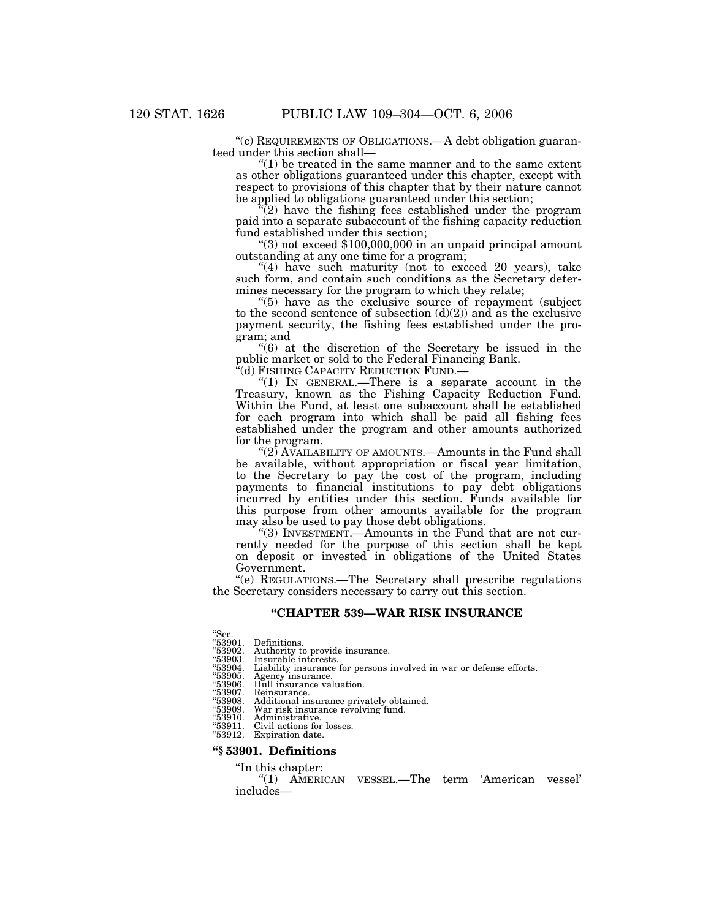''(c) REQUIREMENTS OF OBLIGATIONS.—A debt obligation guaranteed under this section shall—

" $(1)$  be treated in the same manner and to the same extent as other obligations guaranteed under this chapter, except with respect to provisions of this chapter that by their nature cannot be applied to obligations guaranteed under this section;

 $\widehat{C}(2)$  have the fishing fees established under the program paid into a separate subaccount of the fishing capacity reduction

 $f(3)$  not exceed \$100,000,000 in an unpaid principal amount outstanding at any one time for a program;

"(4) have such maturity (not to exceed 20 years), take such form, and contain such conditions as the Secretary determines necessary for the program to which they relate;

''(5) have as the exclusive source of repayment (subject to the second sentence of subsection  $(d)(2)$  and as the exclusive payment security, the fishing fees established under the program; and

''(6) at the discretion of the Secretary be issued in the public market or sold to the Federal Financing Bank.

<sup>a</sup>(d) FISHING CAPACITY REDUCTION FUND.

" $(1)$  In GENERAL.—There is a separate account in the Treasury, known as the Fishing Capacity Reduction Fund. Within the Fund, at least one subaccount shall be established for each program into which shall be paid all fishing fees established under the program and other amounts authorized for the program.

"(2) AVAILABILITY OF AMOUNTS.—Amounts in the Fund shall be available, without appropriation or fiscal year limitation, to the Secretary to pay the cost of the program, including payments to financial institutions to pay debt obligations incurred by entities under this section. Funds available for this purpose from other amounts available for the program may also be used to pay those debt obligations.

''(3) INVESTMENT.—Amounts in the Fund that are not currently needed for the purpose of this section shall be kept on deposit or invested in obligations of the United States Government.

''(e) REGULATIONS.—The Secretary shall prescribe regulations the Secretary considers necessary to carry out this section.

# **''CHAPTER 539—WAR RISK INSURANCE**

Definitions.

"Sec.<br>"53901.<br>"53902.<br>"53903. ''53902. Authority to provide insurance. ''53903. Insurable interests.

''53904. Liability insurance for persons involved in war or defense efforts.

"53905. Agency insurance.<br>"53906. Hull insurance valuation.

"53900. Hun filsurance.<br>"53907. Reinsurance.<br>"53908. Additional in

''53908. Additional insurance privately obtained. ''53909. War risk insurance revolving fund.

''53910. Administrative. ''53911. Civil actions for losses.

''53912. Expiration date.

#### **''§ 53901. Definitions**

''In this chapter:

''(1) AMERICAN VESSEL.—The term 'American vessel' includes—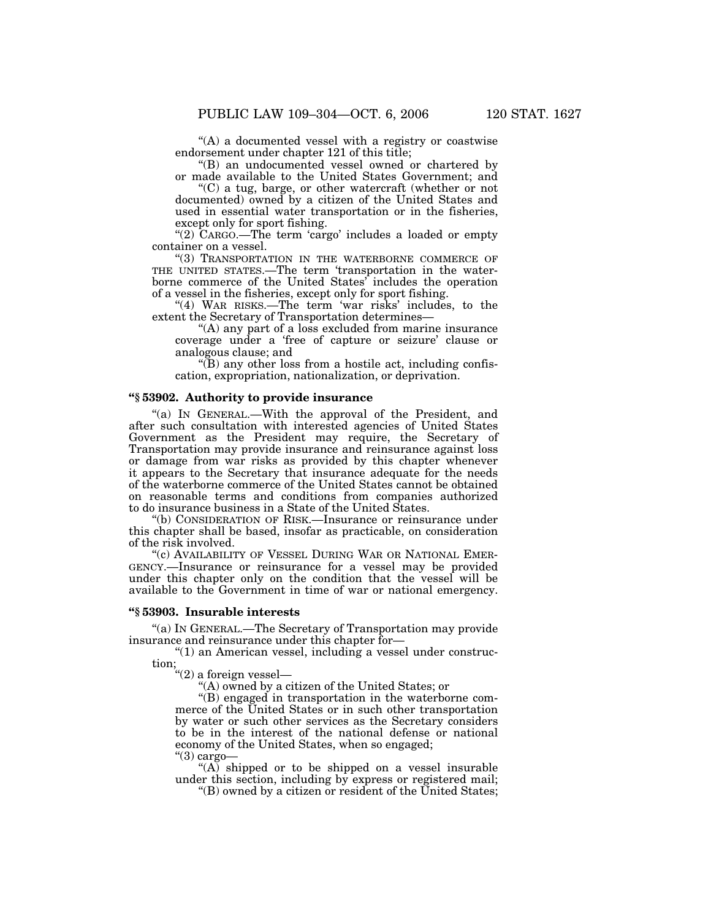''(A) a documented vessel with a registry or coastwise endorsement under chapter 121 of this title;

''(B) an undocumented vessel owned or chartered by or made available to the United States Government; and

''(C) a tug, barge, or other watercraft (whether or not documented) owned by a citizen of the United States and used in essential water transportation or in the fisheries, except only for sport fishing.

"(2) CARGO.—The term 'cargo' includes a loaded or empty container on a vessel.

''(3) TRANSPORTATION IN THE WATERBORNE COMMERCE OF THE UNITED STATES.—The term 'transportation in the waterborne commerce of the United States' includes the operation of a vessel in the fisheries, except only for sport fishing.

"(4) WAR RISKS.—The term 'war risks' includes, to the extent the Secretary of Transportation determines—

''(A) any part of a loss excluded from marine insurance coverage under a 'free of capture or seizure' clause or analogous clause; and

 $\sqrt{\text{B}}$  any other loss from a hostile act, including confiscation, expropriation, nationalization, or deprivation.

## **''§ 53902. Authority to provide insurance**

"(a) IN GENERAL.—With the approval of the President, and after such consultation with interested agencies of United States Government as the President may require, the Secretary of Transportation may provide insurance and reinsurance against loss or damage from war risks as provided by this chapter whenever it appears to the Secretary that insurance adequate for the needs of the waterborne commerce of the United States cannot be obtained on reasonable terms and conditions from companies authorized to do insurance business in a State of the United States.

''(b) CONSIDERATION OF RISK.—Insurance or reinsurance under this chapter shall be based, insofar as practicable, on consideration of the risk involved.

"(c) AVAILABILITY OF VESSEL DURING WAR OR NATIONAL EMER-GENCY.—Insurance or reinsurance for a vessel may be provided under this chapter only on the condition that the vessel will be available to the Government in time of war or national emergency.

# **''§ 53903. Insurable interests**

''(a) IN GENERAL.—The Secretary of Transportation may provide insurance and reinsurance under this chapter for—

 $"(1)$  an American vessel, including a vessel under construction;

''(2) a foreign vessel—

''(A) owned by a citizen of the United States; or

''(B) engaged in transportation in the waterborne commerce of the United States or in such other transportation by water or such other services as the Secretary considers to be in the interest of the national defense or national economy of the United States, when so engaged;

''(3) cargo—

 $(A)$  shipped or to be shipped on a vessel insurable under this section, including by express or registered mail; ''(B) owned by a citizen or resident of the United States;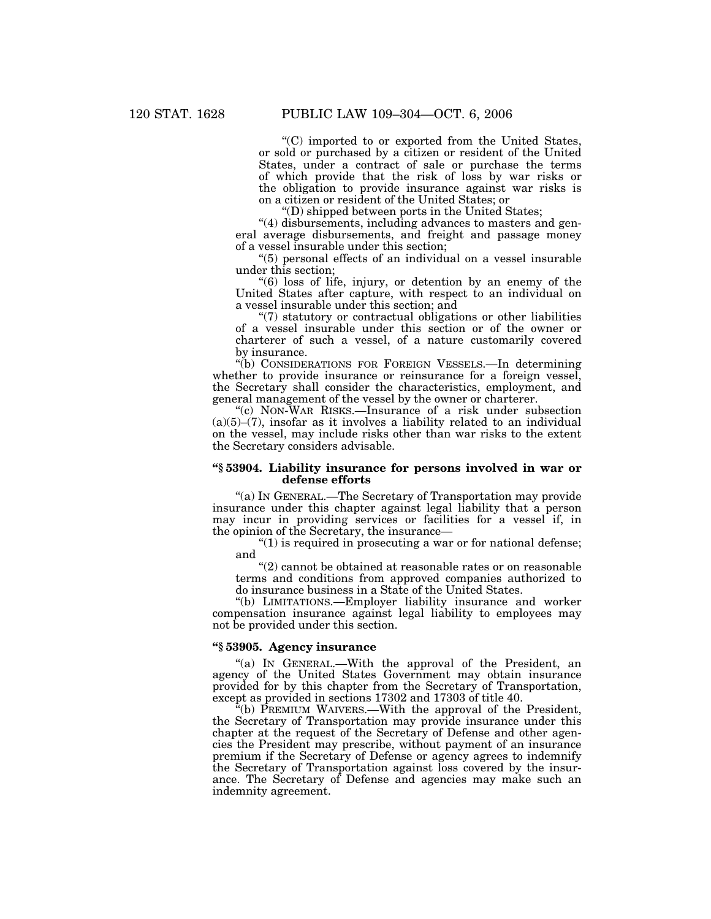''(C) imported to or exported from the United States, or sold or purchased by a citizen or resident of the United States, under a contract of sale or purchase the terms of which provide that the risk of loss by war risks or the obligation to provide insurance against war risks is on a citizen or resident of the United States; or

''(D) shipped between ports in the United States;

''(4) disbursements, including advances to masters and general average disbursements, and freight and passage money of a vessel insurable under this section;

''(5) personal effects of an individual on a vessel insurable under this section;

 $(6)$  loss of life, injury, or detention by an enemy of the United States after capture, with respect to an individual on a vessel insurable under this section; and

"(7) statutory or contractual obligations or other liabilities of a vessel insurable under this section or of the owner or charterer of such a vessel, of a nature customarily covered by insurance.

''(b) CONSIDERATIONS FOR FOREIGN VESSELS.—In determining whether to provide insurance or reinsurance for a foreign vessel, the Secretary shall consider the characteristics, employment, and general management of the vessel by the owner or charterer.

''(c) NON-WAR RISKS.—Insurance of a risk under subsection  $(a)(5)$ – $(7)$ , insofar as it involves a liability related to an individual on the vessel, may include risks other than war risks to the extent the Secretary considers advisable.

## **''§ 53904. Liability insurance for persons involved in war or defense efforts**

''(a) IN GENERAL.—The Secretary of Transportation may provide insurance under this chapter against legal liability that a person may incur in providing services or facilities for a vessel if, in the opinion of the Secretary, the insurance—

" $(1)$  is required in prosecuting a war or for national defense; and

''(2) cannot be obtained at reasonable rates or on reasonable terms and conditions from approved companies authorized to do insurance business in a State of the United States.

''(b) LIMITATIONS.—Employer liability insurance and worker compensation insurance against legal liability to employees may not be provided under this section.

## **''§ 53905. Agency insurance**

''(a) IN GENERAL.—With the approval of the President, an agency of the United States Government may obtain insurance provided for by this chapter from the Secretary of Transportation, except as provided in sections 17302 and 17303 of title 40.

''(b) PREMIUM WAIVERS.—With the approval of the President, the Secretary of Transportation may provide insurance under this chapter at the request of the Secretary of Defense and other agencies the President may prescribe, without payment of an insurance premium if the Secretary of Defense or agency agrees to indemnify the Secretary of Transportation against loss covered by the insurance. The Secretary of Defense and agencies may make such an indemnity agreement.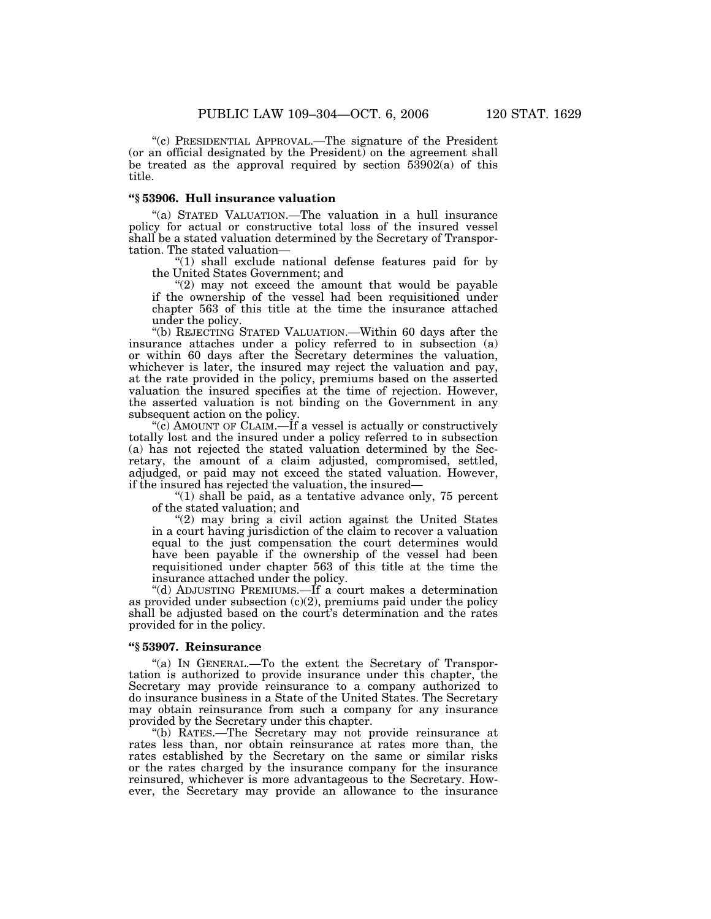''(c) PRESIDENTIAL APPROVAL.—The signature of the President (or an official designated by the President) on the agreement shall be treated as the approval required by section 53902(a) of this title.

### **''§ 53906. Hull insurance valuation**

''(a) STATED VALUATION.—The valuation in a hull insurance policy for actual or constructive total loss of the insured vessel shall be a stated valuation determined by the Secretary of Transportation. The stated valuation—

''(1) shall exclude national defense features paid for by the United States Government; and

 $(2)$  may not exceed the amount that would be payable if the ownership of the vessel had been requisitioned under chapter 563 of this title at the time the insurance attached under the policy.

''(b) REJECTING STATED VALUATION.—Within 60 days after the insurance attaches under a policy referred to in subsection (a) or within 60 days after the Secretary determines the valuation, whichever is later, the insured may reject the valuation and pay, at the rate provided in the policy, premiums based on the asserted valuation the insured specifies at the time of rejection. However, the asserted valuation is not binding on the Government in any subsequent action on the policy.

" $(c)$  AMOUNT OF CLAIM.—If a vessel is actually or constructively totally lost and the insured under a policy referred to in subsection (a) has not rejected the stated valuation determined by the Secretary, the amount of a claim adjusted, compromised, settled, adjudged, or paid may not exceed the stated valuation. However, if the insured has rejected the valuation, the insured—

" $(1)$  shall be paid, as a tentative advance only, 75 percent of the stated valuation; and

''(2) may bring a civil action against the United States in a court having jurisdiction of the claim to recover a valuation equal to the just compensation the court determines would have been payable if the ownership of the vessel had been requisitioned under chapter 563 of this title at the time the insurance attached under the policy.

''(d) ADJUSTING PREMIUMS.—If a court makes a determination as provided under subsection  $(c)(2)$ , premiums paid under the policy shall be adjusted based on the court's determination and the rates provided for in the policy.

### **''§ 53907. Reinsurance**

''(a) IN GENERAL.—To the extent the Secretary of Transportation is authorized to provide insurance under this chapter, the Secretary may provide reinsurance to a company authorized to do insurance business in a State of the United States. The Secretary may obtain reinsurance from such a company for any insurance provided by the Secretary under this chapter.

''(b) RATES.—The Secretary may not provide reinsurance at rates less than, nor obtain reinsurance at rates more than, the rates established by the Secretary on the same or similar risks or the rates charged by the insurance company for the insurance reinsured, whichever is more advantageous to the Secretary. However, the Secretary may provide an allowance to the insurance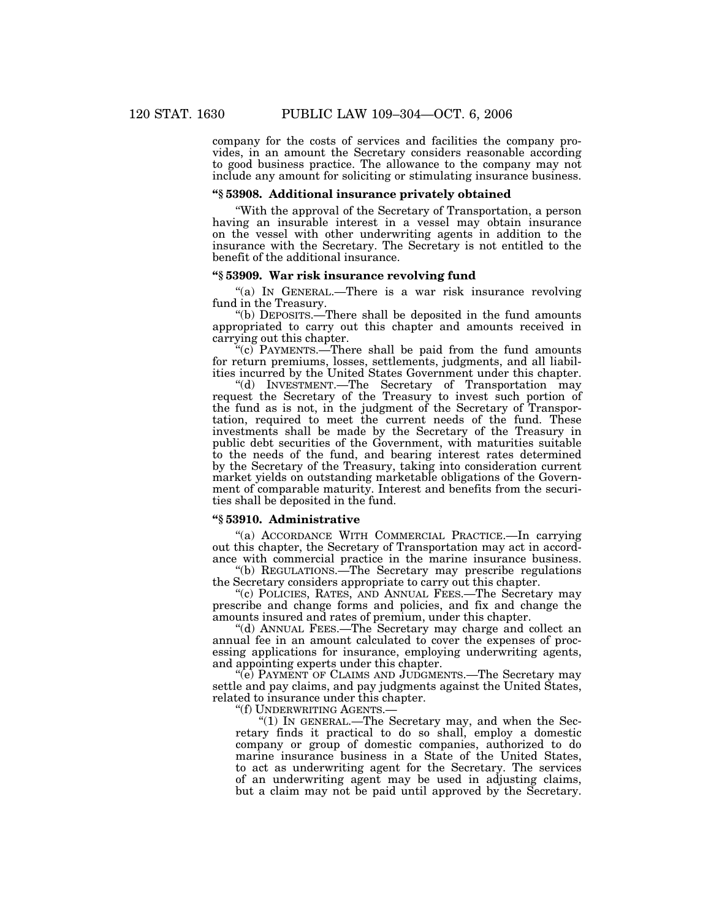company for the costs of services and facilities the company provides, in an amount the Secretary considers reasonable according to good business practice. The allowance to the company may not include any amount for soliciting or stimulating insurance business.

## **''§ 53908. Additional insurance privately obtained**

''With the approval of the Secretary of Transportation, a person having an insurable interest in a vessel may obtain insurance on the vessel with other underwriting agents in addition to the insurance with the Secretary. The Secretary is not entitled to the benefit of the additional insurance.

### **''§ 53909. War risk insurance revolving fund**

"(a) IN GENERAL.—There is a war risk insurance revolving fund in the Treasury.

''(b) DEPOSITS.—There shall be deposited in the fund amounts appropriated to carry out this chapter and amounts received in carrying out this chapter.

''(c) PAYMENTS.—There shall be paid from the fund amounts for return premiums, losses, settlements, judgments, and all liabilities incurred by the United States Government under this chapter.

''(d) INVESTMENT.—The Secretary of Transportation may request the Secretary of the Treasury to invest such portion of the fund as is not, in the judgment of the Secretary of Transportation, required to meet the current needs of the fund. These investments shall be made by the Secretary of the Treasury in public debt securities of the Government, with maturities suitable to the needs of the fund, and bearing interest rates determined by the Secretary of the Treasury, taking into consideration current market yields on outstanding marketable obligations of the Government of comparable maturity. Interest and benefits from the securities shall be deposited in the fund.

#### **''§ 53910. Administrative**

''(a) ACCORDANCE WITH COMMERCIAL PRACTICE.—In carrying out this chapter, the Secretary of Transportation may act in accordance with commercial practice in the marine insurance business.

''(b) REGULATIONS.—The Secretary may prescribe regulations the Secretary considers appropriate to carry out this chapter.

''(c) POLICIES, RATES, AND ANNUAL FEES.—The Secretary may prescribe and change forms and policies, and fix and change the amounts insured and rates of premium, under this chapter.

''(d) ANNUAL FEES.—The Secretary may charge and collect an annual fee in an amount calculated to cover the expenses of processing applications for insurance, employing underwriting agents, and appointing experts under this chapter.

'(e) PAYMENT OF CLAIMS AND JUDGMENTS.—The Secretary may settle and pay claims, and pay judgments against the United States, related to insurance under this chapter.

''(f) UNDERWRITING AGENTS.—

''(1) IN GENERAL.—The Secretary may, and when the Secretary finds it practical to do so shall, employ a domestic company or group of domestic companies, authorized to do marine insurance business in a State of the United States, to act as underwriting agent for the Secretary. The services of an underwriting agent may be used in adjusting claims, but a claim may not be paid until approved by the Secretary.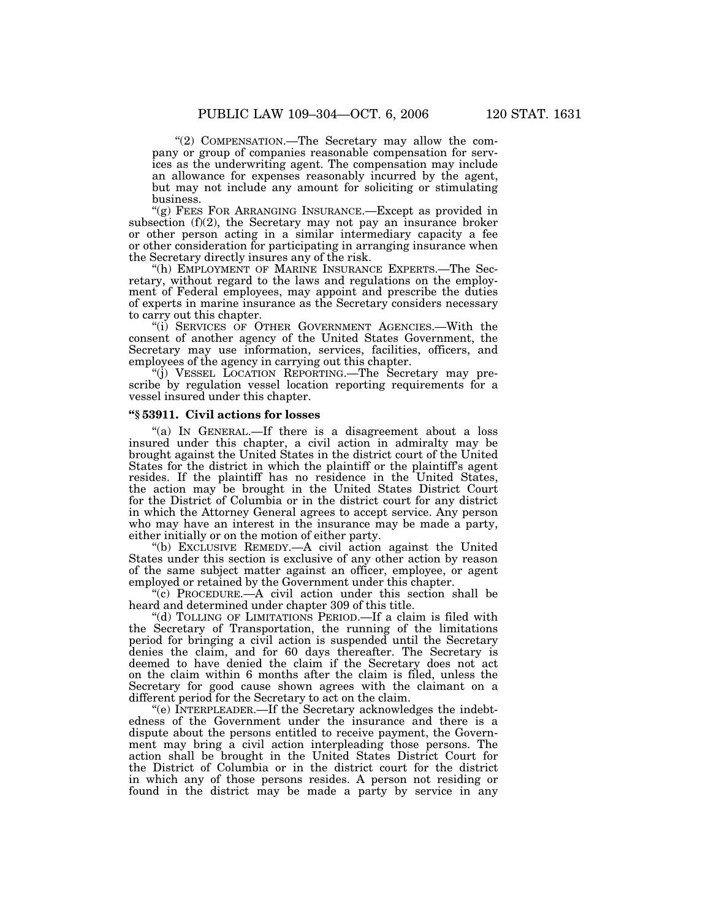''(2) COMPENSATION.—The Secretary may allow the company or group of companies reasonable compensation for services as the underwriting agent. The compensation may include an allowance for expenses reasonably incurred by the agent, but may not include any amount for soliciting or stimulating business.

"(g) FEES FOR ARRANGING INSURANCE.—Except as provided in subsection  $(f)(2)$ , the Secretary may not pay an insurance broker or other person acting in a similar intermediary capacity a fee or other consideration for participating in arranging insurance when the Secretary directly insures any of the risk.

''(h) EMPLOYMENT OF MARINE INSURANCE EXPERTS.—The Secretary, without regard to the laws and regulations on the employment of Federal employees, may appoint and prescribe the duties of experts in marine insurance as the Secretary considers necessary to carry out this chapter.

''(i) SERVICES OF OTHER GOVERNMENT AGENCIES.—With the consent of another agency of the United States Government, the Secretary may use information, services, facilities, officers, and employees of the agency in carrying out this chapter.

''(j) VESSEL LOCATION REPORTING.—The Secretary may prescribe by regulation vessel location reporting requirements for a vessel insured under this chapter.

## **''§ 53911. Civil actions for losses**

''(a) IN GENERAL.—If there is a disagreement about a loss insured under this chapter, a civil action in admiralty may be brought against the United States in the district court of the United States for the district in which the plaintiff or the plaintiff's agent resides. If the plaintiff has no residence in the United States, the action may be brought in the United States District Court for the District of Columbia or in the district court for any district in which the Attorney General agrees to accept service. Any person who may have an interest in the insurance may be made a party, either initially or on the motion of either party.

''(b) EXCLUSIVE REMEDY.—A civil action against the United States under this section is exclusive of any other action by reason of the same subject matter against an officer, employee, or agent employed or retained by the Government under this chapter.

''(c) PROCEDURE.—A civil action under this section shall be heard and determined under chapter 309 of this title.

''(d) TOLLING OF LIMITATIONS PERIOD.—If a claim is filed with the Secretary of Transportation, the running of the limitations period for bringing a civil action is suspended until the Secretary denies the claim, and for 60 days thereafter. The Secretary is deemed to have denied the claim if the Secretary does not act on the claim within 6 months after the claim is filed, unless the Secretary for good cause shown agrees with the claimant on a different period for the Secretary to act on the claim.

"(e) INTERPLEADER.—If the Secretary acknowledges the indebtedness of the Government under the insurance and there is a dispute about the persons entitled to receive payment, the Government may bring a civil action interpleading those persons. The action shall be brought in the United States District Court for the District of Columbia or in the district court for the district in which any of those persons resides. A person not residing or found in the district may be made a party by service in any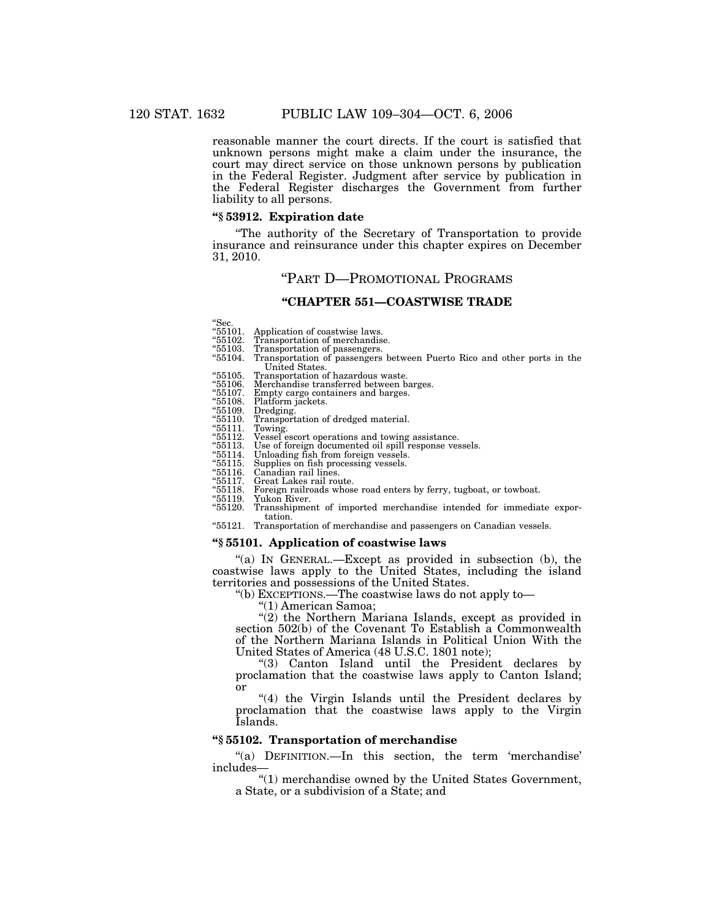reasonable manner the court directs. If the court is satisfied that unknown persons might make a claim under the insurance, the court may direct service on those unknown persons by publication in the Federal Register. Judgment after service by publication in the Federal Register discharges the Government from further liability to all persons.

## **''§ 53912. Expiration date**

''The authority of the Secretary of Transportation to provide insurance and reinsurance under this chapter expires on December 31, 2010.

# ''PART D—PROMOTIONAL PROGRAMS

## **''CHAPTER 551—COASTWISE TRADE**

 $\frac{66}{155101}$ . ''55101. Application of coastwise laws. ''55102. Transportation of merchandise.

- "55103. Transportation of passengers.<br>"55104. Transportation of passengers Transportation of passengers between Puerto Rico and other ports in the United States.
- ''55105. Transportation of hazardous waste.

"55106. Merchandise transferred between barges.<br>"55107. Empty cargo containers and barges.<br>"55108. Platform jackets.

Empty cargo containers and barges.

- "55108. Platform jackets.<br>"55109. Dredging. "55109. Dredging.<br>"55110. Transport
- ''55110. Transportation of dredged material.
- "55111. Towing.<br>"55112. Vessel e
- 
- ''55112. Vessel escort operations and towing assistance. ''55113. Use of foreign documented oil spill response vessels. ''55114. Unloading fish from foreign vessels. ''55115. Supplies on fish processing vessels.
- 
- 
- "55116. Canadian rail lines.<br>"55117. Great Lakes rail rou
- "55117. Great Lakes rail route.<br>"55118. Foreign railroads whose ''55118. Foreign railroads whose road enters by ferry, tugboat, or towboat.
- 
- "55119. Yukon River.<br>"55120. Transshipme Transshipment of imported merchandise intended for immediate exportation.
- "55121. Transportation of merchandise and passengers on Canadian vessels.

## **''§ 55101. Application of coastwise laws**

"(a) IN GENERAL.—Except as provided in subsection (b), the coastwise laws apply to the United States, including the island territories and possessions of the United States.

''(b) EXCEPTIONS.—The coastwise laws do not apply to—

'(1) American Samoa;

"(2) the Northern Mariana Islands, except as provided in section 502(b) of the Covenant To Establish a Commonwealth of the Northern Mariana Islands in Political Union With the United States of America (48 U.S.C. 1801 note);

''(3) Canton Island until the President declares by proclamation that the coastwise laws apply to Canton Island; or

"(4) the Virgin Islands until the President declares by proclamation that the coastwise laws apply to the Virgin Islands.

## **''§ 55102. Transportation of merchandise**

"(a) DEFINITION.—In this section, the term 'merchandise' includes—

''(1) merchandise owned by the United States Government, a State, or a subdivision of a State; and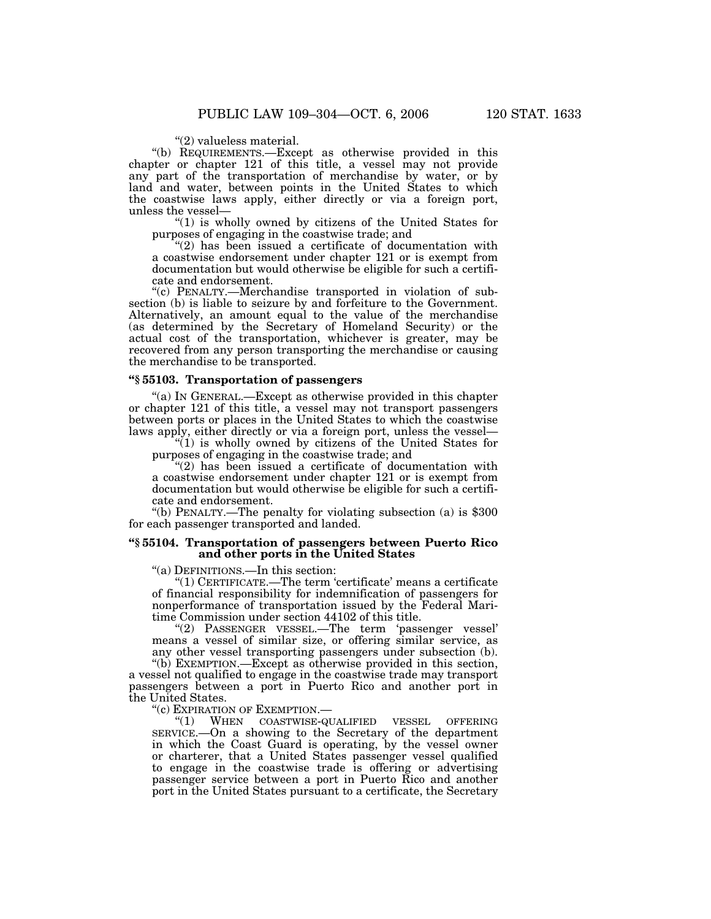''(2) valueless material.

''(b) REQUIREMENTS.—Except as otherwise provided in this chapter or chapter 121 of this title, a vessel may not provide any part of the transportation of merchandise by water, or by land and water, between points in the United States to which the coastwise laws apply, either directly or via a foreign port, unless the vessel—

''(1) is wholly owned by citizens of the United States for purposes of engaging in the coastwise trade; and

"(2) has been issued a certificate of documentation with a coastwise endorsement under chapter 121 or is exempt from documentation but would otherwise be eligible for such a certificate and endorsement.

''(c) PENALTY.—Merchandise transported in violation of subsection (b) is liable to seizure by and forfeiture to the Government. Alternatively, an amount equal to the value of the merchandise (as determined by the Secretary of Homeland Security) or the actual cost of the transportation, whichever is greater, may be recovered from any person transporting the merchandise or causing the merchandise to be transported.

### **''§ 55103. Transportation of passengers**

"(a) IN GENERAL.—Except as otherwise provided in this chapter or chapter 121 of this title, a vessel may not transport passengers between ports or places in the United States to which the coastwise laws apply, either directly or via a foreign port, unless the vessel—

 $\sqrt[n]{(1)}$  is wholly owned by citizens of the United States for purposes of engaging in the coastwise trade; and

"(2) has been issued a certificate of documentation with a coastwise endorsement under chapter 121 or is exempt from documentation but would otherwise be eligible for such a certificate and endorsement.

''(b) PENALTY.—The penalty for violating subsection (a) is \$300 for each passenger transported and landed.

### **''§ 55104. Transportation of passengers between Puerto Rico and other ports in the United States**

''(a) DEFINITIONS.—In this section:

''(1) CERTIFICATE.—The term 'certificate' means a certificate of financial responsibility for indemnification of passengers for nonperformance of transportation issued by the Federal Maritime Commission under section 44102 of this title.

''(2) PASSENGER VESSEL.—The term 'passenger vessel' means a vessel of similar size, or offering similar service, as any other vessel transporting passengers under subsection (b).

''(b) EXEMPTION.—Except as otherwise provided in this section, a vessel not qualified to engage in the coastwise trade may transport passengers between a port in Puerto Rico and another port in the United States.

''(c) EXPIRATION OF EXEMPTION.—

''(1) WHEN COASTWISE-QUALIFIED VESSEL OFFERING SERVICE.—On a showing to the Secretary of the department in which the Coast Guard is operating, by the vessel owner or charterer, that a United States passenger vessel qualified to engage in the coastwise trade is offering or advertising passenger service between a port in Puerto Rico and another port in the United States pursuant to a certificate, the Secretary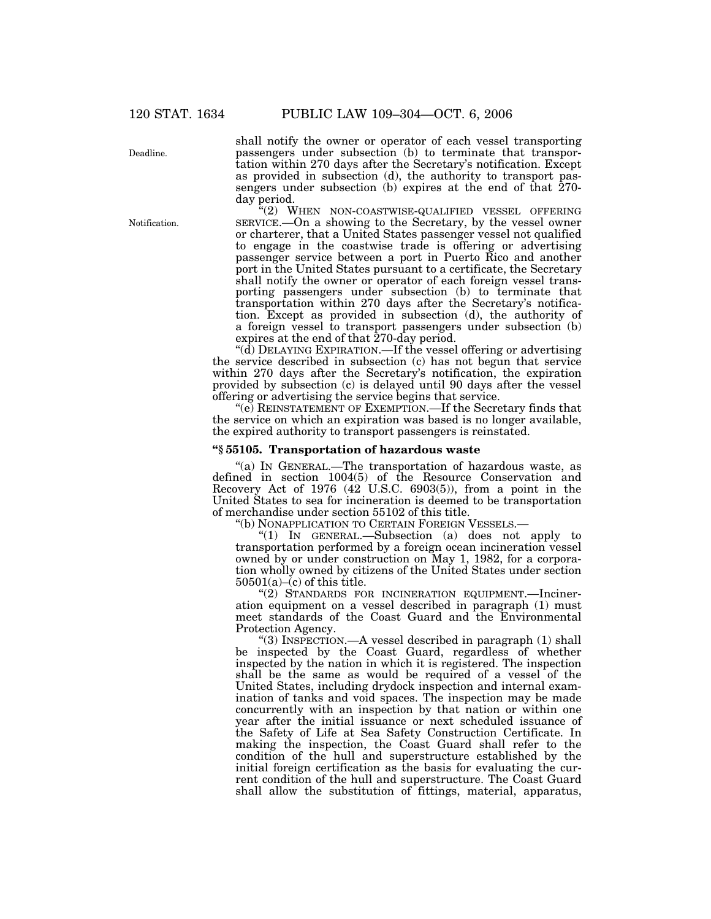shall notify the owner or operator of each vessel transporting passengers under subsection (b) to terminate that transportation within 270 days after the Secretary's notification. Except as provided in subsection (d), the authority to transport passengers under subsection (b) expires at the end of that  $270$ day period.

''(2) WHEN NON-COASTWISE-QUALIFIED VESSEL OFFERING SERVICE.—On a showing to the Secretary, by the vessel owner or charterer, that a United States passenger vessel not qualified to engage in the coastwise trade is offering or advertising passenger service between a port in Puerto Rico and another port in the United States pursuant to a certificate, the Secretary shall notify the owner or operator of each foreign vessel transporting passengers under subsection (b) to terminate that transportation within 270 days after the Secretary's notification. Except as provided in subsection (d), the authority of a foreign vessel to transport passengers under subsection (b) expires at the end of that 270-day period.

''(d) DELAYING EXPIRATION.—If the vessel offering or advertising the service described in subsection (c) has not begun that service within 270 days after the Secretary's notification, the expiration provided by subsection (c) is delayed until 90 days after the vessel offering or advertising the service begins that service.

"(e) REINSTATEMENT OF EXEMPTION.—If the Secretary finds that the service on which an expiration was based is no longer available, the expired authority to transport passengers is reinstated.

### **''§ 55105. Transportation of hazardous waste**

"(a) IN GENERAL.—The transportation of hazardous waste, as defined in section 1004(5) of the Resource Conservation and Recovery Act of 1976 (42 U.S.C. 6903(5)), from a point in the United States to sea for incineration is deemed to be transportation of merchandise under section 55102 of this title.

''(b) NONAPPLICATION TO CERTAIN FOREIGN VESSELS.—

"(1) IN GENERAL.—Subsection (a) does not apply to transportation performed by a foreign ocean incineration vessel owned by or under construction on May 1, 1982, for a corporation wholly owned by citizens of the United States under section  $50501(a)$ –(c) of this title.

''(2) STANDARDS FOR INCINERATION EQUIPMENT.—Incineration equipment on a vessel described in paragraph (1) must meet standards of the Coast Guard and the Environmental Protection Agency.

''(3) INSPECTION.—A vessel described in paragraph (1) shall be inspected by the Coast Guard, regardless of whether inspected by the nation in which it is registered. The inspection shall be the same as would be required of a vessel of the United States, including drydock inspection and internal examination of tanks and void spaces. The inspection may be made concurrently with an inspection by that nation or within one year after the initial issuance or next scheduled issuance of the Safety of Life at Sea Safety Construction Certificate. In making the inspection, the Coast Guard shall refer to the condition of the hull and superstructure established by the initial foreign certification as the basis for evaluating the current condition of the hull and superstructure. The Coast Guard shall allow the substitution of fittings, material, apparatus,

Deadline.

Notification.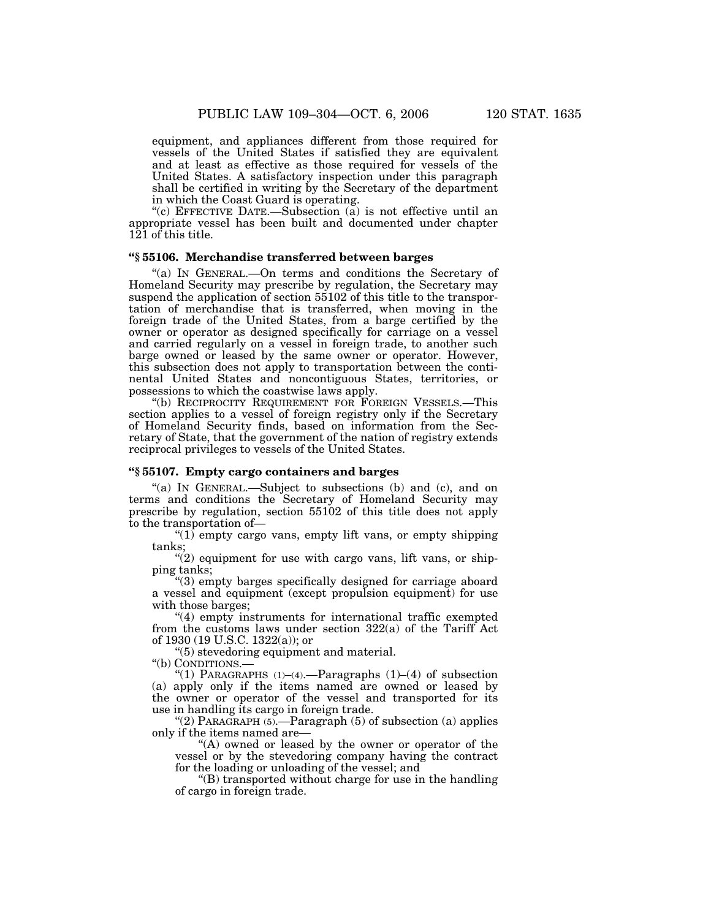equipment, and appliances different from those required for vessels of the United States if satisfied they are equivalent and at least as effective as those required for vessels of the United States. A satisfactory inspection under this paragraph shall be certified in writing by the Secretary of the department in which the Coast Guard is operating.

"(c) EFFECTIVE DATE.—Subsection  $\left(\frac{\alpha}{2}\right)$  is not effective until an appropriate vessel has been built and documented under chapter 121 of this title.

### **''§ 55106. Merchandise transferred between barges**

''(a) IN GENERAL.—On terms and conditions the Secretary of Homeland Security may prescribe by regulation, the Secretary may suspend the application of section 55102 of this title to the transportation of merchandise that is transferred, when moving in the foreign trade of the United States, from a barge certified by the owner or operator as designed specifically for carriage on a vessel and carried regularly on a vessel in foreign trade, to another such barge owned or leased by the same owner or operator. However, this subsection does not apply to transportation between the continental United States and noncontiguous States, territories, or possessions to which the coastwise laws apply.

"(b) RECIPROCITY REQUIREMENT FOR FOREIGN VESSELS.—This section applies to a vessel of foreign registry only if the Secretary of Homeland Security finds, based on information from the Secretary of State, that the government of the nation of registry extends reciprocal privileges to vessels of the United States.

## **''§ 55107. Empty cargo containers and barges**

"(a) IN GENERAL.—Subject to subsections (b) and (c), and on terms and conditions the Secretary of Homeland Security may prescribe by regulation, section 55102 of this title does not apply to the transportation of—

" $(1)$  empty cargo vans, empty lift vans, or empty shipping tanks;

 $''(2)$  equipment for use with cargo vans, lift vans, or shipping tanks;

''(3) empty barges specifically designed for carriage aboard a vessel and equipment (except propulsion equipment) for use with those barges;

''(4) empty instruments for international traffic exempted from the customs laws under section 322(a) of the Tariff Act of 1930 (19 U.S.C. 1322(a)); or

''(5) stevedoring equipment and material.

"(b) CONDITIONS.-

"(1) PARAGRAPHS  $(1)$ - $(4)$ . - Paragraphs  $(1)$ - $(4)$  of subsection (a) apply only if the items named are owned or leased by the owner or operator of the vessel and transported for its use in handling its cargo in foreign trade.

"(2) PARAGRAPH  $(5)$ .—Paragraph  $(5)$  of subsection  $(a)$  applies only if the items named are—

"(A) owned or leased by the owner or operator of the vessel or by the stevedoring company having the contract for the loading or unloading of the vessel; and

''(B) transported without charge for use in the handling of cargo in foreign trade.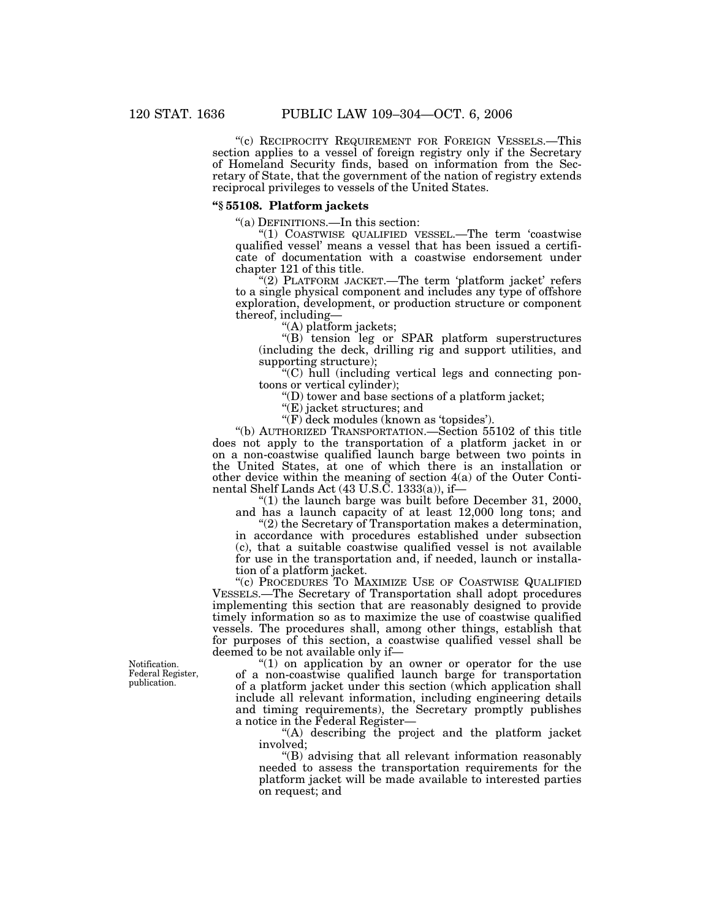"(c) RECIPROCITY REQUIREMENT FOR FOREIGN VESSELS.—This section applies to a vessel of foreign registry only if the Secretary of Homeland Security finds, based on information from the Secretary of State, that the government of the nation of registry extends reciprocal privileges to vessels of the United States.

### **''§ 55108. Platform jackets**

''(a) DEFINITIONS.—In this section:

''(1) COASTWISE QUALIFIED VESSEL.—The term 'coastwise qualified vessel' means a vessel that has been issued a certificate of documentation with a coastwise endorsement under chapter 121 of this title.

"(2) PLATFORM JACKET.—The term 'platform jacket' refers to a single physical component and includes any type of offshore exploration, development, or production structure or component thereof, including—

''(A) platform jackets;

"(B) tension leg or SPAR platform superstructures (including the deck, drilling rig and support utilities, and supporting structure);

''(C) hull (including vertical legs and connecting pontoons or vertical cylinder);

''(D) tower and base sections of a platform jacket;

''(E) jacket structures; and

''(F) deck modules (known as 'topsides').

''(b) AUTHORIZED TRANSPORTATION.—Section 55102 of this title does not apply to the transportation of a platform jacket in or on a non-coastwise qualified launch barge between two points in the United States, at one of which there is an installation or other device within the meaning of section 4(a) of the Outer Continental Shelf Lands Act (43 U.S.C. 1333(a)), if—

" $(1)$  the launch barge was built before December 31, 2000, and has a launch capacity of at least 12,000 long tons; and

''(2) the Secretary of Transportation makes a determination, in accordance with procedures established under subsection (c), that a suitable coastwise qualified vessel is not available for use in the transportation and, if needed, launch or installation of a platform jacket.

''(c) PROCEDURES TO MAXIMIZE USE OF COASTWISE QUALIFIED VESSELS.—The Secretary of Transportation shall adopt procedures implementing this section that are reasonably designed to provide timely information so as to maximize the use of coastwise qualified vessels. The procedures shall, among other things, establish that for purposes of this section, a coastwise qualified vessel shall be deemed to be not available only if—

"(1) on application by an owner or operator for the use of a non-coastwise qualified launch barge for transportation of a platform jacket under this section (which application shall include all relevant information, including engineering details and timing requirements), the Secretary promptly publishes a notice in the Federal Register—

''(A) describing the project and the platform jacket involved;

''(B) advising that all relevant information reasonably needed to assess the transportation requirements for the platform jacket will be made available to interested parties on request; and

Notification. Federal Register, publication.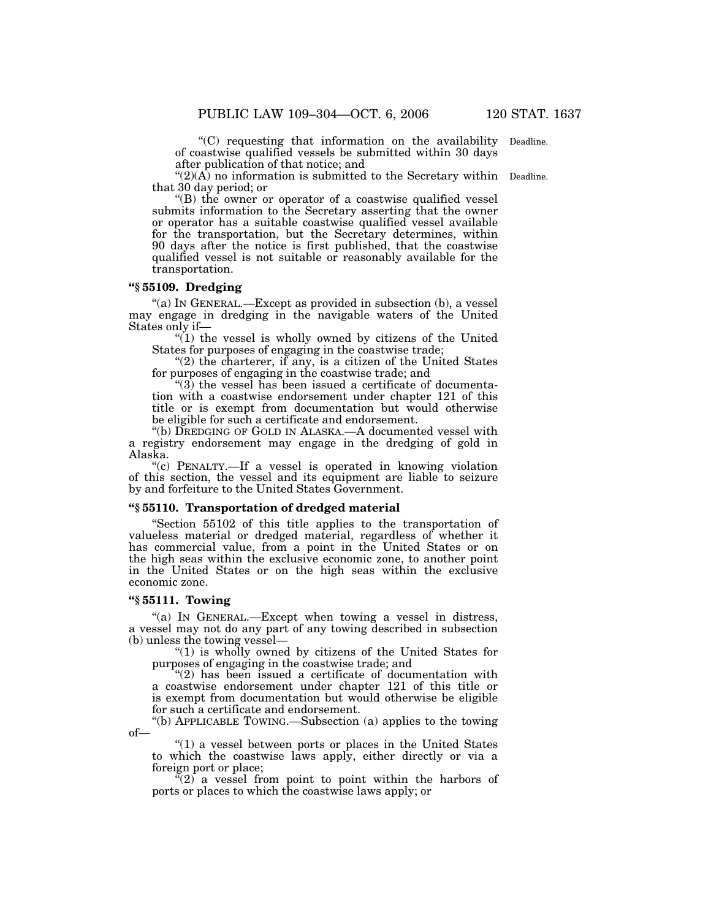"(C) requesting that information on the availability Deadline. of coastwise qualified vessels be submitted within 30 days after publication of that notice; and

 $\mathcal{L}(2)(A)$  no information is submitted to the Secretary within Deadline. that 30 day period; or

''(B) the owner or operator of a coastwise qualified vessel submits information to the Secretary asserting that the owner or operator has a suitable coastwise qualified vessel available for the transportation, but the Secretary determines, within 90 days after the notice is first published, that the coastwise qualified vessel is not suitable or reasonably available for the transportation.

### **''§ 55109. Dredging**

''(a) IN GENERAL.—Except as provided in subsection (b), a vessel may engage in dredging in the navigable waters of the United States only if—

 $(1)$  the vessel is wholly owned by citizens of the United States for purposes of engaging in the coastwise trade;

"(2) the charterer, if any, is a citizen of the United States for purposes of engaging in the coastwise trade; and

" $(3)$  the vessel has been issued a certificate of documentation with a coastwise endorsement under chapter 121 of this title or is exempt from documentation but would otherwise be eligible for such a certificate and endorsement.

''(b) DREDGING OF GOLD IN ALASKA.—A documented vessel with a registry endorsement may engage in the dredging of gold in Alaska.

''(c) PENALTY.—If a vessel is operated in knowing violation of this section, the vessel and its equipment are liable to seizure by and forfeiture to the United States Government.

### **''§ 55110. Transportation of dredged material**

''Section 55102 of this title applies to the transportation of valueless material or dredged material, regardless of whether it has commercial value, from a point in the United States or on the high seas within the exclusive economic zone, to another point in the United States or on the high seas within the exclusive economic zone.

## **''§ 55111. Towing**

"(a) IN GENERAL.—Except when towing a vessel in distress, a vessel may not do any part of any towing described in subsection (b) unless the towing vessel—

''(1) is wholly owned by citizens of the United States for purposes of engaging in the coastwise trade; and

"(2) has been issued a certificate of documentation with a coastwise endorsement under chapter 121 of this title or is exempt from documentation but would otherwise be eligible for such a certificate and endorsement.

''(b) APPLICABLE TOWING.—Subsection (a) applies to the towing of—

''(1) a vessel between ports or places in the United States to which the coastwise laws apply, either directly or via a foreign port or place;

 $f(2)$  a vessel from point to point within the harbors of ports or places to which the coastwise laws apply; or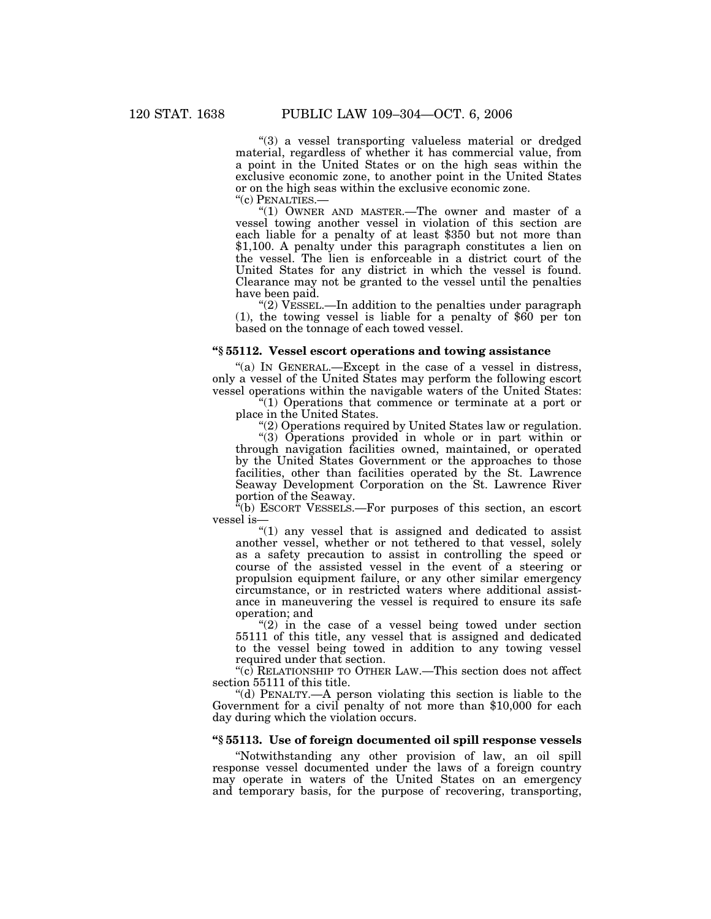"(3) a vessel transporting valueless material or dredged material, regardless of whether it has commercial value, from a point in the United States or on the high seas within the exclusive economic zone, to another point in the United States or on the high seas within the exclusive economic zone. ''(c) PENALTIES.—

"(1) OWNER AND MASTER.—The owner and master of a vessel towing another vessel in violation of this section are each liable for a penalty of at least \$350 but not more than \$1,100. A penalty under this paragraph constitutes a lien on the vessel. The lien is enforceable in a district court of the United States for any district in which the vessel is found. Clearance may not be granted to the vessel until the penalties have been paid.

"(2) VESSEL.—In addition to the penalties under paragraph (1), the towing vessel is liable for a penalty of \$60 per ton based on the tonnage of each towed vessel.

## **''§ 55112. Vessel escort operations and towing assistance**

"(a) IN GENERAL.—Except in the case of a vessel in distress, only a vessel of the United States may perform the following escort vessel operations within the navigable waters of the United States:

 $''(1)$  Operations that commence or terminate at a port or place in the United States.

"(2) Operations required by United States law or regulation.

''(3) Operations provided in whole or in part within or through navigation facilities owned, maintained, or operated by the United States Government or the approaches to those facilities, other than facilities operated by the St. Lawrence Seaway Development Corporation on the St. Lawrence River portion of the Seaway.

''(b) ESCORT VESSELS.—For purposes of this section, an escort vessel is—

"(1) any vessel that is assigned and dedicated to assist another vessel, whether or not tethered to that vessel, solely as a safety precaution to assist in controlling the speed or course of the assisted vessel in the event of a steering or propulsion equipment failure, or any other similar emergency circumstance, or in restricted waters where additional assistance in maneuvering the vessel is required to ensure its safe operation; and

"(2) in the case of a vessel being towed under section 55111 of this title, any vessel that is assigned and dedicated to the vessel being towed in addition to any towing vessel required under that section.

"(c) RELATIONSHIP TO OTHER LAW.—This section does not affect section 55111 of this title.

''(d) PENALTY.—A person violating this section is liable to the Government for a civil penalty of not more than \$10,000 for each day during which the violation occurs.

### **''§ 55113. Use of foreign documented oil spill response vessels**

''Notwithstanding any other provision of law, an oil spill response vessel documented under the laws of a foreign country may operate in waters of the United States on an emergency and temporary basis, for the purpose of recovering, transporting,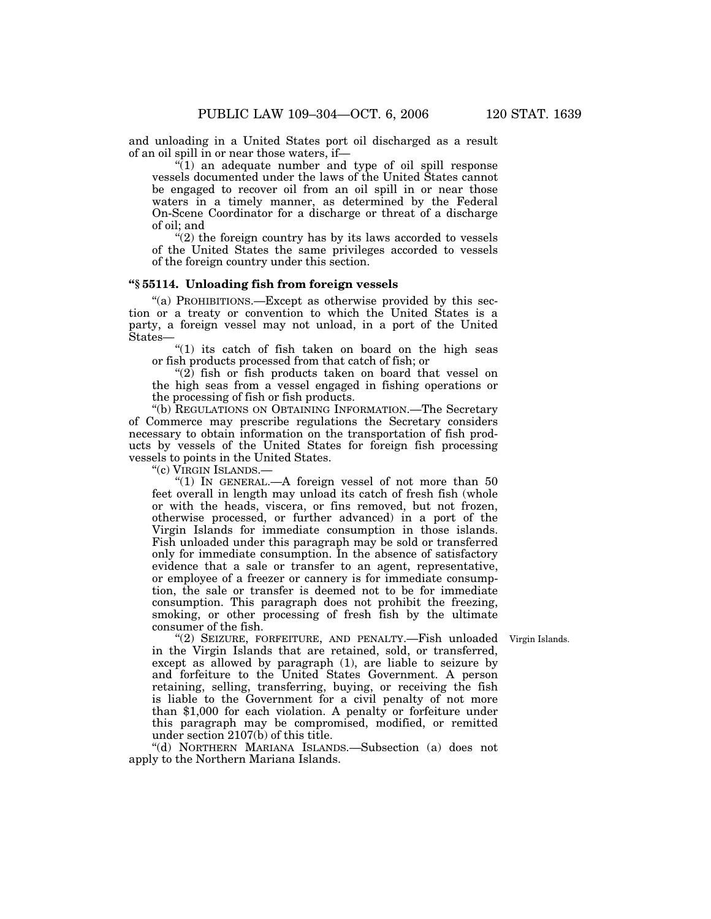and unloading in a United States port oil discharged as a result of an oil spill in or near those waters, if—

 $\sqrt[n]{(1)}$  an adequate number and type of oil spill response vessels documented under the laws of the United States cannot be engaged to recover oil from an oil spill in or near those waters in a timely manner, as determined by the Federal On-Scene Coordinator for a discharge or threat of a discharge of oil; and

" $(2)$  the foreign country has by its laws accorded to vessels of the United States the same privileges accorded to vessels of the foreign country under this section.

## **''§ 55114. Unloading fish from foreign vessels**

"(a) PROHIBITIONS.—Except as otherwise provided by this section or a treaty or convention to which the United States is a party, a foreign vessel may not unload, in a port of the United States—

" $(1)$  its catch of fish taken on board on the high seas or fish products processed from that catch of fish; or

" $(2)$  fish or fish products taken on board that vessel on the high seas from a vessel engaged in fishing operations or the processing of fish or fish products.

''(b) REGULATIONS ON OBTAINING INFORMATION.—The Secretary of Commerce may prescribe regulations the Secretary considers necessary to obtain information on the transportation of fish products by vessels of the United States for foreign fish processing vessels to points in the United States.

''(c) VIRGIN ISLANDS.—

" $(1)$  In GENERAL.—A foreign vessel of not more than 50 feet overall in length may unload its catch of fresh fish (whole or with the heads, viscera, or fins removed, but not frozen, otherwise processed, or further advanced) in a port of the Virgin Islands for immediate consumption in those islands. Fish unloaded under this paragraph may be sold or transferred only for immediate consumption. In the absence of satisfactory evidence that a sale or transfer to an agent, representative, or employee of a freezer or cannery is for immediate consumption, the sale or transfer is deemed not to be for immediate consumption. This paragraph does not prohibit the freezing, smoking, or other processing of fresh fish by the ultimate consumer of the fish.

"(2) SEIZURE, FORFEITURE, AND PENALTY.—Fish unloaded Virgin Islands. in the Virgin Islands that are retained, sold, or transferred, except as allowed by paragraph (1), are liable to seizure by and forfeiture to the United States Government. A person retaining, selling, transferring, buying, or receiving the fish is liable to the Government for a civil penalty of not more than \$1,000 for each violation. A penalty or forfeiture under this paragraph may be compromised, modified, or remitted under section 2107(b) of this title.

''(d) NORTHERN MARIANA ISLANDS.—Subsection (a) does not apply to the Northern Mariana Islands.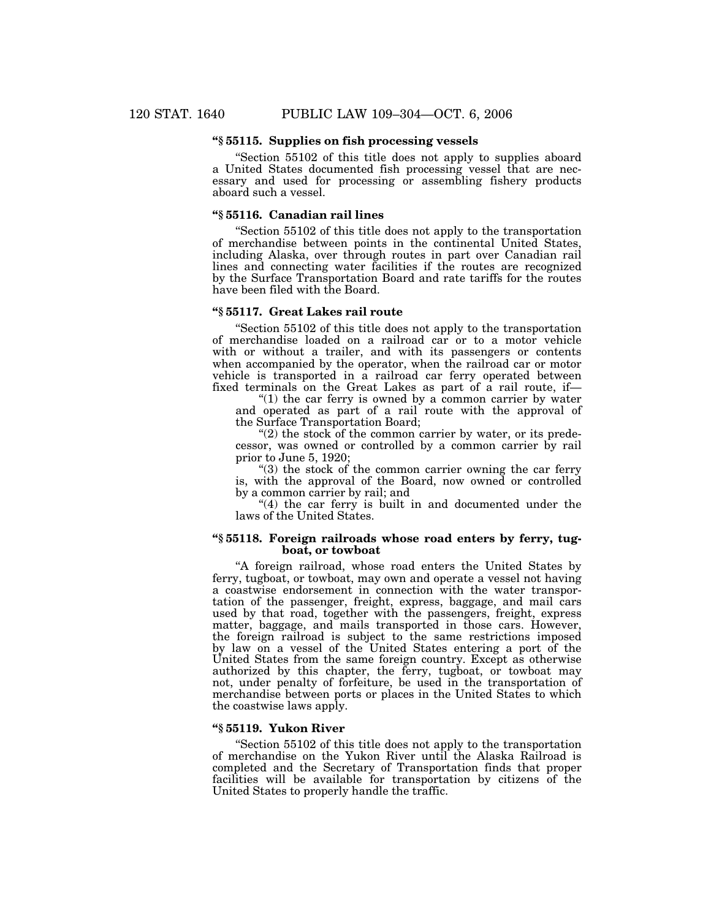## **''§ 55115. Supplies on fish processing vessels**

''Section 55102 of this title does not apply to supplies aboard a United States documented fish processing vessel that are necessary and used for processing or assembling fishery products aboard such a vessel.

## **''§ 55116. Canadian rail lines**

''Section 55102 of this title does not apply to the transportation of merchandise between points in the continental United States, including Alaska, over through routes in part over Canadian rail lines and connecting water facilities if the routes are recognized by the Surface Transportation Board and rate tariffs for the routes have been filed with the Board.

### **''§ 55117. Great Lakes rail route**

''Section 55102 of this title does not apply to the transportation of merchandise loaded on a railroad car or to a motor vehicle with or without a trailer, and with its passengers or contents when accompanied by the operator, when the railroad car or motor vehicle is transported in a railroad car ferry operated between fixed terminals on the Great Lakes as part of a rail route, if—

" $(1)$  the car ferry is owned by a common carrier by water and operated as part of a rail route with the approval of the Surface Transportation Board;

" $(2)$  the stock of the common carrier by water, or its predecessor, was owned or controlled by a common carrier by rail prior to June 5, 1920;

"(3) the stock of the common carrier owning the car ferry is, with the approval of the Board, now owned or controlled by a common carrier by rail; and

"(4) the car ferry is built in and documented under the laws of the United States.

### **''§ 55118. Foreign railroads whose road enters by ferry, tugboat, or towboat**

''A foreign railroad, whose road enters the United States by ferry, tugboat, or towboat, may own and operate a vessel not having a coastwise endorsement in connection with the water transportation of the passenger, freight, express, baggage, and mail cars used by that road, together with the passengers, freight, express matter, baggage, and mails transported in those cars. However, the foreign railroad is subject to the same restrictions imposed by law on a vessel of the United States entering a port of the United States from the same foreign country. Except as otherwise authorized by this chapter, the ferry, tugboat, or towboat may not, under penalty of forfeiture, be used in the transportation of merchandise between ports or places in the United States to which the coastwise laws apply.

### **''§ 55119. Yukon River**

''Section 55102 of this title does not apply to the transportation of merchandise on the Yukon River until the Alaska Railroad is completed and the Secretary of Transportation finds that proper facilities will be available for transportation by citizens of the United States to properly handle the traffic.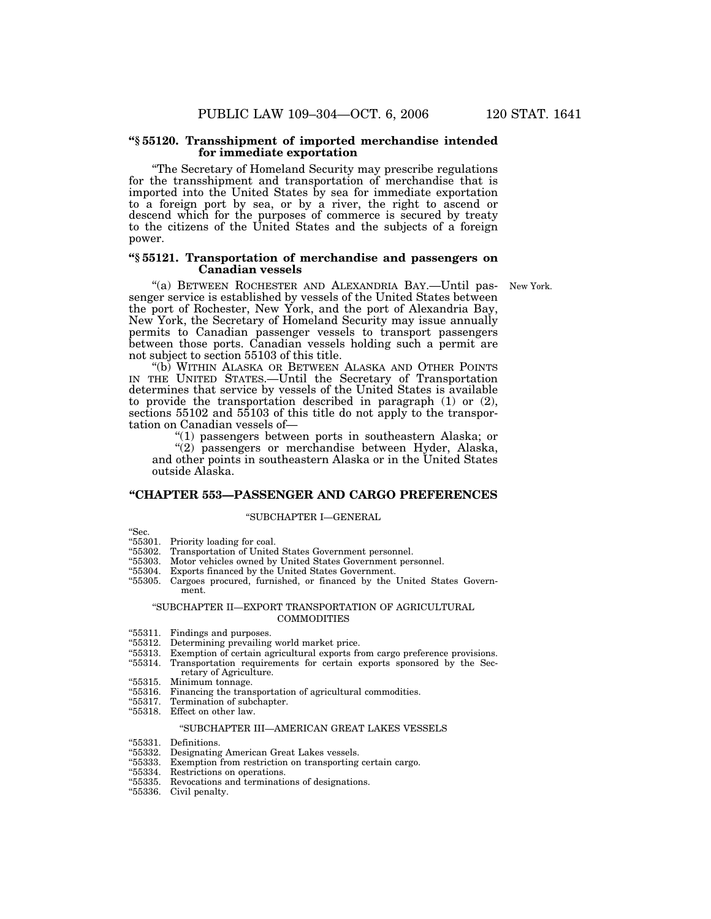### **''§ 55120. Transshipment of imported merchandise intended for immediate exportation**

''The Secretary of Homeland Security may prescribe regulations for the transshipment and transportation of merchandise that is imported into the United States by sea for immediate exportation to a foreign port by sea, or by a river, the right to ascend or descend which for the purposes of commerce is secured by treaty to the citizens of the United States and the subjects of a foreign power.

### **''§ 55121. Transportation of merchandise and passengers on Canadian vessels**

"(a) BETWEEN ROCHESTER AND ALEXANDRIA BAY.—Until pas- New York. senger service is established by vessels of the United States between the port of Rochester, New York, and the port of Alexandria Bay, New York, the Secretary of Homeland Security may issue annually permits to Canadian passenger vessels to transport passengers between those ports. Canadian vessels holding such a permit are not subject to section 55103 of this title.

''(b) WITHIN ALASKA OR BETWEEN ALASKA AND OTHER POINTS IN THE UNITED STATES.—Until the Secretary of Transportation determines that service by vessels of the United States is available to provide the transportation described in paragraph (1) or (2), sections 55102 and 55103 of this title do not apply to the transportation on Canadian vessels of—

''(1) passengers between ports in southeastern Alaska; or

"(2) passengers or merchandise between Hyder, Alaska, and other points in southeastern Alaska or in the United States outside Alaska.

## **''CHAPTER 553—PASSENGER AND CARGO PREFERENCES**

#### ''SUBCHAPTER I—GENERAL

''Sec.

- "55301. Priority loading for coal.<br>"55302. Transportation of United
- Transportation of United States Government personnel.
- "55303. Motor vehicles owned by United States Government personnel.<br>"55304. Exports financed by the United States Government.
- "55304. Exports financed by the United States Government.<br>"55305. Cargoes procured, furnished, or financed by the
- Cargoes procured, furnished, or financed by the United States Government.

### ''SUBCHAPTER II—EXPORT TRANSPORTATION OF AGRICULTURAL COMMODITIES

- ''55311. Findings and purposes.
- "55312. Determining prevailing world market price.
- ''55313. Exemption of certain agricultural exports from cargo preference provisions.
- ''55314. Transportation requirements for certain exports sponsored by the Secretary of Agriculture.
- ''55315. Minimum tonnage.
- ''55316. Financing the transportation of agricultural commodities.
- ''55317. Termination of subchapter.
- ''55318. Effect on other law.

#### ''SUBCHAPTER III—AMERICAN GREAT LAKES VESSELS

- "55331. Definitions.<br>"55332. Designating
- ''55332. Designating American Great Lakes vessels.
- ''55333. Exemption from restriction on transporting certain cargo.
- "55334. Restrictions on operations.<br>"55335. Revocations and termination
- Revocations and terminations of designations.
- ''55336. Civil penalty.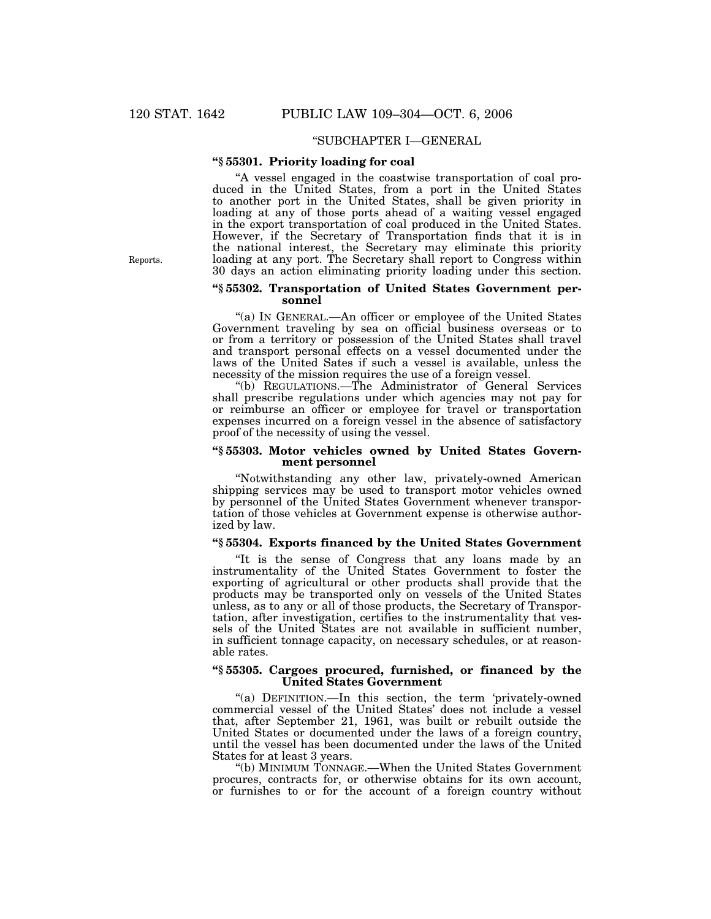## ''SUBCHAPTER I—GENERAL

### **''§ 55301. Priority loading for coal**

''A vessel engaged in the coastwise transportation of coal produced in the United States, from a port in the United States to another port in the United States, shall be given priority in loading at any of those ports ahead of a waiting vessel engaged in the export transportation of coal produced in the United States. However, if the Secretary of Transportation finds that it is in the national interest, the Secretary may eliminate this priority loading at any port. The Secretary shall report to Congress within 30 days an action eliminating priority loading under this section.

### **''§ 55302. Transportation of United States Government personnel**

''(a) IN GENERAL.—An officer or employee of the United States Government traveling by sea on official business overseas or to or from a territory or possession of the United States shall travel and transport personal effects on a vessel documented under the laws of the United Sates if such a vessel is available, unless the necessity of the mission requires the use of a foreign vessel.

''(b) REGULATIONS.—The Administrator of General Services shall prescribe regulations under which agencies may not pay for or reimburse an officer or employee for travel or transportation expenses incurred on a foreign vessel in the absence of satisfactory proof of the necessity of using the vessel.

### **''§ 55303. Motor vehicles owned by United States Government personnel**

''Notwithstanding any other law, privately-owned American shipping services may be used to transport motor vehicles owned by personnel of the United States Government whenever transportation of those vehicles at Government expense is otherwise authorized by law.

### **''§ 55304. Exports financed by the United States Government**

''It is the sense of Congress that any loans made by an instrumentality of the United States Government to foster the exporting of agricultural or other products shall provide that the products may be transported only on vessels of the United States unless, as to any or all of those products, the Secretary of Transportation, after investigation, certifies to the instrumentality that vessels of the United States are not available in sufficient number, in sufficient tonnage capacity, on necessary schedules, or at reasonable rates.

### **''§ 55305. Cargoes procured, furnished, or financed by the United States Government**

"(a) DEFINITION.—In this section, the term 'privately-owned commercial vessel of the United States' does not include a vessel that, after September 21, 1961, was built or rebuilt outside the United States or documented under the laws of a foreign country, until the vessel has been documented under the laws of the United States for at least 3 years.

''(b) MINIMUM TONNAGE.—When the United States Government procures, contracts for, or otherwise obtains for its own account, or furnishes to or for the account of a foreign country without

Reports.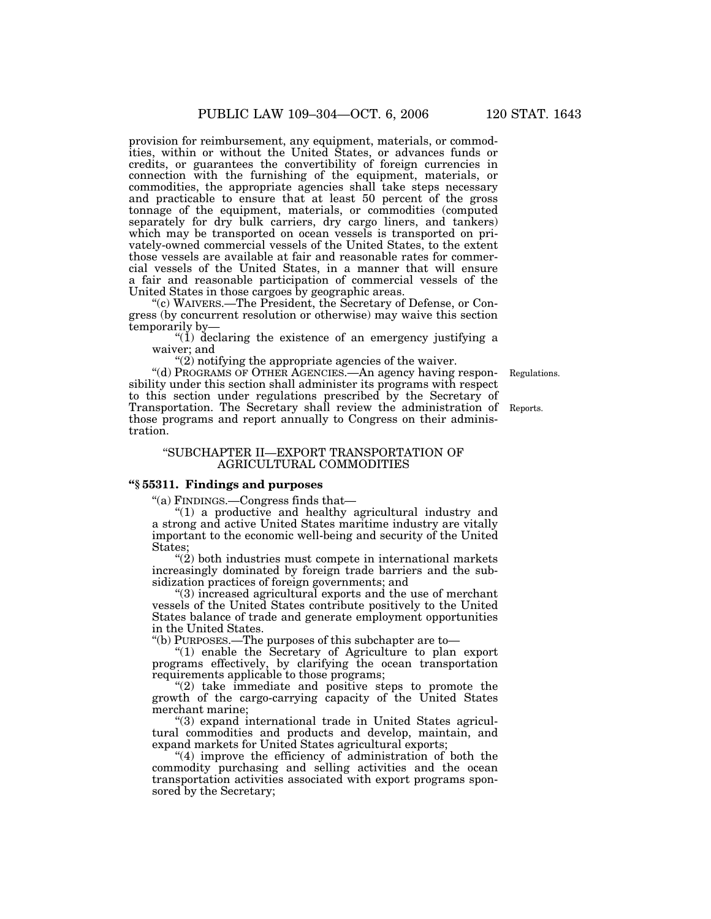provision for reimbursement, any equipment, materials, or commodities, within or without the United States, or advances funds or credits, or guarantees the convertibility of foreign currencies in connection with the furnishing of the equipment, materials, or commodities, the appropriate agencies shall take steps necessary and practicable to ensure that at least 50 percent of the gross tonnage of the equipment, materials, or commodities (computed separately for dry bulk carriers, dry cargo liners, and tankers) which may be transported on ocean vessels is transported on privately-owned commercial vessels of the United States, to the extent those vessels are available at fair and reasonable rates for commercial vessels of the United States, in a manner that will ensure a fair and reasonable participation of commercial vessels of the United States in those cargoes by geographic areas.

''(c) WAIVERS.—The President, the Secretary of Defense, or Congress (by concurrent resolution or otherwise) may waive this section temporarily by—

" $(i)$  declaring the existence of an emergency justifying a waiver; and

"(2) notifying the appropriate agencies of the waiver.

''(d) PROGRAMS OF OTHER AGENCIES.—An agency having responsibility under this section shall administer its programs with respect to this section under regulations prescribed by the Secretary of Transportation. The Secretary shall review the administration of Reports. those programs and report annually to Congress on their administration.

## ''SUBCHAPTER II—EXPORT TRANSPORTATION OF AGRICULTURAL COMMODITIES

### **''§ 55311. Findings and purposes**

''(a) FINDINGS.—Congress finds that—

 $''(1)$  a productive and healthy agricultural industry and a strong and active United States maritime industry are vitally important to the economic well-being and security of the United States;

''(2) both industries must compete in international markets increasingly dominated by foreign trade barriers and the subsidization practices of foreign governments; and

''(3) increased agricultural exports and the use of merchant vessels of the United States contribute positively to the United States balance of trade and generate employment opportunities in the United States.

''(b) PURPOSES.—The purposes of this subchapter are to—

''(1) enable the Secretary of Agriculture to plan export programs effectively, by clarifying the ocean transportation requirements applicable to those programs;

"(2) take immediate and positive steps to promote the growth of the cargo-carrying capacity of the United States merchant marine;

''(3) expand international trade in United States agricultural commodities and products and develop, maintain, and expand markets for United States agricultural exports;

''(4) improve the efficiency of administration of both the commodity purchasing and selling activities and the ocean transportation activities associated with export programs sponsored by the Secretary;

Regulations.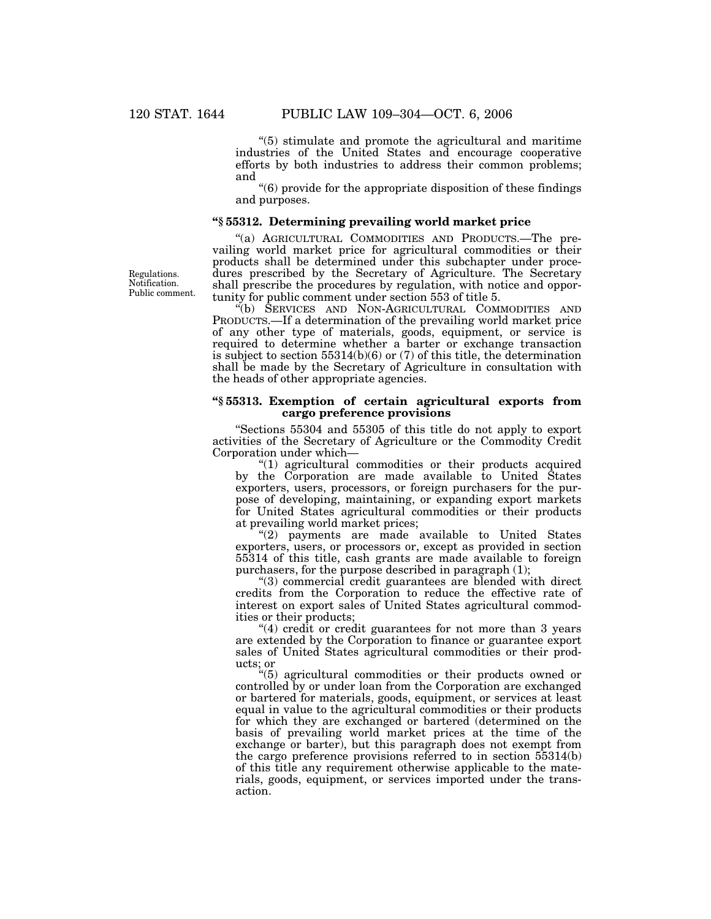''(5) stimulate and promote the agricultural and maritime industries of the United States and encourage cooperative efforts by both industries to address their common problems; and

''(6) provide for the appropriate disposition of these findings and purposes.

## **''§ 55312. Determining prevailing world market price**

''(a) AGRICULTURAL COMMODITIES AND PRODUCTS.—The prevailing world market price for agricultural commodities or their products shall be determined under this subchapter under procedures prescribed by the Secretary of Agriculture. The Secretary shall prescribe the procedures by regulation, with notice and opportunity for public comment under section 553 of title 5.

''(b) SERVICES AND NON-AGRICULTURAL COMMODITIES AND PRODUCTS.—If a determination of the prevailing world market price of any other type of materials, goods, equipment, or service is required to determine whether a barter or exchange transaction is subject to section 55314(b)(6) or (7) of this title, the determination shall be made by the Secretary of Agriculture in consultation with the heads of other appropriate agencies.

### **''§ 55313. Exemption of certain agricultural exports from cargo preference provisions**

''Sections 55304 and 55305 of this title do not apply to export activities of the Secretary of Agriculture or the Commodity Credit Corporation under which—

''(1) agricultural commodities or their products acquired by the Corporation are made available to United States exporters, users, processors, or foreign purchasers for the purpose of developing, maintaining, or expanding export markets for United States agricultural commodities or their products at prevailing world market prices;

 $(2)$  payments are made available to United States exporters, users, or processors or, except as provided in section 55314 of this title, cash grants are made available to foreign purchasers, for the purpose described in paragraph (1);

''(3) commercial credit guarantees are blended with direct credits from the Corporation to reduce the effective rate of interest on export sales of United States agricultural commodities or their products;

"(4) credit or credit guarantees for not more than 3 years are extended by the Corporation to finance or guarantee export sales of United States agricultural commodities or their products; or

''(5) agricultural commodities or their products owned or controlled by or under loan from the Corporation are exchanged or bartered for materials, goods, equipment, or services at least equal in value to the agricultural commodities or their products for which they are exchanged or bartered (determined on the basis of prevailing world market prices at the time of the exchange or barter), but this paragraph does not exempt from the cargo preference provisions referred to in section 55314(b) of this title any requirement otherwise applicable to the materials, goods, equipment, or services imported under the transaction.

Regulations. Notification. Public comment.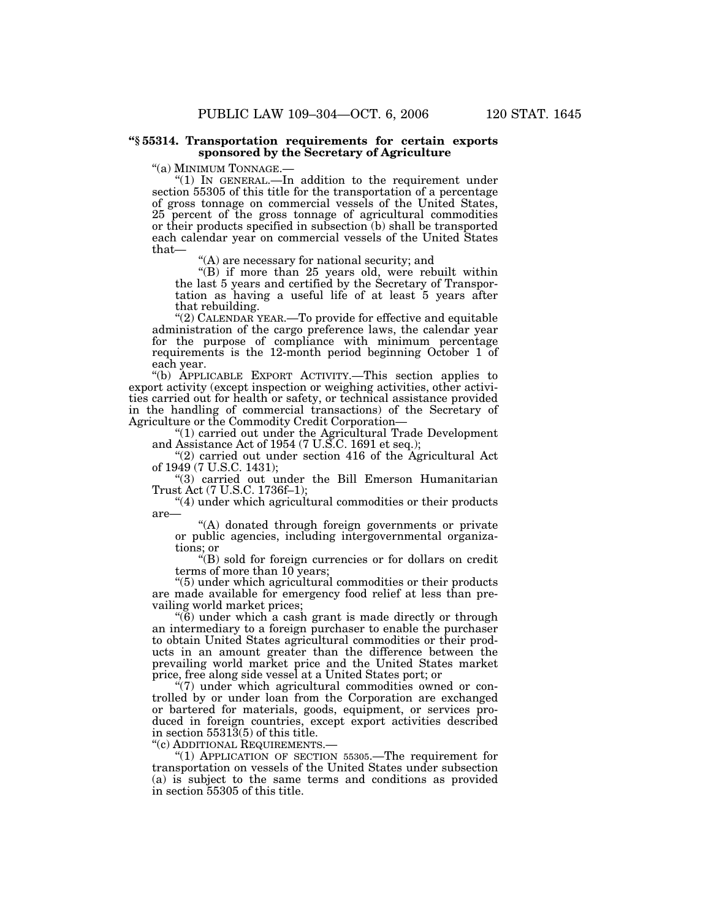### **''§ 55314. Transportation requirements for certain exports sponsored by the Secretary of Agriculture**

''(a) MINIMUM TONNAGE.— ''(1) IN GENERAL.—In addition to the requirement under section 55305 of this title for the transportation of a percentage of gross tonnage on commercial vessels of the United States, 25 percent of the gross tonnage of agricultural commodities or their products specified in subsection (b) shall be transported each calendar year on commercial vessels of the United States that—

''(A) are necessary for national security; and

''(B) if more than 25 years old, were rebuilt within the last 5 years and certified by the Secretary of Transportation as having a useful life of at least 5 years after that rebuilding.

''(2) CALENDAR YEAR.—To provide for effective and equitable administration of the cargo preference laws, the calendar year for the purpose of compliance with minimum percentage requirements is the 12-month period beginning October 1 of each year.

''(b) APPLICABLE EXPORT ACTIVITY.—This section applies to export activity (except inspection or weighing activities, other activities carried out for health or safety, or technical assistance provided in the handling of commercial transactions) of the Secretary of Agriculture or the Commodity Credit Corporation—

''(1) carried out under the Agricultural Trade Development and Assistance Act of 1954 (7 U.S.C. 1691 et seq.);

''(2) carried out under section 416 of the Agricultural Act of 1949 (7 U.S.C. 1431);

''(3) carried out under the Bill Emerson Humanitarian Trust Act (7 U.S.C. 1736f–1);

''(4) under which agricultural commodities or their products are—

''(A) donated through foreign governments or private or public agencies, including intergovernmental organizations; or

''(B) sold for foreign currencies or for dollars on credit terms of more than 10 years;

''(5) under which agricultural commodities or their products are made available for emergency food relief at less than prevailing world market prices;

 $\degree$ (6) under which a cash grant is made directly or through an intermediary to a foreign purchaser to enable the purchaser to obtain United States agricultural commodities or their products in an amount greater than the difference between the prevailing world market price and the United States market price, free along side vessel at a United States port; or

 $\mathcal{F}(7)$  under which agricultural commodities owned or controlled by or under loan from the Corporation are exchanged or bartered for materials, goods, equipment, or services produced in foreign countries, except export activities described in section 55313(5) of this title.

''(c) ADDITIONAL REQUIREMENTS.—

''(1) APPLICATION OF SECTION 55305.—The requirement for transportation on vessels of the United States under subsection (a) is subject to the same terms and conditions as provided in section 55305 of this title.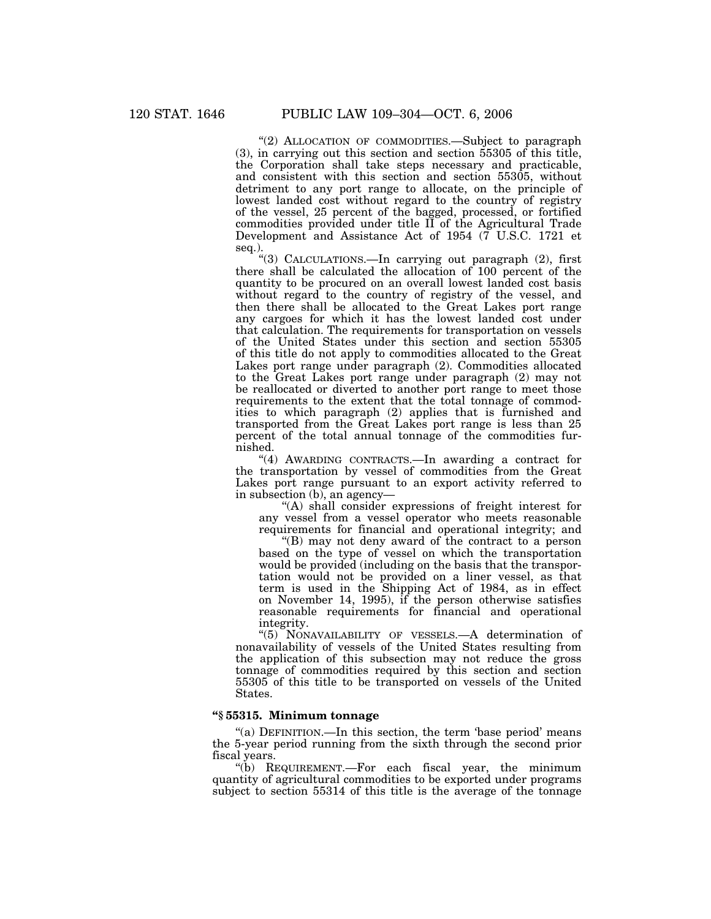"(2) ALLOCATION OF COMMODITIES.—Subject to paragraph (3), in carrying out this section and section 55305 of this title, the Corporation shall take steps necessary and practicable, and consistent with this section and section 55305, without detriment to any port range to allocate, on the principle of lowest landed cost without regard to the country of registry of the vessel, 25 percent of the bagged, processed, or fortified commodities provided under title II of the Agricultural Trade Development and Assistance Act of 1954 (7 U.S.C. 1721 et seq.).

''(3) CALCULATIONS.—In carrying out paragraph (2), first there shall be calculated the allocation of 100 percent of the quantity to be procured on an overall lowest landed cost basis without regard to the country of registry of the vessel, and then there shall be allocated to the Great Lakes port range any cargoes for which it has the lowest landed cost under that calculation. The requirements for transportation on vessels of the United States under this section and section 55305 of this title do not apply to commodities allocated to the Great Lakes port range under paragraph (2). Commodities allocated to the Great Lakes port range under paragraph (2) may not be reallocated or diverted to another port range to meet those requirements to the extent that the total tonnage of commodities to which paragraph (2) applies that is furnished and transported from the Great Lakes port range is less than 25 percent of the total annual tonnage of the commodities furnished.

''(4) AWARDING CONTRACTS.—In awarding a contract for the transportation by vessel of commodities from the Great Lakes port range pursuant to an export activity referred to in subsection (b), an agency—

''(A) shall consider expressions of freight interest for any vessel from a vessel operator who meets reasonable requirements for financial and operational integrity; and

''(B) may not deny award of the contract to a person based on the type of vessel on which the transportation would be provided (including on the basis that the transportation would not be provided on a liner vessel, as that term is used in the Shipping Act of 1984, as in effect on November 14, 1995), if the person otherwise satisfies reasonable requirements for financial and operational integrity.

''(5) NONAVAILABILITY OF VESSELS.—A determination of nonavailability of vessels of the United States resulting from the application of this subsection may not reduce the gross tonnage of commodities required by this section and section 55305 of this title to be transported on vessels of the United States.

### **''§ 55315. Minimum tonnage**

"(a) DEFINITION.—In this section, the term 'base period' means the 5-year period running from the sixth through the second prior fiscal years.

''(b) REQUIREMENT.—For each fiscal year, the minimum quantity of agricultural commodities to be exported under programs subject to section 55314 of this title is the average of the tonnage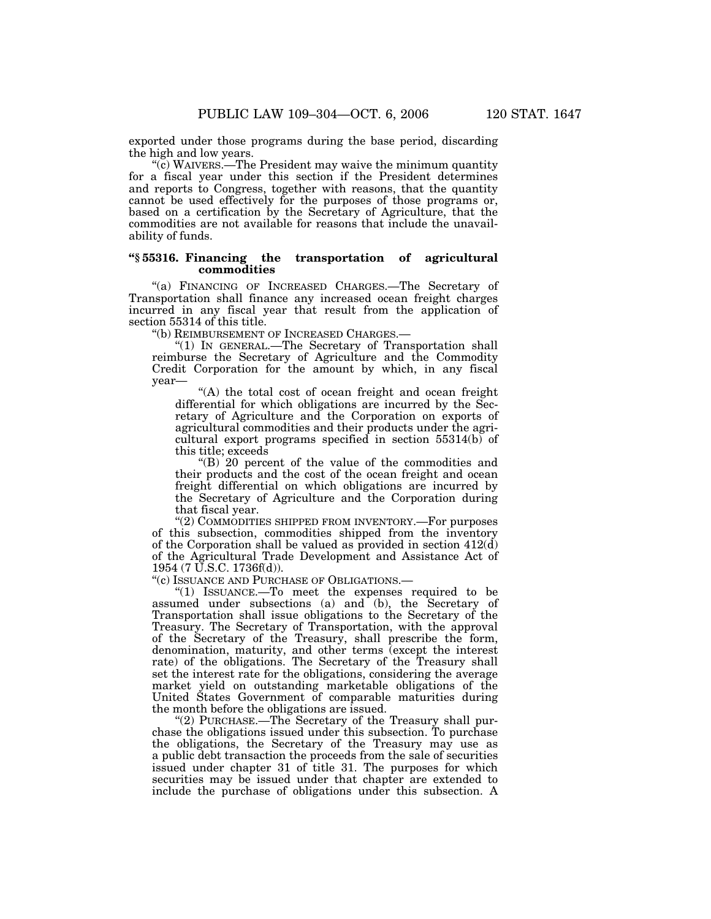exported under those programs during the base period, discarding the high and low years.

"(c) WAIVERS.—The President may waive the minimum quantity for a fiscal year under this section if the President determines and reports to Congress, together with reasons, that the quantity cannot be used effectively for the purposes of those programs or, based on a certification by the Secretary of Agriculture, that the commodities are not available for reasons that include the unavailability of funds.

## **''§ 55316. Financing the transportation of agricultural commodities**

''(a) FINANCING OF INCREASED CHARGES.—The Secretary of Transportation shall finance any increased ocean freight charges incurred in any fiscal year that result from the application of section 55314 of this title.

''(b) REIMBURSEMENT OF INCREASED CHARGES.—

"(1) IN GENERAL.—The Secretary of Transportation shall reimburse the Secretary of Agriculture and the Commodity Credit Corporation for the amount by which, in any fiscal year—

''(A) the total cost of ocean freight and ocean freight differential for which obligations are incurred by the Secretary of Agriculture and the Corporation on exports of agricultural commodities and their products under the agricultural export programs specified in section 55314(b) of this title; exceeds

 $\degree$ (B) 20 percent of the value of the commodities and their products and the cost of the ocean freight and ocean freight differential on which obligations are incurred by the Secretary of Agriculture and the Corporation during that fiscal year.

"(2) COMMODITIES SHIPPED FROM INVENTORY.—For purposes of this subsection, commodities shipped from the inventory of the Corporation shall be valued as provided in section 412(d) of the Agricultural Trade Development and Assistance Act of 1954 (7 U.S.C. 1736f(d)).

''(c) ISSUANCE AND PURCHASE OF OBLIGATIONS.—

" $(1)$  ISSUANCE.—To meet the expenses required to be assumed under subsections (a) and (b), the Secretary of Transportation shall issue obligations to the Secretary of the Treasury. The Secretary of Transportation, with the approval of the Secretary of the Treasury, shall prescribe the form, denomination, maturity, and other terms (except the interest rate) of the obligations. The Secretary of the Treasury shall set the interest rate for the obligations, considering the average market yield on outstanding marketable obligations of the United States Government of comparable maturities during the month before the obligations are issued.

"(2) PURCHASE.—The Secretary of the Treasury shall purchase the obligations issued under this subsection. To purchase the obligations, the Secretary of the Treasury may use as a public debt transaction the proceeds from the sale of securities issued under chapter 31 of title 31. The purposes for which securities may be issued under that chapter are extended to include the purchase of obligations under this subsection. A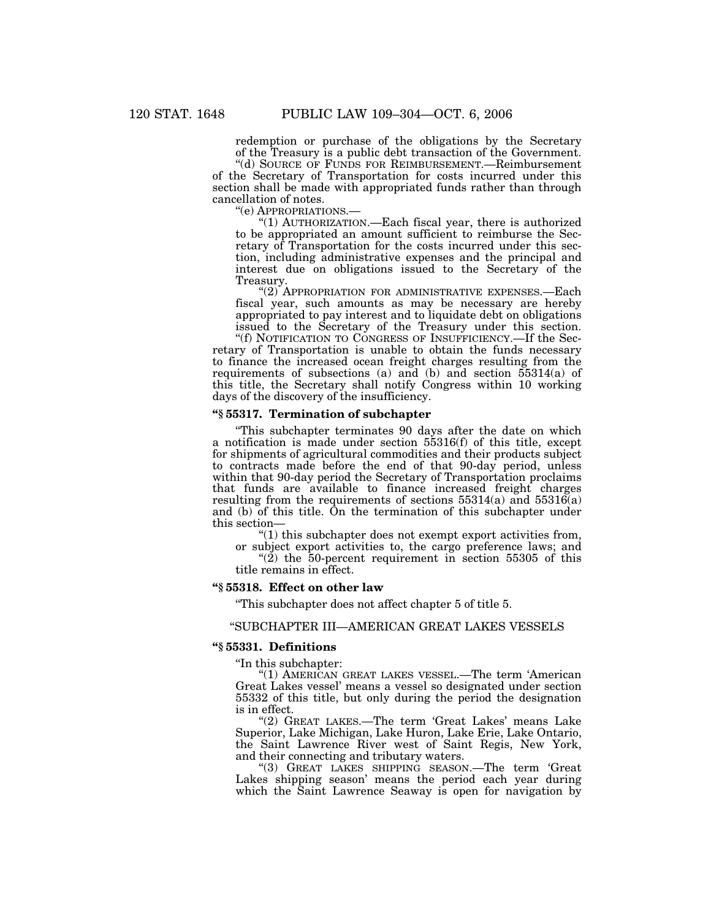redemption or purchase of the obligations by the Secretary of the Treasury is a public debt transaction of the Government.

''(d) SOURCE OF FUNDS FOR REIMBURSEMENT.—Reimbursement of the Secretary of Transportation for costs incurred under this section shall be made with appropriated funds rather than through cancellation of notes.<br>"(e) APPROPRIATIONS.—

" $(1)$  AUTHORIZATION.—Each fiscal year, there is authorized to be appropriated an amount sufficient to reimburse the Secretary of Transportation for the costs incurred under this section, including administrative expenses and the principal and interest due on obligations issued to the Secretary of the Treasury.

"(2) APPROPRIATION FOR ADMINISTRATIVE EXPENSES.—Each fiscal year, such amounts as may be necessary are hereby appropriated to pay interest and to liquidate debt on obligations issued to the Secretary of the Treasury under this section.

"(f) NOTIFICATION TO CONGRESS OF INSUFFICIENCY.—If the Secretary of Transportation is unable to obtain the funds necessary to finance the increased ocean freight charges resulting from the requirements of subsections (a) and (b) and section 55314(a) of this title, the Secretary shall notify Congress within 10 working days of the discovery of the insufficiency.

## **''§ 55317. Termination of subchapter**

''This subchapter terminates 90 days after the date on which a notification is made under section 55316(f) of this title, except for shipments of agricultural commodities and their products subject to contracts made before the end of that 90-day period, unless within that 90-day period the Secretary of Transportation proclaims that funds are available to finance increased freight charges resulting from the requirements of sections  $55314(a)$  and  $55316(a)$ and (b) of this title. On the termination of this subchapter under this section—

 $''(1)$  this subchapter does not exempt export activities from, or subject export activities to, the cargo preference laws; and

" $(2)$  the 50-percent requirement in section 55305 of this title remains in effect.

## **''§ 55318. Effect on other law**

''This subchapter does not affect chapter 5 of title 5.

## ''SUBCHAPTER III—AMERICAN GREAT LAKES VESSELS

#### **''§ 55331. Definitions**

''In this subchapter:

''(1) AMERICAN GREAT LAKES VESSEL.—The term 'American Great Lakes vessel' means a vessel so designated under section 55332 of this title, but only during the period the designation is in effect.

"(2) GREAT LAKES.—The term 'Great Lakes' means Lake Superior, Lake Michigan, Lake Huron, Lake Erie, Lake Ontario, the Saint Lawrence River west of Saint Regis, New York, and their connecting and tributary waters.

''(3) GREAT LAKES SHIPPING SEASON.—The term 'Great Lakes shipping season' means the period each year during which the Saint Lawrence Seaway is open for navigation by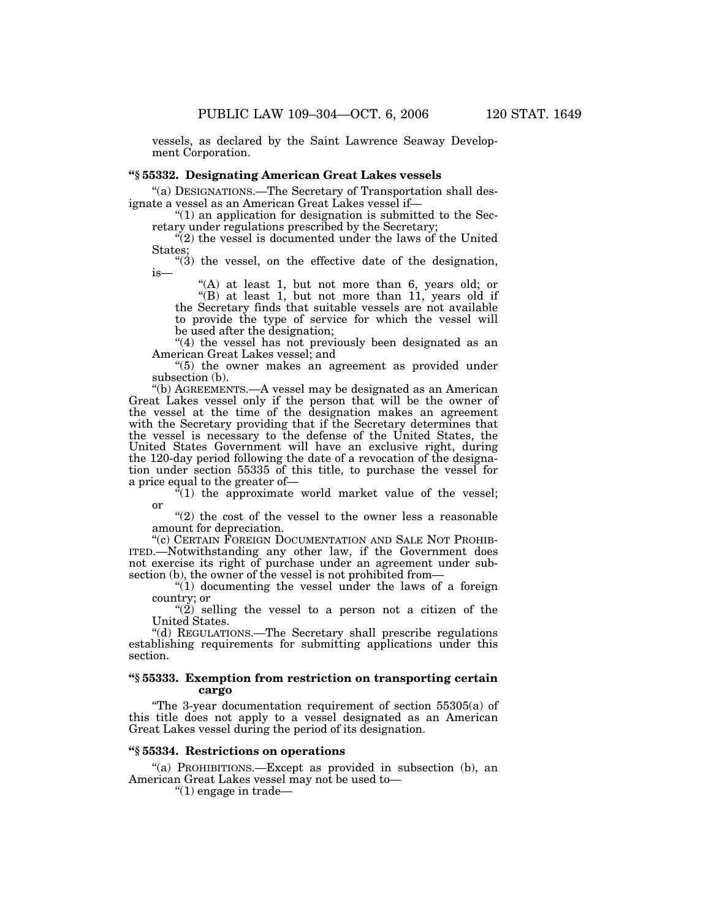vessels, as declared by the Saint Lawrence Seaway Development Corporation.

### **''§ 55332. Designating American Great Lakes vessels**

"(a) DESIGNATIONS.—The Secretary of Transportation shall designate a vessel as an American Great Lakes vessel if—

 $''(1)$  an application for designation is submitted to the Secretary under regulations prescribed by the Secretary;

''(2) the vessel is documented under the laws of the United States;

 $(3)$  the vessel, on the effective date of the designation, is—

''(A) at least 1, but not more than 6, years old; or ''(B) at least 1, but not more than 11, years old if the Secretary finds that suitable vessels are not available to provide the type of service for which the vessel will be used after the designation;

"(4) the vessel has not previously been designated as an American Great Lakes vessel; and

''(5) the owner makes an agreement as provided under subsection (b).

''(b) AGREEMENTS.—A vessel may be designated as an American Great Lakes vessel only if the person that will be the owner of the vessel at the time of the designation makes an agreement with the Secretary providing that if the Secretary determines that the vessel is necessary to the defense of the United States, the United States Government will have an exclusive right, during the 120-day period following the date of a revocation of the designation under section 55335 of this title, to purchase the vessel for a price equal to the greater of—

 $^{4}(1)$  the approximate world market value of the vessel; or

" $(2)$  the cost of the vessel to the owner less a reasonable amount for depreciation.

''(c) CERTAIN FOREIGN DOCUMENTATION AND SALE NOT PROHIB-ITED.—Notwithstanding any other law, if the Government does not exercise its right of purchase under an agreement under subsection (b), the owner of the vessel is not prohibited from—

 $''(1)$  documenting the vessel under the laws of a foreign country; or

" $(2)$  selling the vessel to a person not a citizen of the United States.

''(d) REGULATIONS.—The Secretary shall prescribe regulations establishing requirements for submitting applications under this section.

## **''§ 55333. Exemption from restriction on transporting certain cargo**

''The 3-year documentation requirement of section 55305(a) of this title does not apply to a vessel designated as an American Great Lakes vessel during the period of its designation.

# **''§ 55334. Restrictions on operations**

''(a) PROHIBITIONS.—Except as provided in subsection (b), an American Great Lakes vessel may not be used to—

''(1) engage in trade—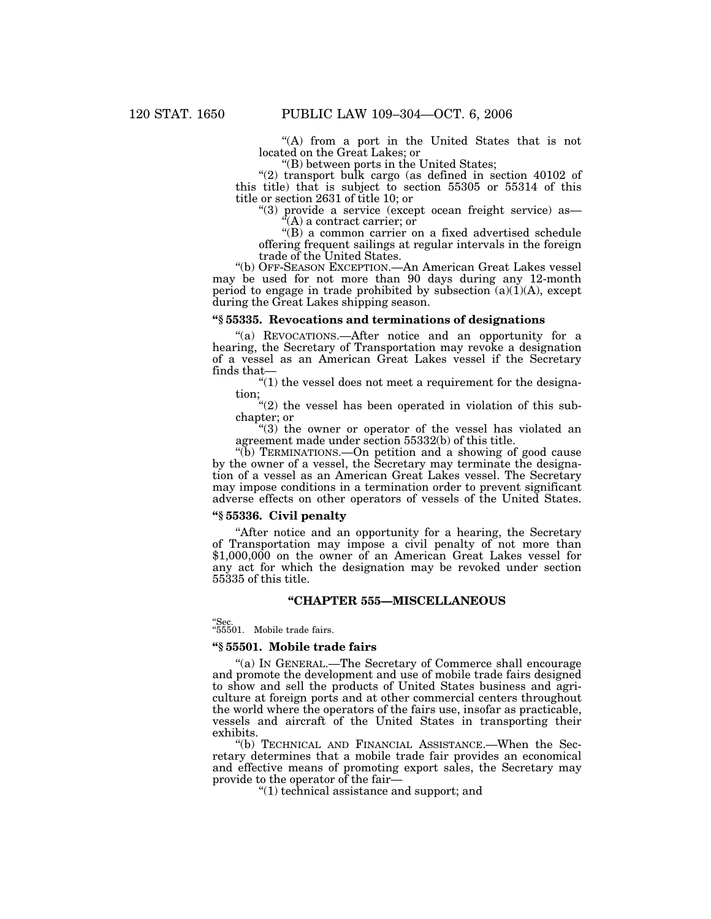''(A) from a port in the United States that is not located on the Great Lakes; or

''(B) between ports in the United States;

''(2) transport bulk cargo (as defined in section 40102 of this title) that is subject to section 55305 or 55314 of this title or section 2631 of title 10; or

''(3) provide a service (except ocean freight service) as—  $\tilde{f}(A)$  a contract carrier; or

''(B) a common carrier on a fixed advertised schedule offering frequent sailings at regular intervals in the foreign trade of the United States.

''(b) OFF-SEASON EXCEPTION.—An American Great Lakes vessel may be used for not more than 90 days during any 12-month period to engage in trade prohibited by subsection  $(a)(1)(A)$ , except during the Great Lakes shipping season.

### **''§ 55335. Revocations and terminations of designations**

''(a) REVOCATIONS.—After notice and an opportunity for a hearing, the Secretary of Transportation may revoke a designation of a vessel as an American Great Lakes vessel if the Secretary finds that—

" $(1)$  the vessel does not meet a requirement for the designation;

''(2) the vessel has been operated in violation of this subchapter; or

''(3) the owner or operator of the vessel has violated an agreement made under section 55332(b) of this title.

''(b) TERMINATIONS.—On petition and a showing of good cause by the owner of a vessel, the Secretary may terminate the designation of a vessel as an American Great Lakes vessel. The Secretary may impose conditions in a termination order to prevent significant adverse effects on other operators of vessels of the United States.

### **''§ 55336. Civil penalty**

''After notice and an opportunity for a hearing, the Secretary of Transportation may impose a civil penalty of not more than \$1,000,000 on the owner of an American Great Lakes vessel for any act for which the designation may be revoked under section 55335 of this title.

## **''CHAPTER 555—MISCELLANEOUS**

''Sec. ''55501. Mobile trade fairs.

# **''§ 55501. Mobile trade fairs**

''(a) IN GENERAL.—The Secretary of Commerce shall encourage and promote the development and use of mobile trade fairs designed to show and sell the products of United States business and agriculture at foreign ports and at other commercial centers throughout the world where the operators of the fairs use, insofar as practicable, vessels and aircraft of the United States in transporting their exhibits.

''(b) TECHNICAL AND FINANCIAL ASSISTANCE.—When the Secretary determines that a mobile trade fair provides an economical and effective means of promoting export sales, the Secretary may provide to the operator of the fair—

''(1) technical assistance and support; and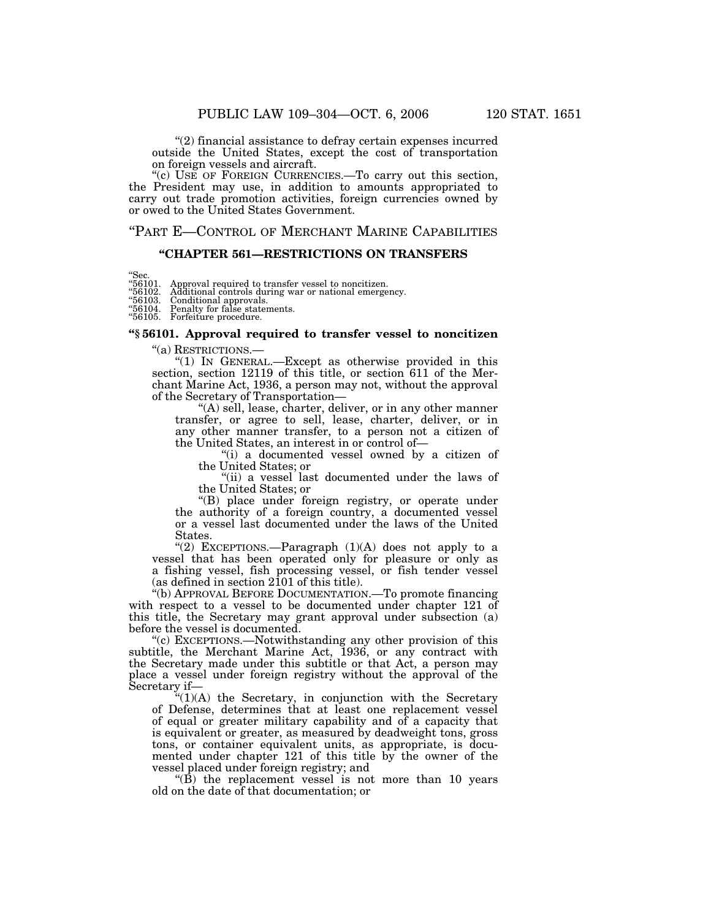''(2) financial assistance to defray certain expenses incurred outside the United States, except the cost of transportation on foreign vessels and aircraft.

"(c) USE OF FOREIGN CURRENCIES.—To carry out this section, the President may use, in addition to amounts appropriated to carry out trade promotion activities, foreign currencies owned by or owed to the United States Government.

# ''PART E—CONTROL OF MERCHANT MARINE CAPABILITIES

## **''CHAPTER 561—RESTRICTIONS ON TRANSFERS**

''Sec.

''56101. Approval required to transfer vessel to noncitizen. ''56102. Additional controls during war or national emergency.

''56103. Conditional approvals. ''56104. Penalty for false statements.

"56102. Additional converse all<br>"56103. Conditional approval."<br>"56104. Penalty for false stat

### **''§ 56101. Approval required to transfer vessel to noncitizen**

"(a) RESTRICTIONS.—<br>"(1) IN GENERAL.—Except as otherwise provided in this section, section 12119 of this title, or section 611 of the Merchant Marine Act, 1936, a person may not, without the approval of the Secretary of Transportation—

''(A) sell, lease, charter, deliver, or in any other manner transfer, or agree to sell, lease, charter, deliver, or in any other manner transfer, to a person not a citizen of the United States, an interest in or control of—

''(i) a documented vessel owned by a citizen of the United States; or

''(ii) a vessel last documented under the laws of the United States; or

''(B) place under foreign registry, or operate under the authority of a foreign country, a documented vessel or a vessel last documented under the laws of the United States.

"(2) EXCEPTIONS.—Paragraph (1)(A) does not apply to a vessel that has been operated only for pleasure or only as a fishing vessel, fish processing vessel, or fish tender vessel  $(as defined in section 2101 of this title).$ 

''(b) APPROVAL BEFORE DOCUMENTATION.—To promote financing with respect to a vessel to be documented under chapter 121 of this title, the Secretary may grant approval under subsection (a) before the vessel is documented.

''(c) EXCEPTIONS.—Notwithstanding any other provision of this subtitle, the Merchant Marine Act, 1936, or any contract with the Secretary made under this subtitle or that Act, a person may place a vessel under foreign registry without the approval of the Secretary if—

 $f'(1)(A)$  the Secretary, in conjunction with the Secretary of Defense, determines that at least one replacement vessel of equal or greater military capability and of a capacity that is equivalent or greater, as measured by deadweight tons, gross tons, or container equivalent units, as appropriate, is documented under chapter 121 of this title by the owner of the vessel placed under foreign registry; and

 $\mathrm{``}(\overrightarrow{B})$  the replacement vessel is not more than 10 years old on the date of that documentation; or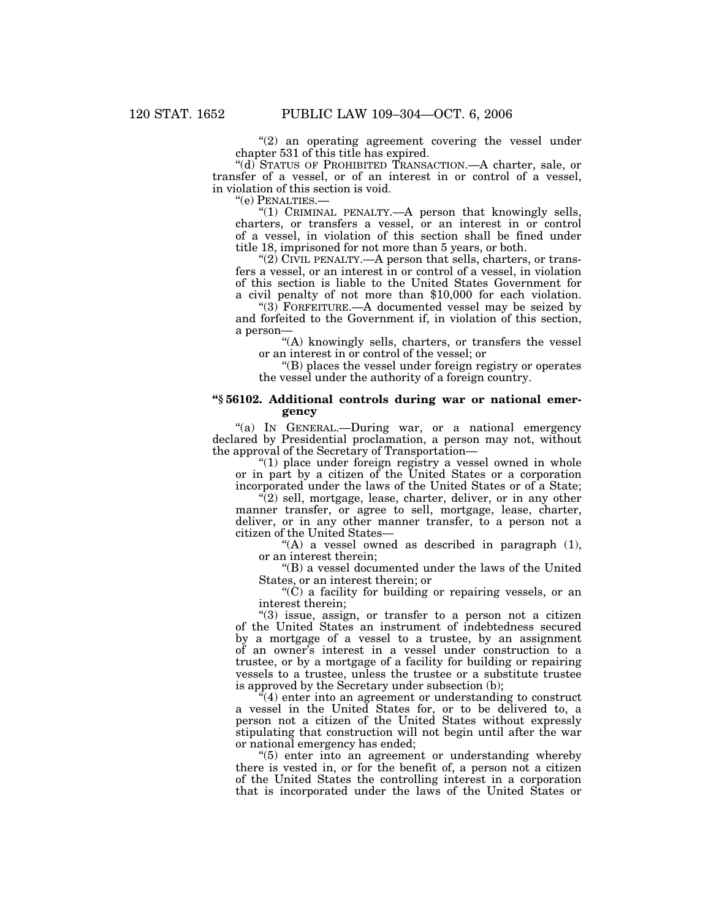"(2) an operating agreement covering the vessel under chapter 531 of this title has expired.

''(d) STATUS OF PROHIBITED TRANSACTION.—A charter, sale, or transfer of a vessel, or of an interest in or control of a vessel, in violation of this section is void.

''(e) PENALTIES.—

''(1) CRIMINAL PENALTY.—A person that knowingly sells, charters, or transfers a vessel, or an interest in or control of a vessel, in violation of this section shall be fined under title 18, imprisoned for not more than 5 years, or both.

"(2) CIVIL PENALTY.—A person that sells, charters, or transfers a vessel, or an interest in or control of a vessel, in violation of this section is liable to the United States Government for a civil penalty of not more than \$10,000 for each violation.

"(3) FORFEITURE.—A documented vessel may be seized by and forfeited to the Government if, in violation of this section, a person—

"(A) knowingly sells, charters, or transfers the vessel or an interest in or control of the vessel; or

''(B) places the vessel under foreign registry or operates the vessel under the authority of a foreign country.

## **''§ 56102. Additional controls during war or national emergency**

"(a) IN GENERAL.—During war, or a national emergency declared by Presidential proclamation, a person may not, without the approval of the Secretary of Transportation—

"(1) place under foreign registry a vessel owned in whole or in part by a citizen of the United States or a corporation incorporated under the laws of the United States or of a State;

 $\sqrt{\ }$ (2) sell, mortgage, lease, charter, deliver, or in any other manner transfer, or agree to sell, mortgage, lease, charter, deliver, or in any other manner transfer, to a person not a citizen of the United States—

"(A) a vessel owned as described in paragraph  $(1)$ , or an interest therein;

''(B) a vessel documented under the laws of the United States, or an interest therein; or

 $(C)$  a facility for building or repairing vessels, or an interest therein;

 $"(3)$  issue, assign, or transfer to a person not a citizen of the United States an instrument of indebtedness secured by a mortgage of a vessel to a trustee, by an assignment of an owner's interest in a vessel under construction to a trustee, or by a mortgage of a facility for building or repairing vessels to a trustee, unless the trustee or a substitute trustee is approved by the Secretary under subsection (b);

''(4) enter into an agreement or understanding to construct a vessel in the United States for, or to be delivered to, a person not a citizen of the United States without expressly stipulating that construction will not begin until after the war or national emergency has ended;

''(5) enter into an agreement or understanding whereby there is vested in, or for the benefit of, a person not a citizen of the United States the controlling interest in a corporation that is incorporated under the laws of the United States or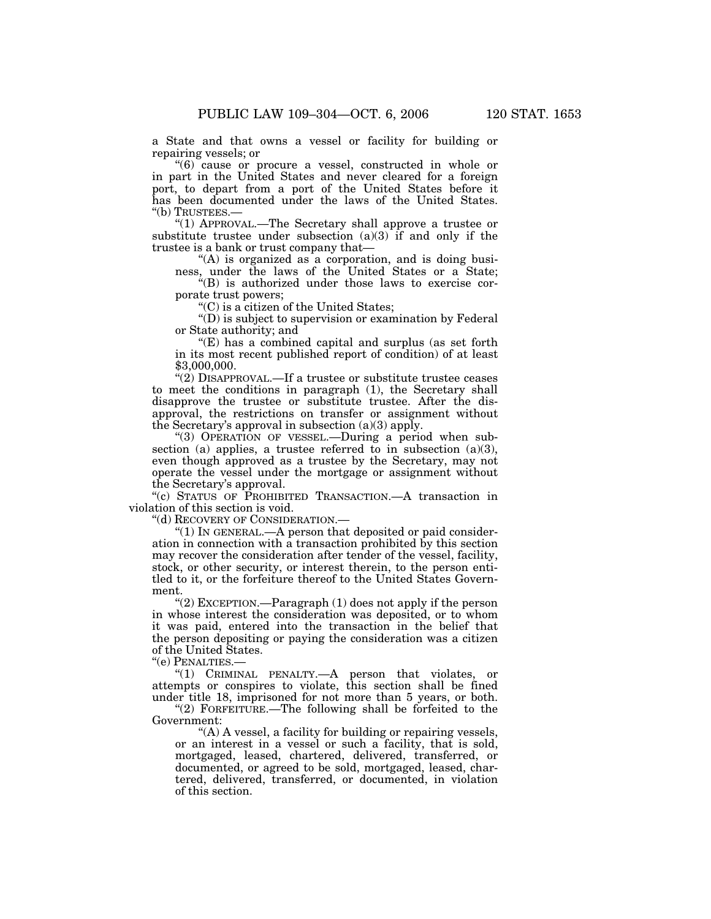a State and that owns a vessel or facility for building or repairing vessels; or

''(6) cause or procure a vessel, constructed in whole or in part in the United States and never cleared for a foreign port, to depart from a port of the United States before it has been documented under the laws of the United States. ''(b) TRUSTEES.—

''(1) APPROVAL.—The Secretary shall approve a trustee or substitute trustee under subsection  $(a)(3)$  if and only if the trustee is a bank or trust company that—

''(A) is organized as a corporation, and is doing business, under the laws of the United States or a State;

''(B) is authorized under those laws to exercise corporate trust powers;

''(C) is a citizen of the United States;

''(D) is subject to supervision or examination by Federal or State authority; and

 $E(E)$  has a combined capital and surplus (as set forth in its most recent published report of condition) of at least \$3,000,000.

"(2) DISAPPROVAL.—If a trustee or substitute trustee ceases to meet the conditions in paragraph (1), the Secretary shall disapprove the trustee or substitute trustee. After the disapproval, the restrictions on transfer or assignment without the Secretary's approval in subsection (a)(3) apply.

"(3) OPERATION OF VESSEL.—During a period when subsection (a) applies, a trustee referred to in subsection (a)(3), even though approved as a trustee by the Secretary, may not operate the vessel under the mortgage or assignment without the Secretary's approval.

''(c) STATUS OF PROHIBITED TRANSACTION.—A transaction in violation of this section is void.

''(d) RECOVERY OF CONSIDERATION.—

" $(1)$  In GENERAL.—A person that deposited or paid consideration in connection with a transaction prohibited by this section may recover the consideration after tender of the vessel, facility, stock, or other security, or interest therein, to the person entitled to it, or the forfeiture thereof to the United States Government.

''(2) EXCEPTION.—Paragraph (1) does not apply if the person in whose interest the consideration was deposited, or to whom it was paid, entered into the transaction in the belief that the person depositing or paying the consideration was a citizen of the United States.

''(e) PENALTIES.—

''(1) CRIMINAL PENALTY.—A person that violates, or attempts or conspires to violate, this section shall be fined under title 18, imprisoned for not more than 5 years, or both.

"(2) FORFEITURE.—The following shall be forfeited to the Government:

"(A) A vessel, a facility for building or repairing vessels, or an interest in a vessel or such a facility, that is sold, mortgaged, leased, chartered, delivered, transferred, or documented, or agreed to be sold, mortgaged, leased, chartered, delivered, transferred, or documented, in violation of this section.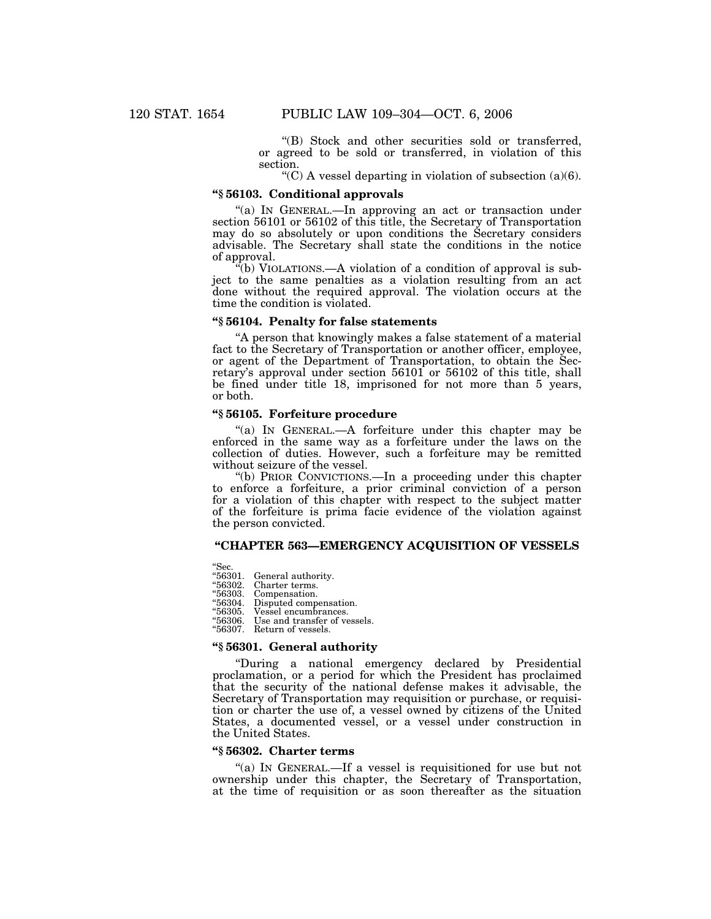''(B) Stock and other securities sold or transferred, or agreed to be sold or transferred, in violation of this section.

"(C) A vessel departing in violation of subsection (a) $(6)$ .

# **''§ 56103. Conditional approvals**

"(a) IN GENERAL.—In approving an act or transaction under section 56101 or 56102 of this title, the Secretary of Transportation may do so absolutely or upon conditions the Secretary considers advisable. The Secretary shall state the conditions in the notice of approval.

 $\tilde{f}$ (b) VIOLATIONS.—A violation of a condition of approval is subject to the same penalties as a violation resulting from an act done without the required approval. The violation occurs at the time the condition is violated.

### **''§ 56104. Penalty for false statements**

''A person that knowingly makes a false statement of a material fact to the Secretary of Transportation or another officer, employee, or agent of the Department of Transportation, to obtain the Secretary's approval under section 56101 or 56102 of this title, shall be fined under title 18, imprisoned for not more than 5 years, or both.

### **''§ 56105. Forfeiture procedure**

"(a) IN GENERAL.—A forfeiture under this chapter may be enforced in the same way as a forfeiture under the laws on the collection of duties. However, such a forfeiture may be remitted without seizure of the vessel.

''(b) PRIOR CONVICTIONS.—In a proceeding under this chapter to enforce a forfeiture, a prior criminal conviction of a person for a violation of this chapter with respect to the subject matter of the forfeiture is prima facie evidence of the violation against the person convicted.

### **''CHAPTER 563—EMERGENCY ACQUISITION OF VESSELS**

"Sec.<br>"56301.

Charter terms.

"56301. General authority.<br>"56302. Charter terms.<br>"56303. Compensation.<br>"56304. Disputed compensa Compensation.

"56304. Disputed compensation.<br>"56305. Vessel encumbrances. Vessel encumbrances.

Use and transfer of vessels. ''56307. Return of vessels.

## **''§ 56301. General authority**

''During a national emergency declared by Presidential proclamation, or a period for which the President has proclaimed that the security of the national defense makes it advisable, the Secretary of Transportation may requisition or purchase, or requisition or charter the use of, a vessel owned by citizens of the United States, a documented vessel, or a vessel under construction in the United States.

### **''§ 56302. Charter terms**

"(a) IN GENERAL.—If a vessel is requisitioned for use but not ownership under this chapter, the Secretary of Transportation, at the time of requisition or as soon thereafter as the situation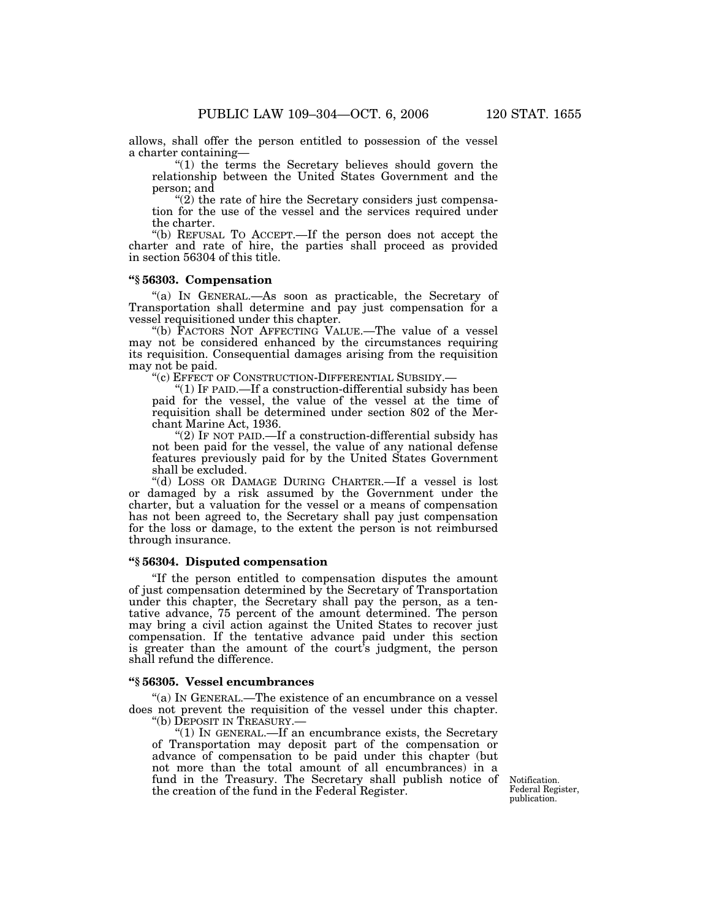allows, shall offer the person entitled to possession of the vessel a charter containing—

"(1) the terms the Secretary believes should govern the relationship between the United States Government and the person; and

 $(2)$  the rate of hire the Secretary considers just compensation for the use of the vessel and the services required under the charter.

''(b) REFUSAL TO ACCEPT.—If the person does not accept the charter and rate of hire, the parties shall proceed as provided in section 56304 of this title.

## **''§ 56303. Compensation**

''(a) IN GENERAL.—As soon as practicable, the Secretary of Transportation shall determine and pay just compensation for a vessel requisitioned under this chapter.

''(b) FACTORS NOT AFFECTING VALUE.—The value of a vessel may not be considered enhanced by the circumstances requiring its requisition. Consequential damages arising from the requisition may not be paid.

''(c) EFFECT OF CONSTRUCTION-DIFFERENTIAL SUBSIDY.—

 $''(1)$  IF PAID.—If a construction-differential subsidy has been paid for the vessel, the value of the vessel at the time of requisition shall be determined under section 802 of the Merchant Marine Act, 1936.

"(2) IF NOT PAID.—If a construction-differential subsidy has not been paid for the vessel, the value of any national defense features previously paid for by the United States Government shall be excluded.

''(d) LOSS OR DAMAGE DURING CHARTER.—If a vessel is lost or damaged by a risk assumed by the Government under the charter, but a valuation for the vessel or a means of compensation has not been agreed to, the Secretary shall pay just compensation for the loss or damage, to the extent the person is not reimbursed through insurance.

### **''§ 56304. Disputed compensation**

''If the person entitled to compensation disputes the amount of just compensation determined by the Secretary of Transportation under this chapter, the Secretary shall pay the person, as a tentative advance, 75 percent of the amount determined. The person may bring a civil action against the United States to recover just compensation. If the tentative advance paid under this section is greater than the amount of the court's judgment, the person shall refund the difference.

## **''§ 56305. Vessel encumbrances**

"(a) In GENERAL.—The existence of an encumbrance on a vessel does not prevent the requisition of the vessel under this chapter. "(b) DEPOSIT IN TREASURY.—

"(1) IN GENERAL.—If an encumbrance exists, the Secretary of Transportation may deposit part of the compensation or advance of compensation to be paid under this chapter (but not more than the total amount of all encumbrances) in a fund in the Treasury. The Secretary shall publish notice of the creation of the fund in the Federal Register.

Notification. Federal Register, publication.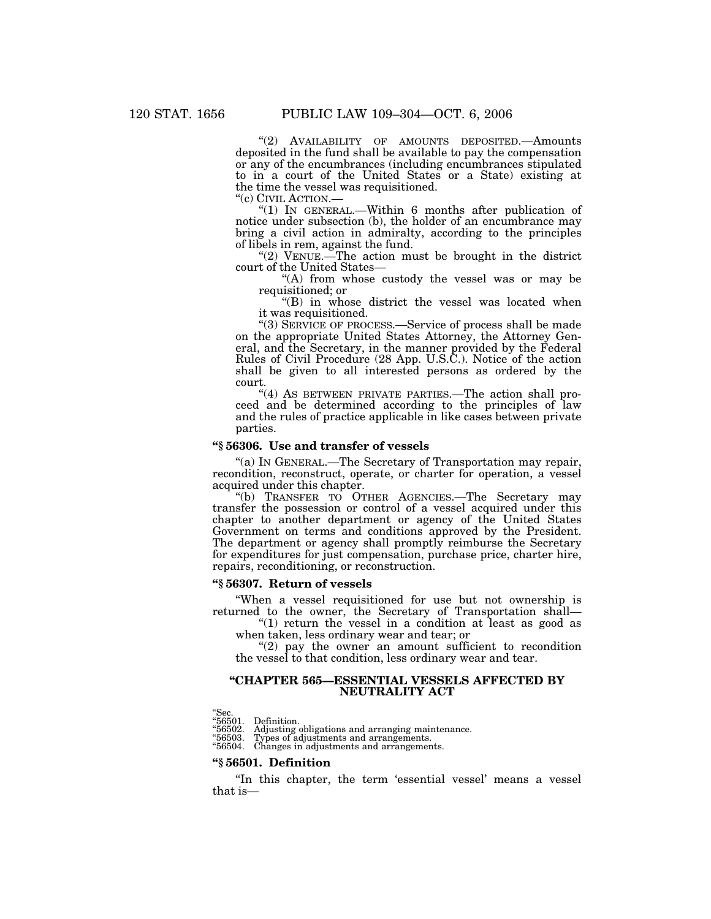"(2) AVAILABILITY OF AMOUNTS DEPOSITED.—Amounts deposited in the fund shall be available to pay the compensation or any of the encumbrances (including encumbrances stipulated to in a court of the United States or a State) existing at the time the vessel was requisitioned.<br>"(c) CIVIL ACTION.—

"(1) IN GENERAL.—Within 6 months after publication of notice under subsection (b), the holder of an encumbrance may bring a civil action in admiralty, according to the principles of libels in rem, against the fund.

''(2) VENUE.—The action must be brought in the district court of the United States—

"(A) from whose custody the vessel was or may be requisitioned; or

"(B) in whose district the vessel was located when it was requisitioned.

''(3) SERVICE OF PROCESS.—Service of process shall be made on the appropriate United States Attorney, the Attorney General, and the Secretary, in the manner provided by the Federal Rules of Civil Procedure (28 App. U.S.C.). Notice of the action shall be given to all interested persons as ordered by the court.

"(4) As BETWEEN PRIVATE PARTIES.—The action shall proceed and be determined according to the principles of law and the rules of practice applicable in like cases between private parties.

### **''§ 56306. Use and transfer of vessels**

''(a) IN GENERAL.—The Secretary of Transportation may repair, recondition, reconstruct, operate, or charter for operation, a vessel acquired under this chapter.

''(b) TRANSFER TO OTHER AGENCIES.—The Secretary may transfer the possession or control of a vessel acquired under this chapter to another department or agency of the United States Government on terms and conditions approved by the President. The department or agency shall promptly reimburse the Secretary for expenditures for just compensation, purchase price, charter hire, repairs, reconditioning, or reconstruction.

### **''§ 56307. Return of vessels**

''When a vessel requisitioned for use but not ownership is returned to the owner, the Secretary of Transportation shall—

" $(1)$  return the vessel in a condition at least as good as when taken, less ordinary wear and tear; or

 $''(2)$  pay the owner an amount sufficient to recondition the vessel to that condition, less ordinary wear and tear.

### **''CHAPTER 565—ESSENTIAL VESSELS AFFECTED BY NEUTRALITY ACT**

''Sec. ''56501. Definition.

''56502. Adjusting obligations and arranging maintenance. ''56503. Types of adjustments and arrangements. "56502. Adjusting obligations and arranging mainte<br>"56503. Types of adjustments and arrangements.<br>"56504. Changes in adjustments and arrangements.

### **''§ 56501. Definition**

''In this chapter, the term 'essential vessel' means a vessel that is—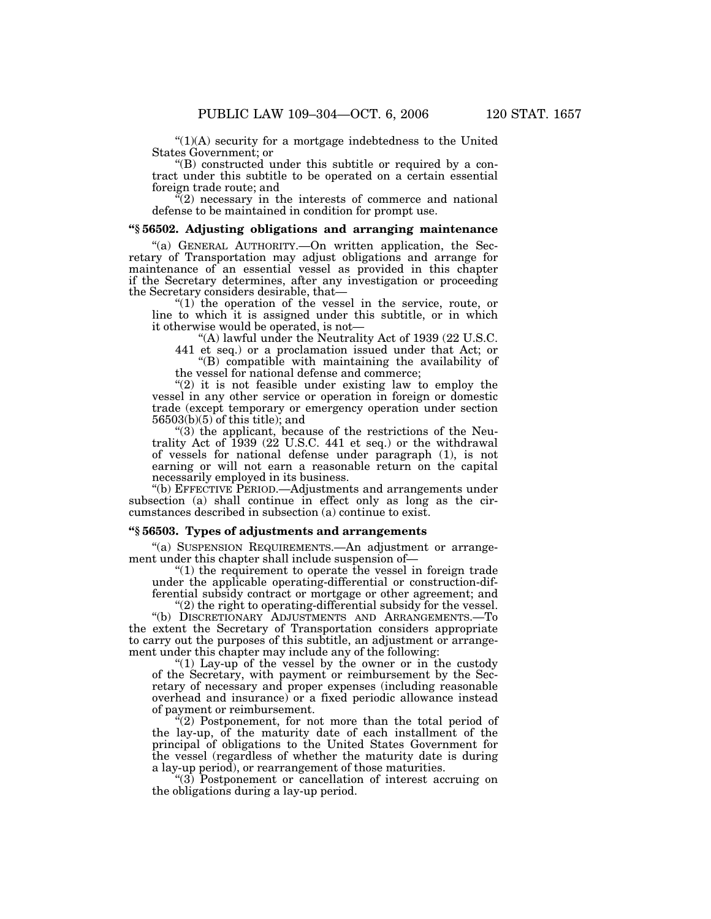$"(1)(A)$  security for a mortgage indebtedness to the United States Government; or

''(B) constructed under this subtitle or required by a contract under this subtitle to be operated on a certain essential foreign trade route; and

 $\sqrt[n]{(2)}$  necessary in the interests of commerce and national defense to be maintained in condition for prompt use.

### **''§ 56502. Adjusting obligations and arranging maintenance**

"(a) GENERAL AUTHORITY.—On written application, the Secretary of Transportation may adjust obligations and arrange for maintenance of an essential vessel as provided in this chapter if the Secretary determines, after any investigation or proceeding the Secretary considers desirable, that—

 $''(1)$  the operation of the vessel in the service, route, or line to which it is assigned under this subtitle, or in which it otherwise would be operated, is not—

''(A) lawful under the Neutrality Act of 1939 (22 U.S.C.

441 et seq.) or a proclamation issued under that Act; or ''(B) compatible with maintaining the availability of the vessel for national defense and commerce;

" $(2)$  it is not feasible under existing law to employ the vessel in any other service or operation in foreign or domestic trade (except temporary or emergency operation under section  $56503(b)(5)$  of this title); and

''(3) the applicant, because of the restrictions of the Neutrality Act of 1939 (22 U.S.C. 441 et seq.) or the withdrawal of vessels for national defense under paragraph (1), is not earning or will not earn a reasonable return on the capital necessarily employed in its business.

''(b) EFFECTIVE PERIOD.—Adjustments and arrangements under subsection (a) shall continue in effect only as long as the circumstances described in subsection (a) continue to exist.

# **''§ 56503. Types of adjustments and arrangements**

"(a) SUSPENSION REQUIREMENTS.—An adjustment or arrangement under this chapter shall include suspension of—

" $(1)$  the requirement to operate the vessel in foreign trade under the applicable operating-differential or construction-differential subsidy contract or mortgage or other agreement; and

 $(2)$  the right to operating-differential subsidy for the vessel. ''(b) DISCRETIONARY ADJUSTMENTS AND ARRANGEMENTS.—To the extent the Secretary of Transportation considers appropriate

to carry out the purposes of this subtitle, an adjustment or arrangement under this chapter may include any of the following:

" $(1)$  Lay-up of the vessel by the owner or in the custody of the Secretary, with payment or reimbursement by the Secretary of necessary and proper expenses (including reasonable overhead and insurance) or a fixed periodic allowance instead of payment or reimbursement.

 $(2)$  Postponement, for not more than the total period of the lay-up, of the maturity date of each installment of the principal of obligations to the United States Government for the vessel (regardless of whether the maturity date is during a lay-up period), or rearrangement of those maturities.

''(3) Postponement or cancellation of interest accruing on the obligations during a lay-up period.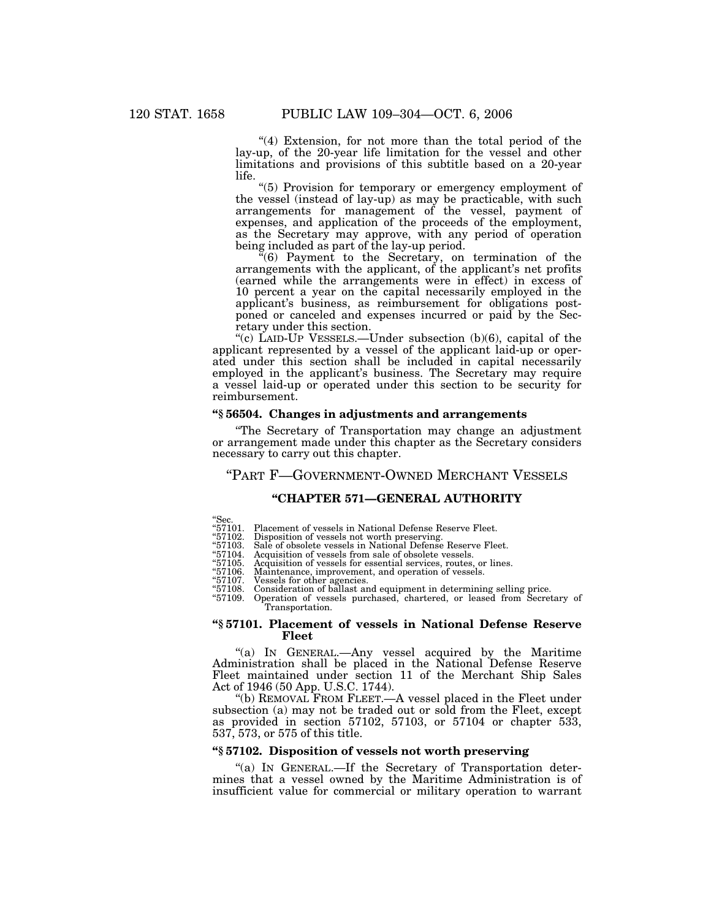"(4) Extension, for not more than the total period of the lay-up, of the 20-year life limitation for the vessel and other limitations and provisions of this subtitle based on a 20-year life.

''(5) Provision for temporary or emergency employment of the vessel (instead of lay-up) as may be practicable, with such arrangements for management of the vessel, payment of expenses, and application of the proceeds of the employment, as the Secretary may approve, with any period of operation being included as part of the lay-up period.

''(6) Payment to the Secretary, on termination of the arrangements with the applicant, of the applicant's net profits (earned while the arrangements were in effect) in excess of 10 percent a year on the capital necessarily employed in the applicant's business, as reimbursement for obligations postponed or canceled and expenses incurred or paid by the Secretary under this section.

"(c) LAID-UP VESSELS.—Under subsection  $(b)(6)$ , capital of the applicant represented by a vessel of the applicant laid-up or operated under this section shall be included in capital necessarily employed in the applicant's business. The Secretary may require a vessel laid-up or operated under this section to be security for reimbursement.

# **''§ 56504. Changes in adjustments and arrangements**

''The Secretary of Transportation may change an adjustment or arrangement made under this chapter as the Secretary considers necessary to carry out this chapter.

# ''PART F—GOVERNMENT-OWNED MERCHANT VESSELS

### **''CHAPTER 571—GENERAL AUTHORITY**

Placement of vessels in National Defense Reserve Fleet.

 $\substack{\text{``Sec.}\ \text{``57101.}}\ \substack{\text{``57102.}}$ 

''57102. Disposition of vessels not worth preserving. ''57103. Sale of obsolete vessels in National Defense Reserve Fleet.

''57104. Acquisition of vessels from sale of obsolete vessels.

"57105. Acquisition of vessels for essential services, routes, or lines.<br>"57106. Maintenance, improvement, and operation of vessels.<br>"57107. Vessels for other agencies.

Maintenance, improvement, and operation of vessels.

"57107. Vessels for other agencies.<br>"57108. Consideration of ballast an

''57108. Consideration of ballast and equipment in determining selling price. ''57109. Operation of vessels purchased, chartered, or leased from Secretary of Transportation.

#### **''§ 57101. Placement of vessels in National Defense Reserve Fleet**

''(a) IN GENERAL.—Any vessel acquired by the Maritime Administration shall be placed in the National Defense Reserve Fleet maintained under section 11 of the Merchant Ship Sales Act of 1946 (50 App. U.S.C. 1744).

''(b) REMOVAL FROM FLEET.—A vessel placed in the Fleet under subsection (a) may not be traded out or sold from the Fleet, except as provided in section 57102, 57103, or 57104 or chapter 533, 537, 573, or 575 of this title.

### **''§ 57102. Disposition of vessels not worth preserving**

"(a) IN GENERAL.—If the Secretary of Transportation determines that a vessel owned by the Maritime Administration is of insufficient value for commercial or military operation to warrant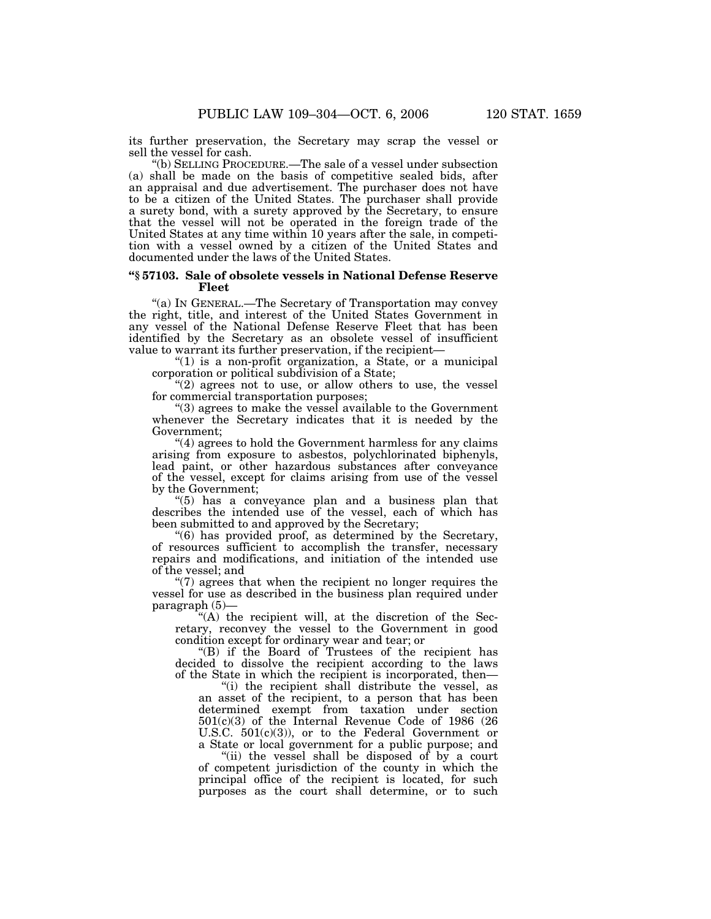its further preservation, the Secretary may scrap the vessel or sell the vessel for cash.

''(b) SELLING PROCEDURE.—The sale of a vessel under subsection (a) shall be made on the basis of competitive sealed bids, after an appraisal and due advertisement. The purchaser does not have to be a citizen of the United States. The purchaser shall provide a surety bond, with a surety approved by the Secretary, to ensure that the vessel will not be operated in the foreign trade of the United States at any time within 10 years after the sale, in competition with a vessel owned by a citizen of the United States and documented under the laws of the United States.

## **''§ 57103. Sale of obsolete vessels in National Defense Reserve Fleet**

''(a) IN GENERAL.—The Secretary of Transportation may convey the right, title, and interest of the United States Government in any vessel of the National Defense Reserve Fleet that has been identified by the Secretary as an obsolete vessel of insufficient value to warrant its further preservation, if the recipient—

" $(1)$  is a non-profit organization, a State, or a municipal corporation or political subdivision of a State;

" $(2)$  agrees not to use, or allow others to use, the vessel for commercial transportation purposes;

''(3) agrees to make the vessel available to the Government whenever the Secretary indicates that it is needed by the Government;

''(4) agrees to hold the Government harmless for any claims arising from exposure to asbestos, polychlorinated biphenyls, lead paint, or other hazardous substances after conveyance of the vessel, except for claims arising from use of the vessel by the Government;

''(5) has a conveyance plan and a business plan that describes the intended use of the vessel, each of which has been submitted to and approved by the Secretary;

''(6) has provided proof, as determined by the Secretary, of resources sufficient to accomplish the transfer, necessary repairs and modifications, and initiation of the intended use of the vessel; and

 $(7)$  agrees that when the recipient no longer requires the vessel for use as described in the business plan required under paragraph (5)—

''(A) the recipient will, at the discretion of the Secretary, reconvey the vessel to the Government in good condition except for ordinary wear and tear; or

''(B) if the Board of Trustees of the recipient has decided to dissolve the recipient according to the laws of the State in which the recipient is incorporated, then—

"(i) the recipient shall distribute the vessel, as an asset of the recipient, to a person that has been determined exempt from taxation under section 501(c)(3) of the Internal Revenue Code of 1986 (26 U.S.C. 501(c)(3)), or to the Federal Government or a State or local government for a public purpose; and

''(ii) the vessel shall be disposed of by a court of competent jurisdiction of the county in which the principal office of the recipient is located, for such purposes as the court shall determine, or to such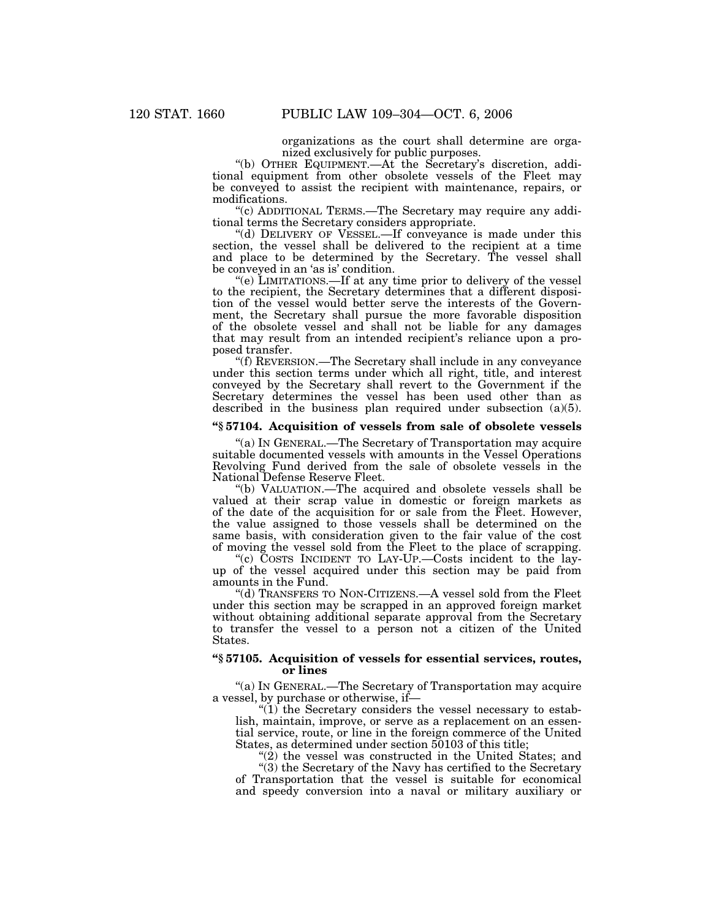organizations as the court shall determine are organized exclusively for public purposes.

''(b) OTHER EQUIPMENT.—At the Secretary's discretion, additional equipment from other obsolete vessels of the Fleet may be conveyed to assist the recipient with maintenance, repairs, or modifications.

''(c) ADDITIONAL TERMS.—The Secretary may require any additional terms the Secretary considers appropriate.

"(d) DELIVERY OF VESSEL.—If conveyance is made under this section, the vessel shall be delivered to the recipient at a time and place to be determined by the Secretary. The vessel shall be conveyed in an 'as is' condition.

''(e) LIMITATIONS.—If at any time prior to delivery of the vessel to the recipient, the Secretary determines that a different disposition of the vessel would better serve the interests of the Government, the Secretary shall pursue the more favorable disposition of the obsolete vessel and shall not be liable for any damages that may result from an intended recipient's reliance upon a proposed transfer.

''(f) REVERSION.—The Secretary shall include in any conveyance under this section terms under which all right, title, and interest conveyed by the Secretary shall revert to the Government if the Secretary determines the vessel has been used other than as described in the business plan required under subsection (a)(5).

### **''§ 57104. Acquisition of vessels from sale of obsolete vessels**

''(a) IN GENERAL.—The Secretary of Transportation may acquire suitable documented vessels with amounts in the Vessel Operations Revolving Fund derived from the sale of obsolete vessels in the National Defense Reserve Fleet.

''(b) VALUATION.—The acquired and obsolete vessels shall be valued at their scrap value in domestic or foreign markets as of the date of the acquisition for or sale from the Fleet. However, the value assigned to those vessels shall be determined on the same basis, with consideration given to the fair value of the cost of moving the vessel sold from the Fleet to the place of scrapping.

''(c) COSTS INCIDENT TO LAY-UP.—Costs incident to the layup of the vessel acquired under this section may be paid from amounts in the Fund.

''(d) TRANSFERS TO NON-CITIZENS.—A vessel sold from the Fleet under this section may be scrapped in an approved foreign market without obtaining additional separate approval from the Secretary to transfer the vessel to a person not a citizen of the United States.

## **''§ 57105. Acquisition of vessels for essential services, routes, or lines**

''(a) IN GENERAL.—The Secretary of Transportation may acquire a vessel, by purchase or otherwise, if—

 $f(1)$  the Secretary considers the vessel necessary to establish, maintain, improve, or serve as a replacement on an essential service, route, or line in the foreign commerce of the United States, as determined under section 50103 of this title;

"(2) the vessel was constructed in the United States; and ''(3) the Secretary of the Navy has certified to the Secretary of Transportation that the vessel is suitable for economical and speedy conversion into a naval or military auxiliary or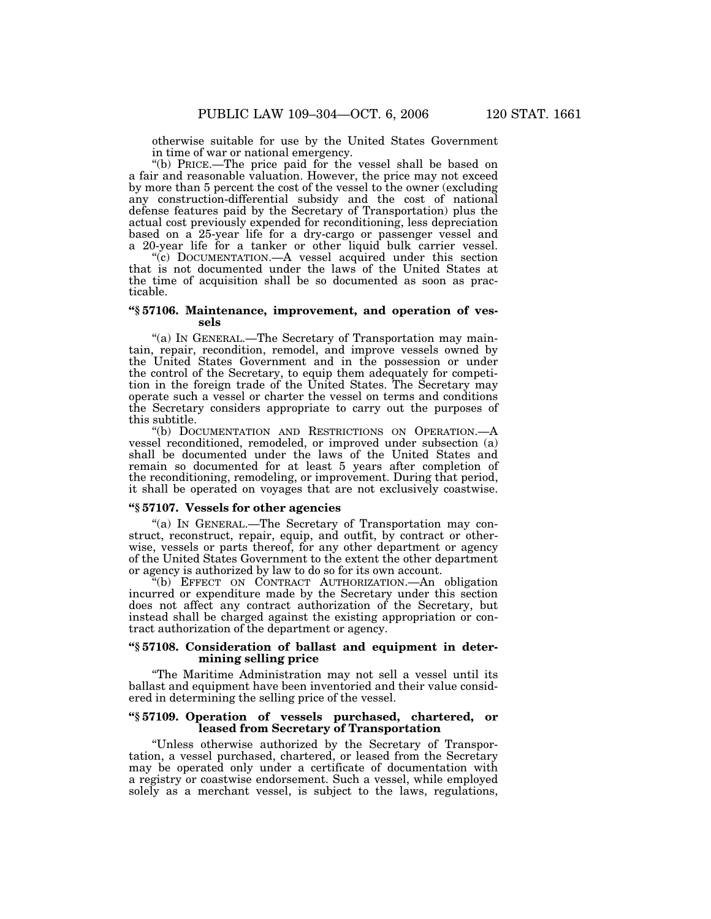otherwise suitable for use by the United States Government in time of war or national emergency.

''(b) PRICE.—The price paid for the vessel shall be based on a fair and reasonable valuation. However, the price may not exceed by more than 5 percent the cost of the vessel to the owner (excluding any construction-differential subsidy and the cost of national defense features paid by the Secretary of Transportation) plus the actual cost previously expended for reconditioning, less depreciation based on a 25-year life for a dry-cargo or passenger vessel and a 20-year life for a tanker or other liquid bulk carrier vessel.

''(c) DOCUMENTATION.—A vessel acquired under this section that is not documented under the laws of the United States at the time of acquisition shall be so documented as soon as practicable.

## **''§ 57106. Maintenance, improvement, and operation of vessels**

"(a) IN GENERAL.—The Secretary of Transportation may maintain, repair, recondition, remodel, and improve vessels owned by the United States Government and in the possession or under the control of the Secretary, to equip them adequately for competition in the foreign trade of the United States. The Secretary may operate such a vessel or charter the vessel on terms and conditions the Secretary considers appropriate to carry out the purposes of this subtitle.

''(b) DOCUMENTATION AND RESTRICTIONS ON OPERATION.—A vessel reconditioned, remodeled, or improved under subsection (a) shall be documented under the laws of the United States and remain so documented for at least 5 years after completion of the reconditioning, remodeling, or improvement. During that period, it shall be operated on voyages that are not exclusively coastwise.

### **''§ 57107. Vessels for other agencies**

"(a) IN GENERAL.—The Secretary of Transportation may construct, reconstruct, repair, equip, and outfit, by contract or otherwise, vessels or parts thereof, for any other department or agency of the United States Government to the extent the other department or agency is authorized by law to do so for its own account.

''(b) EFFECT ON CONTRACT AUTHORIZATION.—An obligation incurred or expenditure made by the Secretary under this section does not affect any contract authorization of the Secretary, but instead shall be charged against the existing appropriation or contract authorization of the department or agency.

## **''§ 57108. Consideration of ballast and equipment in determining selling price**

''The Maritime Administration may not sell a vessel until its ballast and equipment have been inventoried and their value considered in determining the selling price of the vessel.

### **''§ 57109. Operation of vessels purchased, chartered, or leased from Secretary of Transportation**

''Unless otherwise authorized by the Secretary of Transportation, a vessel purchased, chartered, or leased from the Secretary may be operated only under a certificate of documentation with a registry or coastwise endorsement. Such a vessel, while employed solely as a merchant vessel, is subject to the laws, regulations,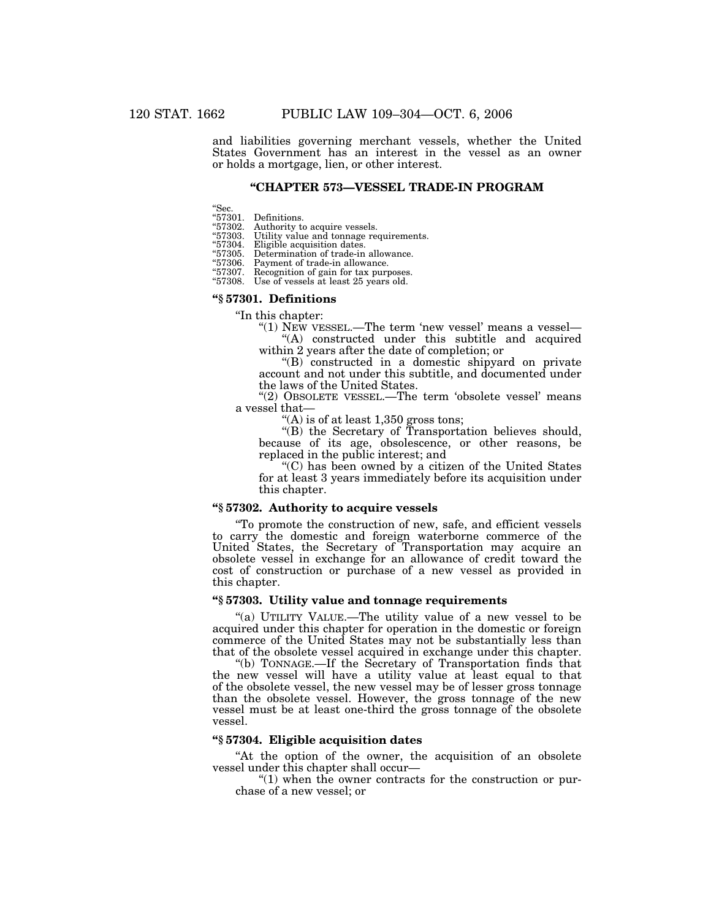and liabilities governing merchant vessels, whether the United States Government has an interest in the vessel as an owner or holds a mortgage, lien, or other interest.

## **''CHAPTER 573—VESSEL TRADE-IN PROGRAM**

"Sec.<br>"57301.

"57301. Definitions.<br>"57302. Authority to

"57302. Authority to acquire vessels.<br>"57303. Utility value and tonnage ree

''57303. Utility value and tonnage requirements.

"57304. Eligible acquisition dates.<br>"57305. Determination of trade-in

''57305. Determination of trade-in allowance. ''57306. Payment of trade-in allowance.

Recognition of gain for tax purposes.

''57308. Use of vessels at least 25 years old.

## **''§ 57301. Definitions**

''In this chapter:

" $(1)$  New vessel.—The term 'new vessel' means a vessel— "(A) constructed under this subtitle and acquired within 2 years after the date of completion; or

''(B) constructed in a domestic shipyard on private account and not under this subtitle, and documented under the laws of the United States.

"(2) OBSOLETE VESSEL.—The term 'obsolete vessel' means a vessel that—

''(A) is of at least 1,350 gross tons;

''(B) the Secretary of Transportation believes should, because of its age, obsolescence, or other reasons, be replaced in the public interest; and

''(C) has been owned by a citizen of the United States for at least 3 years immediately before its acquisition under this chapter.

#### **''§ 57302. Authority to acquire vessels**

''To promote the construction of new, safe, and efficient vessels to carry the domestic and foreign waterborne commerce of the United States, the Secretary of Transportation may acquire an obsolete vessel in exchange for an allowance of credit toward the cost of construction or purchase of a new vessel as provided in this chapter.

### **''§ 57303. Utility value and tonnage requirements**

"(a) UTILITY VALUE.—The utility value of a new vessel to be acquired under this chapter for operation in the domestic or foreign commerce of the United States may not be substantially less than that of the obsolete vessel acquired in exchange under this chapter.

''(b) TONNAGE.—If the Secretary of Transportation finds that the new vessel will have a utility value at least equal to that of the obsolete vessel, the new vessel may be of lesser gross tonnage than the obsolete vessel. However, the gross tonnage of the new vessel must be at least one-third the gross tonnage of the obsolete vessel.

## **''§ 57304. Eligible acquisition dates**

''At the option of the owner, the acquisition of an obsolete vessel under this chapter shall occur—

 $''(1)$  when the owner contracts for the construction or purchase of a new vessel; or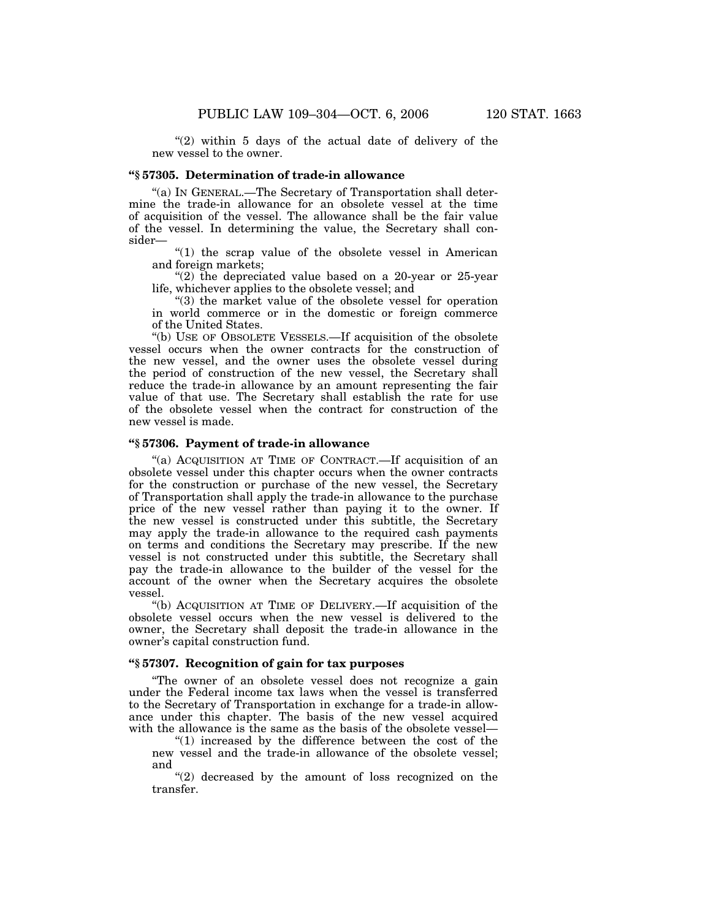" $(2)$  within 5 days of the actual date of delivery of the new vessel to the owner.

### **''§ 57305. Determination of trade-in allowance**

''(a) IN GENERAL.—The Secretary of Transportation shall determine the trade-in allowance for an obsolete vessel at the time of acquisition of the vessel. The allowance shall be the fair value of the vessel. In determining the value, the Secretary shall consider—

"(1) the scrap value of the obsolete vessel in American and foreign markets;

"(2) the depreciated value based on a 20-year or  $25$ -year life, whichever applies to the obsolete vessel; and

''(3) the market value of the obsolete vessel for operation in world commerce or in the domestic or foreign commerce of the United States.

''(b) USE OF OBSOLETE VESSELS.—If acquisition of the obsolete vessel occurs when the owner contracts for the construction of the new vessel, and the owner uses the obsolete vessel during the period of construction of the new vessel, the Secretary shall reduce the trade-in allowance by an amount representing the fair value of that use. The Secretary shall establish the rate for use of the obsolete vessel when the contract for construction of the new vessel is made.

### **''§ 57306. Payment of trade-in allowance**

"(a) ACQUISITION AT TIME OF CONTRACT.—If acquisition of an obsolete vessel under this chapter occurs when the owner contracts for the construction or purchase of the new vessel, the Secretary of Transportation shall apply the trade-in allowance to the purchase price of the new vessel rather than paying it to the owner. If the new vessel is constructed under this subtitle, the Secretary may apply the trade-in allowance to the required cash payments on terms and conditions the Secretary may prescribe. If the new vessel is not constructed under this subtitle, the Secretary shall pay the trade-in allowance to the builder of the vessel for the account of the owner when the Secretary acquires the obsolete vessel.

''(b) ACQUISITION AT TIME OF DELIVERY.—If acquisition of the obsolete vessel occurs when the new vessel is delivered to the owner, the Secretary shall deposit the trade-in allowance in the owner's capital construction fund.

# **''§ 57307. Recognition of gain for tax purposes**

''The owner of an obsolete vessel does not recognize a gain under the Federal income tax laws when the vessel is transferred to the Secretary of Transportation in exchange for a trade-in allowance under this chapter. The basis of the new vessel acquired with the allowance is the same as the basis of the obsolete vessel—

''(1) increased by the difference between the cost of the new vessel and the trade-in allowance of the obsolete vessel; and

"(2) decreased by the amount of loss recognized on the transfer.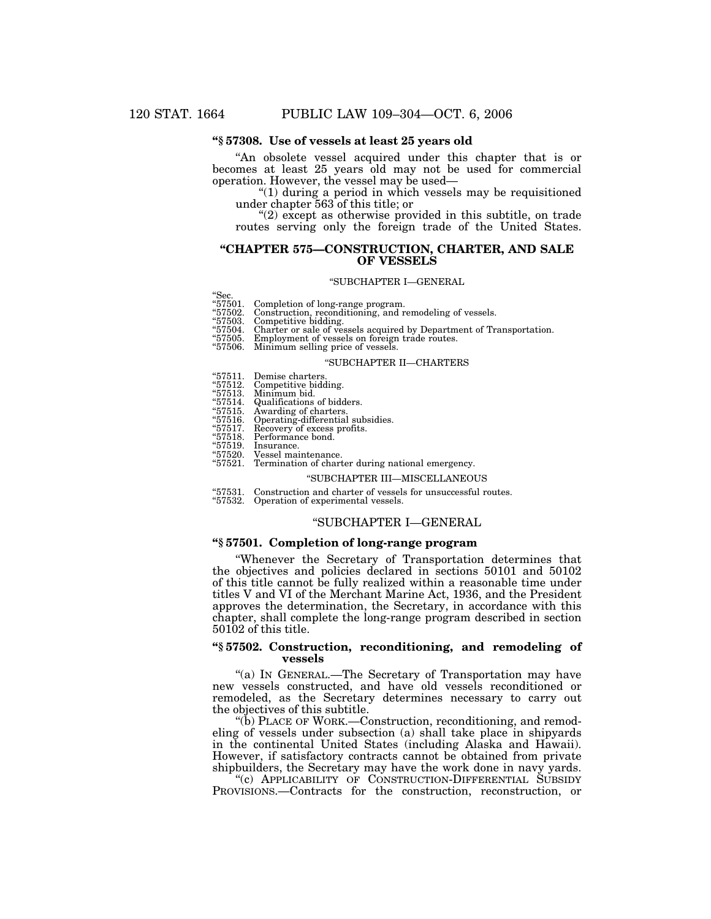## **''§ 57308. Use of vessels at least 25 years old**

''An obsolete vessel acquired under this chapter that is or becomes at least 25 years old may not be used for commercial operation. However, the vessel may be used—

" $(1)$  during a period in which vessels may be requisitioned under chapter 563 of this title; or

"(2) except as otherwise provided in this subtitle, on trade routes serving only the foreign trade of the United States.

## **''CHAPTER 575—CONSTRUCTION, CHARTER, AND SALE OF VESSELS**

#### ''SUBCHAPTER I—GENERAL

"Sec.<br>"57501.

''57501. Completion of long-range program. ''57502. Construction, reconditioning, and remodeling of vessels. ''57503. Competitive bidding.

''57504. Charter or sale of vessels acquired by Department of Transportation.

- ''57505. Employment of vessels on foreign trade routes.
- Minimum selling price of vessels.

#### ''SUBCHAPTER II—CHARTERS

"57511. Demise charters."<br>57512. Competitive bide

Minimum bid.

''57512. Competitive bidding. "57514. Qualifications of bidders.<br>"57515. Awarding of charters.

"57515. Awarding of charters.<br>"57516. Operating-differential "57516. Operating-differential subsidies.<br>"57517. Recovery of excess profits.

- "57517. Recovery of excess profits.<br>"57518. Performance bond.
- "57518. Performance bond.<br>"57519. Insurance.
- "57519. Insurance.<br>"57520. Vessel ma Vessel maintenance.
- ''57521. Termination of charter during national emergency.

#### ''SUBCHAPTER III—MISCELLANEOUS

- Construction and charter of vessels for unsuccessful routes.
- ''57532. Operation of experimental vessels.

### ''SUBCHAPTER I—GENERAL

## **''§ 57501. Completion of long-range program**

''Whenever the Secretary of Transportation determines that the objectives and policies declared in sections 50101 and 50102 of this title cannot be fully realized within a reasonable time under titles V and VI of the Merchant Marine Act, 1936, and the President approves the determination, the Secretary, in accordance with this chapter, shall complete the long-range program described in section 50102 of this title.

### **''§ 57502. Construction, reconditioning, and remodeling of vessels**

"(a) IN GENERAL.—The Secretary of Transportation may have new vessels constructed, and have old vessels reconditioned or remodeled, as the Secretary determines necessary to carry out the objectives of this subtitle.

''(b) PLACE OF WORK.—Construction, reconditioning, and remodeling of vessels under subsection (a) shall take place in shipyards in the continental United States (including Alaska and Hawaii). However, if satisfactory contracts cannot be obtained from private shipbuilders, the Secretary may have the work done in navy yards.

''(c) APPLICABILITY OF CONSTRUCTION-DIFFERENTIAL SUBSIDY PROVISIONS.—Contracts for the construction, reconstruction, or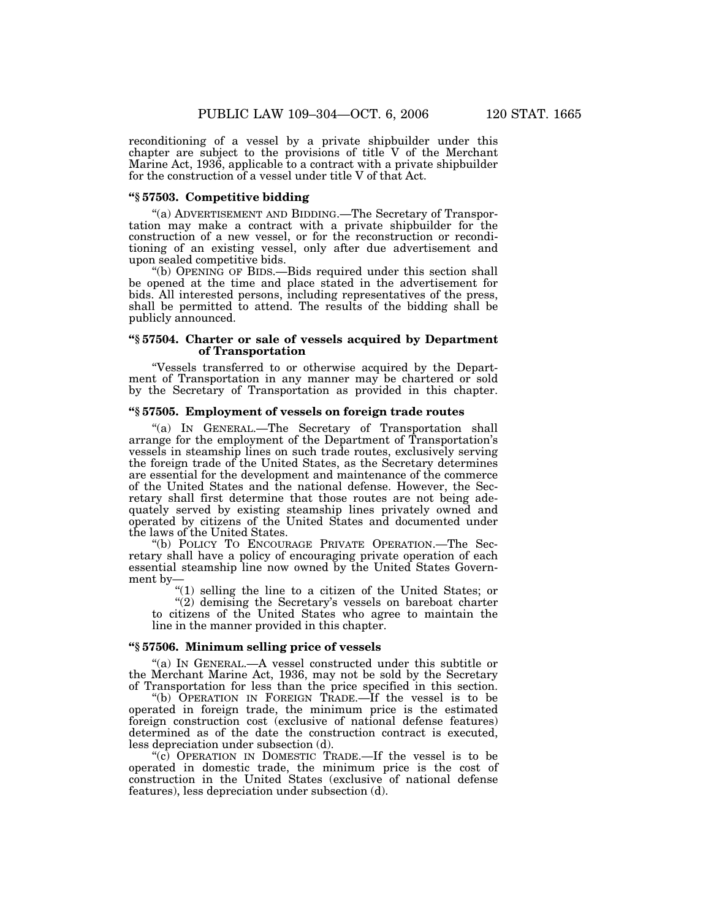reconditioning of a vessel by a private shipbuilder under this chapter are subject to the provisions of title V of the Merchant Marine Act, 1936, applicable to a contract with a private shipbuilder for the construction of a vessel under title V of that Act.

#### **''§ 57503. Competitive bidding**

(a) ADVERTISEMENT AND BIDDING.—The Secretary of Transportation may make a contract with a private shipbuilder for the construction of a new vessel, or for the reconstruction or reconditioning of an existing vessel, only after due advertisement and upon sealed competitive bids.

''(b) OPENING OF BIDS.—Bids required under this section shall be opened at the time and place stated in the advertisement for bids. All interested persons, including representatives of the press, shall be permitted to attend. The results of the bidding shall be publicly announced.

# **''§ 57504. Charter or sale of vessels acquired by Department of Transportation**

''Vessels transferred to or otherwise acquired by the Department of Transportation in any manner may be chartered or sold by the Secretary of Transportation as provided in this chapter.

# **''§ 57505. Employment of vessels on foreign trade routes**

"(a) IN GENERAL.—The Secretary of Transportation shall arrange for the employment of the Department of Transportation's vessels in steamship lines on such trade routes, exclusively serving the foreign trade of the United States, as the Secretary determines are essential for the development and maintenance of the commerce of the United States and the national defense. However, the Secretary shall first determine that those routes are not being adequately served by existing steamship lines privately owned and operated by citizens of the United States and documented under the laws of the United States.

''(b) POLICY TO ENCOURAGE PRIVATE OPERATION.—The Secretary shall have a policy of encouraging private operation of each essential steamship line now owned by the United States Government by—

''(1) selling the line to a citizen of the United States; or

''(2) demising the Secretary's vessels on bareboat charter to citizens of the United States who agree to maintain the line in the manner provided in this chapter.

### **''§ 57506. Minimum selling price of vessels**

''(a) IN GENERAL.—A vessel constructed under this subtitle or the Merchant Marine Act, 1936, may not be sold by the Secretary of Transportation for less than the price specified in this section.

''(b) OPERATION IN FOREIGN TRADE.—If the vessel is to be operated in foreign trade, the minimum price is the estimated foreign construction cost (exclusive of national defense features) determined as of the date the construction contract is executed, less depreciation under subsection (d).

"(c) OPERATION IN DOMESTIC TRADE.—If the vessel is to be operated in domestic trade, the minimum price is the cost of construction in the United States (exclusive of national defense features), less depreciation under subsection (d).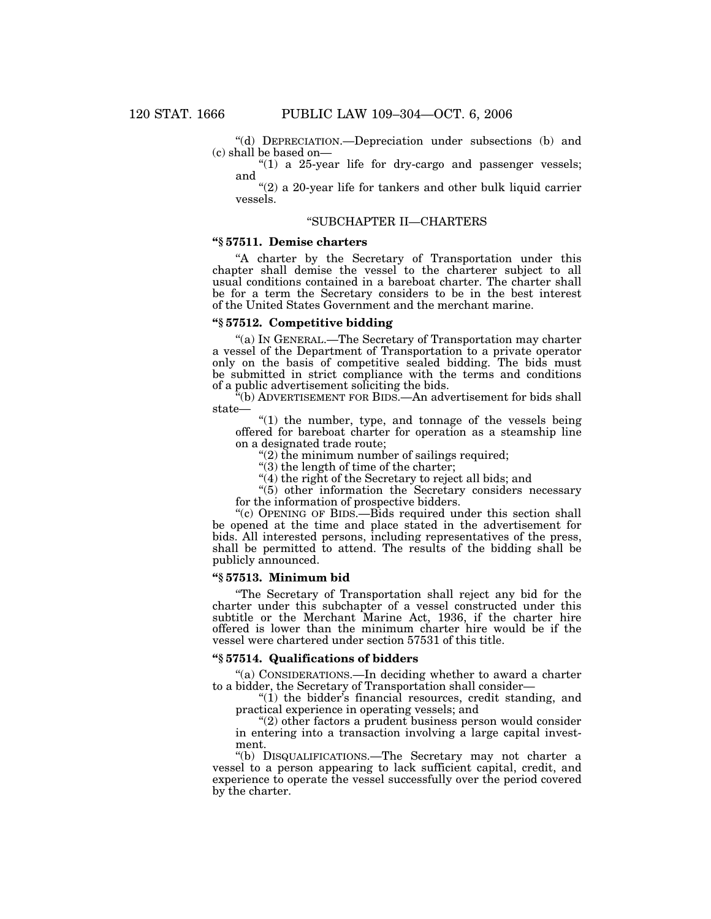''(d) DEPRECIATION.—Depreciation under subsections (b) and (c) shall be based on—

 $*(1)$  a 25-year life for dry-cargo and passenger vessels; and

" $(2)$  a 20-year life for tankers and other bulk liquid carrier vessels.

# ''SUBCHAPTER II—CHARTERS

# **''§ 57511. Demise charters**

"A charter by the Secretary of Transportation under this chapter shall demise the vessel to the charterer subject to all usual conditions contained in a bareboat charter. The charter shall be for a term the Secretary considers to be in the best interest of the United States Government and the merchant marine.

# **''§ 57512. Competitive bidding**

''(a) IN GENERAL.—The Secretary of Transportation may charter a vessel of the Department of Transportation to a private operator only on the basis of competitive sealed bidding. The bids must be submitted in strict compliance with the terms and conditions of a public advertisement soliciting the bids.

(b) ADVERTISEMENT FOR BIDS.—An advertisement for bids shall state—

" $(1)$  the number, type, and tonnage of the vessels being offered for bareboat charter for operation as a steamship line on a designated trade route;

" $(2)$  the minimum number of sailings required;

''(3) the length of time of the charter;

"(4) the right of the Secretary to reject all bids; and

''(5) other information the Secretary considers necessary for the information of prospective bidders.

''(c) OPENING OF BIDS.—Bids required under this section shall be opened at the time and place stated in the advertisement for bids. All interested persons, including representatives of the press, shall be permitted to attend. The results of the bidding shall be publicly announced.

#### **''§ 57513. Minimum bid**

''The Secretary of Transportation shall reject any bid for the charter under this subchapter of a vessel constructed under this subtitle or the Merchant Marine Act, 1936, if the charter hire offered is lower than the minimum charter hire would be if the vessel were chartered under section 57531 of this title.

#### **''§ 57514. Qualifications of bidders**

''(a) CONSIDERATIONS.—In deciding whether to award a charter to a bidder, the Secretary of Transportation shall consider—

" $(1)$  the bidder's financial resources, credit standing, and practical experience in operating vessels; and

"(2) other factors a prudent business person would consider in entering into a transaction involving a large capital investment.

''(b) DISQUALIFICATIONS.—The Secretary may not charter a vessel to a person appearing to lack sufficient capital, credit, and experience to operate the vessel successfully over the period covered by the charter.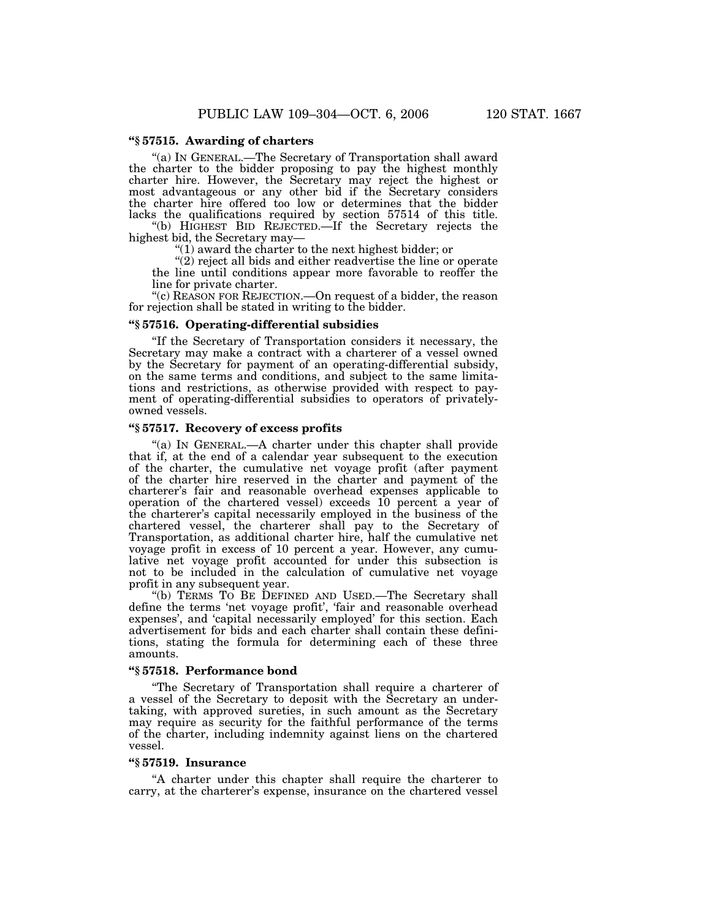# **''§ 57515. Awarding of charters**

''(a) IN GENERAL.—The Secretary of Transportation shall award the charter to the bidder proposing to pay the highest monthly charter hire. However, the Secretary may reject the highest or most advantageous or any other bid if the Secretary considers the charter hire offered too low or determines that the bidder lacks the qualifications required by section 57514 of this title.

''(b) HIGHEST BID REJECTED.—If the Secretary rejects the highest bid, the Secretary may—

 $'(1)$  award the charter to the next highest bidder; or

"(2) reject all bids and either readvertise the line or operate the line until conditions appear more favorable to reoffer the line for private charter.

" $(c)$  REASON FOR REJECTION.—On request of a bidder, the reason for rejection shall be stated in writing to the bidder.

#### **''§ 57516. Operating-differential subsidies**

''If the Secretary of Transportation considers it necessary, the Secretary may make a contract with a charterer of a vessel owned by the Secretary for payment of an operating-differential subsidy, on the same terms and conditions, and subject to the same limitations and restrictions, as otherwise provided with respect to payment of operating-differential subsidies to operators of privatelyowned vessels.

#### **''§ 57517. Recovery of excess profits**

''(a) IN GENERAL.—A charter under this chapter shall provide that if, at the end of a calendar year subsequent to the execution of the charter, the cumulative net voyage profit (after payment of the charter hire reserved in the charter and payment of the charterer's fair and reasonable overhead expenses applicable to operation of the chartered vessel) exceeds 10 percent a year of the charterer's capital necessarily employed in the business of the chartered vessel, the charterer shall pay to the Secretary of Transportation, as additional charter hire, half the cumulative net voyage profit in excess of 10 percent a year. However, any cumulative net voyage profit accounted for under this subsection is not to be included in the calculation of cumulative net voyage profit in any subsequent year.

''(b) TERMS TO BE DEFINED AND USED.—The Secretary shall define the terms 'net voyage profit', 'fair and reasonable overhead expenses', and 'capital necessarily employed' for this section. Each advertisement for bids and each charter shall contain these definitions, stating the formula for determining each of these three amounts.

#### **''§ 57518. Performance bond**

''The Secretary of Transportation shall require a charterer of a vessel of the Secretary to deposit with the Secretary an undertaking, with approved sureties, in such amount as the Secretary may require as security for the faithful performance of the terms of the charter, including indemnity against liens on the chartered vessel.

### **''§ 57519. Insurance**

''A charter under this chapter shall require the charterer to carry, at the charterer's expense, insurance on the chartered vessel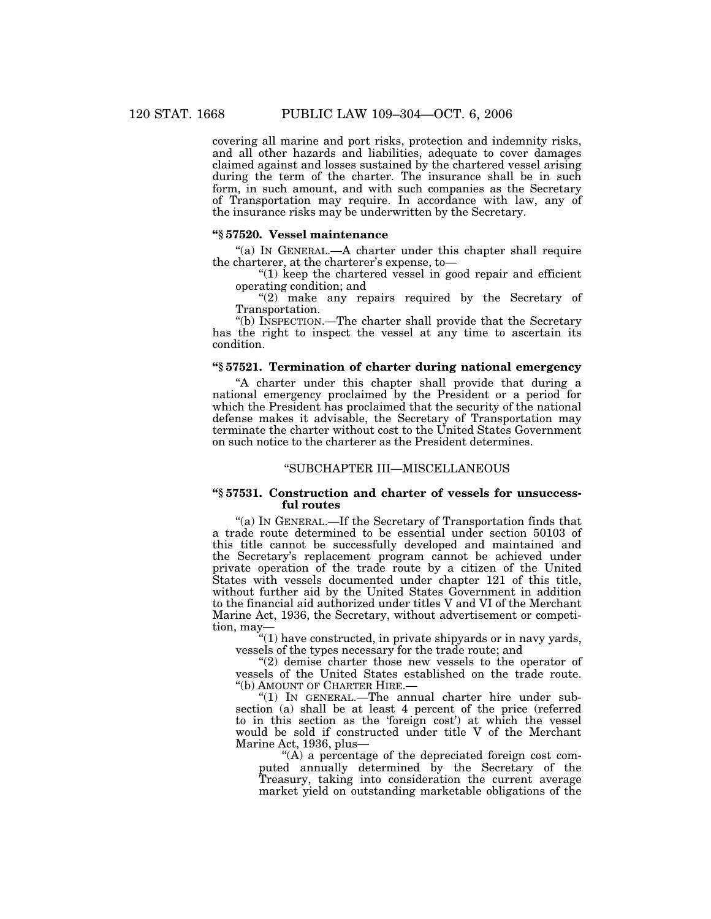covering all marine and port risks, protection and indemnity risks, and all other hazards and liabilities, adequate to cover damages claimed against and losses sustained by the chartered vessel arising during the term of the charter. The insurance shall be in such form, in such amount, and with such companies as the Secretary of Transportation may require. In accordance with law, any of the insurance risks may be underwritten by the Secretary.

#### **''§ 57520. Vessel maintenance**

"(a) IN GENERAL.—A charter under this chapter shall require the charterer, at the charterer's expense, to—

" $(1)$  keep the chartered vessel in good repair and efficient operating condition; and

"(2) make any repairs required by the Secretary of Transportation.

''(b) INSPECTION.—The charter shall provide that the Secretary has the right to inspect the vessel at any time to ascertain its condition.

# **''§ 57521. Termination of charter during national emergency**

"A charter under this chapter shall provide that during a national emergency proclaimed by the President or a period for which the President has proclaimed that the security of the national defense makes it advisable, the Secretary of Transportation may terminate the charter without cost to the United States Government on such notice to the charterer as the President determines.

#### ''SUBCHAPTER III—MISCELLANEOUS

# **''§ 57531. Construction and charter of vessels for unsuccessful routes**

''(a) IN GENERAL.—If the Secretary of Transportation finds that a trade route determined to be essential under section 50103 of this title cannot be successfully developed and maintained and the Secretary's replacement program cannot be achieved under private operation of the trade route by a citizen of the United States with vessels documented under chapter 121 of this title, without further aid by the United States Government in addition to the financial aid authorized under titles V and VI of the Merchant Marine Act, 1936, the Secretary, without advertisement or competition, may—

''(1) have constructed, in private shipyards or in navy yards, vessels of the types necessary for the trade route; and

"(2) demise charter those new vessels to the operator of vessels of the United States established on the trade route. ''(b) AMOUNT OF CHARTER HIRE.—

"(1) IN GENERAL.—The annual charter hire under subsection (a) shall be at least 4 percent of the price (referred to in this section as the 'foreign cost') at which the vessel would be sold if constructed under title V of the Merchant Marine Act, 1936, plus—

''(A) a percentage of the depreciated foreign cost computed annually determined by the Secretary of the Treasury, taking into consideration the current average market yield on outstanding marketable obligations of the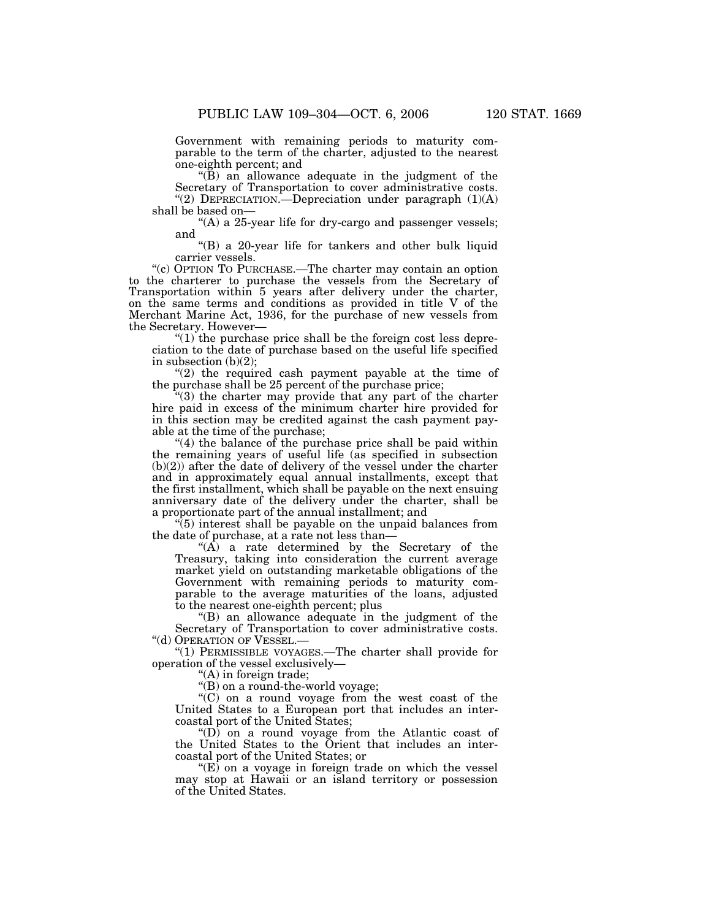Government with remaining periods to maturity comparable to the term of the charter, adjusted to the nearest one-eighth percent; and

''(B) an allowance adequate in the judgment of the Secretary of Transportation to cover administrative costs. ''(2) DEPRECIATION.—Depreciation under paragraph (1)(A) shall be based on—

"(A) a  $25$ -year life for dry-cargo and passenger vessels; and

''(B) a 20-year life for tankers and other bulk liquid carrier vessels.

''(c) OPTION TO PURCHASE.—The charter may contain an option to the charterer to purchase the vessels from the Secretary of Transportation within 5 years after delivery under the charter, on the same terms and conditions as provided in title V of the Merchant Marine Act, 1936, for the purchase of new vessels from the Secretary. However—

" $(1)$  the purchase price shall be the foreign cost less depreciation to the date of purchase based on the useful life specified in subsection (b)(2);

"(2) the required cash payment payable at the time of the purchase shall be 25 percent of the purchase price;

"(3) the charter may provide that any part of the charter hire paid in excess of the minimum charter hire provided for in this section may be credited against the cash payment payable at the time of the purchase;

"(4) the balance of the purchase price shall be paid within the remaining years of useful life (as specified in subsection (b)(2)) after the date of delivery of the vessel under the charter and in approximately equal annual installments, except that the first installment, which shall be payable on the next ensuing anniversary date of the delivery under the charter, shall be a proportionate part of the annual installment; and

''(5) interest shall be payable on the unpaid balances from the date of purchase, at a rate not less than—

" $(\vec{A})$  a rate determined by the Secretary of the Treasury, taking into consideration the current average market yield on outstanding marketable obligations of the Government with remaining periods to maturity comparable to the average maturities of the loans, adjusted to the nearest one-eighth percent; plus

''(B) an allowance adequate in the judgment of the Secretary of Transportation to cover administrative costs. "(d) OPERATION OF VESSEL.-

''(1) PERMISSIBLE VOYAGES.—The charter shall provide for operation of the vessel exclusively—

''(A) in foreign trade;

''(B) on a round-the-world voyage;

"(C) on a round voyage from the west coast of the United States to a European port that includes an intercoastal port of the United States;

 $\mathrm{``(D)}$  on a round voyage from the Atlantic coast of the United States to the Orient that includes an intercoastal port of the United States; or

" $(E)$  on a voyage in foreign trade on which the vessel may stop at Hawaii or an island territory or possession of the United States.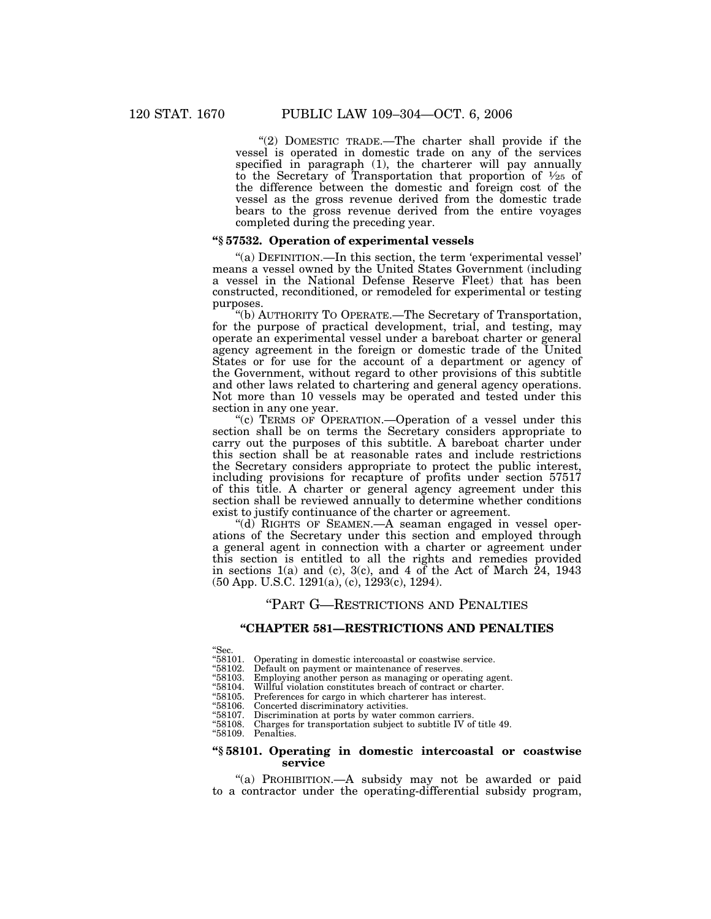"(2) DOMESTIC TRADE.—The charter shall provide if the vessel is operated in domestic trade on any of the services specified in paragraph (1), the charterer will pay annually to the Secretary of Transportation that proportion of  $\frac{1}{25}$  of the difference between the domestic and foreign cost of the vessel as the gross revenue derived from the domestic trade bears to the gross revenue derived from the entire voyages completed during the preceding year.

# **''§ 57532. Operation of experimental vessels**

''(a) DEFINITION.—In this section, the term 'experimental vessel' means a vessel owned by the United States Government (including a vessel in the National Defense Reserve Fleet) that has been constructed, reconditioned, or remodeled for experimental or testing purposes.

''(b) AUTHORITY TO OPERATE.—The Secretary of Transportation, for the purpose of practical development, trial, and testing, may operate an experimental vessel under a bareboat charter or general agency agreement in the foreign or domestic trade of the United States or for use for the account of a department or agency of the Government, without regard to other provisions of this subtitle and other laws related to chartering and general agency operations. Not more than 10 vessels may be operated and tested under this section in any one year.

"(c) TERMS OF OPERATION.—Operation of a vessel under this section shall be on terms the Secretary considers appropriate to carry out the purposes of this subtitle. A bareboat charter under this section shall be at reasonable rates and include restrictions the Secretary considers appropriate to protect the public interest, including provisions for recapture of profits under section 57517 of this title. A charter or general agency agreement under this section shall be reviewed annually to determine whether conditions exist to justify continuance of the charter or agreement.

''(d) RIGHTS OF SEAMEN.—A seaman engaged in vessel operations of the Secretary under this section and employed through a general agent in connection with a charter or agreement under this section is entitled to all the rights and remedies provided in sections  $1(a)$  and (c),  $3(c)$ , and  $4 \text{ of the Act of March } 24$ ,  $1943$ (50 App. U.S.C. 1291(a), (c), 1293(c), 1294).

# ''PART G—RESTRICTIONS AND PENALTIES

# **''CHAPTER 581—RESTRICTIONS AND PENALTIES**

"Sec.<br>"58101. ''58101. Operating in domestic intercoastal or coastwise service.

''58102. Default on payment or maintenance of reserves.

''58103. Employing another person as managing or operating agent.

"58104. Willful violation constitutes breach of contract or charter.<br>"58105. Preferences for cargo in which charterer has interest.

''58105. Preferences for cargo in which charterer has interest.

''58106. Concerted discriminatory activities.

Discrimination at ports by water common carriers. Charges for transportation subject to subtitle IV of title 49.

"58108. Charges f<br>"58109. Penalties.

#### **''§ 58101. Operating in domestic intercoastal or coastwise service**

"(a) PROHIBITION.—A subsidy may not be awarded or paid to a contractor under the operating-differential subsidy program,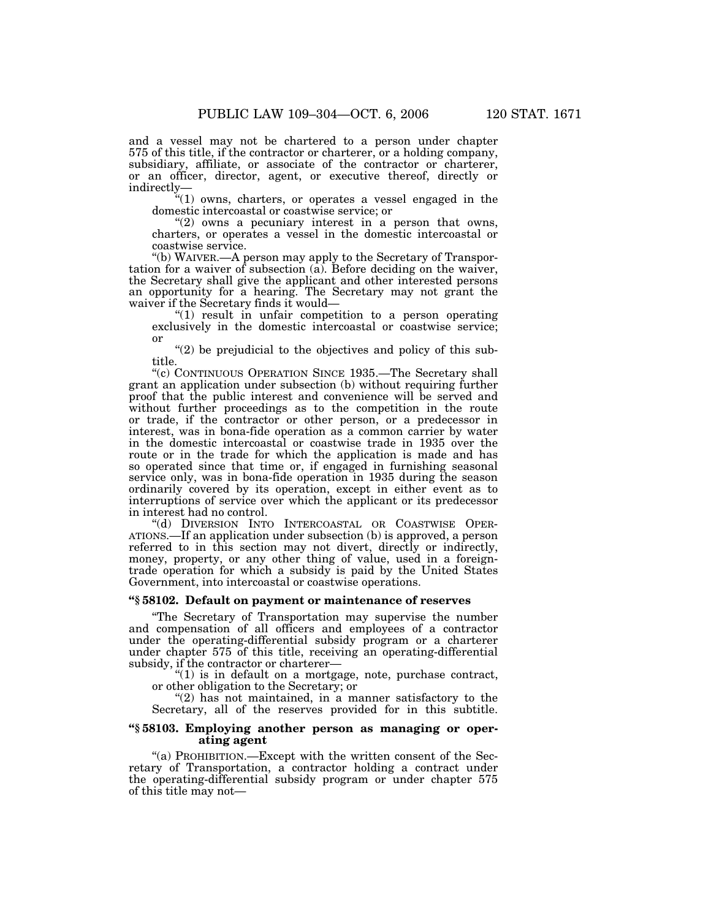and a vessel may not be chartered to a person under chapter 575 of this title, if the contractor or charterer, or a holding company, subsidiary, affiliate, or associate of the contractor or charterer, or an officer, director, agent, or executive thereof, directly or indirectly—

 $\sqrt[4]{(1)}$  owns, charters, or operates a vessel engaged in the domestic intercoastal or coastwise service; or

" $(2)$  owns a pecuniary interest in a person that owns, charters, or operates a vessel in the domestic intercoastal or coastwise service.

''(b) WAIVER.—A person may apply to the Secretary of Transportation for a waiver of subsection (a). Before deciding on the waiver, the Secretary shall give the applicant and other interested persons an opportunity for a hearing. The Secretary may not grant the waiver if the Secretary finds it would—

 $''(1)$  result in unfair competition to a person operating exclusively in the domestic intercoastal or coastwise service; or

" $(2)$  be prejudicial to the objectives and policy of this subtitle.

''(c) CONTINUOUS OPERATION SINCE 1935.—The Secretary shall grant an application under subsection (b) without requiring further proof that the public interest and convenience will be served and without further proceedings as to the competition in the route or trade, if the contractor or other person, or a predecessor in interest, was in bona-fide operation as a common carrier by water in the domestic intercoastal or coastwise trade in 1935 over the route or in the trade for which the application is made and has so operated since that time or, if engaged in furnishing seasonal service only, was in bona-fide operation in 1935 during the season ordinarily covered by its operation, except in either event as to interruptions of service over which the applicant or its predecessor in interest had no control.

''(d) DIVERSION INTO INTERCOASTAL OR COASTWISE OPER-ATIONS.—If an application under subsection (b) is approved, a person referred to in this section may not divert, directly or indirectly, money, property, or any other thing of value, used in a foreigntrade operation for which a subsidy is paid by the United States Government, into intercoastal or coastwise operations.

# **''§ 58102. Default on payment or maintenance of reserves**

''The Secretary of Transportation may supervise the number and compensation of all officers and employees of a contractor under the operating-differential subsidy program or a charterer under chapter 575 of this title, receiving an operating-differential subsidy, if the contractor or charterer—

 $''(1)$  is in default on a mortgage, note, purchase contract, or other obligation to the Secretary; or

 $(2)$  has not maintained, in a manner satisfactory to the Secretary, all of the reserves provided for in this subtitle.

# **''§ 58103. Employing another person as managing or operating agent**

''(a) PROHIBITION.—Except with the written consent of the Secretary of Transportation, a contractor holding a contract under the operating-differential subsidy program or under chapter 575 of this title may not—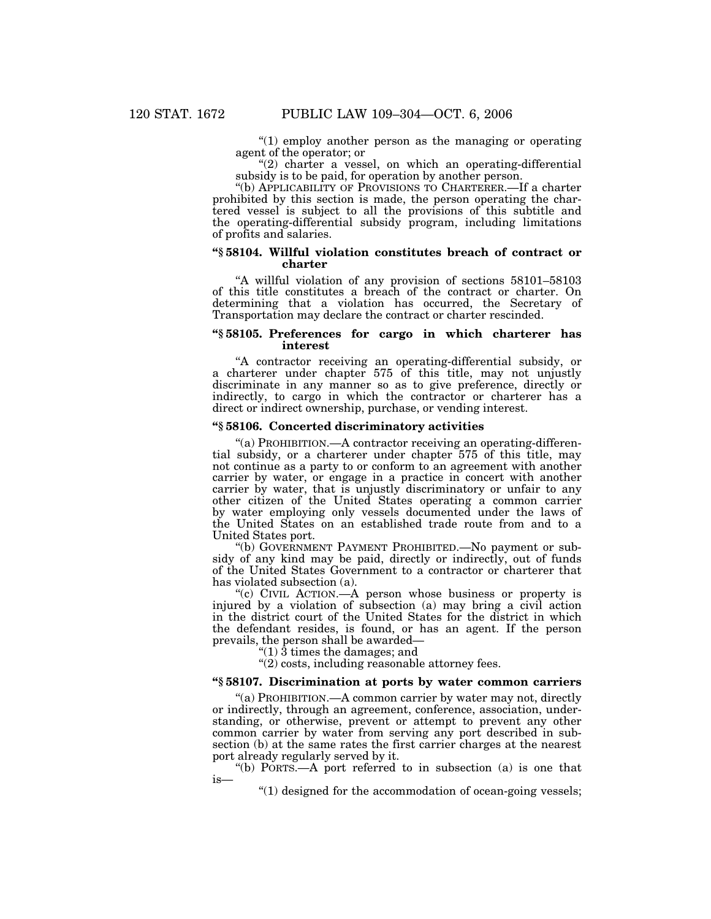''(1) employ another person as the managing or operating agent of the operator; or

" $(2)$  charter a vessel, on which an operating-differential subsidy is to be paid, for operation by another person.

''(b) APPLICABILITY OF PROVISIONS TO CHARTERER.—If a charter prohibited by this section is made, the person operating the chartered vessel is subject to all the provisions of this subtitle and the operating-differential subsidy program, including limitations of profits and salaries.

# **''§ 58104. Willful violation constitutes breach of contract or charter**

''A willful violation of any provision of sections 58101–58103 of this title constitutes a breach of the contract or charter. On determining that a violation has occurred, the Secretary of Transportation may declare the contract or charter rescinded.

# **''§ 58105. Preferences for cargo in which charterer has interest**

''A contractor receiving an operating-differential subsidy, or a charterer under chapter 575 of this title, may not unjustly discriminate in any manner so as to give preference, directly or indirectly, to cargo in which the contractor or charterer has a direct or indirect ownership, purchase, or vending interest.

# **''§ 58106. Concerted discriminatory activities**

''(a) PROHIBITION.—A contractor receiving an operating-differential subsidy, or a charterer under chapter 575 of this title, may not continue as a party to or conform to an agreement with another carrier by water, or engage in a practice in concert with another carrier by water, that is unjustly discriminatory or unfair to any other citizen of the United States operating a common carrier by water employing only vessels documented under the laws of the United States on an established trade route from and to a United States port.

''(b) GOVERNMENT PAYMENT PROHIBITED.—No payment or subsidy of any kind may be paid, directly or indirectly, out of funds of the United States Government to a contractor or charterer that has violated subsection (a).

"(c) CIVIL ACTION.—A person whose business or property is injured by a violation of subsection (a) may bring a civil action in the district court of the United States for the district in which the defendant resides, is found, or has an agent. If the person prevails, the person shall be awarded—

''(1) 3 times the damages; and

''(2) costs, including reasonable attorney fees.

#### **''§ 58107. Discrimination at ports by water common carriers**

(a) PROHIBITION.—A common carrier by water may not, directly or indirectly, through an agreement, conference, association, understanding, or otherwise, prevent or attempt to prevent any other common carrier by water from serving any port described in subsection (b) at the same rates the first carrier charges at the nearest port already regularly served by it.

''(b) PORTS.—A port referred to in subsection (a) is one that is—

 $''(1)$  designed for the accommodation of ocean-going vessels;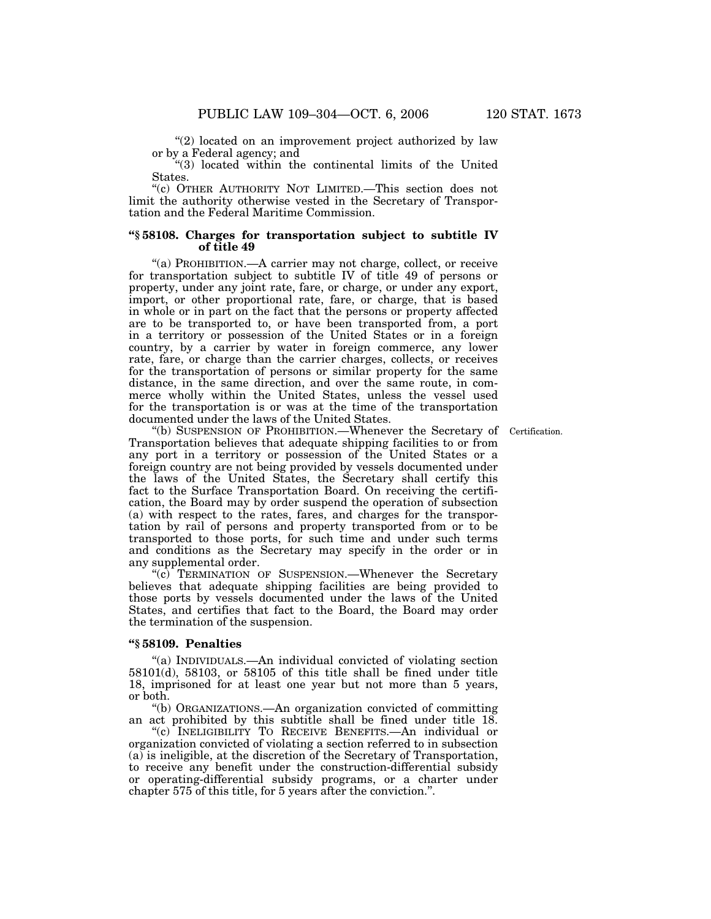"(2) located on an improvement project authorized by law or by a Federal agency; and

''(3) located within the continental limits of the United States.

''(c) OTHER AUTHORITY NOT LIMITED.—This section does not limit the authority otherwise vested in the Secretary of Transportation and the Federal Maritime Commission.

#### **''§ 58108. Charges for transportation subject to subtitle IV of title 49**

''(a) PROHIBITION.—A carrier may not charge, collect, or receive for transportation subject to subtitle IV of title 49 of persons or property, under any joint rate, fare, or charge, or under any export, import, or other proportional rate, fare, or charge, that is based in whole or in part on the fact that the persons or property affected are to be transported to, or have been transported from, a port in a territory or possession of the United States or in a foreign country, by a carrier by water in foreign commerce, any lower rate, fare, or charge than the carrier charges, collects, or receives for the transportation of persons or similar property for the same distance, in the same direction, and over the same route, in commerce wholly within the United States, unless the vessel used for the transportation is or was at the time of the transportation documented under the laws of the United States.

Certification.

''(b) SUSPENSION OF PROHIBITION.—Whenever the Secretary of Transportation believes that adequate shipping facilities to or from any port in a territory or possession of the United States or a foreign country are not being provided by vessels documented under the laws of the United States, the Secretary shall certify this fact to the Surface Transportation Board. On receiving the certification, the Board may by order suspend the operation of subsection (a) with respect to the rates, fares, and charges for the transportation by rail of persons and property transported from or to be transported to those ports, for such time and under such terms and conditions as the Secretary may specify in the order or in any supplemental order.

"(c) TERMINATION OF SUSPENSION.—Whenever the Secretary believes that adequate shipping facilities are being provided to those ports by vessels documented under the laws of the United States, and certifies that fact to the Board, the Board may order the termination of the suspension.

# **''§ 58109. Penalties**

''(a) INDIVIDUALS.—An individual convicted of violating section 58101(d), 58103, or 58105 of this title shall be fined under title 18, imprisoned for at least one year but not more than 5 years, or both.

''(b) ORGANIZATIONS.—An organization convicted of committing an act prohibited by this subtitle shall be fined under title 18.

''(c) INELIGIBILITY TO RECEIVE BENEFITS.—An individual or organization convicted of violating a section referred to in subsection (a) is ineligible, at the discretion of the Secretary of Transportation, to receive any benefit under the construction-differential subsidy or operating-differential subsidy programs, or a charter under chapter 575 of this title, for 5 years after the conviction.''.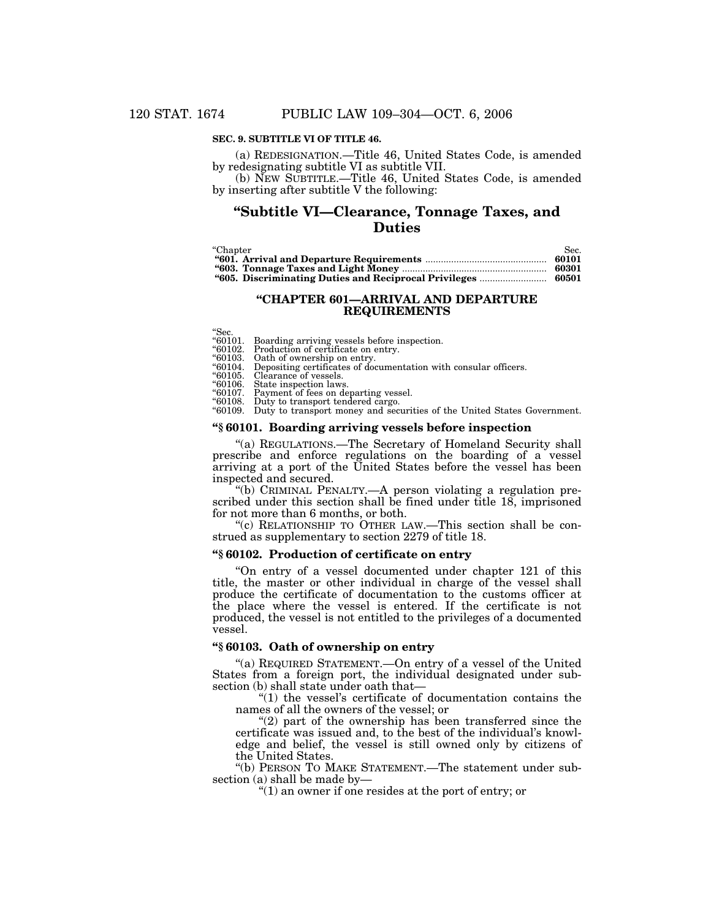#### **SEC. 9. SUBTITLE VI OF TITLE 46.**

(a) REDESIGNATION.—Title 46, United States Code, is amended by redesignating subtitle VI as subtitle VII.

(b) NEW SUBTITLE.—Title 46, United States Code, is amended by inserting after subtitle V the following:

# **''Subtitle VI—Clearance, Tonnage Taxes, and Duties**

| "Chapter" | Sec.  |
|-----------|-------|
|           |       |
|           | 60301 |
|           |       |

# **''CHAPTER 601—ARRIVAL AND DEPARTURE REQUIREMENTS**

''Sec. ''60101. Boarding arriving vessels before inspection. ''60102. Production of certificate on entry.

"60103. Oath of ownership on entry.<br>"60104. Depositing certificates of doc ''60104. Depositing certificates of documentation with consular officers.

''60105. Clearance of vessels. ''60106. State inspection laws.

"60107. Payment of fees on departing vessel.<br>"60108. Duty to transport tendered cargo.<br>"60109. Duty to transport money and securities of the United States Government.

# **''§ 60101. Boarding arriving vessels before inspection**

"(a) REGULATIONS.—The Secretary of Homeland Security shall prescribe and enforce regulations on the boarding of a vessel arriving at a port of the United States before the vessel has been inspected and secured.

''(b) CRIMINAL PENALTY.—A person violating a regulation prescribed under this section shall be fined under title 18, imprisoned for not more than 6 months, or both.

''(c) RELATIONSHIP TO OTHER LAW.—This section shall be construed as supplementary to section 2279 of title 18.

# **''§ 60102. Production of certificate on entry**

''On entry of a vessel documented under chapter 121 of this title, the master or other individual in charge of the vessel shall produce the certificate of documentation to the customs officer at the place where the vessel is entered. If the certificate is not produced, the vessel is not entitled to the privileges of a documented vessel.

### **''§ 60103. Oath of ownership on entry**

"(a) REQUIRED STATEMENT.—On entry of a vessel of the United States from a foreign port, the individual designated under subsection (b) shall state under oath that—

 $''(1)$  the vessel's certificate of documentation contains the names of all the owners of the vessel; or

" $(2)$  part of the ownership has been transferred since the certificate was issued and, to the best of the individual's knowledge and belief, the vessel is still owned only by citizens of the United States.

''(b) PERSON TO MAKE STATEMENT.—The statement under subsection (a) shall be made by—

 $\mathcal{H}(1)$  an owner if one resides at the port of entry; or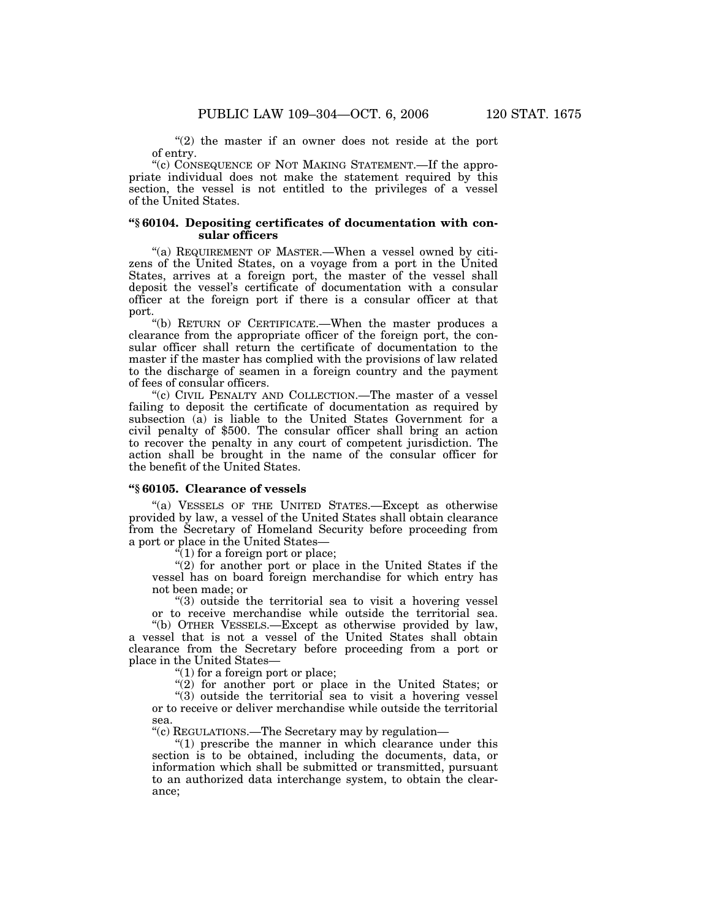" $(2)$  the master if an owner does not reside at the port of entry.

"(c) CONSEQUENCE OF NOT MAKING STATEMENT.—If the appropriate individual does not make the statement required by this section, the vessel is not entitled to the privileges of a vessel of the United States.

### **''§ 60104. Depositing certificates of documentation with consular officers**

''(a) REQUIREMENT OF MASTER.—When a vessel owned by citizens of the United States, on a voyage from a port in the United States, arrives at a foreign port, the master of the vessel shall deposit the vessel's certificate of documentation with a consular officer at the foreign port if there is a consular officer at that port.

''(b) RETURN OF CERTIFICATE.—When the master produces a clearance from the appropriate officer of the foreign port, the consular officer shall return the certificate of documentation to the master if the master has complied with the provisions of law related to the discharge of seamen in a foreign country and the payment of fees of consular officers.

''(c) CIVIL PENALTY AND COLLECTION.—The master of a vessel failing to deposit the certificate of documentation as required by subsection (a) is liable to the United States Government for a civil penalty of \$500. The consular officer shall bring an action to recover the penalty in any court of competent jurisdiction. The action shall be brought in the name of the consular officer for the benefit of the United States.

### **''§ 60105. Clearance of vessels**

"(a) VESSELS OF THE UNITED STATES.-Except as otherwise provided by law, a vessel of the United States shall obtain clearance from the Secretary of Homeland Security before proceeding from a port or place in the United States—

''(1) for a foreign port or place;

" $(2)$  for another port or place in the United States if the vessel has on board foreign merchandise for which entry has not been made; or

''(3) outside the territorial sea to visit a hovering vessel or to receive merchandise while outside the territorial sea.

''(b) OTHER VESSELS.—Except as otherwise provided by law, a vessel that is not a vessel of the United States shall obtain clearance from the Secretary before proceeding from a port or place in the United States—

''(1) for a foreign port or place;

"(2) for another port or place in the United States; or ''(3) outside the territorial sea to visit a hovering vessel or to receive or deliver merchandise while outside the territorial

sea. ''(c) REGULATIONS.—The Secretary may by regulation—

''(1) prescribe the manner in which clearance under this section is to be obtained, including the documents, data, or information which shall be submitted or transmitted, pursuant to an authorized data interchange system, to obtain the clearance;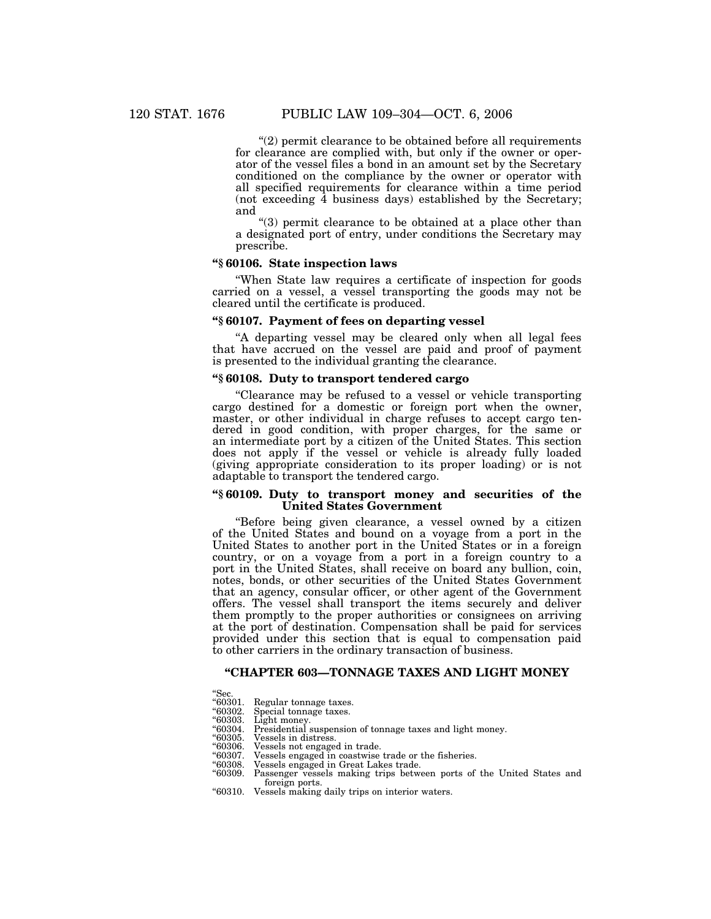$(2)$  permit clearance to be obtained before all requirements for clearance are complied with, but only if the owner or operator of the vessel files a bond in an amount set by the Secretary conditioned on the compliance by the owner or operator with all specified requirements for clearance within a time period (not exceeding  $\overline{4}$  business days) established by the Secretary; and

''(3) permit clearance to be obtained at a place other than a designated port of entry, under conditions the Secretary may prescribe.

#### **''§ 60106. State inspection laws**

''When State law requires a certificate of inspection for goods carried on a vessel, a vessel transporting the goods may not be cleared until the certificate is produced.

#### **''§ 60107. Payment of fees on departing vessel**

''A departing vessel may be cleared only when all legal fees that have accrued on the vessel are paid and proof of payment is presented to the individual granting the clearance.

#### **''§ 60108. Duty to transport tendered cargo**

''Clearance may be refused to a vessel or vehicle transporting cargo destined for a domestic or foreign port when the owner, master, or other individual in charge refuses to accept cargo tendered in good condition, with proper charges, for the same or an intermediate port by a citizen of the United States. This section does not apply if the vessel or vehicle is already fully loaded (giving appropriate consideration to its proper loading) or is not adaptable to transport the tendered cargo.

#### **''§ 60109. Duty to transport money and securities of the United States Government**

''Before being given clearance, a vessel owned by a citizen of the United States and bound on a voyage from a port in the United States to another port in the United States or in a foreign country, or on a voyage from a port in a foreign country to a port in the United States, shall receive on board any bullion, coin, notes, bonds, or other securities of the United States Government that an agency, consular officer, or other agent of the Government offers. The vessel shall transport the items securely and deliver them promptly to the proper authorities or consignees on arriving at the port of destination. Compensation shall be paid for services provided under this section that is equal to compensation paid to other carriers in the ordinary transaction of business.

# **''CHAPTER 603—TONNAGE TAXES AND LIGHT MONEY**

"Sec.<br>"60301.<br>"60302. Regular tonnage taxes.

"60302. Special tonnage taxes.<br>"60303. Light money.

''60303. Light money. ''60304. Presidential suspension of tonnage taxes and light money.

"60305. Vessels in distress.<br>"60306. Vessels not engage

- "60306. Vessels not engaged in trade.<br>"60307. Vessels engaged in coastwise
- "60307. Vessels engaged in coastwise trade or the fisheries.<br>"60308. Vessels engaged in Great Lakes trade.
- ''60308. Vessels engaged in Great Lakes trade.

"60310. Vessels making daily trips on interior waters.

<sup>&#</sup>x27;'60309. Passenger vessels making trips between ports of the United States and foreign ports.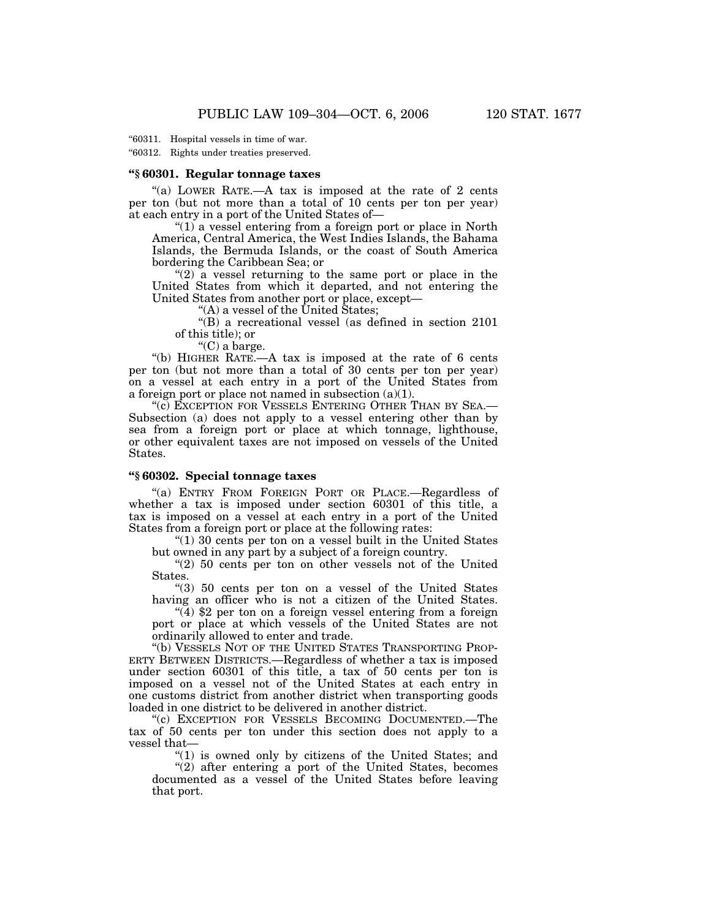"60311. Hospital vessels in time of war.

''60312. Rights under treaties preserved.

# **''§ 60301. Regular tonnage taxes**

"(a) LOWER RATE.—A tax is imposed at the rate of 2 cents per ton (but not more than a total of 10 cents per ton per year) at each entry in a port of the United States of—

" $(1)$  a vessel entering from a foreign port or place in North America, Central America, the West Indies Islands, the Bahama Islands, the Bermuda Islands, or the coast of South America bordering the Caribbean Sea; or

" $(2)$  a vessel returning to the same port or place in the United States from which it departed, and not entering the United States from another port or place, except—

''(A) a vessel of the United States;

''(B) a recreational vessel (as defined in section 2101 of this title); or

" $(C)$  a barge.

''(b) HIGHER RATE.—A tax is imposed at the rate of 6 cents per ton (but not more than a total of 30 cents per ton per year) on a vessel at each entry in a port of the United States from a foreign port or place not named in subsection (a)(1).

''(c) EXCEPTION FOR VESSELS ENTERING OTHER THAN BY SEA.— Subsection (a) does not apply to a vessel entering other than by sea from a foreign port or place at which tonnage, lighthouse, or other equivalent taxes are not imposed on vessels of the United States.

# **''§ 60302. Special tonnage taxes**

''(a) ENTRY FROM FOREIGN PORT OR PLACE.—Regardless of whether a tax is imposed under section 60301 of this title, a tax is imposed on a vessel at each entry in a port of the United States from a foreign port or place at the following rates:

" $(1)$  30 cents per ton on a vessel built in the United States but owned in any part by a subject of a foreign country.

"(2) 50 cents per ton on other vessels not of the United States.

''(3) 50 cents per ton on a vessel of the United States having an officer who is not a citizen of the United States.

"(4) \$2 per ton on a foreign vessel entering from a foreign port or place at which vessels of the United States are not ordinarily allowed to enter and trade.

''(b) VESSELS NOT OF THE UNITED STATES TRANSPORTING PROP-ERTY BETWEEN DISTRICTS.—Regardless of whether a tax is imposed under section 60301 of this title, a tax of 50 cents per ton is imposed on a vessel not of the United States at each entry in one customs district from another district when transporting goods loaded in one district to be delivered in another district.

''(c) EXCEPTION FOR VESSELS BECOMING DOCUMENTED.—The tax of 50 cents per ton under this section does not apply to a vessel that—

"(1) is owned only by citizens of the United States; and

"(2) after entering a port of the United States, becomes documented as a vessel of the United States before leaving that port.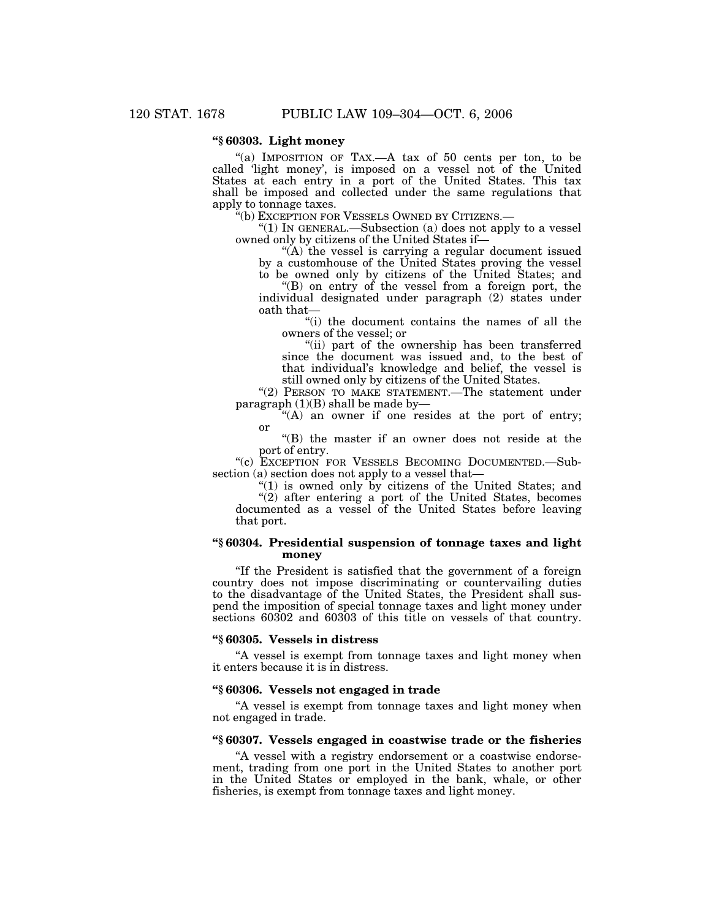# **''§ 60303. Light money**

"(a) IMPOSITION OF TAX.—A tax of 50 cents per ton, to be called 'light money', is imposed on a vessel not of the United States at each entry in a port of the United States. This tax shall be imposed and collected under the same regulations that apply to tonnage taxes.

''(b) EXCEPTION FOR VESSELS OWNED BY CITIZENS.—

" $(1)$  In GENERAL.—Subsection (a) does not apply to a vessel owned only by citizens of the United States if—

"(A) the vessel is carrying a regular document issued by a customhouse of the United States proving the vessel to be owned only by citizens of the United States; and

''(B) on entry of the vessel from a foreign port, the individual designated under paragraph (2) states under oath that—

''(i) the document contains the names of all the owners of the vessel; or

"(ii) part of the ownership has been transferred since the document was issued and, to the best of that individual's knowledge and belief, the vessel is still owned only by citizens of the United States.

"(2) PERSON TO MAKE STATEMENT.—The statement under paragraph  $(1)(B)$  shall be made by-

"(A) an owner if one resides at the port of entry; or

''(B) the master if an owner does not reside at the port of entry.

''(c) EXCEPTION FOR VESSELS BECOMING DOCUMENTED.—Subsection (a) section does not apply to a vessel that—

" $(1)$  is owned only by citizens of the United States; and

"(2) after entering a port of the United States, becomes documented as a vessel of the United States before leaving that port.

# **''§ 60304. Presidential suspension of tonnage taxes and light money**

''If the President is satisfied that the government of a foreign country does not impose discriminating or countervailing duties to the disadvantage of the United States, the President shall suspend the imposition of special tonnage taxes and light money under sections 60302 and 60303 of this title on vessels of that country.

#### **''§ 60305. Vessels in distress**

A vessel is exempt from tonnage taxes and light money when it enters because it is in distress.

#### **''§ 60306. Vessels not engaged in trade**

"A vessel is exempt from tonnage taxes and light money when not engaged in trade.

#### **''§ 60307. Vessels engaged in coastwise trade or the fisheries**

''A vessel with a registry endorsement or a coastwise endorsement, trading from one port in the United States to another port in the United States or employed in the bank, whale, or other fisheries, is exempt from tonnage taxes and light money.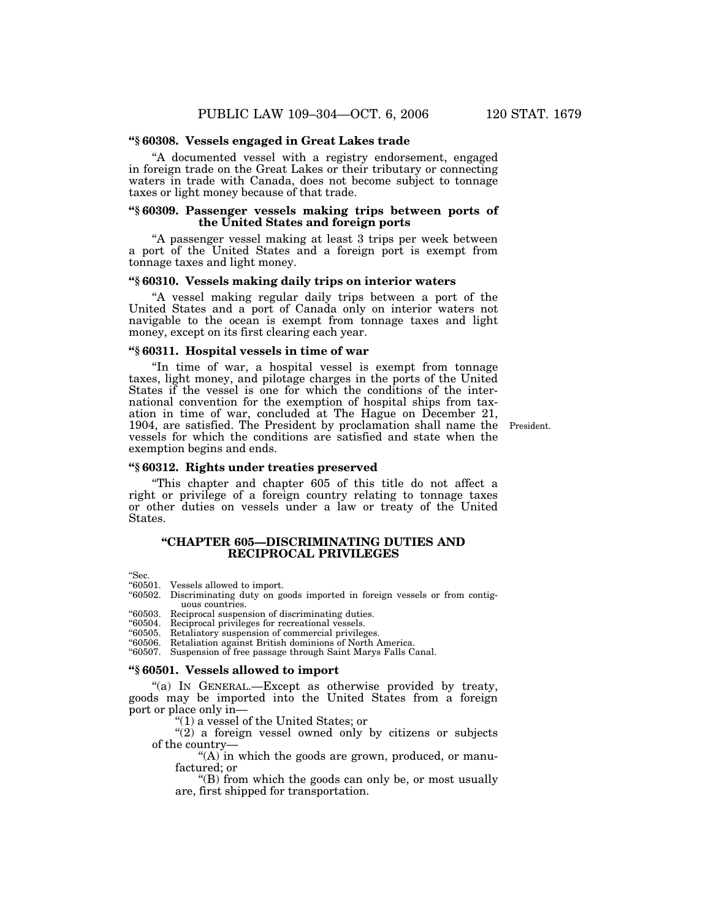# **''§ 60308. Vessels engaged in Great Lakes trade**

''A documented vessel with a registry endorsement, engaged in foreign trade on the Great Lakes or their tributary or connecting waters in trade with Canada, does not become subject to tonnage taxes or light money because of that trade.

# **''§ 60309. Passenger vessels making trips between ports of the United States and foreign ports**

''A passenger vessel making at least 3 trips per week between a port of the United States and a foreign port is exempt from tonnage taxes and light money.

# **''§ 60310. Vessels making daily trips on interior waters**

''A vessel making regular daily trips between a port of the United States and a port of Canada only on interior waters not navigable to the ocean is exempt from tonnage taxes and light money, except on its first clearing each year.

# **''§ 60311. Hospital vessels in time of war**

''In time of war, a hospital vessel is exempt from tonnage taxes, light money, and pilotage charges in the ports of the United States if the vessel is one for which the conditions of the international convention for the exemption of hospital ships from taxation in time of war, concluded at The Hague on December 21, 1904, are satisfied. The President by proclamation shall name the President. vessels for which the conditions are satisfied and state when the exemption begins and ends.

# **''§ 60312. Rights under treaties preserved**

''This chapter and chapter 605 of this title do not affect a right or privilege of a foreign country relating to tonnage taxes or other duties on vessels under a law or treaty of the United States.

### **''CHAPTER 605—DISCRIMINATING DUTIES AND RECIPROCAL PRIVILEGES**

#### "Sec.<br>"60501. Vessels allowed to import.

- "60502. Discriminating duty on goods imported in foreign vessels or from contiguous countries.
- "60503. Reciprocal suspension of discriminating duties.
- "60504. Reciprocal privileges for recreational vessels.
- "60505. Retaliatory suspension of commercial privileges.
- ''60506. Retaliation against British dominions of North America.
- "60507. Suspension of free passage through Saint Marys Falls Canal.

# **''§ 60501. Vessels allowed to import**

''(a) IN GENERAL.—Except as otherwise provided by treaty, goods may be imported into the United States from a foreign port or place only in—

''(1) a vessel of the United States; or

"(2) a foreign vessel owned only by citizens or subjects of the country—

 $(A)$  in which the goods are grown, produced, or manufactured; or

''(B) from which the goods can only be, or most usually are, first shipped for transportation.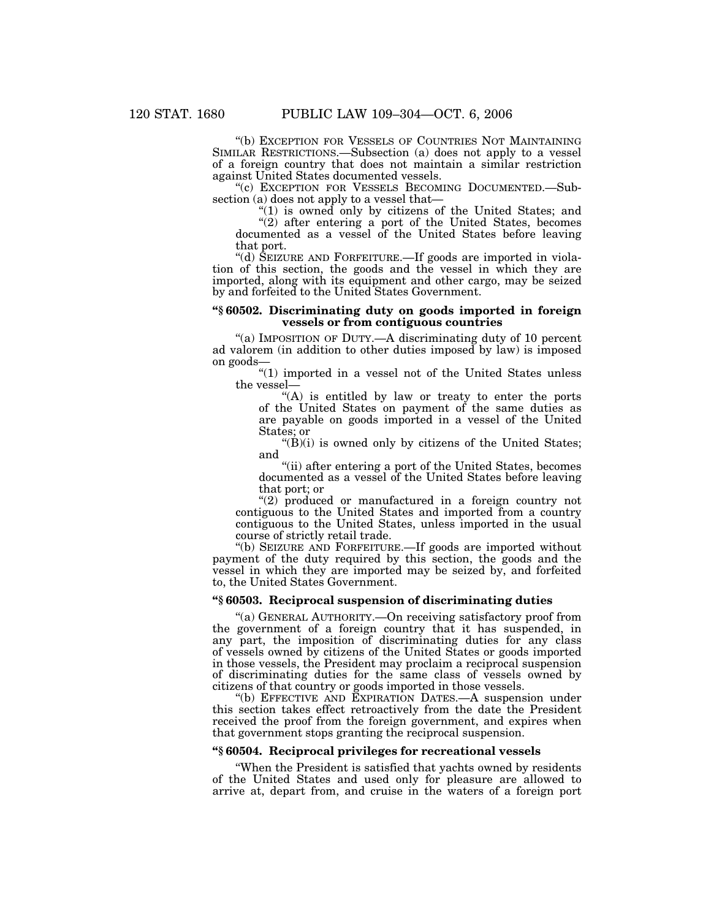''(b) EXCEPTION FOR VESSELS OF COUNTRIES NOT MAINTAINING SIMILAR RESTRICTIONS.—Subsection (a) does not apply to a vessel of a foreign country that does not maintain a similar restriction against United States documented vessels.

''(c) EXCEPTION FOR VESSELS BECOMING DOCUMENTED.—Subsection (a) does not apply to a vessel that—

''(1) is owned only by citizens of the United States; and

 $''(2)$  after entering a port of the United States, becomes documented as a vessel of the United States before leaving that port.

''(d) SEIZURE AND FORFEITURE.—If goods are imported in violation of this section, the goods and the vessel in which they are imported, along with its equipment and other cargo, may be seized by and forfeited to the United States Government.

# **''§ 60502. Discriminating duty on goods imported in foreign vessels or from contiguous countries**

"(a) IMPOSITION OF DUTY.—A discriminating duty of 10 percent ad valorem (in addition to other duties imposed by law) is imposed on goods—

"(1) imported in a vessel not of the United States unless the vessel—

"(A) is entitled by law or treaty to enter the ports of the United States on payment of the same duties as are payable on goods imported in a vessel of the United States; or

 $\mathcal{L}(\hat{\mathbf{B}})(i)$  is owned only by citizens of the United States; and

''(ii) after entering a port of the United States, becomes documented as a vessel of the United States before leaving that port; or

"(2) produced or manufactured in a foreign country not contiguous to the United States and imported from a country contiguous to the United States, unless imported in the usual course of strictly retail trade.

''(b) SEIZURE AND FORFEITURE.—If goods are imported without payment of the duty required by this section, the goods and the vessel in which they are imported may be seized by, and forfeited to, the United States Government.

# **''§ 60503. Reciprocal suspension of discriminating duties**

''(a) GENERAL AUTHORITY.—On receiving satisfactory proof from the government of a foreign country that it has suspended, in any part, the imposition of discriminating duties for any class of vessels owned by citizens of the United States or goods imported in those vessels, the President may proclaim a reciprocal suspension of discriminating duties for the same class of vessels owned by citizens of that country or goods imported in those vessels.

''(b) EFFECTIVE AND EXPIRATION DATES.—A suspension under this section takes effect retroactively from the date the President received the proof from the foreign government, and expires when that government stops granting the reciprocal suspension.

# **''§ 60504. Reciprocal privileges for recreational vessels**

''When the President is satisfied that yachts owned by residents of the United States and used only for pleasure are allowed to arrive at, depart from, and cruise in the waters of a foreign port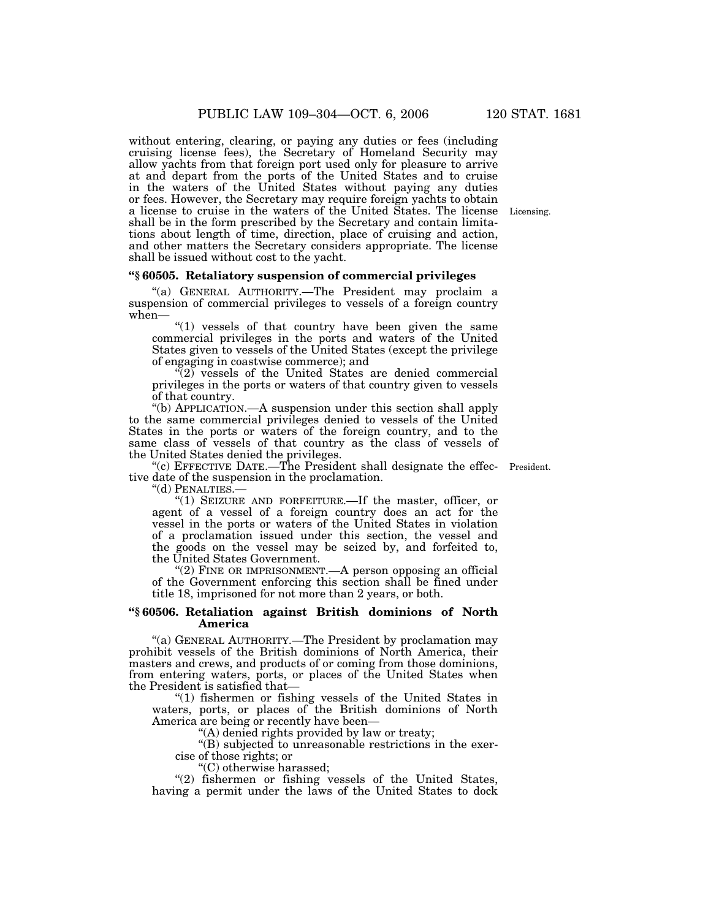without entering, clearing, or paying any duties or fees (including cruising license fees), the Secretary of Homeland Security may allow yachts from that foreign port used only for pleasure to arrive at and depart from the ports of the United States and to cruise in the waters of the United States without paying any duties or fees. However, the Secretary may require foreign yachts to obtain a license to cruise in the waters of the United States. The license Licensing. shall be in the form prescribed by the Secretary and contain limitations about length of time, direction, place of cruising and action, and other matters the Secretary considers appropriate. The license shall be issued without cost to the yacht.

### **''§ 60505. Retaliatory suspension of commercial privileges**

''(a) GENERAL AUTHORITY.—The President may proclaim a suspension of commercial privileges to vessels of a foreign country when—

"(1) vessels of that country have been given the same commercial privileges in the ports and waters of the United States given to vessels of the United States (except the privilege of engaging in coastwise commerce); and

"(2) vessels of the United States are denied commercial privileges in the ports or waters of that country given to vessels of that country.

''(b) APPLICATION.—A suspension under this section shall apply to the same commercial privileges denied to vessels of the United States in the ports or waters of the foreign country, and to the same class of vessels of that country as the class of vessels of the United States denied the privileges.

''(c) EFFECTIVE DATE.—The President shall designate the effec-President. tive date of the suspension in the proclamation.

"(d) PENALTIES.-

''(1) SEIZURE AND FORFEITURE.—If the master, officer, or agent of a vessel of a foreign country does an act for the vessel in the ports or waters of the United States in violation of a proclamation issued under this section, the vessel and the goods on the vessel may be seized by, and forfeited to, the United States Government.

''(2) FINE OR IMPRISONMENT.—A person opposing an official of the Government enforcing this section shall be fined under title 18, imprisoned for not more than 2 years, or both.

#### **''§ 60506. Retaliation against British dominions of North America**

''(a) GENERAL AUTHORITY.—The President by proclamation may prohibit vessels of the British dominions of North America, their masters and crews, and products of or coming from those dominions, from entering waters, ports, or places of the United States when the President is satisfied that—

''(1) fishermen or fishing vessels of the United States in waters, ports, or places of the British dominions of North America are being or recently have been—

''(A) denied rights provided by law or treaty;

''(B) subjected to unreasonable restrictions in the exercise of those rights; or

''(C) otherwise harassed;

"(2) fishermen or fishing vessels of the United States, having a permit under the laws of the United States to dock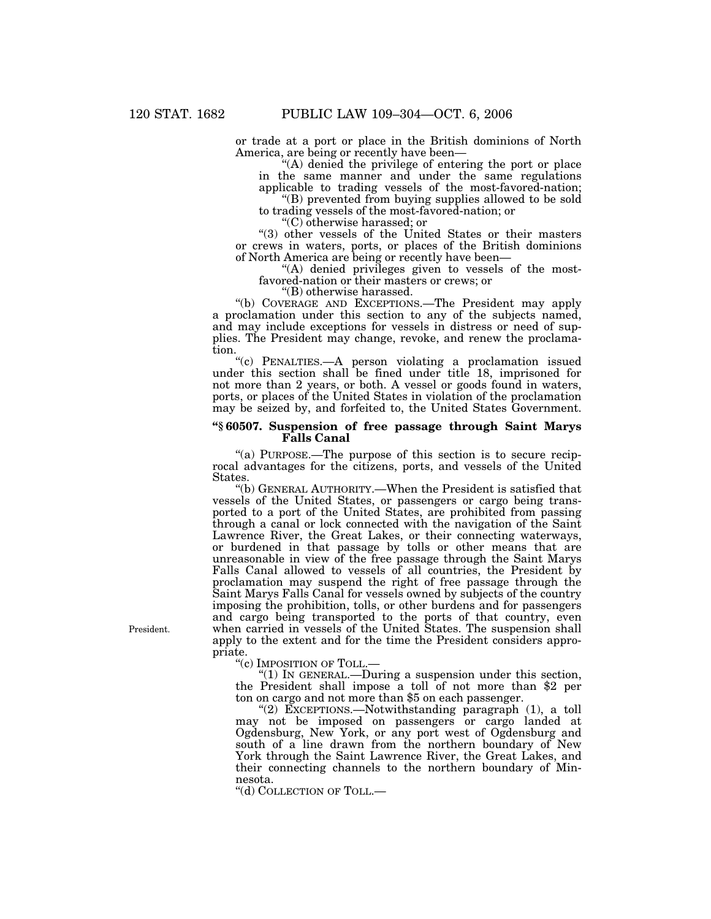or trade at a port or place in the British dominions of North America, are being or recently have been—

''(A) denied the privilege of entering the port or place in the same manner and under the same regulations applicable to trading vessels of the most-favored-nation;

''(B) prevented from buying supplies allowed to be sold to trading vessels of the most-favored-nation; or

''(C) otherwise harassed; or

"(3) other vessels of the United States or their masters or crews in waters, ports, or places of the British dominions of North America are being or recently have been—

"(A) denied privileges given to vessels of the mostfavored-nation or their masters or crews; or

''(B) otherwise harassed.

''(b) COVERAGE AND EXCEPTIONS.—The President may apply a proclamation under this section to any of the subjects named, and may include exceptions for vessels in distress or need of supplies. The President may change, revoke, and renew the proclamation.

''(c) PENALTIES.—A person violating a proclamation issued under this section shall be fined under title 18, imprisoned for not more than 2 years, or both. A vessel or goods found in waters, ports, or places of the United States in violation of the proclamation may be seized by, and forfeited to, the United States Government.

## **''§ 60507. Suspension of free passage through Saint Marys Falls Canal**

''(a) PURPOSE.—The purpose of this section is to secure reciprocal advantages for the citizens, ports, and vessels of the United States.

''(b) GENERAL AUTHORITY.—When the President is satisfied that vessels of the United States, or passengers or cargo being transported to a port of the United States, are prohibited from passing through a canal or lock connected with the navigation of the Saint Lawrence River, the Great Lakes, or their connecting waterways, or burdened in that passage by tolls or other means that are unreasonable in view of the free passage through the Saint Marys Falls Canal allowed to vessels of all countries, the President by proclamation may suspend the right of free passage through the Saint Marys Falls Canal for vessels owned by subjects of the country imposing the prohibition, tolls, or other burdens and for passengers and cargo being transported to the ports of that country, even when carried in vessels of the United States. The suspension shall apply to the extent and for the time the President considers appropriate.

''(c) IMPOSITION OF TOLL.—

" $(1)$  In GENERAL.—During a suspension under this section, the President shall impose a toll of not more than \$2 per ton on cargo and not more than \$5 on each passenger.

''(2) EXCEPTIONS.—Notwithstanding paragraph (1), a toll may not be imposed on passengers or cargo landed at Ogdensburg, New York, or any port west of Ogdensburg and south of a line drawn from the northern boundary of New York through the Saint Lawrence River, the Great Lakes, and their connecting channels to the northern boundary of Minnesota.

''(d) COLLECTION OF TOLL.—

President.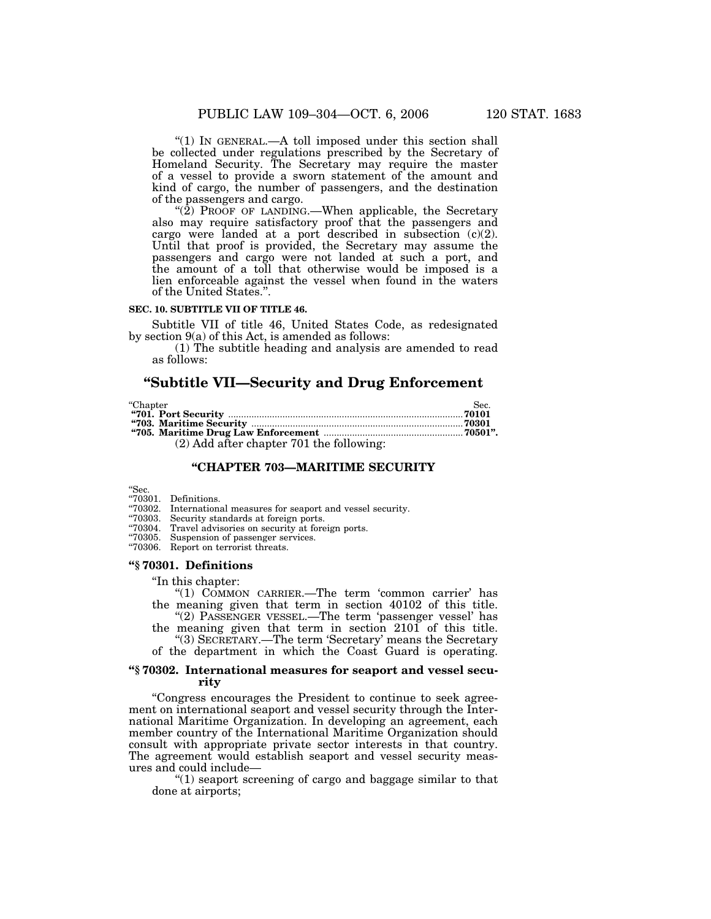"(1) IN GENERAL.—A toll imposed under this section shall be collected under regulations prescribed by the Secretary of Homeland Security. The Secretary may require the master of a vessel to provide a sworn statement of the amount and kind of cargo, the number of passengers, and the destination of the passengers and cargo.

" $(2)$  Proof of LANDING.—When applicable, the Secretary also may require satisfactory proof that the passengers and cargo were landed at a port described in subsection (c)(2). Until that proof is provided, the Secretary may assume the passengers and cargo were not landed at such a port, and the amount of a toll that otherwise would be imposed is a lien enforceable against the vessel when found in the waters of the United States.''.

#### **SEC. 10. SUBTITLE VII OF TITLE 46.**

Subtitle VII of title 46, United States Code, as redesignated by section 9(a) of this Act, is amended as follows:

(1) The subtitle heading and analysis are amended to read as follows:

# **''Subtitle VII—Security and Drug Enforcement**

| $(2)$ Add after chapter 701 the following: |  |
|--------------------------------------------|--|

# **''CHAPTER 703—MARITIME SECURITY**

''Sec.

# ''70301. Definitions.

''70302. International measures for seaport and vessel security.

''70303. Security standards at foreign ports.

''70304. Travel advisories on security at foreign ports.

''70305. Suspension of passenger services.

''70306. Report on terrorist threats.

# **''§ 70301. Definitions**

#### ''In this chapter:

"(1) COMMON CARRIER.—The term 'common carrier' has the meaning given that term in section 40102 of this title.

"(2) PASSENGER VESSEL.—The term 'passenger vessel' has the meaning given that term in section 2101 of this title.

''(3) SECRETARY.—The term 'Secretary' means the Secretary

of the department in which the Coast Guard is operating.

#### **''§ 70302. International measures for seaport and vessel security**

''Congress encourages the President to continue to seek agreement on international seaport and vessel security through the International Maritime Organization. In developing an agreement, each member country of the International Maritime Organization should consult with appropriate private sector interests in that country. The agreement would establish seaport and vessel security measures and could include—

''(1) seaport screening of cargo and baggage similar to that done at airports;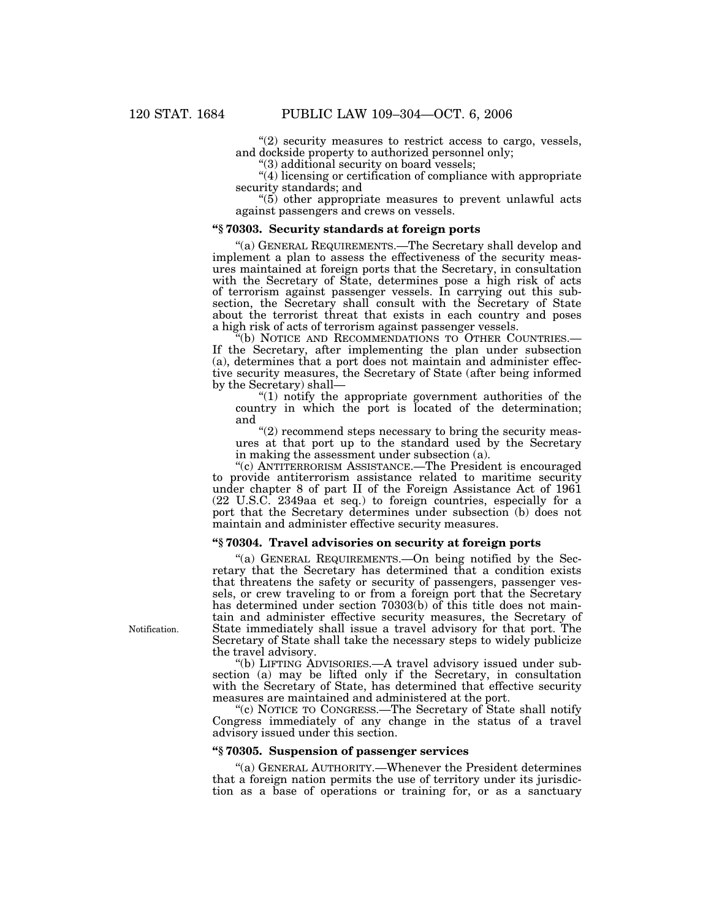$(2)$  security measures to restrict access to cargo, vessels, and dockside property to authorized personnel only;

''(3) additional security on board vessels;

"(4) licensing or certification of compliance with appropriate security standards; and

 $(5)$  other appropriate measures to prevent unlawful acts against passengers and crews on vessels.

#### **''§ 70303. Security standards at foreign ports**

''(a) GENERAL REQUIREMENTS.—The Secretary shall develop and implement a plan to assess the effectiveness of the security measures maintained at foreign ports that the Secretary, in consultation with the Secretary of State, determines pose a high risk of acts of terrorism against passenger vessels. In carrying out this subsection, the Secretary shall consult with the Secretary of State about the terrorist threat that exists in each country and poses a high risk of acts of terrorism against passenger vessels.

''(b) NOTICE AND RECOMMENDATIONS TO OTHER COUNTRIES.— If the Secretary, after implementing the plan under subsection (a), determines that a port does not maintain and administer effective security measures, the Secretary of State (after being informed by the Secretary) shall—

''(1) notify the appropriate government authorities of the country in which the port is located of the determination; and

 $"(2)$  recommend steps necessary to bring the security measures at that port up to the standard used by the Secretary in making the assessment under subsection (a).

''(c) ANTITERRORISM ASSISTANCE.—The President is encouraged to provide antiterrorism assistance related to maritime security under chapter 8 of part II of the Foreign Assistance Act of 1961 (22 U.S.C. 2349aa et seq.) to foreign countries, especially for a port that the Secretary determines under subsection (b) does not maintain and administer effective security measures.

# **''§ 70304. Travel advisories on security at foreign ports**

"(a) GENERAL REQUIREMENTS.—On being notified by the Secretary that the Secretary has determined that a condition exists that threatens the safety or security of passengers, passenger vessels, or crew traveling to or from a foreign port that the Secretary has determined under section 70303(b) of this title does not maintain and administer effective security measures, the Secretary of State immediately shall issue a travel advisory for that port. The Secretary of State shall take the necessary steps to widely publicize the travel advisory.

''(b) LIFTING ADVISORIES.—A travel advisory issued under subsection (a) may be lifted only if the Secretary, in consultation with the Secretary of State, has determined that effective security measures are maintained and administered at the port.

''(c) NOTICE TO CONGRESS.—The Secretary of State shall notify Congress immediately of any change in the status of a travel advisory issued under this section.

# **''§ 70305. Suspension of passenger services**

''(a) GENERAL AUTHORITY.—Whenever the President determines that a foreign nation permits the use of territory under its jurisdiction as a base of operations or training for, or as a sanctuary

Notification.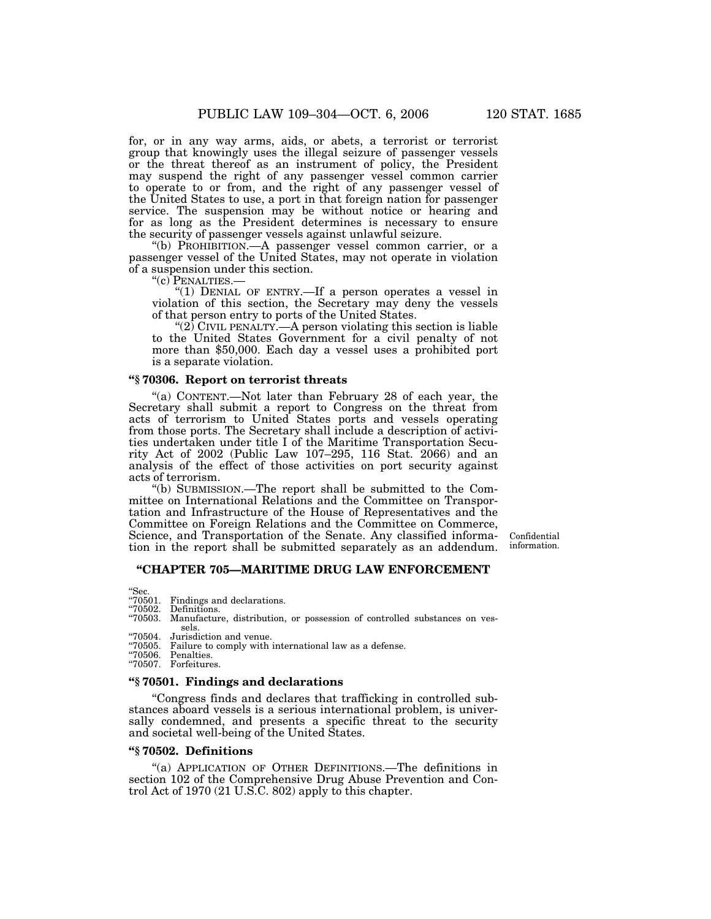for, or in any way arms, aids, or abets, a terrorist or terrorist group that knowingly uses the illegal seizure of passenger vessels or the threat thereof as an instrument of policy, the President may suspend the right of any passenger vessel common carrier to operate to or from, and the right of any passenger vessel of the United States to use, a port in that foreign nation for passenger service. The suspension may be without notice or hearing and for as long as the President determines is necessary to ensure the security of passenger vessels against unlawful seizure.

''(b) PROHIBITION.—A passenger vessel common carrier, or a passenger vessel of the United States, may not operate in violation of a suspension under this section.<br>"(c) PENALTIES.—

"(1) DENIAL OF ENTRY.—If a person operates a vessel in violation of this section, the Secretary may deny the vessels of that person entry to ports of the United States.

" $(2)$  CIVIL PENALTY.—A person violating this section is liable to the United States Government for a civil penalty of not more than \$50,000. Each day a vessel uses a prohibited port is a separate violation.

# **''§ 70306. Report on terrorist threats**

''(a) CONTENT.—Not later than February 28 of each year, the Secretary shall submit a report to Congress on the threat from acts of terrorism to United States ports and vessels operating from those ports. The Secretary shall include a description of activities undertaken under title I of the Maritime Transportation Security Act of 2002 (Public Law 107–295, 116 Stat. 2066) and an analysis of the effect of those activities on port security against acts of terrorism.

''(b) SUBMISSION.—The report shall be submitted to the Committee on International Relations and the Committee on Transportation and Infrastructure of the House of Representatives and the Committee on Foreign Relations and the Committee on Commerce, Science, and Transportation of the Senate. Any classified information in the report shall be submitted separately as an addendum.

Confidential information.

#### **''CHAPTER 705—MARITIME DRUG LAW ENFORCEMENT**

- "Sec.<br>"70501.<br>"70502. Findings and declarations.
- 
- ''70502. Definitions. Manufacture, distribution, or possession of controlled substances on vessels.
- ''70504. Jurisdiction and venue.
- ''70505. Failure to comply with international law as a defense.
- Penalties.
- ''70507. Forfeitures.

# **''§ 70501. Findings and declarations**

''Congress finds and declares that trafficking in controlled substances aboard vessels is a serious international problem, is universally condemned, and presents a specific threat to the security and societal well-being of the United States.

# **''§ 70502. Definitions**

''(a) APPLICATION OF OTHER DEFINITIONS.—The definitions in section 102 of the Comprehensive Drug Abuse Prevention and Control Act of 1970 (21 U.S.C. 802) apply to this chapter.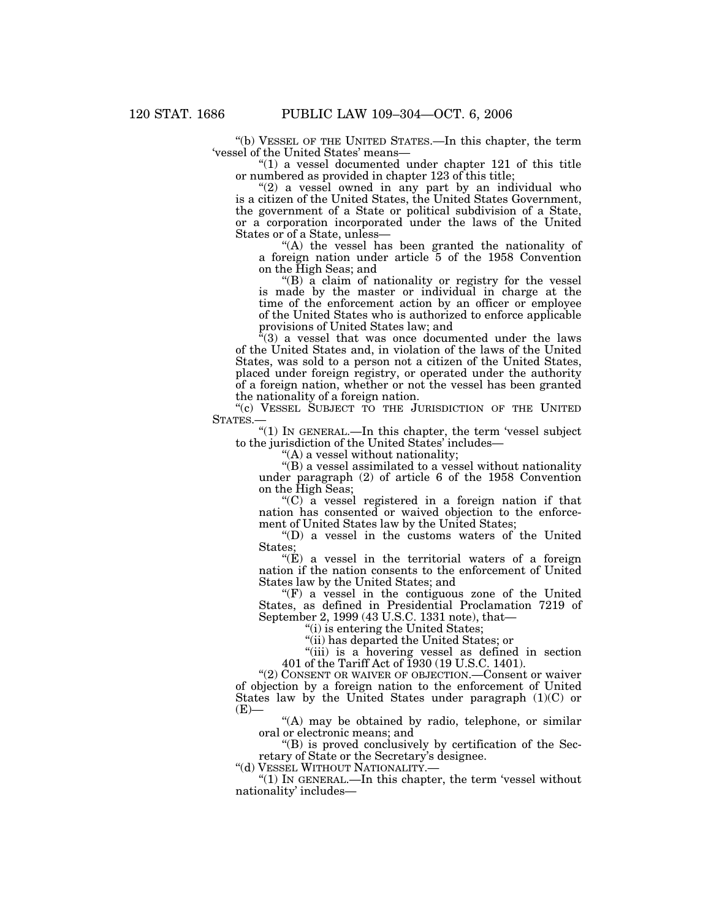''(b) VESSEL OF THE UNITED STATES.—In this chapter, the term 'vessel of the United States' means—

 $''(1)$  a vessel documented under chapter 121 of this title or numbered as provided in chapter 123 of this title;

"(2) a vessel owned in any part by an individual who is a citizen of the United States, the United States Government, the government of a State or political subdivision of a State, or a corporation incorporated under the laws of the United States or of a State, unless—

''(A) the vessel has been granted the nationality of a foreign nation under article 5 of the 1958 Convention on the High Seas; and

"(B) a claim of nationality or registry for the vessel is made by the master or individual in charge at the time of the enforcement action by an officer or employee of the United States who is authorized to enforce applicable provisions of United States law; and

 $\sqrt{a}$ (3) a vessel that was once documented under the laws of the United States and, in violation of the laws of the United States, was sold to a person not a citizen of the United States, placed under foreign registry, or operated under the authority of a foreign nation, whether or not the vessel has been granted the nationality of a foreign nation.

"(c) VESSEL SUBJECT TO THE JURISDICTION OF THE UNITED STATES.

''(1) IN GENERAL.—In this chapter, the term 'vessel subject to the jurisdiction of the United States' includes—

''(A) a vessel without nationality;

''(B) a vessel assimilated to a vessel without nationality under paragraph (2) of article 6 of the 1958 Convention on the High Seas;

" $(C)$  a vessel registered in a foreign nation if that nation has consented or waived objection to the enforcement of United States law by the United States;

''(D) a vessel in the customs waters of the United States;

" $(E)$  a vessel in the territorial waters of a foreign nation if the nation consents to the enforcement of United States law by the United States; and

 $f(F)$  a vessel in the contiguous zone of the United States, as defined in Presidential Proclamation 7219 of September 2, 1999 (43 U.S.C. 1331 note), that—

''(i) is entering the United States;

''(ii) has departed the United States; or

''(iii) is a hovering vessel as defined in section 401 of the Tariff Act of 1930 (19 U.S.C. 1401).

''(2) CONSENT OR WAIVER OF OBJECTION.—Consent or waiver of objection by a foreign nation to the enforcement of United States law by the United States under paragraph (1)(C) or  $(E)$ —

"(A) may be obtained by radio, telephone, or similar oral or electronic means; and

''(B) is proved conclusively by certification of the Secretary of State or the Secretary's designee.<br>"(d) VESSEL WITHOUT NATIONALITY.—

" $(1)$  In GENERAL.—In this chapter, the term 'vessel without nationality' includes—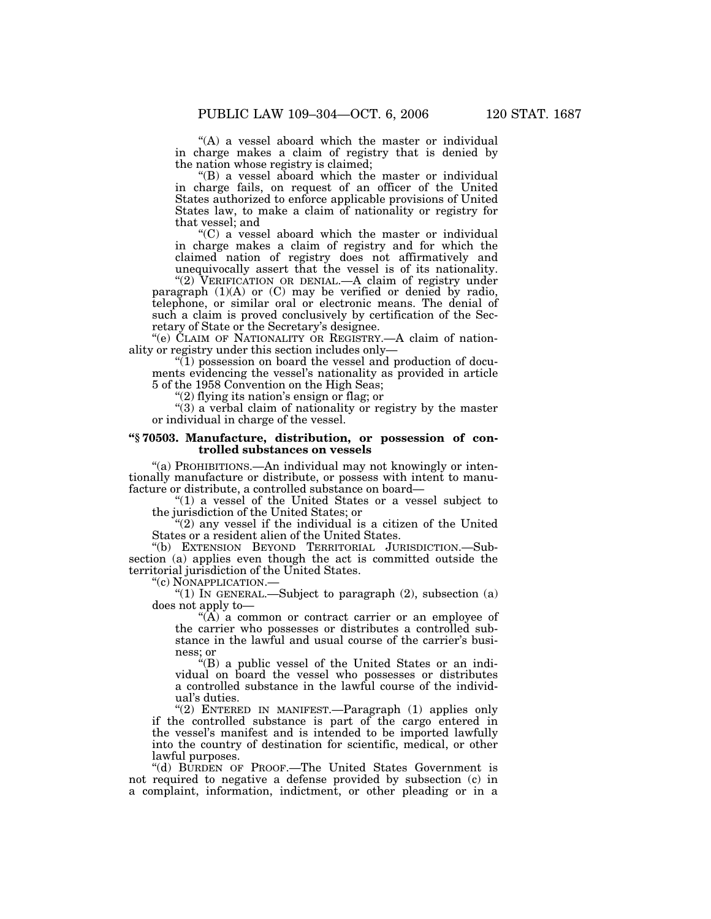"(A) a vessel aboard which the master or individual in charge makes a claim of registry that is denied by the nation whose registry is claimed;

''(B) a vessel aboard which the master or individual in charge fails, on request of an officer of the United States authorized to enforce applicable provisions of United States law, to make a claim of nationality or registry for that vessel; and

"(C) a vessel aboard which the master or individual in charge makes a claim of registry and for which the claimed nation of registry does not affirmatively and unequivocally assert that the vessel is of its nationality.

"(2) VERIFICATION OR DENIAL.—A claim of registry under paragraph (1)(A) or (C) may be verified or denied by radio, telephone, or similar oral or electronic means. The denial of such a claim is proved conclusively by certification of the Secretary of State or the Secretary's designee.

"(e) CLAIM OF NATIONALITY OR REGISTRY.—A claim of nationality or registry under this section includes only—

 $(1)$  possession on board the vessel and production of documents evidencing the vessel's nationality as provided in article 5 of the 1958 Convention on the High Seas;

 $(2)$  flying its nation's ensign or flag; or

"(3) a verbal claim of nationality or registry by the master or individual in charge of the vessel.

#### **''§ 70503. Manufacture, distribution, or possession of controlled substances on vessels**

"(a) PROHIBITIONS.—An individual may not knowingly or intentionally manufacture or distribute, or possess with intent to manufacture or distribute, a controlled substance on board—

''(1) a vessel of the United States or a vessel subject to the jurisdiction of the United States; or

 $(2)$  any vessel if the individual is a citizen of the United States or a resident alien of the United States.

''(b) EXTENSION BEYOND TERRITORIAL JURISDICTION.—Subsection (a) applies even though the act is committed outside the territorial jurisdiction of the United States.

''(c) NONAPPLICATION.—

"(1) In GENERAL.—Subject to paragraph  $(2)$ , subsection  $(a)$ does not apply to—

" $(\overline{A})$  a common or contract carrier or an employee of the carrier who possesses or distributes a controlled substance in the lawful and usual course of the carrier's business; or

''(B) a public vessel of the United States or an individual on board the vessel who possesses or distributes a controlled substance in the lawful course of the individual's duties.

"(2) ENTERED IN MANIFEST. - Paragraph (1) applies only if the controlled substance is part of the cargo entered in the vessel's manifest and is intended to be imported lawfully into the country of destination for scientific, medical, or other lawful purposes.

''(d) BURDEN OF PROOF.—The United States Government is not required to negative a defense provided by subsection (c) in a complaint, information, indictment, or other pleading or in a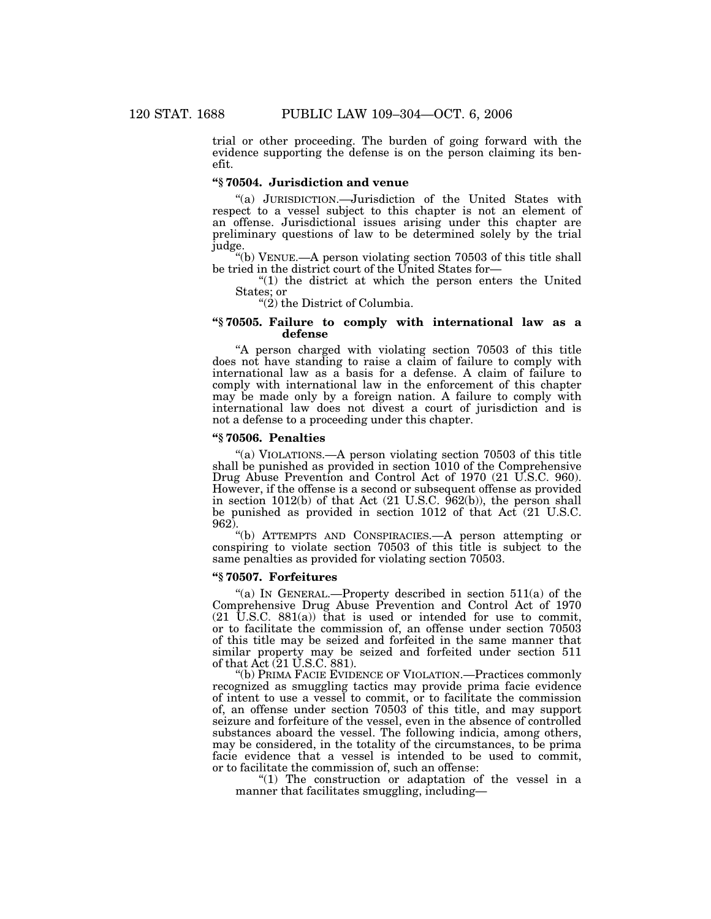trial or other proceeding. The burden of going forward with the evidence supporting the defense is on the person claiming its benefit.

# **''§ 70504. Jurisdiction and venue**

''(a) JURISDICTION.—Jurisdiction of the United States with respect to a vessel subject to this chapter is not an element of an offense. Jurisdictional issues arising under this chapter are preliminary questions of law to be determined solely by the trial judge.

''(b) VENUE.—A person violating section 70503 of this title shall be tried in the district court of the United States for—

''(1) the district at which the person enters the United States; or

''(2) the District of Columbia.

#### **''§ 70505. Failure to comply with international law as a defense**

"A person charged with violating section 70503 of this title does not have standing to raise a claim of failure to comply with international law as a basis for a defense. A claim of failure to comply with international law in the enforcement of this chapter may be made only by a foreign nation. A failure to comply with international law does not divest a court of jurisdiction and is not a defense to a proceeding under this chapter.

#### **''§ 70506. Penalties**

"(a) VIOLATIONS.—A person violating section 70503 of this title shall be punished as provided in section 1010 of the Comprehensive Drug Abuse Prevention and Control Act of 1970 (21 U.S.C. 960). However, if the offense is a second or subsequent offense as provided in section 1012(b) of that Act  $(21 \text{ U.S.C. } \dot{9}62(\text{b}))$ , the person shall be punished as provided in section 1012 of that Act (21 U.S.C. 962).

''(b) ATTEMPTS AND CONSPIRACIES.—A person attempting or conspiring to violate section 70503 of this title is subject to the same penalties as provided for violating section 70503.

#### **''§ 70507. Forfeitures**

"(a) IN GENERAL.—Property described in section  $511(a)$  of the Comprehensive Drug Abuse Prevention and Control Act of 1970 (21 U.S.C. 881(a)) that is used or intended for use to commit, or to facilitate the commission of, an offense under section 70503 of this title may be seized and forfeited in the same manner that similar property may be seized and forfeited under section 511 of that Act (21 U.S.C. 881).

''(b) PRIMA FACIE EVIDENCE OF VIOLATION.—Practices commonly recognized as smuggling tactics may provide prima facie evidence of intent to use a vessel to commit, or to facilitate the commission of, an offense under section 70503 of this title, and may support seizure and forfeiture of the vessel, even in the absence of controlled substances aboard the vessel. The following indicia, among others, may be considered, in the totality of the circumstances, to be prima facie evidence that a vessel is intended to be used to commit, or to facilitate the commission of, such an offense:

"(1) The construction or adaptation of the vessel in a manner that facilitates smuggling, including—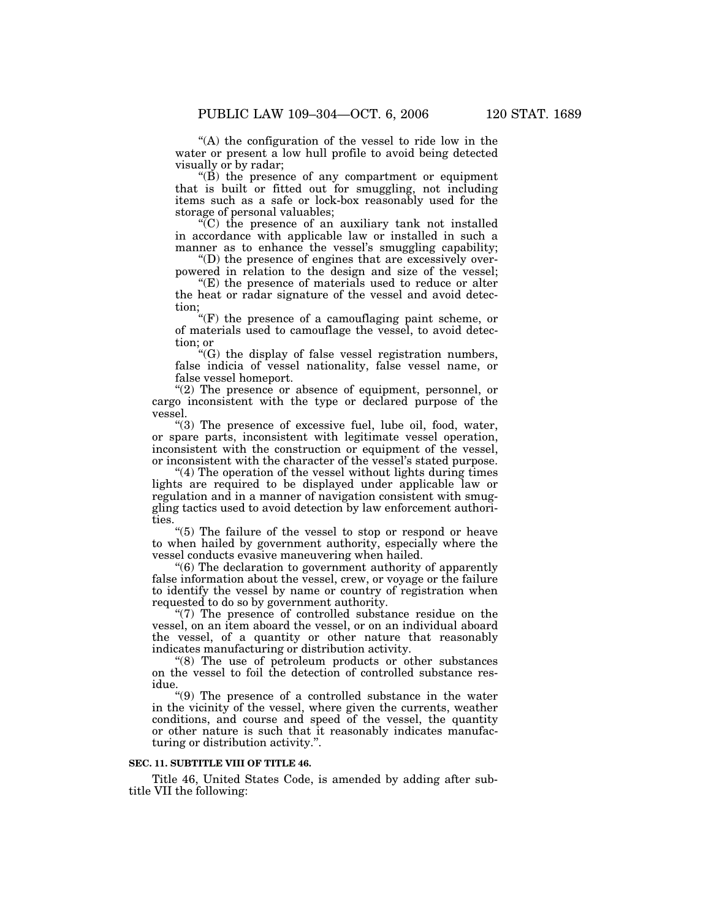''(A) the configuration of the vessel to ride low in the water or present a low hull profile to avoid being detected visually or by radar;

 $\mathrm{H}(B)$  the presence of any compartment or equipment that is built or fitted out for smuggling, not including items such as a safe or lock-box reasonably used for the storage of personal valuables;

 $\sqrt{\rm C}$  the presence of an auxiliary tank not installed in accordance with applicable law or installed in such a manner as to enhance the vessel's smuggling capability;

''(D) the presence of engines that are excessively overpowered in relation to the design and size of the vessel;

''(E) the presence of materials used to reduce or alter the heat or radar signature of the vessel and avoid detection;

''(F) the presence of a camouflaging paint scheme, or of materials used to camouflage the vessel, to avoid detection; or

''(G) the display of false vessel registration numbers, false indicia of vessel nationality, false vessel name, or false vessel homeport.

 $(2)$  The presence or absence of equipment, personnel, or cargo inconsistent with the type or declared purpose of the vessel.

"(3) The presence of excessive fuel, lube oil, food, water, or spare parts, inconsistent with legitimate vessel operation, inconsistent with the construction or equipment of the vessel, or inconsistent with the character of the vessel's stated purpose.

 $(4)$  The operation of the vessel without lights during times lights are required to be displayed under applicable law or regulation and in a manner of navigation consistent with smuggling tactics used to avoid detection by law enforcement authorities.

"(5) The failure of the vessel to stop or respond or heave to when hailed by government authority, especially where the vessel conducts evasive maneuvering when hailed.

''(6) The declaration to government authority of apparently false information about the vessel, crew, or voyage or the failure to identify the vessel by name or country of registration when requested to do so by government authority.

"(7) The presence of controlled substance residue on the vessel, on an item aboard the vessel, or on an individual aboard the vessel, of a quantity or other nature that reasonably indicates manufacturing or distribution activity.

"(8) The use of petroleum products or other substances on the vessel to foil the detection of controlled substance residue.

''(9) The presence of a controlled substance in the water in the vicinity of the vessel, where given the currents, weather conditions, and course and speed of the vessel, the quantity or other nature is such that it reasonably indicates manufacturing or distribution activity.''.

#### **SEC. 11. SUBTITLE VIII OF TITLE 46.**

Title 46, United States Code, is amended by adding after subtitle VII the following: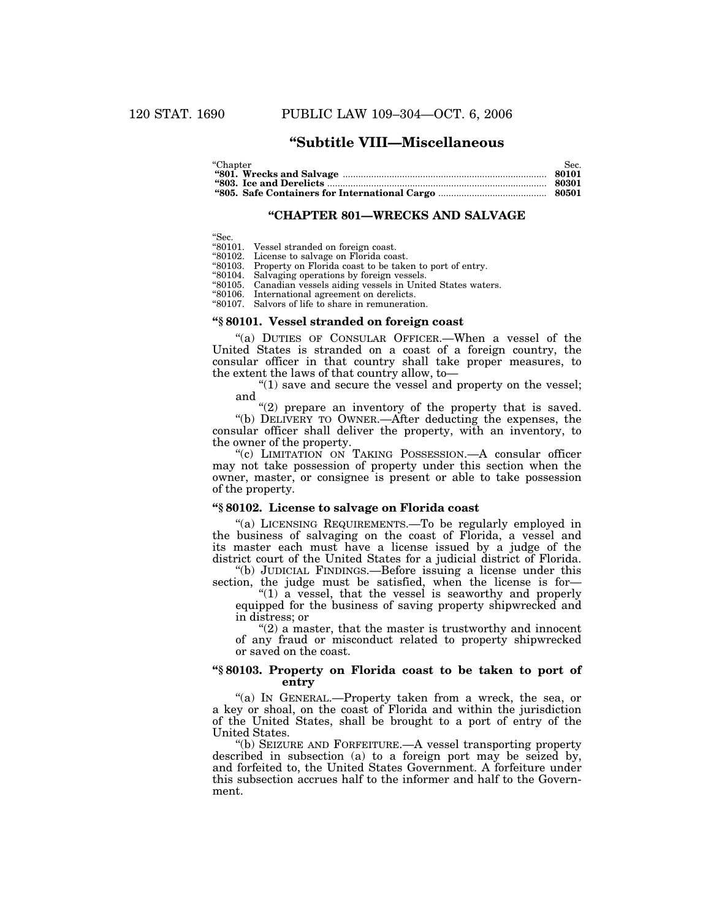# **''Subtitle VIII—Miscellaneous**

#### **''CHAPTER 801—WRECKS AND SALVAGE**

''Sec.

''80101. Vessel stranded on foreign coast.

''80102. License to salvage on Florida coast.

''80103. Property on Florida coast to be taken to port of entry. Salvaging operations by foreign vessels.

''80105. Canadian vessels aiding vessels in United States waters.

''80106. International agreement on derelicts.

''80107. Salvors of life to share in remuneration.

# **''§ 80101. Vessel stranded on foreign coast**

''(a) DUTIES OF CONSULAR OFFICER.—When a vessel of the United States is stranded on a coast of a foreign country, the consular officer in that country shall take proper measures, to the extent the laws of that country allow, to—

" $(1)$  save and secure the vessel and property on the vessel; and

"(2) prepare an inventory of the property that is saved.

''(b) DELIVERY TO OWNER.—After deducting the expenses, the consular officer shall deliver the property, with an inventory, to the owner of the property.

''(c) LIMITATION ON TAKING POSSESSION.—A consular officer may not take possession of property under this section when the owner, master, or consignee is present or able to take possession of the property.

#### **''§ 80102. License to salvage on Florida coast**

''(a) LICENSING REQUIREMENTS.—To be regularly employed in the business of salvaging on the coast of Florida, a vessel and its master each must have a license issued by a judge of the district court of the United States for a judicial district of Florida.

''(b) JUDICIAL FINDINGS.—Before issuing a license under this section, the judge must be satisfied, when the license is for—

"(1) a vessel, that the vessel is seaworthy and properly equipped for the business of saving property shipwrecked and in distress; or

 $(2)$  a master, that the master is trustworthy and innocent of any fraud or misconduct related to property shipwrecked or saved on the coast.

#### **''§ 80103. Property on Florida coast to be taken to port of entry**

''(a) IN GENERAL.—Property taken from a wreck, the sea, or a key or shoal, on the coast of Florida and within the jurisdiction of the United States, shall be brought to a port of entry of the United States.

''(b) SEIZURE AND FORFEITURE.—A vessel transporting property described in subsection (a) to a foreign port may be seized by, and forfeited to, the United States Government. A forfeiture under this subsection accrues half to the informer and half to the Government.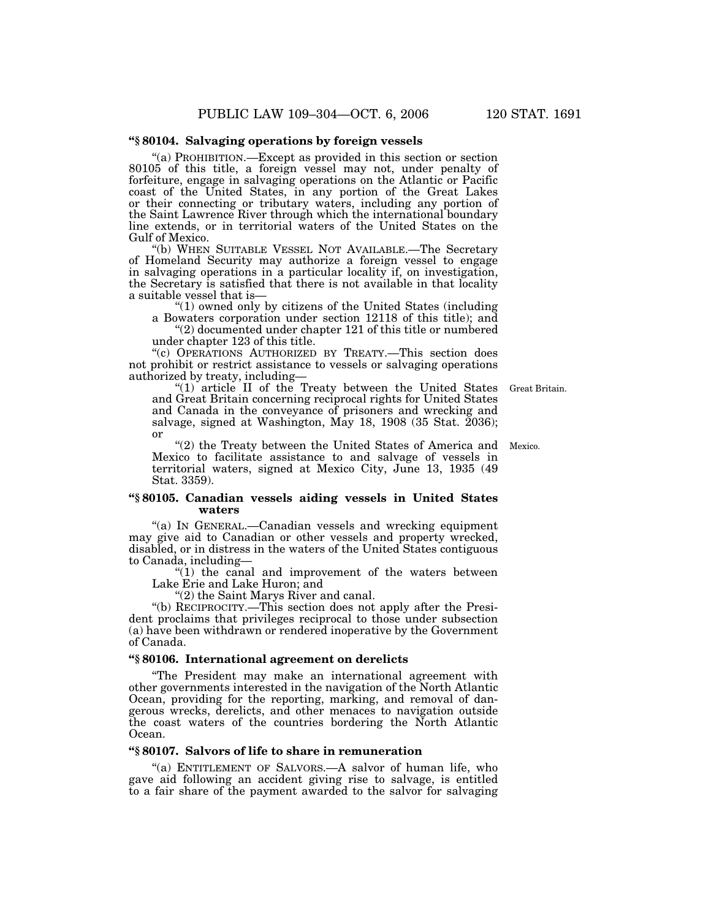''(a) PROHIBITION.—Except as provided in this section or section 80105 of this title, a foreign vessel may not, under penalty of forfeiture, engage in salvaging operations on the Atlantic or Pacific coast of the United States, in any portion of the Great Lakes or their connecting or tributary waters, including any portion of the Saint Lawrence River through which the international boundary line extends, or in territorial waters of the United States on the Gulf of Mexico.

(b) WHEN SUITABLE VESSEL NOT AVAILABLE.—The Secretary of Homeland Security may authorize a foreign vessel to engage in salvaging operations in a particular locality if, on investigation, the Secretary is satisfied that there is not available in that locality a suitable vessel that is—

''(1) owned only by citizens of the United States (including a Bowaters corporation under section 12118 of this title); and

''(2) documented under chapter 121 of this title or numbered under chapter 123 of this title.

"(c) OPERATIONS AUTHORIZED BY TREATY.-This section does not prohibit or restrict assistance to vessels or salvaging operations authorized by treaty, including—

Great Britain.

"(1) article II of the Treaty between the United States and Great Britain concerning reciprocal rights for United States and Canada in the conveyance of prisoners and wrecking and salvage, signed at Washington, May 18, 1908 (35 Stat. 2036); or

"(2) the Treaty between the United States of America and Mexico. Mexico to facilitate assistance to and salvage of vessels in territorial waters, signed at Mexico City, June 13, 1935 (49 Stat. 3359).

# **''§ 80105. Canadian vessels aiding vessels in United States waters**

"(a) IN GENERAL.—Canadian vessels and wrecking equipment may give aid to Canadian or other vessels and property wrecked, disabled, or in distress in the waters of the United States contiguous to Canada, including—

 $''(1)$  the canal and improvement of the waters between Lake Erie and Lake Huron; and

''(2) the Saint Marys River and canal.

''(b) RECIPROCITY.—This section does not apply after the President proclaims that privileges reciprocal to those under subsection (a) have been withdrawn or rendered inoperative by the Government of Canada.

#### **''§ 80106. International agreement on derelicts**

''The President may make an international agreement with other governments interested in the navigation of the North Atlantic Ocean, providing for the reporting, marking, and removal of dangerous wrecks, derelicts, and other menaces to navigation outside the coast waters of the countries bordering the North Atlantic Ocean.

# **''§ 80107. Salvors of life to share in remuneration**

"(a) ENTITLEMENT OF SALVORS.—A salvor of human life, who gave aid following an accident giving rise to salvage, is entitled to a fair share of the payment awarded to the salvor for salvaging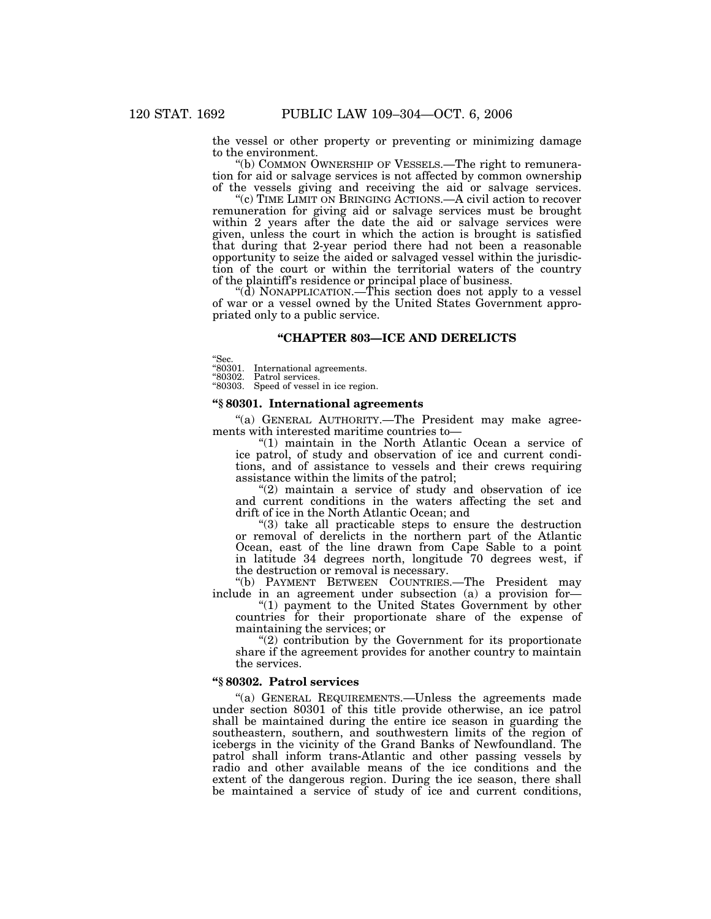the vessel or other property or preventing or minimizing damage to the environment.

''(b) COMMON OWNERSHIP OF VESSELS.—The right to remuneration for aid or salvage services is not affected by common ownership of the vessels giving and receiving the aid or salvage services.

''(c) TIME LIMIT ON BRINGING ACTIONS.—A civil action to recover remuneration for giving aid or salvage services must be brought within 2 years after the date the aid or salvage services were given, unless the court in which the action is brought is satisfied that during that 2-year period there had not been a reasonable opportunity to seize the aided or salvaged vessel within the jurisdiction of the court or within the territorial waters of the country of the plaintiff's residence or principal place of business.

''(d) NONAPPLICATION.—This section does not apply to a vessel of war or a vessel owned by the United States Government appropriated only to a public service.

# **''CHAPTER 803—ICE AND DERELICTS**

''Sec.

''80301. International agreements. ''80302. Patrol services.

''80303. Speed of vessel in ice region.

#### **''§ 80301. International agreements**

"(a) GENERAL AUTHORITY.—The President may make agreements with interested maritime countries to—

''(1) maintain in the North Atlantic Ocean a service of ice patrol, of study and observation of ice and current conditions, and of assistance to vessels and their crews requiring assistance within the limits of the patrol;

"(2) maintain a service of study and observation of ice and current conditions in the waters affecting the set and drift of ice in the North Atlantic Ocean; and

''(3) take all practicable steps to ensure the destruction or removal of derelicts in the northern part of the Atlantic Ocean, east of the line drawn from Cape Sable to a point in latitude 34 degrees north, longitude 70 degrees west, if the destruction or removal is necessary.

''(b) PAYMENT BETWEEN COUNTRIES.—The President may include in an agreement under subsection (a) a provision for—

"(1) payment to the United States Government by other countries for their proportionate share of the expense of maintaining the services; or

 $(2)$  contribution by the Government for its proportionate share if the agreement provides for another country to maintain the services.

# **''§ 80302. Patrol services**

''(a) GENERAL REQUIREMENTS.—Unless the agreements made under section 80301 of this title provide otherwise, an ice patrol shall be maintained during the entire ice season in guarding the southeastern, southern, and southwestern limits of the region of icebergs in the vicinity of the Grand Banks of Newfoundland. The patrol shall inform trans-Atlantic and other passing vessels by radio and other available means of the ice conditions and the extent of the dangerous region. During the ice season, there shall be maintained a service of study of ice and current conditions,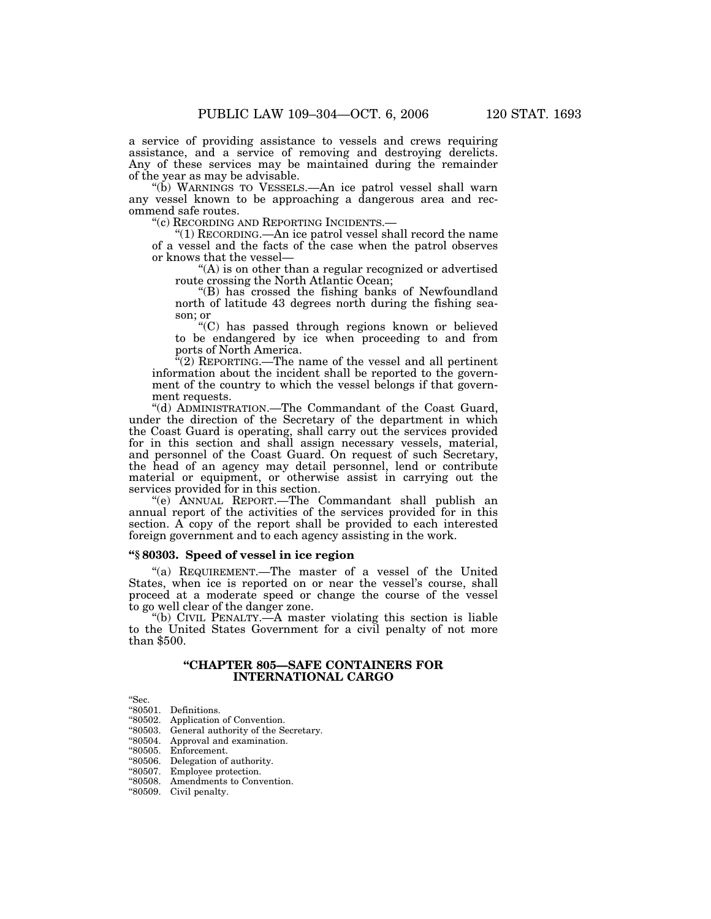a service of providing assistance to vessels and crews requiring assistance, and a service of removing and destroying derelicts. Any of these services may be maintained during the remainder of the year as may be advisable.

''(b) WARNINGS TO VESSELS.—An ice patrol vessel shall warn any vessel known to be approaching a dangerous area and recommend safe routes.<br>"(c) RECORDING AND REPORTING INCIDENTS.—

" $(1)$  RECORDING.—An ice patrol vessel shall record the name of a vessel and the facts of the case when the patrol observes or knows that the vessel—

''(A) is on other than a regular recognized or advertised route crossing the North Atlantic Ocean;

''(B) has crossed the fishing banks of Newfoundland north of latitude 43 degrees north during the fishing season; or

''(C) has passed through regions known or believed to be endangered by ice when proceeding to and from ports of North America.

"(2) REPORTING.—The name of the vessel and all pertinent information about the incident shall be reported to the government of the country to which the vessel belongs if that government requests.

''(d) ADMINISTRATION.—The Commandant of the Coast Guard, under the direction of the Secretary of the department in which the Coast Guard is operating, shall carry out the services provided for in this section and shall assign necessary vessels, material, and personnel of the Coast Guard. On request of such Secretary, the head of an agency may detail personnel, lend or contribute material or equipment, or otherwise assist in carrying out the services provided for in this section.

''(e) ANNUAL REPORT.—The Commandant shall publish an annual report of the activities of the services provided for in this section. A copy of the report shall be provided to each interested foreign government and to each agency assisting in the work.

# **''§ 80303. Speed of vessel in ice region**

"(a) REQUIREMENT.—The master of a vessel of the United States, when ice is reported on or near the vessel's course, shall proceed at a moderate speed or change the course of the vessel to go well clear of the danger zone.

''(b) CIVIL PENALTY.—A master violating this section is liable to the United States Government for a civil penalty of not more than \$500.

# **''CHAPTER 805—SAFE CONTAINERS FOR INTERNATIONAL CARGO**

''Sec.

''80501. Definitions.

''80502. Application of Convention.

"80503. General authority of the Secretary.<br>"80504. Approval and examination.

Approval and examination.

''80505. Enforcement.

''80506. Delegation of authority.

''80507. Employee protection.

''80508. Amendments to Convention.

''80509. Civil penalty.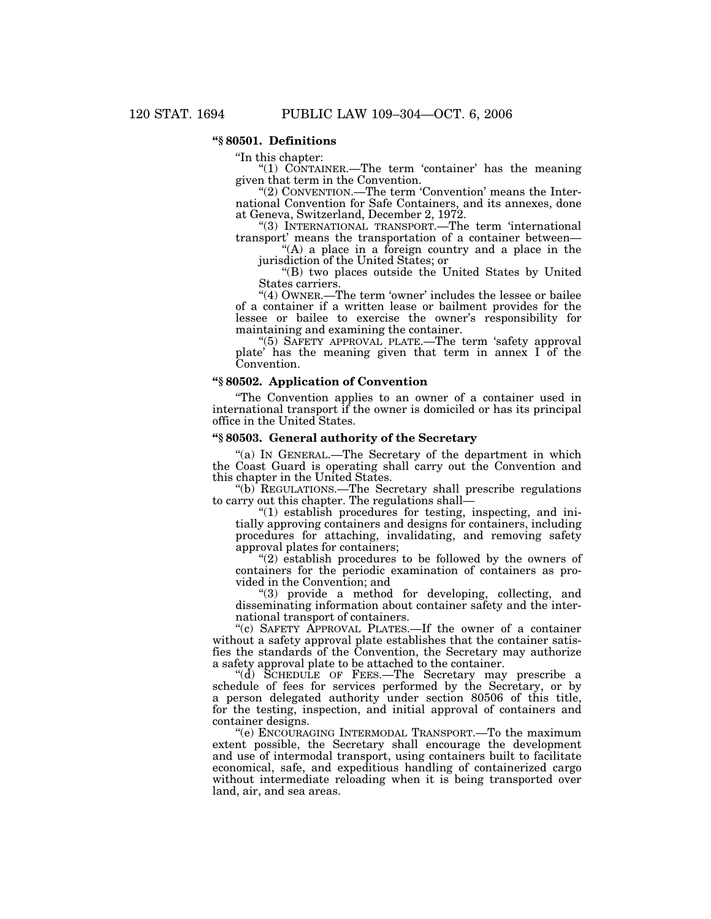# **''§ 80501. Definitions**

''In this chapter:

"(1) CONTAINER.—The term 'container' has the meaning given that term in the Convention.

"(2) CONVENTION.—The term 'Convention' means the International Convention for Safe Containers, and its annexes, done at Geneva, Switzerland, December 2, 1972.

''(3) INTERNATIONAL TRANSPORT.—The term 'international transport' means the transportation of a container between—

"(A) a place in a foreign country and a place in the jurisdiction of the United States; or

''(B) two places outside the United States by United States carriers.

''(4) OWNER.—The term 'owner' includes the lessee or bailee of a container if a written lease or bailment provides for the lessee or bailee to exercise the owner's responsibility for maintaining and examining the container.

''(5) SAFETY APPROVAL PLATE.—The term 'safety approval plate' has the meaning given that term in annex I of the Convention.

# **''§ 80502. Application of Convention**

''The Convention applies to an owner of a container used in international transport if the owner is domiciled or has its principal office in the United States.

# **''§ 80503. General authority of the Secretary**

''(a) IN GENERAL.—The Secretary of the department in which the Coast Guard is operating shall carry out the Convention and this chapter in the United States.

''(b) REGULATIONS.—The Secretary shall prescribe regulations to carry out this chapter. The regulations shall—

''(1) establish procedures for testing, inspecting, and initially approving containers and designs for containers, including procedures for attaching, invalidating, and removing safety approval plates for containers;

"(2) establish procedures to be followed by the owners of containers for the periodic examination of containers as provided in the Convention; and

''(3) provide a method for developing, collecting, and disseminating information about container safety and the international transport of containers.

''(c) SAFETY APPROVAL PLATES.—If the owner of a container without a safety approval plate establishes that the container satisfies the standards of the Convention, the Secretary may authorize a safety approval plate to be attached to the container.

''(d) SCHEDULE OF FEES.—The Secretary may prescribe a schedule of fees for services performed by the Secretary, or by a person delegated authority under section 80506 of this title, for the testing, inspection, and initial approval of containers and container designs.

"(e) ENCOURAGING INTERMODAL TRANSPORT.—To the maximum extent possible, the Secretary shall encourage the development and use of intermodal transport, using containers built to facilitate economical, safe, and expeditious handling of containerized cargo without intermediate reloading when it is being transported over land, air, and sea areas.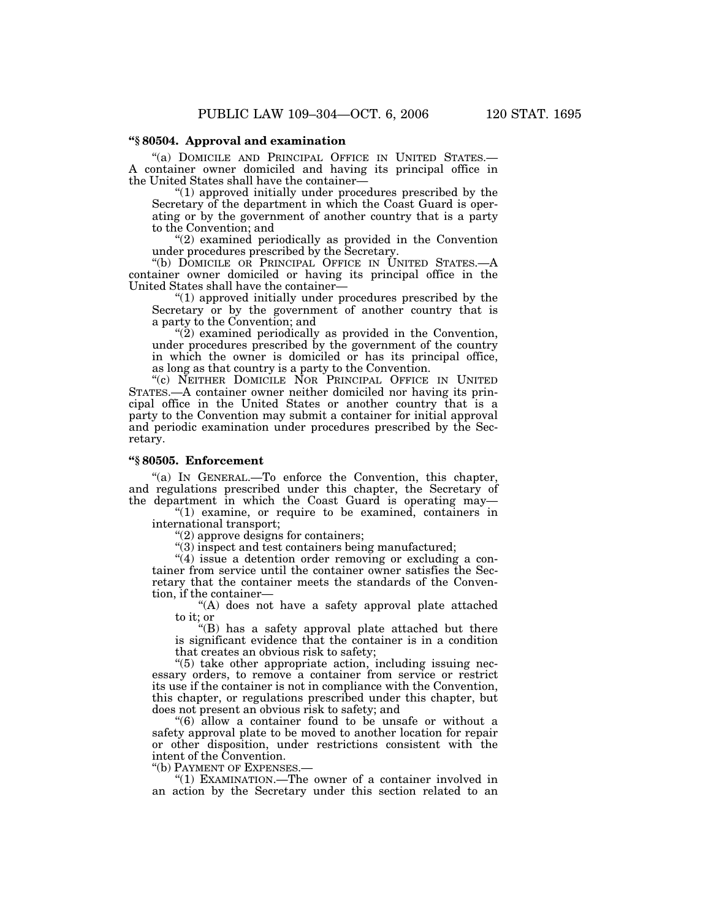# **''§ 80504. Approval and examination**

"(a) DOMICILE AND PRINCIPAL OFFICE IN UNITED STATES.-A container owner domiciled and having its principal office in the United States shall have the container—

''(1) approved initially under procedures prescribed by the Secretary of the department in which the Coast Guard is operating or by the government of another country that is a party to the Convention; and

"(2) examined periodically as provided in the Convention under procedures prescribed by the Secretary.

''(b) DOMICILE OR PRINCIPAL OFFICE IN UNITED STATES.—A container owner domiciled or having its principal office in the United States shall have the container—

''(1) approved initially under procedures prescribed by the Secretary or by the government of another country that is a party to the Convention; and

 $\degree$ (2) examined periodically as provided in the Convention, under procedures prescribed by the government of the country in which the owner is domiciled or has its principal office, as long as that country is a party to the Convention.

''(c) NEITHER DOMICILE NOR PRINCIPAL OFFICE IN UNITED STATES.—A container owner neither domiciled nor having its principal office in the United States or another country that is a party to the Convention may submit a container for initial approval and periodic examination under procedures prescribed by the Secretary.

#### **''§ 80505. Enforcement**

''(a) IN GENERAL.—To enforce the Convention, this chapter, and regulations prescribed under this chapter, the Secretary of the department in which the Coast Guard is operating may—

 $''(1)$  examine, or require to be examined, containers in international transport;

''(2) approve designs for containers;

''(3) inspect and test containers being manufactured;

"(4) issue a detention order removing or excluding a container from service until the container owner satisfies the Secretary that the container meets the standards of the Convention, if the container—

''(A) does not have a safety approval plate attached to it; or

''(B) has a safety approval plate attached but there is significant evidence that the container is in a condition that creates an obvious risk to safety;

''(5) take other appropriate action, including issuing necessary orders, to remove a container from service or restrict its use if the container is not in compliance with the Convention, this chapter, or regulations prescribed under this chapter, but does not present an obvious risk to safety; and

''(6) allow a container found to be unsafe or without a safety approval plate to be moved to another location for repair or other disposition, under restrictions consistent with the intent of the Convention.

''(b) PAYMENT OF EXPENSES.—

''(1) EXAMINATION.—The owner of a container involved in an action by the Secretary under this section related to an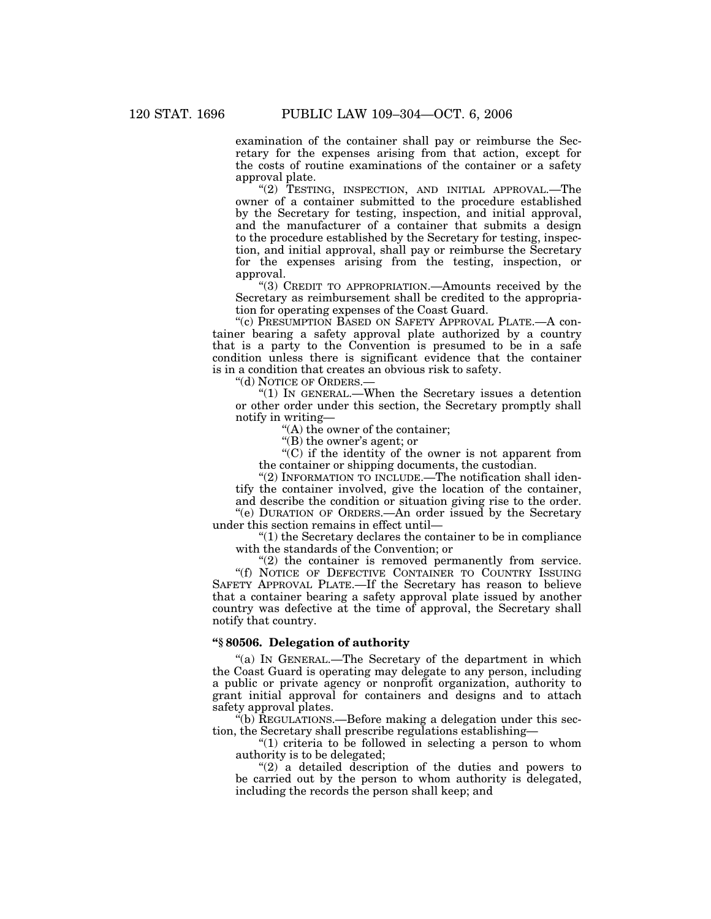examination of the container shall pay or reimburse the Secretary for the expenses arising from that action, except for the costs of routine examinations of the container or a safety approval plate.

"(2) TESTING, INSPECTION, AND INITIAL APPROVAL.—The owner of a container submitted to the procedure established by the Secretary for testing, inspection, and initial approval, and the manufacturer of a container that submits a design to the procedure established by the Secretary for testing, inspection, and initial approval, shall pay or reimburse the Secretary for the expenses arising from the testing, inspection, or approval.

''(3) CREDIT TO APPROPRIATION.—Amounts received by the Secretary as reimbursement shall be credited to the appropriation for operating expenses of the Coast Guard.

''(c) PRESUMPTION BASED ON SAFETY APPROVAL PLATE.—A container bearing a safety approval plate authorized by a country that is a party to the Convention is presumed to be in a safe condition unless there is significant evidence that the container is in a condition that creates an obvious risk to safety.

''(d) NOTICE OF ORDERS.—

''(1) IN GENERAL.—When the Secretary issues a detention or other order under this section, the Secretary promptly shall notify in writing—

''(A) the owner of the container;

"(B) the owner's agent; or

''(C) if the identity of the owner is not apparent from the container or shipping documents, the custodian.

"(2) INFORMATION TO INCLUDE.—The notification shall identify the container involved, give the location of the container,

and describe the condition or situation giving rise to the order. ''(e) DURATION OF ORDERS.—An order issued by the Secretary under this section remains in effect until—

 $''(1)$  the Secretary declares the container to be in compliance with the standards of the Convention; or

"(2) the container is removed permanently from service.

''(f) NOTICE OF DEFECTIVE CONTAINER TO COUNTRY ISSUING SAFETY APPROVAL PLATE.—If the Secretary has reason to believe that a container bearing a safety approval plate issued by another country was defective at the time of approval, the Secretary shall notify that country.

# **''§ 80506. Delegation of authority**

"(a) IN GENERAL.—The Secretary of the department in which the Coast Guard is operating may delegate to any person, including a public or private agency or nonprofit organization, authority to grant initial approval for containers and designs and to attach safety approval plates.

''(b) REGULATIONS.—Before making a delegation under this section, the Secretary shall prescribe regulations establishing—

" $(1)$  criteria to be followed in selecting a person to whom authority is to be delegated;

" $(2)$  a detailed description of the duties and powers to be carried out by the person to whom authority is delegated, including the records the person shall keep; and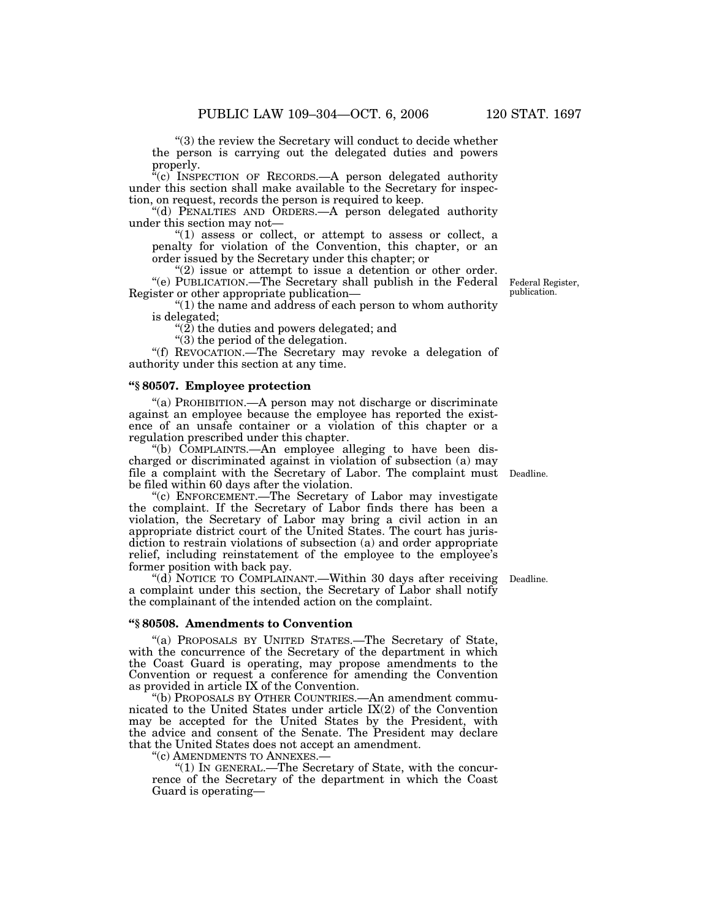''(3) the review the Secretary will conduct to decide whether the person is carrying out the delegated duties and powers

properly. "(c) INSPECTION OF RECORDS.—A person delegated authority under this section shall make available to the Secretary for inspection, on request, records the person is required to keep.

''(d) PENALTIES AND ORDERS.—A person delegated authority under this section may not—

"(1) assess or collect, or attempt to assess or collect, a penalty for violation of the Convention, this chapter, or an order issued by the Secretary under this chapter; or

" $(2)$  issue or attempt to issue a detention or other order. ''(e) PUBLICATION.—The Secretary shall publish in the Federal Register or other appropriate publication—

 $''(1)$  the name and address of each person to whom authority is delegated;

 $\degree$ (2) the duties and powers delegated; and

 $\cdot (3)$  the period of the delegation.

''(f) REVOCATION.—The Secretary may revoke a delegation of authority under this section at any time.

#### **''§ 80507. Employee protection**

''(a) PROHIBITION.—A person may not discharge or discriminate against an employee because the employee has reported the existence of an unsafe container or a violation of this chapter or a regulation prescribed under this chapter.

''(b) COMPLAINTS.—An employee alleging to have been discharged or discriminated against in violation of subsection (a) may file a complaint with the Secretary of Labor. The complaint must Deadline. be filed within 60 days after the violation.

''(c) ENFORCEMENT.—The Secretary of Labor may investigate the complaint. If the Secretary of Labor finds there has been a violation, the Secretary of Labor may bring a civil action in an appropriate district court of the United States. The court has jurisdiction to restrain violations of subsection (a) and order appropriate relief, including reinstatement of the employee to the employee's former position with back pay.

''(d) NOTICE TO COMPLAINANT.—Within 30 days after receiving Deadline. a complaint under this section, the Secretary of Labor shall notify the complainant of the intended action on the complaint.

#### **''§ 80508. Amendments to Convention**

''(a) PROPOSALS BY UNITED STATES.—The Secretary of State, with the concurrence of the Secretary of the department in which the Coast Guard is operating, may propose amendments to the Convention or request a conference for amending the Convention as provided in article IX of the Convention.

''(b) PROPOSALS BY OTHER COUNTRIES.—An amendment communicated to the United States under article IX(2) of the Convention may be accepted for the United States by the President, with the advice and consent of the Senate. The President may declare that the United States does not accept an amendment.

''(c) AMENDMENTS TO ANNEXES.—

''(1) IN GENERAL.—The Secretary of State, with the concurrence of the Secretary of the department in which the Coast Guard is operating—

Federal Register, publication.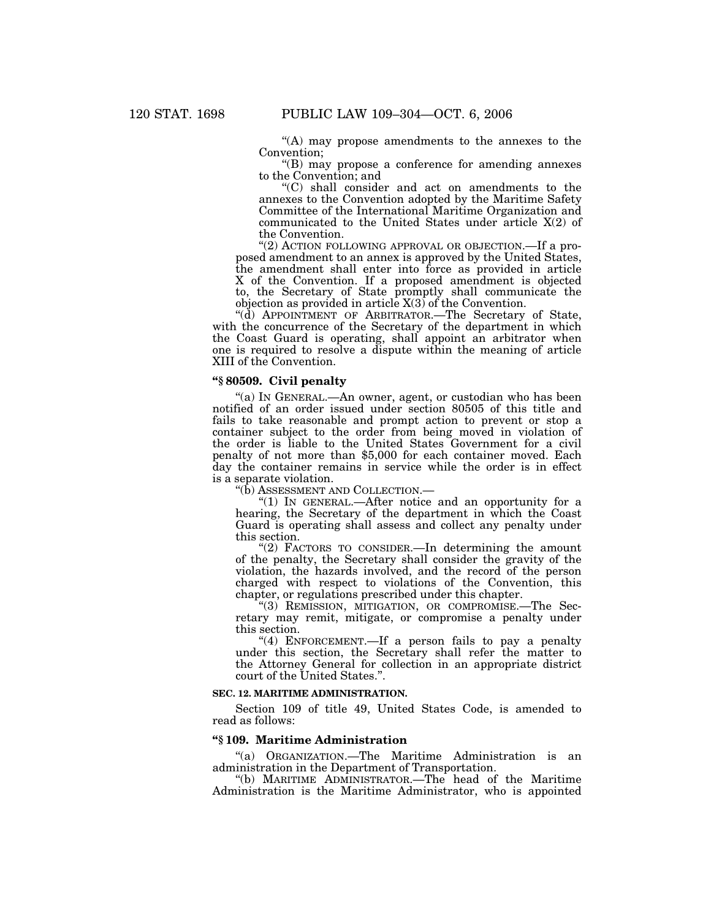''(A) may propose amendments to the annexes to the Convention;

''(B) may propose a conference for amending annexes to the Convention; and

''(C) shall consider and act on amendments to the annexes to the Convention adopted by the Maritime Safety Committee of the International Maritime Organization and communicated to the United States under article X(2) of the Convention.

"(2) ACTION FOLLOWING APPROVAL OR OBJECTION.—If a proposed amendment to an annex is approved by the United States, the amendment shall enter into force as provided in article X of the Convention. If a proposed amendment is objected to, the Secretary of State promptly shall communicate the objection as provided in article  $X(3)$  of the Convention.

''(d) APPOINTMENT OF ARBITRATOR.—The Secretary of State, with the concurrence of the Secretary of the department in which the Coast Guard is operating, shall appoint an arbitrator when one is required to resolve a dispute within the meaning of article XIII of the Convention.

# **''§ 80509. Civil penalty**

''(a) IN GENERAL.—An owner, agent, or custodian who has been notified of an order issued under section 80505 of this title and fails to take reasonable and prompt action to prevent or stop a container subject to the order from being moved in violation of the order is liable to the United States Government for a civil penalty of not more than \$5,000 for each container moved. Each day the container remains in service while the order is in effect is a separate violation.

''(b) ASSESSMENT AND COLLECTION.—

"(1) In GENERAL.—After notice and an opportunity for a hearing, the Secretary of the department in which the Coast Guard is operating shall assess and collect any penalty under this section.

''(2) FACTORS TO CONSIDER.—In determining the amount of the penalty, the Secretary shall consider the gravity of the violation, the hazards involved, and the record of the person charged with respect to violations of the Convention, this chapter, or regulations prescribed under this chapter.

''(3) REMISSION, MITIGATION, OR COMPROMISE.—The Secretary may remit, mitigate, or compromise a penalty under this section.

"(4) ENFORCEMENT.—If a person fails to pay a penalty under this section, the Secretary shall refer the matter to the Attorney General for collection in an appropriate district court of the United States."

#### **SEC. 12. MARITIME ADMINISTRATION.**

Section 109 of title 49, United States Code, is amended to read as follows:

# **''§ 109. Maritime Administration**

''(a) ORGANIZATION.—The Maritime Administration is an administration in the Department of Transportation.

''(b) MARITIME ADMINISTRATOR.—The head of the Maritime Administration is the Maritime Administrator, who is appointed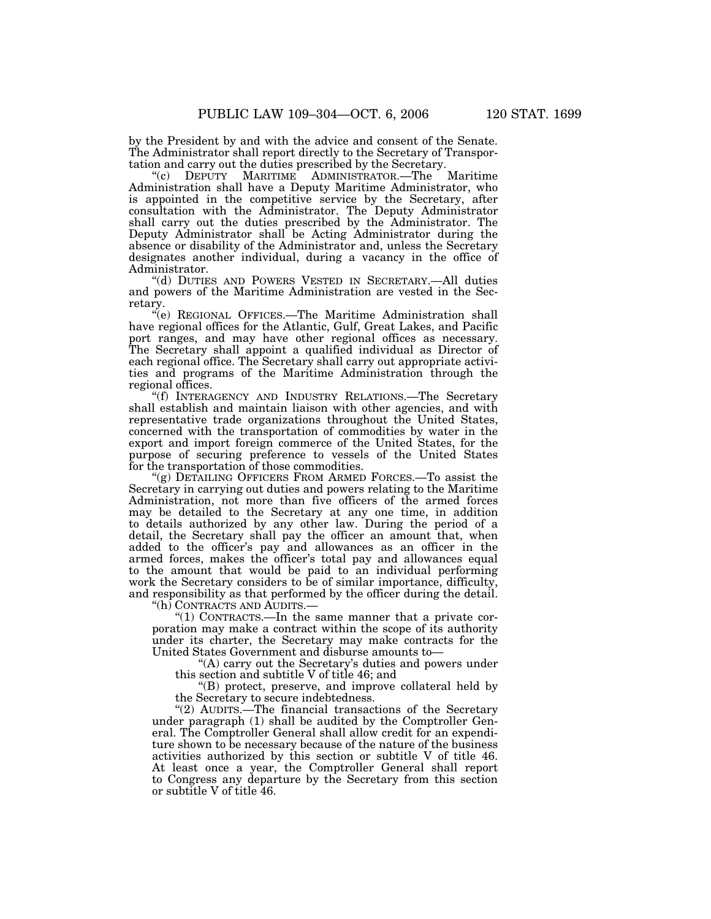by the President by and with the advice and consent of the Senate. The Administrator shall report directly to the Secretary of Transportation and carry out the duties prescribed by the Secretary.

"(c) DEPUTY MARITIME ADMINISTRATOR.—The Maritime Administration shall have a Deputy Maritime Administrator, who is appointed in the competitive service by the Secretary, after consultation with the Administrator. The Deputy Administrator shall carry out the duties prescribed by the Administrator. The Deputy Administrator shall be Acting Administrator during the absence or disability of the Administrator and, unless the Secretary designates another individual, during a vacancy in the office of Administrator.

''(d) DUTIES AND POWERS VESTED IN SECRETARY.—All duties and powers of the Maritime Administration are vested in the Secretary.

''(e) REGIONAL OFFICES.—The Maritime Administration shall have regional offices for the Atlantic, Gulf, Great Lakes, and Pacific port ranges, and may have other regional offices as necessary. The Secretary shall appoint a qualified individual as Director of each regional office. The Secretary shall carry out appropriate activities and programs of the Maritime Administration through the regional offices.

''(f) INTERAGENCY AND INDUSTRY RELATIONS.—The Secretary shall establish and maintain liaison with other agencies, and with representative trade organizations throughout the United States, concerned with the transportation of commodities by water in the export and import foreign commerce of the United States, for the purpose of securing preference to vessels of the United States for the transportation of those commodities.

"(g) DETAILING OFFICERS FROM ARMED FORCES.—To assist the Secretary in carrying out duties and powers relating to the Maritime Administration, not more than five officers of the armed forces may be detailed to the Secretary at any one time, in addition to details authorized by any other law. During the period of a detail, the Secretary shall pay the officer an amount that, when added to the officer's pay and allowances as an officer in the armed forces, makes the officer's total pay and allowances equal to the amount that would be paid to an individual performing work the Secretary considers to be of similar importance, difficulty, and responsibility as that performed by the officer during the detail.

''(h) CONTRACTS AND AUDITS.—

" $(1)$  CONTRACTS.—In the same manner that a private corporation may make a contract within the scope of its authority under its charter, the Secretary may make contracts for the United States Government and disburse amounts to—

"(A) carry out the Secretary's duties and powers under this section and subtitle V of title 46; and

''(B) protect, preserve, and improve collateral held by the Secretary to secure indebtedness.

''(2) AUDITS.—The financial transactions of the Secretary under paragraph (1) shall be audited by the Comptroller General. The Comptroller General shall allow credit for an expenditure shown to be necessary because of the nature of the business activities authorized by this section or subtitle V of title 46. At least once a year, the Comptroller General shall report to Congress any departure by the Secretary from this section or subtitle V of title 46.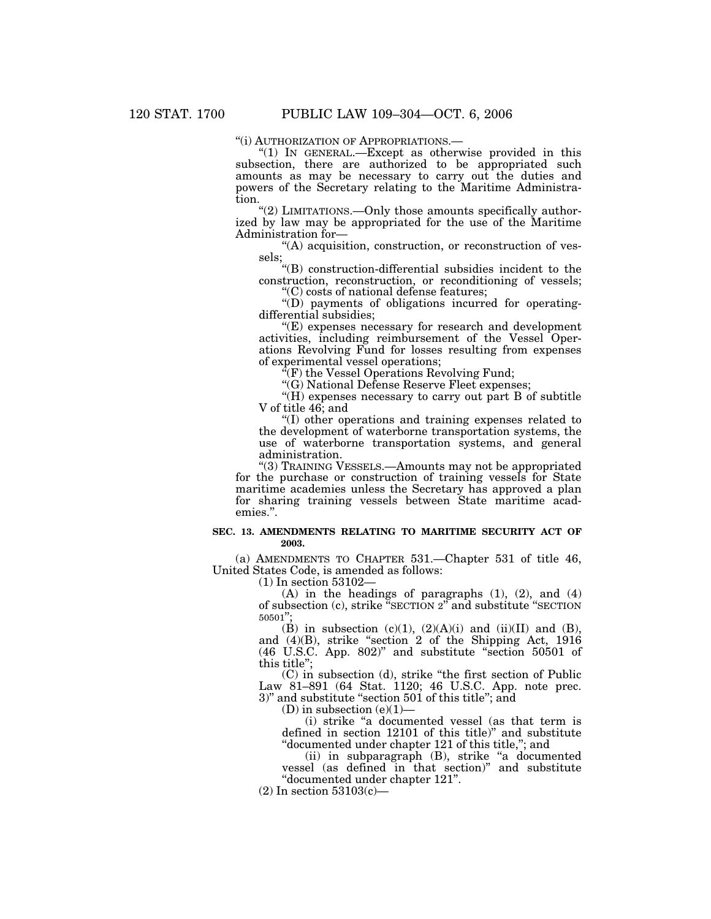''(i) AUTHORIZATION OF APPROPRIATIONS.— ''(1) IN GENERAL.—Except as otherwise provided in this subsection, there are authorized to be appropriated such amounts as may be necessary to carry out the duties and powers of the Secretary relating to the Maritime Administration.

"(2) LIMITATIONS.—Only those amounts specifically authorized by law may be appropriated for the use of the Maritime Administration for—

''(A) acquisition, construction, or reconstruction of vessels;

''(B) construction-differential subsidies incident to the construction, reconstruction, or reconditioning of vessels; ''(C) costs of national defense features;

''(D) payments of obligations incurred for operatingdifferential subsidies;

 $E(E)$  expenses necessary for research and development activities, including reimbursement of the Vessel Operations Revolving Fund for losses resulting from expenses of experimental vessel operations;

 $F(F)$  the Vessel Operations Revolving Fund;

''(G) National Defense Reserve Fleet expenses;

"(H) expenses necessary to carry out part B of subtitle V of title 46; and

''(I) other operations and training expenses related to the development of waterborne transportation systems, the use of waterborne transportation systems, and general administration.

''(3) TRAINING VESSELS.—Amounts may not be appropriated for the purchase or construction of training vessels for State maritime academies unless the Secretary has approved a plan for sharing training vessels between State maritime academies.''.

#### **SEC. 13. AMENDMENTS RELATING TO MARITIME SECURITY ACT OF 2003.**

(a) AMENDMENTS TO CHAPTER 531.—Chapter 531 of title 46, United States Code, is amended as follows:

(1) In section 53102—

(A) in the headings of paragraphs (1), (2), and (4) of subsection (c), strike ''SECTION 2'' and substitute ''SECTION 50501'';

(B) in subsection (c)(1),  $(2)(A)(i)$  and (ii)(II) and (B), and (4)(B), strike ''section 2 of the Shipping Act, 1916 (46 U.S.C. App. 802)'' and substitute ''section 50501 of this title'';

(C) in subsection (d), strike ''the first section of Public Law 81–891 (64 Stat. 1120; 46 U.S.C. App. note prec. 3)'' and substitute ''section 501 of this title''; and

(D) in subsection  $(e)(1)$ -

(i) strike ''a documented vessel (as that term is defined in section 12101 of this title)" and substitute ''documented under chapter 121 of this title,''; and

 $(ii)$  in subparagraph  $(B)$ , strike "a documented" vessel (as defined in that section)'' and substitute ''documented under chapter 121''.

(2) In section 53103(c)—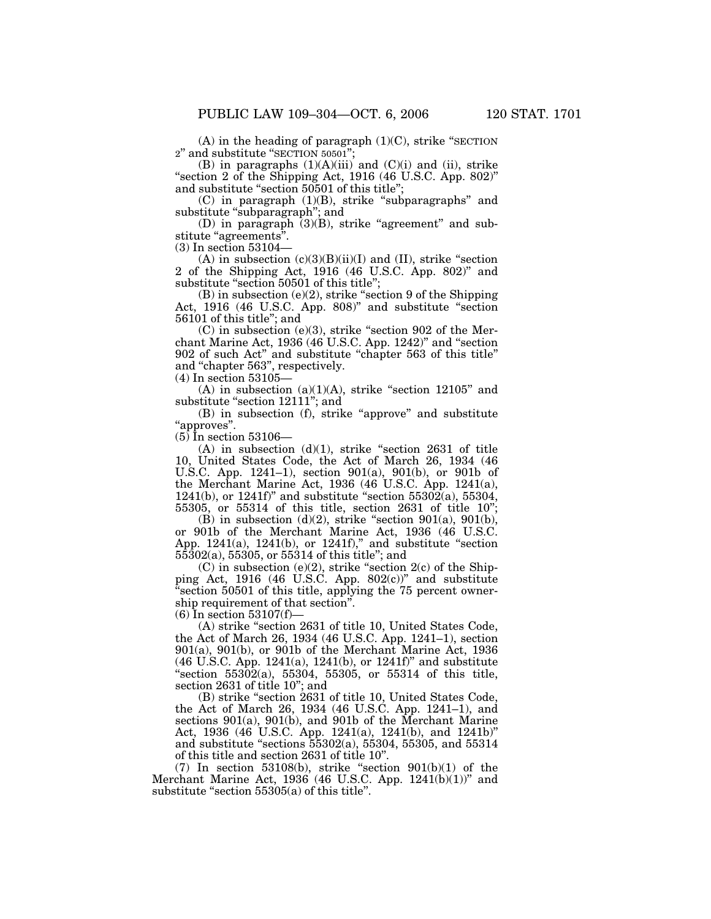$(A)$  in the heading of paragraph  $(1)(C)$ , strike "SECTION 2'' and substitute ''SECTION 50501'';

(B) in paragraphs  $(1)(A)(iii)$  and  $(C)(i)$  and  $(ii)$ , strike "section 2 of the Shipping Act, 1916 (46 U.S.C. App. 802)" and substitute "section 50501 of this title";

(C) in paragraph (1)(B), strike ''subparagraphs'' and substitute "subparagraph"; and

(D) in paragraph  $(3)(B)$ , strike "agreement" and substitute "agreements".

(3) In section 53104—

(A) in subsection  $(c)(3)(B)(ii)(I)$  and  $(II)$ , strike "section 2 of the Shipping Act, 1916 (46 U.S.C. App. 802)'' and substitute "section 50501 of this title";

(B) in subsection (e)(2), strike ''section 9 of the Shipping Act, 1916 (46 U.S.C. App. 808)" and substitute "section 56101 of this title''; and

(C) in subsection (e)(3), strike ''section 902 of the Merchant Marine Act,  $1936 (46 \text{ U.S.C. App. } 1242)$ " and "section" 902 of such Act'' and substitute ''chapter 563 of this title'' and ''chapter 563'', respectively.

(4) In section 53105—

 $(A)$  in subsection  $(a)(1)(A)$ , strike "section 12105" and substitute "section 12111"; and

(B) in subsection (f), strike ''approve'' and substitute "approves".

(5) In section 53106—

 $(A)$  in subsection  $(d)(1)$ , strike "section 2631 of title 10, United States Code, the Act of March 26, 1934 (46 U.S.C. App. 1241–1), section 901(a), 901(b), or 901b of the Merchant Marine Act, 1936 (46 U.S.C. App. 1241(a), 1241(b), or 1241f)" and substitute "section  $55302(a)$ ,  $55304$ , 55305, or 55314 of this title, section 2631 of title 10"

(B) in subsection  $(d)(2)$ , strike "section  $901(a)$ ,  $901(b)$ , or 901b of the Merchant Marine Act, 1936 (46 U.S.C. App.  $1241(a)$ ,  $1241(b)$ , or  $1241f$ )," and substitute "section 55302(a), 55305, or 55314 of this title''; and

 $(C)$  in subsection (e)(2), strike "section 2(c) of the Shipping Act, 1916 (46 U.S.C. App.  $802(c)$ )" and substitute ''section 50501 of this title, applying the 75 percent ownership requirement of that section''.

 $(6)$  In section 53107(f)–

(A) strike ''section 2631 of title 10, United States Code, the Act of March 26, 1934 (46 U.S.C. App. 1241–1), section  $901(a)$ ,  $901(b)$ , or  $901b$  of the Merchant Marine Act, 1936 (46 U.S.C. App. 1241(a), 1241(b), or 1241f)'' and substitute "section  $55302(a)$ ,  $55304$ ,  $55305$ , or  $55314$  of this title, section 2631 of title 10"; and

(B) strike ''section 2631 of title 10, United States Code, the Act of March 26, 1934 (46 U.S.C. App. 1241–1), and sections 901(a), 901(b), and 901b of the Merchant Marine Act, 1936 (46 U.S.C. App. 1241(a), 1241(b), and 1241b)'' and substitute ''sections 55302(a), 55304, 55305, and 55314 of this title and section 2631 of title 10''.

(7) In section 53108(b), strike "section  $901(b)(1)$  of the Merchant Marine Act, 1936 (46 U.S.C. App. 1241(b)(1))" and substitute "section 55305(a) of this title".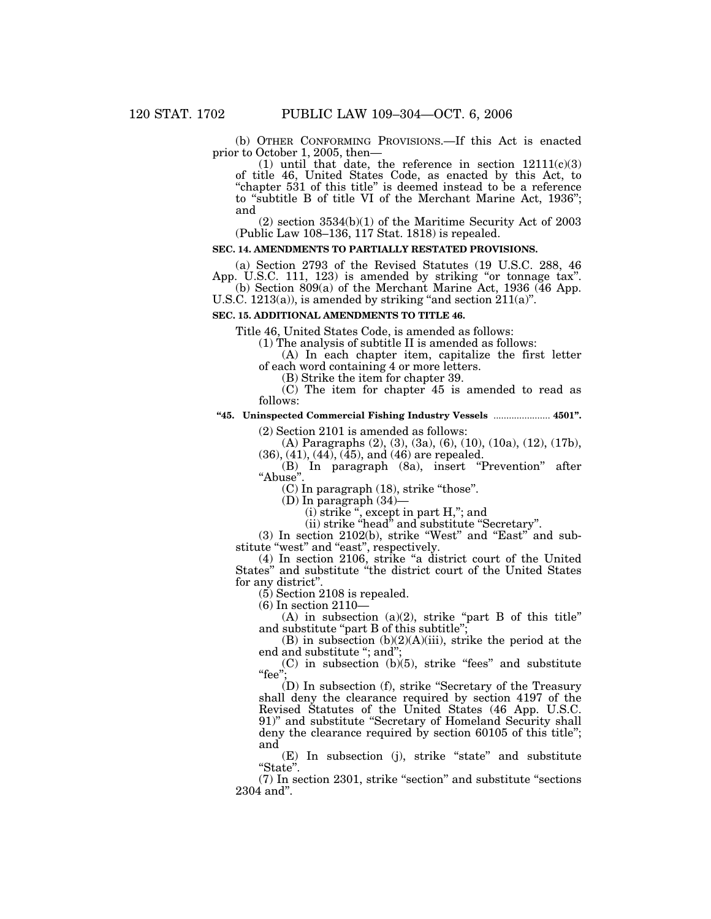(b) OTHER CONFORMING PROVISIONS.—If this Act is enacted prior to October 1, 2005, then—

(1) until that date, the reference in section  $12111(c)(3)$ of title 46, United States Code, as enacted by this Act, to ''chapter 531 of this title'' is deemed instead to be a reference to ''subtitle B of title VI of the Merchant Marine Act, 1936''; and

(2) section 3534(b)(1) of the Maritime Security Act of 2003 (Public Law 108–136, 117 Stat. 1818) is repealed.

### **SEC. 14. AMENDMENTS TO PARTIALLY RESTATED PROVISIONS.**

(a) Section 2793 of the Revised Statutes (19 U.S.C. 288, 46 App. U.S.C. 111, 123) is amended by striking "or tonnage tax".

(b) Section 809(a) of the Merchant Marine Act, 1936 (46 App. U.S.C.  $1213(a)$ ), is amended by striking "and section  $211(a)$ ".

### **SEC. 15. ADDITIONAL AMENDMENTS TO TITLE 46.**

Title 46, United States Code, is amended as follows:

(1) The analysis of subtitle II is amended as follows:

(A) In each chapter item, capitalize the first letter of each word containing 4 or more letters.

(B) Strike the item for chapter 39.

(C) The item for chapter 45 is amended to read as follows:

### **''45. Uninspected Commercial Fishing Industry Vessels** ...................... **4501''.**

(2) Section 2101 is amended as follows:

(A) Paragraphs (2), (3), (3a), (6), (10), (10a), (12), (17b),

(36), (41), (44), (45), and (46) are repealed.

(B) In paragraph (8a), insert ''Prevention'' after ''Abuse''.

 $(C)$  In paragraph  $(18)$ , strike "those".

(D) In paragraph (34)—

 $(i)$  strike ", except in part H,"; and

(ii) strike ''head'' and substitute ''Secretary''.

(3) In section  $2102(b)$ , strike "West" and "East" and substitute "west" and "east", respectively.

(4) In section 2106, strike ''a district court of the United States'' and substitute ''the district court of the United States for any district''.

(5) Section 2108 is repealed.

(6) In section 2110—

 $(A)$  in subsection  $(a)(2)$ , strike "part B of this title" and substitute "part B of this subtitle"

 $(B)$  in subsection  $(b)(2)(A)(iii)$ , strike the period at the end and substitute "; and";

 $(C)$  in subsection  $(b)(5)$ , strike "fees" and substitute "fee"

(D) In subsection (f), strike ''Secretary of the Treasury shall deny the clearance required by section 4197 of the Revised Statutes of the United States (46 App. U.S.C. 91)'' and substitute ''Secretary of Homeland Security shall deny the clearance required by section 60105 of this title''; and

(E) In subsection (j), strike "state" and substitute "State".

(7) In section 2301, strike ''section'' and substitute ''sections 2304 and''.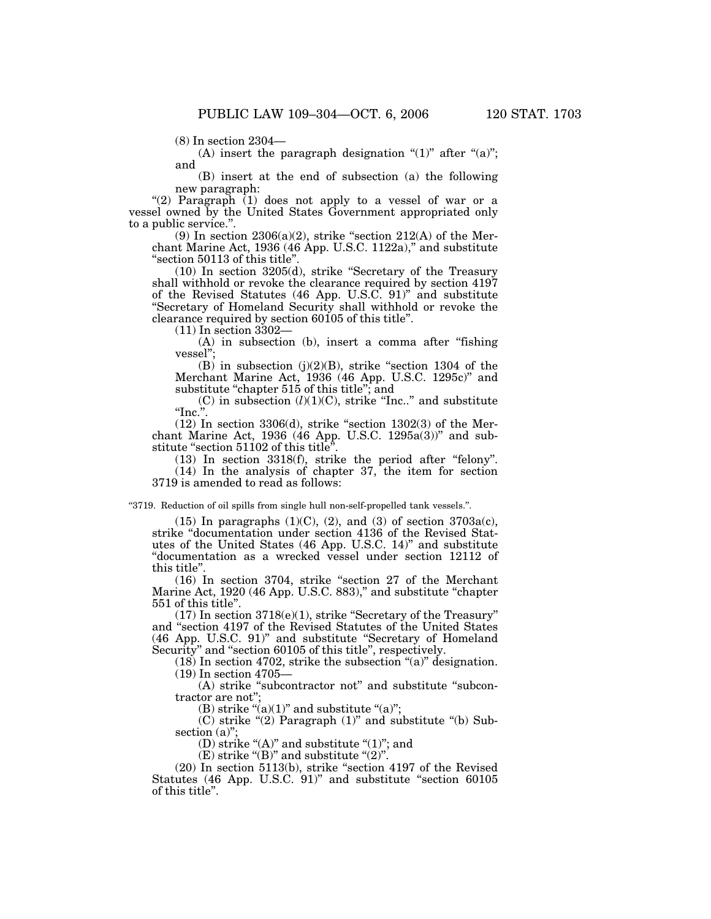(8) In section 2304—

(A) insert the paragraph designation " $(1)$ " after " $(a)$ "; and

(B) insert at the end of subsection (a) the following new paragraph:

"(2) Paragraph (1) does not apply to a vessel of war or a vessel owned by the United States Government appropriated only to a public service.''.

(9) In section  $2306(a)(2)$ , strike "section  $212(A)$  of the Merchant Marine Act, 1936 (46 App. U.S.C. 1122a)," and substitute ''section 50113 of this title''.

(10) In section 3205(d), strike ''Secretary of the Treasury shall withhold or revoke the clearance required by section 4197 of the Revised Statutes (46 App. U.S.C. 91)'' and substitute ''Secretary of Homeland Security shall withhold or revoke the clearance required by section 60105 of this title''.

(11) In section 3302—

(A) in subsection (b), insert a comma after ''fishing vessel'';

(B) in subsection (j) $(2)(B)$ , strike "section 1304 of the Merchant Marine Act, 1936 (46 App. U.S.C. 1295c)'' and substitute "chapter 515 of this title"; and

(C) in subsection  $(l)(1)(C)$ , strike "Inc.." and substitute "Inc."

 $(12)$  In section 3306 $(d)$ , strike "section 1302 $(3)$  of the Merchant Marine Act, 1936 (46 App. U.S.C. 1295 $a(3)$ )" and substitute "section 51102 of this title".

(13) In section 3318(f), strike the period after ''felony''.

(14) In the analysis of chapter 37, the item for section 3719 is amended to read as follows:

''3719. Reduction of oil spills from single hull non-self-propelled tank vessels.''.

 $(15)$  In paragraphs  $(1)(C)$ ,  $(2)$ , and  $(3)$  of section 3703a $(c)$ , strike ''documentation under section 4136 of the Revised Statutes of the United States (46 App. U.S.C. 14)'' and substitute ''documentation as a wrecked vessel under section 12112 of this title''.

(16) In section 3704, strike ''section 27 of the Merchant Marine Act, 1920 (46 App. U.S.C. 883)," and substitute "chapter 551 of this title''.

 $(17)$  In section  $3718(e)(1)$ , strike "Secretary of the Treasury" and ''section 4197 of the Revised Statutes of the United States (46 App. U.S.C. 91)'' and substitute ''Secretary of Homeland Security" and "section 60105 of this title", respectively.

(18) In section 4702, strike the subsection " $(a)$ " designation. (19) In section 4705—

(A) strike ''subcontractor not'' and substitute ''subcontractor are not'';

(B) strike " $(a)(1)$ " and substitute " $(a)$ ";

(C) strike ''(2) Paragraph (1)'' and substitute ''(b) Subsection  $(a)$ ";

(D) strike " $(A)$ " and substitute " $(1)$ "; and

 $(E)$  strike " $(B)$ " and substitute " $(2)$ ".

(20) In section 5113(b), strike ''section 4197 of the Revised Statutes (46 App. U.S.C. 91)" and substitute "section 60105 of this title''.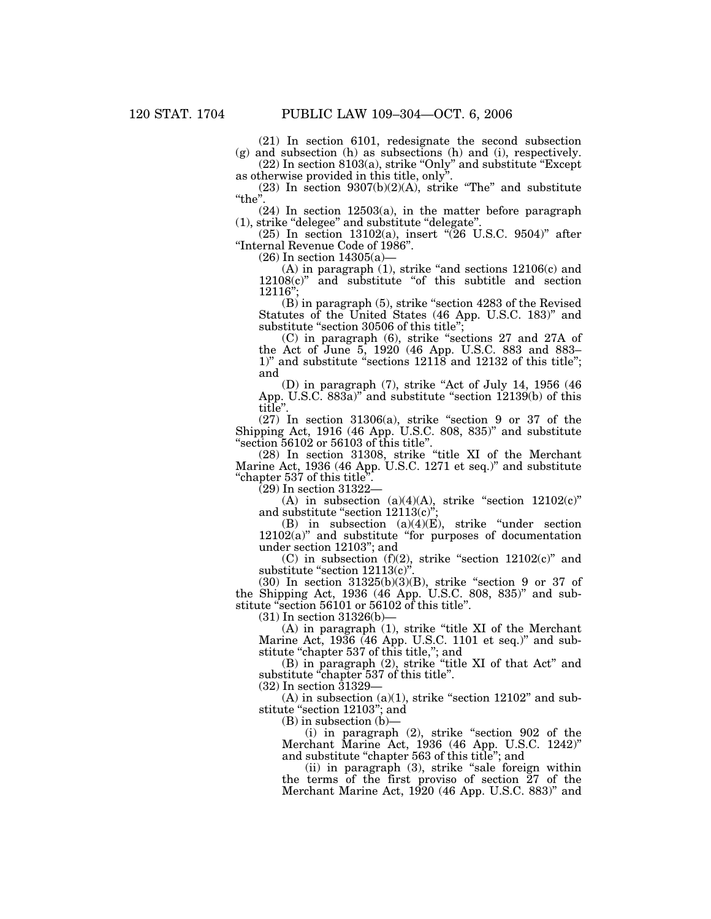(21) In section 6101, redesignate the second subsection (g) and subsection (h) as subsections (h) and (i), respectively.

 $(22)$  In section 8103 $(a)$ , strike "Only" and substitute "Except" as otherwise provided in this title, only''.

 $(23)$  In section  $9307(b)(2)(A)$ , strike "The" and substitute " $the$ "

(24) In section 12503(a), in the matter before paragraph (1), strike ''delegee'' and substitute ''delegate''.

(25) In section 13102(a), insert ''(26 U.S.C. 9504)'' after ''Internal Revenue Code of 1986''.

(26) In section 14305(a)—

(A) in paragraph  $(1)$ , strike "and sections  $12106(c)$  and 12108(c)'' and substitute ''of this subtitle and section 12116'';

(B) in paragraph (5), strike ''section 4283 of the Revised Statutes of the United States (46 App. U.S.C. 183)'' and substitute "section 30506 of this title";

(C) in paragraph (6), strike ''sections 27 and 27A of the Act of June 5, 1920 (46 App. U.S.C. 883 and 883– 1)'' and substitute ''sections 12118 and 12132 of this title''; and

(D) in paragraph (7), strike ''Act of July 14, 1956 (46 App. U.S.C. 883a)'' and substitute ''section 12139(b) of this title''.

(27) In section 31306(a), strike ''section 9 or 37 of the Shipping Act, 1916 (46 App. U.S.C. 808, 835)'' and substitute  $\degree$ section 56102 or 56103 of this title".

(28) In section 31308, strike ''title XI of the Merchant Marine Act, 1936 (46 App. U.S.C. 1271 et seq.)'' and substitute "chapter 537 of this title".

(29) In section 31322—

(A) in subsection (a)(4)(A), strike "section  $12102(c)$ " and substitute "section 12113(c)";

(B) in subsection  $(a)(4)(E)$ , strike "under section 12102(a)'' and substitute ''for purposes of documentation under section 12103''; and

(C) in subsection  $(f)(2)$ , strike "section 12102(c)" and substitute "section 12113(c)".

(30) In section 31325(b)(3)(B), strike ''section 9 or 37 of the Shipping Act, 1936 (46 App. U.S.C. 808, 835)'' and substitute ''section 56101 or 56102 of this title''.

(31) In section 31326(b)—

(A) in paragraph (1), strike ''title XI of the Merchant Marine Act, 1936 (46 App. U.S.C. 1101 et seq.)'' and substitute "chapter 537 of this title,"; and

(B) in paragraph (2), strike "title XI of that Act" and substitute "chapter 537 of this title".

(32) In section 31329—

 $(A)$  in subsection  $(a)(1)$ , strike "section 12102" and substitute "section 12103"; and

 $(B)$  in subsection  $(b)$ –

(i) in paragraph (2), strike ''section 902 of the Merchant Marine Act, 1936 (46 App. U.S.C. 1242)'' and substitute "chapter 563 of this title"; and

(ii) in paragraph (3), strike "sale foreign within the terms of the first proviso of section 27 of the Merchant Marine Act, 1920 (46 App. U.S.C. 883)" and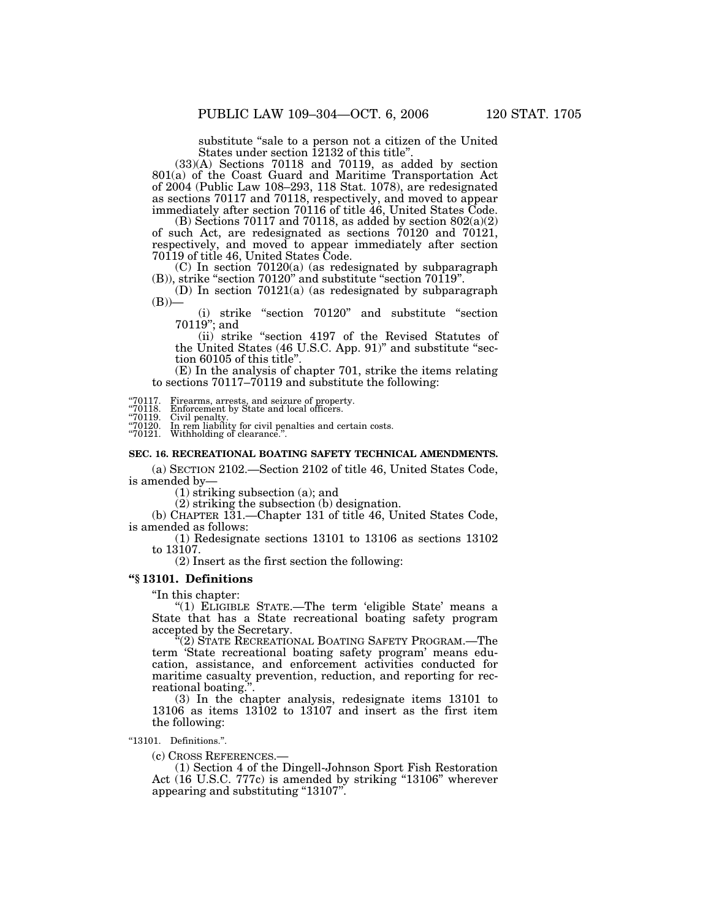substitute "sale to a person not a citizen of the United States under section 12132 of this title''.

(33)(A) Sections 70118 and 70119, as added by section 801(a) of the Coast Guard and Maritime Transportation Act of 2004 (Public Law 108–293, 118 Stat. 1078), are redesignated as sections 70117 and 70118, respectively, and moved to appear immediately after section 70116 of title 46, United States Code.

(B) Sections 70117 and 70118, as added by section  $802(a)(2)$ of such Act, are redesignated as sections 70120 and 70121, respectively, and moved to appear immediately after section 70119 of title 46, United States Code.

(C) In section 70120(a) (as redesignated by subparagraph (B)), strike ''section 70120'' and substitute ''section 70119''.

(D) In section 70121(a) (as redesignated by subparagraph  $(B)$ )—

(i) strike ''section 70120'' and substitute ''section 70119''; and

(ii) strike ''section 4197 of the Revised Statutes of the United States (46 U.S.C. App. 91)" and substitute "section 60105 of this title''.

(E) In the analysis of chapter 701, strike the items relating to sections 70117–70119 and substitute the following:

''70117. Firearms, arrests, and seizure of property. ''70118. Enforcement by State and local officers. ''70119. Civil penalty. ''70120. In rem liability for civil penalties and certain costs.

"70120. In rem liability for civil per<br>"70121. Withholding of clearance.".

### **SEC. 16. RECREATIONAL BOATING SAFETY TECHNICAL AMENDMENTS.**

(a) SECTION 2102.—Section 2102 of title 46, United States Code, is amended by—

(1) striking subsection (a); and

(2) striking the subsection (b) designation.

(b) CHAPTER 131.—Chapter 131 of title 46, United States Code, is amended as follows:

(1) Redesignate sections 13101 to 13106 as sections 13102 to 13107.

(2) Insert as the first section the following:

### **''§ 13101. Definitions**

''In this chapter:

"(1) ELIGIBLE STATE.—The term 'eligible State' means a State that has a State recreational boating safety program accepted by the Secretary.

''(2) STATE RECREATIONAL BOATING SAFETY PROGRAM.—The term 'State recreational boating safety program' means education, assistance, and enforcement activities conducted for maritime casualty prevention, reduction, and reporting for recreational boating.''.

(3) In the chapter analysis, redesignate items 13101 to 13106 as items 13102 to 13107 and insert as the first item the following:

''13101. Definitions.''.

(c) CROSS REFERENCES.—

(1) Section 4 of the Dingell-Johnson Sport Fish Restoration Act (16 U.S.C. 777c) is amended by striking "13106" wherever appearing and substituting "13107".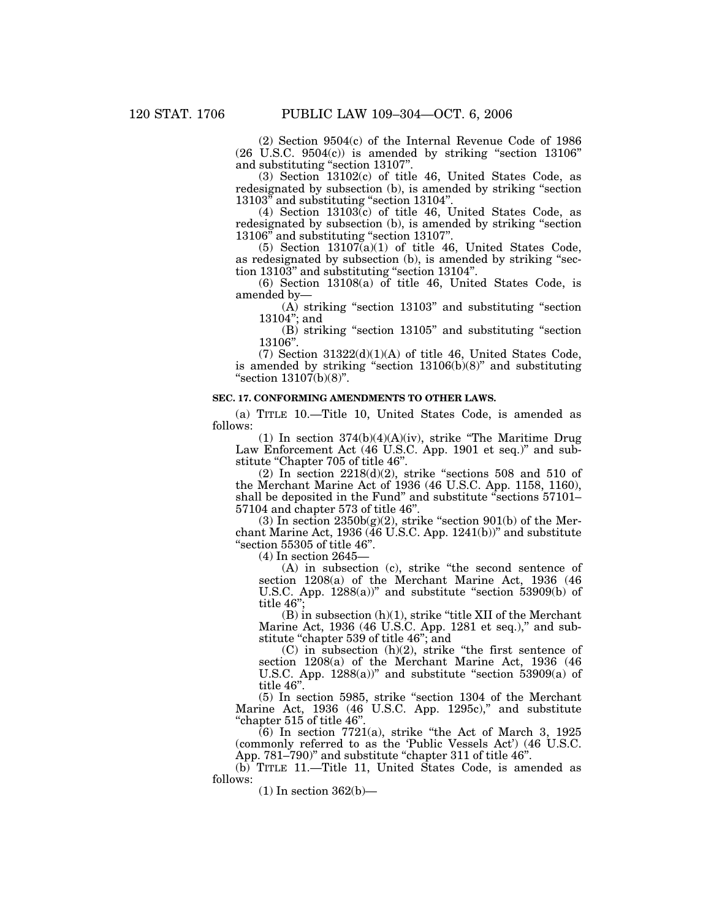(2) Section 9504(c) of the Internal Revenue Code of 1986  $(26 \text{ U.S.C. } 9504(c))$  is amended by striking "section 13106" and substituting "section 13107".

(3) Section 13102(c) of title 46, United States Code, as redesignated by subsection (b), is amended by striking "section 13103" and substituting "section 13104".

(4) Section  $13103(c)$  of title 46, United States Code, as redesignated by subsection (b), is amended by striking ''section 13106'' and substituting ''section 13107''.

(5) Section 13107(a)(1) of title 46, United States Code, as redesignated by subsection (b), is amended by striking ''section 13103" and substituting "section 13104".

(6) Section 13108(a) of title 46, United States Code, is amended by—

(A) striking "section 13103" and substituting "section 13104''; and

(B) striking ''section 13105'' and substituting ''section 13106''.

 $(7)$  Section 31322 $(d)(1)(A)$  of title 46, United States Code, is amended by striking "section  $13106(b)(8)$ " and substituting ''section 13107(b)(8)''.

### **SEC. 17. CONFORMING AMENDMENTS TO OTHER LAWS.**

(a) TITLE 10.—Title 10, United States Code, is amended as follows:

(1) In section  $374(b)(4)(A)(iv)$ , strike "The Maritime Drug Law Enforcement Act (46 U.S.C. App. 1901 et seq.)" and substitute "Chapter 705 of title 46".

 $(2)$  In section  $2218(d)(2)$ , strike "sections 508 and 510 of the Merchant Marine Act of 1936 (46 U.S.C. App. 1158, 1160), shall be deposited in the Fund'' and substitute ''sections 57101– 57104 and chapter 573 of title 46''.

(3) In section  $2350b(g)(2)$ , strike "section  $901(b)$  of the Merchant Marine Act, 1936 (46 U.S.C. App. 1241(b))" and substitute ''section 55305 of title 46''.

(4) In section 2645—

(A) in subsection (c), strike ''the second sentence of section 1208(a) of the Merchant Marine Act, 1936 (46 U.S.C. App.  $1288(a)$ " and substitute "section 53909(b) of title 46'';

 $(B)$  in subsection  $(h)(1)$ , strike "title XII of the Merchant" Marine Act,  $1936$  (46 U.S.C. App. 1281 et seq.)," and substitute "chapter 539 of title 46"; and

(C) in subsection  $(h)(2)$ , strike "the first sentence of section 1208(a) of the Merchant Marine Act, 1936 (46 U.S.C. App.  $1288(a)$ " and substitute "section  $53909(a)$  of title 46''.

(5) In section 5985, strike ''section 1304 of the Merchant Marine Act, 1936 (46 U.S.C. App. 1295c)," and substitute ''chapter 515 of title 46''.

 $(6)$  In section 7721(a), strike "the Act of March 3, 1925 (commonly referred to as the 'Public Vessels Act') (46 U.S.C. App. 781–790)" and substitute "chapter 311 of title 46".

(b) TITLE 11.—Title 11, United States Code, is amended as follows:

(1) In section 362(b)—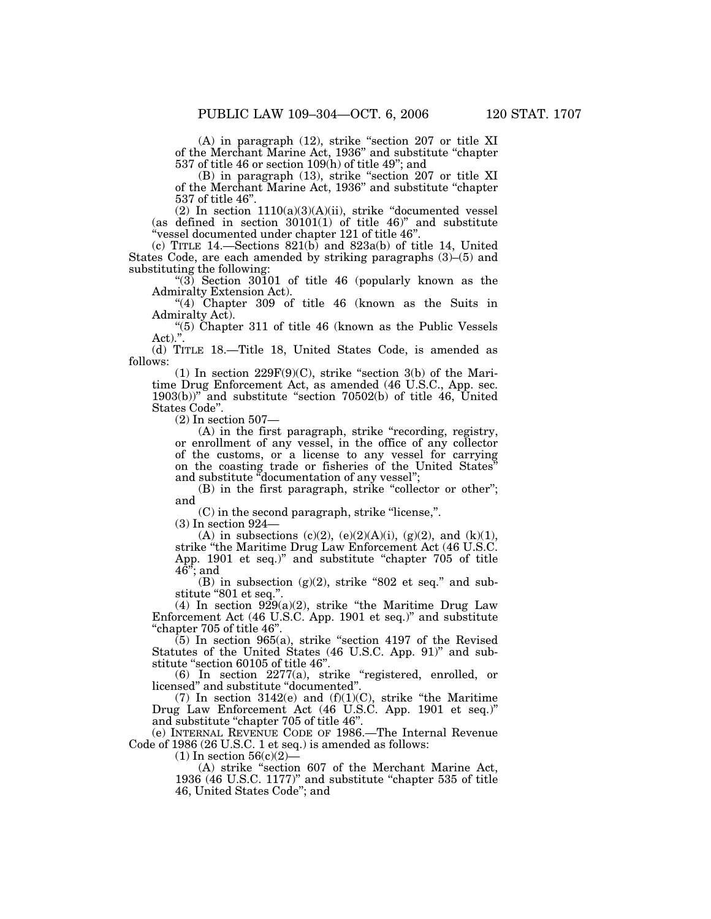(A) in paragraph (12), strike ''section 207 or title XI of the Merchant Marine Act, 1936'' and substitute ''chapter 537 of title 46 or section 109(h) of title 49''; and

(B) in paragraph (13), strike ''section 207 or title XI of the Merchant Marine Act, 1936'' and substitute ''chapter 537 of title 46''.

(2) In section  $1110(a)(3)(A)(ii)$ , strike "documented vessel (as defined in section  $30101(1)$  of title 46)" and substitute ''vessel documented under chapter 121 of title 46''.

(c) TITLE 14.—Sections  $821(b)$  and  $823a(b)$  of title 14, United States Code, are each amended by striking paragraphs (3)–(5) and substituting the following:

" $(3)$  Section  $30\overline{1}01$  of title 46 (popularly known as the Admiralty Extension Act).

"(4) Chapter 309 of title 46 (known as the Suits in Admiralty Act).

''(5) Chapter 311 of title 46 (known as the Public Vessels Act).".

(d) TITLE 18.—Title 18, United States Code, is amended as follows:

(1) In section  $229F(9)(C)$ , strike "section 3(b) of the Maritime Drug Enforcement Act, as amended (46 U.S.C., App. sec. 1903(b))'' and substitute ''section 70502(b) of title 46, United States Code''.

(2) In section 507—

(A) in the first paragraph, strike "recording, registry, or enrollment of any vessel, in the office of any collector of the customs, or a license to any vessel for carrying on the coasting trade or fisheries of the United States'' and substitute "documentation of any vessel";

(B) in the first paragraph, strike "collector or other"; and

(C) in the second paragraph, strike ''license,''.

(3) In section 924—

(A) in subsections (c)(2), (e)(2)(A)(i), (g)(2), and (k)(1), strike "the Maritime Drug Law Enforcement Act (46 U.S.C. App. 1901 et seq.)'' and substitute ''chapter 705 of title  $46$ "; and

(B) in subsection  $(g)(2)$ , strike "802 et seq." and substitute "801 et seq."

(4) In section  $929(a)(2)$ , strike "the Maritime Drug Law Enforcement Act (46 U.S.C. App. 1901 et seq.)" and substitute ''chapter 705 of title 46''.

 $(5)$  In section 965(a), strike "section 4197 of the Revised Statutes of the United States (46 U.S.C. App. 91)'' and substitute "section 60105 of title 46".

(6) In section 2277(a), strike ''registered, enrolled, or licensed'' and substitute ''documented''.

(7) In section  $3142(e)$  and  $(f)(1)(C)$ , strike "the Maritime" Drug Law Enforcement Act (46 U.S.C. App. 1901 et seq.)'' and substitute "chapter 705 of title 46".

(e) INTERNAL REVENUE CODE OF 1986.—The Internal Revenue Code of 1986 (26 U.S.C. 1 et seq.) is amended as follows:

 $(1)$  In section 56(c)(2)-

(A) strike ''section 607 of the Merchant Marine Act, 1936 (46 U.S.C. 1177)'' and substitute ''chapter 535 of title 46, United States Code''; and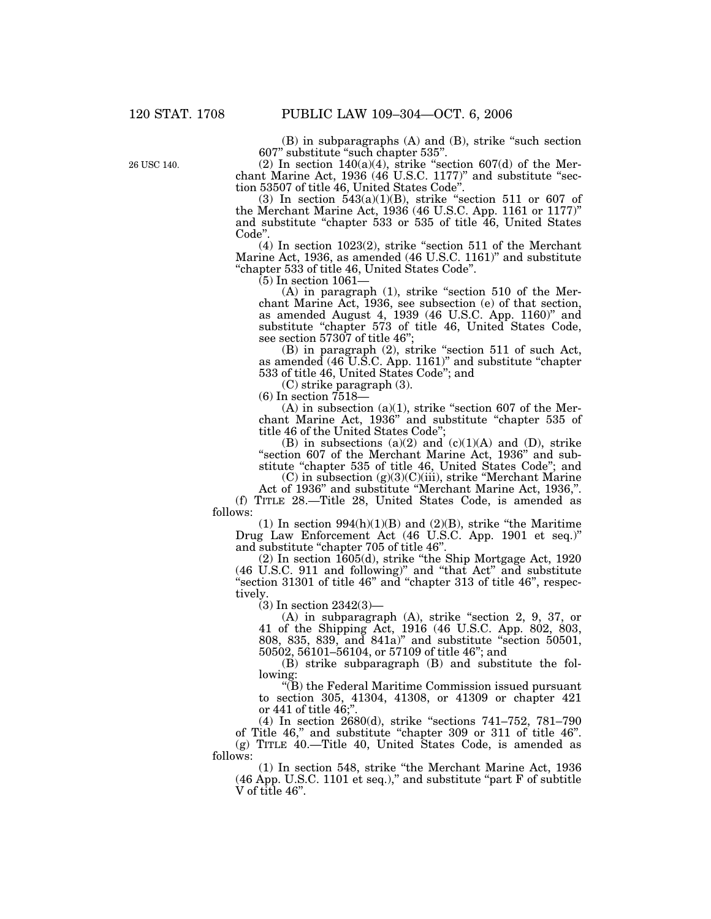(B) in subparagraphs (A) and (B), strike ''such section 607'' substitute ''such chapter 535''.

26 USC 140.

(2) In section  $140(a)(4)$ , strike "section  $607(d)$  of the Merchant Marine Act, 1936 (46 U.S.C. 1177)'' and substitute ''section 53507 of title 46, United States Code''.

(3) In section  $543(a)(1)(B)$ , strike "section 511 or 607 of the Merchant Marine Act, 1936 (46 U.S.C. App. 1161 or 1177)'' and substitute ''chapter 533 or 535 of title 46, United States Code''.

(4) In section 1023(2), strike ''section 511 of the Merchant Marine Act, 1936, as amended (46 U.S.C. 1161)'' and substitute ''chapter 533 of title 46, United States Code''.

(5) In section 1061—

(A) in paragraph (1), strike ''section 510 of the Merchant Marine Act, 1936, see subsection (e) of that section, as amended August 4, 1939 (46 U.S.C. App. 1160)'' and substitute ''chapter 573 of title 46, United States Code, see section 57307 of title 46";

(B) in paragraph (2), strike ''section 511 of such Act, as amended (46 U.S.C. App. 1161)'' and substitute ''chapter 533 of title 46, United States Code''; and

(C) strike paragraph (3).

(6) In section 7518—

 $(A)$  in subsection  $(a)(1)$ , strike "section 607 of the Merchant Marine Act, 1936'' and substitute ''chapter 535 of title 46 of the United States Code'';

(B) in subsections (a)(2) and (c)(1)(A) and (D), strike "section 607 of the Merchant Marine Act, 1936" and substitute "chapter 535 of title 46, United States Code"; and

(C) in subsection (g)(3)(C)(iii), strike ''Merchant Marine Act of 1936'' and substitute ''Merchant Marine Act, 1936,''. (f) TITLE 28.—Title 28, United States Code, is amended as follows:

(1) In section  $994(h)(1)(B)$  and  $(2)(B)$ , strike "the Maritime" Drug Law Enforcement Act (46 U.S.C. App. 1901 et seq.)'' and substitute "chapter 705 of title 46".

(2) In section 1605(d), strike ''the Ship Mortgage Act, 1920 (46 U.S.C. 911 and following)'' and ''that Act'' and substitute "section 31301 of title 46" and "chapter 313 of title 46", respectively.

 $(3)$  In section 2342 $(3)$ —

(A) in subparagraph (A), strike ''section 2, 9, 37, or 41 of the Shipping Act, 1916 (46 U.S.C. App. 802, 803, 808, 835, 839, and 841a)'' and substitute ''section 50501, 50502, 56101–56104, or 57109 of title 46''; and

(B) strike subparagraph (B) and substitute the following:

''(B) the Federal Maritime Commission issued pursuant to section 305, 41304, 41308, or 41309 or chapter 421 or 441 of title 46;''.

(4) In section 2680(d), strike ''sections 741–752, 781–790 of Title 46,'' and substitute ''chapter 309 or 311 of title 46''. (g) TITLE 40.—Title 40, United States Code, is amended as follows:

(1) In section 548, strike ''the Merchant Marine Act, 1936 (46 App. U.S.C. 1101 et seq.),'' and substitute ''part F of subtitle V of title 46''.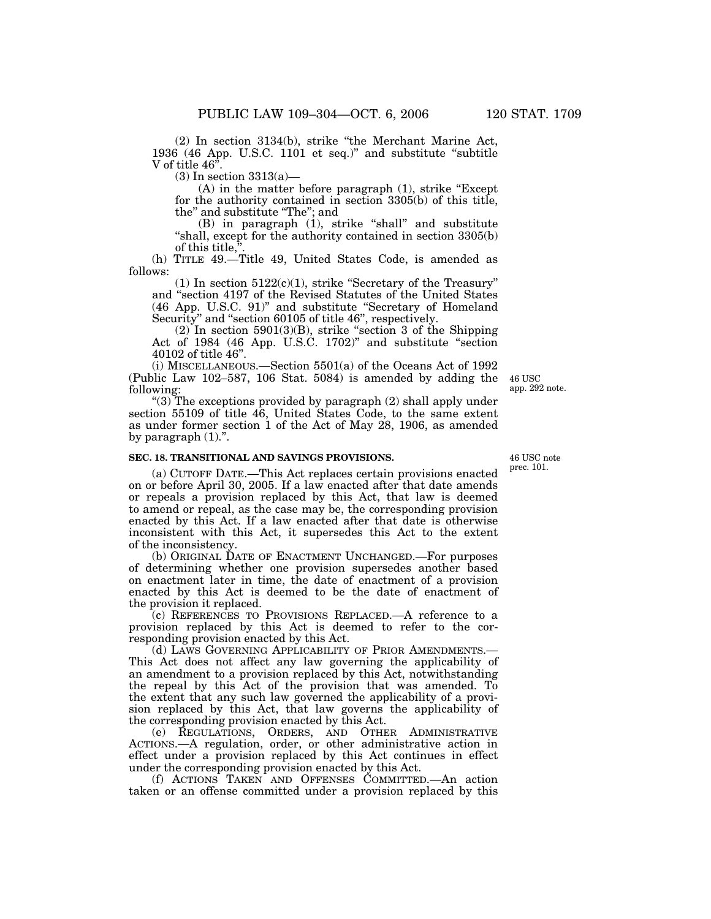(2) In section 3134(b), strike ''the Merchant Marine Act, 1936 (46 App. U.S.C. 1101 et seq.)'' and substitute ''subtitle  $\rm V$  of title  $46\rlap{.}^{\circ}.$ 

 $(3)$  In section  $3313(a)$ —

 $(A)$  in the matter before paragraph  $(1)$ , strike "Except" for the authority contained in section 3305(b) of this title, the'' and substitute ''The''; and

(B) in paragraph (1), strike "shall" and substitute "shall, except for the authority contained in section 3305(b) of this title,"

(h) TITLE 49.—Title 49, United States Code, is amended as follows:

 $(1)$  In section  $5122(c)(1)$ , strike "Secretary of the Treasury" and ''section 4197 of the Revised Statutes of the United States (46 App. U.S.C. 91)'' and substitute ''Secretary of Homeland Security'' and ''section 60105 of title 46'', respectively.

 $(2)$  In section 5901 $(3)(B)$ , strike "section 3 of the Shipping Act of 1984 (46 App. U.S.C. 1702)'' and substitute ''section 40102 of title 46''.

(i) MISCELLANEOUS.—Section 5501(a) of the Oceans Act of 1992 (Public Law 102–587, 106 Stat. 5084) is amended by adding the following: 46 USC app. 292 note.

" $(3)$  The exceptions provided by paragraph  $(2)$  shall apply under section 55109 of title 46, United States Code, to the same extent as under former section 1 of the Act of May 28, 1906, as amended by paragraph  $(1)$ .".

### **SEC. 18. TRANSITIONAL AND SAVINGS PROVISIONS.**

(a) CUTOFF DATE.—This Act replaces certain provisions enacted on or before April 30, 2005. If a law enacted after that date amends or repeals a provision replaced by this Act, that law is deemed to amend or repeal, as the case may be, the corresponding provision enacted by this Act. If a law enacted after that date is otherwise inconsistent with this Act, it supersedes this Act to the extent of the inconsistency.

(b) ORIGINAL DATE OF ENACTMENT UNCHANGED.—For purposes of determining whether one provision supersedes another based on enactment later in time, the date of enactment of a provision enacted by this Act is deemed to be the date of enactment of the provision it replaced.

(c) REFERENCES TO PROVISIONS REPLACED.—A reference to a provision replaced by this Act is deemed to refer to the corresponding provision enacted by this Act.

(d) LAWS GOVERNING APPLICABILITY OF PRIOR AMENDMENTS.— This Act does not affect any law governing the applicability of an amendment to a provision replaced by this Act, notwithstanding the repeal by this Act of the provision that was amended. To the extent that any such law governed the applicability of a provision replaced by this Act, that law governs the applicability of the corresponding provision enacted by this Act.

(e) REGULATIONS, ORDERS, AND OTHER ADMINISTRATIVE ACTIONS.—A regulation, order, or other administrative action in effect under a provision replaced by this Act continues in effect under the corresponding provision enacted by this Act.

(f) ACTIONS TAKEN AND OFFENSES COMMITTED.—An action taken or an offense committed under a provision replaced by this

46 USC note prec. 101.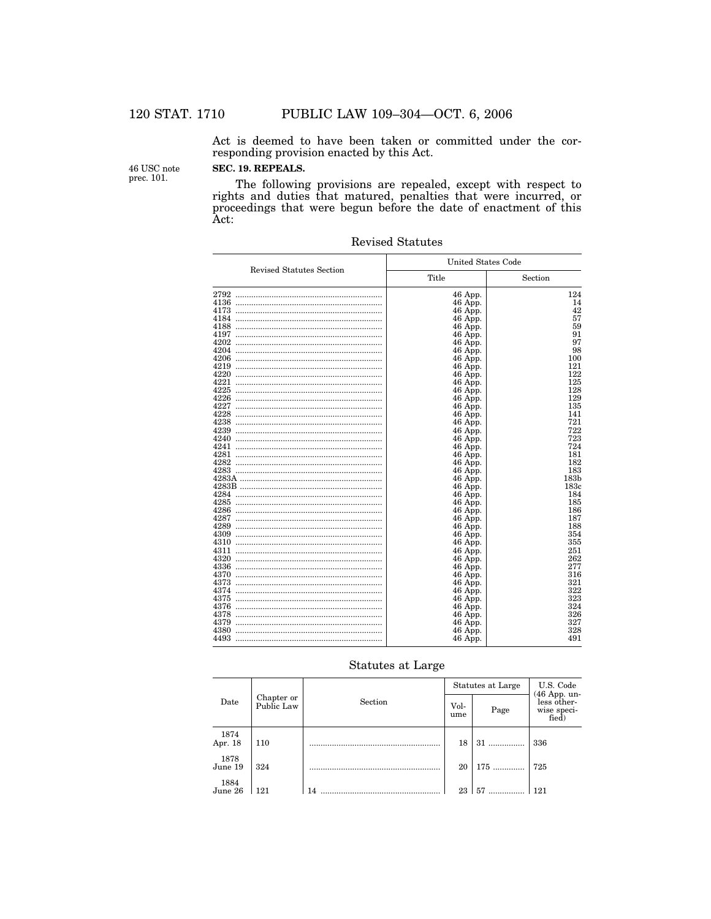Act is deemed to have been taken or committed under the corresponding provision enacted by this Act.

 $46$  USC note<br>prec.  $101.$ 

### SEC. 19. REPEALS.

The following provisions are repealed, except with respect to rights and duties that matured, penalties that were incurred, or proceedings that were begun before the date of enactment of this Act:

|                          | <b>United States Code</b> |                  |  |  |
|--------------------------|---------------------------|------------------|--|--|
| Revised Statutes Section | Title                     | Section          |  |  |
|                          | 46 App.                   | 124              |  |  |
|                          | 46 App.                   | 14               |  |  |
|                          | 46 App.                   | 42               |  |  |
| 4184                     | 46 App.                   | 57               |  |  |
| 4188                     | 46 App.                   | 59               |  |  |
| 4197                     | 46 App.                   | 91               |  |  |
|                          | 46 App.                   | 97               |  |  |
| 4204                     | 46 App.                   | 98               |  |  |
|                          | 46 App.                   | 100              |  |  |
| 4219                     | 46 App.                   | 121              |  |  |
| 4220                     | 46 App.                   | 122              |  |  |
| 4221                     | 46 App.                   | 125              |  |  |
| 4225                     | 46 App.                   | 128              |  |  |
| 4226                     | 46 App.                   | 129              |  |  |
| 4227                     | 46 App.                   | 135              |  |  |
|                          |                           | 141              |  |  |
|                          | 46 App.<br>46 App.        | 721              |  |  |
|                          |                           | 722              |  |  |
|                          | 46 App.                   |                  |  |  |
| 4240                     | 46 App.                   | 723              |  |  |
|                          | 46 App.                   | 724              |  |  |
| 4281                     | 46 App.                   | 181              |  |  |
|                          | 46 App.                   | 182              |  |  |
|                          | 46 App.                   | 183              |  |  |
|                          | 46 App.                   | 183 <sub>b</sub> |  |  |
|                          | 46 App.                   | 183c             |  |  |
| 4284                     | 46 App.                   | 184              |  |  |
| 4285                     | 46 App.                   | 185              |  |  |
| 4286                     | 46 App.                   | 186              |  |  |
| 4287                     | 46 App.                   | 187              |  |  |
| 4289                     | 46 App.                   | 188              |  |  |
|                          | 46 App.                   | 354              |  |  |
|                          | 46 App.                   | 355              |  |  |
|                          | 46 App.                   | 251              |  |  |
| 4320                     | 46 App.                   | 262              |  |  |
| 4336                     | 46 App.                   | 277              |  |  |
| 4370                     | 46 App.                   | 316              |  |  |
| 4373                     | 46 App.                   | 321              |  |  |
| 4374                     | 46 App.                   | 322              |  |  |
| 4375                     | 46 App.                   | 323              |  |  |
| 4376                     | 46 App.                   | 324              |  |  |
| 4378                     | 46 App.                   | 326              |  |  |
| 4379                     | 46 App.                   | 327              |  |  |
| 4380                     | 46 App.                   | 328              |  |  |
|                          | 46 App.                   | 491              |  |  |
|                          |                           |                  |  |  |

Revised Statutes

### Statutes at Large

|                 |                          |         |             | Statutes at Large | U.S. Code                                           |
|-----------------|--------------------------|---------|-------------|-------------------|-----------------------------------------------------|
| Date            | Chapter or<br>Public Law | Section | Vol-<br>ume | Page              | (46 App. un-<br>less other-<br>wise speci-<br>fied) |
| 1874<br>Apr. 18 | 110                      |         | 18          | $31$              | 336                                                 |
| 1878<br>June 19 | 324                      |         | 20          | $175$             | 725                                                 |
| 1884<br>June 26 | 121                      | 14      | 23          | 57                | 191                                                 |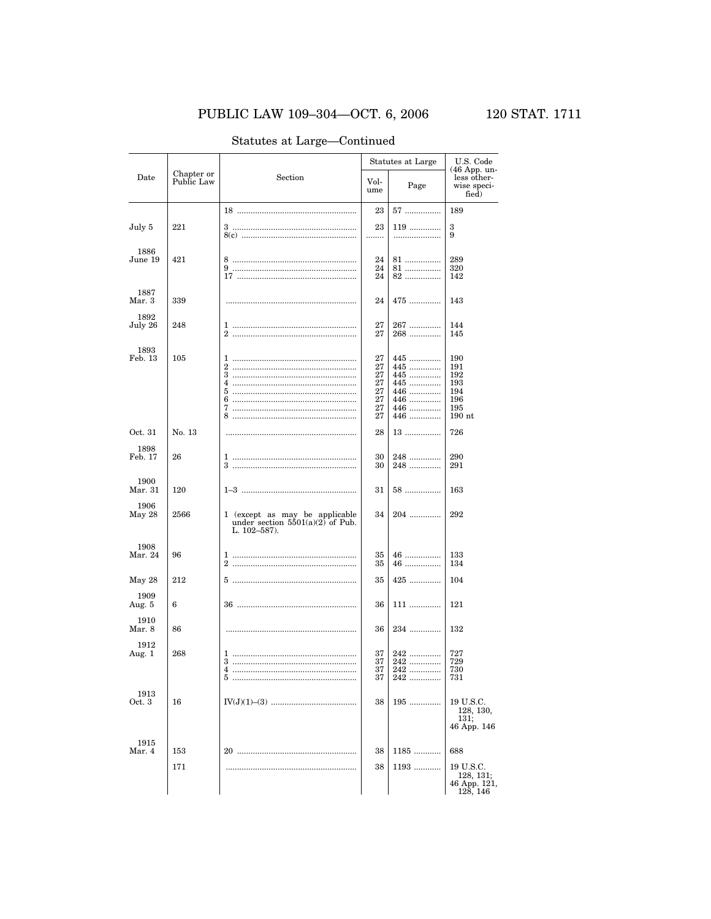# PUBLIC LAW 109–304—OCT. 6, 2006

|                 |                          |                                                                                           | Statutes at Large                            |                                                      | U.S. Code                                                 |  |
|-----------------|--------------------------|-------------------------------------------------------------------------------------------|----------------------------------------------|------------------------------------------------------|-----------------------------------------------------------|--|
| Date            | Chapter or<br>Public Law | Section                                                                                   | Vol-<br>ume                                  | Page                                                 | (46 App. un-<br>less other-<br>wise speci-<br>fied)       |  |
|                 |                          |                                                                                           | 23                                           | 57                                                   | 189                                                       |  |
| July 5          | 221                      |                                                                                           | 23<br>.                                      | 119                                                  | 3<br>9                                                    |  |
| 1886<br>June 19 | 421                      |                                                                                           | 24<br>24<br>24                               | 81<br>81<br>82                                       | 289<br>320<br>142                                         |  |
| 1887<br>Mar. 3  | 339                      |                                                                                           | 24                                           | 475                                                  | 143                                                       |  |
| 1892<br>July 26 | 248                      |                                                                                           | 27<br>27                                     | 267<br>268                                           | 144<br>145                                                |  |
| 1893<br>Feb. 13 | 105                      | 5                                                                                         | 27<br>27<br>27<br>27<br>27<br>27<br>27<br>27 | 445<br>445<br>445<br>445<br>446<br>446<br>446<br>446 | 190<br>191<br>192<br>193<br>194<br>196<br>195<br>$190$ nt |  |
| Oct. 31         | No. 13                   |                                                                                           | 28                                           | 13                                                   | 726                                                       |  |
| 1898<br>Feb. 17 | 26                       |                                                                                           | 30<br>30                                     | 248<br>248                                           | 290<br>291                                                |  |
| 1900<br>Mar. 31 | 120                      |                                                                                           | 31                                           | 58                                                   | 163                                                       |  |
| 1906<br>May 28  | 2566                     | 1 (except as may be applicable<br>under section $5501(a)(2)$ of Pub.<br>L. $102 - 587$ ). | 34                                           | 204                                                  | 292                                                       |  |
| 1908<br>Mar. 24 | 96                       |                                                                                           | 35<br>35                                     | 46<br>46                                             | 133<br>134                                                |  |
| May 28          | 212                      |                                                                                           | 35                                           | 425                                                  | 104                                                       |  |
| 1909<br>Aug. 5  | 6                        |                                                                                           | 36                                           | 111                                                  | 121                                                       |  |
| 1910<br>Mar. 8  | 86                       |                                                                                           | 36                                           | 234                                                  | 132                                                       |  |
| 1912<br>Aug. 1  | 268                      |                                                                                           | 37<br>37<br>37<br>37                         | 242<br>242<br>242<br>242                             | 727<br>729<br>730<br>731                                  |  |
| 1913<br>Oct.3   | 16                       |                                                                                           | 38                                           | 195                                                  | 19 U.S.C.<br>128, 130,<br>131;<br>46 App. 146             |  |
| 1915<br>Mar. 4  | 153                      |                                                                                           | 38                                           | $1185$                                               | 688                                                       |  |
|                 | 171                      |                                                                                           | 38                                           | 1193                                                 | 19 U.S.C.<br>128, 131;<br>46 App. 121,<br>128, 146        |  |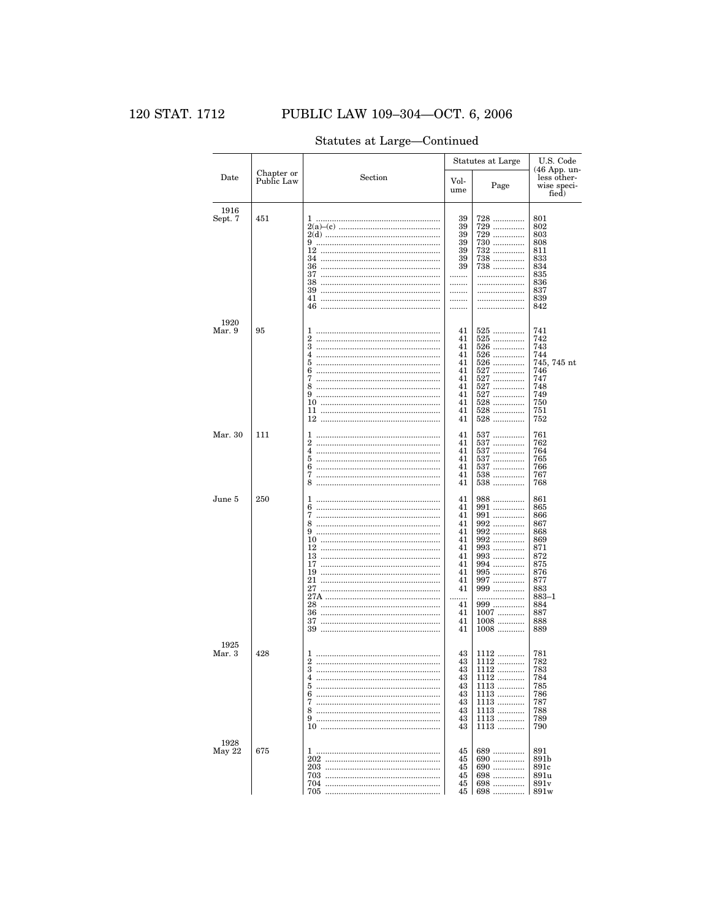|                 |                          |             |                | Statutes at Large    | U.S. Code                                             |
|-----------------|--------------------------|-------------|----------------|----------------------|-------------------------------------------------------|
| Date            | Chapter or<br>Public Law | Section     | Vol-<br>ume    | Page                 | $(46$ App. un-<br>less other-<br>wise speci-<br>fied) |
| 1916<br>Sept. 7 | 451                      |             | 39<br>39       | 728<br>729           | 801<br>802                                            |
|                 |                          |             | 39<br>39<br>39 | 729<br>730<br>732    | 803<br>808<br>811                                     |
|                 |                          |             | 39<br>39       | 738<br>738<br>       | 833<br>834<br>835                                     |
|                 |                          |             | .<br>.<br>.    |                      | 836<br>837<br>839                                     |
| 1920            |                          |             |                |                      | 842                                                   |
| Mar. 9          | 95                       | 2<br>3      | 41<br>41<br>41 | 525<br>525<br>526    | 741<br>742<br>743                                     |
|                 |                          | 4<br>5      | 41<br>41       | 526<br>526           | 744<br>745, 745 nt                                    |
|                 |                          | 6<br>7<br>8 | 41<br>41<br>41 | 527<br>527<br>527    | 746<br>747<br>748                                     |
|                 |                          |             | 41<br>41<br>41 | 527<br>528<br>528    | 749<br>750<br>751                                     |
| Mar. 30         | 111                      |             | 41<br>41       | 528<br>537           | 752<br>761                                            |
|                 |                          | 2<br>4<br>5 | 41<br>41<br>41 | 537<br>537<br>537    | 762<br>764<br>765                                     |
|                 |                          | 6<br>7<br>8 | 41<br>41<br>41 | 537<br>538<br>538    | 766<br>767<br>768                                     |
| June 5          | 250                      | 6           | 41<br>41       | 988<br>991           | 861<br>865                                            |
|                 |                          | 7<br>8      | 41<br>41<br>41 | 991<br>992<br>992    | 866<br>867<br>868                                     |
|                 |                          |             | 41<br>41<br>41 | 992<br>993<br>993    | 869<br>871<br>872                                     |
|                 |                          |             | 41<br>41<br>41 | 994<br>995<br>997    | 875<br>876<br>877                                     |
|                 |                          |             | 41<br>41       | 999<br>999           | 883<br>$883 - 1$<br>884                               |
|                 |                          |             | 41<br>41<br>41 | 1007<br>1008<br>1008 | 887<br>888<br>889                                     |
| 1925<br>Mar. 3  | 428                      |             | 43             | 1112                 | 781                                                   |
|                 |                          | 4           | 43<br>43<br>43 | 1112<br>1112<br>1112 | 782<br>783<br>784                                     |
|                 |                          | 5           | 43<br>43<br>43 | 1113<br>1113<br>1113 | 785<br>786<br>787                                     |
|                 |                          | 8           | 43<br>43<br>43 | 1113<br>1113<br>1113 | 788<br>789<br>790                                     |
| 1928<br>May 22  | 675                      |             | 45             | 689                  | 891                                                   |
|                 |                          |             | 45<br>45<br>45 | 690<br>690<br>698    | 891b<br>891c<br>891u                                  |
|                 |                          |             | 45<br>45       | 698<br>698           | 891v<br>891w                                          |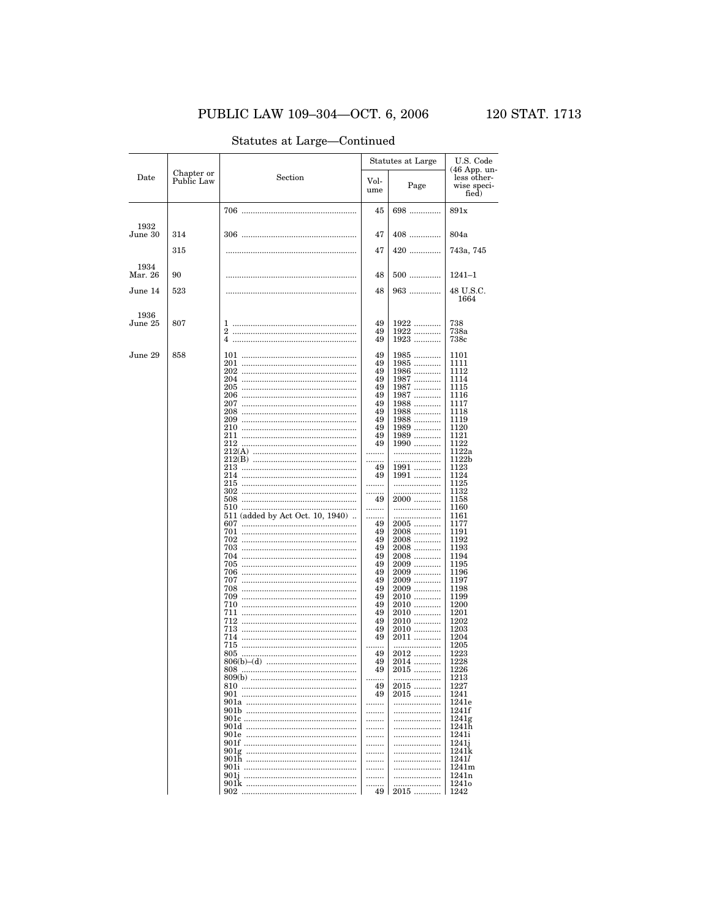# PUBLIC LAW 109-304-OCT. 6, 2006

|                 |                          |                                  |                      | Statutes at Large            | U.S. Code                                           |
|-----------------|--------------------------|----------------------------------|----------------------|------------------------------|-----------------------------------------------------|
| Date            | Chapter or<br>Public Law | Section                          | Vol-<br>ume          | Page                         | (46 App. un-<br>less other-<br>wise speci-<br>fied) |
|                 |                          |                                  | 45                   | 698                          | 891x                                                |
| 1932<br>June 30 | 314                      |                                  | 47                   | 408                          | 804a                                                |
|                 | 315                      |                                  | 47                   | 420                          | 743a, 745                                           |
| 1934<br>Mar. 26 | 90                       |                                  | 48                   | $500$                        | $1241 - 1$                                          |
| June 14         | 523                      |                                  | 48                   | 963                          | 48 U.S.C.<br>1664                                   |
| 1936<br>June 25 | 807                      |                                  | 49<br>49<br>49       | 1922<br>1922<br>1923         | 738<br>738a<br>738c                                 |
| June 29         | 858                      |                                  | 49<br>49<br>49<br>49 | 1985<br>1985<br>1986<br>1987 | 1101<br>1111<br>1112<br>1114                        |
|                 |                          |                                  | 49<br>49<br>49<br>49 | 1987<br>1987<br>1988<br>1988 | 1115<br>1116<br>1117<br>1118                        |
|                 |                          |                                  | 49<br>49<br>49       | 1988<br>1989<br>1989         | 1119<br>1120<br>1121                                |
|                 |                          |                                  | 49<br>.<br>          | 1990<br><br>.                | 1122<br>1122a<br>1122b                              |
|                 |                          |                                  | 49<br>49<br>.        | 1991<br>1991                 | 1123<br>1124<br>1125                                |
|                 |                          |                                  | <br>49<br>.          | 2000                         | 1132<br>1158<br>1160                                |
|                 |                          | 511 (added by Act Oct. 10, 1940) | <br>49<br>49         | 2005<br>2008                 | 1161<br>1177<br>1191                                |
|                 |                          |                                  | 49<br>49<br>49       | 2008<br>2008<br>2008         | 1192<br>1193<br>1194                                |
|                 |                          |                                  | 49<br>49<br>49       | 2009<br>2009<br>2009         | 1195<br>1196<br>1197                                |
|                 |                          |                                  | 49<br>49<br>49       | 2009<br>2010<br>2010         | 1198<br>1199<br>1200                                |
|                 |                          |                                  | 49<br>49<br>49       | 2010<br>2010<br>2010         | 1201<br>1202<br>1203                                |
|                 |                          |                                  | 49                   | 2011<br>.                    | 1204<br>1205                                        |
|                 |                          |                                  | 49<br>49<br>49       | 2012<br>2014<br>2015         | 1223<br>1228<br>1226                                |
|                 |                          |                                  | <br>49<br>49         | 2015<br>2015                 | 1213<br>1227<br>1241                                |
|                 |                          |                                  | .<br>.<br>.          |                              | 1241e<br>1241f<br>1241g                             |
|                 |                          |                                  | .<br>.<br>.          |                              | 1241h<br>1241i<br>1241j                             |
|                 |                          |                                  | .<br>.<br>.          | <br>                         | 1241k<br>1241l<br>1241m                             |
|                 |                          |                                  | .<br>.<br>49         | <br>$2015$                   | 1241n<br>1241 <sub>0</sub><br>1242                  |
|                 |                          |                                  |                      |                              |                                                     |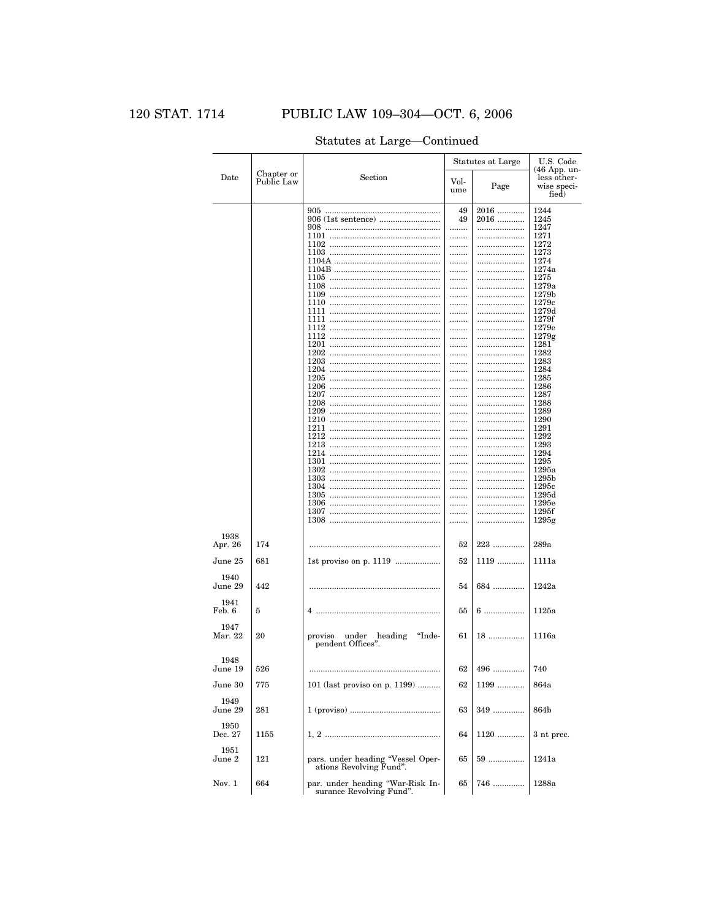# 120 STAT. 1714

# PUBLIC LAW 109-304-OCT. 6, 2006

|                 |                          |                                                              |               | Statutes at Large | U.S. Code                                             |
|-----------------|--------------------------|--------------------------------------------------------------|---------------|-------------------|-------------------------------------------------------|
| Date            | Chapter or<br>Public Law | Section                                                      | Vol-<br>ume   | Page              | $(46$ App. un-<br>less other-<br>wise speci-<br>fied) |
|                 |                          |                                                              | 49<br>49<br>. | 2016<br>2016      | 1244<br>1245<br>1247                                  |
|                 |                          |                                                              | .             |                   | 1271                                                  |
|                 |                          |                                                              | .<br>.        |                   | 1272<br>1273                                          |
|                 |                          |                                                              | .             |                   | 1274                                                  |
|                 |                          |                                                              | .             |                   | 1274a                                                 |
|                 |                          |                                                              | .<br>.        |                   | 1275<br>1279a                                         |
|                 |                          |                                                              | .             |                   | 1279b                                                 |
|                 |                          |                                                              | .<br>.        |                   | 1279c<br>1279d                                        |
|                 |                          |                                                              | .             |                   | 1279f                                                 |
|                 |                          |                                                              | .             |                   | 1279e                                                 |
|                 |                          |                                                              | .<br>.        | <br>              | 1279g<br>1281                                         |
|                 |                          |                                                              | .             |                   | 1282                                                  |
|                 |                          |                                                              | .             |                   | 1283<br>1284                                          |
|                 |                          |                                                              | .<br>.        |                   | 1285                                                  |
|                 |                          |                                                              | .             |                   | 1286                                                  |
|                 |                          |                                                              | .<br>.        |                   | 1287<br>1288                                          |
|                 |                          |                                                              | .             |                   | 1289                                                  |
|                 |                          |                                                              | .             |                   | 1290                                                  |
|                 |                          |                                                              | .<br>.        |                   | 1291<br>1292                                          |
|                 |                          |                                                              | .             |                   | 1293                                                  |
|                 |                          |                                                              | .             |                   | 1294<br>1295                                          |
|                 |                          |                                                              | .<br>.        |                   | 1295a                                                 |
|                 |                          |                                                              | .             |                   | 1295b                                                 |
|                 |                          |                                                              | .<br>.        |                   | 1295c<br>1295d                                        |
|                 |                          |                                                              | .             |                   | 1295e                                                 |
|                 |                          |                                                              | .             |                   | 1295f                                                 |
|                 |                          |                                                              | .             |                   | 1295g                                                 |
| 1938<br>Apr. 26 | 174                      |                                                              | 52            | 223               | 289a                                                  |
| June 25         | 681                      |                                                              | 52            | 1119              | 1111a                                                 |
| 1940<br>June 29 | 442                      |                                                              | 54            | 684               | 1242a                                                 |
| 1941<br>Feb. 6  | 5                        |                                                              | 55            | 6                 | 1125a                                                 |
| 1947<br>Mar. 22 | 20                       | proviso under heading<br>"Inde-<br>pendent Offices".         | 61            | 18                | 1116a                                                 |
| 1948<br>June 19 | 526                      |                                                              | 62            | $496\,\,\,\,$     | 740                                                   |
| June 30         | 775                      | 101 (last proviso on p. 1199)                                | 62            | 1199              | 864a                                                  |
| 1949<br>June 29 | 281                      |                                                              | 63            | 349               | 864b                                                  |
| 1950<br>Dec. 27 | 1155                     |                                                              | 64            | 1120              | 3 nt prec.                                            |
| 1951<br>June 2  | 121                      | pars. under heading "Vessel Operations Revolving Fund".      | 65            | 59                | 1241a                                                 |
| Nov. 1          | 664                      | par. under heading "War-Risk In-<br>surance Revolving Fund". | 65            | 746               | 1288a                                                 |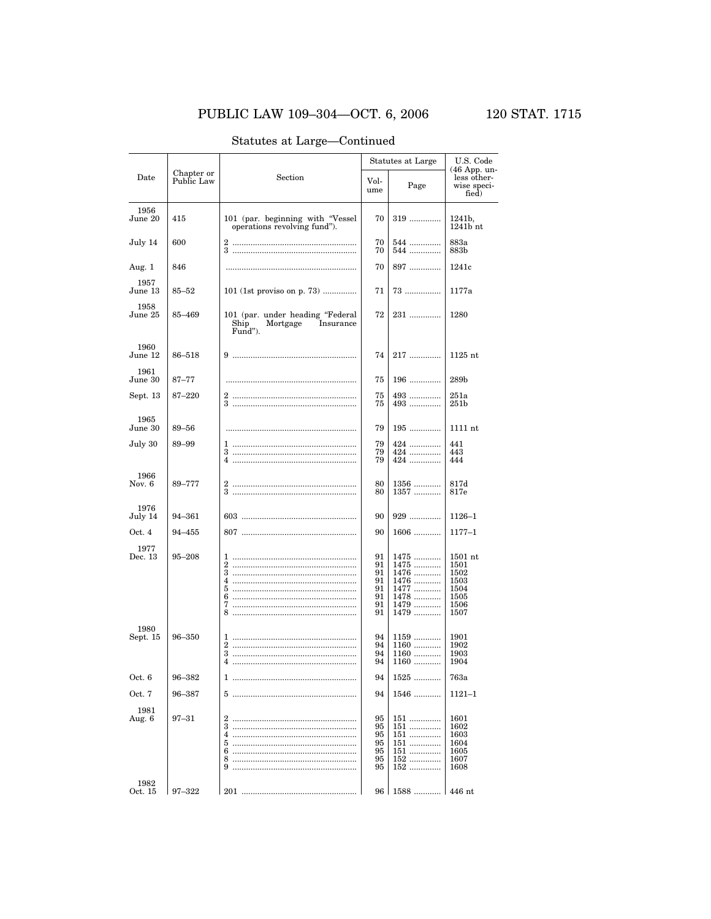# PUBLIC LAW 109–304—OCT. 6, 2006

J.

|                  |                          |                                                                              |                                              | Statutes at Large                                            | U.S. Code                                                         |  |
|------------------|--------------------------|------------------------------------------------------------------------------|----------------------------------------------|--------------------------------------------------------------|-------------------------------------------------------------------|--|
| Date             | Chapter or<br>Public Law | Section                                                                      | Vol-<br>ume                                  | Page                                                         | (46 App. un-<br>less other-<br>wise speci-<br>fied)               |  |
| 1956<br>June 20  | 415                      | 101 (par. beginning with "Vessel<br>operations revolving fund").             | 70                                           | 319                                                          | 1241b,<br>$1241b$ nt                                              |  |
| July 14          | 600                      |                                                                              | 70<br>70                                     | 544<br>544                                                   | 883a<br>883b                                                      |  |
| Aug. 1           | 846                      |                                                                              | 70                                           | 897                                                          | 1241c                                                             |  |
| 1957<br>June 13  | $85 - 52$                | 101 (1st proviso on p. 73)                                                   | 71                                           | 73                                                           | 1177a                                                             |  |
| 1958<br>June 25  | 85-469                   | 101 (par. under heading "Federal<br>Insurance<br>Ship<br>Mortgage<br>Fund"). | 72                                           | 231                                                          | 1280                                                              |  |
| 1960<br>June 12  | 86–518                   |                                                                              | 74                                           | 217                                                          | $1125$ nt                                                         |  |
| 1961<br>June 30  | $87 - 77$                |                                                                              | 75                                           | 196                                                          | 289b                                                              |  |
| Sept. 13         | 87–220                   |                                                                              | 75<br>75                                     | 493<br>493                                                   | 251a<br>251b                                                      |  |
| 1965<br>June 30  | 89–56                    |                                                                              | 79                                           | 195                                                          | 1111 nt                                                           |  |
| July 30          | 89-99                    |                                                                              | 79<br>79<br>79                               | 424<br>424<br>424                                            | 441<br>443<br>444                                                 |  |
| 1966<br>Nov. 6   | 89-777                   |                                                                              | 80<br>80                                     | $1356$<br>1357                                               | 817d<br>817e                                                      |  |
| 1976<br>July 14  | 94–361                   |                                                                              | 90                                           | 929                                                          | 1126-1                                                            |  |
| Oct. 4           | 94–455                   |                                                                              | 90                                           | 1606                                                         | $1177 - 1$                                                        |  |
| 1977<br>Dec. 13  | $95 - 208$               | 2<br>3<br>$\overline{4}$<br>8                                                | 91<br>91<br>91<br>91<br>91<br>91<br>91<br>91 | 1475<br>1475<br>1476<br>1476<br>1477<br>1478<br>1479<br>1479 | $1501$ nt<br>1501<br>1502<br>1503<br>1504<br>1505<br>1506<br>1507 |  |
| 1980<br>Sept. 15 | 96-350                   |                                                                              | 94<br>94<br>94<br>94                         | 1159<br>$1160$<br>$1160$<br>1160                             | 1901<br>1902<br>1903<br>1904                                      |  |
| Oct. 6           | 96–382                   |                                                                              | 94                                           | 1525                                                         | 763a                                                              |  |
| Oct. 7           | 96-387                   |                                                                              | 94                                           | 1546                                                         | $1121 - 1$                                                        |  |
| 1981<br>Aug. 6   | $97 - 31$                | 3<br>4<br>8                                                                  | 95<br>95<br>95<br>95<br>95<br>95<br>95       | 151<br>151<br>151<br>151<br>151<br>152<br>152                | 1601<br>1602<br>1603<br>1604<br>1605<br>1607<br>1608              |  |
| 1982<br>Oct. 15  | 97-322                   | 201                                                                          | 96                                           | 1588<br>.                                                    | 446 nt                                                            |  |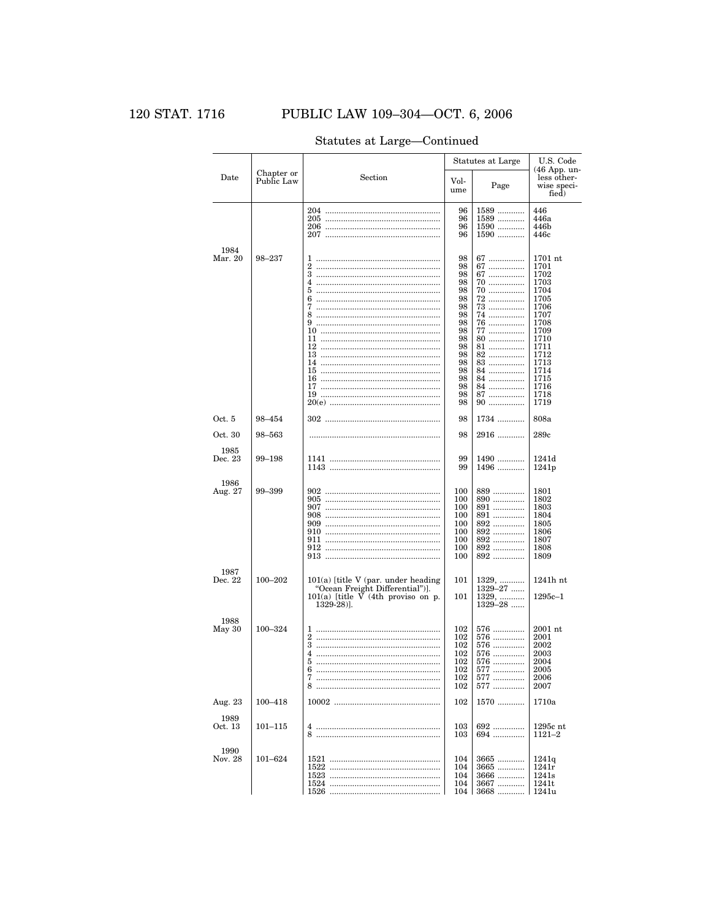|         |                          |                                                      |             | Statutes at Large    | U.S. Code                                             |
|---------|--------------------------|------------------------------------------------------|-------------|----------------------|-------------------------------------------------------|
| Date    | Chapter or<br>Public Law | Section                                              | Vol-<br>ume | Page                 | $(46$ App. un-<br>less other-<br>wise speci-<br>fied) |
|         |                          |                                                      |             |                      |                                                       |
|         |                          |                                                      | 96          | 1589                 | 446                                                   |
|         |                          |                                                      | 96          | 1589                 | 446a                                                  |
|         |                          |                                                      | 96<br>96    | 1590<br>1590         | 446b<br>446c                                          |
|         |                          |                                                      |             |                      |                                                       |
| 1984    |                          |                                                      |             |                      |                                                       |
| Mar. 20 | 98-237                   | ı                                                    | 98          | 67                   | $1701$ nt                                             |
|         |                          | 2                                                    | 98          | 67                   | 1701                                                  |
|         |                          | 3                                                    | 98          | 67                   | 1702                                                  |
|         |                          | 4<br>5.                                              | 98<br>98    | 70<br>70             | 1703<br>1704                                          |
|         |                          | 6                                                    | 98          | 72                   | 1705                                                  |
|         |                          | 7                                                    | 98          | 73                   | 1706                                                  |
|         |                          | 8                                                    | 98          | 74                   | 1707                                                  |
|         |                          |                                                      | 98          | 76                   | 1708                                                  |
|         |                          |                                                      | 98          | 77                   | 1709                                                  |
|         |                          |                                                      | 98<br>98    | 80<br>81             | 1710<br>1711                                          |
|         |                          |                                                      | 98          | 82                   | 1712                                                  |
|         |                          |                                                      | 98          | 83                   | 1713                                                  |
|         |                          |                                                      | 98          | 84                   | 1714                                                  |
|         |                          |                                                      | 98          | 84                   | 1715                                                  |
|         |                          |                                                      | 98          | 84                   | 1716                                                  |
|         |                          |                                                      | 98<br>98    | 87<br>90             | 1718<br>1719                                          |
|         |                          |                                                      |             |                      |                                                       |
| Oct. 5  | 98-454                   |                                                      | 98          | 1734                 | 808a                                                  |
| Oct. 30 | 98-563                   |                                                      | 98          | 2916                 | 289c                                                  |
| 1985    |                          |                                                      |             |                      |                                                       |
| Dec. 23 | 99-198                   |                                                      | 99          | 1490                 | 1241d                                                 |
|         |                          |                                                      | 99          | 1496                 | 1241p                                                 |
| 1986    |                          |                                                      |             |                      |                                                       |
| Aug. 27 | 99–399                   |                                                      | 100         | 889                  | 1801                                                  |
|         |                          |                                                      | 100         | 890                  | 1802                                                  |
|         |                          |                                                      | 100         | 891                  | 1803                                                  |
|         |                          |                                                      | 100         | 891                  | 1804                                                  |
|         |                          |                                                      | 100<br>100  | 892<br>892           | 1805<br>1806                                          |
|         |                          |                                                      | 100         | 892                  | 1807                                                  |
|         |                          |                                                      | 100         | 892                  | 1808                                                  |
|         |                          |                                                      | 100         | 892                  | 1809                                                  |
| 1987    |                          |                                                      |             |                      |                                                       |
| Dec. 22 | 100-202                  | $101(a)$ [title V (par. under heading                | 101         | 1329,                | 1241h nt                                              |
|         |                          | "Ocean Freight Differential")].                      |             | $1329 - 27$          |                                                       |
|         |                          | $101(a)$ [title V (4th proviso on p.<br>$1329-28$ ]. | 101         | 1329,<br>$1329 - 28$ | $1295c - 1$                                           |
|         |                          |                                                      |             |                      |                                                       |
| 1988    |                          |                                                      |             |                      |                                                       |
| May 30  | 100-324                  | 1<br>2                                               | 102<br>102  | 576<br>576           | $2001$ nt<br>2001                                     |
|         |                          |                                                      | 102         | 576                  | 2002                                                  |
|         |                          |                                                      | 102         | 576                  | 2003                                                  |
|         |                          |                                                      | 102         | 576                  | 2004                                                  |
|         |                          |                                                      | 102         | 577                  | 2005                                                  |
|         |                          |                                                      | 102         | 577                  | 2006                                                  |
|         |                          |                                                      | 102         | 577                  | 2007                                                  |
| Aug. 23 | 100-418                  |                                                      | 102         | 1570                 | 1710a                                                 |
|         |                          |                                                      |             |                      |                                                       |
| 1989    |                          |                                                      |             | $692$                |                                                       |
| Oct. 13 | $101 - 115$              |                                                      | 103<br>103  | 694                  | $1295c$ nt<br>1121–2                                  |
|         |                          |                                                      |             |                      |                                                       |
| 1990    |                          |                                                      |             |                      |                                                       |
| Nov. 28 | 101-624                  |                                                      | 104         | 3665                 | 1241q                                                 |
|         |                          |                                                      | 104<br>104  | 3665<br>3666         | 1241r<br>1241s                                        |
|         |                          |                                                      | 104         | 3667                 | 1241t                                                 |
|         |                          |                                                      | 104 l       | 3668                 | 1241u                                                 |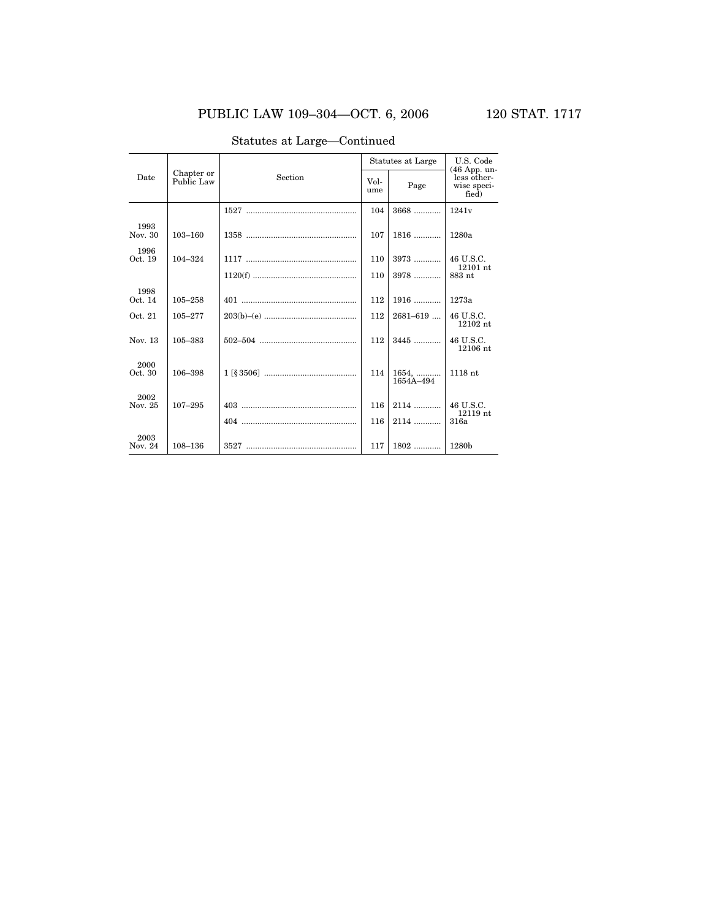# PUBLIC LAW 109–304—OCT. 6, 2006 120 STAT. 1717

|                 |                          |         |             | Statutes at Large  | U.S. Code<br>$(46$ App. un-         |
|-----------------|--------------------------|---------|-------------|--------------------|-------------------------------------|
| Date            | Chapter or<br>Public Law | Section | Vol-<br>ume | Page               | less other-<br>wise speci-<br>fied) |
|                 |                          |         | 104         | $3668$             | 1241v                               |
| 1993<br>Nov. 30 | 103-160                  |         | 107         | $1816$             | 1280a                               |
| 1996<br>Oct. 19 | 104-324                  |         | 110         | $3973$             | 46 U.S.C.<br>12101 nt               |
|                 |                          |         | 110         | 3978               | 883 nt                              |
| 1998<br>Oct. 14 | $105 - 258$              |         | 112         | $1916$             | 1273a                               |
| Oct. 21         | 105-277                  |         | 112         | $2681 - 619$       | 46 U.S.C.<br>$12102$ nt             |
| Nov. 13         | 105-383                  |         | 112         | 3445               | 46 U.S.C.<br>12106 nt               |
| 2000<br>Oct. 30 | 106-398                  |         | 114         | 1654,<br>1654A-494 | $1118$ nt                           |
| 2002<br>Nov. 25 | $107 - 295$              |         | 116         | $2114$             | 46 U.S.C.<br>12119 nt               |
|                 |                          |         | 116         | 2114               | 316a                                |
| 2003<br>Nov. 24 | 108-136                  |         | 117         | $1802$             | 1280b                               |